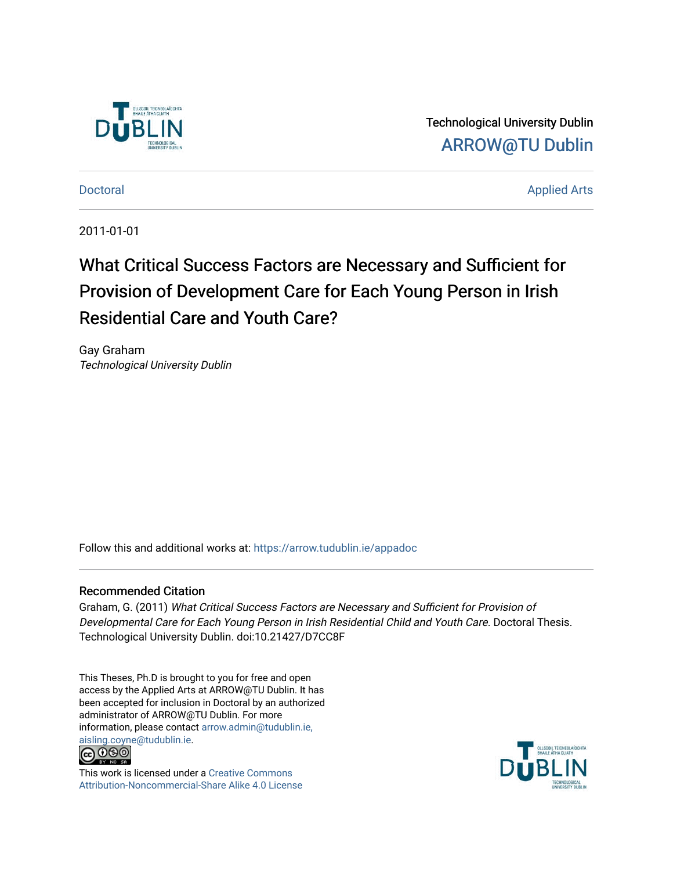

Technological University Dublin [ARROW@TU Dublin](https://arrow.tudublin.ie/) 

[Doctoral](https://arrow.tudublin.ie/appadoc) Applied Arts

2011-01-01

# What Critical Success Factors are Necessary and Sufficient for Provision of Development Care for Each Young Person in Irish Residential Care and Youth Care?

Gay Graham Technological University Dublin

Follow this and additional works at: [https://arrow.tudublin.ie/appadoc](https://arrow.tudublin.ie/appadoc?utm_source=arrow.tudublin.ie%2Fappadoc%2F22&utm_medium=PDF&utm_campaign=PDFCoverPages) 

#### Recommended Citation

Graham, G. (2011) What Critical Success Factors are Necessary and Sufficient for Provision of Developmental Care for Each Young Person in Irish Residential Child and Youth Care. Doctoral Thesis. Technological University Dublin. doi:10.21427/D7CC8F

This Theses, Ph.D is brought to you for free and open access by the Applied Arts at ARROW@TU Dublin. It has been accepted for inclusion in Doctoral by an authorized administrator of ARROW@TU Dublin. For more information, please contact [arrow.admin@tudublin.ie,](mailto:arrow.admin@tudublin.ie,%20aisling.coyne@tudublin.ie)  [aisling.coyne@tudublin.ie.](mailto:arrow.admin@tudublin.ie,%20aisling.coyne@tudublin.ie)<br>© 090



This work is licensed under a [Creative Commons](http://creativecommons.org/licenses/by-nc-sa/4.0/) [Attribution-Noncommercial-Share Alike 4.0 License](http://creativecommons.org/licenses/by-nc-sa/4.0/)

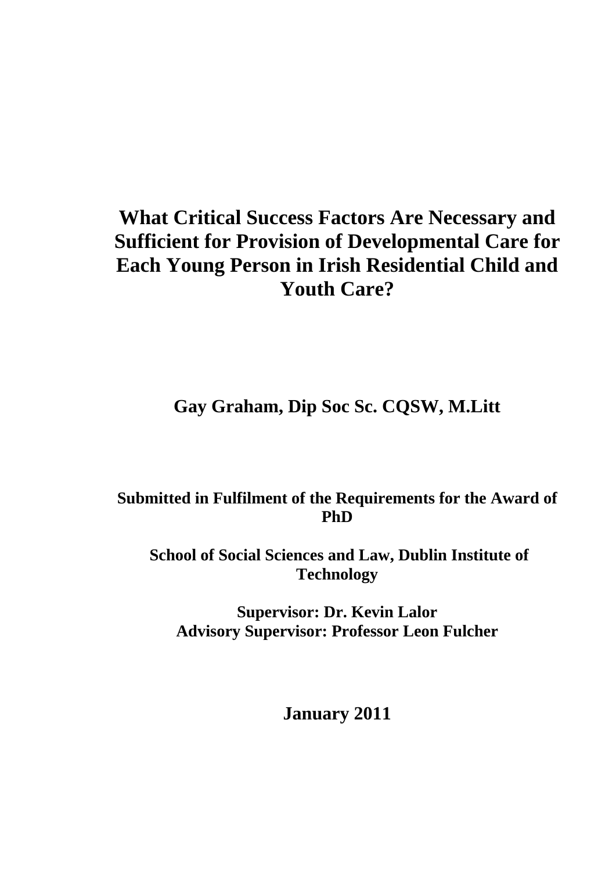# **What Critical Success Factors Are Necessary and Sufficient for Provision of Developmental Care for Each Young Person in Irish Residential Child and Youth Care?**

**Gay Graham, Dip Soc Sc. CQSW, M.Litt** 

## **Submitted in Fulfilment of the Requirements for the Award of PhD**

 **School of Social Sciences and Law, Dublin Institute of Technology** 

**Supervisor: Dr. Kevin Lalor Advisory Supervisor: Professor Leon Fulcher** 

**January 2011**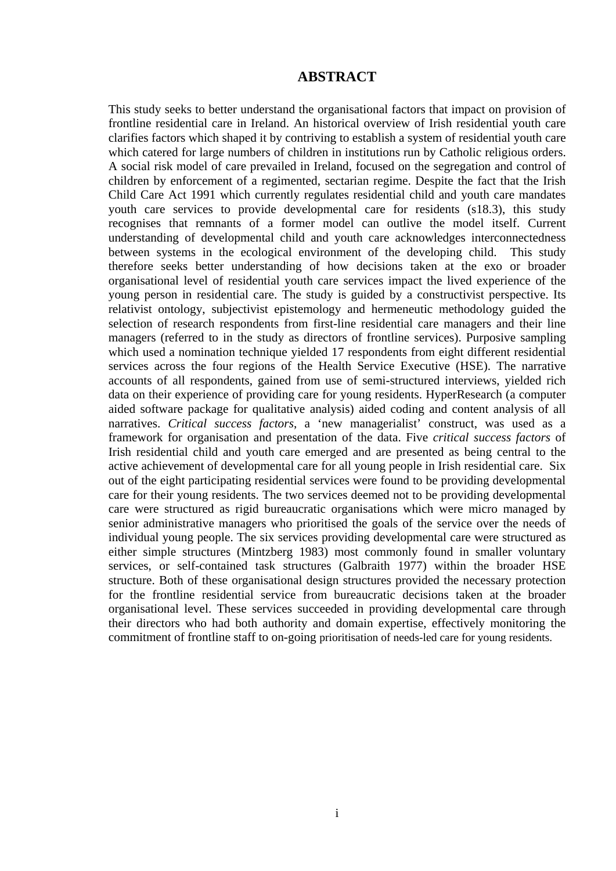## **ABSTRACT**

This study seeks to better understand the organisational factors that impact on provision of frontline residential care in Ireland. An historical overview of Irish residential youth care clarifies factors which shaped it by contriving to establish a system of residential youth care which catered for large numbers of children in institutions run by Catholic religious orders. A social risk model of care prevailed in Ireland, focused on the segregation and control of children by enforcement of a regimented, sectarian regime. Despite the fact that the Irish Child Care Act 1991 which currently regulates residential child and youth care mandates youth care services to provide developmental care for residents (s18.3), this study recognises that remnants of a former model can outlive the model itself. Current understanding of developmental child and youth care acknowledges interconnectedness between systems in the ecological environment of the developing child. This study therefore seeks better understanding of how decisions taken at the exo or broader organisational level of residential youth care services impact the lived experience of the young person in residential care. The study is guided by a constructivist perspective. Its relativist ontology, subjectivist epistemology and hermeneutic methodology guided the selection of research respondents from first-line residential care managers and their line managers (referred to in the study as directors of frontline services). Purposive sampling which used a nomination technique yielded 17 respondents from eight different residential services across the four regions of the Health Service Executive (HSE). The narrative accounts of all respondents, gained from use of semi-structured interviews, yielded rich data on their experience of providing care for young residents. HyperResearch (a computer aided software package for qualitative analysis) aided coding and content analysis of all narratives. *Critical success factors*, a 'new managerialist' construct, was used as a framework for organisation and presentation of the data. Five *critical success factors* of Irish residential child and youth care emerged and are presented as being central to the active achievement of developmental care for all young people in Irish residential care. Six out of the eight participating residential services were found to be providing developmental care for their young residents. The two services deemed not to be providing developmental care were structured as rigid bureaucratic organisations which were micro managed by senior administrative managers who prioritised the goals of the service over the needs of individual young people. The six services providing developmental care were structured as either simple structures (Mintzberg 1983) most commonly found in smaller voluntary services, or self-contained task structures (Galbraith 1977) within the broader HSE structure. Both of these organisational design structures provided the necessary protection for the frontline residential service from bureaucratic decisions taken at the broader organisational level. These services succeeded in providing developmental care through their directors who had both authority and domain expertise, effectively monitoring the commitment of frontline staff to on-going prioritisation of needs-led care for young residents.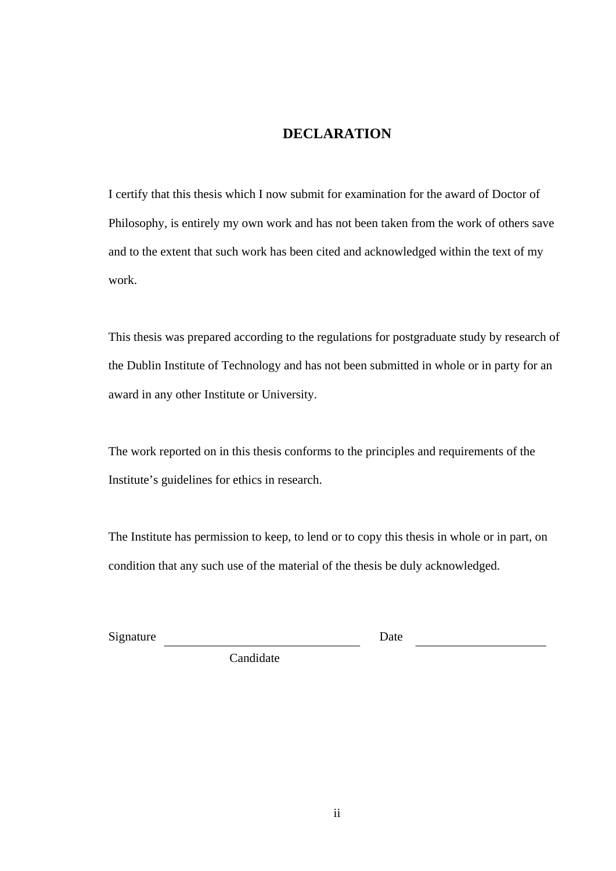## **DECLARATION**

I certify that this thesis which I now submit for examination for the award of Doctor of Philosophy, is entirely my own work and has not been taken from the work of others save and to the extent that such work has been cited and acknowledged within the text of my work.

This thesis was prepared according to the regulations for postgraduate study by research of the Dublin Institute of Technology and has not been submitted in whole or in party for an award in any other Institute or University.

The work reported on in this thesis conforms to the principles and requirements of the Institute's guidelines for ethics in research.

The Institute has permission to keep, to lend or to copy this thesis in whole or in part, on condition that any such use of the material of the thesis be duly acknowledged.

Signature Date

Candidate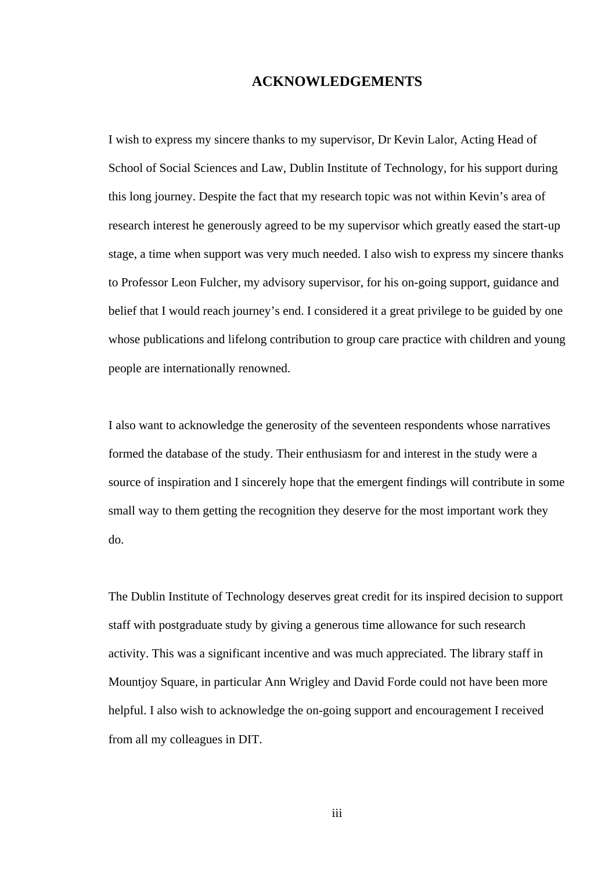## **ACKNOWLEDGEMENTS**

I wish to express my sincere thanks to my supervisor, Dr Kevin Lalor, Acting Head of School of Social Sciences and Law, Dublin Institute of Technology, for his support during this long journey. Despite the fact that my research topic was not within Kevin's area of research interest he generously agreed to be my supervisor which greatly eased the start-up stage, a time when support was very much needed. I also wish to express my sincere thanks to Professor Leon Fulcher, my advisory supervisor, for his on-going support, guidance and belief that I would reach journey's end. I considered it a great privilege to be guided by one whose publications and lifelong contribution to group care practice with children and young people are internationally renowned.

I also want to acknowledge the generosity of the seventeen respondents whose narratives formed the database of the study. Their enthusiasm for and interest in the study were a source of inspiration and I sincerely hope that the emergent findings will contribute in some small way to them getting the recognition they deserve for the most important work they do.

The Dublin Institute of Technology deserves great credit for its inspired decision to support staff with postgraduate study by giving a generous time allowance for such research activity. This was a significant incentive and was much appreciated. The library staff in Mountjoy Square, in particular Ann Wrigley and David Forde could not have been more helpful. I also wish to acknowledge the on-going support and encouragement I received from all my colleagues in DIT.

iii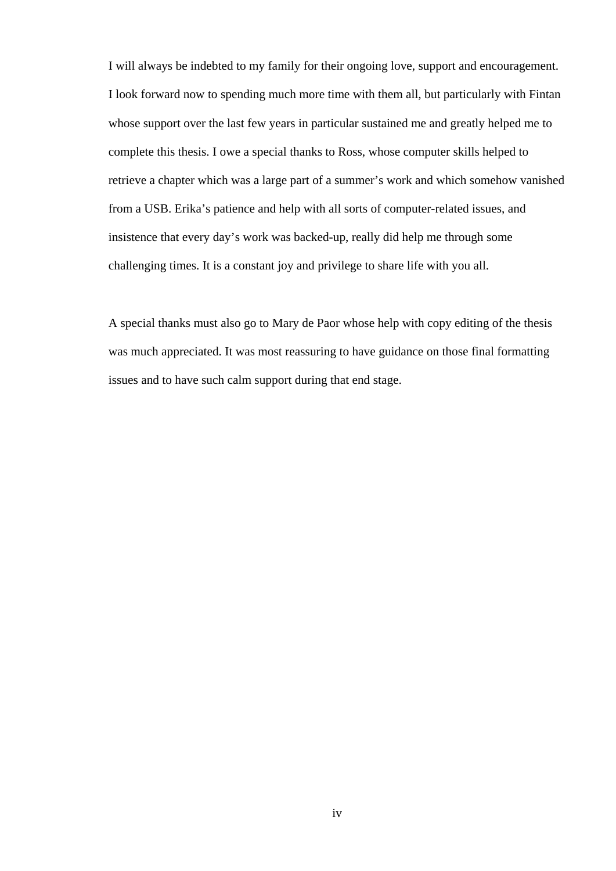I will always be indebted to my family for their ongoing love, support and encouragement. I look forward now to spending much more time with them all, but particularly with Fintan whose support over the last few years in particular sustained me and greatly helped me to complete this thesis. I owe a special thanks to Ross, whose computer skills helped to retrieve a chapter which was a large part of a summer's work and which somehow vanished from a USB. Erika's patience and help with all sorts of computer-related issues, and insistence that every day's work was backed-up, really did help me through some challenging times. It is a constant joy and privilege to share life with you all.

A special thanks must also go to Mary de Paor whose help with copy editing of the thesis was much appreciated. It was most reassuring to have guidance on those final formatting issues and to have such calm support during that end stage.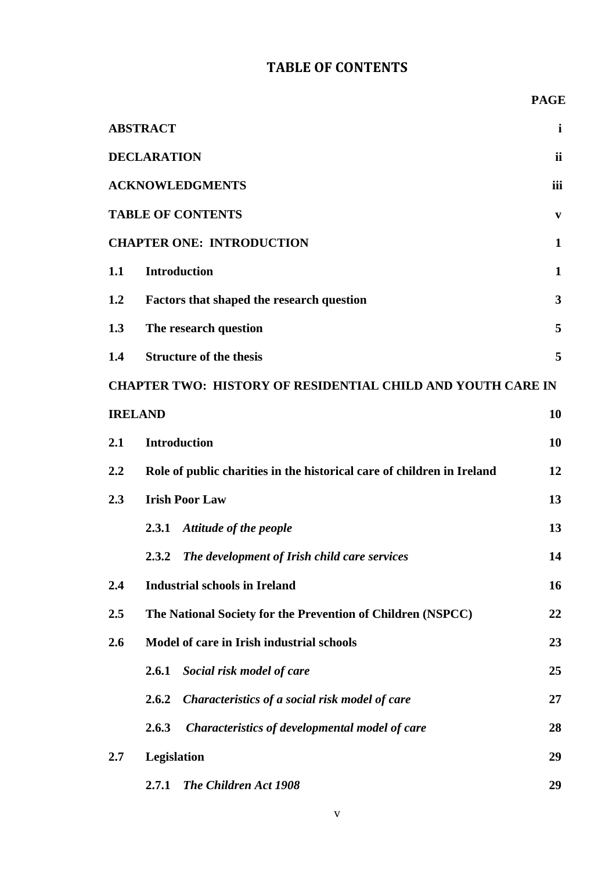## **TABLE OF CONTENTS**

|     | <b>ABSTRACT</b>                                                        | $\mathbf{i}$ |
|-----|------------------------------------------------------------------------|--------------|
|     | <b>DECLARATION</b>                                                     | ii           |
|     | <b>ACKNOWLEDGMENTS</b>                                                 | iii          |
|     | <b>TABLE OF CONTENTS</b>                                               | $\mathbf{v}$ |
|     | <b>CHAPTER ONE: INTRODUCTION</b>                                       | $\mathbf{1}$ |
| 1.1 | <b>Introduction</b>                                                    | $\mathbf 1$  |
| 1.2 | <b>Factors that shaped the research question</b>                       | $\mathbf{3}$ |
| 1.3 | The research question                                                  | 5            |
| 1.4 | <b>Structure of the thesis</b>                                         | 5            |
|     | CHAPTER TWO: HISTORY OF RESIDENTIAL CHILD AND YOUTH CARE IN            |              |
|     | <b>IRELAND</b>                                                         | 10           |
| 2.1 | <b>Introduction</b>                                                    | 10           |
| 2.2 | Role of public charities in the historical care of children in Ireland | 12           |
| 2.3 | <b>Irish Poor Law</b>                                                  | 13           |
|     | <b>Attitude of the people</b><br>2.3.1                                 | 13           |
|     | The development of Irish child care services<br>2.3.2                  | 14           |
| 2.4 | <b>Industrial schools in Ireland</b>                                   | 16           |
| 2.5 | The National Society for the Prevention of Children (NSPCC)            | 22           |
| 2.6 | Model of care in Irish industrial schools                              | 23           |
|     | Social risk model of care<br>2.6.1                                     | 25           |
|     | 2.6.2<br>Characteristics of a social risk model of care                | 27           |
|     | 2.6.3<br>Characteristics of developmental model of care                | 28           |
| 2.7 | Legislation                                                            | 29           |
|     | 2.7.1<br>The Children Act 1908                                         | 29           |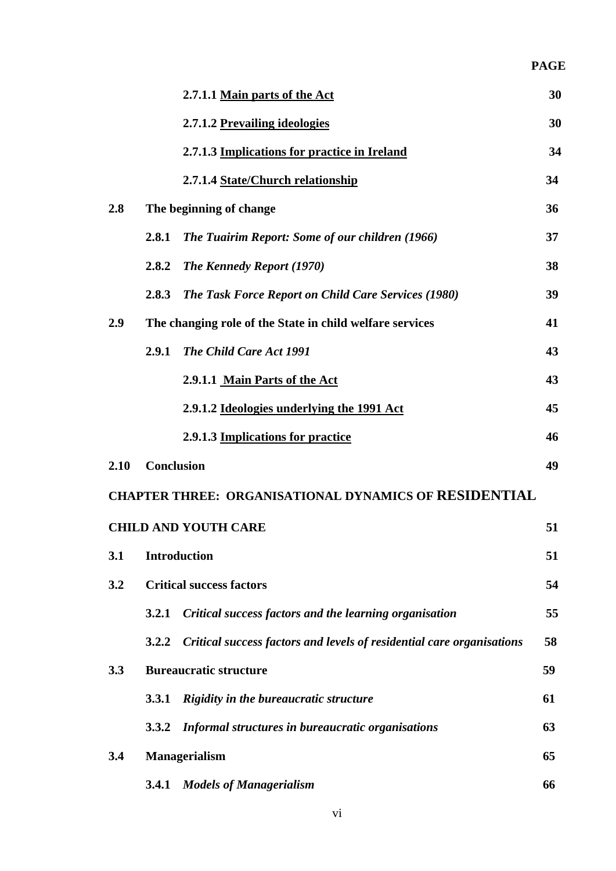|      |                   | 2.7.1.1 Main parts of the Act                                         | 30 |
|------|-------------------|-----------------------------------------------------------------------|----|
|      |                   | 2.7.1.2 Prevailing ideologies                                         | 30 |
|      |                   | 2.7.1.3 Implications for practice in Ireland                          | 34 |
|      |                   | 2.7.1.4 State/Church relationship                                     | 34 |
| 2.8  |                   | The beginning of change                                               | 36 |
|      | 2.8.1             | The Tuairim Report: Some of our children (1966)                       | 37 |
|      | 2.8.2             | <b>The Kennedy Report (1970)</b>                                      | 38 |
|      | 2.8.3             | <b>The Task Force Report on Child Care Services (1980)</b>            | 39 |
| 2.9  |                   | The changing role of the State in child welfare services              | 41 |
|      | 2.9.1             | The Child Care Act 1991                                               | 43 |
|      |                   | 2.9.1.1 Main Parts of the Act                                         | 43 |
|      |                   | 2.9.1.2 Ideologies underlying the 1991 Act                            | 45 |
|      |                   | 2.9.1.3 Implications for practice                                     | 46 |
| 2.10 | <b>Conclusion</b> |                                                                       | 49 |
|      |                   | <b>CHAPTER THREE: ORGANISATIONAL DYNAMICS OF RESIDENTIAL</b>          |    |
|      |                   | <b>CHILD AND YOUTH CARE</b>                                           | 51 |
| 3.1  |                   | <b>Introduction</b>                                                   | 51 |
| 3.2  |                   | <b>Critical success factors</b>                                       | 54 |
|      | 3.2.1             | Critical success factors and the learning organisation                | 55 |
|      | 3.2.2             | Critical success factors and levels of residential care organisations | 58 |
| 3.3  |                   | <b>Bureaucratic structure</b>                                         | 59 |
|      | 3.3.1             | Rigidity in the bureaucratic structure                                | 61 |
|      | <b>3.3.2</b>      | Informal structures in bureaucratic organisations                     | 63 |
| 3.4  |                   | <b>Managerialism</b>                                                  | 65 |
|      | 3.4.1             | <b>Models of Managerialism</b>                                        | 66 |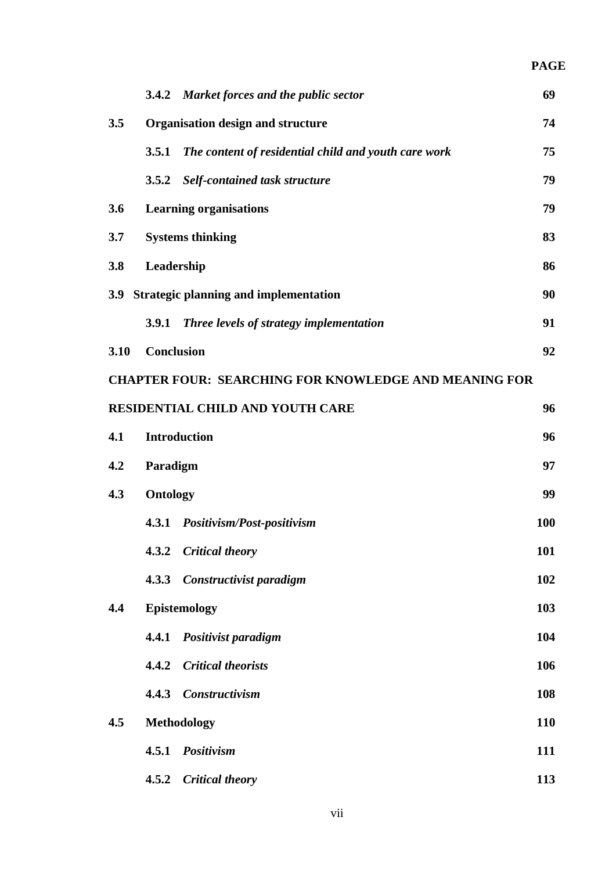|      |                   | 3.4.2 Market forces and the public sector                    | 69         |
|------|-------------------|--------------------------------------------------------------|------------|
| 3.5  |                   | Organisation design and structure                            | 74         |
|      | 3.5.1             | The content of residential child and youth care work         | 75         |
|      | 3.5.2             | <b>Self-contained task structure</b>                         | 79         |
| 3.6  |                   | <b>Learning organisations</b>                                | 79         |
| 3.7  |                   | <b>Systems thinking</b>                                      | 83         |
| 3.8  | Leadership        |                                                              | 86         |
|      |                   | 3.9 Strategic planning and implementation                    | 90         |
|      | 3.9.1             | Three levels of strategy implementation                      | 91         |
| 3.10 | <b>Conclusion</b> |                                                              | 92         |
|      |                   | <b>CHAPTER FOUR: SEARCHING FOR KNOWLEDGE AND MEANING FOR</b> |            |
|      |                   | RESIDENTIAL CHILD AND YOUTH CARE                             | 96         |
| 4.1  |                   | <b>Introduction</b>                                          | 96         |
| 4.2  | Paradigm          |                                                              | 97         |
| 4.3  | <b>Ontology</b>   |                                                              | 99         |
|      |                   | 4.3.1 Positivism/Post-positivism                             | 100        |
|      | 4.3.2             | <b>Critical theory</b>                                       | 101        |
|      | 4.3.3             | Constructivist paradigm                                      | 102        |
| 4.4  |                   | <b>Epistemology</b>                                          | 103        |
|      | 4.4.1             | Positivist paradigm                                          | 104        |
|      | 4.4.2             | <b>Critical theorists</b>                                    | 106        |
|      | 4.4.3             | <b>Constructivism</b>                                        | 108        |
| 4.5  |                   | <b>Methodology</b>                                           | <b>110</b> |
|      | 4.5.1             | Positivism                                                   | 111        |
|      | 4.5.2             | <b>Critical theory</b>                                       | 113        |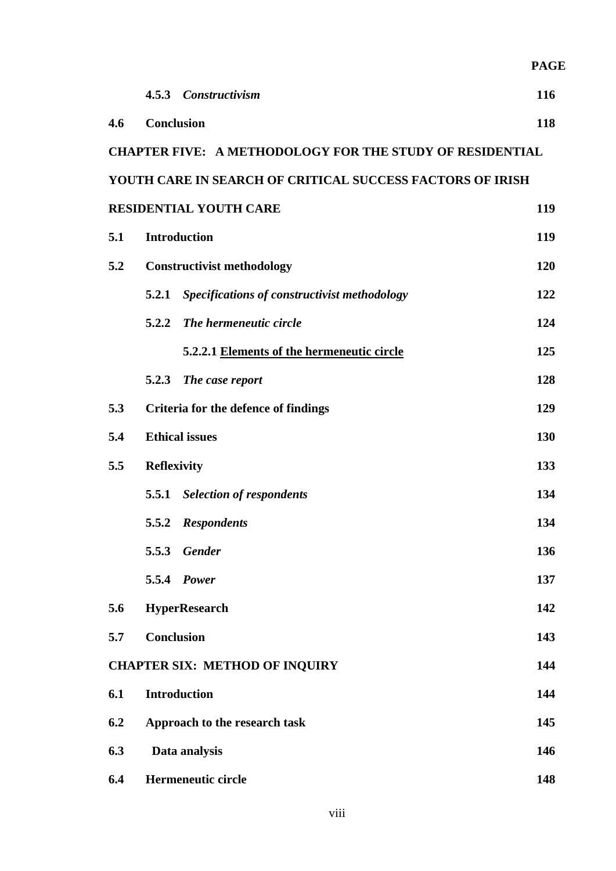|     |                                                                 | <b>PAGE</b> |
|-----|-----------------------------------------------------------------|-------------|
|     | 4.5.3 Constructivism                                            | 116         |
| 4.6 | <b>Conclusion</b>                                               | 118         |
|     | <b>CHAPTER FIVE: A METHODOLOGY FOR THE STUDY OF RESIDENTIAL</b> |             |
|     | YOUTH CARE IN SEARCH OF CRITICAL SUCCESS FACTORS OF IRISH       |             |
|     | <b>RESIDENTIAL YOUTH CARE</b>                                   | 119         |
| 5.1 | <b>Introduction</b>                                             | 119         |
| 5.2 | <b>Constructivist methodology</b>                               | 120         |
|     | Specifications of constructivist methodology<br>5.2.1           | 122         |
|     | 5.2.2<br>The hermeneutic circle                                 | 124         |
|     | 5.2.2.1 Elements of the hermeneutic circle                      | 125         |
|     | 5.2.3 The case report                                           | 128         |
| 5.3 | Criteria for the defence of findings                            | 129         |
| 5.4 | <b>Ethical issues</b>                                           | 130         |
| 5.5 | <b>Reflexivity</b>                                              | 133         |
|     | 5.5.1 Selection of respondents                                  | 134         |
|     | 5.5.2 Respondents                                               | 134         |
|     | 5.5.3<br><b>Gender</b>                                          | 136         |
|     | 5.5.4 <i>Power</i>                                              | 137         |
| 5.6 | <b>HyperResearch</b>                                            | 142         |
| 5.7 | <b>Conclusion</b>                                               | 143         |
|     | <b>CHAPTER SIX: METHOD OF INQUIRY</b>                           | 144         |
| 6.1 | <b>Introduction</b>                                             | 144         |
| 6.2 | Approach to the research task                                   | 145         |
| 6.3 | Data analysis                                                   | 146         |
| 6.4 | Hermeneutic circle                                              | 148         |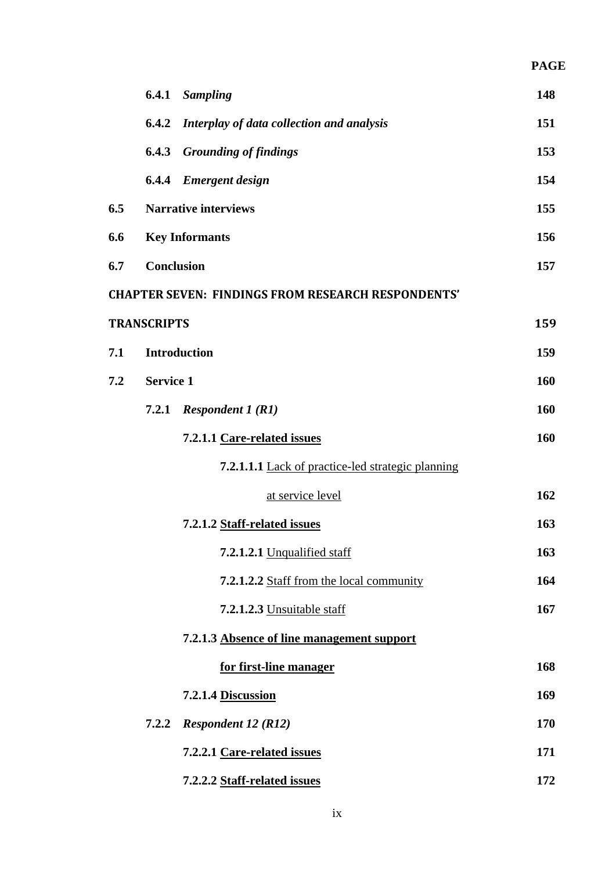|     |                    | 6.4.1 Sampling                                            | 148 |
|-----|--------------------|-----------------------------------------------------------|-----|
|     | 6.4.2              | Interplay of data collection and analysis                 | 151 |
|     | 6.4.3              | <b>Grounding of findings</b>                              | 153 |
|     |                    | <b>6.4.4</b> Emergent design                              | 154 |
| 6.5 |                    | <b>Narrative interviews</b>                               | 155 |
| 6.6 |                    | <b>Key Informants</b>                                     | 156 |
| 6.7 | <b>Conclusion</b>  |                                                           | 157 |
|     |                    | <b>CHAPTER SEVEN: FINDINGS FROM RESEARCH RESPONDENTS'</b> |     |
|     | <b>TRANSCRIPTS</b> |                                                           | 159 |
| 7.1 |                    | <b>Introduction</b>                                       | 159 |
| 7.2 | <b>Service 1</b>   |                                                           | 160 |
|     | 7.2.1              | <i>Respondent 1 (R1)</i>                                  | 160 |
|     |                    | 7.2.1.1 Care-related issues                               | 160 |
|     |                    | 7.2.1.1.1 Lack of practice-led strategic planning         |     |
|     |                    | at service level                                          | 162 |
|     |                    | 7.2.1.2 Staff-related issues                              | 163 |
|     |                    | 7.2.1.2.1 Unqualified staff                               | 163 |
|     |                    | 7.2.1.2.2 Staff from the local community                  | 164 |
|     |                    | 7.2.1.2.3 Unsuitable staff                                | 167 |
|     |                    | 7.2.1.3 Absence of line management support                |     |
|     |                    | for first-line manager                                    | 168 |
|     |                    | 7.2.1.4 Discussion                                        | 169 |
|     | 7.2.2              | <b>Respondent 12 (R12)</b>                                | 170 |
|     |                    | 7.2.2.1 Care-related issues                               | 171 |
|     |                    | 7.2.2.2 Staff-related issues                              | 172 |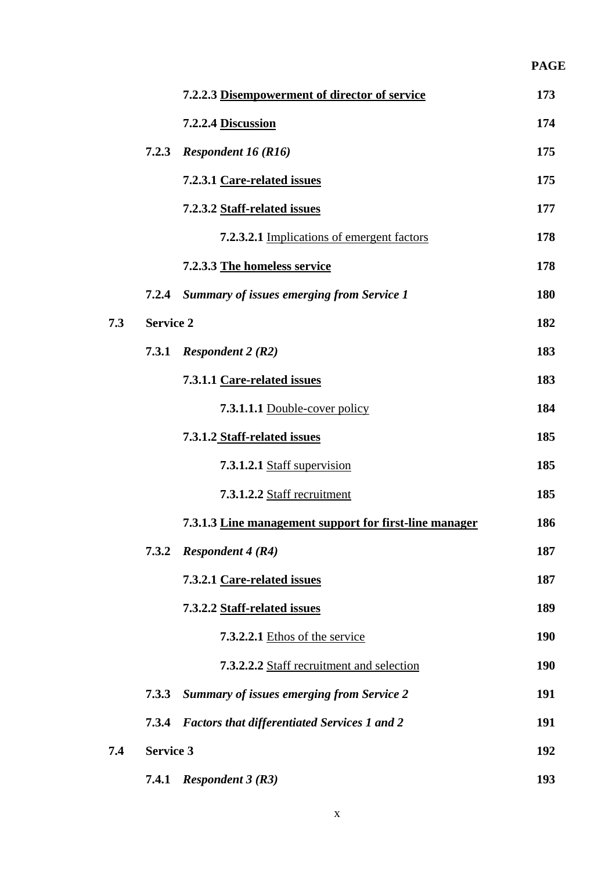|     |                  |                                                        | <b>PAGE</b> |
|-----|------------------|--------------------------------------------------------|-------------|
|     |                  | 7.2.2.3 Disempowerment of director of service          | 173         |
|     |                  | 7.2.2.4 Discussion                                     | 174         |
|     | 7.2.3            | <b>Respondent 16 (R16)</b>                             | 175         |
|     |                  | 7.2.3.1 Care-related issues                            | 175         |
|     |                  | 7.2.3.2 Staff-related issues                           | 177         |
|     |                  | 7.2.3.2.1 Implications of emergent factors             | 178         |
|     |                  | 7.2.3.3 The homeless service                           | 178         |
|     | 7.2.4            | <b>Summary of issues emerging from Service 1</b>       | 180         |
| 7.3 | <b>Service 2</b> |                                                        | 182         |
|     | 7.3.1            | <i>Respondent 2 (R2)</i>                               | 183         |
|     |                  | 7.3.1.1 Care-related issues                            | 183         |
|     |                  | 7.3.1.1.1 Double-cover policy                          | 184         |
|     |                  | 7.3.1.2 Staff-related issues                           | 185         |
|     |                  | 7.3.1.2.1 Staff supervision                            | 185         |
|     |                  | 7.3.1.2.2 Staff recruitment                            | 185         |
|     |                  | 7.3.1.3 Line management support for first-line manager | 186         |
|     | 7.3.2            | <b>Respondent 4 (R4)</b>                               | 187         |
|     |                  | 7.3.2.1 Care-related issues                            | 187         |
|     |                  | 7.3.2.2 Staff-related issues                           | 189         |
|     |                  | 7.3.2.2.1 Ethos of the service                         | <b>190</b>  |
|     |                  | 7.3.2.2.2 Staff recruitment and selection              | <b>190</b>  |
|     | 7.3.3            | <b>Summary of issues emerging from Service 2</b>       | 191         |
|     | 7.3.4            | <b>Factors that differentiated Services 1 and 2</b>    | 191         |
| 7.4 | <b>Service 3</b> |                                                        | 192         |
|     | 7.4.1            | <b>Respondent 3 (R3)</b>                               | 193         |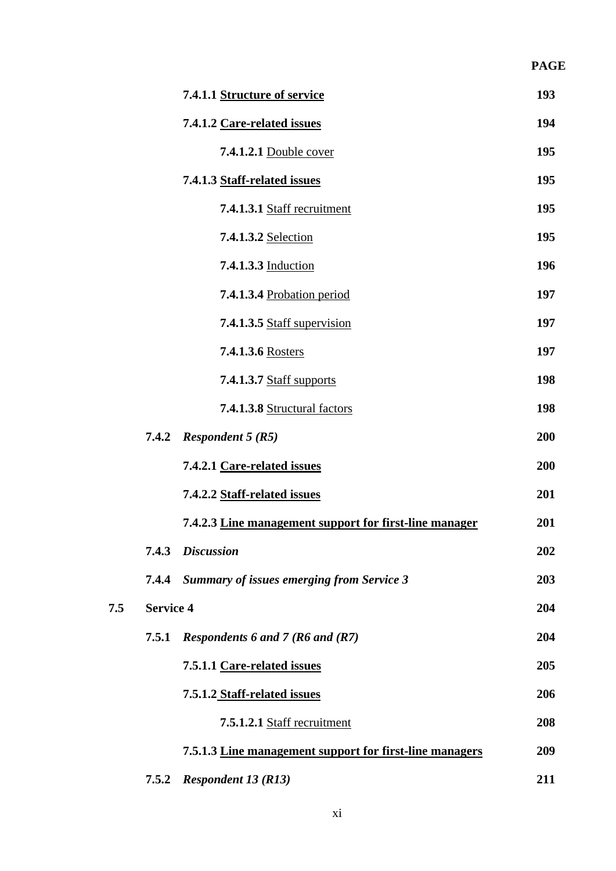|     |                  | 7.4.1.1 Structure of service                            | 193 |
|-----|------------------|---------------------------------------------------------|-----|
|     |                  | 7.4.1.2 Care-related issues                             | 194 |
|     |                  | 7.4.1.2.1 Double cover                                  | 195 |
|     |                  | 7.4.1.3 Staff-related issues                            | 195 |
|     |                  | 7.4.1.3.1 Staff recruitment                             | 195 |
|     |                  | 7.4.1.3.2 Selection                                     | 195 |
|     |                  | 7.4.1.3.3 Induction                                     | 196 |
|     |                  | <b>7.4.1.3.4 Probation period</b>                       | 197 |
|     |                  | 7.4.1.3.5 Staff supervision                             | 197 |
|     |                  | 7.4.1.3.6 Rosters                                       | 197 |
|     |                  | <b>7.4.1.3.7 Staff supports</b>                         | 198 |
|     |                  | 7.4.1.3.8 Structural factors                            | 198 |
|     |                  | 7.4.2 Respondent $5(R5)$                                | 200 |
|     |                  | 7.4.2.1 Care-related issues                             | 200 |
|     |                  | 7.4.2.2 Staff-related issues                            | 201 |
|     |                  | 7.4.2.3 Line management support for first-line manager  | 201 |
|     |                  | 7.4.3 Discussion                                        | 202 |
|     |                  | 7.4.4 Summary of issues emerging from Service 3         | 203 |
| 7.5 | <b>Service 4</b> |                                                         | 204 |
|     | 7.5.1            | Respondents 6 and 7 (R6 and (R7)                        | 204 |
|     |                  | 7.5.1.1 Care-related issues                             | 205 |
|     |                  | 7.5.1.2 Staff-related issues                            | 206 |
|     |                  | 7.5.1.2.1 Staff recruitment                             | 208 |
|     |                  | 7.5.1.3 Line management support for first-line managers | 209 |
|     | 7.5.2            | <b>Respondent 13 (R13)</b>                              | 211 |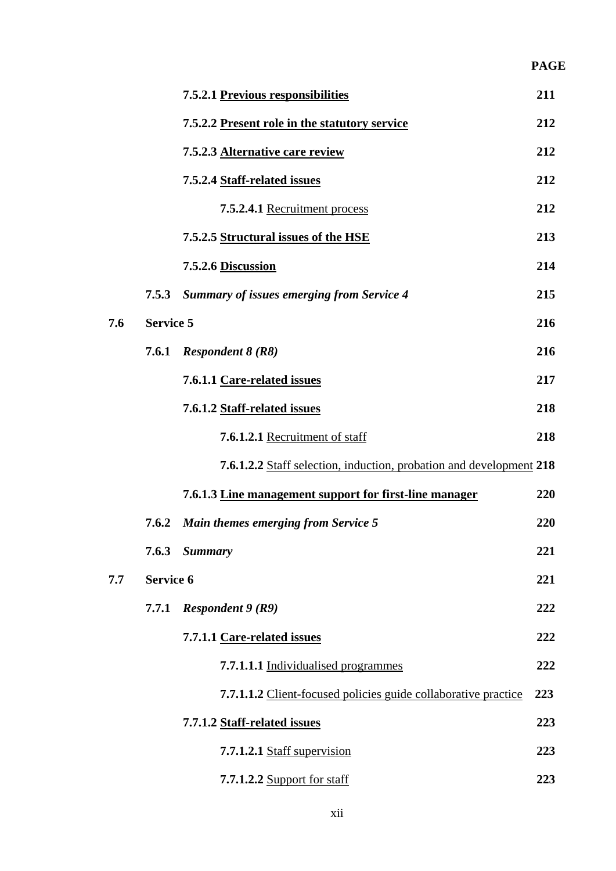|     |                  | 7.5.2.1 Previous responsibilities                                   | 211 |
|-----|------------------|---------------------------------------------------------------------|-----|
|     |                  | 7.5.2.2 Present role in the statutory service                       | 212 |
|     |                  | 7.5.2.3 Alternative care review                                     | 212 |
|     |                  | 7.5.2.4 Staff-related issues                                        | 212 |
|     |                  | 7.5.2.4.1 Recruitment process                                       | 212 |
|     |                  | 7.5.2.5 Structural issues of the HSE                                | 213 |
|     |                  | 7.5.2.6 Discussion                                                  | 214 |
|     | 7.5.3            | <b>Summary of issues emerging from Service 4</b>                    | 215 |
| 7.6 | <b>Service 5</b> |                                                                     | 216 |
|     |                  | 7.6.1 Respondent $8(R8)$                                            | 216 |
|     |                  | 7.6.1.1 Care-related issues                                         | 217 |
|     |                  | 7.6.1.2 Staff-related issues                                        | 218 |
|     |                  | 7.6.1.2.1 Recruitment of staff                                      | 218 |
|     |                  | 7.6.1.2.2 Staff selection, induction, probation and development 218 |     |
|     |                  | 7.6.1.3 Line management support for first-line manager              | 220 |
|     |                  | 7.6.2 Main themes emerging from Service 5                           | 220 |
|     |                  | 7.6.3 Summary                                                       | 221 |
| 7.7 | <b>Service 6</b> |                                                                     | 221 |
|     | 7.7.1            | <i>Respondent</i> $9(R9)$                                           | 222 |
|     |                  | 7.7.1.1 Care-related issues                                         | 222 |
|     |                  | 7.7.1.1.1 Individualised programmes                                 | 222 |
|     |                  | 7.7.1.1.2 Client-focused policies guide collaborative practice      | 223 |
|     |                  | 7.7.1.2 Staff-related issues                                        | 223 |
|     |                  | 7.7.1.2.1 Staff supervision                                         | 223 |
|     |                  | <b>7.7.1.2.2 Support for staff</b>                                  | 223 |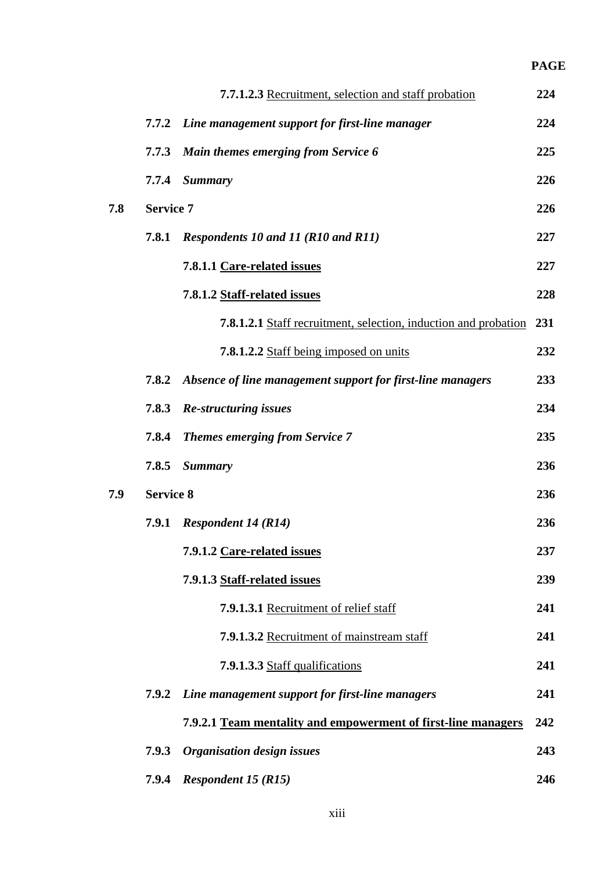|     |                  | 7.7.1.2.3 Recruitment, selection and staff probation                    | 224 |
|-----|------------------|-------------------------------------------------------------------------|-----|
|     | 7.7.2            | Line management support for first-line manager                          | 224 |
|     | 7.7.3            | Main themes emerging from Service 6                                     | 225 |
|     | 7.7.4            | <b>Summary</b>                                                          | 226 |
| 7.8 | <b>Service 7</b> |                                                                         | 226 |
|     | 7.8.1            | Respondents 10 and 11 (R10 and R11)                                     | 227 |
|     |                  | 7.8.1.1 Care-related issues                                             | 227 |
|     |                  | 7.8.1.2 Staff-related issues                                            | 228 |
|     |                  | <b>7.8.1.2.1</b> Staff recruitment, selection, induction and probation  | 231 |
|     |                  | 7.8.1.2.2 Staff being imposed on units                                  | 232 |
|     |                  | <b>7.8.2</b> Absence of line management support for first-line managers | 233 |
|     | 7.8.3            | <b>Re-structuring issues</b>                                            | 234 |
|     | 7.8.4            | <b>Themes emerging from Service 7</b>                                   | 235 |
|     | 7.8.5            | <b>Summary</b>                                                          | 236 |
| 7.9 | <b>Service 8</b> |                                                                         | 236 |
|     | 7.9.1            | <b>Respondent 14 (R14)</b>                                              | 236 |
|     |                  | 7.9.1.2 Care-related issues                                             | 237 |
|     |                  | 7.9.1.3 Staff-related issues                                            | 239 |
|     |                  | 7.9.1.3.1 Recruitment of relief staff                                   | 241 |
|     |                  | 7.9.1.3.2 Recruitment of mainstream staff                               | 241 |
|     |                  | 7.9.1.3.3 Staff qualifications                                          | 241 |
|     | 7.9.2            | Line management support for first-line managers                         | 241 |
|     |                  | 7.9.2.1 Team mentality and empowerment of first-line managers           | 242 |
|     | 7.9.3            | <b>Organisation design issues</b>                                       | 243 |
|     | 7.9.4            | <b>Respondent 15 (R15)</b>                                              | 246 |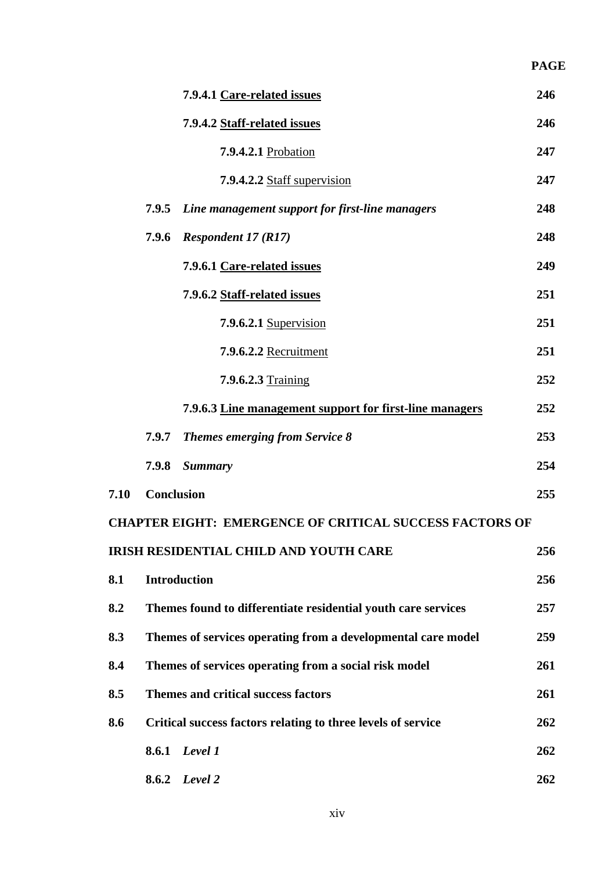|      |                   |                                                                | <b>PAGE</b> |
|------|-------------------|----------------------------------------------------------------|-------------|
|      |                   | 7.9.4.1 Care-related issues                                    | 246         |
|      |                   | 7.9.4.2 Staff-related issues                                   | 246         |
|      |                   | 7.9.4.2.1 Probation                                            | 247         |
|      |                   | 7.9.4.2.2 Staff supervision                                    | 247         |
|      | 7.9.5             | Line management support for first-line managers                | 248         |
|      | 7.9.6             | <b>Respondent 17 (R17)</b>                                     | 248         |
|      |                   | 7.9.6.1 Care-related issues                                    | 249         |
|      |                   | 7.9.6.2 Staff-related issues                                   | 251         |
|      |                   | 7.9.6.2.1 Supervision                                          | 251         |
|      |                   | 7.9.6.2.2 Recruitment                                          | 251         |
|      |                   | 7.9.6.2.3 Training                                             | 252         |
|      |                   | 7.9.6.3 Line management support for first-line managers        | 252         |
|      | 7.9.7             | <b>Themes emerging from Service 8</b>                          | 253         |
|      | 7.9.8             | <b>Summary</b>                                                 | 254         |
| 7.10 | <b>Conclusion</b> |                                                                | 255         |
|      |                   | <b>CHAPTER EIGHT: EMERGENCE OF CRITICAL SUCCESS FACTORS OF</b> |             |
|      |                   | IRISH RESIDENTIAL CHILD AND YOUTH CARE                         | 256         |
| 8.1  |                   | <b>Introduction</b>                                            | 256         |
| 8.2  |                   | Themes found to differentiate residential youth care services  | 257         |
| 8.3  |                   | Themes of services operating from a developmental care model   | 259         |
| 8.4  |                   | Themes of services operating from a social risk model          | 261         |
| 8.5  |                   | <b>Themes and critical success factors</b>                     | 261         |
| 8.6  |                   | Critical success factors relating to three levels of service   | 262         |
|      |                   | 8.6.1 Level 1                                                  | 262         |
|      | 8.6.2             | Level 2                                                        | 262         |

xiv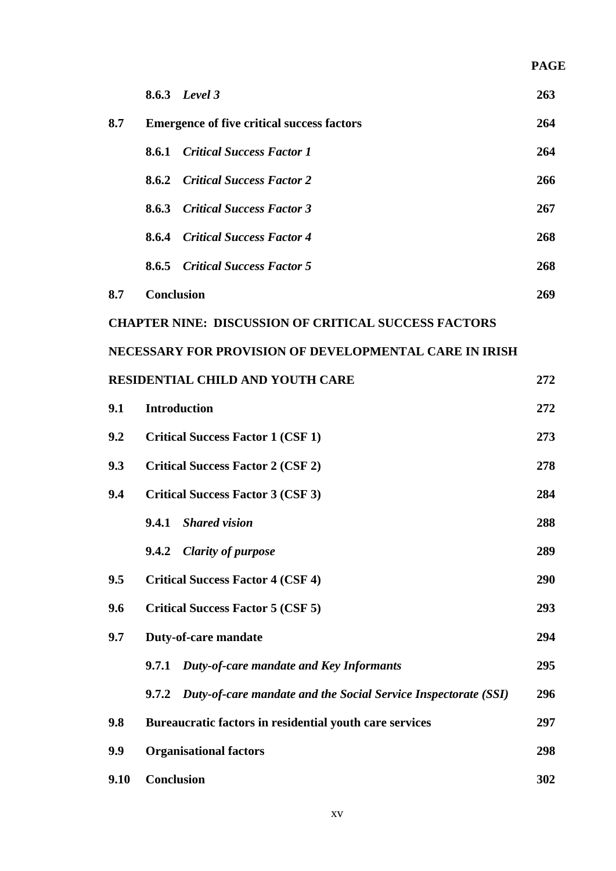|      |                   | 8.6.3 Level 3                                                  | 263 |
|------|-------------------|----------------------------------------------------------------|-----|
| 8.7  |                   | <b>Emergence of five critical success factors</b>              | 264 |
|      | 8.6.1             | <b>Critical Success Factor 1</b>                               | 264 |
|      | 8.6.2             | <b>Critical Success Factor 2</b>                               | 266 |
|      |                   | <b>8.6.3</b> Critical Success Factor 3                         | 267 |
|      | 8.6.4             | <b>Critical Success Factor 4</b>                               | 268 |
|      |                   | <b>8.6.5</b> Critical Success Factor 5                         | 268 |
| 8.7  | <b>Conclusion</b> |                                                                | 269 |
|      |                   | <b>CHAPTER NINE: DISCUSSION OF CRITICAL SUCCESS FACTORS</b>    |     |
|      |                   | NECESSARY FOR PROVISION OF DEVELOPMENTAL CARE IN IRISH         |     |
|      |                   | <b>RESIDENTIAL CHILD AND YOUTH CARE</b>                        | 272 |
| 9.1  |                   | <b>Introduction</b>                                            | 272 |
| 9.2  |                   | <b>Critical Success Factor 1 (CSF 1)</b>                       | 273 |
| 9.3  |                   | <b>Critical Success Factor 2 (CSF 2)</b>                       | 278 |
| 9.4  |                   | <b>Critical Success Factor 3 (CSF 3)</b>                       | 284 |
|      | 9.4.1             | <b>Shared vision</b>                                           | 288 |
|      | 9.4.2             | <b>Clarity of purpose</b>                                      | 289 |
| 9.5  |                   | <b>Critical Success Factor 4 (CSF 4)</b>                       | 290 |
| 9.6  |                   | <b>Critical Success Factor 5 (CSF 5)</b>                       | 293 |
| 9.7  |                   | Duty-of-care mandate                                           | 294 |
|      | 9.7.1             | Duty-of-care mandate and Key Informants                        | 295 |
|      | 9.7.2             | Duty-of-care mandate and the Social Service Inspectorate (SSI) | 296 |
| 9.8  |                   | Bureaucratic factors in residential youth care services        | 297 |
| 9.9  |                   | <b>Organisational factors</b>                                  | 298 |
| 9.10 | <b>Conclusion</b> |                                                                | 302 |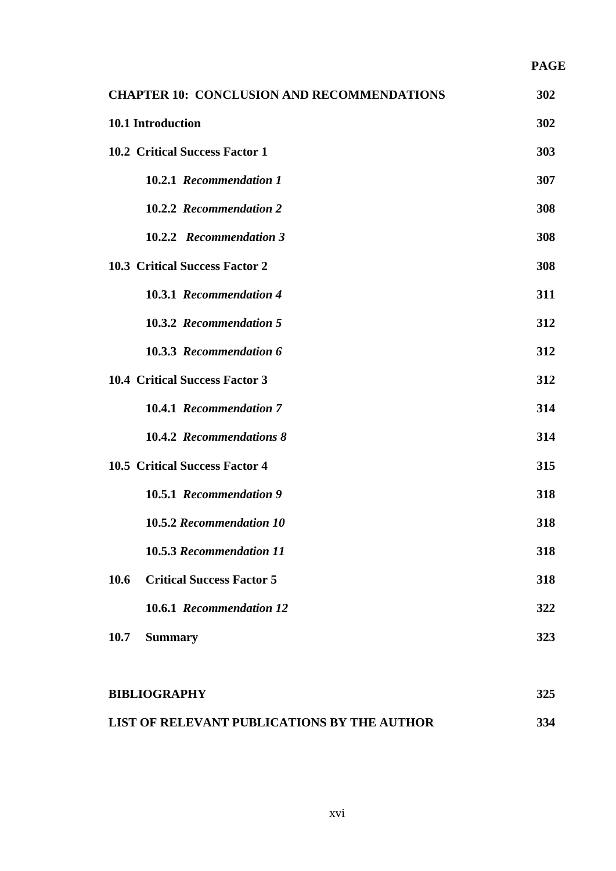| <b>CHAPTER 10: CONCLUSION AND RECOMMENDATIONS</b> | 302 |
|---------------------------------------------------|-----|
| 10.1 Introduction                                 | 302 |
| <b>10.2 Critical Success Factor 1</b>             | 303 |
| 10.2.1 Recommendation 1                           | 307 |
| 10.2.2 Recommendation 2                           | 308 |
| 10.2.2 Recommendation 3                           | 308 |
| <b>10.3 Critical Success Factor 2</b>             | 308 |
| 10.3.1 Recommendation 4                           | 311 |
| 10.3.2 Recommendation 5                           | 312 |
| 10.3.3 Recommendation 6                           | 312 |
| <b>10.4 Critical Success Factor 3</b>             | 312 |
| 10.4.1 Recommendation 7                           | 314 |
| 10.4.2 Recommendations 8                          | 314 |
| <b>10.5 Critical Success Factor 4</b>             | 315 |
| 10.5.1 Recommendation 9                           | 318 |
| 10.5.2 Recommendation 10                          | 318 |
| 10.5.3 Recommendation 11                          | 318 |
| 10.6<br><b>Critical Success Factor 5</b>          | 318 |
| 10.6.1 Recommendation 12                          | 322 |
| 10.7<br><b>Summary</b>                            | 323 |
|                                                   |     |

| <b>BIBLIOGRAPHY</b>                         | 325 |
|---------------------------------------------|-----|
| LIST OF RELEVANT PUBLICATIONS BY THE AUTHOR | 334 |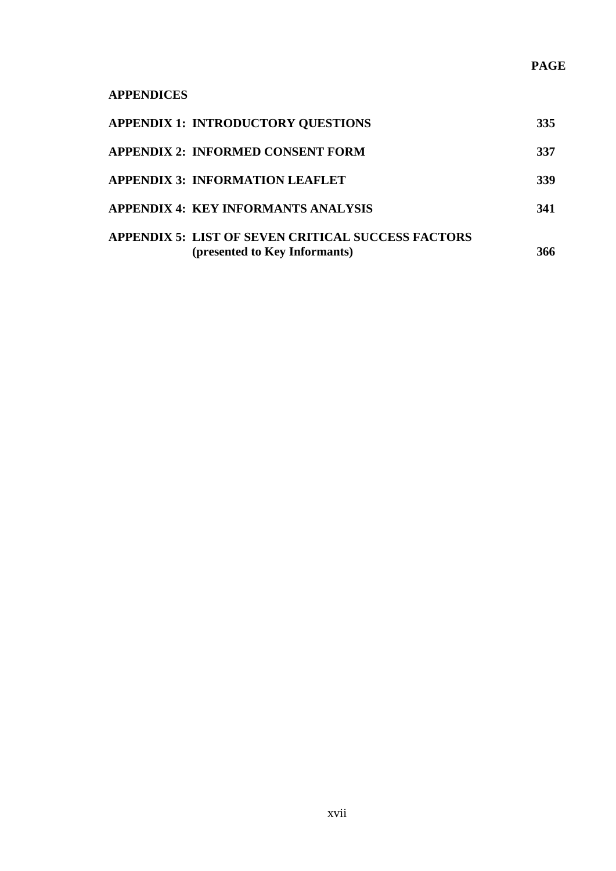## **APPENDICES**

| <b>APPENDIX 1: INTRODUCTORY QUESTIONS</b>                 | 335 |
|-----------------------------------------------------------|-----|
| <b>APPENDIX 2: INFORMED CONSENT FORM</b>                  | 337 |
| <b>APPENDIX 3: INFORMATION LEAFLET</b>                    | 339 |
| APPENDIX 4: KEY INFORMANTS ANALYSIS                       | 341 |
| <b>APPENDIX 5: LIST OF SEVEN CRITICAL SUCCESS FACTORS</b> |     |
| (presented to Key Informants)                             | 366 |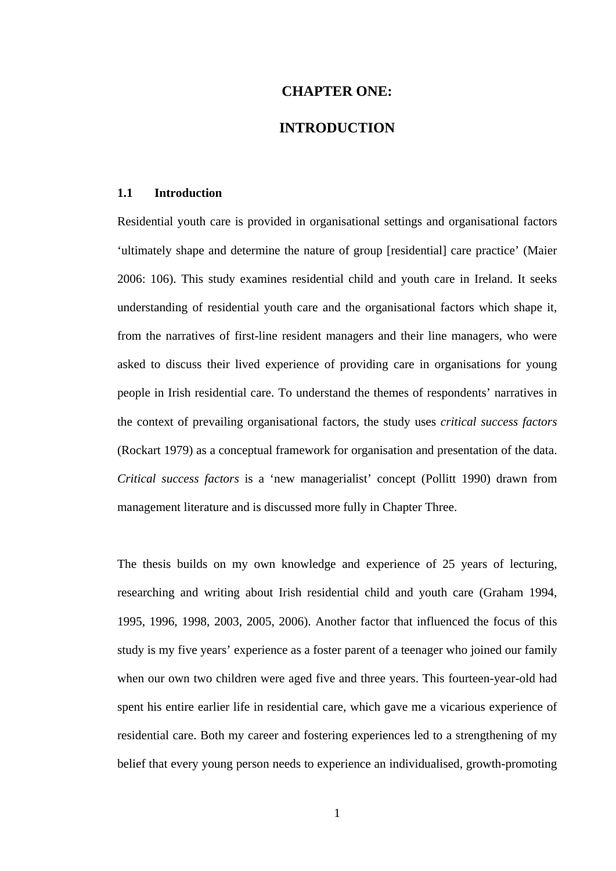## **CHAPTER ONE:**

#### **INTRODUCTION**

#### **1.1 Introduction**

Residential youth care is provided in organisational settings and organisational factors 'ultimately shape and determine the nature of group [residential] care practice' (Maier 2006: 106). This study examines residential child and youth care in Ireland. It seeks understanding of residential youth care and the organisational factors which shape it, from the narratives of first-line resident managers and their line managers, who were asked to discuss their lived experience of providing care in organisations for young people in Irish residential care. To understand the themes of respondents' narratives in the context of prevailing organisational factors, the study uses *critical success factors* (Rockart 1979) as a conceptual framework for organisation and presentation of the data. *Critical success factors* is a 'new managerialist' concept (Pollitt 1990) drawn from management literature and is discussed more fully in Chapter Three.

The thesis builds on my own knowledge and experience of 25 years of lecturing, researching and writing about Irish residential child and youth care (Graham 1994, 1995, 1996, 1998, 2003, 2005, 2006). Another factor that influenced the focus of this study is my five years' experience as a foster parent of a teenager who joined our family when our own two children were aged five and three years. This fourteen-year-old had spent his entire earlier life in residential care, which gave me a vicarious experience of residential care. Both my career and fostering experiences led to a strengthening of my belief that every young person needs to experience an individualised, growth-promoting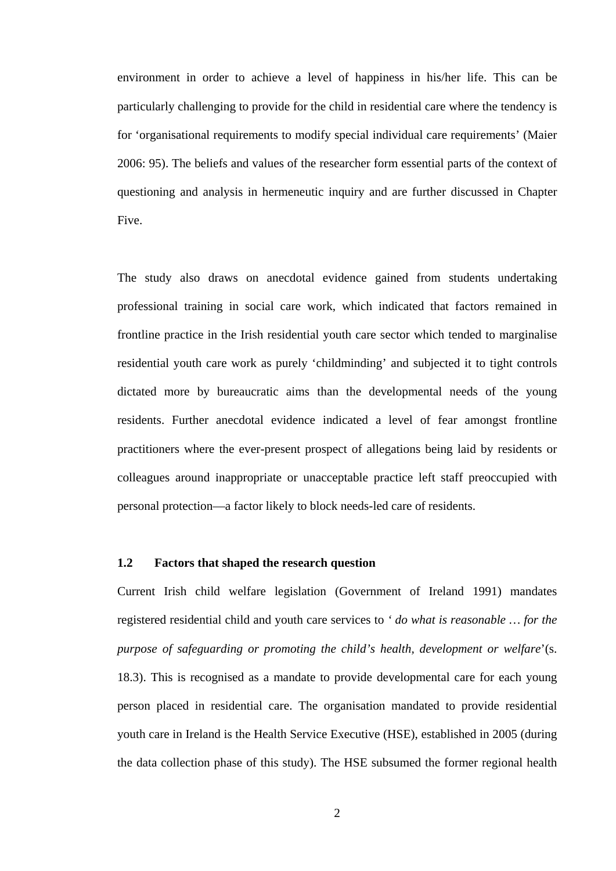environment in order to achieve a level of happiness in his/her life. This can be particularly challenging to provide for the child in residential care where the tendency is for 'organisational requirements to modify special individual care requirements' (Maier 2006: 95). The beliefs and values of the researcher form essential parts of the context of questioning and analysis in hermeneutic inquiry and are further discussed in Chapter Five.

The study also draws on anecdotal evidence gained from students undertaking professional training in social care work, which indicated that factors remained in frontline practice in the Irish residential youth care sector which tended to marginalise residential youth care work as purely 'childminding' and subjected it to tight controls dictated more by bureaucratic aims than the developmental needs of the young residents. Further anecdotal evidence indicated a level of fear amongst frontline practitioners where the ever-present prospect of allegations being laid by residents or colleagues around inappropriate or unacceptable practice left staff preoccupied with personal protection—a factor likely to block needs-led care of residents.

#### **1.2 Factors that shaped the research question**

Current Irish child welfare legislation (Government of Ireland 1991) mandates registered residential child and youth care services to *' do what is reasonable … for the purpose of safeguarding or promoting the child's health, development or welfare*'(s. 18.3). This is recognised as a mandate to provide developmental care for each young person placed in residential care. The organisation mandated to provide residential youth care in Ireland is the Health Service Executive (HSE), established in 2005 (during the data collection phase of this study). The HSE subsumed the former regional health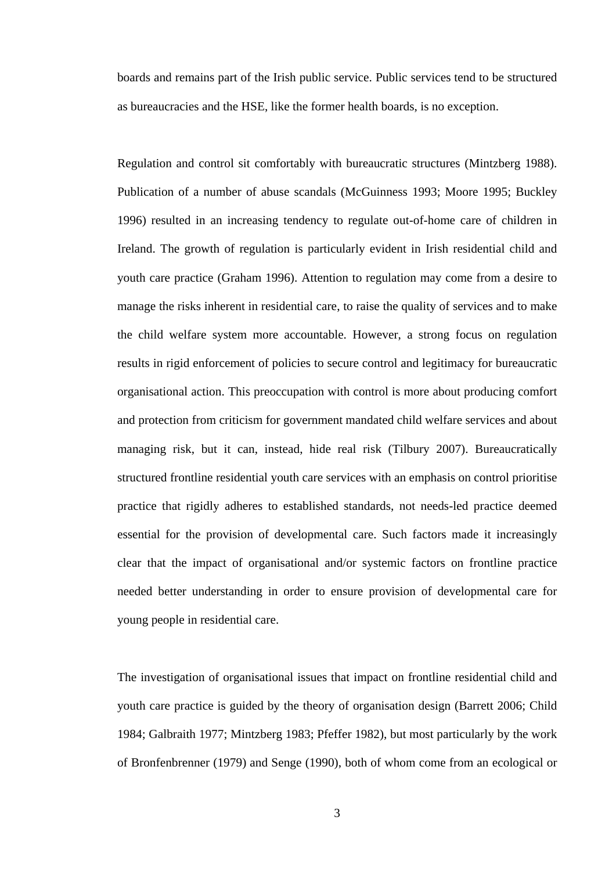boards and remains part of the Irish public service. Public services tend to be structured as bureaucracies and the HSE, like the former health boards, is no exception.

Regulation and control sit comfortably with bureaucratic structures (Mintzberg 1988). Publication of a number of abuse scandals (McGuinness 1993; Moore 1995; Buckley 1996) resulted in an increasing tendency to regulate out-of-home care of children in Ireland. The growth of regulation is particularly evident in Irish residential child and youth care practice (Graham 1996). Attention to regulation may come from a desire to manage the risks inherent in residential care, to raise the quality of services and to make the child welfare system more accountable. However, a strong focus on regulation results in rigid enforcement of policies to secure control and legitimacy for bureaucratic organisational action. This preoccupation with control is more about producing comfort and protection from criticism for government mandated child welfare services and about managing risk, but it can, instead, hide real risk (Tilbury 2007). Bureaucratically structured frontline residential youth care services with an emphasis on control prioritise practice that rigidly adheres to established standards, not needs-led practice deemed essential for the provision of developmental care. Such factors made it increasingly clear that the impact of organisational and/or systemic factors on frontline practice needed better understanding in order to ensure provision of developmental care for young people in residential care.

The investigation of organisational issues that impact on frontline residential child and youth care practice is guided by the theory of organisation design (Barrett 2006; Child 1984; Galbraith 1977; Mintzberg 1983; Pfeffer 1982), but most particularly by the work of Bronfenbrenner (1979) and Senge (1990), both of whom come from an ecological or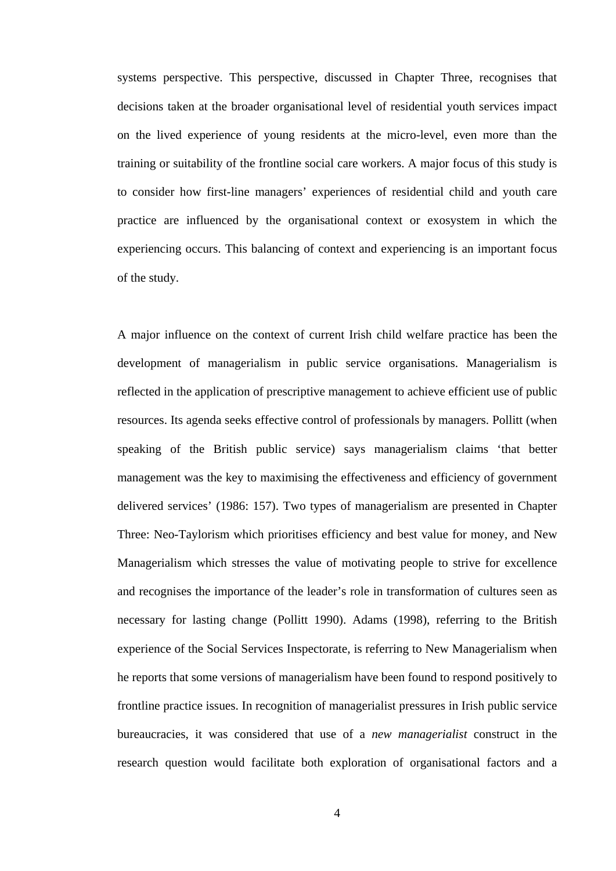systems perspective. This perspective, discussed in Chapter Three, recognises that decisions taken at the broader organisational level of residential youth services impact on the lived experience of young residents at the micro-level, even more than the training or suitability of the frontline social care workers. A major focus of this study is to consider how first-line managers' experiences of residential child and youth care practice are influenced by the organisational context or exosystem in which the experiencing occurs. This balancing of context and experiencing is an important focus of the study.

A major influence on the context of current Irish child welfare practice has been the development of managerialism in public service organisations. Managerialism is reflected in the application of prescriptive management to achieve efficient use of public resources. Its agenda seeks effective control of professionals by managers. Pollitt (when speaking of the British public service) says managerialism claims 'that better management was the key to maximising the effectiveness and efficiency of government delivered services' (1986: 157). Two types of managerialism are presented in Chapter Three: Neo-Taylorism which prioritises efficiency and best value for money, and New Managerialism which stresses the value of motivating people to strive for excellence and recognises the importance of the leader's role in transformation of cultures seen as necessary for lasting change (Pollitt 1990). Adams (1998), referring to the British experience of the Social Services Inspectorate, is referring to New Managerialism when he reports that some versions of managerialism have been found to respond positively to frontline practice issues. In recognition of managerialist pressures in Irish public service bureaucracies, it was considered that use of a *new managerialist* construct in the research question would facilitate both exploration of organisational factors and a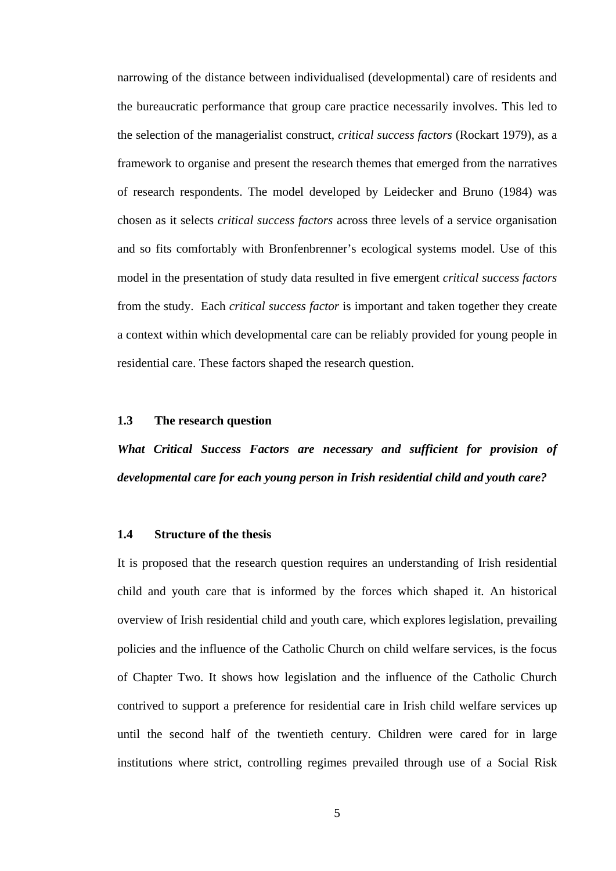narrowing of the distance between individualised (developmental) care of residents and the bureaucratic performance that group care practice necessarily involves. This led to the selection of the managerialist construct, *critical success factors* (Rockart 1979), as a framework to organise and present the research themes that emerged from the narratives of research respondents. The model developed by Leidecker and Bruno (1984) was chosen as it selects *critical success factors* across three levels of a service organisation and so fits comfortably with Bronfenbrenner's ecological systems model. Use of this model in the presentation of study data resulted in five emergent *critical success factors* from the study. Each *critical success factor* is important and taken together they create a context within which developmental care can be reliably provided for young people in residential care. These factors shaped the research question.

#### **1.3 The research question**

*What Critical Success Factors are necessary and sufficient for provision of developmental care for each young person in Irish residential child and youth care?* 

#### **1.4 Structure of the thesis**

It is proposed that the research question requires an understanding of Irish residential child and youth care that is informed by the forces which shaped it. An historical overview of Irish residential child and youth care, which explores legislation, prevailing policies and the influence of the Catholic Church on child welfare services, is the focus of Chapter Two. It shows how legislation and the influence of the Catholic Church contrived to support a preference for residential care in Irish child welfare services up until the second half of the twentieth century. Children were cared for in large institutions where strict, controlling regimes prevailed through use of a Social Risk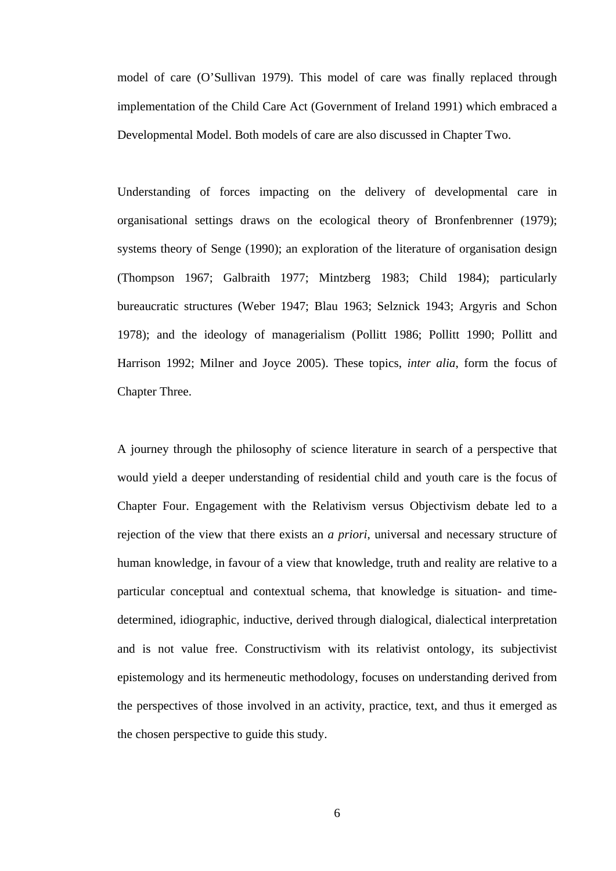model of care (O'Sullivan 1979). This model of care was finally replaced through implementation of the Child Care Act (Government of Ireland 1991) which embraced a Developmental Model. Both models of care are also discussed in Chapter Two.

Understanding of forces impacting on the delivery of developmental care in organisational settings draws on the ecological theory of Bronfenbrenner (1979); systems theory of Senge (1990); an exploration of the literature of organisation design (Thompson 1967; Galbraith 1977; Mintzberg 1983; Child 1984); particularly bureaucratic structures (Weber 1947; Blau 1963; Selznick 1943; Argyris and Schon 1978); and the ideology of managerialism (Pollitt 1986; Pollitt 1990; Pollitt and Harrison 1992; Milner and Joyce 2005). These topics, *inter alia*, form the focus of Chapter Three.

A journey through the philosophy of science literature in search of a perspective that would yield a deeper understanding of residential child and youth care is the focus of Chapter Four. Engagement with the Relativism versus Objectivism debate led to a rejection of the view that there exists an *a priori*, universal and necessary structure of human knowledge, in favour of a view that knowledge, truth and reality are relative to a particular conceptual and contextual schema, that knowledge is situation- and timedetermined, idiographic, inductive, derived through dialogical, dialectical interpretation and is not value free. Constructivism with its relativist ontology, its subjectivist epistemology and its hermeneutic methodology, focuses on understanding derived from the perspectives of those involved in an activity, practice, text, and thus it emerged as the chosen perspective to guide this study.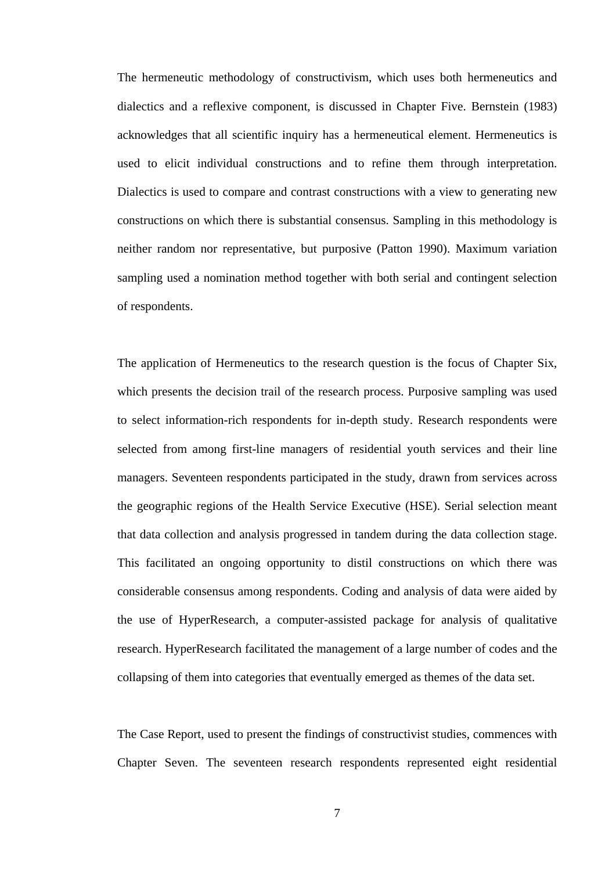The hermeneutic methodology of constructivism, which uses both hermeneutics and dialectics and a reflexive component, is discussed in Chapter Five. Bernstein (1983) acknowledges that all scientific inquiry has a hermeneutical element. Hermeneutics is used to elicit individual constructions and to refine them through interpretation. Dialectics is used to compare and contrast constructions with a view to generating new constructions on which there is substantial consensus. Sampling in this methodology is neither random nor representative, but purposive (Patton 1990). Maximum variation sampling used a nomination method together with both serial and contingent selection of respondents.

The application of Hermeneutics to the research question is the focus of Chapter Six, which presents the decision trail of the research process. Purposive sampling was used to select information-rich respondents for in-depth study. Research respondents were selected from among first-line managers of residential youth services and their line managers. Seventeen respondents participated in the study, drawn from services across the geographic regions of the Health Service Executive (HSE). Serial selection meant that data collection and analysis progressed in tandem during the data collection stage. This facilitated an ongoing opportunity to distil constructions on which there was considerable consensus among respondents. Coding and analysis of data were aided by the use of HyperResearch, a computer-assisted package for analysis of qualitative research. HyperResearch facilitated the management of a large number of codes and the collapsing of them into categories that eventually emerged as themes of the data set.

The Case Report, used to present the findings of constructivist studies, commences with Chapter Seven. The seventeen research respondents represented eight residential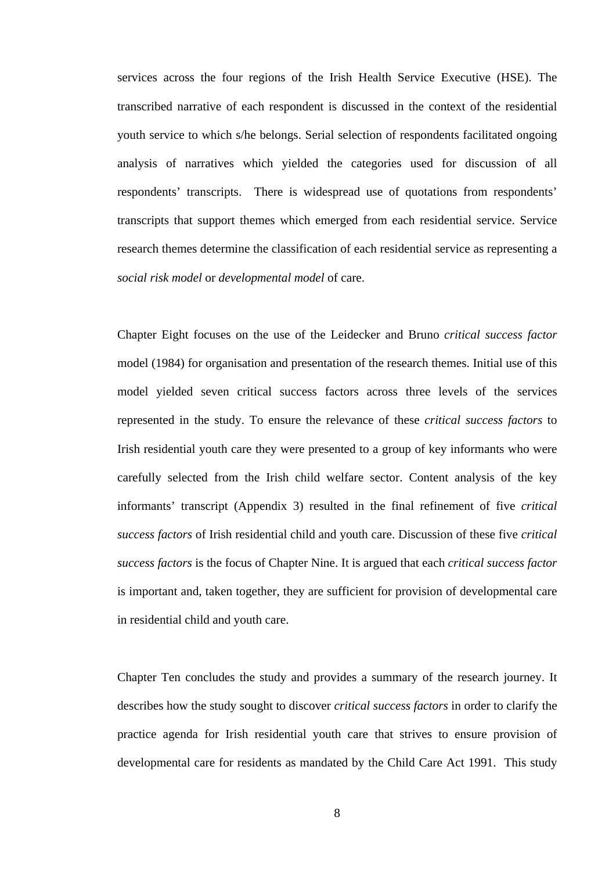services across the four regions of the Irish Health Service Executive (HSE). The transcribed narrative of each respondent is discussed in the context of the residential youth service to which s/he belongs. Serial selection of respondents facilitated ongoing analysis of narratives which yielded the categories used for discussion of all respondents' transcripts. There is widespread use of quotations from respondents' transcripts that support themes which emerged from each residential service. Service research themes determine the classification of each residential service as representing a *social risk model* or *developmental model* of care.

Chapter Eight focuses on the use of the Leidecker and Bruno *critical success factor* model (1984) for organisation and presentation of the research themes. Initial use of this model yielded seven critical success factors across three levels of the services represented in the study. To ensure the relevance of these *critical success factors* to Irish residential youth care they were presented to a group of key informants who were carefully selected from the Irish child welfare sector. Content analysis of the key informants' transcript (Appendix 3) resulted in the final refinement of five *critical success factors* of Irish residential child and youth care. Discussion of these five *critical success factors* is the focus of Chapter Nine. It is argued that each *critical success factor* is important and, taken together, they are sufficient for provision of developmental care in residential child and youth care.

Chapter Ten concludes the study and provides a summary of the research journey. It describes how the study sought to discover *critical success factors* in order to clarify the practice agenda for Irish residential youth care that strives to ensure provision of developmental care for residents as mandated by the Child Care Act 1991. This study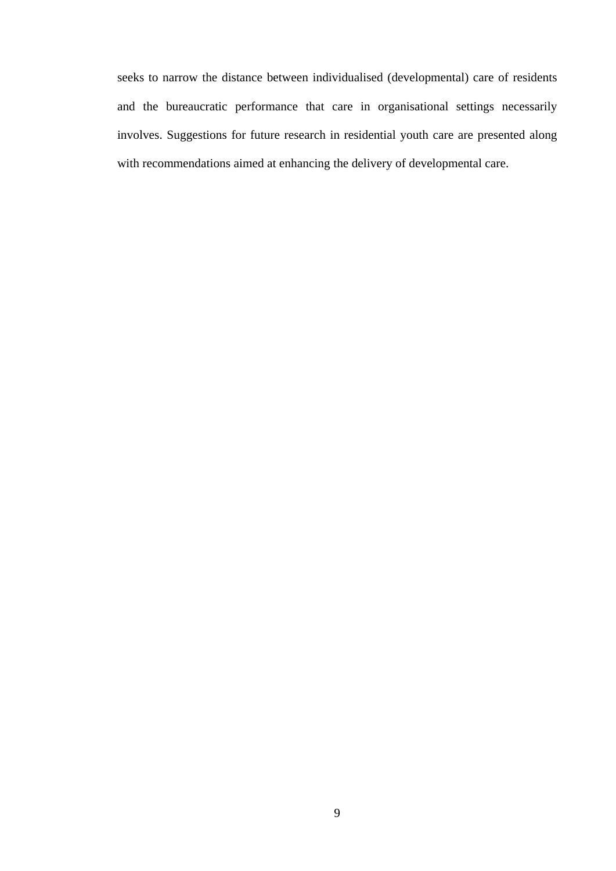seeks to narrow the distance between individualised (developmental) care of residents and the bureaucratic performance that care in organisational settings necessarily involves. Suggestions for future research in residential youth care are presented along with recommendations aimed at enhancing the delivery of developmental care.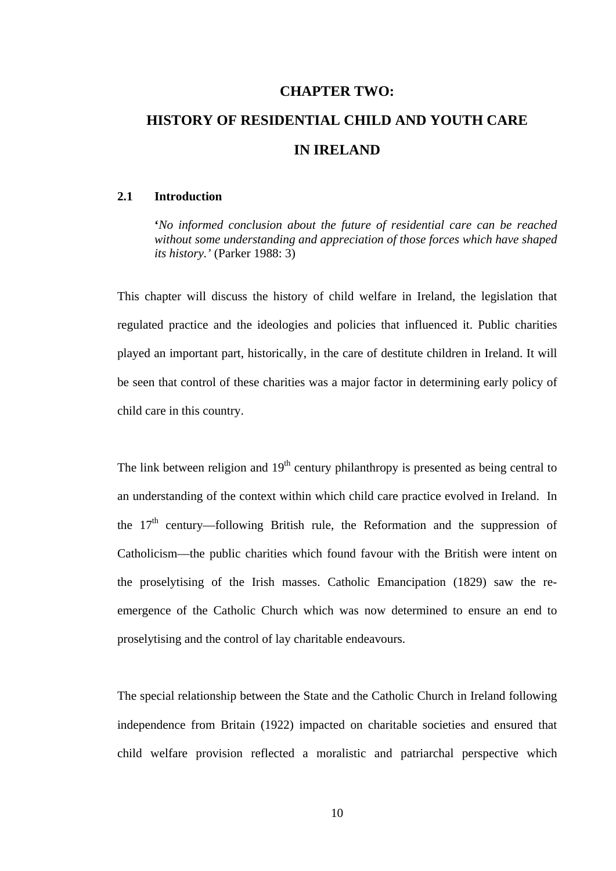# **CHAPTER TWO: HISTORY OF RESIDENTIAL CHILD AND YOUTH CARE IN IRELAND**

#### **2.1 Introduction**

**'***No informed conclusion about the future of residential care can be reached without some understanding and appreciation of those forces which have shaped its history.'* (Parker 1988: 3)

This chapter will discuss the history of child welfare in Ireland, the legislation that regulated practice and the ideologies and policies that influenced it. Public charities played an important part, historically, in the care of destitute children in Ireland. It will be seen that control of these charities was a major factor in determining early policy of child care in this country.

The link between religion and  $19<sup>th</sup>$  century philanthropy is presented as being central to an understanding of the context within which child care practice evolved in Ireland. In the  $17<sup>th</sup>$  century—following British rule, the Reformation and the suppression of Catholicism—the public charities which found favour with the British were intent on the proselytising of the Irish masses. Catholic Emancipation (1829) saw the reemergence of the Catholic Church which was now determined to ensure an end to proselytising and the control of lay charitable endeavours.

The special relationship between the State and the Catholic Church in Ireland following independence from Britain (1922) impacted on charitable societies and ensured that child welfare provision reflected a moralistic and patriarchal perspective which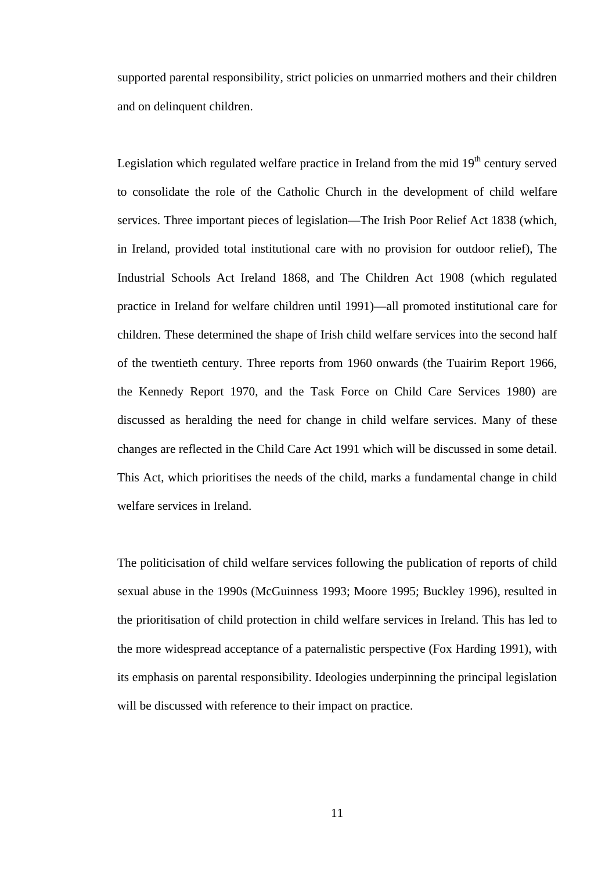supported parental responsibility, strict policies on unmarried mothers and their children and on delinquent children.

Legislation which regulated welfare practice in Ireland from the mid  $19<sup>th</sup>$  century served to consolidate the role of the Catholic Church in the development of child welfare services. Three important pieces of legislation—The Irish Poor Relief Act 1838 (which, in Ireland, provided total institutional care with no provision for outdoor relief), The Industrial Schools Act Ireland 1868, and The Children Act 1908 (which regulated practice in Ireland for welfare children until 1991)—all promoted institutional care for children. These determined the shape of Irish child welfare services into the second half of the twentieth century. Three reports from 1960 onwards (the Tuairim Report 1966, the Kennedy Report 1970, and the Task Force on Child Care Services 1980) are discussed as heralding the need for change in child welfare services. Many of these changes are reflected in the Child Care Act 1991 which will be discussed in some detail. This Act, which prioritises the needs of the child, marks a fundamental change in child welfare services in Ireland.

The politicisation of child welfare services following the publication of reports of child sexual abuse in the 1990s (McGuinness 1993; Moore 1995; Buckley 1996), resulted in the prioritisation of child protection in child welfare services in Ireland. This has led to the more widespread acceptance of a paternalistic perspective (Fox Harding 1991), with its emphasis on parental responsibility. Ideologies underpinning the principal legislation will be discussed with reference to their impact on practice.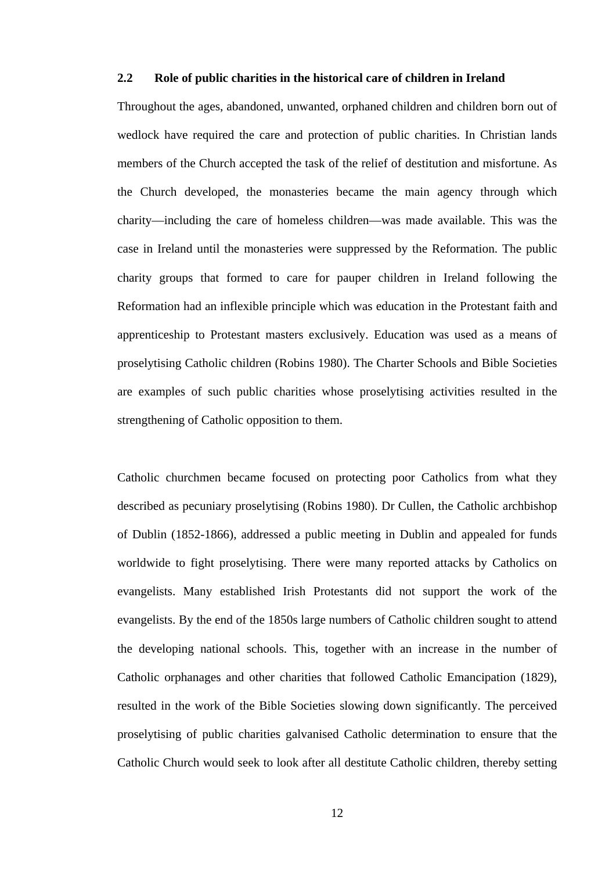#### **2.2 Role of public charities in the historical care of children in Ireland**

Throughout the ages, abandoned, unwanted, orphaned children and children born out of wedlock have required the care and protection of public charities. In Christian lands members of the Church accepted the task of the relief of destitution and misfortune. As the Church developed, the monasteries became the main agency through which charity—including the care of homeless children—was made available. This was the case in Ireland until the monasteries were suppressed by the Reformation. The public charity groups that formed to care for pauper children in Ireland following the Reformation had an inflexible principle which was education in the Protestant faith and apprenticeship to Protestant masters exclusively. Education was used as a means of proselytising Catholic children (Robins 1980). The Charter Schools and Bible Societies are examples of such public charities whose proselytising activities resulted in the strengthening of Catholic opposition to them.

Catholic churchmen became focused on protecting poor Catholics from what they described as pecuniary proselytising (Robins 1980). Dr Cullen, the Catholic archbishop of Dublin (1852-1866), addressed a public meeting in Dublin and appealed for funds worldwide to fight proselytising. There were many reported attacks by Catholics on evangelists. Many established Irish Protestants did not support the work of the evangelists. By the end of the 1850s large numbers of Catholic children sought to attend the developing national schools. This, together with an increase in the number of Catholic orphanages and other charities that followed Catholic Emancipation (1829), resulted in the work of the Bible Societies slowing down significantly. The perceived proselytising of public charities galvanised Catholic determination to ensure that the Catholic Church would seek to look after all destitute Catholic children, thereby setting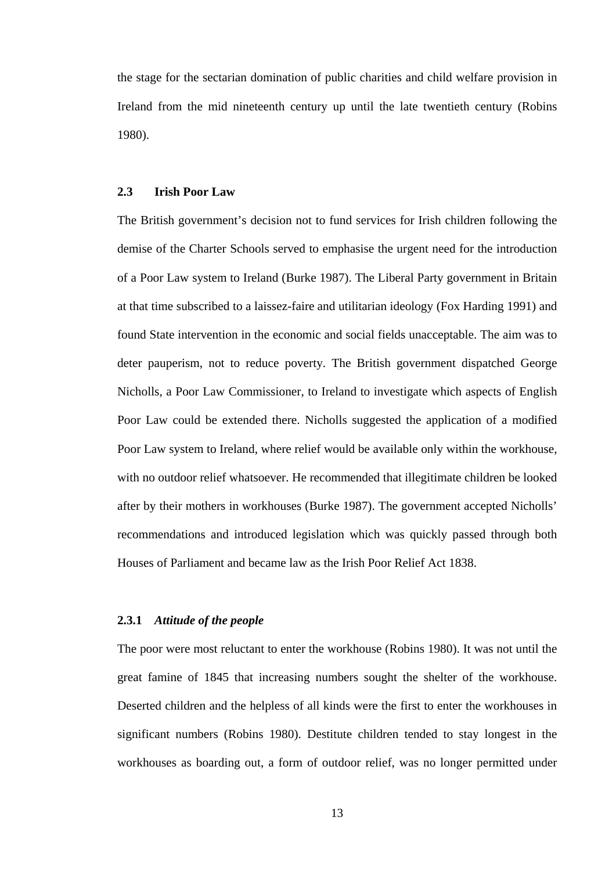the stage for the sectarian domination of public charities and child welfare provision in Ireland from the mid nineteenth century up until the late twentieth century (Robins 1980).

#### **2.3 Irish Poor Law**

The British government's decision not to fund services for Irish children following the demise of the Charter Schools served to emphasise the urgent need for the introduction of a Poor Law system to Ireland (Burke 1987). The Liberal Party government in Britain at that time subscribed to a laissez-faire and utilitarian ideology (Fox Harding 1991) and found State intervention in the economic and social fields unacceptable. The aim was to deter pauperism, not to reduce poverty. The British government dispatched George Nicholls, a Poor Law Commissioner, to Ireland to investigate which aspects of English Poor Law could be extended there. Nicholls suggested the application of a modified Poor Law system to Ireland, where relief would be available only within the workhouse, with no outdoor relief whatsoever. He recommended that illegitimate children be looked after by their mothers in workhouses (Burke 1987). The government accepted Nicholls' recommendations and introduced legislation which was quickly passed through both Houses of Parliament and became law as the Irish Poor Relief Act 1838.

#### **2.3.1** *Attitude of the people*

The poor were most reluctant to enter the workhouse (Robins 1980). It was not until the great famine of 1845 that increasing numbers sought the shelter of the workhouse. Deserted children and the helpless of all kinds were the first to enter the workhouses in significant numbers (Robins 1980). Destitute children tended to stay longest in the workhouses as boarding out, a form of outdoor relief, was no longer permitted under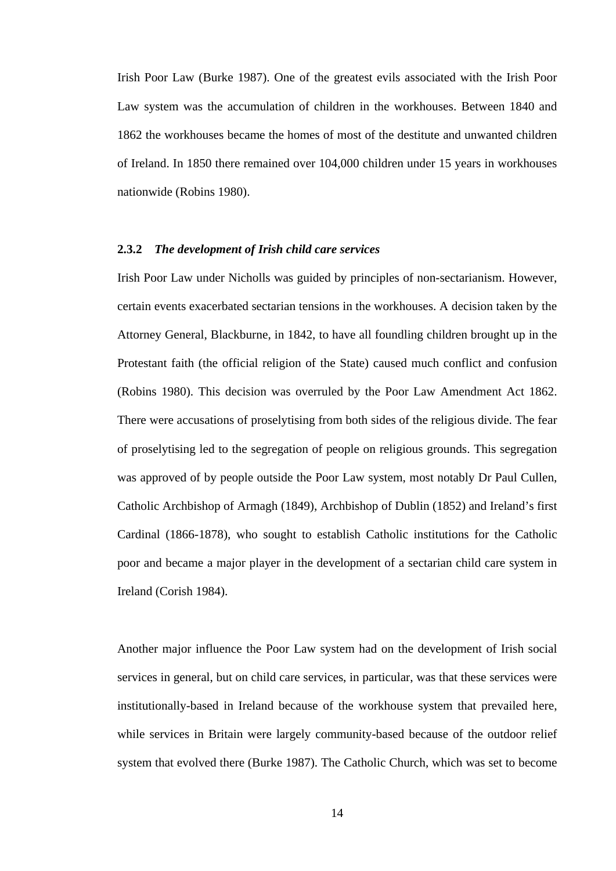Irish Poor Law (Burke 1987). One of the greatest evils associated with the Irish Poor Law system was the accumulation of children in the workhouses. Between 1840 and 1862 the workhouses became the homes of most of the destitute and unwanted children of Ireland. In 1850 there remained over 104,000 children under 15 years in workhouses nationwide (Robins 1980).

#### **2.3.2** *The development of Irish child care services*

Irish Poor Law under Nicholls was guided by principles of non-sectarianism. However, certain events exacerbated sectarian tensions in the workhouses. A decision taken by the Attorney General, Blackburne, in 1842, to have all foundling children brought up in the Protestant faith (the official religion of the State) caused much conflict and confusion (Robins 1980). This decision was overruled by the Poor Law Amendment Act 1862. There were accusations of proselytising from both sides of the religious divide. The fear of proselytising led to the segregation of people on religious grounds. This segregation was approved of by people outside the Poor Law system, most notably Dr Paul Cullen, Catholic Archbishop of Armagh (1849), Archbishop of Dublin (1852) and Ireland's first Cardinal (1866-1878), who sought to establish Catholic institutions for the Catholic poor and became a major player in the development of a sectarian child care system in Ireland (Corish 1984).

Another major influence the Poor Law system had on the development of Irish social services in general, but on child care services, in particular, was that these services were institutionally-based in Ireland because of the workhouse system that prevailed here, while services in Britain were largely community-based because of the outdoor relief system that evolved there (Burke 1987). The Catholic Church, which was set to become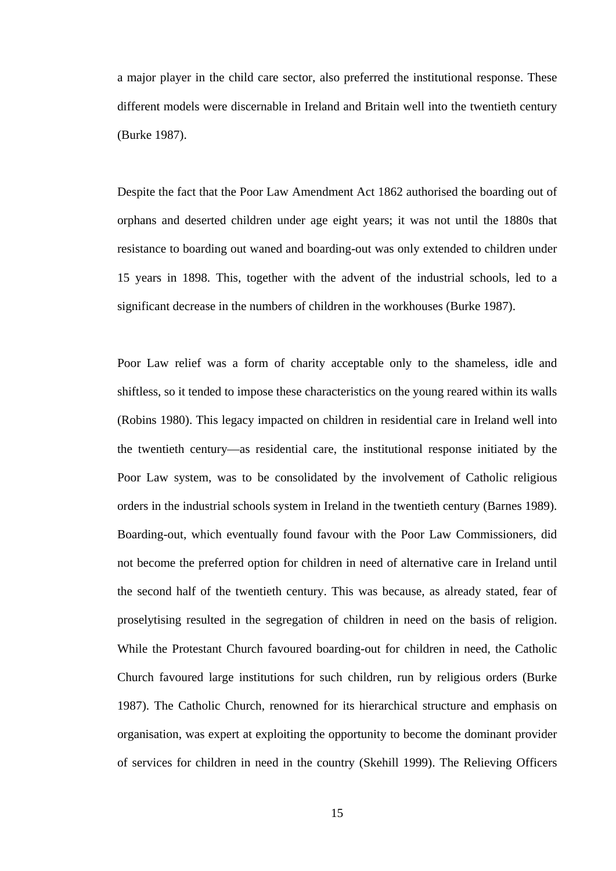a major player in the child care sector, also preferred the institutional response. These different models were discernable in Ireland and Britain well into the twentieth century (Burke 1987).

Despite the fact that the Poor Law Amendment Act 1862 authorised the boarding out of orphans and deserted children under age eight years; it was not until the 1880s that resistance to boarding out waned and boarding-out was only extended to children under 15 years in 1898. This, together with the advent of the industrial schools, led to a significant decrease in the numbers of children in the workhouses (Burke 1987).

Poor Law relief was a form of charity acceptable only to the shameless, idle and shiftless, so it tended to impose these characteristics on the young reared within its walls (Robins 1980). This legacy impacted on children in residential care in Ireland well into the twentieth century—as residential care, the institutional response initiated by the Poor Law system, was to be consolidated by the involvement of Catholic religious orders in the industrial schools system in Ireland in the twentieth century (Barnes 1989). Boarding-out, which eventually found favour with the Poor Law Commissioners, did not become the preferred option for children in need of alternative care in Ireland until the second half of the twentieth century. This was because, as already stated, fear of proselytising resulted in the segregation of children in need on the basis of religion. While the Protestant Church favoured boarding-out for children in need, the Catholic Church favoured large institutions for such children, run by religious orders (Burke 1987). The Catholic Church, renowned for its hierarchical structure and emphasis on organisation, was expert at exploiting the opportunity to become the dominant provider of services for children in need in the country (Skehill 1999). The Relieving Officers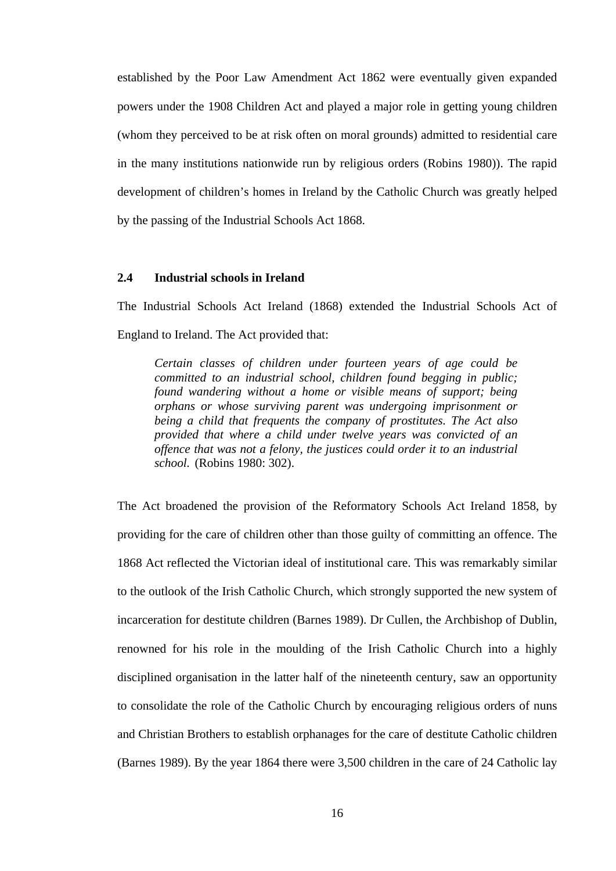established by the Poor Law Amendment Act 1862 were eventually given expanded powers under the 1908 Children Act and played a major role in getting young children (whom they perceived to be at risk often on moral grounds) admitted to residential care in the many institutions nationwide run by religious orders (Robins 1980)). The rapid development of children's homes in Ireland by the Catholic Church was greatly helped by the passing of the Industrial Schools Act 1868.

#### **2.4 Industrial schools in Ireland**

The Industrial Schools Act Ireland (1868) extended the Industrial Schools Act of England to Ireland. The Act provided that:

*Certain classes of children under fourteen years of age could be committed to an industrial school, children found begging in public; found wandering without a home or visible means of support; being orphans or whose surviving parent was undergoing imprisonment or being a child that frequents the company of prostitutes. The Act also provided that where a child under twelve years was convicted of an offence that was not a felony, the justices could order it to an industrial school.* (Robins 1980: 302).

The Act broadened the provision of the Reformatory Schools Act Ireland 1858, by providing for the care of children other than those guilty of committing an offence. The 1868 Act reflected the Victorian ideal of institutional care. This was remarkably similar to the outlook of the Irish Catholic Church, which strongly supported the new system of incarceration for destitute children (Barnes 1989). Dr Cullen, the Archbishop of Dublin, renowned for his role in the moulding of the Irish Catholic Church into a highly disciplined organisation in the latter half of the nineteenth century, saw an opportunity to consolidate the role of the Catholic Church by encouraging religious orders of nuns and Christian Brothers to establish orphanages for the care of destitute Catholic children (Barnes 1989). By the year 1864 there were 3,500 children in the care of 24 Catholic lay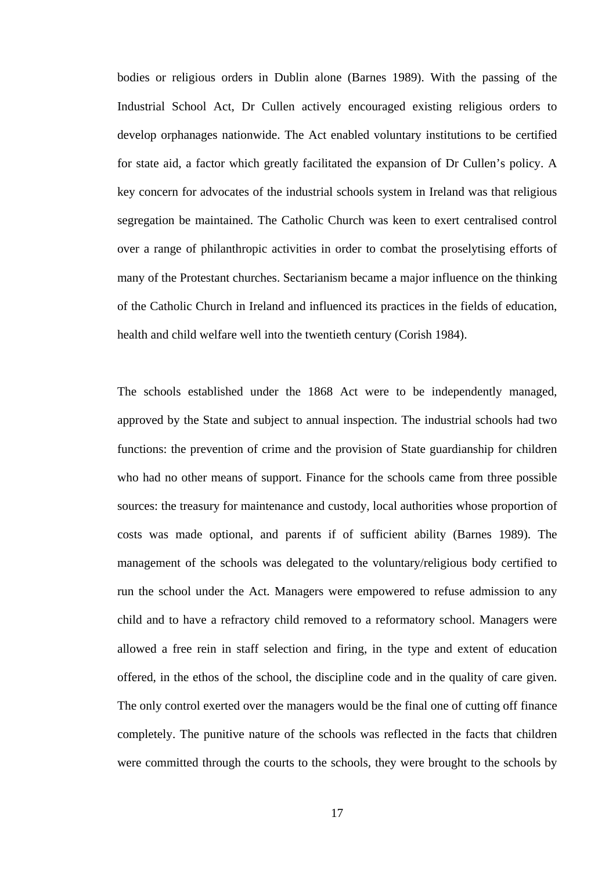bodies or religious orders in Dublin alone (Barnes 1989). With the passing of the Industrial School Act, Dr Cullen actively encouraged existing religious orders to develop orphanages nationwide. The Act enabled voluntary institutions to be certified for state aid, a factor which greatly facilitated the expansion of Dr Cullen's policy. A key concern for advocates of the industrial schools system in Ireland was that religious segregation be maintained. The Catholic Church was keen to exert centralised control over a range of philanthropic activities in order to combat the proselytising efforts of many of the Protestant churches. Sectarianism became a major influence on the thinking of the Catholic Church in Ireland and influenced its practices in the fields of education, health and child welfare well into the twentieth century (Corish 1984).

The schools established under the 1868 Act were to be independently managed, approved by the State and subject to annual inspection. The industrial schools had two functions: the prevention of crime and the provision of State guardianship for children who had no other means of support. Finance for the schools came from three possible sources: the treasury for maintenance and custody, local authorities whose proportion of costs was made optional, and parents if of sufficient ability (Barnes 1989). The management of the schools was delegated to the voluntary/religious body certified to run the school under the Act. Managers were empowered to refuse admission to any child and to have a refractory child removed to a reformatory school. Managers were allowed a free rein in staff selection and firing, in the type and extent of education offered, in the ethos of the school, the discipline code and in the quality of care given. The only control exerted over the managers would be the final one of cutting off finance completely. The punitive nature of the schools was reflected in the facts that children were committed through the courts to the schools, they were brought to the schools by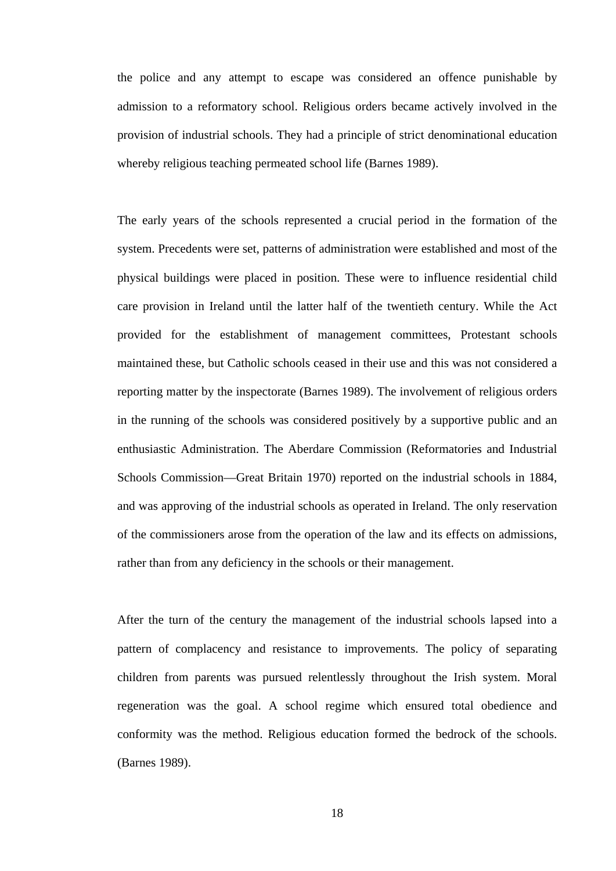the police and any attempt to escape was considered an offence punishable by admission to a reformatory school. Religious orders became actively involved in the provision of industrial schools. They had a principle of strict denominational education whereby religious teaching permeated school life (Barnes 1989).

The early years of the schools represented a crucial period in the formation of the system. Precedents were set, patterns of administration were established and most of the physical buildings were placed in position. These were to influence residential child care provision in Ireland until the latter half of the twentieth century. While the Act provided for the establishment of management committees, Protestant schools maintained these, but Catholic schools ceased in their use and this was not considered a reporting matter by the inspectorate (Barnes 1989). The involvement of religious orders in the running of the schools was considered positively by a supportive public and an enthusiastic Administration. The Aberdare Commission (Reformatories and Industrial Schools Commission—Great Britain 1970) reported on the industrial schools in 1884, and was approving of the industrial schools as operated in Ireland. The only reservation of the commissioners arose from the operation of the law and its effects on admissions, rather than from any deficiency in the schools or their management.

After the turn of the century the management of the industrial schools lapsed into a pattern of complacency and resistance to improvements. The policy of separating children from parents was pursued relentlessly throughout the Irish system. Moral regeneration was the goal. A school regime which ensured total obedience and conformity was the method. Religious education formed the bedrock of the schools. (Barnes 1989).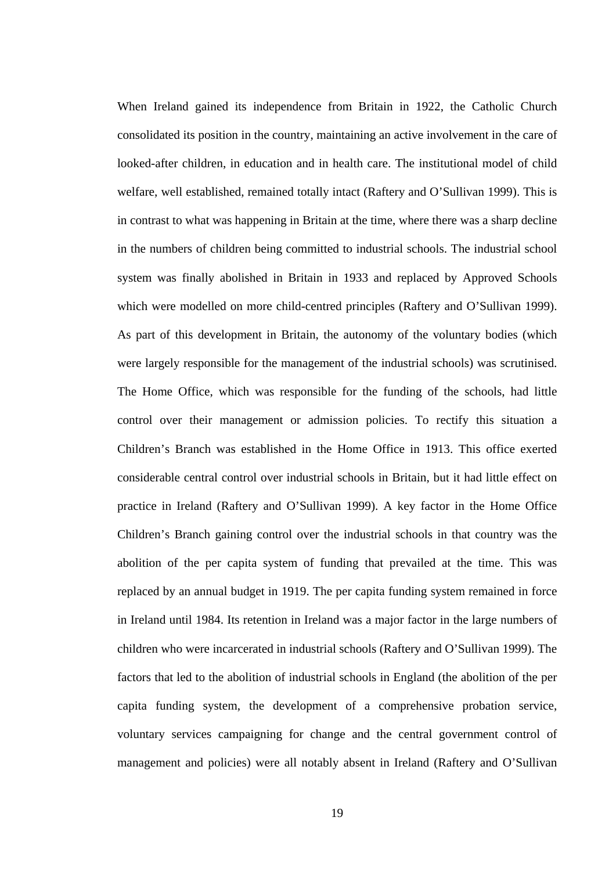When Ireland gained its independence from Britain in 1922, the Catholic Church consolidated its position in the country, maintaining an active involvement in the care of looked-after children, in education and in health care. The institutional model of child welfare, well established, remained totally intact (Raftery and O'Sullivan 1999). This is in contrast to what was happening in Britain at the time, where there was a sharp decline in the numbers of children being committed to industrial schools. The industrial school system was finally abolished in Britain in 1933 and replaced by Approved Schools which were modelled on more child-centred principles (Raftery and O'Sullivan 1999). As part of this development in Britain, the autonomy of the voluntary bodies (which were largely responsible for the management of the industrial schools) was scrutinised. The Home Office, which was responsible for the funding of the schools, had little control over their management or admission policies. To rectify this situation a Children's Branch was established in the Home Office in 1913. This office exerted considerable central control over industrial schools in Britain, but it had little effect on practice in Ireland (Raftery and O'Sullivan 1999). A key factor in the Home Office Children's Branch gaining control over the industrial schools in that country was the abolition of the per capita system of funding that prevailed at the time. This was replaced by an annual budget in 1919. The per capita funding system remained in force in Ireland until 1984. Its retention in Ireland was a major factor in the large numbers of children who were incarcerated in industrial schools (Raftery and O'Sullivan 1999). The factors that led to the abolition of industrial schools in England (the abolition of the per capita funding system, the development of a comprehensive probation service, voluntary services campaigning for change and the central government control of management and policies) were all notably absent in Ireland (Raftery and O'Sullivan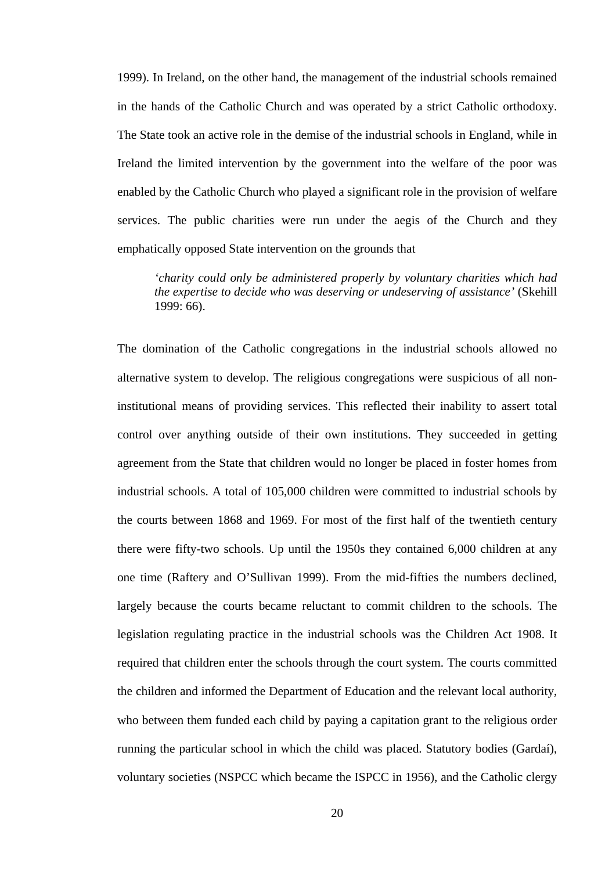1999). In Ireland, on the other hand, the management of the industrial schools remained in the hands of the Catholic Church and was operated by a strict Catholic orthodoxy. The State took an active role in the demise of the industrial schools in England, while in Ireland the limited intervention by the government into the welfare of the poor was enabled by the Catholic Church who played a significant role in the provision of welfare services. The public charities were run under the aegis of the Church and they emphatically opposed State intervention on the grounds that

*'charity could only be administered properly by voluntary charities which had the expertise to decide who was deserving or undeserving of assistance'* (Skehill 1999: 66).

The domination of the Catholic congregations in the industrial schools allowed no alternative system to develop. The religious congregations were suspicious of all noninstitutional means of providing services. This reflected their inability to assert total control over anything outside of their own institutions. They succeeded in getting agreement from the State that children would no longer be placed in foster homes from industrial schools. A total of 105,000 children were committed to industrial schools by the courts between 1868 and 1969. For most of the first half of the twentieth century there were fifty-two schools. Up until the 1950s they contained 6,000 children at any one time (Raftery and O'Sullivan 1999). From the mid-fifties the numbers declined, largely because the courts became reluctant to commit children to the schools. The legislation regulating practice in the industrial schools was the Children Act 1908. It required that children enter the schools through the court system. The courts committed the children and informed the Department of Education and the relevant local authority, who between them funded each child by paying a capitation grant to the religious order running the particular school in which the child was placed. Statutory bodies (Gardaí), voluntary societies (NSPCC which became the ISPCC in 1956), and the Catholic clergy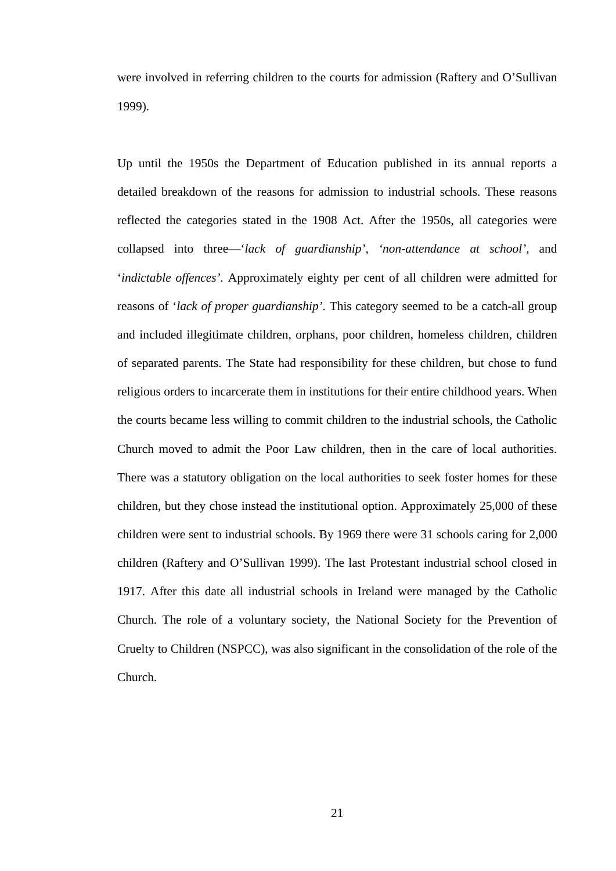were involved in referring children to the courts for admission (Raftery and O'Sullivan 1999).

Up until the 1950s the Department of Education published in its annual reports a detailed breakdown of the reasons for admission to industrial schools. These reasons reflected the categories stated in the 1908 Act. After the 1950s, all categories were collapsed into three—'*lack of guardianship', 'non-attendance at school',* and '*indictable offences'.* Approximately eighty per cent of all children were admitted for reasons of '*lack of proper guardianship'.* This category seemed to be a catch-all group and included illegitimate children, orphans, poor children, homeless children, children of separated parents. The State had responsibility for these children, but chose to fund religious orders to incarcerate them in institutions for their entire childhood years. When the courts became less willing to commit children to the industrial schools, the Catholic Church moved to admit the Poor Law children, then in the care of local authorities. There was a statutory obligation on the local authorities to seek foster homes for these children, but they chose instead the institutional option. Approximately 25,000 of these children were sent to industrial schools. By 1969 there were 31 schools caring for 2,000 children (Raftery and O'Sullivan 1999). The last Protestant industrial school closed in 1917. After this date all industrial schools in Ireland were managed by the Catholic Church. The role of a voluntary society, the National Society for the Prevention of Cruelty to Children (NSPCC), was also significant in the consolidation of the role of the Church.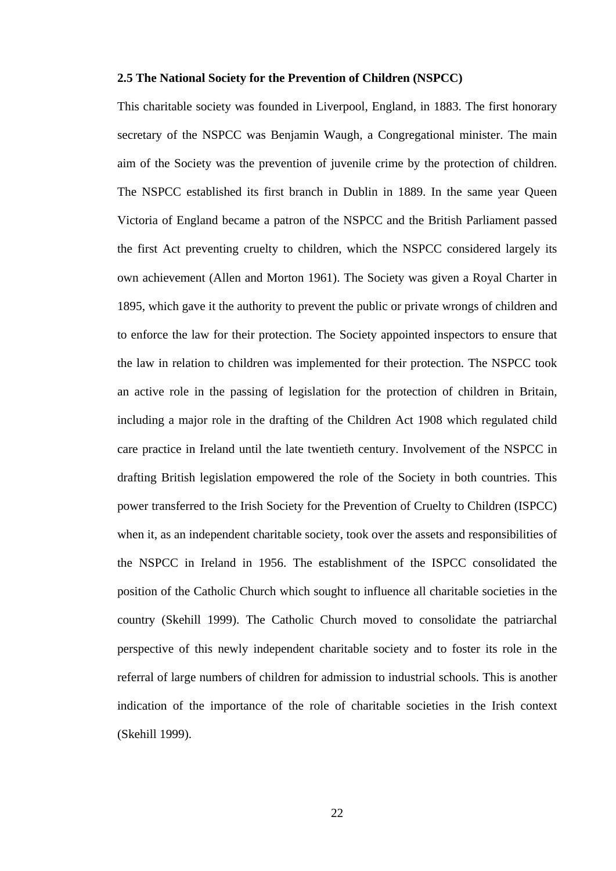# **2.5 The National Society for the Prevention of Children (NSPCC)**

This charitable society was founded in Liverpool, England, in 1883. The first honorary secretary of the NSPCC was Benjamin Waugh, a Congregational minister. The main aim of the Society was the prevention of juvenile crime by the protection of children. The NSPCC established its first branch in Dublin in 1889. In the same year Queen Victoria of England became a patron of the NSPCC and the British Parliament passed the first Act preventing cruelty to children, which the NSPCC considered largely its own achievement (Allen and Morton 1961). The Society was given a Royal Charter in 1895, which gave it the authority to prevent the public or private wrongs of children and to enforce the law for their protection. The Society appointed inspectors to ensure that the law in relation to children was implemented for their protection. The NSPCC took an active role in the passing of legislation for the protection of children in Britain, including a major role in the drafting of the Children Act 1908 which regulated child care practice in Ireland until the late twentieth century. Involvement of the NSPCC in drafting British legislation empowered the role of the Society in both countries. This power transferred to the Irish Society for the Prevention of Cruelty to Children (ISPCC) when it, as an independent charitable society, took over the assets and responsibilities of the NSPCC in Ireland in 1956. The establishment of the ISPCC consolidated the position of the Catholic Church which sought to influence all charitable societies in the country (Skehill 1999). The Catholic Church moved to consolidate the patriarchal perspective of this newly independent charitable society and to foster its role in the referral of large numbers of children for admission to industrial schools. This is another indication of the importance of the role of charitable societies in the Irish context (Skehill 1999).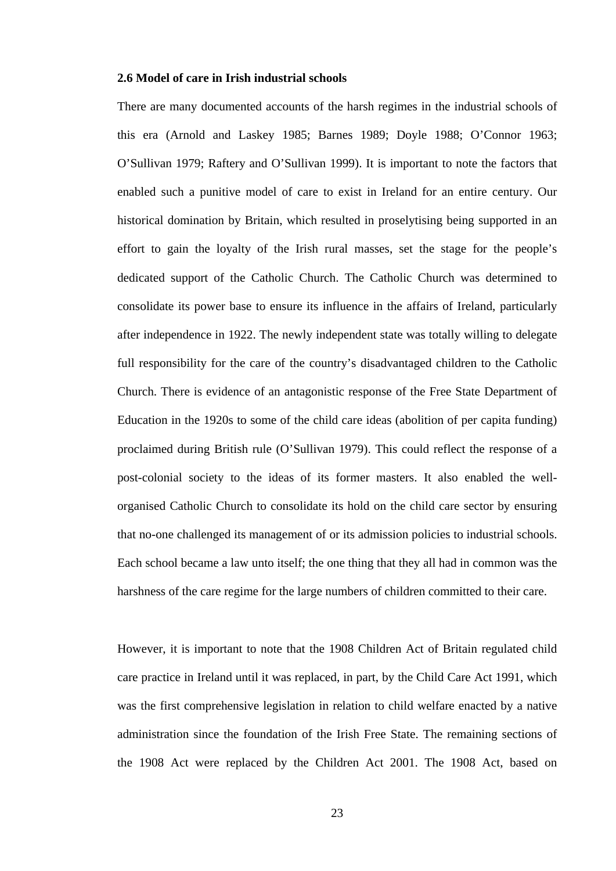# **2.6 Model of care in Irish industrial schools**

There are many documented accounts of the harsh regimes in the industrial schools of this era (Arnold and Laskey 1985; Barnes 1989; Doyle 1988; O'Connor 1963; O'Sullivan 1979; Raftery and O'Sullivan 1999). It is important to note the factors that enabled such a punitive model of care to exist in Ireland for an entire century. Our historical domination by Britain, which resulted in proselytising being supported in an effort to gain the loyalty of the Irish rural masses, set the stage for the people's dedicated support of the Catholic Church. The Catholic Church was determined to consolidate its power base to ensure its influence in the affairs of Ireland, particularly after independence in 1922. The newly independent state was totally willing to delegate full responsibility for the care of the country's disadvantaged children to the Catholic Church. There is evidence of an antagonistic response of the Free State Department of Education in the 1920s to some of the child care ideas (abolition of per capita funding) proclaimed during British rule (O'Sullivan 1979). This could reflect the response of a post-colonial society to the ideas of its former masters. It also enabled the wellorganised Catholic Church to consolidate its hold on the child care sector by ensuring that no-one challenged its management of or its admission policies to industrial schools. Each school became a law unto itself; the one thing that they all had in common was the harshness of the care regime for the large numbers of children committed to their care.

However, it is important to note that the 1908 Children Act of Britain regulated child care practice in Ireland until it was replaced, in part, by the Child Care Act 1991, which was the first comprehensive legislation in relation to child welfare enacted by a native administration since the foundation of the Irish Free State. The remaining sections of the 1908 Act were replaced by the Children Act 2001. The 1908 Act, based on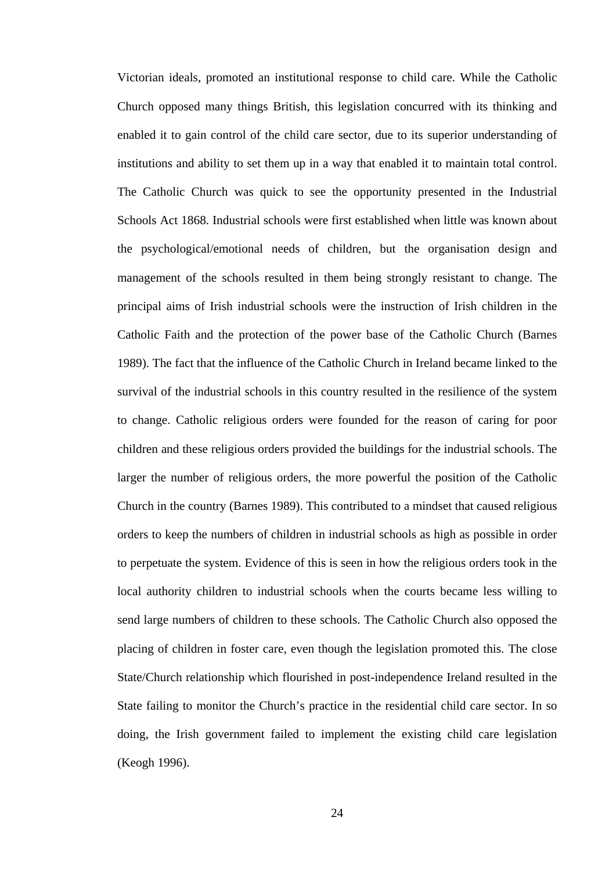Victorian ideals, promoted an institutional response to child care. While the Catholic Church opposed many things British, this legislation concurred with its thinking and enabled it to gain control of the child care sector, due to its superior understanding of institutions and ability to set them up in a way that enabled it to maintain total control. The Catholic Church was quick to see the opportunity presented in the Industrial Schools Act 1868. Industrial schools were first established when little was known about the psychological/emotional needs of children, but the organisation design and management of the schools resulted in them being strongly resistant to change. The principal aims of Irish industrial schools were the instruction of Irish children in the Catholic Faith and the protection of the power base of the Catholic Church (Barnes 1989). The fact that the influence of the Catholic Church in Ireland became linked to the survival of the industrial schools in this country resulted in the resilience of the system to change. Catholic religious orders were founded for the reason of caring for poor children and these religious orders provided the buildings for the industrial schools. The larger the number of religious orders, the more powerful the position of the Catholic Church in the country (Barnes 1989). This contributed to a mindset that caused religious orders to keep the numbers of children in industrial schools as high as possible in order to perpetuate the system. Evidence of this is seen in how the religious orders took in the local authority children to industrial schools when the courts became less willing to send large numbers of children to these schools. The Catholic Church also opposed the placing of children in foster care, even though the legislation promoted this. The close State/Church relationship which flourished in post-independence Ireland resulted in the State failing to monitor the Church's practice in the residential child care sector. In so doing, the Irish government failed to implement the existing child care legislation (Keogh 1996).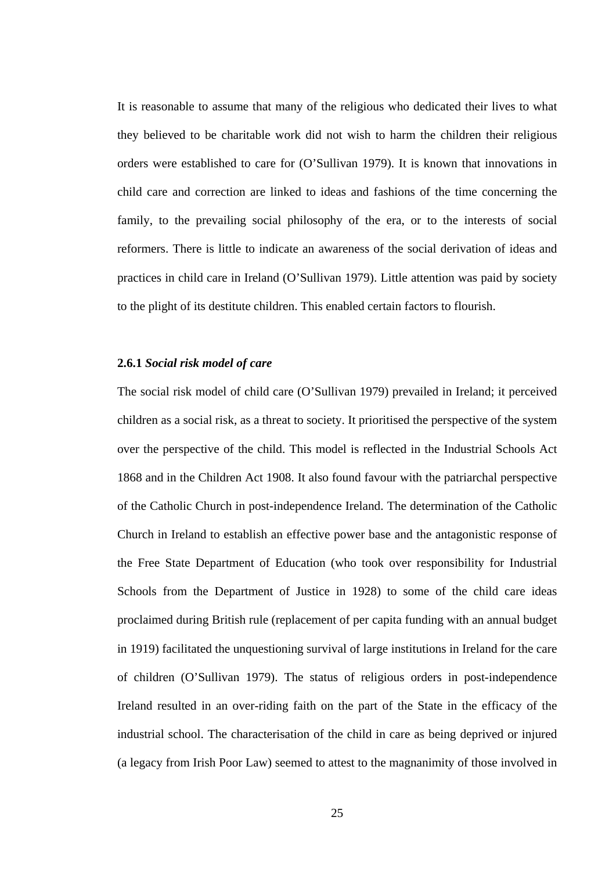It is reasonable to assume that many of the religious who dedicated their lives to what they believed to be charitable work did not wish to harm the children their religious orders were established to care for (O'Sullivan 1979). It is known that innovations in child care and correction are linked to ideas and fashions of the time concerning the family, to the prevailing social philosophy of the era, or to the interests of social reformers. There is little to indicate an awareness of the social derivation of ideas and practices in child care in Ireland (O'Sullivan 1979). Little attention was paid by society to the plight of its destitute children. This enabled certain factors to flourish.

## **2.6.1** *Social risk model of care*

The social risk model of child care (O'Sullivan 1979) prevailed in Ireland; it perceived children as a social risk, as a threat to society. It prioritised the perspective of the system over the perspective of the child. This model is reflected in the Industrial Schools Act 1868 and in the Children Act 1908. It also found favour with the patriarchal perspective of the Catholic Church in post-independence Ireland. The determination of the Catholic Church in Ireland to establish an effective power base and the antagonistic response of the Free State Department of Education (who took over responsibility for Industrial Schools from the Department of Justice in 1928) to some of the child care ideas proclaimed during British rule (replacement of per capita funding with an annual budget in 1919) facilitated the unquestioning survival of large institutions in Ireland for the care of children (O'Sullivan 1979). The status of religious orders in post-independence Ireland resulted in an over-riding faith on the part of the State in the efficacy of the industrial school. The characterisation of the child in care as being deprived or injured (a legacy from Irish Poor Law) seemed to attest to the magnanimity of those involved in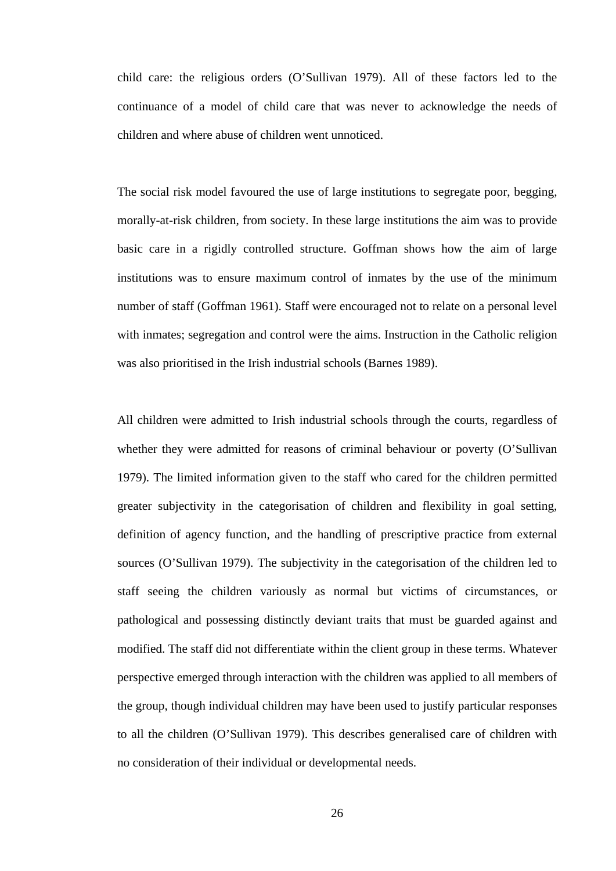child care: the religious orders (O'Sullivan 1979). All of these factors led to the continuance of a model of child care that was never to acknowledge the needs of children and where abuse of children went unnoticed.

The social risk model favoured the use of large institutions to segregate poor, begging, morally-at-risk children, from society. In these large institutions the aim was to provide basic care in a rigidly controlled structure. Goffman shows how the aim of large institutions was to ensure maximum control of inmates by the use of the minimum number of staff (Goffman 1961). Staff were encouraged not to relate on a personal level with inmates; segregation and control were the aims. Instruction in the Catholic religion was also prioritised in the Irish industrial schools (Barnes 1989).

All children were admitted to Irish industrial schools through the courts, regardless of whether they were admitted for reasons of criminal behaviour or poverty (O'Sullivan 1979). The limited information given to the staff who cared for the children permitted greater subjectivity in the categorisation of children and flexibility in goal setting, definition of agency function, and the handling of prescriptive practice from external sources (O'Sullivan 1979). The subjectivity in the categorisation of the children led to staff seeing the children variously as normal but victims of circumstances, or pathological and possessing distinctly deviant traits that must be guarded against and modified. The staff did not differentiate within the client group in these terms. Whatever perspective emerged through interaction with the children was applied to all members of the group, though individual children may have been used to justify particular responses to all the children (O'Sullivan 1979). This describes generalised care of children with no consideration of their individual or developmental needs.

26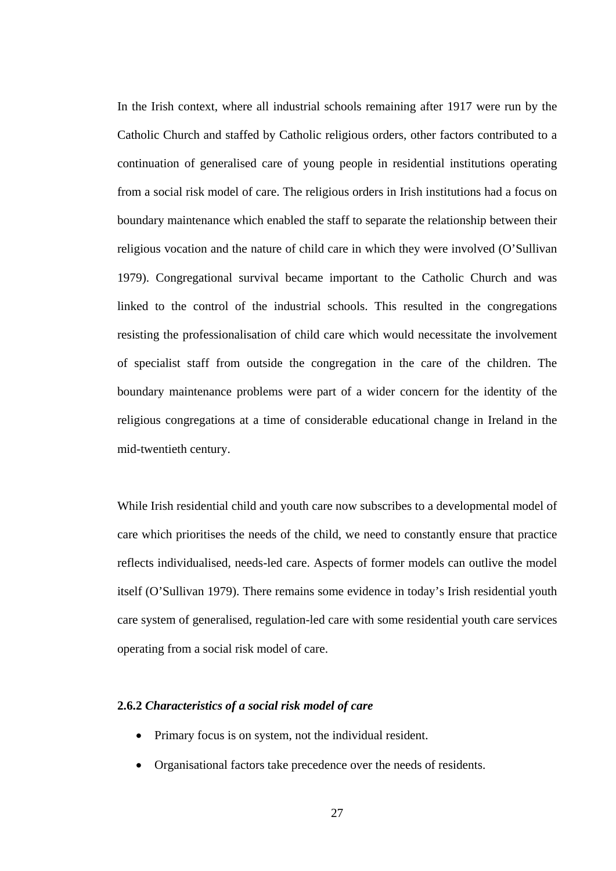In the Irish context, where all industrial schools remaining after 1917 were run by the Catholic Church and staffed by Catholic religious orders, other factors contributed to a continuation of generalised care of young people in residential institutions operating from a social risk model of care. The religious orders in Irish institutions had a focus on boundary maintenance which enabled the staff to separate the relationship between their religious vocation and the nature of child care in which they were involved (O'Sullivan 1979). Congregational survival became important to the Catholic Church and was linked to the control of the industrial schools. This resulted in the congregations resisting the professionalisation of child care which would necessitate the involvement of specialist staff from outside the congregation in the care of the children. The boundary maintenance problems were part of a wider concern for the identity of the religious congregations at a time of considerable educational change in Ireland in the mid-twentieth century.

While Irish residential child and youth care now subscribes to a developmental model of care which prioritises the needs of the child, we need to constantly ensure that practice reflects individualised, needs-led care. Aspects of former models can outlive the model itself (O'Sullivan 1979). There remains some evidence in today's Irish residential youth care system of generalised, regulation-led care with some residential youth care services operating from a social risk model of care.

#### **2.6.2** *Characteristics of a social risk model of care*

- Primary focus is on system, not the individual resident.
- Organisational factors take precedence over the needs of residents.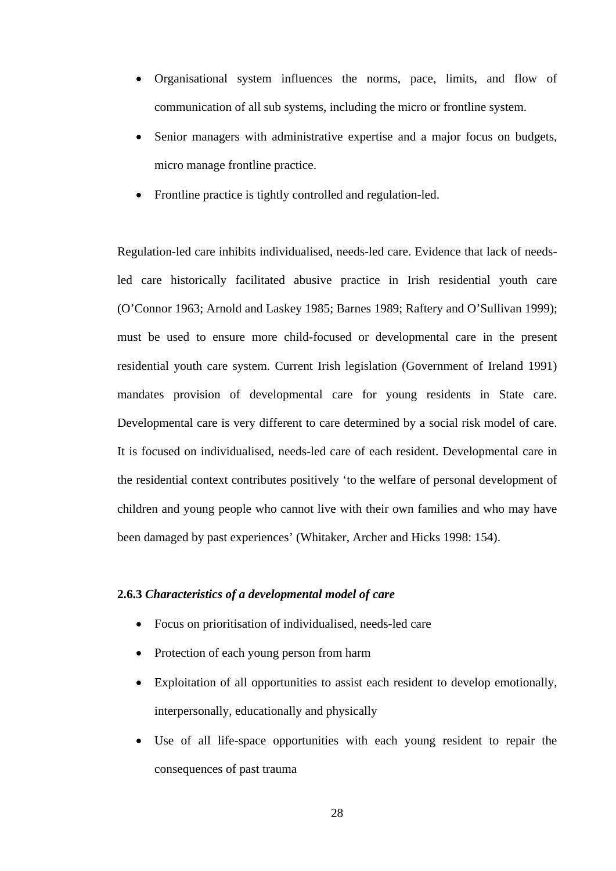- Organisational system influences the norms, pace, limits, and flow of communication of all sub systems, including the micro or frontline system.
- Senior managers with administrative expertise and a major focus on budgets, micro manage frontline practice.
- Frontline practice is tightly controlled and regulation-led.

Regulation-led care inhibits individualised, needs-led care. Evidence that lack of needsled care historically facilitated abusive practice in Irish residential youth care (O'Connor 1963; Arnold and Laskey 1985; Barnes 1989; Raftery and O'Sullivan 1999); must be used to ensure more child-focused or developmental care in the present residential youth care system. Current Irish legislation (Government of Ireland 1991) mandates provision of developmental care for young residents in State care. Developmental care is very different to care determined by a social risk model of care. It is focused on individualised, needs-led care of each resident. Developmental care in the residential context contributes positively 'to the welfare of personal development of children and young people who cannot live with their own families and who may have been damaged by past experiences' (Whitaker, Archer and Hicks 1998: 154).

## **2.6.3** *Characteristics of a developmental model of care*

- Focus on prioritisation of individualised, needs-led care
- Protection of each young person from harm
- Exploitation of all opportunities to assist each resident to develop emotionally, interpersonally, educationally and physically
- Use of all life-space opportunities with each young resident to repair the consequences of past trauma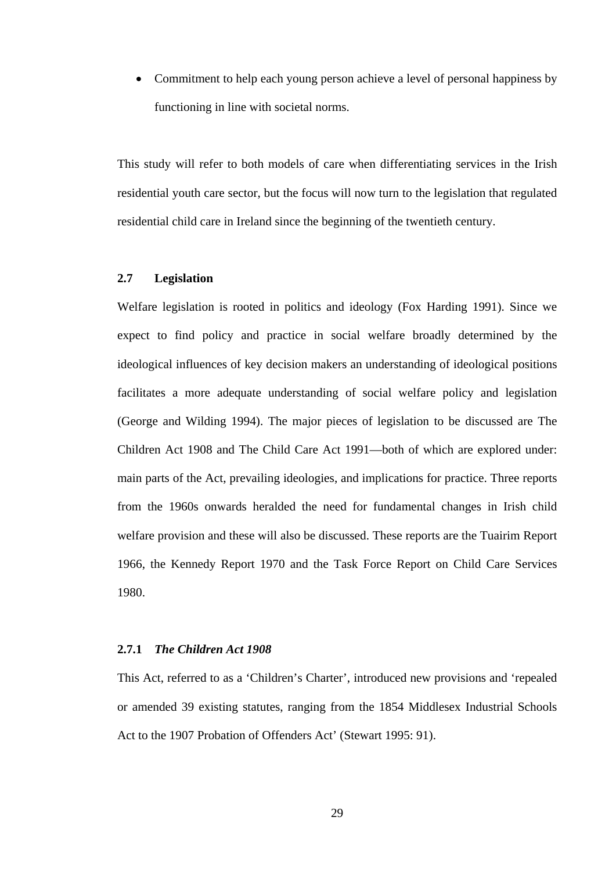Commitment to help each young person achieve a level of personal happiness by functioning in line with societal norms.

This study will refer to both models of care when differentiating services in the Irish residential youth care sector, but the focus will now turn to the legislation that regulated residential child care in Ireland since the beginning of the twentieth century.

# **2.7 Legislation**

Welfare legislation is rooted in politics and ideology (Fox Harding 1991). Since we expect to find policy and practice in social welfare broadly determined by the ideological influences of key decision makers an understanding of ideological positions facilitates a more adequate understanding of social welfare policy and legislation (George and Wilding 1994). The major pieces of legislation to be discussed are The Children Act 1908 and The Child Care Act 1991—both of which are explored under: main parts of the Act, prevailing ideologies, and implications for practice. Three reports from the 1960s onwards heralded the need for fundamental changes in Irish child welfare provision and these will also be discussed. These reports are the Tuairim Report 1966, the Kennedy Report 1970 and the Task Force Report on Child Care Services 1980.

#### **2.7.1** *The Children Act 1908*

This Act, referred to as a 'Children's Charter', introduced new provisions and 'repealed or amended 39 existing statutes, ranging from the 1854 Middlesex Industrial Schools Act to the 1907 Probation of Offenders Act' (Stewart 1995: 91).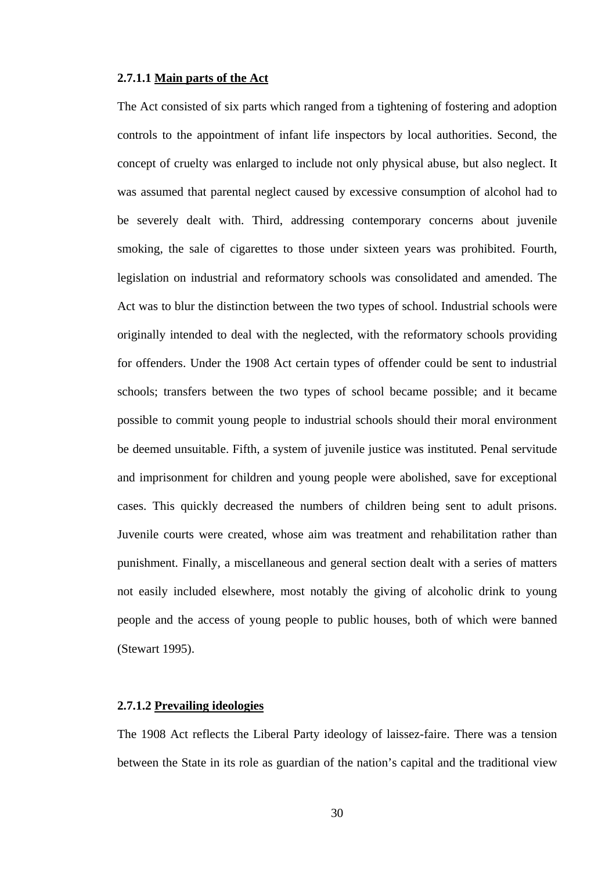# **2.7.1.1 Main parts of the Act**

The Act consisted of six parts which ranged from a tightening of fostering and adoption controls to the appointment of infant life inspectors by local authorities. Second, the concept of cruelty was enlarged to include not only physical abuse, but also neglect. It was assumed that parental neglect caused by excessive consumption of alcohol had to be severely dealt with. Third, addressing contemporary concerns about juvenile smoking, the sale of cigarettes to those under sixteen years was prohibited. Fourth, legislation on industrial and reformatory schools was consolidated and amended. The Act was to blur the distinction between the two types of school. Industrial schools were originally intended to deal with the neglected, with the reformatory schools providing for offenders. Under the 1908 Act certain types of offender could be sent to industrial schools; transfers between the two types of school became possible; and it became possible to commit young people to industrial schools should their moral environment be deemed unsuitable. Fifth, a system of juvenile justice was instituted. Penal servitude and imprisonment for children and young people were abolished, save for exceptional cases. This quickly decreased the numbers of children being sent to adult prisons. Juvenile courts were created, whose aim was treatment and rehabilitation rather than punishment. Finally, a miscellaneous and general section dealt with a series of matters not easily included elsewhere, most notably the giving of alcoholic drink to young people and the access of young people to public houses, both of which were banned (Stewart 1995).

#### **2.7.1.2 Prevailing ideologies**

The 1908 Act reflects the Liberal Party ideology of laissez-faire. There was a tension between the State in its role as guardian of the nation's capital and the traditional view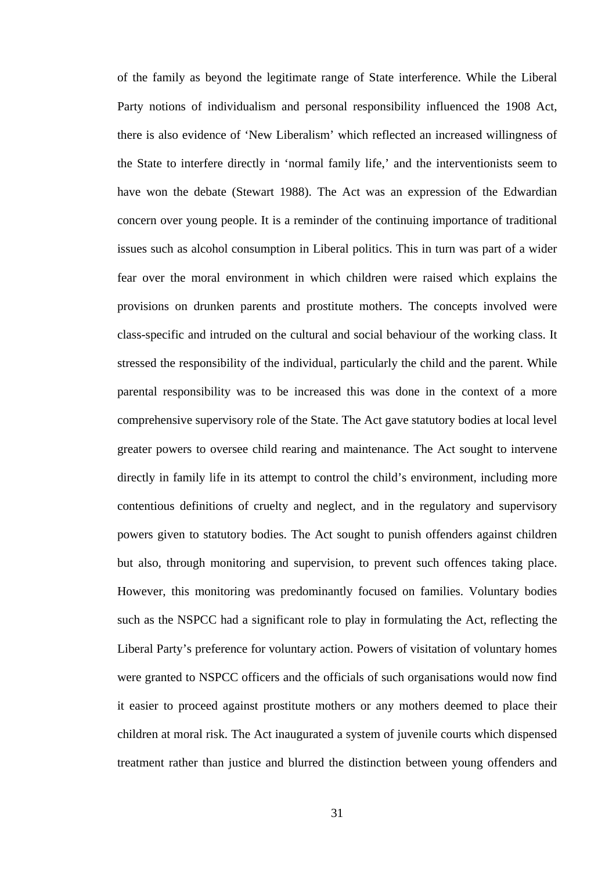of the family as beyond the legitimate range of State interference. While the Liberal Party notions of individualism and personal responsibility influenced the 1908 Act, there is also evidence of 'New Liberalism' which reflected an increased willingness of the State to interfere directly in 'normal family life,' and the interventionists seem to have won the debate (Stewart 1988). The Act was an expression of the Edwardian concern over young people. It is a reminder of the continuing importance of traditional issues such as alcohol consumption in Liberal politics. This in turn was part of a wider fear over the moral environment in which children were raised which explains the provisions on drunken parents and prostitute mothers. The concepts involved were class-specific and intruded on the cultural and social behaviour of the working class. It stressed the responsibility of the individual, particularly the child and the parent. While parental responsibility was to be increased this was done in the context of a more comprehensive supervisory role of the State. The Act gave statutory bodies at local level greater powers to oversee child rearing and maintenance. The Act sought to intervene directly in family life in its attempt to control the child's environment, including more contentious definitions of cruelty and neglect, and in the regulatory and supervisory powers given to statutory bodies. The Act sought to punish offenders against children but also, through monitoring and supervision, to prevent such offences taking place. However, this monitoring was predominantly focused on families. Voluntary bodies such as the NSPCC had a significant role to play in formulating the Act, reflecting the Liberal Party's preference for voluntary action. Powers of visitation of voluntary homes were granted to NSPCC officers and the officials of such organisations would now find it easier to proceed against prostitute mothers or any mothers deemed to place their children at moral risk. The Act inaugurated a system of juvenile courts which dispensed treatment rather than justice and blurred the distinction between young offenders and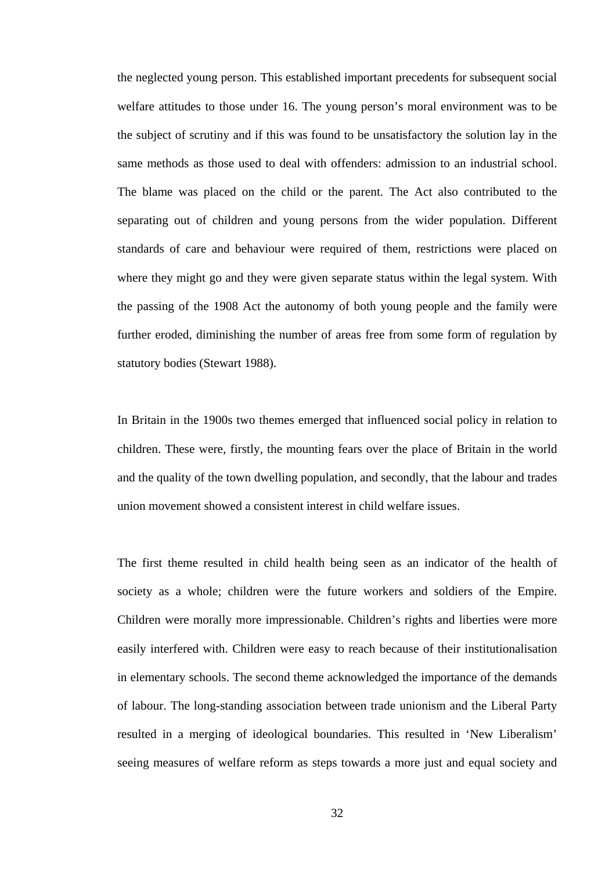the neglected young person. This established important precedents for subsequent social welfare attitudes to those under 16. The young person's moral environment was to be the subject of scrutiny and if this was found to be unsatisfactory the solution lay in the same methods as those used to deal with offenders: admission to an industrial school. The blame was placed on the child or the parent. The Act also contributed to the separating out of children and young persons from the wider population. Different standards of care and behaviour were required of them, restrictions were placed on where they might go and they were given separate status within the legal system. With the passing of the 1908 Act the autonomy of both young people and the family were further eroded, diminishing the number of areas free from some form of regulation by statutory bodies (Stewart 1988).

In Britain in the 1900s two themes emerged that influenced social policy in relation to children. These were, firstly, the mounting fears over the place of Britain in the world and the quality of the town dwelling population, and secondly, that the labour and trades union movement showed a consistent interest in child welfare issues.

The first theme resulted in child health being seen as an indicator of the health of society as a whole; children were the future workers and soldiers of the Empire. Children were morally more impressionable. Children's rights and liberties were more easily interfered with. Children were easy to reach because of their institutionalisation in elementary schools. The second theme acknowledged the importance of the demands of labour. The long-standing association between trade unionism and the Liberal Party resulted in a merging of ideological boundaries. This resulted in 'New Liberalism' seeing measures of welfare reform as steps towards a more just and equal society and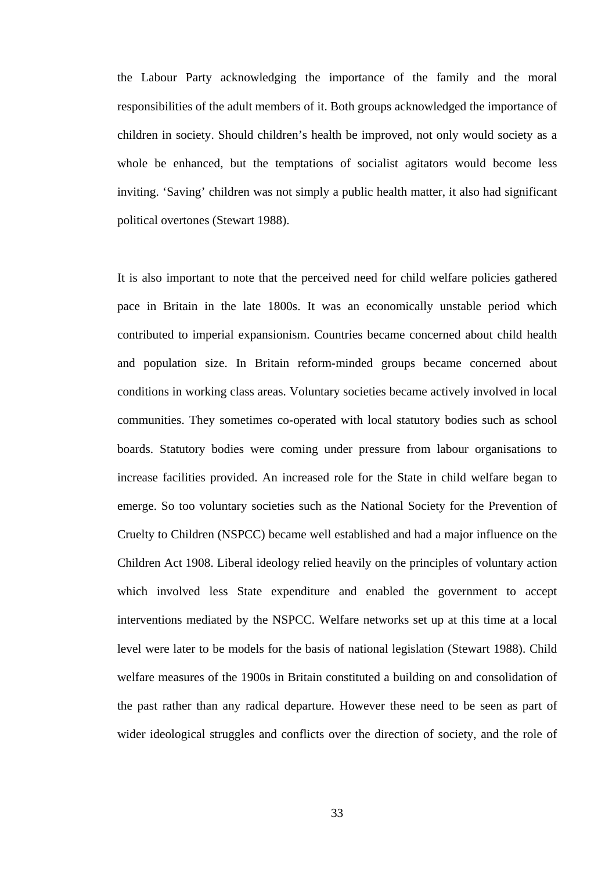the Labour Party acknowledging the importance of the family and the moral responsibilities of the adult members of it. Both groups acknowledged the importance of children in society. Should children's health be improved, not only would society as a whole be enhanced, but the temptations of socialist agitators would become less inviting. 'Saving' children was not simply a public health matter, it also had significant political overtones (Stewart 1988).

It is also important to note that the perceived need for child welfare policies gathered pace in Britain in the late 1800s. It was an economically unstable period which contributed to imperial expansionism. Countries became concerned about child health and population size. In Britain reform-minded groups became concerned about conditions in working class areas. Voluntary societies became actively involved in local communities. They sometimes co-operated with local statutory bodies such as school boards. Statutory bodies were coming under pressure from labour organisations to increase facilities provided. An increased role for the State in child welfare began to emerge. So too voluntary societies such as the National Society for the Prevention of Cruelty to Children (NSPCC) became well established and had a major influence on the Children Act 1908. Liberal ideology relied heavily on the principles of voluntary action which involved less State expenditure and enabled the government to accept interventions mediated by the NSPCC. Welfare networks set up at this time at a local level were later to be models for the basis of national legislation (Stewart 1988). Child welfare measures of the 1900s in Britain constituted a building on and consolidation of the past rather than any radical departure. However these need to be seen as part of wider ideological struggles and conflicts over the direction of society, and the role of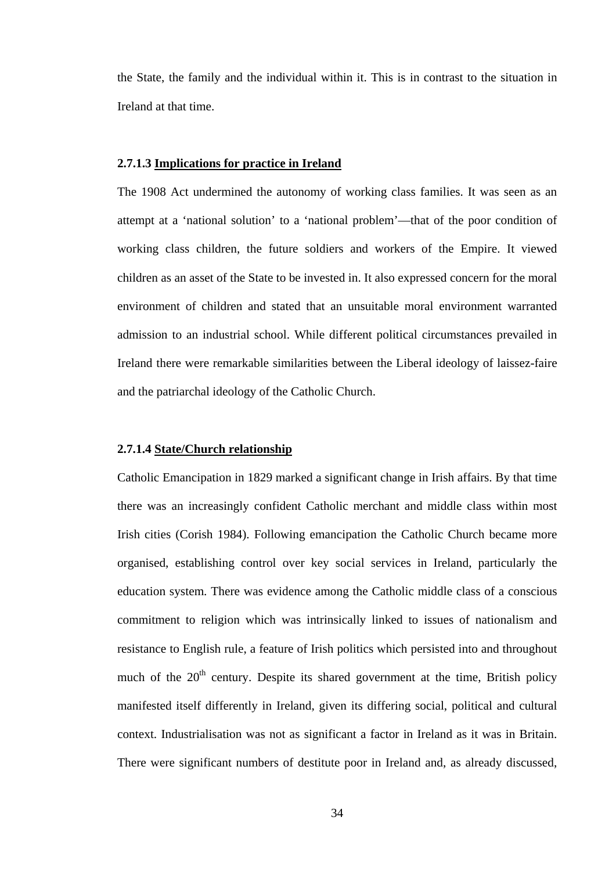the State, the family and the individual within it. This is in contrast to the situation in Ireland at that time.

## **2.7.1.3 Implications for practice in Ireland**

The 1908 Act undermined the autonomy of working class families. It was seen as an attempt at a 'national solution' to a 'national problem'—that of the poor condition of working class children, the future soldiers and workers of the Empire. It viewed children as an asset of the State to be invested in. It also expressed concern for the moral environment of children and stated that an unsuitable moral environment warranted admission to an industrial school. While different political circumstances prevailed in Ireland there were remarkable similarities between the Liberal ideology of laissez-faire and the patriarchal ideology of the Catholic Church.

# **2.7.1.4 State/Church relationship**

Catholic Emancipation in 1829 marked a significant change in Irish affairs. By that time there was an increasingly confident Catholic merchant and middle class within most Irish cities (Corish 1984). Following emancipation the Catholic Church became more organised, establishing control over key social services in Ireland, particularly the education system. There was evidence among the Catholic middle class of a conscious commitment to religion which was intrinsically linked to issues of nationalism and resistance to English rule, a feature of Irish politics which persisted into and throughout much of the  $20<sup>th</sup>$  century. Despite its shared government at the time. British policy manifested itself differently in Ireland, given its differing social, political and cultural context. Industrialisation was not as significant a factor in Ireland as it was in Britain. There were significant numbers of destitute poor in Ireland and, as already discussed,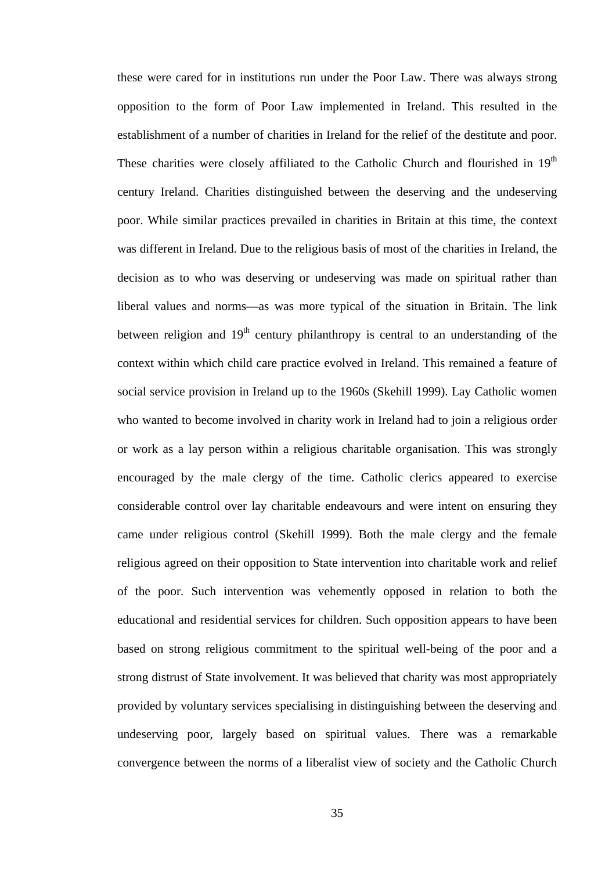these were cared for in institutions run under the Poor Law. There was always strong opposition to the form of Poor Law implemented in Ireland. This resulted in the establishment of a number of charities in Ireland for the relief of the destitute and poor. These charities were closely affiliated to the Catholic Church and flourished in  $19<sup>th</sup>$ century Ireland. Charities distinguished between the deserving and the undeserving poor. While similar practices prevailed in charities in Britain at this time, the context was different in Ireland. Due to the religious basis of most of the charities in Ireland, the decision as to who was deserving or undeserving was made on spiritual rather than liberal values and norms—as was more typical of the situation in Britain. The link between religion and  $19<sup>th</sup>$  century philanthropy is central to an understanding of the context within which child care practice evolved in Ireland. This remained a feature of social service provision in Ireland up to the 1960s (Skehill 1999). Lay Catholic women who wanted to become involved in charity work in Ireland had to join a religious order or work as a lay person within a religious charitable organisation. This was strongly encouraged by the male clergy of the time. Catholic clerics appeared to exercise considerable control over lay charitable endeavours and were intent on ensuring they came under religious control (Skehill 1999). Both the male clergy and the female religious agreed on their opposition to State intervention into charitable work and relief of the poor. Such intervention was vehemently opposed in relation to both the educational and residential services for children. Such opposition appears to have been based on strong religious commitment to the spiritual well-being of the poor and a strong distrust of State involvement. It was believed that charity was most appropriately provided by voluntary services specialising in distinguishing between the deserving and undeserving poor, largely based on spiritual values. There was a remarkable convergence between the norms of a liberalist view of society and the Catholic Church

35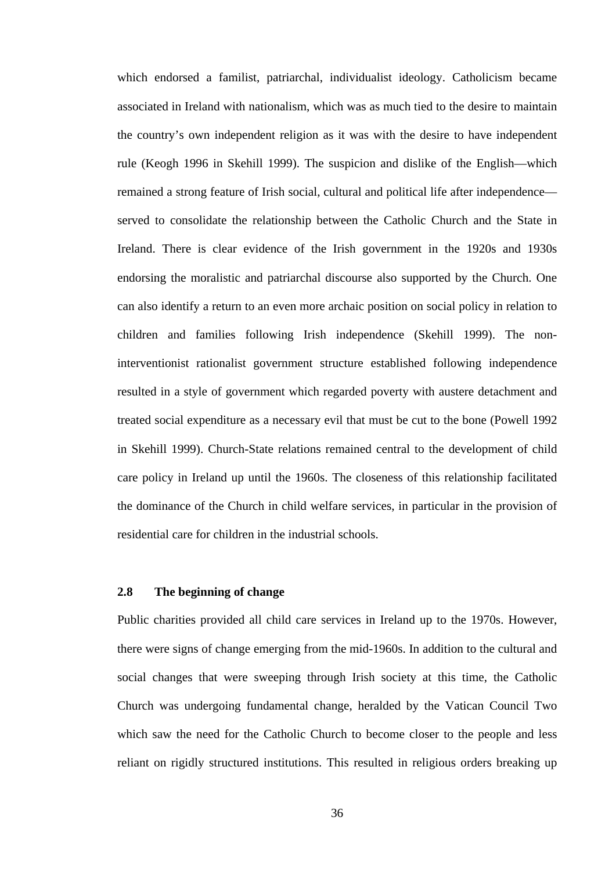which endorsed a familist, patriarchal, individualist ideology. Catholicism became associated in Ireland with nationalism, which was as much tied to the desire to maintain the country's own independent religion as it was with the desire to have independent rule (Keogh 1996 in Skehill 1999). The suspicion and dislike of the English—which remained a strong feature of Irish social, cultural and political life after independence served to consolidate the relationship between the Catholic Church and the State in Ireland. There is clear evidence of the Irish government in the 1920s and 1930s endorsing the moralistic and patriarchal discourse also supported by the Church. One can also identify a return to an even more archaic position on social policy in relation to children and families following Irish independence (Skehill 1999). The noninterventionist rationalist government structure established following independence resulted in a style of government which regarded poverty with austere detachment and treated social expenditure as a necessary evil that must be cut to the bone (Powell 1992 in Skehill 1999). Church-State relations remained central to the development of child care policy in Ireland up until the 1960s. The closeness of this relationship facilitated the dominance of the Church in child welfare services, in particular in the provision of residential care for children in the industrial schools.

## **2.8 The beginning of change**

Public charities provided all child care services in Ireland up to the 1970s. However, there were signs of change emerging from the mid-1960s. In addition to the cultural and social changes that were sweeping through Irish society at this time, the Catholic Church was undergoing fundamental change, heralded by the Vatican Council Two which saw the need for the Catholic Church to become closer to the people and less reliant on rigidly structured institutions. This resulted in religious orders breaking up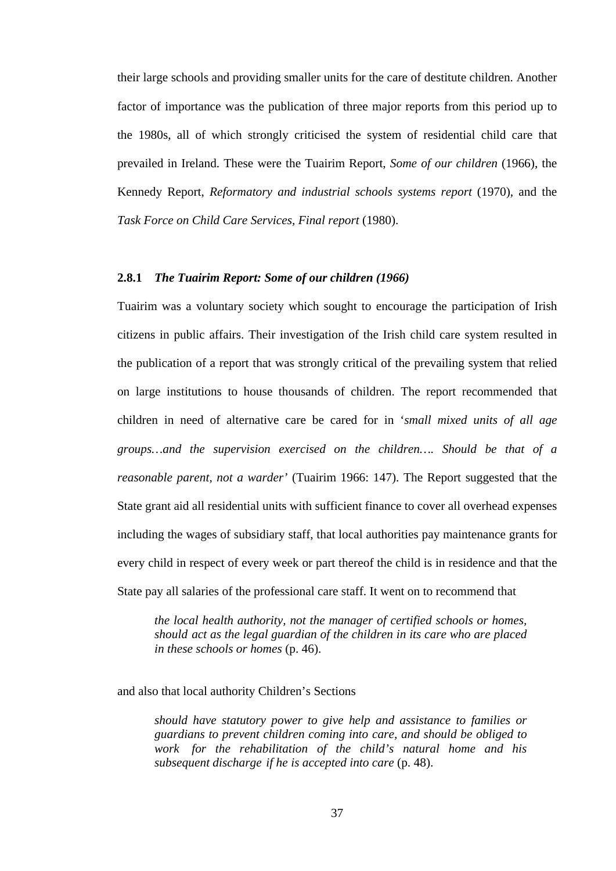their large schools and providing smaller units for the care of destitute children. Another factor of importance was the publication of three major reports from this period up to the 1980s, all of which strongly criticised the system of residential child care that prevailed in Ireland. These were the Tuairim Report, *Some of our children* (1966), the Kennedy Report, *Reformatory and industrial schools systems report* (1970), and the *Task Force on Child Care Services, Final report* (1980).

# **2.8.1** *The Tuairim Report: Some of our children (1966)*

Tuairim was a voluntary society which sought to encourage the participation of Irish citizens in public affairs. Their investigation of the Irish child care system resulted in the publication of a report that was strongly critical of the prevailing system that relied on large institutions to house thousands of children. The report recommended that children in need of alternative care be cared for in '*small mixed units of all age groups…and the supervision exercised on the children…. Should be that of a reasonable parent, not a warder'* (Tuairim 1966: 147). The Report suggested that the State grant aid all residential units with sufficient finance to cover all overhead expenses including the wages of subsidiary staff, that local authorities pay maintenance grants for every child in respect of every week or part thereof the child is in residence and that the State pay all salaries of the professional care staff. It went on to recommend that

*the local health authority, not the manager of certified schools or homes, should act as the legal guardian of the children in its care who are placed in these schools or homes* (p. 46).

and also that local authority Children's Sections

*should have statutory power to give help and assistance to families or guardians to prevent children coming into care, and should be obliged to work for the rehabilitation of the child's natural home and his subsequent discharge if he is accepted into care* (p. 48).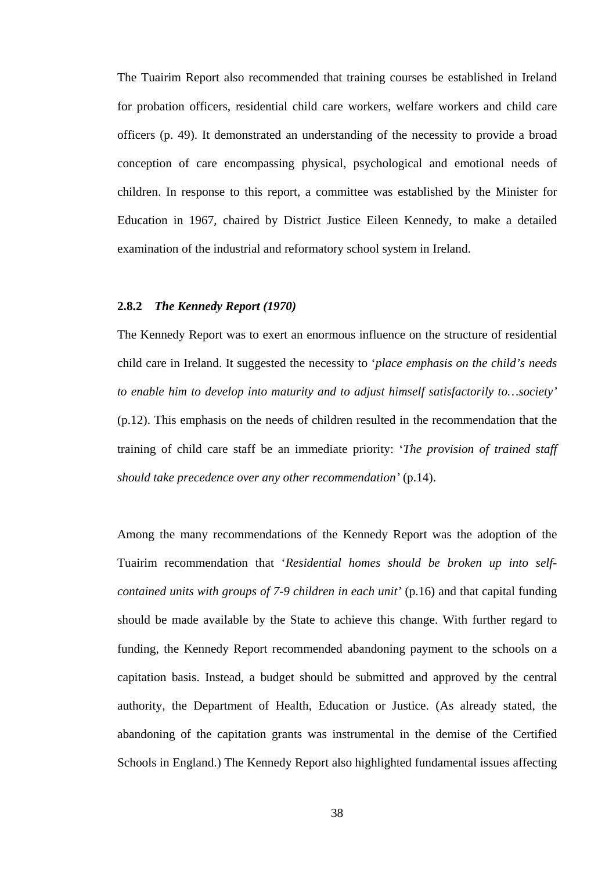The Tuairim Report also recommended that training courses be established in Ireland for probation officers, residential child care workers, welfare workers and child care officers (p. 49). It demonstrated an understanding of the necessity to provide a broad conception of care encompassing physical, psychological and emotional needs of children. In response to this report, a committee was established by the Minister for Education in 1967, chaired by District Justice Eileen Kennedy, to make a detailed examination of the industrial and reformatory school system in Ireland.

#### **2.8.2** *The Kennedy Report (1970)*

The Kennedy Report was to exert an enormous influence on the structure of residential child care in Ireland. It suggested the necessity to '*place emphasis on the child's needs to enable him to develop into maturity and to adjust himself satisfactorily to…society'* (p.12). This emphasis on the needs of children resulted in the recommendation that the training of child care staff be an immediate priority: '*The provision of trained staff should take precedence over any other recommendation'* (p.14).

Among the many recommendations of the Kennedy Report was the adoption of the Tuairim recommendation that '*Residential homes should be broken up into selfcontained units with groups of 7-9 children in each unit'* (p.16) and that capital funding should be made available by the State to achieve this change. With further regard to funding, the Kennedy Report recommended abandoning payment to the schools on a capitation basis. Instead, a budget should be submitted and approved by the central authority, the Department of Health, Education or Justice. (As already stated, the abandoning of the capitation grants was instrumental in the demise of the Certified Schools in England.) The Kennedy Report also highlighted fundamental issues affecting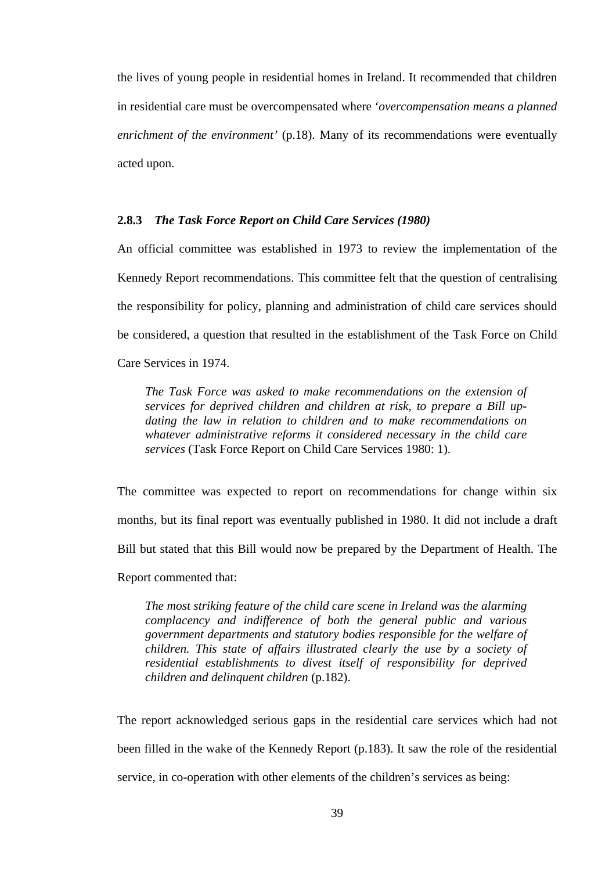the lives of young people in residential homes in Ireland. It recommended that children in residential care must be overcompensated where '*overcompensation means a planned enrichment of the environment'* (p.18). Many of its recommendations were eventually acted upon.

## **2.8.3** *The Task Force Report on Child Care Services (1980)*

An official committee was established in 1973 to review the implementation of the Kennedy Report recommendations. This committee felt that the question of centralising the responsibility for policy, planning and administration of child care services should be considered, a question that resulted in the establishment of the Task Force on Child Care Services in 1974.

*The Task Force was asked to make recommendations on the extension of services for deprived children and children at risk, to prepare a Bill updating the law in relation to children and to make recommendations on whatever administrative reforms it considered necessary in the child care services* (Task Force Report on Child Care Services 1980: 1).

The committee was expected to report on recommendations for change within six months, but its final report was eventually published in 1980. It did not include a draft Bill but stated that this Bill would now be prepared by the Department of Health. The Report commented that:

*The most striking feature of the child care scene in Ireland was the alarming complacency and indifference of both the general public and various government departments and statutory bodies responsible for the welfare of children. This state of affairs illustrated clearly the use by a society of residential establishments to divest itself of responsibility for deprived children and delinquent children* (p.182).

The report acknowledged serious gaps in the residential care services which had not been filled in the wake of the Kennedy Report (p.183). It saw the role of the residential service, in co-operation with other elements of the children's services as being: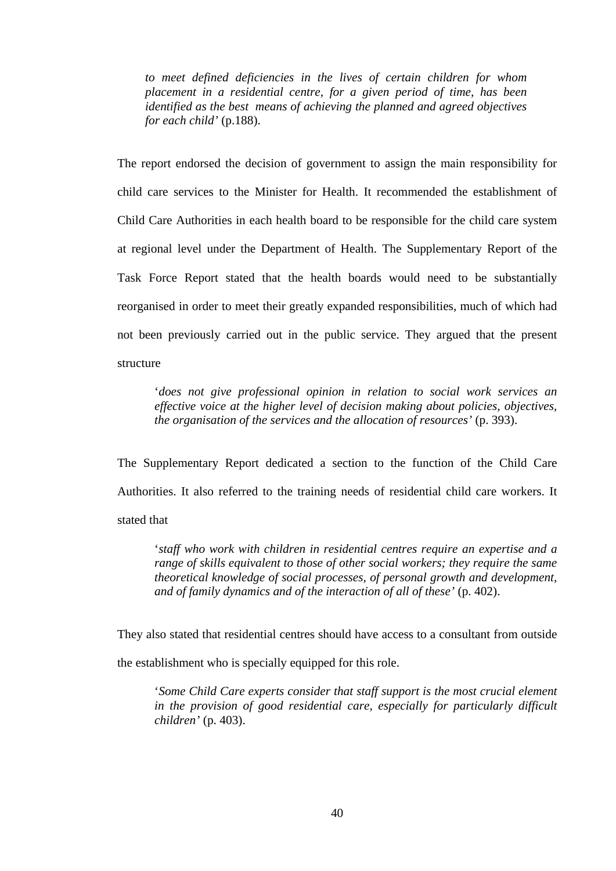*to meet defined deficiencies in the lives of certain children for whom placement in a residential centre, for a given period of time, has been identified as the best means of achieving the planned and agreed objectives for each child'* (p.188).

The report endorsed the decision of government to assign the main responsibility for child care services to the Minister for Health. It recommended the establishment of Child Care Authorities in each health board to be responsible for the child care system at regional level under the Department of Health. The Supplementary Report of the Task Force Report stated that the health boards would need to be substantially reorganised in order to meet their greatly expanded responsibilities, much of which had not been previously carried out in the public service. They argued that the present structure

'*does not give professional opinion in relation to social work services an effective voice at the higher level of decision making about policies, objectives, the organisation of the services and the allocation of resources'* (p. 393).

The Supplementary Report dedicated a section to the function of the Child Care Authorities. It also referred to the training needs of residential child care workers. It stated that

'*staff who work with children in residential centres require an expertise and a range of skills equivalent to those of other social workers; they require the same theoretical knowledge of social processes, of personal growth and development, and of family dynamics and of the interaction of all of these'* (p. 402).

They also stated that residential centres should have access to a consultant from outside the establishment who is specially equipped for this role.

'*Some Child Care experts consider that staff support is the most crucial element in the provision of good residential care, especially for particularly difficult children'* (p. 403).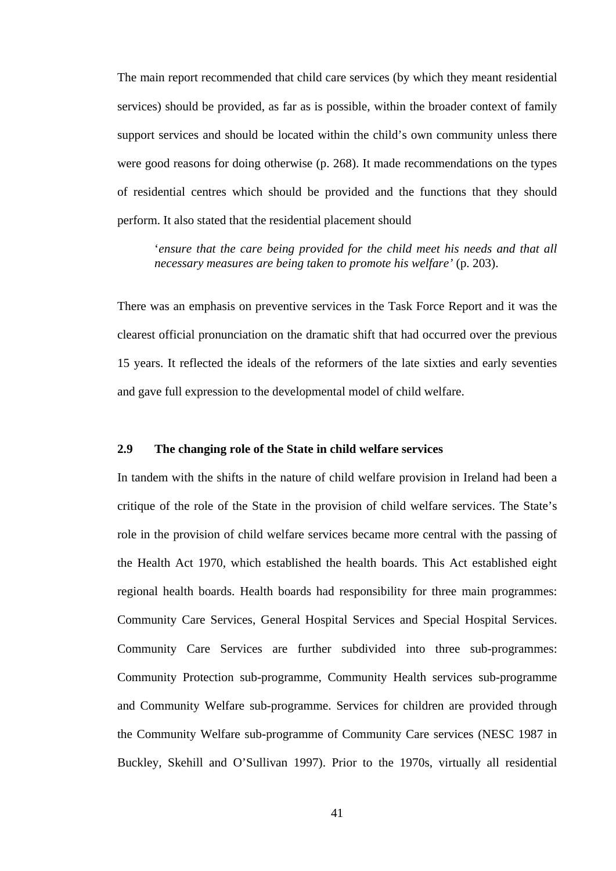The main report recommended that child care services (by which they meant residential services) should be provided, as far as is possible, within the broader context of family support services and should be located within the child's own community unless there were good reasons for doing otherwise (p. 268). It made recommendations on the types of residential centres which should be provided and the functions that they should perform. It also stated that the residential placement should

'*ensure that the care being provided for the child meet his needs and that all necessary measures are being taken to promote his welfare'* (p. 203).

There was an emphasis on preventive services in the Task Force Report and it was the clearest official pronunciation on the dramatic shift that had occurred over the previous 15 years. It reflected the ideals of the reformers of the late sixties and early seventies and gave full expression to the developmental model of child welfare.

# **2.9 The changing role of the State in child welfare services**

In tandem with the shifts in the nature of child welfare provision in Ireland had been a critique of the role of the State in the provision of child welfare services. The State's role in the provision of child welfare services became more central with the passing of the Health Act 1970, which established the health boards. This Act established eight regional health boards. Health boards had responsibility for three main programmes: Community Care Services, General Hospital Services and Special Hospital Services. Community Care Services are further subdivided into three sub-programmes: Community Protection sub-programme, Community Health services sub-programme and Community Welfare sub-programme. Services for children are provided through the Community Welfare sub-programme of Community Care services (NESC 1987 in Buckley, Skehill and O'Sullivan 1997). Prior to the 1970s, virtually all residential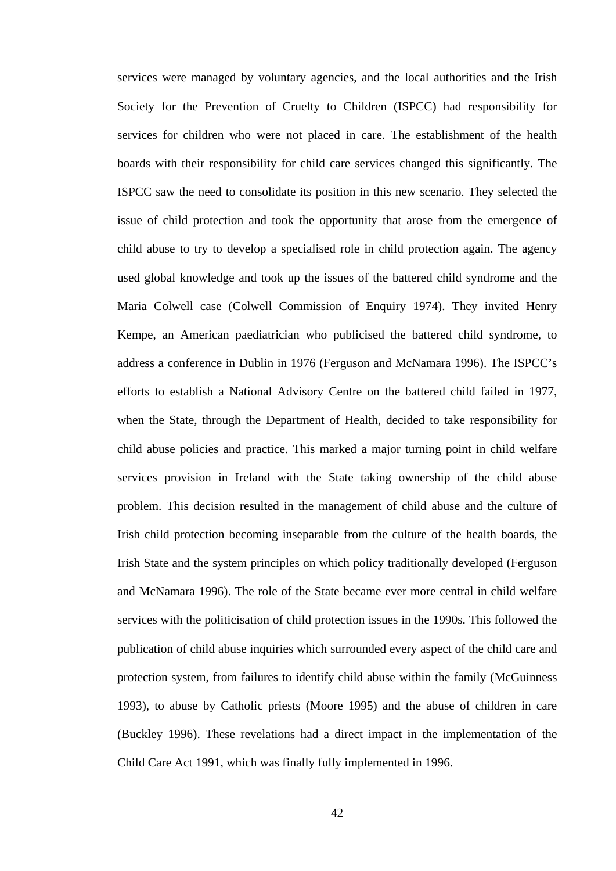services were managed by voluntary agencies, and the local authorities and the Irish Society for the Prevention of Cruelty to Children (ISPCC) had responsibility for services for children who were not placed in care. The establishment of the health boards with their responsibility for child care services changed this significantly. The ISPCC saw the need to consolidate its position in this new scenario. They selected the issue of child protection and took the opportunity that arose from the emergence of child abuse to try to develop a specialised role in child protection again. The agency used global knowledge and took up the issues of the battered child syndrome and the Maria Colwell case (Colwell Commission of Enquiry 1974). They invited Henry Kempe, an American paediatrician who publicised the battered child syndrome, to address a conference in Dublin in 1976 (Ferguson and McNamara 1996). The ISPCC's efforts to establish a National Advisory Centre on the battered child failed in 1977, when the State, through the Department of Health, decided to take responsibility for child abuse policies and practice. This marked a major turning point in child welfare services provision in Ireland with the State taking ownership of the child abuse problem. This decision resulted in the management of child abuse and the culture of Irish child protection becoming inseparable from the culture of the health boards, the Irish State and the system principles on which policy traditionally developed (Ferguson and McNamara 1996). The role of the State became ever more central in child welfare services with the politicisation of child protection issues in the 1990s. This followed the publication of child abuse inquiries which surrounded every aspect of the child care and protection system, from failures to identify child abuse within the family (McGuinness 1993), to abuse by Catholic priests (Moore 1995) and the abuse of children in care (Buckley 1996). These revelations had a direct impact in the implementation of the Child Care Act 1991, which was finally fully implemented in 1996.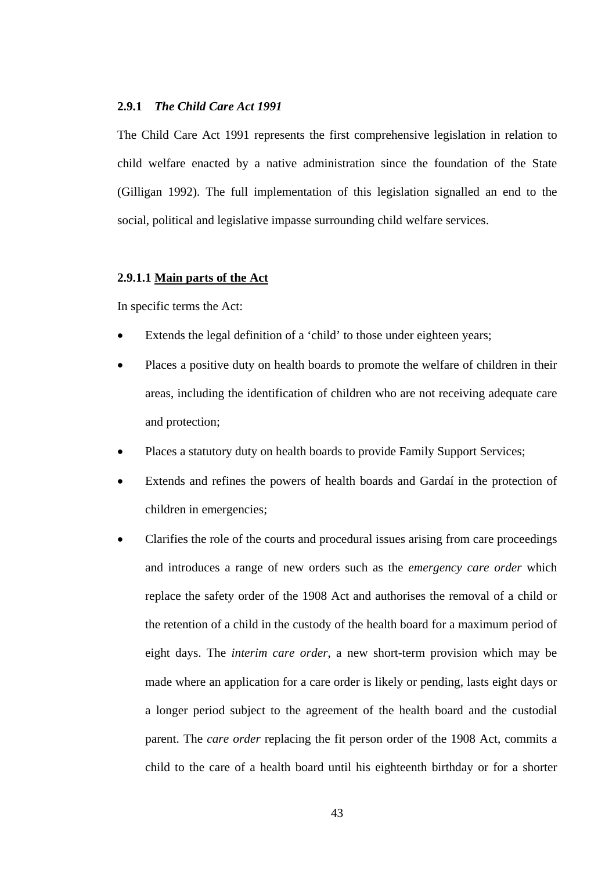#### **2.9.1** *The Child Care Act 1991*

The Child Care Act 1991 represents the first comprehensive legislation in relation to child welfare enacted by a native administration since the foundation of the State (Gilligan 1992). The full implementation of this legislation signalled an end to the social, political and legislative impasse surrounding child welfare services.

## **2.9.1.1 Main parts of the Act**

In specific terms the Act:

- Extends the legal definition of a 'child' to those under eighteen years;
- Places a positive duty on health boards to promote the welfare of children in their areas, including the identification of children who are not receiving adequate care and protection;
- Places a statutory duty on health boards to provide Family Support Services;
- Extends and refines the powers of health boards and Gardaí in the protection of children in emergencies;
- Clarifies the role of the courts and procedural issues arising from care proceedings and introduces a range of new orders such as the *emergency care order* which replace the safety order of the 1908 Act and authorises the removal of a child or the retention of a child in the custody of the health board for a maximum period of eight days. The *interim care order*, a new short-term provision which may be made where an application for a care order is likely or pending, lasts eight days or a longer period subject to the agreement of the health board and the custodial parent. The *care order* replacing the fit person order of the 1908 Act, commits a child to the care of a health board until his eighteenth birthday or for a shorter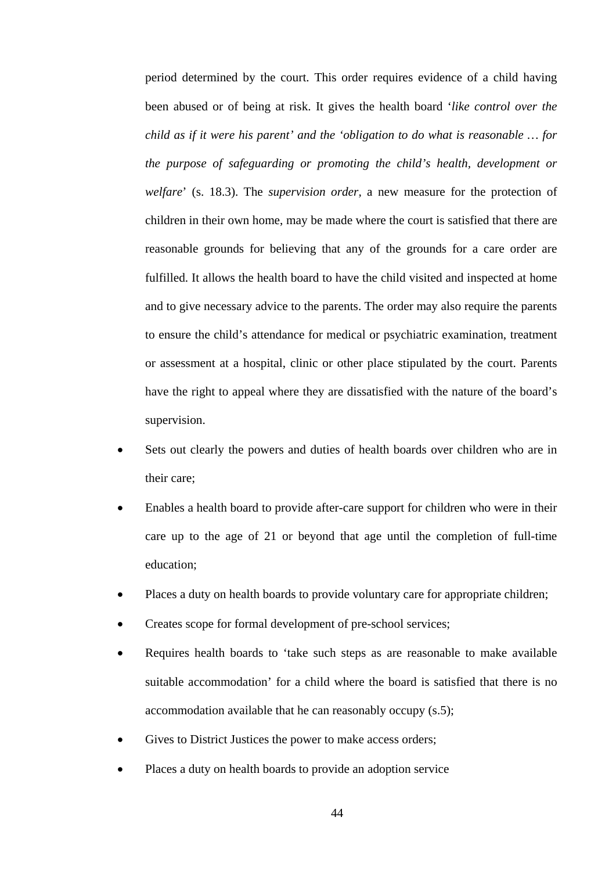period determined by the court. This order requires evidence of a child having been abused or of being at risk. It gives the health board '*like control over the child as if it were his parent' and the 'obligation to do what is reasonable … for the purpose of safeguarding or promoting the child's health, development or welfare*' (s. 18.3). The *supervision order,* a new measure for the protection of children in their own home, may be made where the court is satisfied that there are reasonable grounds for believing that any of the grounds for a care order are fulfilled. It allows the health board to have the child visited and inspected at home and to give necessary advice to the parents. The order may also require the parents to ensure the child's attendance for medical or psychiatric examination, treatment or assessment at a hospital, clinic or other place stipulated by the court. Parents have the right to appeal where they are dissatisfied with the nature of the board's supervision.

- Sets out clearly the powers and duties of health boards over children who are in their care;
- Enables a health board to provide after-care support for children who were in their care up to the age of 21 or beyond that age until the completion of full-time education;
- Places a duty on health boards to provide voluntary care for appropriate children;
- Creates scope for formal development of pre-school services;
- Requires health boards to 'take such steps as are reasonable to make available suitable accommodation' for a child where the board is satisfied that there is no accommodation available that he can reasonably occupy (s.5);
- Gives to District Justices the power to make access orders;
- Places a duty on health boards to provide an adoption service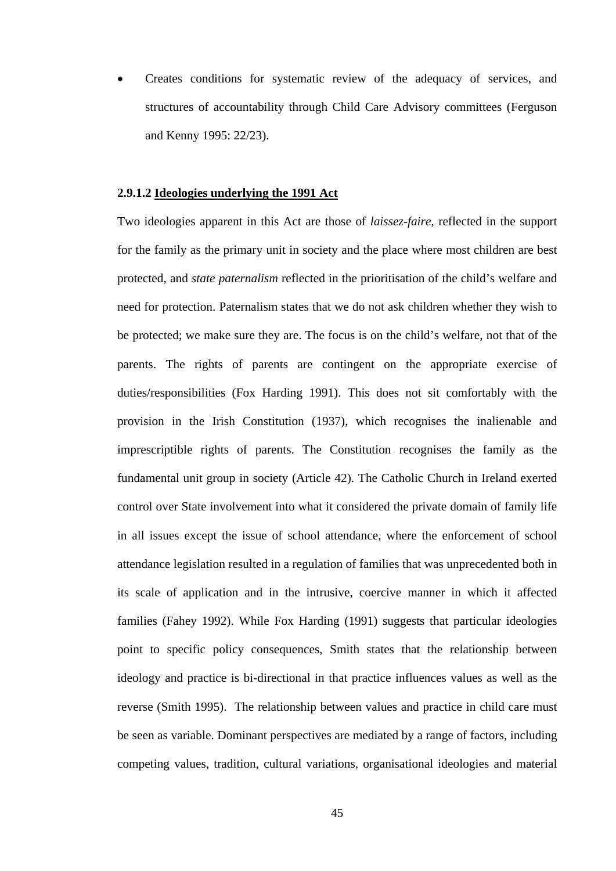Creates conditions for systematic review of the adequacy of services, and structures of accountability through Child Care Advisory committees (Ferguson and Kenny 1995: 22/23).

## **2.9.1.2 Ideologies underlying the 1991 Act**

Two ideologies apparent in this Act are those of *laissez-faire*, reflected in the support for the family as the primary unit in society and the place where most children are best protected, and *state paternalism* reflected in the prioritisation of the child's welfare and need for protection. Paternalism states that we do not ask children whether they wish to be protected; we make sure they are. The focus is on the child's welfare, not that of the parents. The rights of parents are contingent on the appropriate exercise of duties/responsibilities (Fox Harding 1991). This does not sit comfortably with the provision in the Irish Constitution (1937), which recognises the inalienable and imprescriptible rights of parents. The Constitution recognises the family as the fundamental unit group in society (Article 42). The Catholic Church in Ireland exerted control over State involvement into what it considered the private domain of family life in all issues except the issue of school attendance, where the enforcement of school attendance legislation resulted in a regulation of families that was unprecedented both in its scale of application and in the intrusive, coercive manner in which it affected families (Fahey 1992). While Fox Harding (1991) suggests that particular ideologies point to specific policy consequences, Smith states that the relationship between ideology and practice is bi-directional in that practice influences values as well as the reverse (Smith 1995). The relationship between values and practice in child care must be seen as variable. Dominant perspectives are mediated by a range of factors, including competing values, tradition, cultural variations, organisational ideologies and material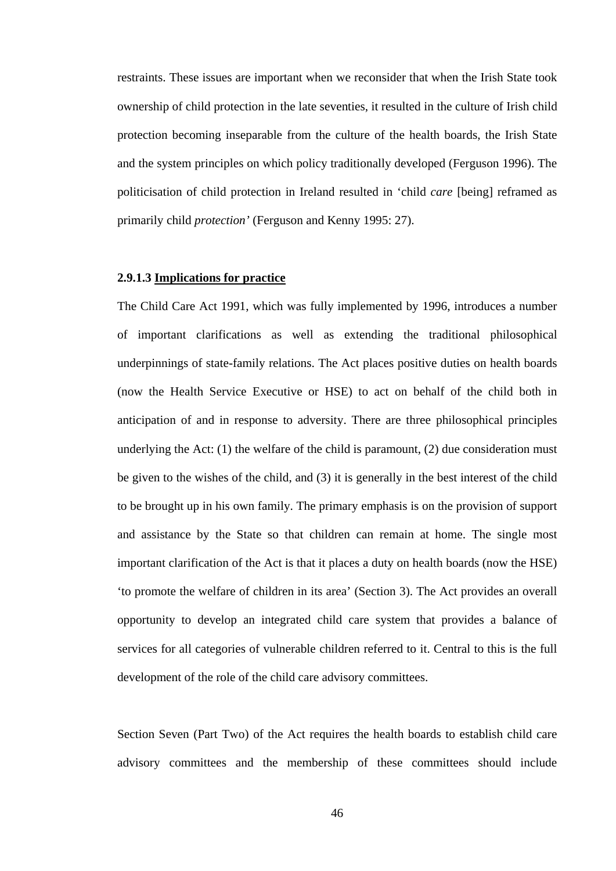restraints. These issues are important when we reconsider that when the Irish State took ownership of child protection in the late seventies, it resulted in the culture of Irish child protection becoming inseparable from the culture of the health boards, the Irish State and the system principles on which policy traditionally developed (Ferguson 1996). The politicisation of child protection in Ireland resulted in 'child *care* [being] reframed as primarily child *protection'* (Ferguson and Kenny 1995: 27).

#### **2.9.1.3 Implications for practice**

The Child Care Act 1991, which was fully implemented by 1996, introduces a number of important clarifications as well as extending the traditional philosophical underpinnings of state-family relations. The Act places positive duties on health boards (now the Health Service Executive or HSE) to act on behalf of the child both in anticipation of and in response to adversity. There are three philosophical principles underlying the Act: (1) the welfare of the child is paramount, (2) due consideration must be given to the wishes of the child, and (3) it is generally in the best interest of the child to be brought up in his own family. The primary emphasis is on the provision of support and assistance by the State so that children can remain at home. The single most important clarification of the Act is that it places a duty on health boards (now the HSE) 'to promote the welfare of children in its area' (Section 3). The Act provides an overall opportunity to develop an integrated child care system that provides a balance of services for all categories of vulnerable children referred to it. Central to this is the full development of the role of the child care advisory committees.

Section Seven (Part Two) of the Act requires the health boards to establish child care advisory committees and the membership of these committees should include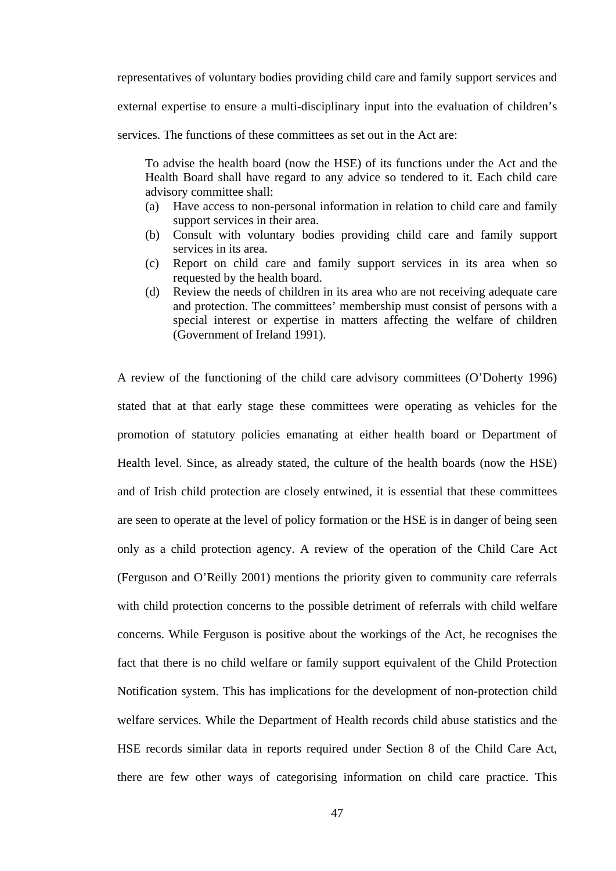representatives of voluntary bodies providing child care and family support services and

external expertise to ensure a multi-disciplinary input into the evaluation of children's

services. The functions of these committees as set out in the Act are:

To advise the health board (now the HSE) of its functions under the Act and the Health Board shall have regard to any advice so tendered to it. Each child care advisory committee shall:

- (a) Have access to non-personal information in relation to child care and family support services in their area.
- (b) Consult with voluntary bodies providing child care and family support services in its area.
- (c) Report on child care and family support services in its area when so requested by the health board.
- (d) Review the needs of children in its area who are not receiving adequate care and protection. The committees' membership must consist of persons with a special interest or expertise in matters affecting the welfare of children (Government of Ireland 1991).

A review of the functioning of the child care advisory committees (O'Doherty 1996) stated that at that early stage these committees were operating as vehicles for the promotion of statutory policies emanating at either health board or Department of Health level. Since, as already stated, the culture of the health boards (now the HSE) and of Irish child protection are closely entwined, it is essential that these committees are seen to operate at the level of policy formation or the HSE is in danger of being seen only as a child protection agency. A review of the operation of the Child Care Act (Ferguson and O'Reilly 2001) mentions the priority given to community care referrals with child protection concerns to the possible detriment of referrals with child welfare concerns. While Ferguson is positive about the workings of the Act, he recognises the fact that there is no child welfare or family support equivalent of the Child Protection Notification system. This has implications for the development of non-protection child welfare services. While the Department of Health records child abuse statistics and the HSE records similar data in reports required under Section 8 of the Child Care Act, there are few other ways of categorising information on child care practice. This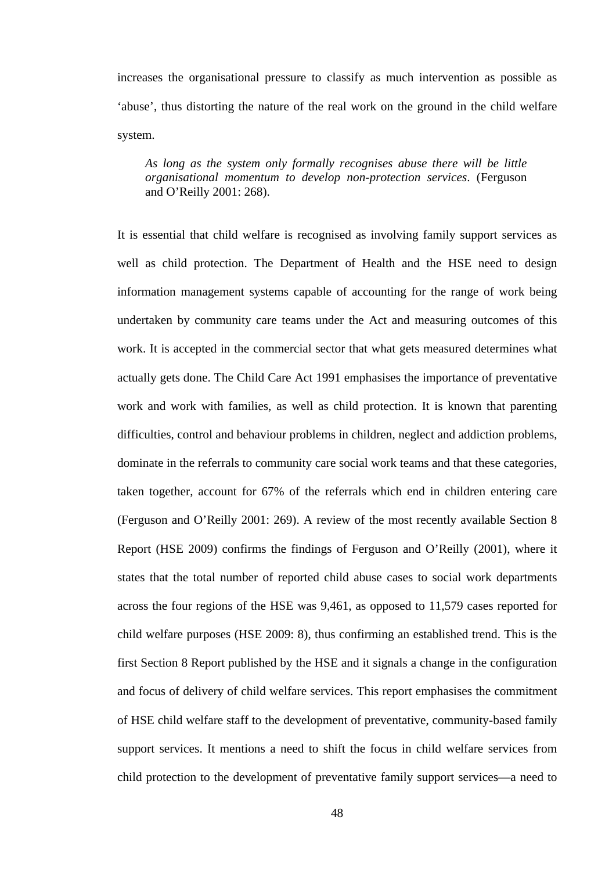increases the organisational pressure to classify as much intervention as possible as 'abuse', thus distorting the nature of the real work on the ground in the child welfare system.

*As long as the system only formally recognises abuse there will be little organisational momentum to develop non-protection services*. (Ferguson and O'Reilly 2001: 268).

It is essential that child welfare is recognised as involving family support services as well as child protection. The Department of Health and the HSE need to design information management systems capable of accounting for the range of work being undertaken by community care teams under the Act and measuring outcomes of this work. It is accepted in the commercial sector that what gets measured determines what actually gets done. The Child Care Act 1991 emphasises the importance of preventative work and work with families, as well as child protection. It is known that parenting difficulties, control and behaviour problems in children, neglect and addiction problems, dominate in the referrals to community care social work teams and that these categories, taken together, account for 67% of the referrals which end in children entering care (Ferguson and O'Reilly 2001: 269). A review of the most recently available Section 8 Report (HSE 2009) confirms the findings of Ferguson and O'Reilly (2001), where it states that the total number of reported child abuse cases to social work departments across the four regions of the HSE was 9,461, as opposed to 11,579 cases reported for child welfare purposes (HSE 2009: 8), thus confirming an established trend. This is the first Section 8 Report published by the HSE and it signals a change in the configuration and focus of delivery of child welfare services. This report emphasises the commitment of HSE child welfare staff to the development of preventative, community-based family support services. It mentions a need to shift the focus in child welfare services from child protection to the development of preventative family support services—a need to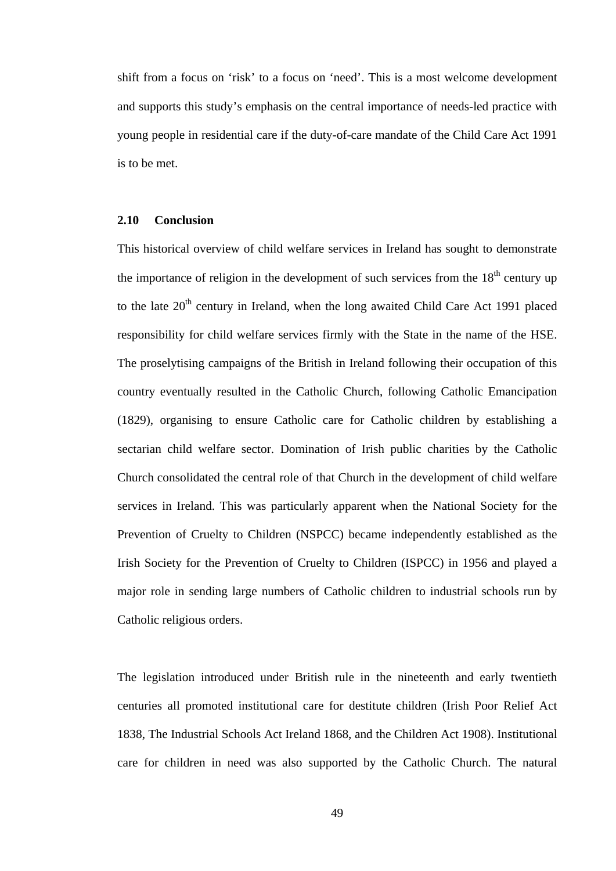shift from a focus on 'risk' to a focus on 'need'. This is a most welcome development and supports this study's emphasis on the central importance of needs-led practice with young people in residential care if the duty-of-care mandate of the Child Care Act 1991 is to be met.

# **2.10 Conclusion**

This historical overview of child welfare services in Ireland has sought to demonstrate the importance of religion in the development of such services from the  $18<sup>th</sup>$  century up to the late 20<sup>th</sup> century in Ireland, when the long awaited Child Care Act 1991 placed responsibility for child welfare services firmly with the State in the name of the HSE. The proselytising campaigns of the British in Ireland following their occupation of this country eventually resulted in the Catholic Church, following Catholic Emancipation (1829), organising to ensure Catholic care for Catholic children by establishing a sectarian child welfare sector. Domination of Irish public charities by the Catholic Church consolidated the central role of that Church in the development of child welfare services in Ireland. This was particularly apparent when the National Society for the Prevention of Cruelty to Children (NSPCC) became independently established as the Irish Society for the Prevention of Cruelty to Children (ISPCC) in 1956 and played a major role in sending large numbers of Catholic children to industrial schools run by Catholic religious orders.

The legislation introduced under British rule in the nineteenth and early twentieth centuries all promoted institutional care for destitute children (Irish Poor Relief Act 1838, The Industrial Schools Act Ireland 1868, and the Children Act 1908). Institutional care for children in need was also supported by the Catholic Church. The natural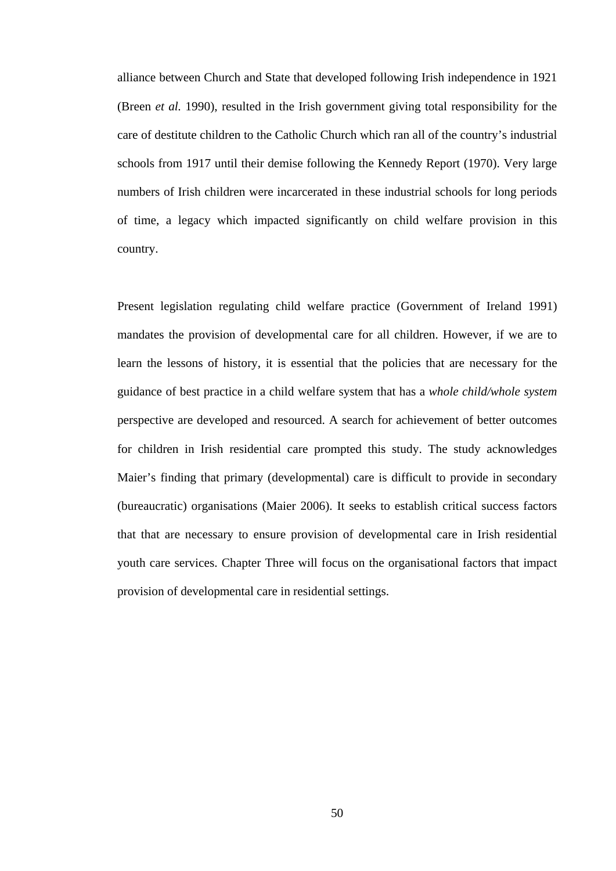alliance between Church and State that developed following Irish independence in 1921 (Breen *et al.* 1990), resulted in the Irish government giving total responsibility for the care of destitute children to the Catholic Church which ran all of the country's industrial schools from 1917 until their demise following the Kennedy Report (1970). Very large numbers of Irish children were incarcerated in these industrial schools for long periods of time, a legacy which impacted significantly on child welfare provision in this country.

Present legislation regulating child welfare practice (Government of Ireland 1991) mandates the provision of developmental care for all children. However, if we are to learn the lessons of history, it is essential that the policies that are necessary for the guidance of best practice in a child welfare system that has a *whole child/whole system* perspective are developed and resourced. A search for achievement of better outcomes for children in Irish residential care prompted this study. The study acknowledges Maier's finding that primary (developmental) care is difficult to provide in secondary (bureaucratic) organisations (Maier 2006). It seeks to establish critical success factors that that are necessary to ensure provision of developmental care in Irish residential youth care services. Chapter Three will focus on the organisational factors that impact provision of developmental care in residential settings.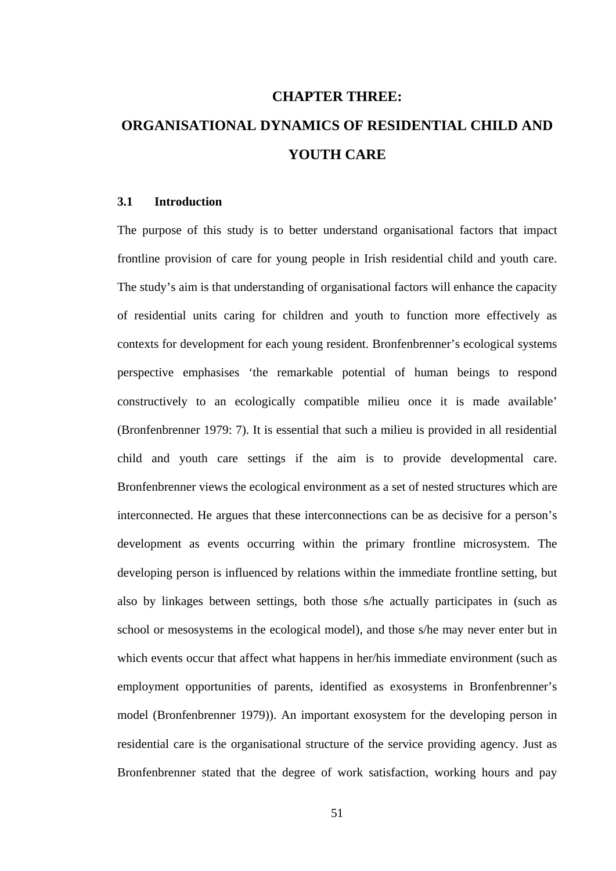# **CHAPTER THREE: ORGANISATIONAL DYNAMICS OF RESIDENTIAL CHILD AND YOUTH CARE**

## **3.1 Introduction**

The purpose of this study is to better understand organisational factors that impact frontline provision of care for young people in Irish residential child and youth care. The study's aim is that understanding of organisational factors will enhance the capacity of residential units caring for children and youth to function more effectively as contexts for development for each young resident. Bronfenbrenner's ecological systems perspective emphasises 'the remarkable potential of human beings to respond constructively to an ecologically compatible milieu once it is made available' (Bronfenbrenner 1979: 7). It is essential that such a milieu is provided in all residential child and youth care settings if the aim is to provide developmental care. Bronfenbrenner views the ecological environment as a set of nested structures which are interconnected. He argues that these interconnections can be as decisive for a person's development as events occurring within the primary frontline microsystem. The developing person is influenced by relations within the immediate frontline setting, but also by linkages between settings, both those s/he actually participates in (such as school or mesosystems in the ecological model), and those s/he may never enter but in which events occur that affect what happens in her/his immediate environment (such as employment opportunities of parents, identified as exosystems in Bronfenbrenner's model (Bronfenbrenner 1979)). An important exosystem for the developing person in residential care is the organisational structure of the service providing agency. Just as Bronfenbrenner stated that the degree of work satisfaction, working hours and pay

51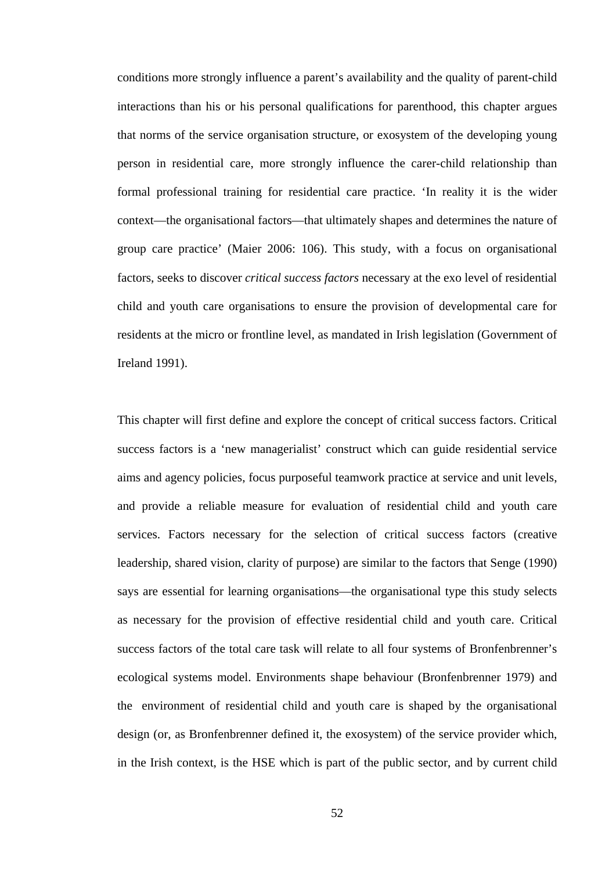conditions more strongly influence a parent's availability and the quality of parent-child interactions than his or his personal qualifications for parenthood, this chapter argues that norms of the service organisation structure, or exosystem of the developing young person in residential care, more strongly influence the carer-child relationship than formal professional training for residential care practice. 'In reality it is the wider context—the organisational factors—that ultimately shapes and determines the nature of group care practice' (Maier 2006: 106). This study, with a focus on organisational factors, seeks to discover *critical success factors* necessary at the exo level of residential child and youth care organisations to ensure the provision of developmental care for residents at the micro or frontline level, as mandated in Irish legislation (Government of Ireland 1991).

This chapter will first define and explore the concept of critical success factors. Critical success factors is a 'new managerialist' construct which can guide residential service aims and agency policies, focus purposeful teamwork practice at service and unit levels, and provide a reliable measure for evaluation of residential child and youth care services. Factors necessary for the selection of critical success factors (creative leadership, shared vision, clarity of purpose) are similar to the factors that Senge (1990) says are essential for learning organisations—the organisational type this study selects as necessary for the provision of effective residential child and youth care. Critical success factors of the total care task will relate to all four systems of Bronfenbrenner's ecological systems model. Environments shape behaviour (Bronfenbrenner 1979) and the) environment of residential child and youth care is shaped by the organisational design (or, as Bronfenbrenner defined it, the exosystem) of the service provider which, in the Irish context, is the HSE which is part of the public sector, and by current child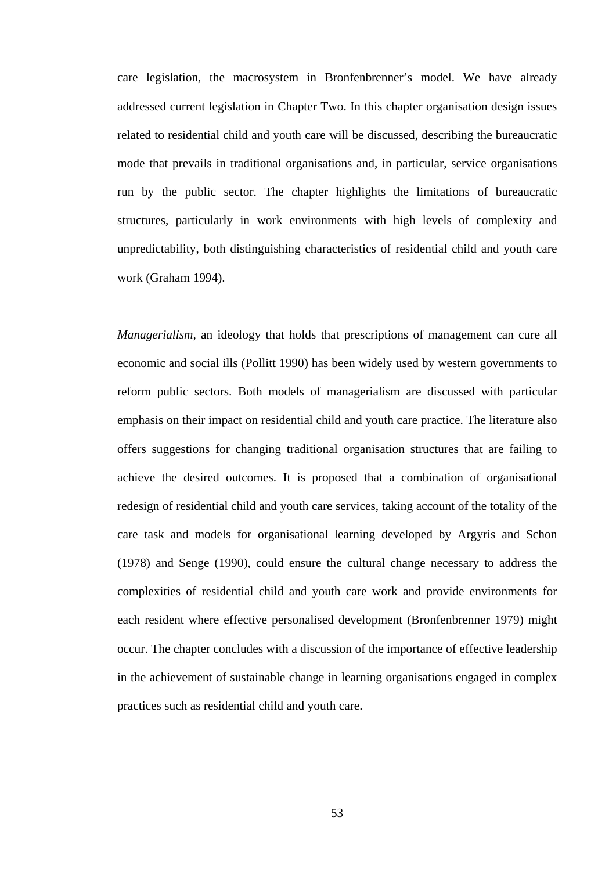care legislation, the macrosystem in Bronfenbrenner's model. We have already addressed current legislation in Chapter Two. In this chapter organisation design issues related to residential child and youth care will be discussed, describing the bureaucratic mode that prevails in traditional organisations and, in particular, service organisations run by the public sector. The chapter highlights the limitations of bureaucratic structures, particularly in work environments with high levels of complexity and unpredictability, both distinguishing characteristics of residential child and youth care work (Graham 1994).

*Managerialism,* an ideology that holds that prescriptions of management can cure all economic and social ills (Pollitt 1990) has been widely used by western governments to reform public sectors. Both models of managerialism are discussed with particular emphasis on their impact on residential child and youth care practice. The literature also offers suggestions for changing traditional organisation structures that are failing to achieve the desired outcomes. It is proposed that a combination of organisational redesign of residential child and youth care services, taking account of the totality of the care task and models for organisational learning developed by Argyris and Schon (1978) and Senge (1990), could ensure the cultural change necessary to address the complexities of residential child and youth care work and provide environments for each resident where effective personalised development (Bronfenbrenner 1979) might occur. The chapter concludes with a discussion of the importance of effective leadership in the achievement of sustainable change in learning organisations engaged in complex practices such as residential child and youth care.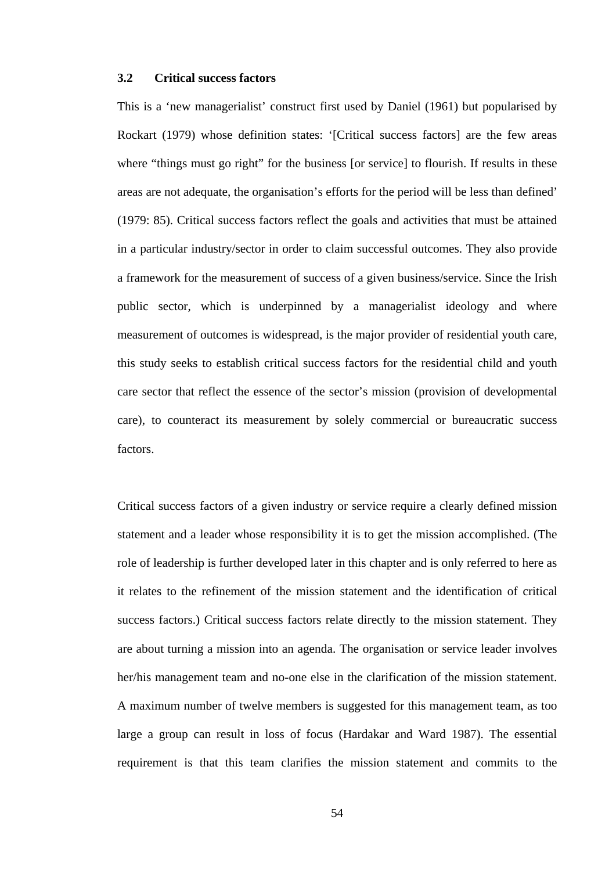# **3.2 Critical success factors**

This is a 'new managerialist' construct first used by Daniel (1961) but popularised by Rockart (1979) whose definition states: '[Critical success factors] are the few areas where "things must go right" for the business [or service] to flourish. If results in these areas are not adequate, the organisation's efforts for the period will be less than defined' (1979: 85). Critical success factors reflect the goals and activities that must be attained in a particular industry/sector in order to claim successful outcomes. They also provide a framework for the measurement of success of a given business/service. Since the Irish public sector, which is underpinned by a managerialist ideology and where measurement of outcomes is widespread, is the major provider of residential youth care, this study seeks to establish critical success factors for the residential child and youth care sector that reflect the essence of the sector's mission (provision of developmental care), to counteract its measurement by solely commercial or bureaucratic success factors.

Critical success factors of a given industry or service require a clearly defined mission statement and a leader whose responsibility it is to get the mission accomplished. (The role of leadership is further developed later in this chapter and is only referred to here as it relates to the refinement of the mission statement and the identification of critical success factors.) Critical success factors relate directly to the mission statement. They are about turning a mission into an agenda. The organisation or service leader involves her/his management team and no-one else in the clarification of the mission statement. A maximum number of twelve members is suggested for this management team, as too large a group can result in loss of focus (Hardakar and Ward 1987). The essential requirement is that this team clarifies the mission statement and commits to the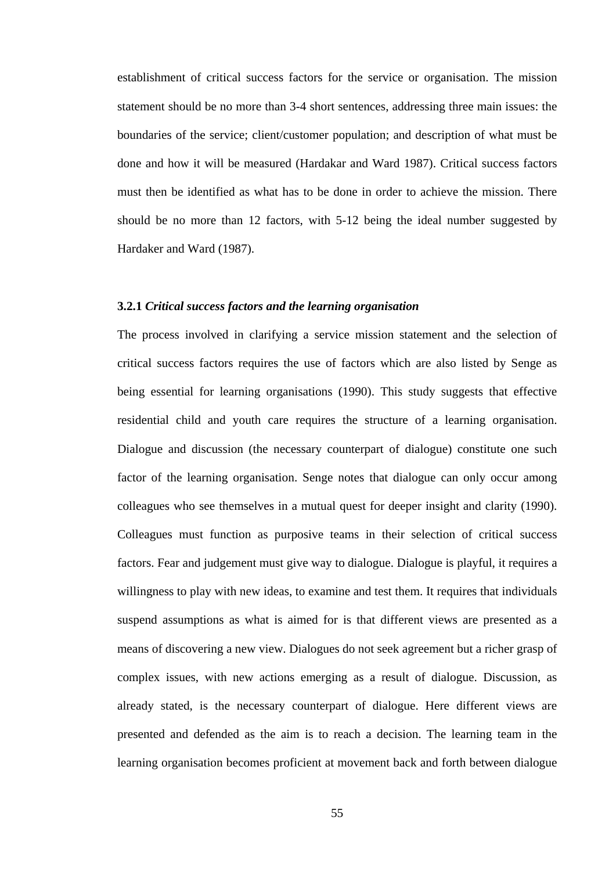establishment of critical success factors for the service or organisation. The mission statement should be no more than 3-4 short sentences, addressing three main issues: the boundaries of the service; client/customer population; and description of what must be done and how it will be measured (Hardakar and Ward 1987). Critical success factors must then be identified as what has to be done in order to achieve the mission. There should be no more than 12 factors, with 5-12 being the ideal number suggested by Hardaker and Ward (1987).

### **3.2.1** *Critical success factors and the learning organisation*

The process involved in clarifying a service mission statement and the selection of critical success factors requires the use of factors which are also listed by Senge as being essential for learning organisations (1990). This study suggests that effective residential child and youth care requires the structure of a learning organisation. Dialogue and discussion (the necessary counterpart of dialogue) constitute one such factor of the learning organisation. Senge notes that dialogue can only occur among colleagues who see themselves in a mutual quest for deeper insight and clarity (1990). Colleagues must function as purposive teams in their selection of critical success factors. Fear and judgement must give way to dialogue. Dialogue is playful, it requires a willingness to play with new ideas, to examine and test them. It requires that individuals suspend assumptions as what is aimed for is that different views are presented as a means of discovering a new view. Dialogues do not seek agreement but a richer grasp of complex issues, with new actions emerging as a result of dialogue. Discussion, as already stated, is the necessary counterpart of dialogue. Here different views are presented and defended as the aim is to reach a decision. The learning team in the learning organisation becomes proficient at movement back and forth between dialogue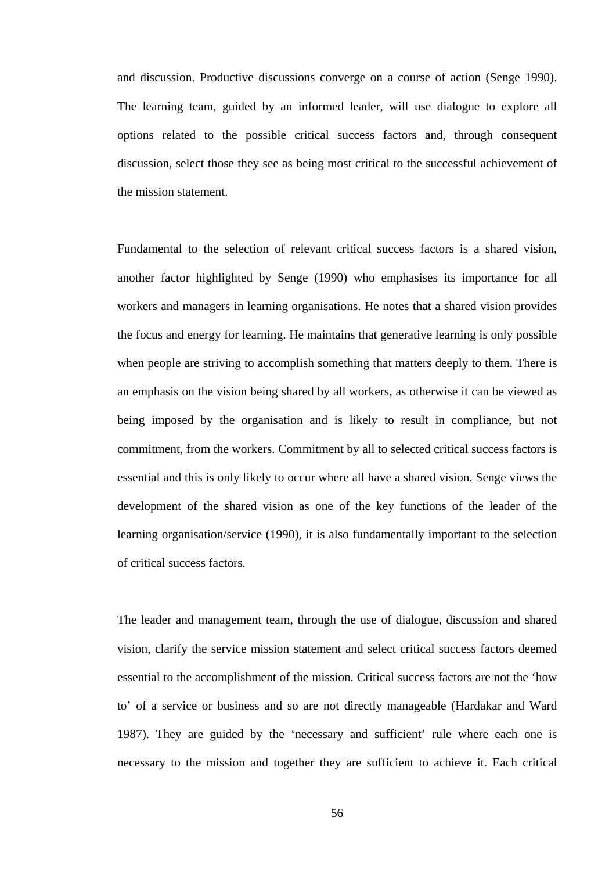and discussion. Productive discussions converge on a course of action (Senge 1990). The learning team, guided by an informed leader, will use dialogue to explore all options related to the possible critical success factors and, through consequent discussion, select those they see as being most critical to the successful achievement of the mission statement.

Fundamental to the selection of relevant critical success factors is a shared vision, another factor highlighted by Senge (1990) who emphasises its importance for all workers and managers in learning organisations. He notes that a shared vision provides the focus and energy for learning. He maintains that generative learning is only possible when people are striving to accomplish something that matters deeply to them. There is an emphasis on the vision being shared by all workers, as otherwise it can be viewed as being imposed by the organisation and is likely to result in compliance, but not commitment, from the workers. Commitment by all to selected critical success factors is essential and this is only likely to occur where all have a shared vision. Senge views the development of the shared vision as one of the key functions of the leader of the learning organisation/service (1990), it is also fundamentally important to the selection of critical success factors.

The leader and management team, through the use of dialogue, discussion and shared vision, clarify the service mission statement and select critical success factors deemed essential to the accomplishment of the mission. Critical success factors are not the 'how to' of a service or business and so are not directly manageable (Hardakar and Ward 1987). They are guided by the 'necessary and sufficient' rule where each one is necessary to the mission and together they are sufficient to achieve it. Each critical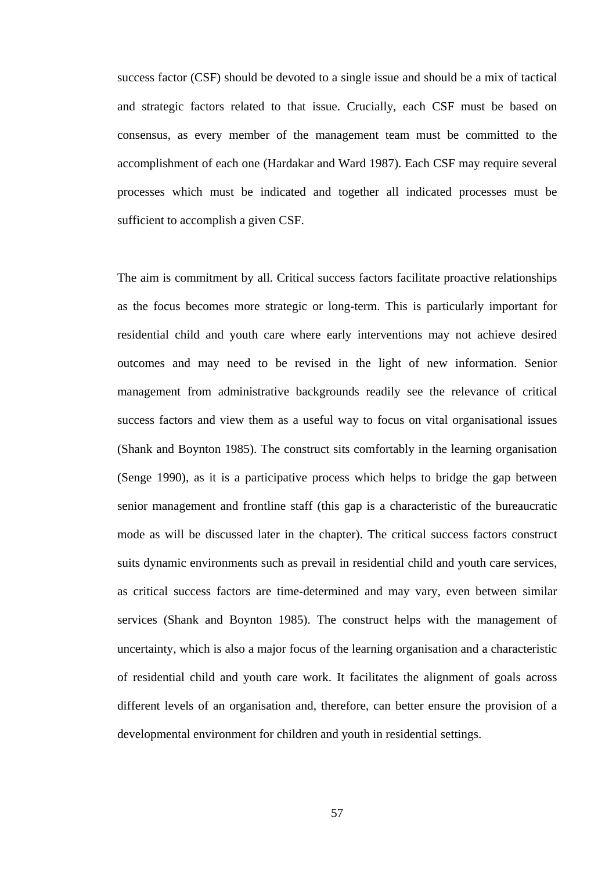success factor (CSF) should be devoted to a single issue and should be a mix of tactical and strategic factors related to that issue. Crucially, each CSF must be based on consensus, as every member of the management team must be committed to the accomplishment of each one (Hardakar and Ward 1987). Each CSF may require several processes which must be indicated and together all indicated processes must be sufficient to accomplish a given CSF.

The aim is commitment by all. Critical success factors facilitate proactive relationships as the focus becomes more strategic or long-term. This is particularly important for residential child and youth care where early interventions may not achieve desired outcomes and may need to be revised in the light of new information. Senior management from administrative backgrounds readily see the relevance of critical success factors and view them as a useful way to focus on vital organisational issues (Shank and Boynton 1985). The construct sits comfortably in the learning organisation (Senge 1990), as it is a participative process which helps to bridge the gap between senior management and frontline staff (this gap is a characteristic of the bureaucratic mode as will be discussed later in the chapter). The critical success factors construct suits dynamic environments such as prevail in residential child and youth care services, as critical success factors are time-determined and may vary, even between similar services (Shank and Boynton 1985). The construct helps with the management of uncertainty, which is also a major focus of the learning organisation and a characteristic of residential child and youth care work. It facilitates the alignment of goals across different levels of an organisation and, therefore, can better ensure the provision of a developmental environment for children and youth in residential settings.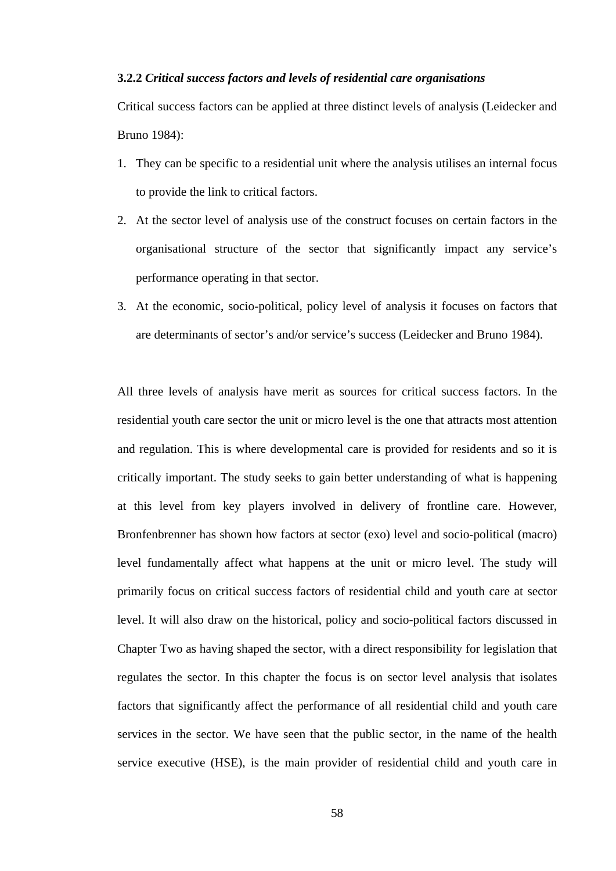# **3.2.2** *Critical success factors and levels of residential care organisations*

Critical success factors can be applied at three distinct levels of analysis (Leidecker and Bruno 1984):

- 1. They can be specific to a residential unit where the analysis utilises an internal focus to provide the link to critical factors.
- 2. At the sector level of analysis use of the construct focuses on certain factors in the organisational structure of the sector that significantly impact any service's performance operating in that sector.
- 3. At the economic, socio-political, policy level of analysis it focuses on factors that are determinants of sector's and/or service's success (Leidecker and Bruno 1984).

All three levels of analysis have merit as sources for critical success factors. In the residential youth care sector the unit or micro level is the one that attracts most attention and regulation. This is where developmental care is provided for residents and so it is critically important. The study seeks to gain better understanding of what is happening at this level from key players involved in delivery of frontline care. However, Bronfenbrenner has shown how factors at sector (exo) level and socio-political (macro) level fundamentally affect what happens at the unit or micro level. The study will primarily focus on critical success factors of residential child and youth care at sector level. It will also draw on the historical, policy and socio-political factors discussed in Chapter Two as having shaped the sector, with a direct responsibility for legislation that regulates the sector. In this chapter the focus is on sector level analysis that isolates factors that significantly affect the performance of all residential child and youth care services in the sector. We have seen that the public sector, in the name of the health service executive (HSE), is the main provider of residential child and youth care in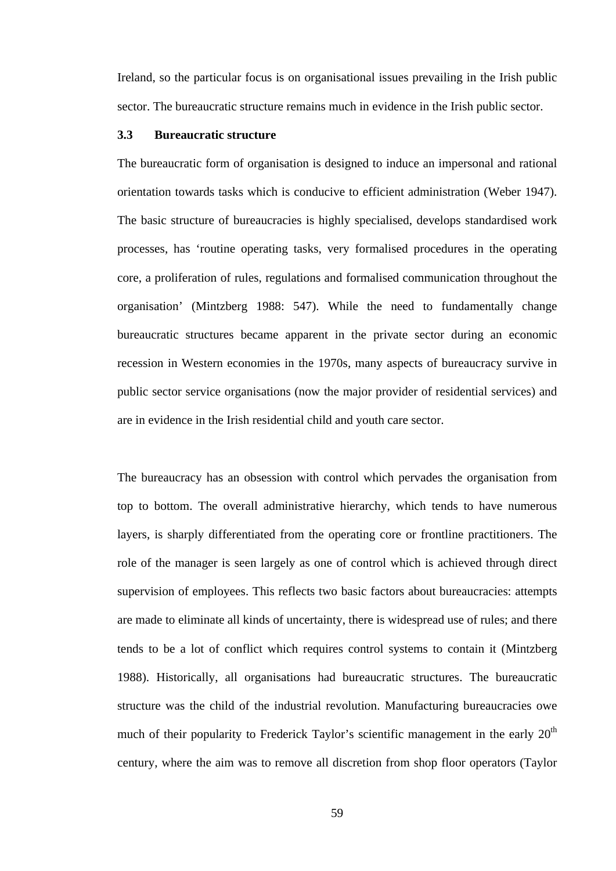Ireland, so the particular focus is on organisational issues prevailing in the Irish public sector. The bureaucratic structure remains much in evidence in the Irish public sector.

# **3.3 Bureaucratic structure**

The bureaucratic form of organisation is designed to induce an impersonal and rational orientation towards tasks which is conducive to efficient administration (Weber 1947). The basic structure of bureaucracies is highly specialised, develops standardised work processes, has 'routine operating tasks, very formalised procedures in the operating core, a proliferation of rules, regulations and formalised communication throughout the organisation' (Mintzberg 1988: 547). While the need to fundamentally change bureaucratic structures became apparent in the private sector during an economic recession in Western economies in the 1970s, many aspects of bureaucracy survive in public sector service organisations (now the major provider of residential services) and are in evidence in the Irish residential child and youth care sector.

The bureaucracy has an obsession with control which pervades the organisation from top to bottom. The overall administrative hierarchy, which tends to have numerous layers, is sharply differentiated from the operating core or frontline practitioners. The role of the manager is seen largely as one of control which is achieved through direct supervision of employees. This reflects two basic factors about bureaucracies: attempts are made to eliminate all kinds of uncertainty, there is widespread use of rules; and there tends to be a lot of conflict which requires control systems to contain it (Mintzberg 1988). Historically, all organisations had bureaucratic structures. The bureaucratic structure was the child of the industrial revolution. Manufacturing bureaucracies owe much of their popularity to Frederick Taylor's scientific management in the early  $20<sup>th</sup>$ century, where the aim was to remove all discretion from shop floor operators (Taylor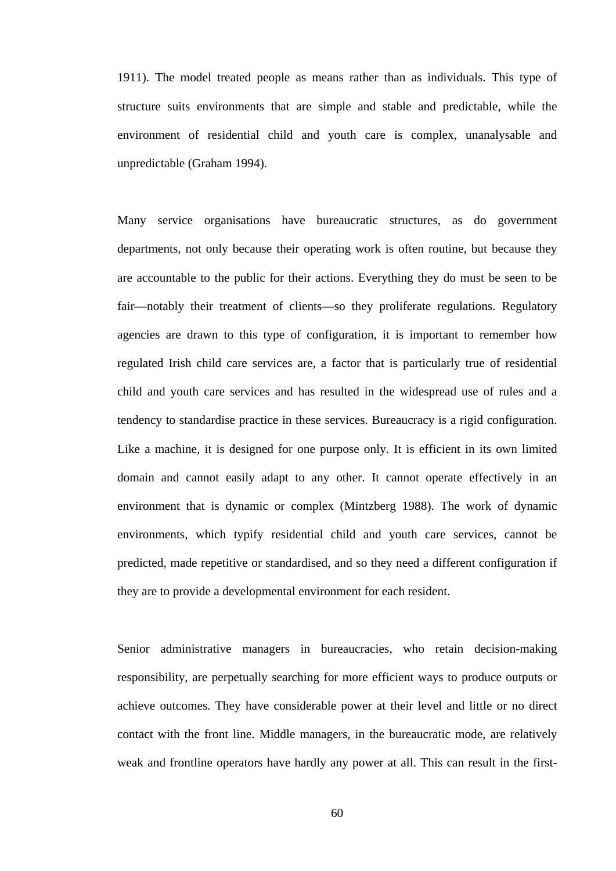1911). The model treated people as means rather than as individuals. This type of structure suits environments that are simple and stable and predictable, while the environment of residential child and youth care is complex, unanalysable and unpredictable (Graham 1994).

Many service organisations have bureaucratic structures, as do government departments, not only because their operating work is often routine, but because they are accountable to the public for their actions. Everything they do must be seen to be fair—notably their treatment of clients—so they proliferate regulations. Regulatory agencies are drawn to this type of configuration, it is important to remember how regulated Irish child care services are, a factor that is particularly true of residential child and youth care services and has resulted in the widespread use of rules and a tendency to standardise practice in these services. Bureaucracy is a rigid configuration. Like a machine, it is designed for one purpose only. It is efficient in its own limited domain and cannot easily adapt to any other. It cannot operate effectively in an environment that is dynamic or complex (Mintzberg 1988). The work of dynamic environments, which typify residential child and youth care services, cannot be predicted, made repetitive or standardised, and so they need a different configuration if they are to provide a developmental environment for each resident.

Senior administrative managers in bureaucracies, who retain decision-making responsibility, are perpetually searching for more efficient ways to produce outputs or achieve outcomes. They have considerable power at their level and little or no direct contact with the front line. Middle managers, in the bureaucratic mode, are relatively weak and frontline operators have hardly any power at all. This can result in the first-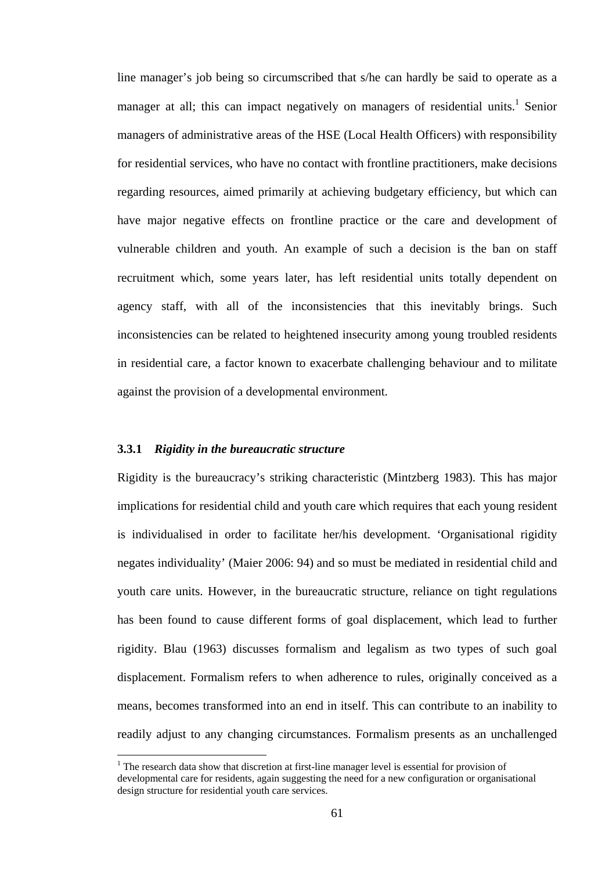line manager's job being so circumscribed that s/he can hardly be said to operate as a manager at all; this can impact negatively on managers of residential units.<sup>1</sup> Senior managers of administrative areas of the HSE (Local Health Officers) with responsibility for residential services, who have no contact with frontline practitioners, make decisions regarding resources, aimed primarily at achieving budgetary efficiency, but which can have major negative effects on frontline practice or the care and development of vulnerable children and youth. An example of such a decision is the ban on staff recruitment which, some years later, has left residential units totally dependent on agency staff, with all of the inconsistencies that this inevitably brings. Such inconsistencies can be related to heightened insecurity among young troubled residents in residential care, a factor known to exacerbate challenging behaviour and to militate against the provision of a developmental environment.

### **3.3.1** *Rigidity in the bureaucratic structure*

 $\overline{a}$ 

Rigidity is the bureaucracy's striking characteristic (Mintzberg 1983). This has major implications for residential child and youth care which requires that each young resident is individualised in order to facilitate her/his development. 'Organisational rigidity negates individuality' (Maier 2006: 94) and so must be mediated in residential child and youth care units. However, in the bureaucratic structure, reliance on tight regulations has been found to cause different forms of goal displacement, which lead to further rigidity. Blau (1963) discusses formalism and legalism as two types of such goal displacement. Formalism refers to when adherence to rules, originally conceived as a means, becomes transformed into an end in itself. This can contribute to an inability to readily adjust to any changing circumstances. Formalism presents as an unchallenged

<sup>&</sup>lt;sup>1</sup> The research data show that discretion at first-line manager level is essential for provision of developmental care for residents, again suggesting the need for a new configuration or organisational design structure for residential youth care services.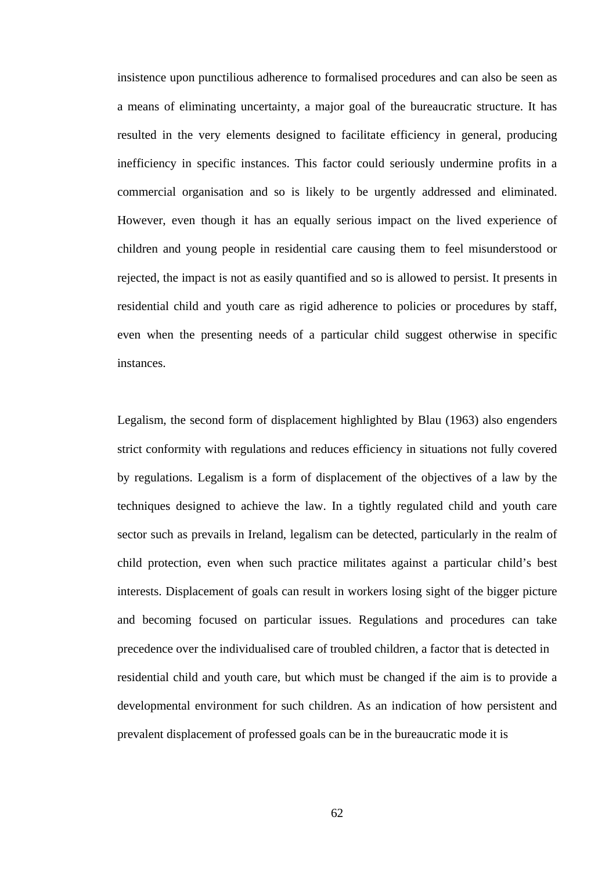insistence upon punctilious adherence to formalised procedures and can also be seen as a means of eliminating uncertainty, a major goal of the bureaucratic structure. It has resulted in the very elements designed to facilitate efficiency in general, producing inefficiency in specific instances. This factor could seriously undermine profits in a commercial organisation and so is likely to be urgently addressed and eliminated. However, even though it has an equally serious impact on the lived experience of children and young people in residential care causing them to feel misunderstood or rejected, the impact is not as easily quantified and so is allowed to persist. It presents in residential child and youth care as rigid adherence to policies or procedures by staff, even when the presenting needs of a particular child suggest otherwise in specific instances.

Legalism, the second form of displacement highlighted by Blau (1963) also engenders strict conformity with regulations and reduces efficiency in situations not fully covered by regulations. Legalism is a form of displacement of the objectives of a law by the techniques designed to achieve the law. In a tightly regulated child and youth care sector such as prevails in Ireland, legalism can be detected, particularly in the realm of child protection, even when such practice militates against a particular child's best interests. Displacement of goals can result in workers losing sight of the bigger picture and becoming focused on particular issues. Regulations and procedures can take precedence over the individualised care of troubled children, a factor that is detected in residential child and youth care, but which must be changed if the aim is to provide a developmental environment for such children. As an indication of how persistent and prevalent displacement of professed goals can be in the bureaucratic mode it is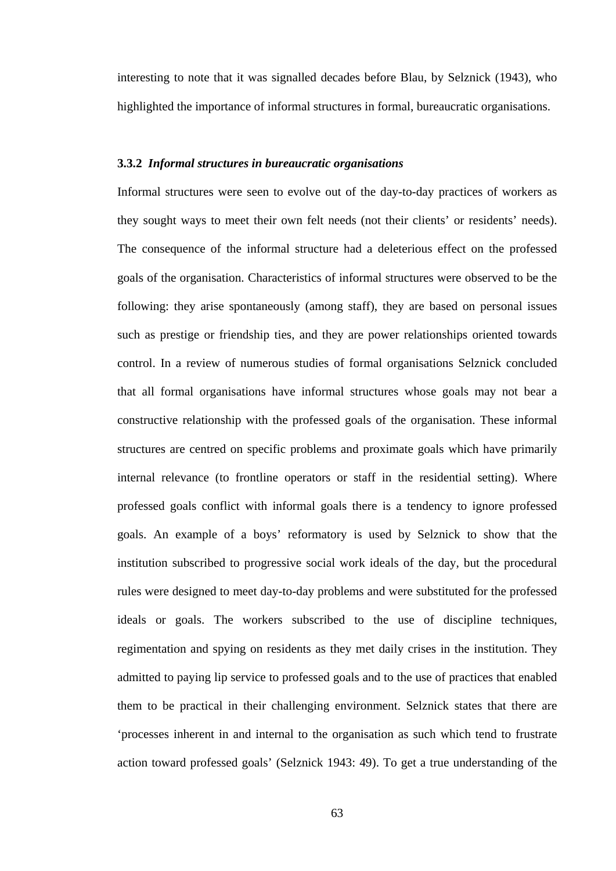interesting to note that it was signalled decades before Blau, by Selznick (1943), who highlighted the importance of informal structures in formal, bureaucratic organisations.

### **3.3.2** *Informal structures in bureaucratic organisations*

Informal structures were seen to evolve out of the day-to-day practices of workers as they sought ways to meet their own felt needs (not their clients' or residents' needs). The consequence of the informal structure had a deleterious effect on the professed goals of the organisation. Characteristics of informal structures were observed to be the following: they arise spontaneously (among staff), they are based on personal issues such as prestige or friendship ties, and they are power relationships oriented towards control. In a review of numerous studies of formal organisations Selznick concluded that all formal organisations have informal structures whose goals may not bear a constructive relationship with the professed goals of the organisation. These informal structures are centred on specific problems and proximate goals which have primarily internal relevance (to frontline operators or staff in the residential setting). Where professed goals conflict with informal goals there is a tendency to ignore professed goals. An example of a boys' reformatory is used by Selznick to show that the institution subscribed to progressive social work ideals of the day, but the procedural rules were designed to meet day-to-day problems and were substituted for the professed ideals or goals. The workers subscribed to the use of discipline techniques, regimentation and spying on residents as they met daily crises in the institution. They admitted to paying lip service to professed goals and to the use of practices that enabled them to be practical in their challenging environment. Selznick states that there are 'processes inherent in and internal to the organisation as such which tend to frustrate action toward professed goals' (Selznick 1943: 49). To get a true understanding of the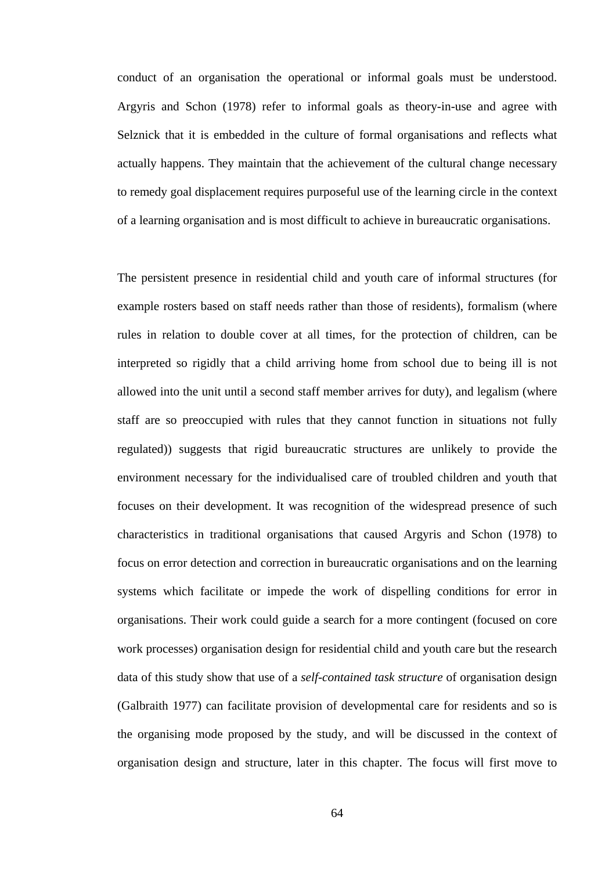conduct of an organisation the operational or informal goals must be understood. Argyris and Schon (1978) refer to informal goals as theory-in-use and agree with Selznick that it is embedded in the culture of formal organisations and reflects what actually happens. They maintain that the achievement of the cultural change necessary to remedy goal displacement requires purposeful use of the learning circle in the context of a learning organisation and is most difficult to achieve in bureaucratic organisations.

The persistent presence in residential child and youth care of informal structures (for example rosters based on staff needs rather than those of residents), formalism (where rules in relation to double cover at all times, for the protection of children, can be interpreted so rigidly that a child arriving home from school due to being ill is not allowed into the unit until a second staff member arrives for duty), and legalism (where staff are so preoccupied with rules that they cannot function in situations not fully regulated)) suggests that rigid bureaucratic structures are unlikely to provide the environment necessary for the individualised care of troubled children and youth that focuses on their development. It was recognition of the widespread presence of such characteristics in traditional organisations that caused Argyris and Schon (1978) to focus on error detection and correction in bureaucratic organisations and on the learning systems which facilitate or impede the work of dispelling conditions for error in organisations. Their work could guide a search for a more contingent (focused on core work processes) organisation design for residential child and youth care but the research data of this study show that use of a *self-contained task structure* of organisation design (Galbraith 1977) can facilitate provision of developmental care for residents and so is the organising mode proposed by the study, and will be discussed in the context of organisation design and structure, later in this chapter. The focus will first move to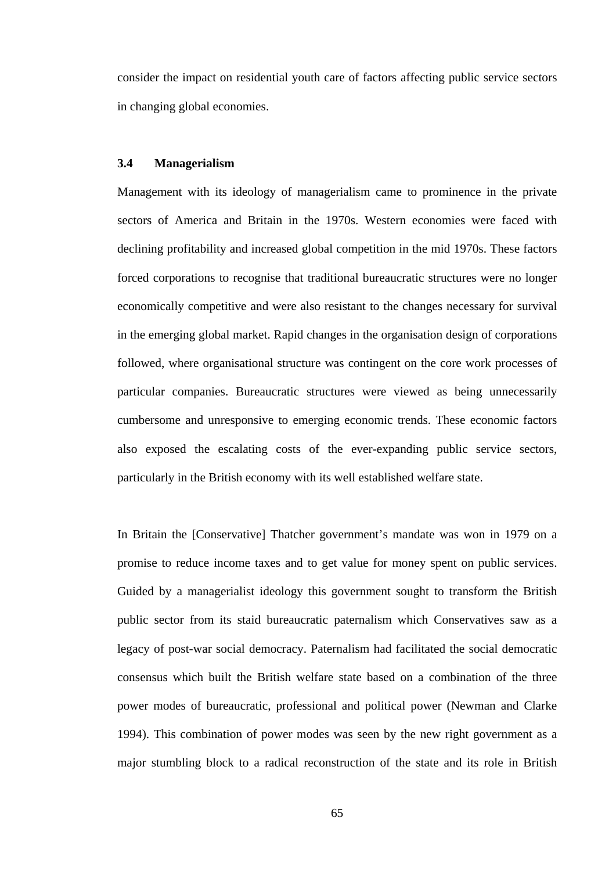consider the impact on residential youth care of factors affecting public service sectors in changing global economies.

### **3.4 Managerialism**

Management with its ideology of managerialism came to prominence in the private sectors of America and Britain in the 1970s. Western economies were faced with declining profitability and increased global competition in the mid 1970s. These factors forced corporations to recognise that traditional bureaucratic structures were no longer economically competitive and were also resistant to the changes necessary for survival in the emerging global market. Rapid changes in the organisation design of corporations followed, where organisational structure was contingent on the core work processes of particular companies. Bureaucratic structures were viewed as being unnecessarily cumbersome and unresponsive to emerging economic trends. These economic factors also exposed the escalating costs of the ever-expanding public service sectors, particularly in the British economy with its well established welfare state.

In Britain the [Conservative] Thatcher government's mandate was won in 1979 on a promise to reduce income taxes and to get value for money spent on public services. Guided by a managerialist ideology this government sought to transform the British public sector from its staid bureaucratic paternalism which Conservatives saw as a legacy of post-war social democracy. Paternalism had facilitated the social democratic consensus which built the British welfare state based on a combination of the three power modes of bureaucratic, professional and political power (Newman and Clarke 1994). This combination of power modes was seen by the new right government as a major stumbling block to a radical reconstruction of the state and its role in British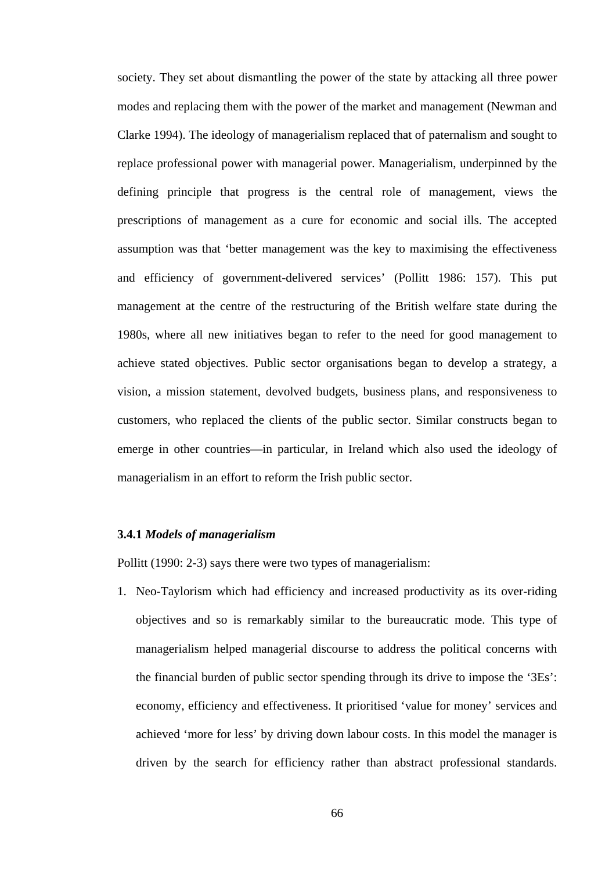society. They set about dismantling the power of the state by attacking all three power modes and replacing them with the power of the market and management (Newman and Clarke 1994). The ideology of managerialism replaced that of paternalism and sought to replace professional power with managerial power. Managerialism, underpinned by the defining principle that progress is the central role of management, views the prescriptions of management as a cure for economic and social ills. The accepted assumption was that 'better management was the key to maximising the effectiveness and efficiency of government-delivered services' (Pollitt 1986: 157). This put management at the centre of the restructuring of the British welfare state during the 1980s, where all new initiatives began to refer to the need for good management to achieve stated objectives. Public sector organisations began to develop a strategy, a vision, a mission statement, devolved budgets, business plans, and responsiveness to customers, who replaced the clients of the public sector. Similar constructs began to emerge in other countries—in particular, in Ireland which also used the ideology of managerialism in an effort to reform the Irish public sector.

#### **3.4.1** *Models of managerialism*

Pollitt (1990: 2-3) says there were two types of managerialism:

1. Neo-Taylorism which had efficiency and increased productivity as its over-riding objectives and so is remarkably similar to the bureaucratic mode. This type of managerialism helped managerial discourse to address the political concerns with the financial burden of public sector spending through its drive to impose the '3Es': economy, efficiency and effectiveness. It prioritised 'value for money' services and achieved 'more for less' by driving down labour costs. In this model the manager is driven by the search for efficiency rather than abstract professional standards.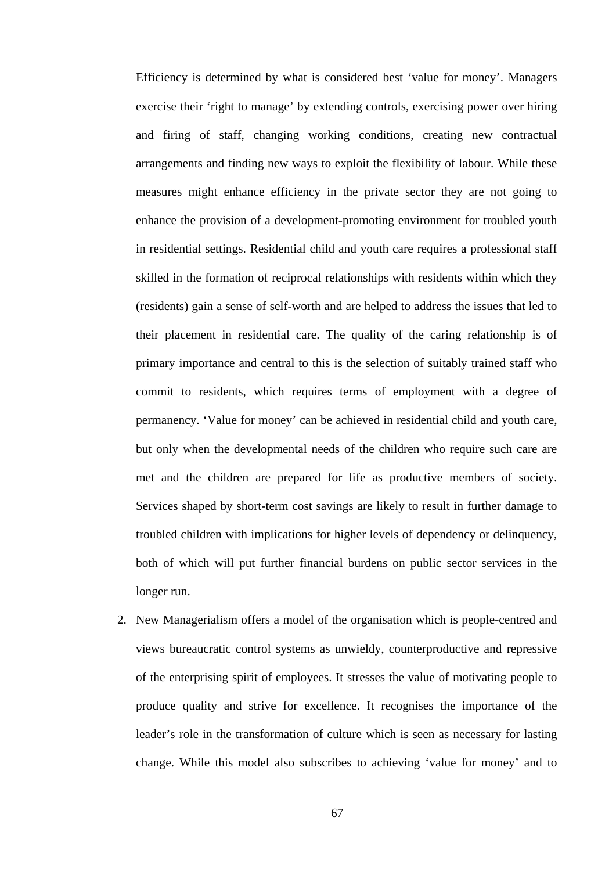Efficiency is determined by what is considered best 'value for money'. Managers exercise their 'right to manage' by extending controls, exercising power over hiring and firing of staff, changing working conditions, creating new contractual arrangements and finding new ways to exploit the flexibility of labour. While these measures might enhance efficiency in the private sector they are not going to enhance the provision of a development-promoting environment for troubled youth in residential settings. Residential child and youth care requires a professional staff skilled in the formation of reciprocal relationships with residents within which they (residents) gain a sense of self-worth and are helped to address the issues that led to their placement in residential care. The quality of the caring relationship is of primary importance and central to this is the selection of suitably trained staff who commit to residents, which requires terms of employment with a degree of permanency. 'Value for money' can be achieved in residential child and youth care, but only when the developmental needs of the children who require such care are met and the children are prepared for life as productive members of society. Services shaped by short-term cost savings are likely to result in further damage to troubled children with implications for higher levels of dependency or delinquency, both of which will put further financial burdens on public sector services in the longer run.

2. New Managerialism offers a model of the organisation which is people-centred and views bureaucratic control systems as unwieldy, counterproductive and repressive of the enterprising spirit of employees. It stresses the value of motivating people to produce quality and strive for excellence. It recognises the importance of the leader's role in the transformation of culture which is seen as necessary for lasting change. While this model also subscribes to achieving 'value for money' and to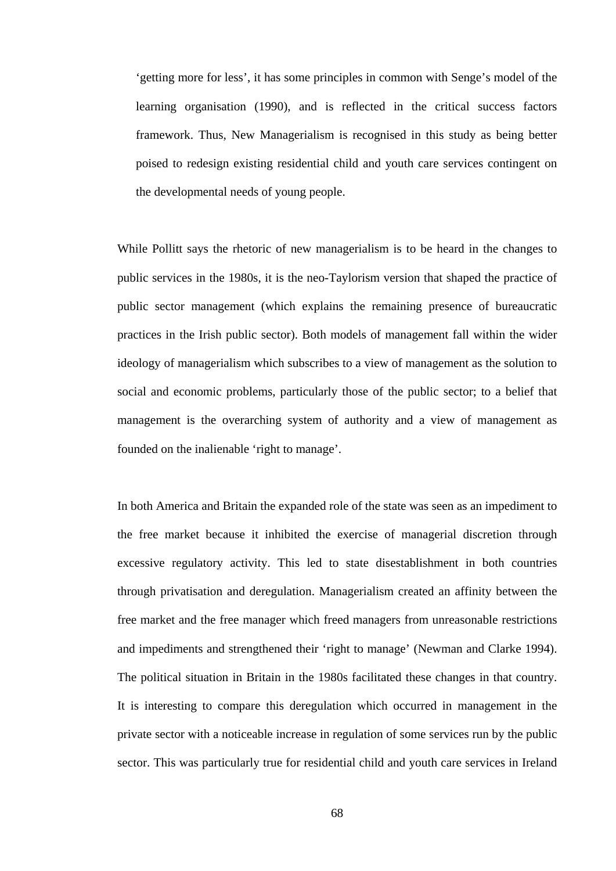'getting more for less', it has some principles in common with Senge's model of the learning organisation (1990), and is reflected in the critical success factors framework. Thus, New Managerialism is recognised in this study as being better poised to redesign existing residential child and youth care services contingent on the developmental needs of young people.

While Pollitt says the rhetoric of new managerialism is to be heard in the changes to public services in the 1980s, it is the neo-Taylorism version that shaped the practice of public sector management (which explains the remaining presence of bureaucratic practices in the Irish public sector). Both models of management fall within the wider ideology of managerialism which subscribes to a view of management as the solution to social and economic problems, particularly those of the public sector; to a belief that management is the overarching system of authority and a view of management as founded on the inalienable 'right to manage'.

In both America and Britain the expanded role of the state was seen as an impediment to the free market because it inhibited the exercise of managerial discretion through excessive regulatory activity. This led to state disestablishment in both countries through privatisation and deregulation. Managerialism created an affinity between the free market and the free manager which freed managers from unreasonable restrictions and impediments and strengthened their 'right to manage' (Newman and Clarke 1994). The political situation in Britain in the 1980s facilitated these changes in that country. It is interesting to compare this deregulation which occurred in management in the private sector with a noticeable increase in regulation of some services run by the public sector. This was particularly true for residential child and youth care services in Ireland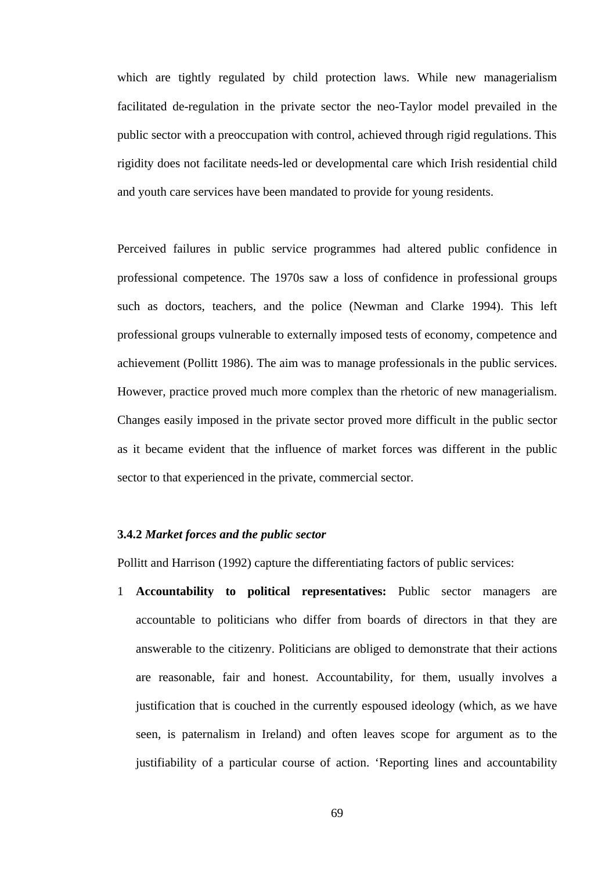which are tightly regulated by child protection laws. While new managerialism facilitated de-regulation in the private sector the neo-Taylor model prevailed in the public sector with a preoccupation with control, achieved through rigid regulations. This rigidity does not facilitate needs-led or developmental care which Irish residential child and youth care services have been mandated to provide for young residents.

Perceived failures in public service programmes had altered public confidence in professional competence. The 1970s saw a loss of confidence in professional groups such as doctors, teachers, and the police (Newman and Clarke 1994). This left professional groups vulnerable to externally imposed tests of economy, competence and achievement (Pollitt 1986). The aim was to manage professionals in the public services. However, practice proved much more complex than the rhetoric of new managerialism. Changes easily imposed in the private sector proved more difficult in the public sector as it became evident that the influence of market forces was different in the public sector to that experienced in the private, commercial sector.

## **3.4.2** *Market forces and the public sector*

Pollitt and Harrison (1992) capture the differentiating factors of public services:

1 **Accountability to political representatives:** Public sector managers are accountable to politicians who differ from boards of directors in that they are answerable to the citizenry. Politicians are obliged to demonstrate that their actions are reasonable, fair and honest. Accountability, for them, usually involves a justification that is couched in the currently espoused ideology (which, as we have seen, is paternalism in Ireland) and often leaves scope for argument as to the justifiability of a particular course of action. 'Reporting lines and accountability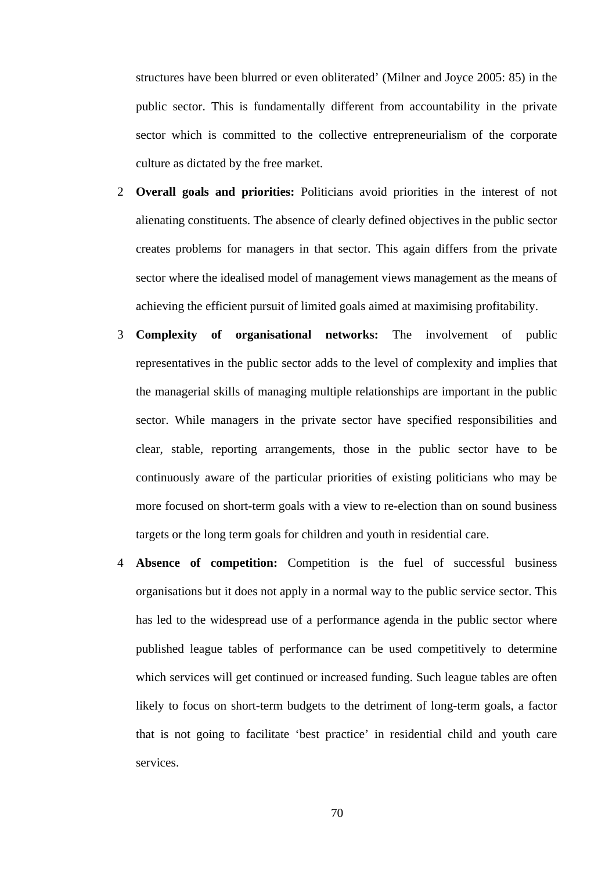structures have been blurred or even obliterated' (Milner and Joyce 2005: 85) in the public sector. This is fundamentally different from accountability in the private sector which is committed to the collective entrepreneurialism of the corporate culture as dictated by the free market.

- 2 **Overall goals and priorities:** Politicians avoid priorities in the interest of not alienating constituents. The absence of clearly defined objectives in the public sector creates problems for managers in that sector. This again differs from the private sector where the idealised model of management views management as the means of achieving the efficient pursuit of limited goals aimed at maximising profitability.
- 3 **Complexity of organisational networks:** The involvement of public representatives in the public sector adds to the level of complexity and implies that the managerial skills of managing multiple relationships are important in the public sector. While managers in the private sector have specified responsibilities and clear, stable, reporting arrangements, those in the public sector have to be continuously aware of the particular priorities of existing politicians who may be more focused on short-term goals with a view to re-election than on sound business targets or the long term goals for children and youth in residential care.
- 4 **Absence of competition:** Competition is the fuel of successful business organisations but it does not apply in a normal way to the public service sector. This has led to the widespread use of a performance agenda in the public sector where published league tables of performance can be used competitively to determine which services will get continued or increased funding. Such league tables are often likely to focus on short-term budgets to the detriment of long-term goals, a factor that is not going to facilitate 'best practice' in residential child and youth care services.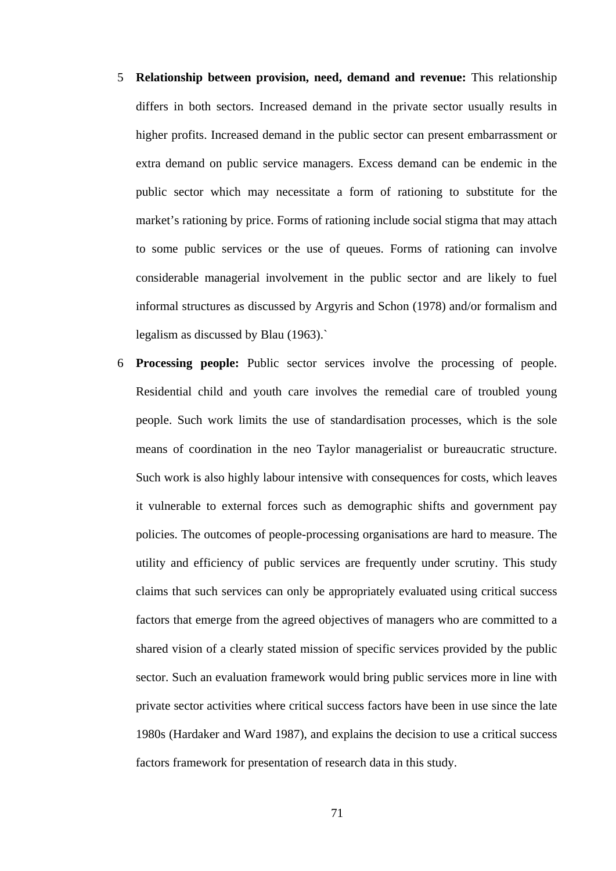- 5 **Relationship between provision, need, demand and revenue:** This relationship differs in both sectors. Increased demand in the private sector usually results in higher profits. Increased demand in the public sector can present embarrassment or extra demand on public service managers. Excess demand can be endemic in the public sector which may necessitate a form of rationing to substitute for the market's rationing by price. Forms of rationing include social stigma that may attach to some public services or the use of queues. Forms of rationing can involve considerable managerial involvement in the public sector and are likely to fuel informal structures as discussed by Argyris and Schon (1978) and/or formalism and legalism as discussed by Blau (1963).`
- 6 **Processing people:** Public sector services involve the processing of people. Residential child and youth care involves the remedial care of troubled young people. Such work limits the use of standardisation processes, which is the sole means of coordination in the neo Taylor managerialist or bureaucratic structure. Such work is also highly labour intensive with consequences for costs, which leaves it vulnerable to external forces such as demographic shifts and government pay policies. The outcomes of people-processing organisations are hard to measure. The utility and efficiency of public services are frequently under scrutiny. This study claims that such services can only be appropriately evaluated using critical success factors that emerge from the agreed objectives of managers who are committed to a shared vision of a clearly stated mission of specific services provided by the public sector. Such an evaluation framework would bring public services more in line with private sector activities where critical success factors have been in use since the late 1980s (Hardaker and Ward 1987), and explains the decision to use a critical success factors framework for presentation of research data in this study.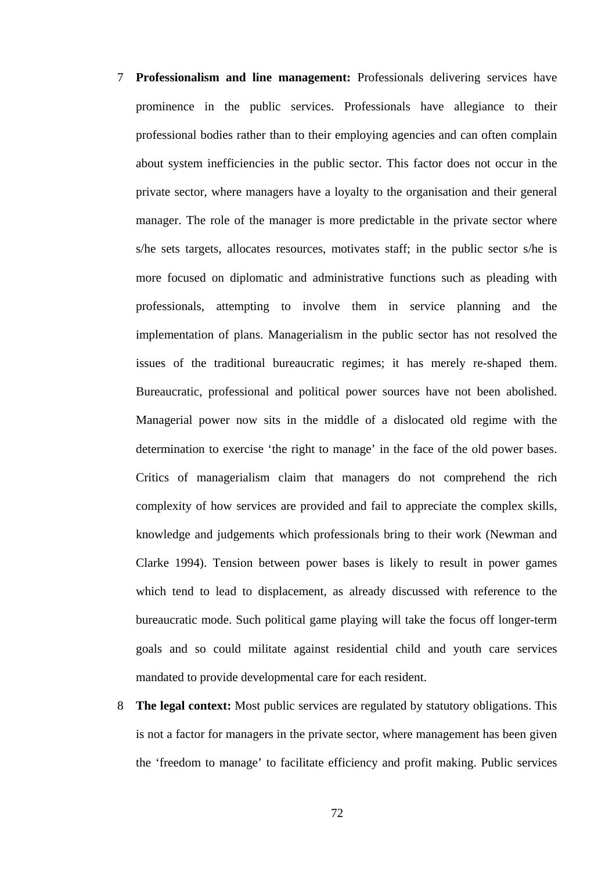- 7 **Professionalism and line management:** Professionals delivering services have prominence in the public services. Professionals have allegiance to their professional bodies rather than to their employing agencies and can often complain about system inefficiencies in the public sector. This factor does not occur in the private sector, where managers have a loyalty to the organisation and their general manager. The role of the manager is more predictable in the private sector where s/he sets targets, allocates resources, motivates staff; in the public sector s/he is more focused on diplomatic and administrative functions such as pleading with professionals, attempting to involve them in service planning and the implementation of plans. Managerialism in the public sector has not resolved the issues of the traditional bureaucratic regimes; it has merely re-shaped them. Bureaucratic, professional and political power sources have not been abolished. Managerial power now sits in the middle of a dislocated old regime with the determination to exercise 'the right to manage' in the face of the old power bases. Critics of managerialism claim that managers do not comprehend the rich complexity of how services are provided and fail to appreciate the complex skills, knowledge and judgements which professionals bring to their work (Newman and Clarke 1994). Tension between power bases is likely to result in power games which tend to lead to displacement, as already discussed with reference to the bureaucratic mode. Such political game playing will take the focus off longer-term goals and so could militate against residential child and youth care services mandated to provide developmental care for each resident.
- 8 **The legal context:** Most public services are regulated by statutory obligations. This is not a factor for managers in the private sector, where management has been given the 'freedom to manage' to facilitate efficiency and profit making. Public services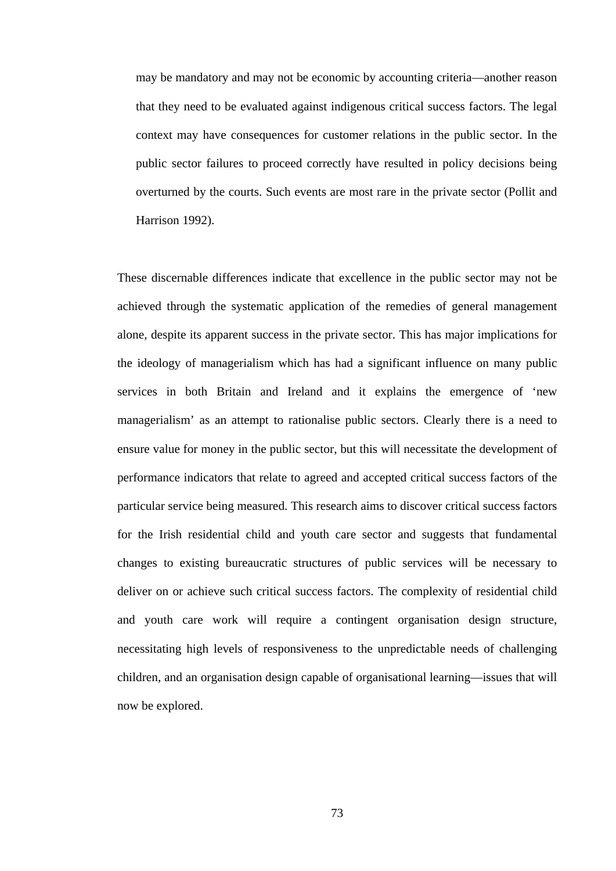may be mandatory and may not be economic by accounting criteria—another reason that they need to be evaluated against indigenous critical success factors. The legal context may have consequences for customer relations in the public sector. In the public sector failures to proceed correctly have resulted in policy decisions being overturned by the courts. Such events are most rare in the private sector (Pollit and Harrison 1992).

These discernable differences indicate that excellence in the public sector may not be achieved through the systematic application of the remedies of general management alone, despite its apparent success in the private sector. This has major implications for the ideology of managerialism which has had a significant influence on many public services in both Britain and Ireland and it explains the emergence of 'new managerialism' as an attempt to rationalise public sectors. Clearly there is a need to ensure value for money in the public sector, but this will necessitate the development of performance indicators that relate to agreed and accepted critical success factors of the particular service being measured. This research aims to discover critical success factors for the Irish residential child and youth care sector and suggests that fundamental changes to existing bureaucratic structures of public services will be necessary to deliver on or achieve such critical success factors. The complexity of residential child and youth care work will require a contingent organisation design structure, necessitating high levels of responsiveness to the unpredictable needs of challenging children, and an organisation design capable of organisational learning—issues that will now be explored.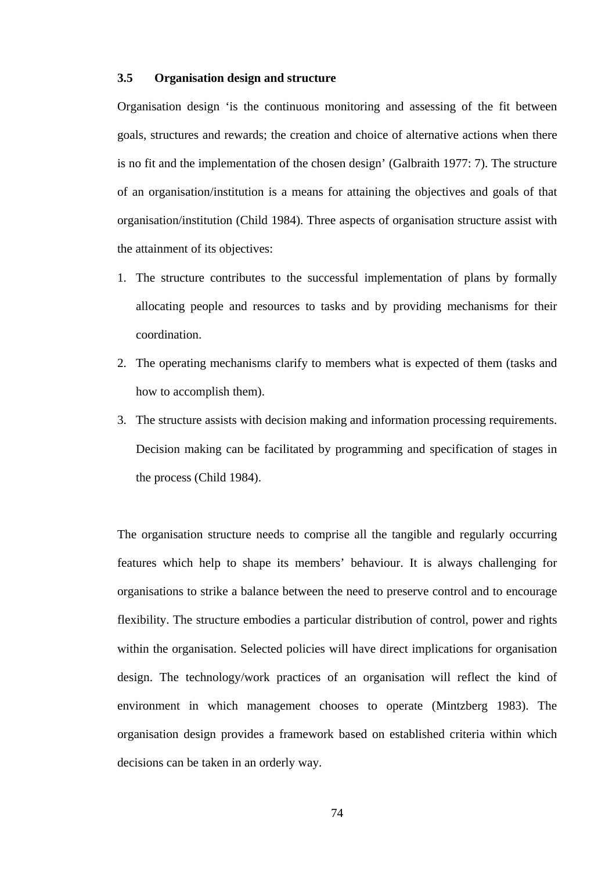# **3.5 Organisation design and structure**

Organisation design 'is the continuous monitoring and assessing of the fit between goals, structures and rewards; the creation and choice of alternative actions when there is no fit and the implementation of the chosen design' (Galbraith 1977: 7). The structure of an organisation/institution is a means for attaining the objectives and goals of that organisation/institution (Child 1984). Three aspects of organisation structure assist with the attainment of its objectives:

- 1. The structure contributes to the successful implementation of plans by formally allocating people and resources to tasks and by providing mechanisms for their coordination.
- 2. The operating mechanisms clarify to members what is expected of them (tasks and how to accomplish them).
- 3. The structure assists with decision making and information processing requirements. Decision making can be facilitated by programming and specification of stages in the process (Child 1984).

The organisation structure needs to comprise all the tangible and regularly occurring features which help to shape its members' behaviour. It is always challenging for organisations to strike a balance between the need to preserve control and to encourage flexibility. The structure embodies a particular distribution of control, power and rights within the organisation. Selected policies will have direct implications for organisation design. The technology/work practices of an organisation will reflect the kind of environment in which management chooses to operate (Mintzberg 1983). The organisation design provides a framework based on established criteria within which decisions can be taken in an orderly way.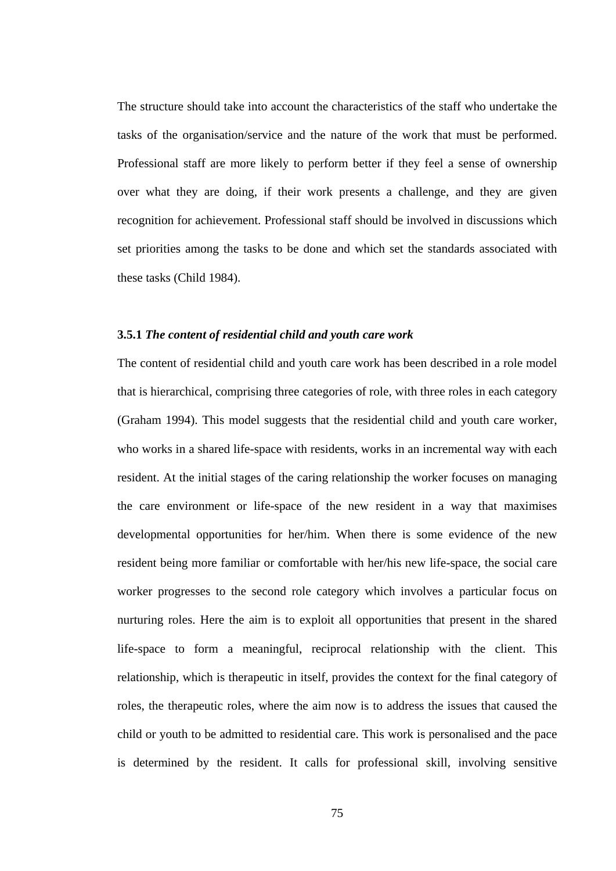The structure should take into account the characteristics of the staff who undertake the tasks of the organisation/service and the nature of the work that must be performed. Professional staff are more likely to perform better if they feel a sense of ownership over what they are doing, if their work presents a challenge, and they are given recognition for achievement. Professional staff should be involved in discussions which set priorities among the tasks to be done and which set the standards associated with these tasks (Child 1984).

# **3.5.1** *The content of residential child and youth care work*

The content of residential child and youth care work has been described in a role model that is hierarchical, comprising three categories of role, with three roles in each category (Graham 1994). This model suggests that the residential child and youth care worker, who works in a shared life-space with residents, works in an incremental way with each resident. At the initial stages of the caring relationship the worker focuses on managing the care environment or life-space of the new resident in a way that maximises developmental opportunities for her/him. When there is some evidence of the new resident being more familiar or comfortable with her/his new life-space, the social care worker progresses to the second role category which involves a particular focus on nurturing roles. Here the aim is to exploit all opportunities that present in the shared life-space to form a meaningful, reciprocal relationship with the client. This relationship, which is therapeutic in itself, provides the context for the final category of roles, the therapeutic roles, where the aim now is to address the issues that caused the child or youth to be admitted to residential care. This work is personalised and the pace is determined by the resident. It calls for professional skill, involving sensitive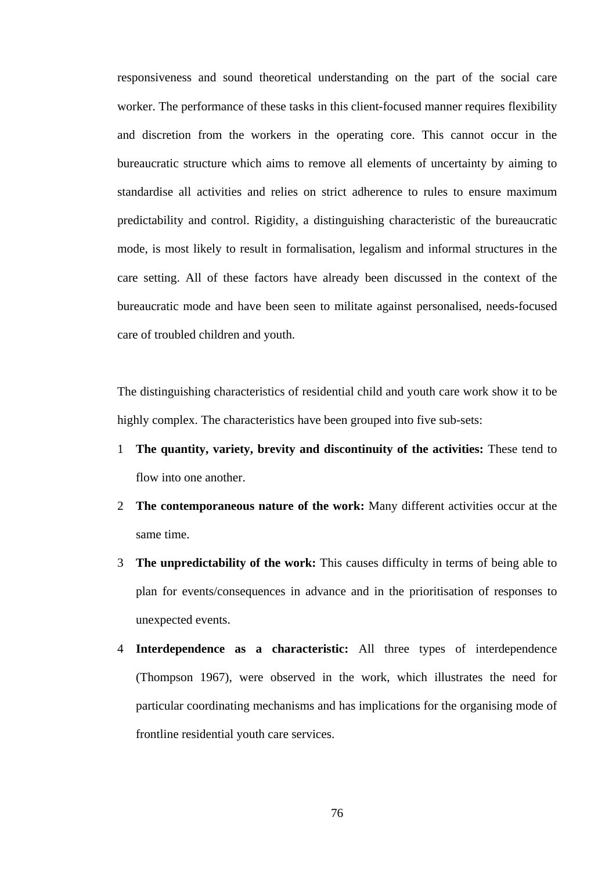responsiveness and sound theoretical understanding on the part of the social care worker. The performance of these tasks in this client-focused manner requires flexibility and discretion from the workers in the operating core. This cannot occur in the bureaucratic structure which aims to remove all elements of uncertainty by aiming to standardise all activities and relies on strict adherence to rules to ensure maximum predictability and control. Rigidity, a distinguishing characteristic of the bureaucratic mode, is most likely to result in formalisation, legalism and informal structures in the care setting. All of these factors have already been discussed in the context of the bureaucratic mode and have been seen to militate against personalised, needs-focused care of troubled children and youth.

The distinguishing characteristics of residential child and youth care work show it to be highly complex. The characteristics have been grouped into five sub-sets:

- 1 **The quantity, variety, brevity and discontinuity of the activities:** These tend to flow into one another.
- 2 **The contemporaneous nature of the work:** Many different activities occur at the same time.
- 3 **The unpredictability of the work:** This causes difficulty in terms of being able to plan for events/consequences in advance and in the prioritisation of responses to unexpected events.
- 4 **Interdependence as a characteristic:** All three types of interdependence (Thompson 1967), were observed in the work, which illustrates the need for particular coordinating mechanisms and has implications for the organising mode of frontline residential youth care services.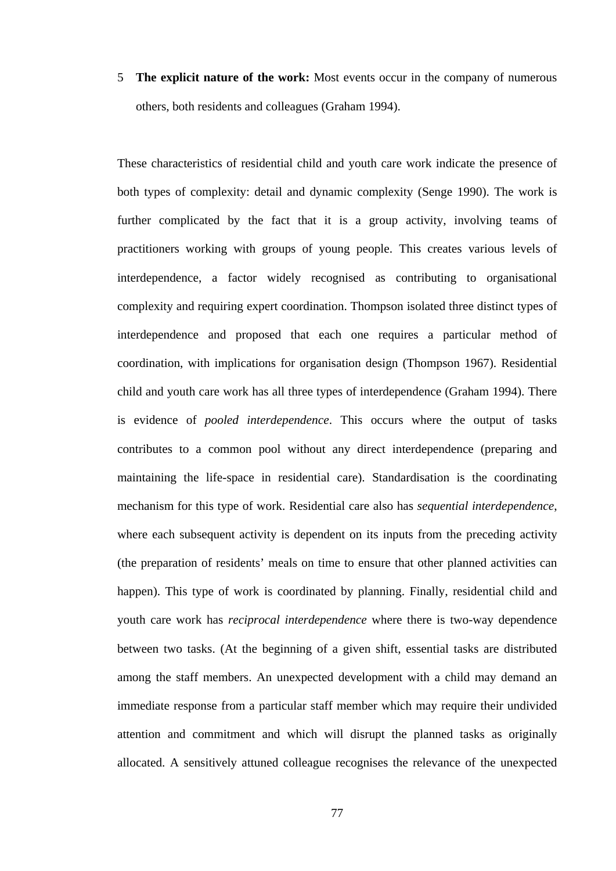5 **The explicit nature of the work:** Most events occur in the company of numerous others, both residents and colleagues (Graham 1994).

These characteristics of residential child and youth care work indicate the presence of both types of complexity: detail and dynamic complexity (Senge 1990). The work is further complicated by the fact that it is a group activity, involving teams of practitioners working with groups of young people. This creates various levels of interdependence, a factor widely recognised as contributing to organisational complexity and requiring expert coordination. Thompson isolated three distinct types of interdependence and proposed that each one requires a particular method of coordination, with implications for organisation design (Thompson 1967). Residential child and youth care work has all three types of interdependence (Graham 1994). There is evidence of *pooled interdependence*. This occurs where the output of tasks contributes to a common pool without any direct interdependence (preparing and maintaining the life-space in residential care). Standardisation is the coordinating mechanism for this type of work. Residential care also has *sequential interdependence*, where each subsequent activity is dependent on its inputs from the preceding activity (the preparation of residents' meals on time to ensure that other planned activities can happen). This type of work is coordinated by planning. Finally, residential child and youth care work has *reciprocal interdependence* where there is two-way dependence between two tasks. (At the beginning of a given shift, essential tasks are distributed among the staff members. An unexpected development with a child may demand an immediate response from a particular staff member which may require their undivided attention and commitment and which will disrupt the planned tasks as originally allocated. A sensitively attuned colleague recognises the relevance of the unexpected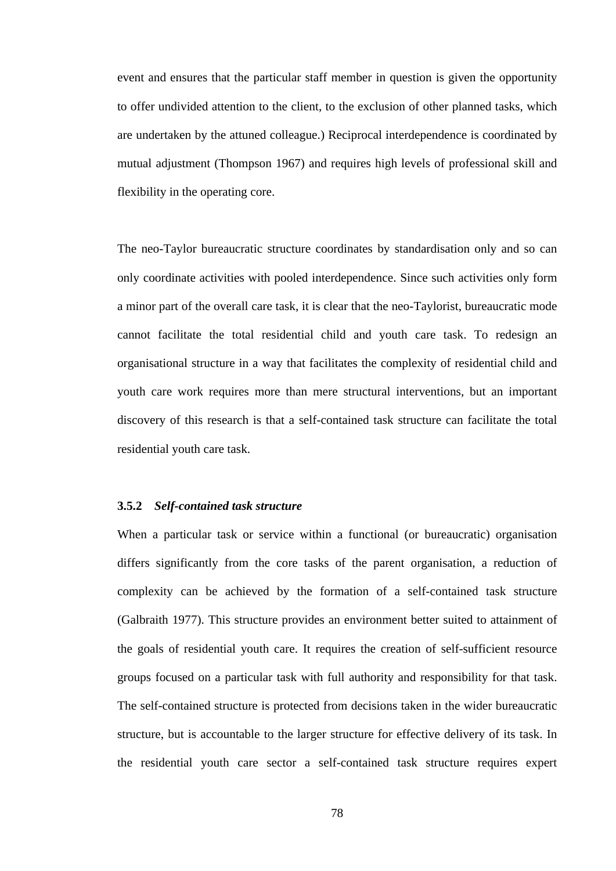event and ensures that the particular staff member in question is given the opportunity to offer undivided attention to the client, to the exclusion of other planned tasks, which are undertaken by the attuned colleague.) Reciprocal interdependence is coordinated by mutual adjustment (Thompson 1967) and requires high levels of professional skill and flexibility in the operating core.

The neo-Taylor bureaucratic structure coordinates by standardisation only and so can only coordinate activities with pooled interdependence. Since such activities only form a minor part of the overall care task, it is clear that the neo-Taylorist, bureaucratic mode cannot facilitate the total residential child and youth care task. To redesign an organisational structure in a way that facilitates the complexity of residential child and youth care work requires more than mere structural interventions, but an important discovery of this research is that a self-contained task structure can facilitate the total residential youth care task.

# **3.5.2** *Self-contained task structure*

When a particular task or service within a functional (or bureaucratic) organisation differs significantly from the core tasks of the parent organisation, a reduction of complexity can be achieved by the formation of a self-contained task structure (Galbraith 1977). This structure provides an environment better suited to attainment of the goals of residential youth care. It requires the creation of self-sufficient resource groups focused on a particular task with full authority and responsibility for that task. The self-contained structure is protected from decisions taken in the wider bureaucratic structure, but is accountable to the larger structure for effective delivery of its task. In the residential youth care sector a self-contained task structure requires expert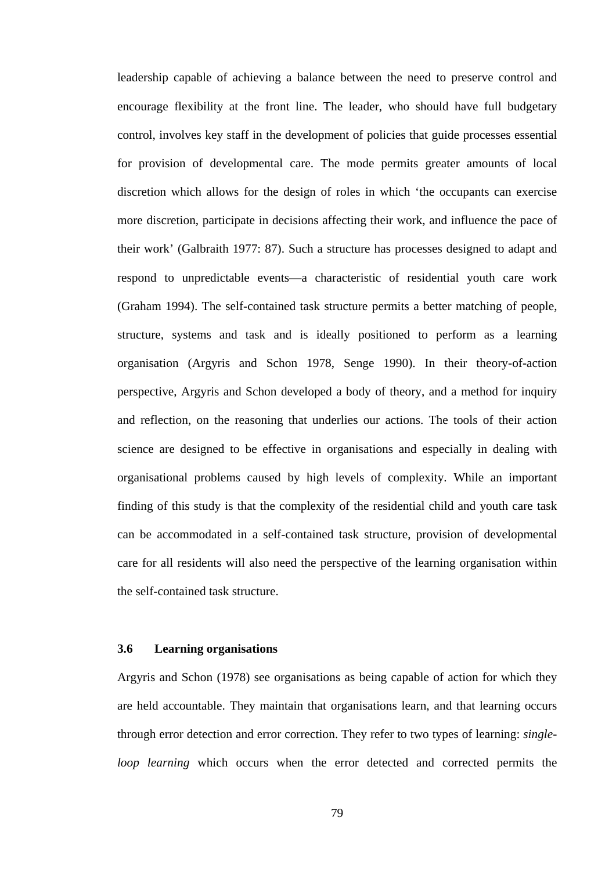leadership capable of achieving a balance between the need to preserve control and encourage flexibility at the front line. The leader, who should have full budgetary control, involves key staff in the development of policies that guide processes essential for provision of developmental care. The mode permits greater amounts of local discretion which allows for the design of roles in which 'the occupants can exercise more discretion, participate in decisions affecting their work, and influence the pace of their work' (Galbraith 1977: 87). Such a structure has processes designed to adapt and respond to unpredictable events—a characteristic of residential youth care work (Graham 1994). The self-contained task structure permits a better matching of people, structure, systems and task and is ideally positioned to perform as a learning organisation (Argyris and Schon 1978, Senge 1990). In their theory-of-action perspective, Argyris and Schon developed a body of theory, and a method for inquiry and reflection, on the reasoning that underlies our actions. The tools of their action science are designed to be effective in organisations and especially in dealing with organisational problems caused by high levels of complexity. While an important finding of this study is that the complexity of the residential child and youth care task can be accommodated in a self-contained task structure, provision of developmental care for all residents will also need the perspective of the learning organisation within the self-contained task structure.

## **3.6 Learning organisations**

Argyris and Schon (1978) see organisations as being capable of action for which they are held accountable. They maintain that organisations learn, and that learning occurs through error detection and error correction. They refer to two types of learning: *singleloop learning* which occurs when the error detected and corrected permits the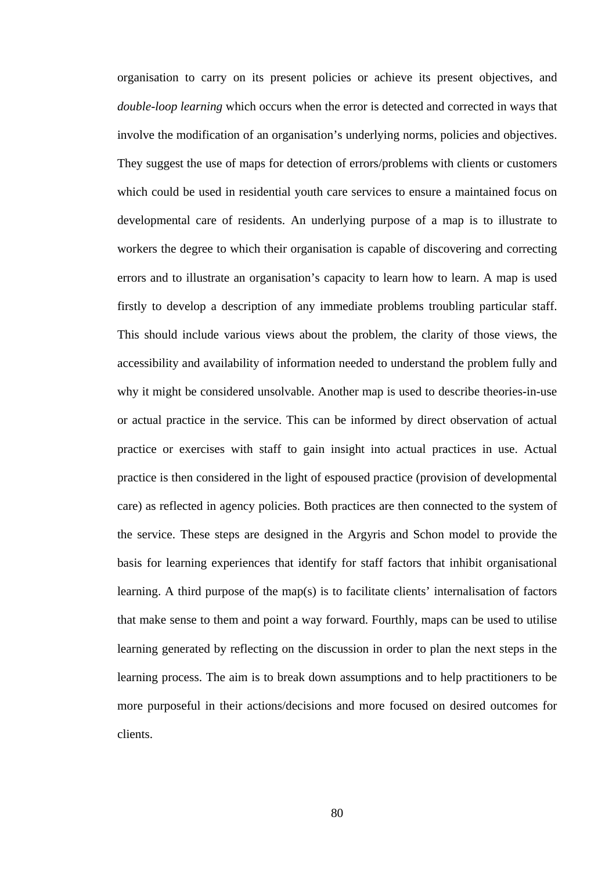organisation to carry on its present policies or achieve its present objectives, and *double-loop learning* which occurs when the error is detected and corrected in ways that involve the modification of an organisation's underlying norms, policies and objectives. They suggest the use of maps for detection of errors/problems with clients or customers which could be used in residential youth care services to ensure a maintained focus on developmental care of residents. An underlying purpose of a map is to illustrate to workers the degree to which their organisation is capable of discovering and correcting errors and to illustrate an organisation's capacity to learn how to learn. A map is used firstly to develop a description of any immediate problems troubling particular staff. This should include various views about the problem, the clarity of those views, the accessibility and availability of information needed to understand the problem fully and why it might be considered unsolvable. Another map is used to describe theories-in-use or actual practice in the service. This can be informed by direct observation of actual practice or exercises with staff to gain insight into actual practices in use. Actual practice is then considered in the light of espoused practice (provision of developmental care) as reflected in agency policies. Both practices are then connected to the system of the service. These steps are designed in the Argyris and Schon model to provide the basis for learning experiences that identify for staff factors that inhibit organisational learning. A third purpose of the map(s) is to facilitate clients' internalisation of factors that make sense to them and point a way forward. Fourthly, maps can be used to utilise learning generated by reflecting on the discussion in order to plan the next steps in the learning process. The aim is to break down assumptions and to help practitioners to be more purposeful in their actions/decisions and more focused on desired outcomes for clients.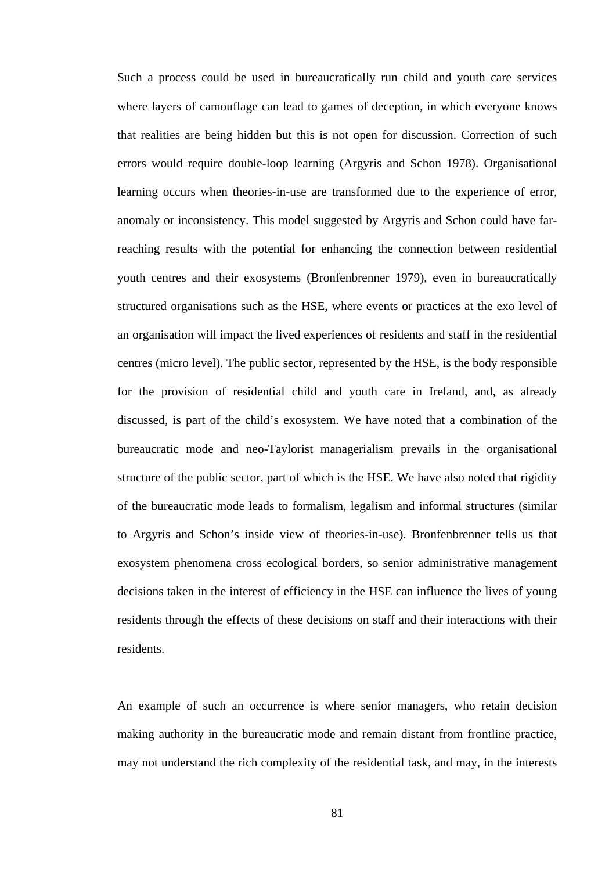Such a process could be used in bureaucratically run child and youth care services where layers of camouflage can lead to games of deception, in which everyone knows that realities are being hidden but this is not open for discussion. Correction of such errors would require double-loop learning (Argyris and Schon 1978). Organisational learning occurs when theories-in-use are transformed due to the experience of error, anomaly or inconsistency. This model suggested by Argyris and Schon could have farreaching results with the potential for enhancing the connection between residential youth centres and their exosystems (Bronfenbrenner 1979), even in bureaucratically structured organisations such as the HSE, where events or practices at the exo level of an organisation will impact the lived experiences of residents and staff in the residential centres (micro level). The public sector, represented by the HSE, is the body responsible for the provision of residential child and youth care in Ireland, and, as already discussed, is part of the child's exosystem. We have noted that a combination of the bureaucratic mode and neo-Taylorist managerialism prevails in the organisational structure of the public sector, part of which is the HSE. We have also noted that rigidity of the bureaucratic mode leads to formalism, legalism and informal structures (similar to Argyris and Schon's inside view of theories-in-use). Bronfenbrenner tells us that exosystem phenomena cross ecological borders, so senior administrative management decisions taken in the interest of efficiency in the HSE can influence the lives of young residents through the effects of these decisions on staff and their interactions with their residents.

An example of such an occurrence is where senior managers, who retain decision making authority in the bureaucratic mode and remain distant from frontline practice, may not understand the rich complexity of the residential task, and may, in the interests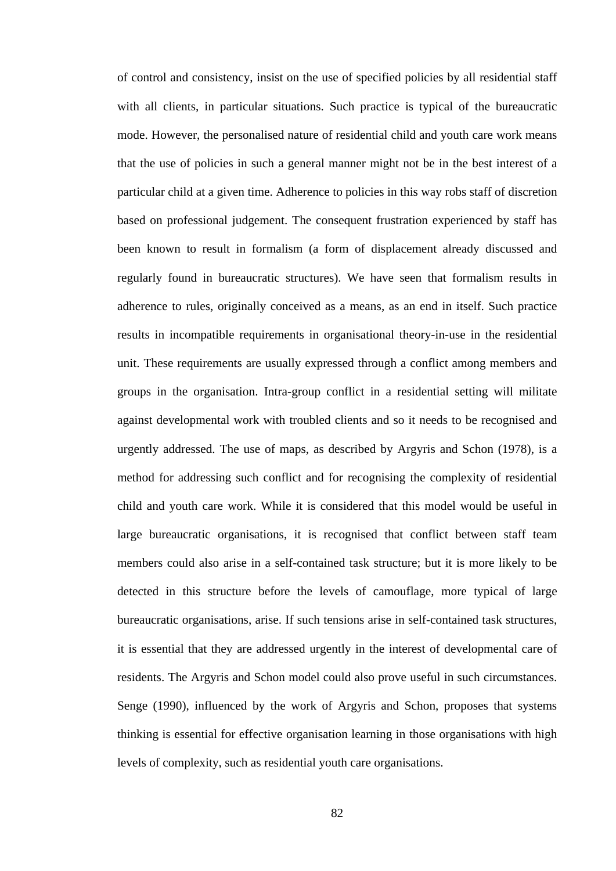of control and consistency, insist on the use of specified policies by all residential staff with all clients, in particular situations. Such practice is typical of the bureaucratic mode. However, the personalised nature of residential child and youth care work means that the use of policies in such a general manner might not be in the best interest of a particular child at a given time. Adherence to policies in this way robs staff of discretion based on professional judgement. The consequent frustration experienced by staff has been known to result in formalism (a form of displacement already discussed and regularly found in bureaucratic structures). We have seen that formalism results in adherence to rules, originally conceived as a means, as an end in itself. Such practice results in incompatible requirements in organisational theory-in-use in the residential unit. These requirements are usually expressed through a conflict among members and groups in the organisation. Intra-group conflict in a residential setting will militate against developmental work with troubled clients and so it needs to be recognised and urgently addressed. The use of maps, as described by Argyris and Schon (1978), is a method for addressing such conflict and for recognising the complexity of residential child and youth care work. While it is considered that this model would be useful in large bureaucratic organisations, it is recognised that conflict between staff team members could also arise in a self-contained task structure; but it is more likely to be detected in this structure before the levels of camouflage, more typical of large bureaucratic organisations, arise. If such tensions arise in self-contained task structures, it is essential that they are addressed urgently in the interest of developmental care of residents. The Argyris and Schon model could also prove useful in such circumstances. Senge (1990), influenced by the work of Argyris and Schon, proposes that systems thinking is essential for effective organisation learning in those organisations with high levels of complexity, such as residential youth care organisations.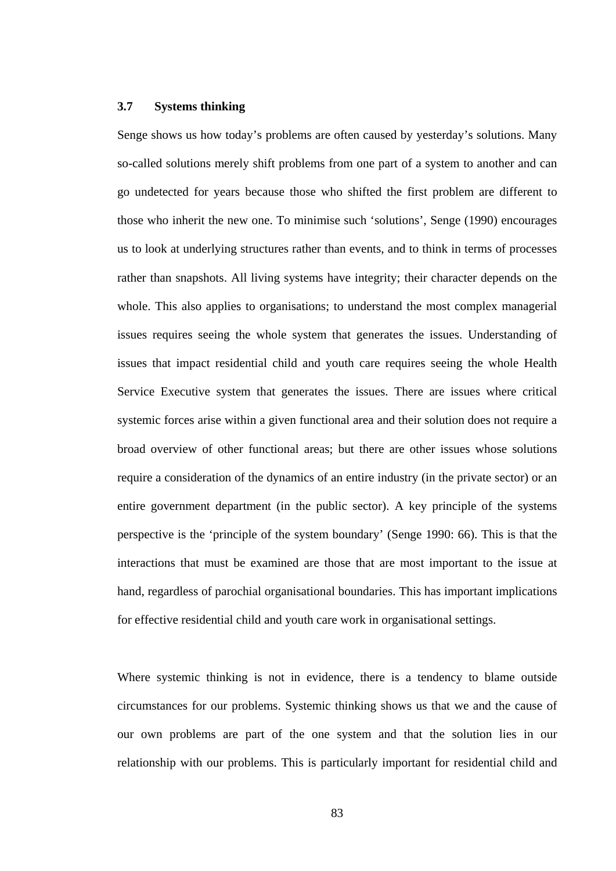#### **3.7 Systems thinking**

Senge shows us how today's problems are often caused by yesterday's solutions. Many so-called solutions merely shift problems from one part of a system to another and can go undetected for years because those who shifted the first problem are different to those who inherit the new one. To minimise such 'solutions', Senge (1990) encourages us to look at underlying structures rather than events, and to think in terms of processes rather than snapshots. All living systems have integrity; their character depends on the whole. This also applies to organisations; to understand the most complex managerial issues requires seeing the whole system that generates the issues. Understanding of issues that impact residential child and youth care requires seeing the whole Health Service Executive system that generates the issues. There are issues where critical systemic forces arise within a given functional area and their solution does not require a broad overview of other functional areas; but there are other issues whose solutions require a consideration of the dynamics of an entire industry (in the private sector) or an entire government department (in the public sector). A key principle of the systems perspective is the 'principle of the system boundary' (Senge 1990: 66). This is that the interactions that must be examined are those that are most important to the issue at hand, regardless of parochial organisational boundaries. This has important implications for effective residential child and youth care work in organisational settings.

Where systemic thinking is not in evidence, there is a tendency to blame outside circumstances for our problems. Systemic thinking shows us that we and the cause of our own problems are part of the one system and that the solution lies in our relationship with our problems. This is particularly important for residential child and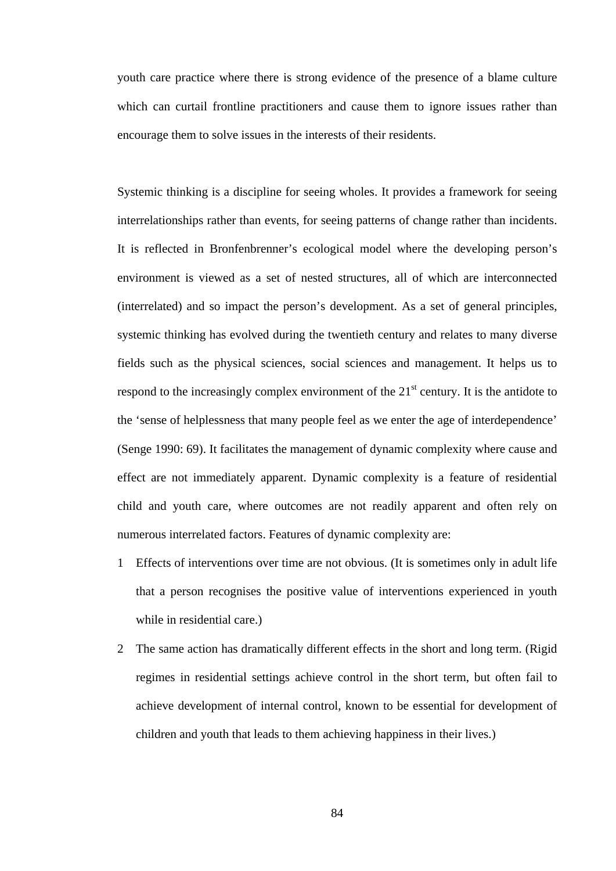youth care practice where there is strong evidence of the presence of a blame culture which can curtail frontline practitioners and cause them to ignore issues rather than encourage them to solve issues in the interests of their residents.

Systemic thinking is a discipline for seeing wholes. It provides a framework for seeing interrelationships rather than events, for seeing patterns of change rather than incidents. It is reflected in Bronfenbrenner's ecological model where the developing person's environment is viewed as a set of nested structures, all of which are interconnected (interrelated) and so impact the person's development. As a set of general principles, systemic thinking has evolved during the twentieth century and relates to many diverse fields such as the physical sciences, social sciences and management. It helps us to respond to the increasingly complex environment of the  $21<sup>st</sup>$  century. It is the antidote to the 'sense of helplessness that many people feel as we enter the age of interdependence' (Senge 1990: 69). It facilitates the management of dynamic complexity where cause and effect are not immediately apparent. Dynamic complexity is a feature of residential child and youth care, where outcomes are not readily apparent and often rely on numerous interrelated factors. Features of dynamic complexity are:

- 1 Effects of interventions over time are not obvious. (It is sometimes only in adult life that a person recognises the positive value of interventions experienced in youth while in residential care.)
- 2 The same action has dramatically different effects in the short and long term. (Rigid regimes in residential settings achieve control in the short term, but often fail to achieve development of internal control, known to be essential for development of children and youth that leads to them achieving happiness in their lives.)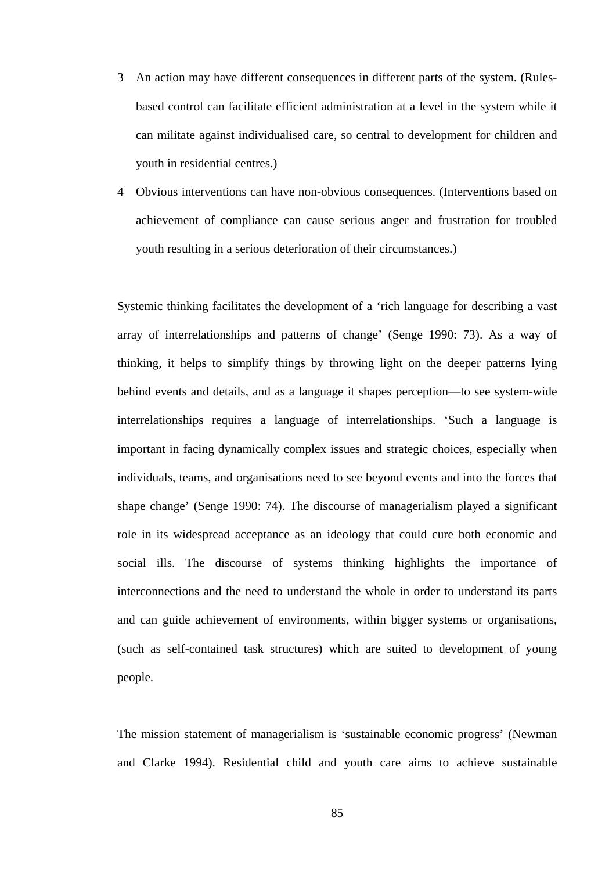- 3 An action may have different consequences in different parts of the system. (Rulesbased control can facilitate efficient administration at a level in the system while it can militate against individualised care, so central to development for children and youth in residential centres.)
- 4 Obvious interventions can have non-obvious consequences. (Interventions based on achievement of compliance can cause serious anger and frustration for troubled youth resulting in a serious deterioration of their circumstances.)

Systemic thinking facilitates the development of a 'rich language for describing a vast array of interrelationships and patterns of change' (Senge 1990: 73). As a way of thinking, it helps to simplify things by throwing light on the deeper patterns lying behind events and details, and as a language it shapes perception—to see system-wide interrelationships requires a language of interrelationships. 'Such a language is important in facing dynamically complex issues and strategic choices, especially when individuals, teams, and organisations need to see beyond events and into the forces that shape change' (Senge 1990: 74). The discourse of managerialism played a significant role in its widespread acceptance as an ideology that could cure both economic and social ills. The discourse of systems thinking highlights the importance of interconnections and the need to understand the whole in order to understand its parts and can guide achievement of environments, within bigger systems or organisations, (such as self-contained task structures) which are suited to development of young people.

The mission statement of managerialism is 'sustainable economic progress' (Newman and Clarke 1994). Residential child and youth care aims to achieve sustainable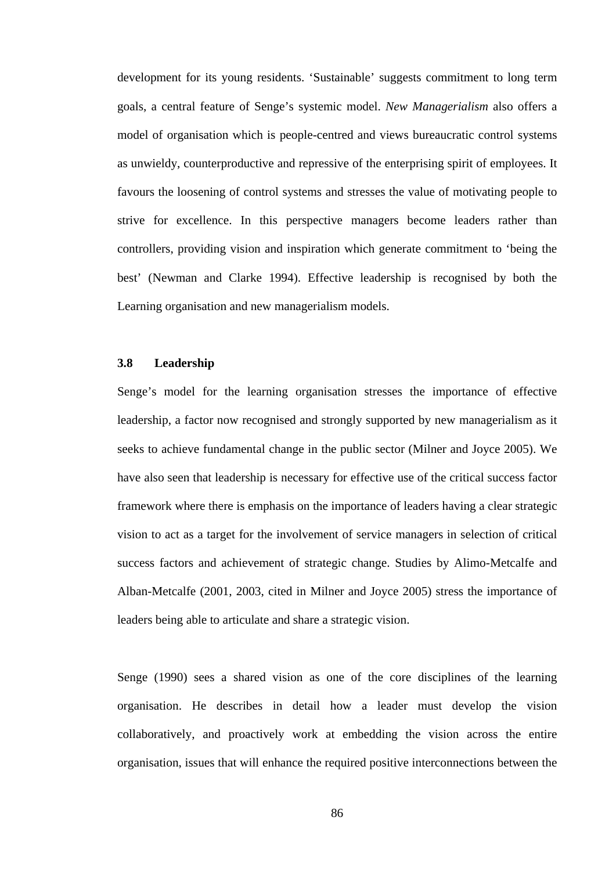development for its young residents. 'Sustainable' suggests commitment to long term goals, a central feature of Senge's systemic model. *New Managerialism* also offers a model of organisation which is people-centred and views bureaucratic control systems as unwieldy, counterproductive and repressive of the enterprising spirit of employees. It favours the loosening of control systems and stresses the value of motivating people to strive for excellence. In this perspective managers become leaders rather than controllers, providing vision and inspiration which generate commitment to 'being the best' (Newman and Clarke 1994). Effective leadership is recognised by both the Learning organisation and new managerialism models.

### **3.8 Leadership**

Senge's model for the learning organisation stresses the importance of effective leadership, a factor now recognised and strongly supported by new managerialism as it seeks to achieve fundamental change in the public sector (Milner and Joyce 2005). We have also seen that leadership is necessary for effective use of the critical success factor framework where there is emphasis on the importance of leaders having a clear strategic vision to act as a target for the involvement of service managers in selection of critical success factors and achievement of strategic change. Studies by Alimo-Metcalfe and Alban-Metcalfe (2001, 2003, cited in Milner and Joyce 2005) stress the importance of leaders being able to articulate and share a strategic vision.

Senge (1990) sees a shared vision as one of the core disciplines of the learning organisation. He describes in detail how a leader must develop the vision collaboratively, and proactively work at embedding the vision across the entire organisation, issues that will enhance the required positive interconnections between the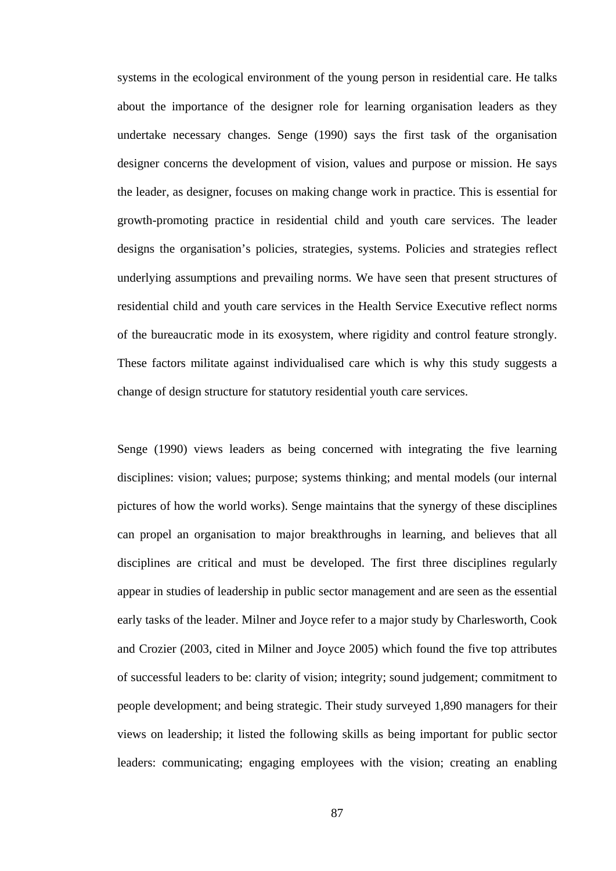systems in the ecological environment of the young person in residential care. He talks about the importance of the designer role for learning organisation leaders as they undertake necessary changes. Senge (1990) says the first task of the organisation designer concerns the development of vision, values and purpose or mission. He says the leader, as designer, focuses on making change work in practice. This is essential for growth-promoting practice in residential child and youth care services. The leader designs the organisation's policies, strategies, systems. Policies and strategies reflect underlying assumptions and prevailing norms. We have seen that present structures of residential child and youth care services in the Health Service Executive reflect norms of the bureaucratic mode in its exosystem, where rigidity and control feature strongly. These factors militate against individualised care which is why this study suggests a change of design structure for statutory residential youth care services.

Senge (1990) views leaders as being concerned with integrating the five learning disciplines: vision; values; purpose; systems thinking; and mental models (our internal pictures of how the world works). Senge maintains that the synergy of these disciplines can propel an organisation to major breakthroughs in learning, and believes that all disciplines are critical and must be developed. The first three disciplines regularly appear in studies of leadership in public sector management and are seen as the essential early tasks of the leader. Milner and Joyce refer to a major study by Charlesworth, Cook and Crozier (2003, cited in Milner and Joyce 2005) which found the five top attributes of successful leaders to be: clarity of vision; integrity; sound judgement; commitment to people development; and being strategic. Their study surveyed 1,890 managers for their views on leadership; it listed the following skills as being important for public sector leaders: communicating; engaging employees with the vision; creating an enabling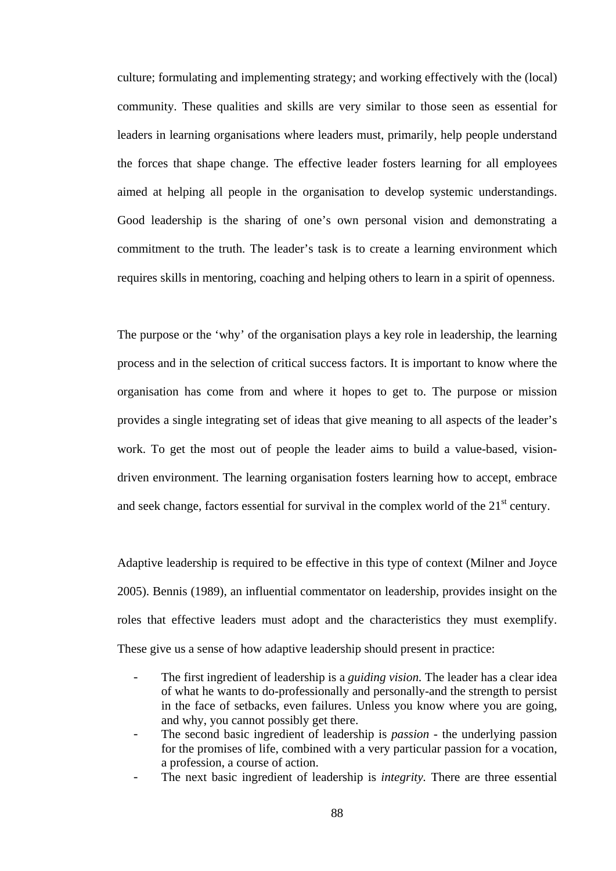culture; formulating and implementing strategy; and working effectively with the (local) community. These qualities and skills are very similar to those seen as essential for leaders in learning organisations where leaders must, primarily, help people understand the forces that shape change. The effective leader fosters learning for all employees aimed at helping all people in the organisation to develop systemic understandings. Good leadership is the sharing of one's own personal vision and demonstrating a commitment to the truth. The leader's task is to create a learning environment which requires skills in mentoring, coaching and helping others to learn in a spirit of openness.

The purpose or the 'why' of the organisation plays a key role in leadership, the learning process and in the selection of critical success factors. It is important to know where the organisation has come from and where it hopes to get to. The purpose or mission provides a single integrating set of ideas that give meaning to all aspects of the leader's work. To get the most out of people the leader aims to build a value-based, visiondriven environment. The learning organisation fosters learning how to accept, embrace and seek change, factors essential for survival in the complex world of the 21<sup>st</sup> century.

Adaptive leadership is required to be effective in this type of context (Milner and Joyce 2005). Bennis (1989), an influential commentator on leadership, provides insight on the roles that effective leaders must adopt and the characteristics they must exemplify. These give us a sense of how adaptive leadership should present in practice:

- The first ingredient of leadership is a *guiding vision.* The leader has a clear idea of what he wants to do-professionally and personally-and the strength to persist in the face of setbacks, even failures. Unless you know where you are going, and why, you cannot possibly get there.
- The second basic ingredient of leadership is *passion*  the underlying passion for the promises of life, combined with a very particular passion for a vocation, a profession, a course of action.
- The next basic ingredient of leadership is *integrity.* There are three essential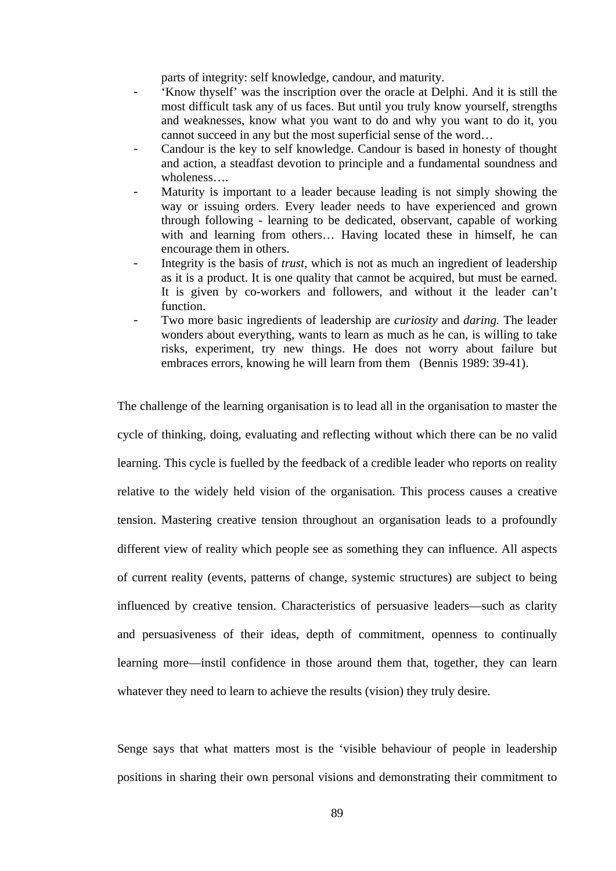parts of integrity: self knowledge, candour, and maturity.

- 'Know thyself' was the inscription over the oracle at Delphi. And it is still the most difficult task any of us faces. But until you truly know yourself, strengths and weaknesses, know what you want to do and why you want to do it, you cannot succeed in any but the most superficial sense of the word…
- Candour is the key to self knowledge. Candour is based in honesty of thought and action, a steadfast devotion to principle and a fundamental soundness and wholeness….
- Maturity is important to a leader because leading is not simply showing the way or issuing orders. Every leader needs to have experienced and grown through following - learning to be dedicated, observant, capable of working with and learning from others… Having located these in himself, he can encourage them in others.
- Integrity is the basis of *trust*, which is not as much an ingredient of leadership as it is a product. It is one quality that cannot be acquired, but must be earned. It is given by co-workers and followers, and without it the leader can't function.
- Two more basic ingredients of leadership are *curiosity* and *daring.* The leader wonders about everything, wants to learn as much as he can, is willing to take risks, experiment, try new things. He does not worry about failure but embraces errors, knowing he will learn from them (Bennis 1989: 39-41).

The challenge of the learning organisation is to lead all in the organisation to master the cycle of thinking, doing, evaluating and reflecting without which there can be no valid learning. This cycle is fuelled by the feedback of a credible leader who reports on reality relative to the widely held vision of the organisation. This process causes a creative tension. Mastering creative tension throughout an organisation leads to a profoundly different view of reality which people see as something they can influence. All aspects of current reality (events, patterns of change, systemic structures) are subject to being influenced by creative tension. Characteristics of persuasive leaders—such as clarity and persuasiveness of their ideas, depth of commitment, openness to continually learning more—instil confidence in those around them that, together, they can learn whatever they need to learn to achieve the results (vision) they truly desire.

Senge says that what matters most is the 'visible behaviour of people in leadership positions in sharing their own personal visions and demonstrating their commitment to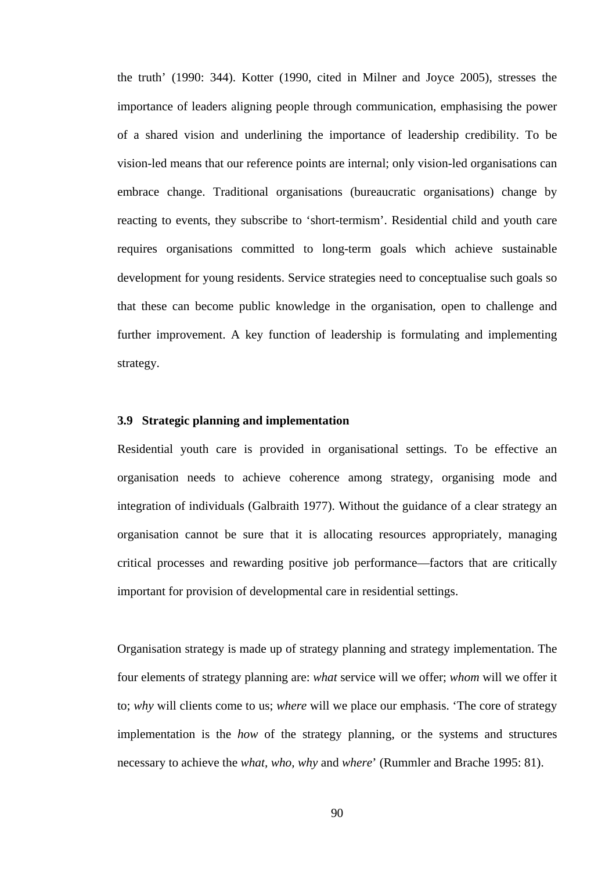the truth' (1990: 344). Kotter (1990, cited in Milner and Joyce 2005), stresses the importance of leaders aligning people through communication, emphasising the power of a shared vision and underlining the importance of leadership credibility. To be vision-led means that our reference points are internal; only vision-led organisations can embrace change. Traditional organisations (bureaucratic organisations) change by reacting to events, they subscribe to 'short-termism'. Residential child and youth care requires organisations committed to long-term goals which achieve sustainable development for young residents. Service strategies need to conceptualise such goals so that these can become public knowledge in the organisation, open to challenge and further improvement. A key function of leadership is formulating and implementing strategy.

#### **3.9 Strategic planning and implementation**

Residential youth care is provided in organisational settings. To be effective an organisation needs to achieve coherence among strategy, organising mode and integration of individuals (Galbraith 1977). Without the guidance of a clear strategy an organisation cannot be sure that it is allocating resources appropriately, managing critical processes and rewarding positive job performance—factors that are critically important for provision of developmental care in residential settings.

Organisation strategy is made up of strategy planning and strategy implementation. The four elements of strategy planning are: *what* service will we offer; *whom* will we offer it to; *why* will clients come to us; *where* will we place our emphasis. 'The core of strategy implementation is the *how* of the strategy planning, or the systems and structures necessary to achieve the *what, who, why* and *where*' (Rummler and Brache 1995: 81).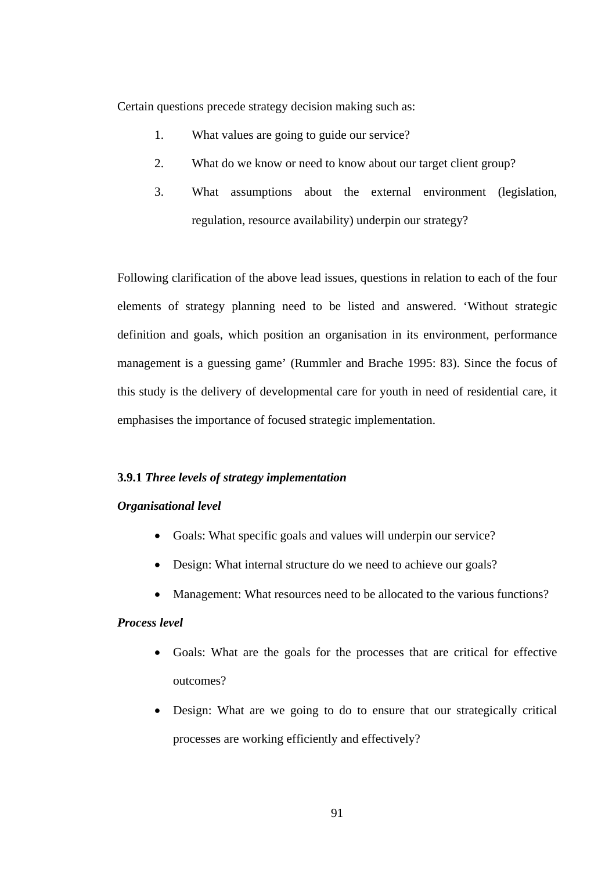Certain questions precede strategy decision making such as:

- 1. What values are going to guide our service?
- 2. What do we know or need to know about our target client group?
- 3. What assumptions about the external environment (legislation, regulation, resource availability) underpin our strategy?

Following clarification of the above lead issues, questions in relation to each of the four elements of strategy planning need to be listed and answered. 'Without strategic definition and goals, which position an organisation in its environment, performance management is a guessing game' (Rummler and Brache 1995: 83). Since the focus of this study is the delivery of developmental care for youth in need of residential care, it emphasises the importance of focused strategic implementation.

### **3.9.1** *Three levels of strategy implementation*

## *Organisational level*

- Goals: What specific goals and values will underpin our service?
- Design: What internal structure do we need to achieve our goals?
- Management: What resources need to be allocated to the various functions?

## *Process level*

- Goals: What are the goals for the processes that are critical for effective outcomes?
- Design: What are we going to do to ensure that our strategically critical processes are working efficiently and effectively?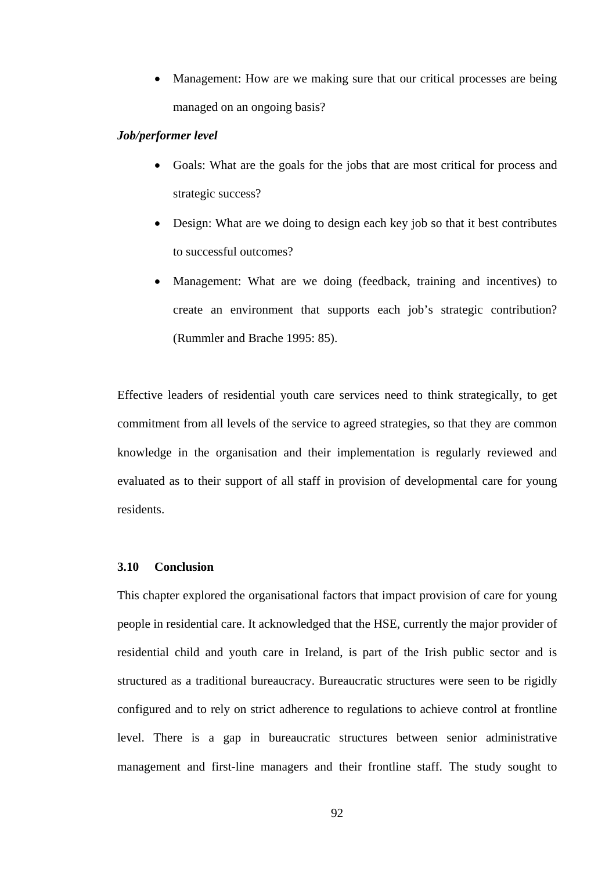• Management: How are we making sure that our critical processes are being managed on an ongoing basis?

## *Job/performer level*

- Goals: What are the goals for the jobs that are most critical for process and strategic success?
- Design: What are we doing to design each key job so that it best contributes to successful outcomes?
- Management: What are we doing (feedback, training and incentives) to create an environment that supports each job's strategic contribution? (Rummler and Brache 1995: 85).

Effective leaders of residential youth care services need to think strategically, to get commitment from all levels of the service to agreed strategies, so that they are common knowledge in the organisation and their implementation is regularly reviewed and evaluated as to their support of all staff in provision of developmental care for young residents.

### **3.10 Conclusion**

This chapter explored the organisational factors that impact provision of care for young people in residential care. It acknowledged that the HSE, currently the major provider of residential child and youth care in Ireland, is part of the Irish public sector and is structured as a traditional bureaucracy. Bureaucratic structures were seen to be rigidly configured and to rely on strict adherence to regulations to achieve control at frontline level. There is a gap in bureaucratic structures between senior administrative management and first-line managers and their frontline staff. The study sought to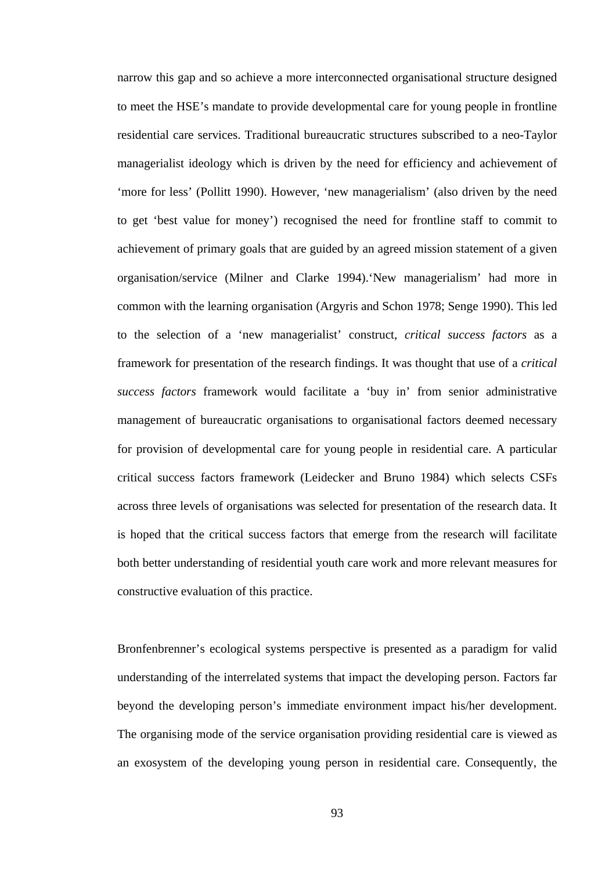narrow this gap and so achieve a more interconnected organisational structure designed to meet the HSE's mandate to provide developmental care for young people in frontline residential care services. Traditional bureaucratic structures subscribed to a neo-Taylor managerialist ideology which is driven by the need for efficiency and achievement of 'more for less' (Pollitt 1990). However, 'new managerialism' (also driven by the need to get 'best value for money') recognised the need for frontline staff to commit to achievement of primary goals that are guided by an agreed mission statement of a given organisation/service (Milner and Clarke 1994).'New managerialism' had more in common with the learning organisation (Argyris and Schon 1978; Senge 1990). This led to the selection of a 'new managerialist' construct, *critical success factors* as a framework for presentation of the research findings. It was thought that use of a *critical success factors* framework would facilitate a 'buy in' from senior administrative management of bureaucratic organisations to organisational factors deemed necessary for provision of developmental care for young people in residential care. A particular critical success factors framework (Leidecker and Bruno 1984) which selects CSFs across three levels of organisations was selected for presentation of the research data. It is hoped that the critical success factors that emerge from the research will facilitate both better understanding of residential youth care work and more relevant measures for constructive evaluation of this practice.

Bronfenbrenner's ecological systems perspective is presented as a paradigm for valid understanding of the interrelated systems that impact the developing person. Factors far beyond the developing person's immediate environment impact his/her development. The organising mode of the service organisation providing residential care is viewed as an exosystem of the developing young person in residential care. Consequently, the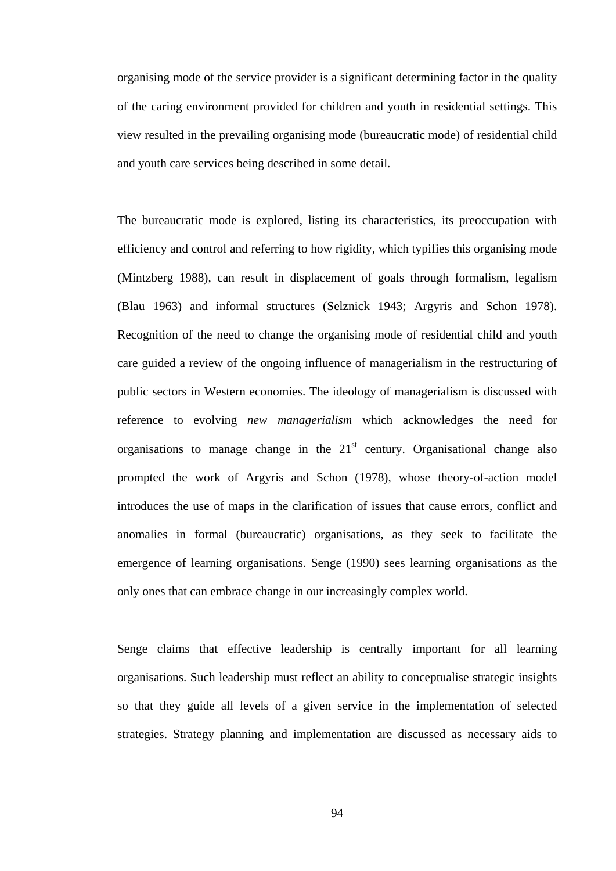organising mode of the service provider is a significant determining factor in the quality of the caring environment provided for children and youth in residential settings. This view resulted in the prevailing organising mode (bureaucratic mode) of residential child and youth care services being described in some detail.

The bureaucratic mode is explored, listing its characteristics, its preoccupation with efficiency and control and referring to how rigidity, which typifies this organising mode (Mintzberg 1988), can result in displacement of goals through formalism, legalism (Blau 1963) and informal structures (Selznick 1943; Argyris and Schon 1978). Recognition of the need to change the organising mode of residential child and youth care guided a review of the ongoing influence of managerialism in the restructuring of public sectors in Western economies. The ideology of managerialism is discussed with reference to evolving *new managerialism* which acknowledges the need for organisations to manage change in the  $21<sup>st</sup>$  century. Organisational change also prompted the work of Argyris and Schon (1978), whose theory-of-action model introduces the use of maps in the clarification of issues that cause errors, conflict and anomalies in formal (bureaucratic) organisations, as they seek to facilitate the emergence of learning organisations. Senge (1990) sees learning organisations as the only ones that can embrace change in our increasingly complex world.

Senge claims that effective leadership is centrally important for all learning organisations. Such leadership must reflect an ability to conceptualise strategic insights so that they guide all levels of a given service in the implementation of selected strategies. Strategy planning and implementation are discussed as necessary aids to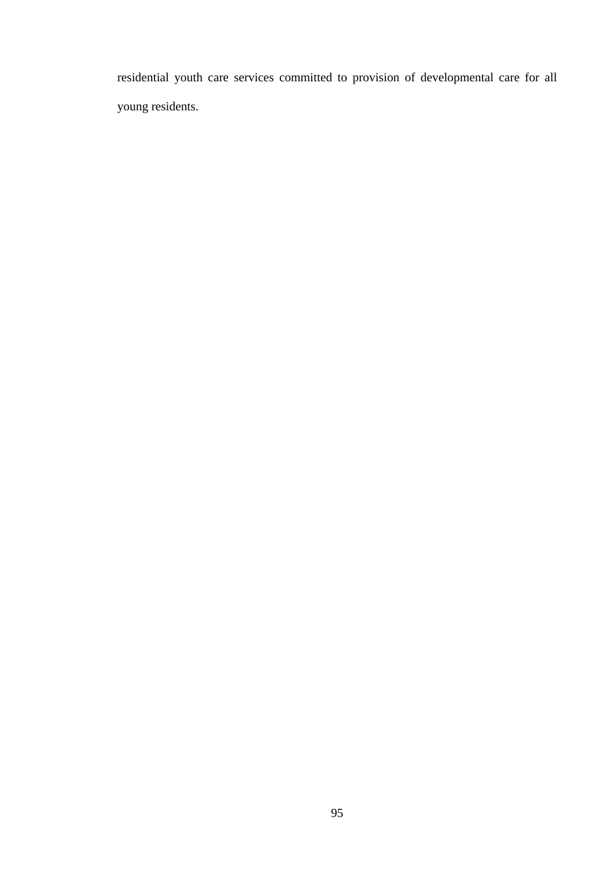residential youth care services committed to provision of developmental care for all young residents.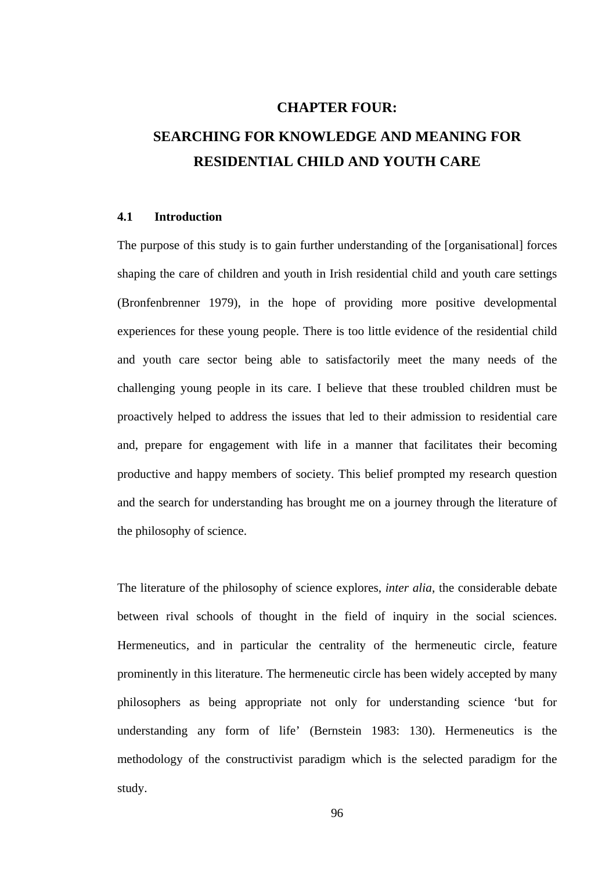## **CHAPTER FOUR:**

## **SEARCHING FOR KNOWLEDGE AND MEANING FOR RESIDENTIAL CHILD AND YOUTH CARE**

### **4.1 Introduction**

The purpose of this study is to gain further understanding of the [organisational] forces shaping the care of children and youth in Irish residential child and youth care settings (Bronfenbrenner 1979), in the hope of providing more positive developmental experiences for these young people. There is too little evidence of the residential child and youth care sector being able to satisfactorily meet the many needs of the challenging young people in its care. I believe that these troubled children must be proactively helped to address the issues that led to their admission to residential care and, prepare for engagement with life in a manner that facilitates their becoming productive and happy members of society. This belief prompted my research question and the search for understanding has brought me on a journey through the literature of the philosophy of science.

The literature of the philosophy of science explores, *inter alia*, the considerable debate between rival schools of thought in the field of inquiry in the social sciences. Hermeneutics, and in particular the centrality of the hermeneutic circle, feature prominently in this literature. The hermeneutic circle has been widely accepted by many philosophers as being appropriate not only for understanding science 'but for understanding any form of life' (Bernstein 1983: 130). Hermeneutics is the methodology of the constructivist paradigm which is the selected paradigm for the study.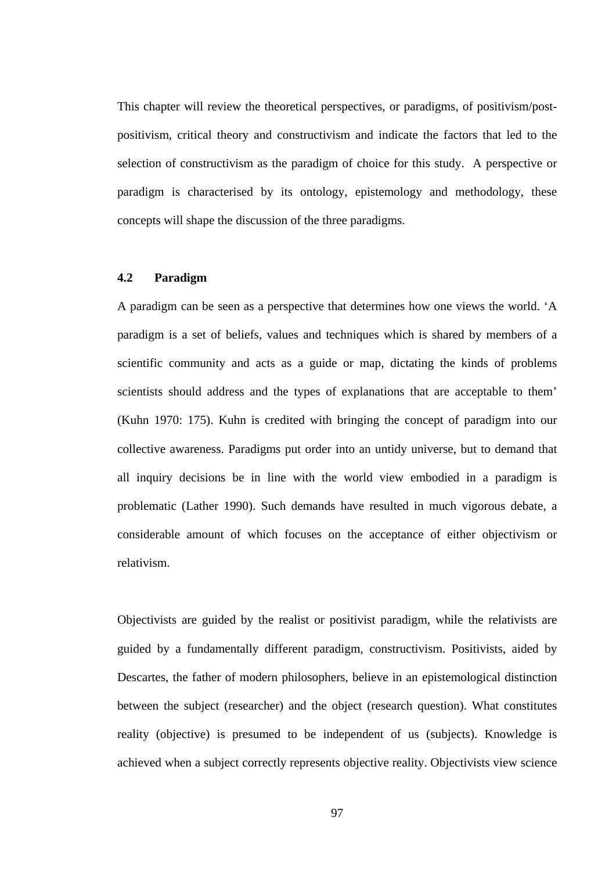This chapter will review the theoretical perspectives, or paradigms, of positivism/postpositivism, critical theory and constructivism and indicate the factors that led to the selection of constructivism as the paradigm of choice for this study. A perspective or paradigm is characterised by its ontology, epistemology and methodology, these concepts will shape the discussion of the three paradigms.

## **4.2 Paradigm**

A paradigm can be seen as a perspective that determines how one views the world. 'A paradigm is a set of beliefs, values and techniques which is shared by members of a scientific community and acts as a guide or map, dictating the kinds of problems scientists should address and the types of explanations that are acceptable to them' (Kuhn 1970: 175). Kuhn is credited with bringing the concept of paradigm into our collective awareness. Paradigms put order into an untidy universe, but to demand that all inquiry decisions be in line with the world view embodied in a paradigm is problematic (Lather 1990). Such demands have resulted in much vigorous debate, a considerable amount of which focuses on the acceptance of either objectivism or relativism.

Objectivists are guided by the realist or positivist paradigm, while the relativists are guided by a fundamentally different paradigm, constructivism. Positivists, aided by Descartes, the father of modern philosophers, believe in an epistemological distinction between the subject (researcher) and the object (research question). What constitutes reality (objective) is presumed to be independent of us (subjects). Knowledge is achieved when a subject correctly represents objective reality. Objectivists view science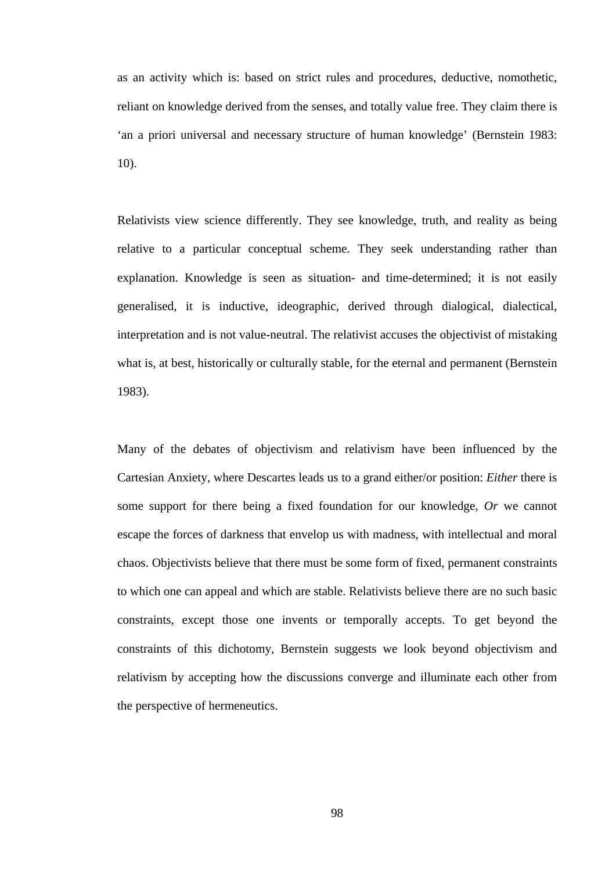as an activity which is: based on strict rules and procedures, deductive, nomothetic, reliant on knowledge derived from the senses, and totally value free. They claim there is 'an a priori universal and necessary structure of human knowledge' (Bernstein 1983: 10).

Relativists view science differently. They see knowledge, truth, and reality as being relative to a particular conceptual scheme. They seek understanding rather than explanation. Knowledge is seen as situation- and time-determined; it is not easily generalised, it is inductive, ideographic, derived through dialogical, dialectical, interpretation and is not value-neutral. The relativist accuses the objectivist of mistaking what is, at best, historically or culturally stable, for the eternal and permanent (Bernstein 1983).

Many of the debates of objectivism and relativism have been influenced by the Cartesian Anxiety, where Descartes leads us to a grand either/or position: *Either* there is some support for there being a fixed foundation for our knowledge, *Or* we cannot escape the forces of darkness that envelop us with madness, with intellectual and moral chaos. Objectivists believe that there must be some form of fixed, permanent constraints to which one can appeal and which are stable. Relativists believe there are no such basic constraints, except those one invents or temporally accepts. To get beyond the constraints of this dichotomy, Bernstein suggests we look beyond objectivism and relativism by accepting how the discussions converge and illuminate each other from the perspective of hermeneutics.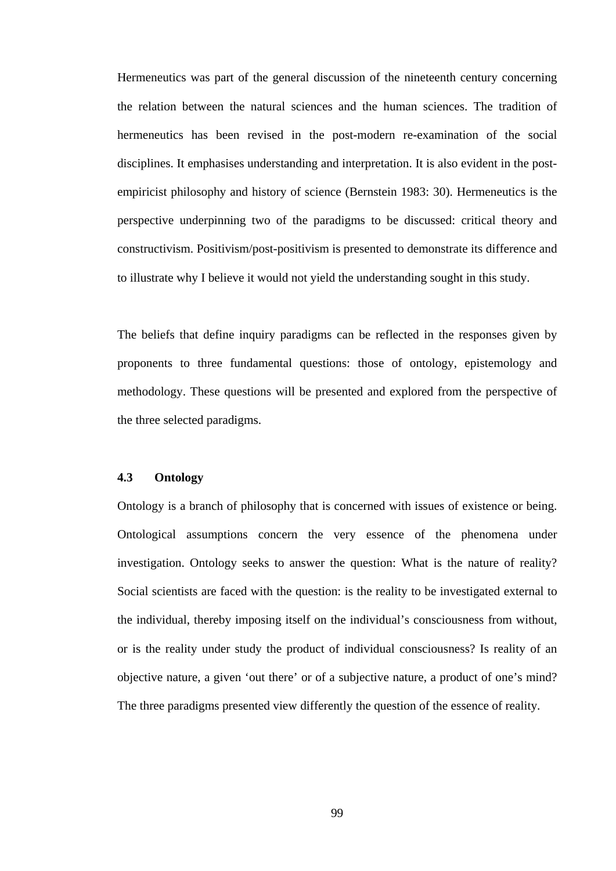Hermeneutics was part of the general discussion of the nineteenth century concerning the relation between the natural sciences and the human sciences. The tradition of hermeneutics has been revised in the post-modern re-examination of the social disciplines. It emphasises understanding and interpretation. It is also evident in the postempiricist philosophy and history of science (Bernstein 1983: 30). Hermeneutics is the perspective underpinning two of the paradigms to be discussed: critical theory and constructivism. Positivism/post-positivism is presented to demonstrate its difference and to illustrate why I believe it would not yield the understanding sought in this study.

The beliefs that define inquiry paradigms can be reflected in the responses given by proponents to three fundamental questions: those of ontology, epistemology and methodology. These questions will be presented and explored from the perspective of the three selected paradigms.

### **4.3 Ontology**

Ontology is a branch of philosophy that is concerned with issues of existence or being. Ontological assumptions concern the very essence of the phenomena under investigation. Ontology seeks to answer the question: What is the nature of reality? Social scientists are faced with the question: is the reality to be investigated external to the individual, thereby imposing itself on the individual's consciousness from without, or is the reality under study the product of individual consciousness? Is reality of an objective nature, a given 'out there' or of a subjective nature, a product of one's mind? The three paradigms presented view differently the question of the essence of reality.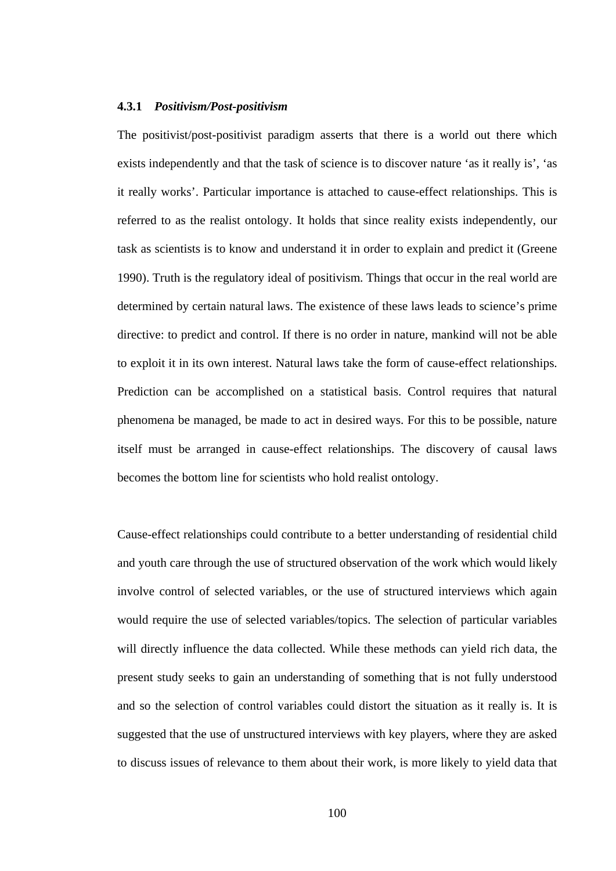#### **4.3.1** *Positivism/Post-positivism*

The positivist/post-positivist paradigm asserts that there is a world out there which exists independently and that the task of science is to discover nature 'as it really is', 'as it really works'. Particular importance is attached to cause-effect relationships. This is referred to as the realist ontology. It holds that since reality exists independently, our task as scientists is to know and understand it in order to explain and predict it (Greene 1990). Truth is the regulatory ideal of positivism. Things that occur in the real world are determined by certain natural laws. The existence of these laws leads to science's prime directive: to predict and control. If there is no order in nature, mankind will not be able to exploit it in its own interest. Natural laws take the form of cause-effect relationships. Prediction can be accomplished on a statistical basis. Control requires that natural phenomena be managed, be made to act in desired ways. For this to be possible, nature itself must be arranged in cause-effect relationships. The discovery of causal laws becomes the bottom line for scientists who hold realist ontology.

Cause-effect relationships could contribute to a better understanding of residential child and youth care through the use of structured observation of the work which would likely involve control of selected variables, or the use of structured interviews which again would require the use of selected variables/topics. The selection of particular variables will directly influence the data collected. While these methods can yield rich data, the present study seeks to gain an understanding of something that is not fully understood and so the selection of control variables could distort the situation as it really is. It is suggested that the use of unstructured interviews with key players, where they are asked to discuss issues of relevance to them about their work, is more likely to yield data that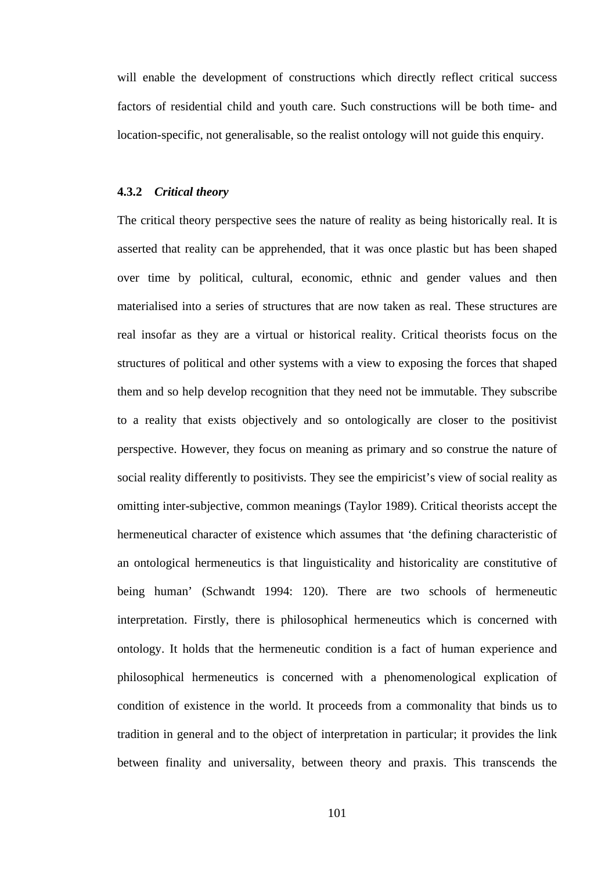will enable the development of constructions which directly reflect critical success factors of residential child and youth care. Such constructions will be both time- and location-specific, not generalisable, so the realist ontology will not guide this enquiry.

#### **4.3.2** *Critical theory*

The critical theory perspective sees the nature of reality as being historically real. It is asserted that reality can be apprehended, that it was once plastic but has been shaped over time by political, cultural, economic, ethnic and gender values and then materialised into a series of structures that are now taken as real. These structures are real insofar as they are a virtual or historical reality. Critical theorists focus on the structures of political and other systems with a view to exposing the forces that shaped them and so help develop recognition that they need not be immutable. They subscribe to a reality that exists objectively and so ontologically are closer to the positivist perspective. However, they focus on meaning as primary and so construe the nature of social reality differently to positivists. They see the empiricist's view of social reality as omitting inter-subjective, common meanings (Taylor 1989). Critical theorists accept the hermeneutical character of existence which assumes that 'the defining characteristic of an ontological hermeneutics is that linguisticality and historicality are constitutive of being human' (Schwandt 1994: 120). There are two schools of hermeneutic interpretation. Firstly, there is philosophical hermeneutics which is concerned with ontology. It holds that the hermeneutic condition is a fact of human experience and philosophical hermeneutics is concerned with a phenomenological explication of condition of existence in the world. It proceeds from a commonality that binds us to tradition in general and to the object of interpretation in particular; it provides the link between finality and universality, between theory and praxis. This transcends the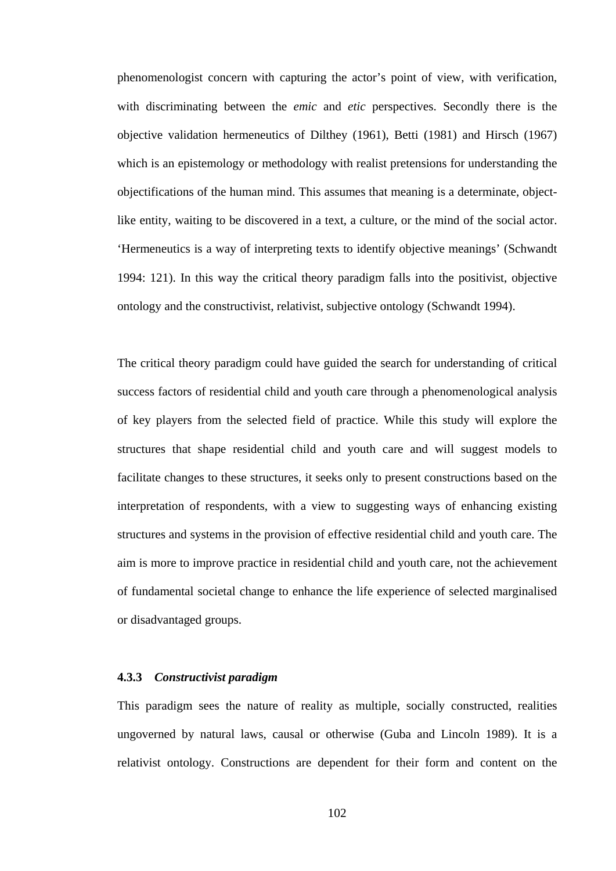phenomenologist concern with capturing the actor's point of view, with verification, with discriminating between the *emic* and *etic* perspectives. Secondly there is the objective validation hermeneutics of Dilthey (1961), Betti (1981) and Hirsch (1967) which is an epistemology or methodology with realist pretensions for understanding the objectifications of the human mind. This assumes that meaning is a determinate, objectlike entity, waiting to be discovered in a text, a culture, or the mind of the social actor. 'Hermeneutics is a way of interpreting texts to identify objective meanings' (Schwandt 1994: 121). In this way the critical theory paradigm falls into the positivist, objective ontology and the constructivist, relativist, subjective ontology (Schwandt 1994).

The critical theory paradigm could have guided the search for understanding of critical success factors of residential child and youth care through a phenomenological analysis of key players from the selected field of practice. While this study will explore the structures that shape residential child and youth care and will suggest models to facilitate changes to these structures, it seeks only to present constructions based on the interpretation of respondents, with a view to suggesting ways of enhancing existing structures and systems in the provision of effective residential child and youth care. The aim is more to improve practice in residential child and youth care, not the achievement of fundamental societal change to enhance the life experience of selected marginalised or disadvantaged groups.

#### **4.3.3** *Constructivist paradigm*

This paradigm sees the nature of reality as multiple, socially constructed, realities ungoverned by natural laws, causal or otherwise (Guba and Lincoln 1989). It is a relativist ontology. Constructions are dependent for their form and content on the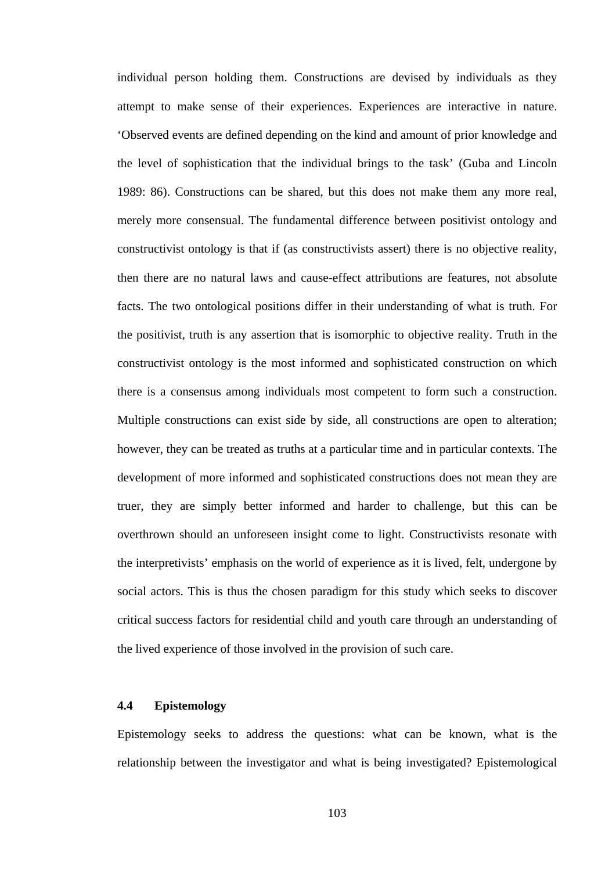individual person holding them. Constructions are devised by individuals as they attempt to make sense of their experiences. Experiences are interactive in nature. 'Observed events are defined depending on the kind and amount of prior knowledge and the level of sophistication that the individual brings to the task' (Guba and Lincoln 1989: 86). Constructions can be shared, but this does not make them any more real, merely more consensual. The fundamental difference between positivist ontology and constructivist ontology is that if (as constructivists assert) there is no objective reality, then there are no natural laws and cause-effect attributions are features, not absolute facts. The two ontological positions differ in their understanding of what is truth. For the positivist, truth is any assertion that is isomorphic to objective reality. Truth in the constructivist ontology is the most informed and sophisticated construction on which there is a consensus among individuals most competent to form such a construction. Multiple constructions can exist side by side, all constructions are open to alteration; however, they can be treated as truths at a particular time and in particular contexts. The development of more informed and sophisticated constructions does not mean they are truer, they are simply better informed and harder to challenge, but this can be overthrown should an unforeseen insight come to light. Constructivists resonate with the interpretivists' emphasis on the world of experience as it is lived, felt, undergone by social actors. This is thus the chosen paradigm for this study which seeks to discover critical success factors for residential child and youth care through an understanding of the lived experience of those involved in the provision of such care.

#### **4.4 Epistemology**

Epistemology seeks to address the questions: what can be known, what is the relationship between the investigator and what is being investigated? Epistemological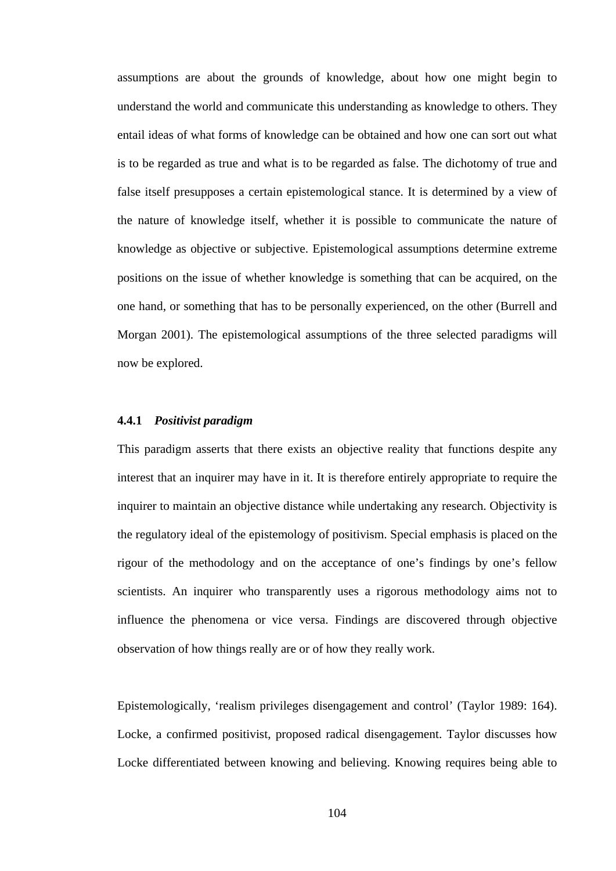assumptions are about the grounds of knowledge, about how one might begin to understand the world and communicate this understanding as knowledge to others. They entail ideas of what forms of knowledge can be obtained and how one can sort out what is to be regarded as true and what is to be regarded as false. The dichotomy of true and false itself presupposes a certain epistemological stance. It is determined by a view of the nature of knowledge itself, whether it is possible to communicate the nature of knowledge as objective or subjective. Epistemological assumptions determine extreme positions on the issue of whether knowledge is something that can be acquired, on the one hand, or something that has to be personally experienced, on the other (Burrell and Morgan 2001). The epistemological assumptions of the three selected paradigms will now be explored.

## **4.4.1** *Positivist paradigm*

This paradigm asserts that there exists an objective reality that functions despite any interest that an inquirer may have in it. It is therefore entirely appropriate to require the inquirer to maintain an objective distance while undertaking any research. Objectivity is the regulatory ideal of the epistemology of positivism. Special emphasis is placed on the rigour of the methodology and on the acceptance of one's findings by one's fellow scientists. An inquirer who transparently uses a rigorous methodology aims not to influence the phenomena or vice versa. Findings are discovered through objective observation of how things really are or of how they really work.

Epistemologically, 'realism privileges disengagement and control' (Taylor 1989: 164). Locke, a confirmed positivist, proposed radical disengagement. Taylor discusses how Locke differentiated between knowing and believing. Knowing requires being able to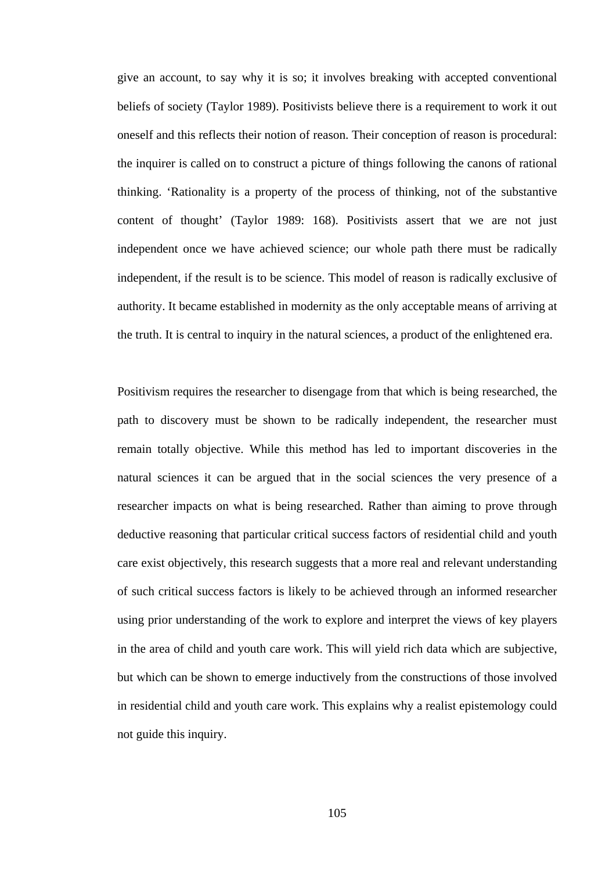give an account, to say why it is so; it involves breaking with accepted conventional beliefs of society (Taylor 1989). Positivists believe there is a requirement to work it out oneself and this reflects their notion of reason. Their conception of reason is procedural: the inquirer is called on to construct a picture of things following the canons of rational thinking. 'Rationality is a property of the process of thinking, not of the substantive content of thought' (Taylor 1989: 168). Positivists assert that we are not just independent once we have achieved science; our whole path there must be radically independent, if the result is to be science. This model of reason is radically exclusive of authority. It became established in modernity as the only acceptable means of arriving at the truth. It is central to inquiry in the natural sciences, a product of the enlightened era.

Positivism requires the researcher to disengage from that which is being researched, the path to discovery must be shown to be radically independent, the researcher must remain totally objective. While this method has led to important discoveries in the natural sciences it can be argued that in the social sciences the very presence of a researcher impacts on what is being researched. Rather than aiming to prove through deductive reasoning that particular critical success factors of residential child and youth care exist objectively, this research suggests that a more real and relevant understanding of such critical success factors is likely to be achieved through an informed researcher using prior understanding of the work to explore and interpret the views of key players in the area of child and youth care work. This will yield rich data which are subjective, but which can be shown to emerge inductively from the constructions of those involved in residential child and youth care work. This explains why a realist epistemology could not guide this inquiry.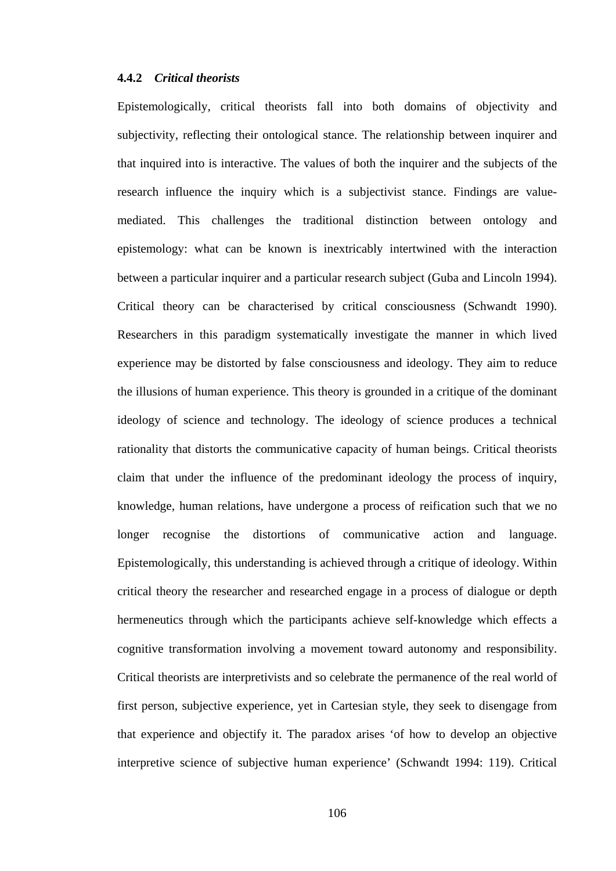## **4.4.2** *Critical theorists*

Epistemologically, critical theorists fall into both domains of objectivity and subjectivity, reflecting their ontological stance. The relationship between inquirer and that inquired into is interactive. The values of both the inquirer and the subjects of the research influence the inquiry which is a subjectivist stance. Findings are valuemediated. This challenges the traditional distinction between ontology and epistemology: what can be known is inextricably intertwined with the interaction between a particular inquirer and a particular research subject (Guba and Lincoln 1994). Critical theory can be characterised by critical consciousness (Schwandt 1990). Researchers in this paradigm systematically investigate the manner in which lived experience may be distorted by false consciousness and ideology. They aim to reduce the illusions of human experience. This theory is grounded in a critique of the dominant ideology of science and technology. The ideology of science produces a technical rationality that distorts the communicative capacity of human beings. Critical theorists claim that under the influence of the predominant ideology the process of inquiry, knowledge, human relations, have undergone a process of reification such that we no longer recognise the distortions of communicative action and language. Epistemologically, this understanding is achieved through a critique of ideology. Within critical theory the researcher and researched engage in a process of dialogue or depth hermeneutics through which the participants achieve self-knowledge which effects a cognitive transformation involving a movement toward autonomy and responsibility. Critical theorists are interpretivists and so celebrate the permanence of the real world of first person, subjective experience, yet in Cartesian style, they seek to disengage from that experience and objectify it. The paradox arises 'of how to develop an objective interpretive science of subjective human experience' (Schwandt 1994: 119). Critical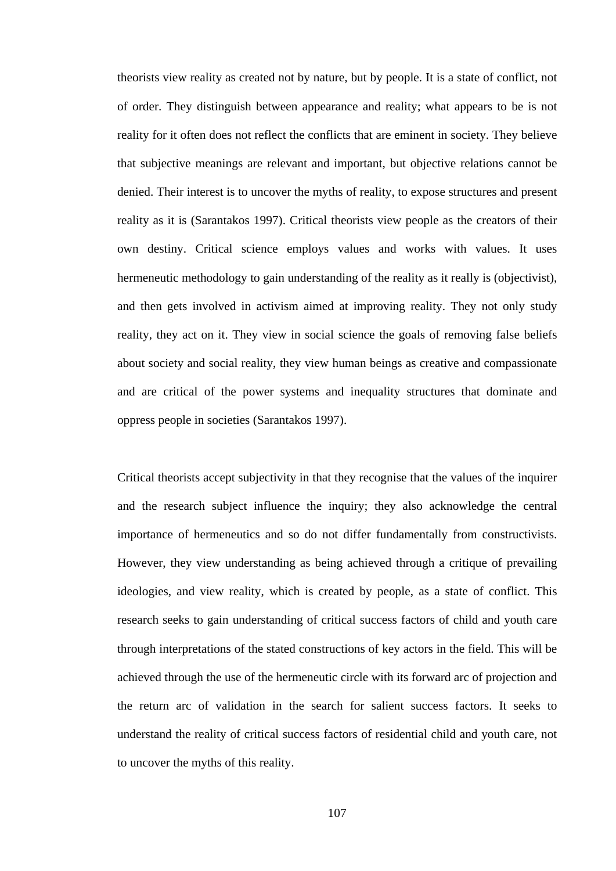theorists view reality as created not by nature, but by people. It is a state of conflict, not of order. They distinguish between appearance and reality; what appears to be is not reality for it often does not reflect the conflicts that are eminent in society. They believe that subjective meanings are relevant and important, but objective relations cannot be denied. Their interest is to uncover the myths of reality, to expose structures and present reality as it is (Sarantakos 1997). Critical theorists view people as the creators of their own destiny. Critical science employs values and works with values. It uses hermeneutic methodology to gain understanding of the reality as it really is (objectivist), and then gets involved in activism aimed at improving reality. They not only study reality, they act on it. They view in social science the goals of removing false beliefs about society and social reality, they view human beings as creative and compassionate and are critical of the power systems and inequality structures that dominate and oppress people in societies (Sarantakos 1997).

Critical theorists accept subjectivity in that they recognise that the values of the inquirer and the research subject influence the inquiry; they also acknowledge the central importance of hermeneutics and so do not differ fundamentally from constructivists. However, they view understanding as being achieved through a critique of prevailing ideologies, and view reality, which is created by people, as a state of conflict. This research seeks to gain understanding of critical success factors of child and youth care through interpretations of the stated constructions of key actors in the field. This will be achieved through the use of the hermeneutic circle with its forward arc of projection and the return arc of validation in the search for salient success factors. It seeks to understand the reality of critical success factors of residential child and youth care, not to uncover the myths of this reality.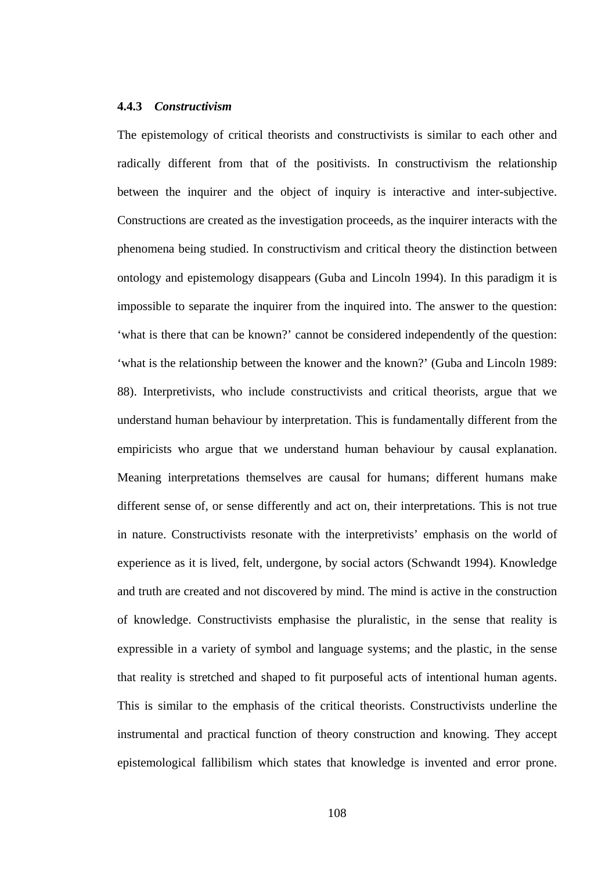#### **4.4.3** *Constructivism*

The epistemology of critical theorists and constructivists is similar to each other and radically different from that of the positivists. In constructivism the relationship between the inquirer and the object of inquiry is interactive and inter-subjective. Constructions are created as the investigation proceeds, as the inquirer interacts with the phenomena being studied. In constructivism and critical theory the distinction between ontology and epistemology disappears (Guba and Lincoln 1994). In this paradigm it is impossible to separate the inquirer from the inquired into. The answer to the question: 'what is there that can be known?' cannot be considered independently of the question: 'what is the relationship between the knower and the known?' (Guba and Lincoln 1989: 88). Interpretivists, who include constructivists and critical theorists, argue that we understand human behaviour by interpretation. This is fundamentally different from the empiricists who argue that we understand human behaviour by causal explanation. Meaning interpretations themselves are causal for humans; different humans make different sense of, or sense differently and act on, their interpretations. This is not true in nature. Constructivists resonate with the interpretivists' emphasis on the world of experience as it is lived, felt, undergone, by social actors (Schwandt 1994). Knowledge and truth are created and not discovered by mind. The mind is active in the construction of knowledge. Constructivists emphasise the pluralistic, in the sense that reality is expressible in a variety of symbol and language systems; and the plastic, in the sense that reality is stretched and shaped to fit purposeful acts of intentional human agents. This is similar to the emphasis of the critical theorists. Constructivists underline the instrumental and practical function of theory construction and knowing. They accept epistemological fallibilism which states that knowledge is invented and error prone.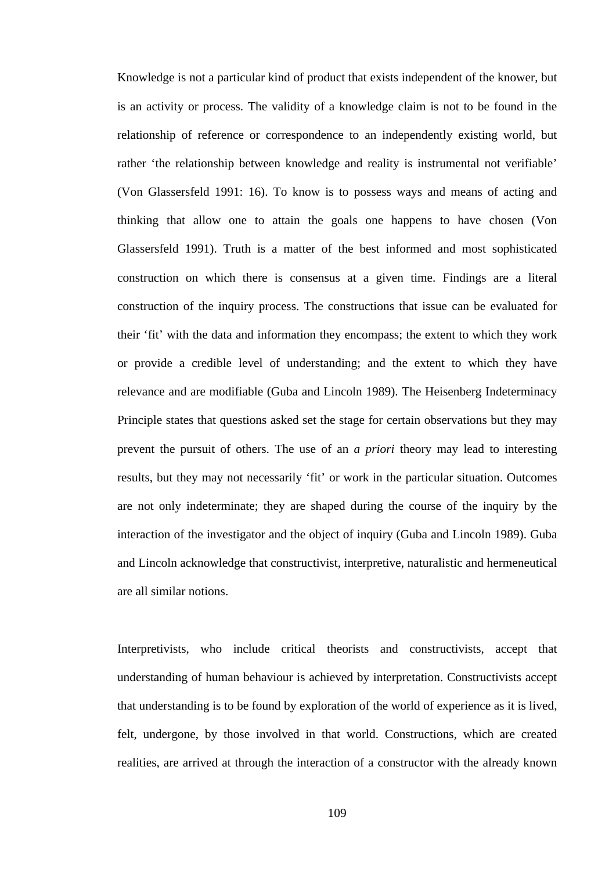Knowledge is not a particular kind of product that exists independent of the knower, but is an activity or process. The validity of a knowledge claim is not to be found in the relationship of reference or correspondence to an independently existing world, but rather 'the relationship between knowledge and reality is instrumental not verifiable' (Von Glassersfeld 1991: 16). To know is to possess ways and means of acting and thinking that allow one to attain the goals one happens to have chosen (Von Glassersfeld 1991). Truth is a matter of the best informed and most sophisticated construction on which there is consensus at a given time. Findings are a literal construction of the inquiry process. The constructions that issue can be evaluated for their 'fit' with the data and information they encompass; the extent to which they work or provide a credible level of understanding; and the extent to which they have relevance and are modifiable (Guba and Lincoln 1989). The Heisenberg Indeterminacy Principle states that questions asked set the stage for certain observations but they may prevent the pursuit of others. The use of an *a priori* theory may lead to interesting results, but they may not necessarily 'fit' or work in the particular situation. Outcomes are not only indeterminate; they are shaped during the course of the inquiry by the interaction of the investigator and the object of inquiry (Guba and Lincoln 1989). Guba and Lincoln acknowledge that constructivist, interpretive, naturalistic and hermeneutical are all similar notions.

Interpretivists, who include critical theorists and constructivists, accept that understanding of human behaviour is achieved by interpretation. Constructivists accept that understanding is to be found by exploration of the world of experience as it is lived, felt, undergone, by those involved in that world. Constructions, which are created realities, are arrived at through the interaction of a constructor with the already known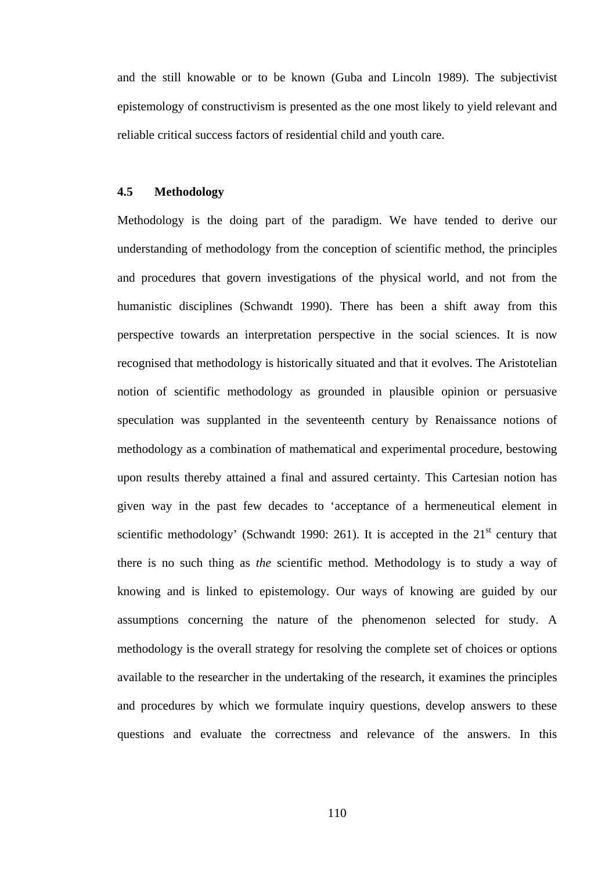and the still knowable or to be known (Guba and Lincoln 1989). The subjectivist epistemology of constructivism is presented as the one most likely to yield relevant and reliable critical success factors of residential child and youth care.

## **4.5 Methodology**

Methodology is the doing part of the paradigm. We have tended to derive our understanding of methodology from the conception of scientific method, the principles and procedures that govern investigations of the physical world, and not from the humanistic disciplines (Schwandt 1990). There has been a shift away from this perspective towards an interpretation perspective in the social sciences. It is now recognised that methodology is historically situated and that it evolves. The Aristotelian notion of scientific methodology as grounded in plausible opinion or persuasive speculation was supplanted in the seventeenth century by Renaissance notions of methodology as a combination of mathematical and experimental procedure, bestowing upon results thereby attained a final and assured certainty. This Cartesian notion has given way in the past few decades to 'acceptance of a hermeneutical element in scientific methodology' (Schwandt 1990: 261). It is accepted in the  $21<sup>st</sup>$  century that there is no such thing as *the* scientific method. Methodology is to study a way of knowing and is linked to epistemology. Our ways of knowing are guided by our assumptions concerning the nature of the phenomenon selected for study. A methodology is the overall strategy for resolving the complete set of choices or options available to the researcher in the undertaking of the research, it examines the principles and procedures by which we formulate inquiry questions, develop answers to these questions and evaluate the correctness and relevance of the answers. In this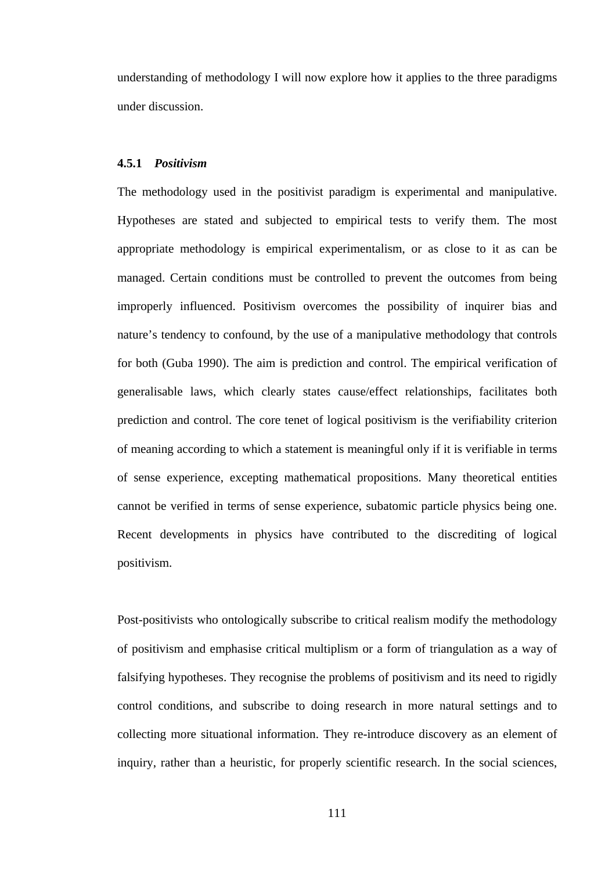understanding of methodology I will now explore how it applies to the three paradigms under discussion.

#### **4.5.1** *Positivism*

The methodology used in the positivist paradigm is experimental and manipulative. Hypotheses are stated and subjected to empirical tests to verify them. The most appropriate methodology is empirical experimentalism, or as close to it as can be managed. Certain conditions must be controlled to prevent the outcomes from being improperly influenced. Positivism overcomes the possibility of inquirer bias and nature's tendency to confound, by the use of a manipulative methodology that controls for both (Guba 1990). The aim is prediction and control. The empirical verification of generalisable laws, which clearly states cause/effect relationships, facilitates both prediction and control. The core tenet of logical positivism is the verifiability criterion of meaning according to which a statement is meaningful only if it is verifiable in terms of sense experience, excepting mathematical propositions. Many theoretical entities cannot be verified in terms of sense experience, subatomic particle physics being one. Recent developments in physics have contributed to the discrediting of logical positivism.

Post-positivists who ontologically subscribe to critical realism modify the methodology of positivism and emphasise critical multiplism or a form of triangulation as a way of falsifying hypotheses. They recognise the problems of positivism and its need to rigidly control conditions, and subscribe to doing research in more natural settings and to collecting more situational information. They re-introduce discovery as an element of inquiry, rather than a heuristic, for properly scientific research. In the social sciences,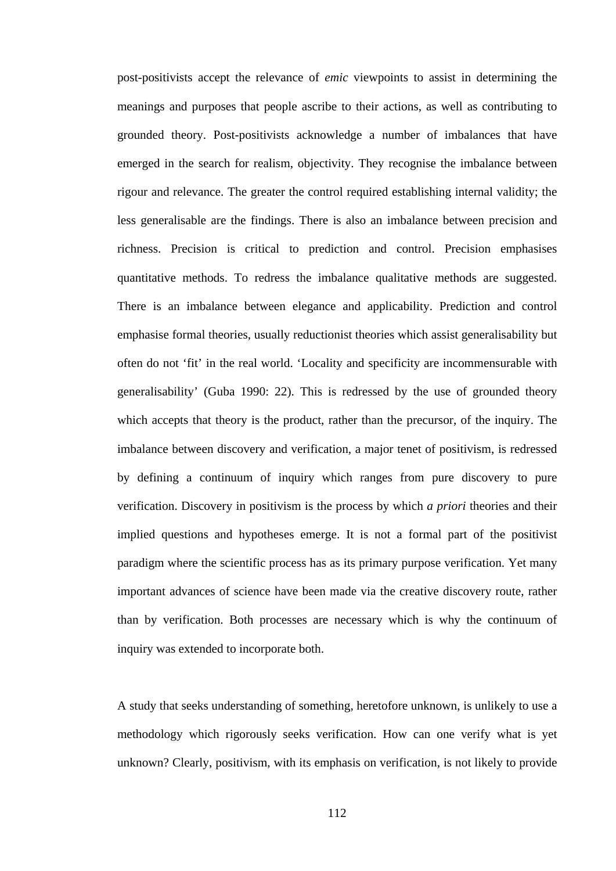post-positivists accept the relevance of *emic* viewpoints to assist in determining the meanings and purposes that people ascribe to their actions, as well as contributing to grounded theory. Post-positivists acknowledge a number of imbalances that have emerged in the search for realism, objectivity. They recognise the imbalance between rigour and relevance. The greater the control required establishing internal validity; the less generalisable are the findings. There is also an imbalance between precision and richness. Precision is critical to prediction and control. Precision emphasises quantitative methods. To redress the imbalance qualitative methods are suggested. There is an imbalance between elegance and applicability. Prediction and control emphasise formal theories, usually reductionist theories which assist generalisability but often do not 'fit' in the real world. 'Locality and specificity are incommensurable with generalisability' (Guba 1990: 22). This is redressed by the use of grounded theory which accepts that theory is the product, rather than the precursor, of the inquiry. The imbalance between discovery and verification, a major tenet of positivism, is redressed by defining a continuum of inquiry which ranges from pure discovery to pure verification. Discovery in positivism is the process by which *a priori* theories and their implied questions and hypotheses emerge. It is not a formal part of the positivist paradigm where the scientific process has as its primary purpose verification. Yet many important advances of science have been made via the creative discovery route, rather than by verification. Both processes are necessary which is why the continuum of inquiry was extended to incorporate both.

A study that seeks understanding of something, heretofore unknown, is unlikely to use a methodology which rigorously seeks verification. How can one verify what is yet unknown? Clearly, positivism, with its emphasis on verification, is not likely to provide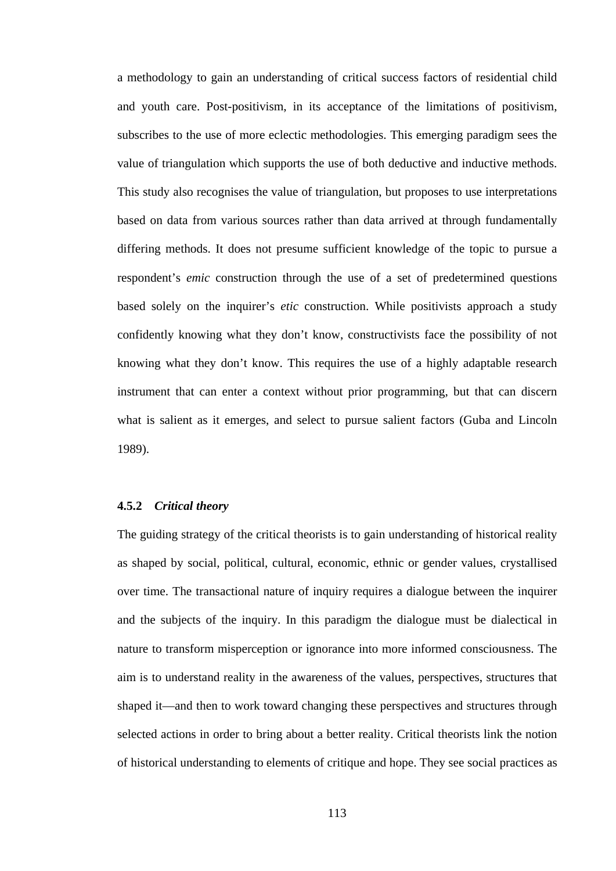a methodology to gain an understanding of critical success factors of residential child and youth care. Post-positivism, in its acceptance of the limitations of positivism, subscribes to the use of more eclectic methodologies. This emerging paradigm sees the value of triangulation which supports the use of both deductive and inductive methods. This study also recognises the value of triangulation, but proposes to use interpretations based on data from various sources rather than data arrived at through fundamentally differing methods. It does not presume sufficient knowledge of the topic to pursue a respondent's *emic* construction through the use of a set of predetermined questions based solely on the inquirer's *etic* construction. While positivists approach a study confidently knowing what they don't know, constructivists face the possibility of not knowing what they don't know. This requires the use of a highly adaptable research instrument that can enter a context without prior programming, but that can discern what is salient as it emerges, and select to pursue salient factors (Guba and Lincoln 1989).

## **4.5.2** *Critical theory*

The guiding strategy of the critical theorists is to gain understanding of historical reality as shaped by social, political, cultural, economic, ethnic or gender values, crystallised over time. The transactional nature of inquiry requires a dialogue between the inquirer and the subjects of the inquiry. In this paradigm the dialogue must be dialectical in nature to transform misperception or ignorance into more informed consciousness. The aim is to understand reality in the awareness of the values, perspectives, structures that shaped it—and then to work toward changing these perspectives and structures through selected actions in order to bring about a better reality. Critical theorists link the notion of historical understanding to elements of critique and hope. They see social practices as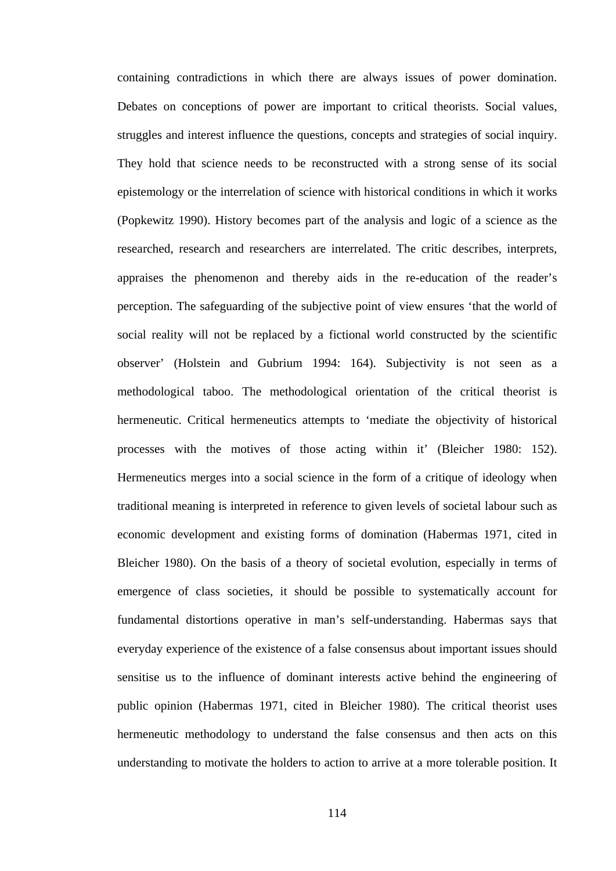containing contradictions in which there are always issues of power domination. Debates on conceptions of power are important to critical theorists. Social values, struggles and interest influence the questions, concepts and strategies of social inquiry. They hold that science needs to be reconstructed with a strong sense of its social epistemology or the interrelation of science with historical conditions in which it works (Popkewitz 1990). History becomes part of the analysis and logic of a science as the researched, research and researchers are interrelated. The critic describes, interprets, appraises the phenomenon and thereby aids in the re-education of the reader's perception. The safeguarding of the subjective point of view ensures 'that the world of social reality will not be replaced by a fictional world constructed by the scientific observer' (Holstein and Gubrium 1994: 164). Subjectivity is not seen as a methodological taboo. The methodological orientation of the critical theorist is hermeneutic. Critical hermeneutics attempts to 'mediate the objectivity of historical processes with the motives of those acting within it' (Bleicher 1980: 152). Hermeneutics merges into a social science in the form of a critique of ideology when traditional meaning is interpreted in reference to given levels of societal labour such as economic development and existing forms of domination (Habermas 1971, cited in Bleicher 1980). On the basis of a theory of societal evolution, especially in terms of emergence of class societies, it should be possible to systematically account for fundamental distortions operative in man's self-understanding. Habermas says that everyday experience of the existence of a false consensus about important issues should sensitise us to the influence of dominant interests active behind the engineering of public opinion (Habermas 1971, cited in Bleicher 1980). The critical theorist uses hermeneutic methodology to understand the false consensus and then acts on this understanding to motivate the holders to action to arrive at a more tolerable position. It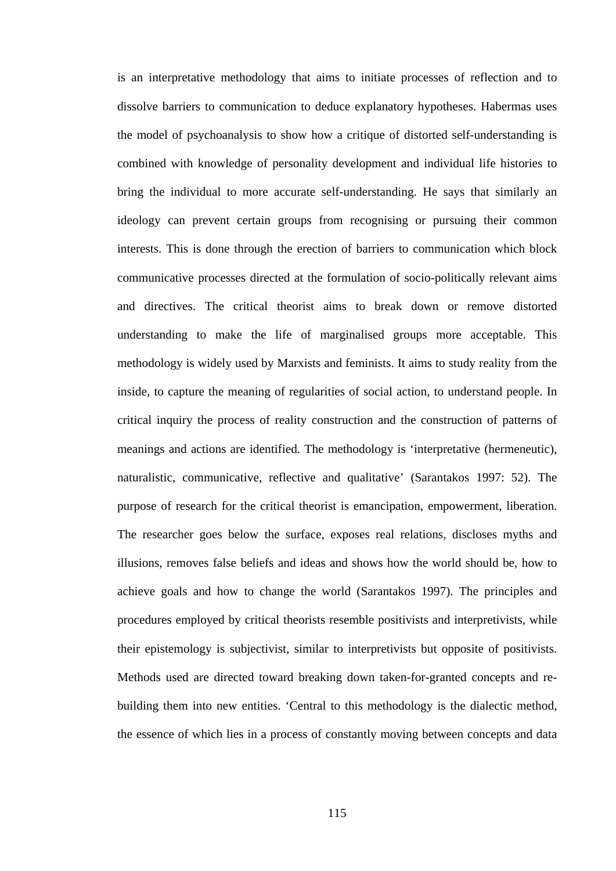is an interpretative methodology that aims to initiate processes of reflection and to dissolve barriers to communication to deduce explanatory hypotheses. Habermas uses the model of psychoanalysis to show how a critique of distorted self-understanding is combined with knowledge of personality development and individual life histories to bring the individual to more accurate self-understanding. He says that similarly an ideology can prevent certain groups from recognising or pursuing their common interests. This is done through the erection of barriers to communication which block communicative processes directed at the formulation of socio-politically relevant aims and directives. The critical theorist aims to break down or remove distorted understanding to make the life of marginalised groups more acceptable. This methodology is widely used by Marxists and feminists. It aims to study reality from the inside, to capture the meaning of regularities of social action, to understand people. In critical inquiry the process of reality construction and the construction of patterns of meanings and actions are identified. The methodology is 'interpretative (hermeneutic), naturalistic, communicative, reflective and qualitative' (Sarantakos 1997: 52). The purpose of research for the critical theorist is emancipation, empowerment, liberation. The researcher goes below the surface, exposes real relations, discloses myths and illusions, removes false beliefs and ideas and shows how the world should be, how to achieve goals and how to change the world (Sarantakos 1997). The principles and procedures employed by critical theorists resemble positivists and interpretivists, while their epistemology is subjectivist, similar to interpretivists but opposite of positivists. Methods used are directed toward breaking down taken-for-granted concepts and rebuilding them into new entities. 'Central to this methodology is the dialectic method, the essence of which lies in a process of constantly moving between concepts and data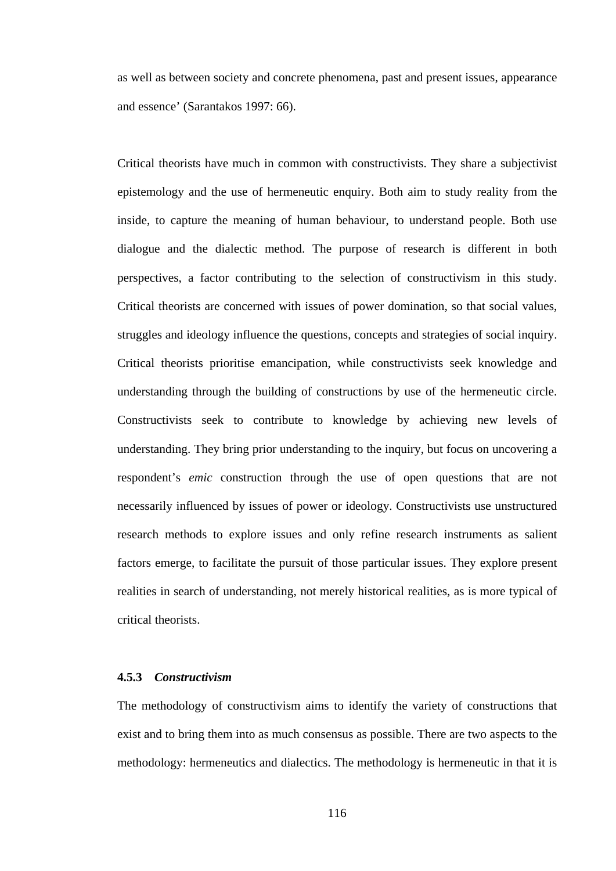as well as between society and concrete phenomena, past and present issues, appearance and essence' (Sarantakos 1997: 66).

Critical theorists have much in common with constructivists. They share a subjectivist epistemology and the use of hermeneutic enquiry. Both aim to study reality from the inside, to capture the meaning of human behaviour, to understand people. Both use dialogue and the dialectic method. The purpose of research is different in both perspectives, a factor contributing to the selection of constructivism in this study. Critical theorists are concerned with issues of power domination, so that social values, struggles and ideology influence the questions, concepts and strategies of social inquiry. Critical theorists prioritise emancipation, while constructivists seek knowledge and understanding through the building of constructions by use of the hermeneutic circle. Constructivists seek to contribute to knowledge by achieving new levels of understanding. They bring prior understanding to the inquiry, but focus on uncovering a respondent's *emic* construction through the use of open questions that are not necessarily influenced by issues of power or ideology. Constructivists use unstructured research methods to explore issues and only refine research instruments as salient factors emerge, to facilitate the pursuit of those particular issues. They explore present realities in search of understanding, not merely historical realities, as is more typical of critical theorists.

## **4.5.3** *Constructivism*

The methodology of constructivism aims to identify the variety of constructions that exist and to bring them into as much consensus as possible. There are two aspects to the methodology: hermeneutics and dialectics. The methodology is hermeneutic in that it is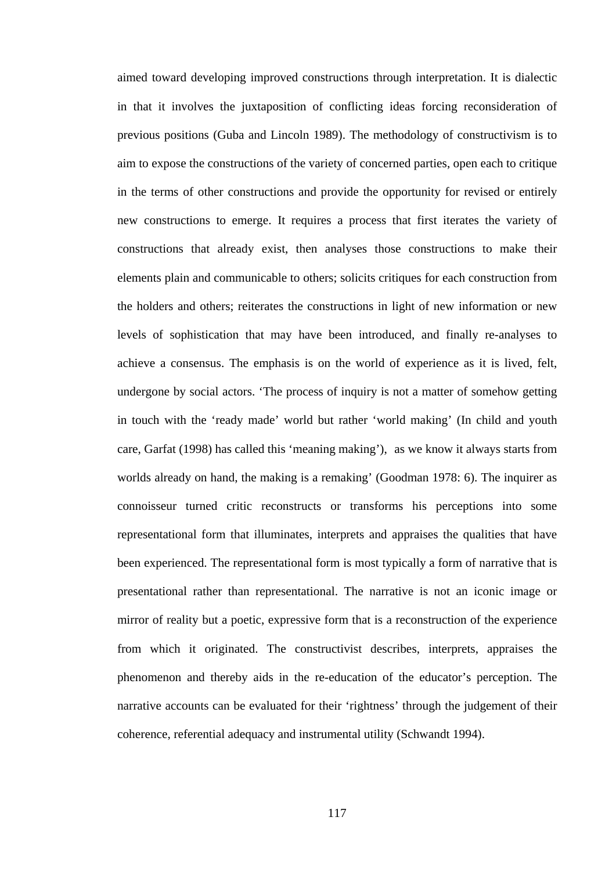aimed toward developing improved constructions through interpretation. It is dialectic in that it involves the juxtaposition of conflicting ideas forcing reconsideration of previous positions (Guba and Lincoln 1989). The methodology of constructivism is to aim to expose the constructions of the variety of concerned parties, open each to critique in the terms of other constructions and provide the opportunity for revised or entirely new constructions to emerge. It requires a process that first iterates the variety of constructions that already exist, then analyses those constructions to make their elements plain and communicable to others; solicits critiques for each construction from the holders and others; reiterates the constructions in light of new information or new levels of sophistication that may have been introduced, and finally re-analyses to achieve a consensus. The emphasis is on the world of experience as it is lived, felt, undergone by social actors. 'The process of inquiry is not a matter of somehow getting in touch with the 'ready made' world but rather 'world making' (In child and youth care, Garfat (1998) has called this 'meaning making'), as we know it always starts from worlds already on hand, the making is a remaking' (Goodman 1978: 6). The inquirer as connoisseur turned critic reconstructs or transforms his perceptions into some representational form that illuminates, interprets and appraises the qualities that have been experienced. The representational form is most typically a form of narrative that is presentational rather than representational. The narrative is not an iconic image or mirror of reality but a poetic, expressive form that is a reconstruction of the experience from which it originated. The constructivist describes, interprets, appraises the phenomenon and thereby aids in the re-education of the educator's perception. The narrative accounts can be evaluated for their 'rightness' through the judgement of their coherence, referential adequacy and instrumental utility (Schwandt 1994).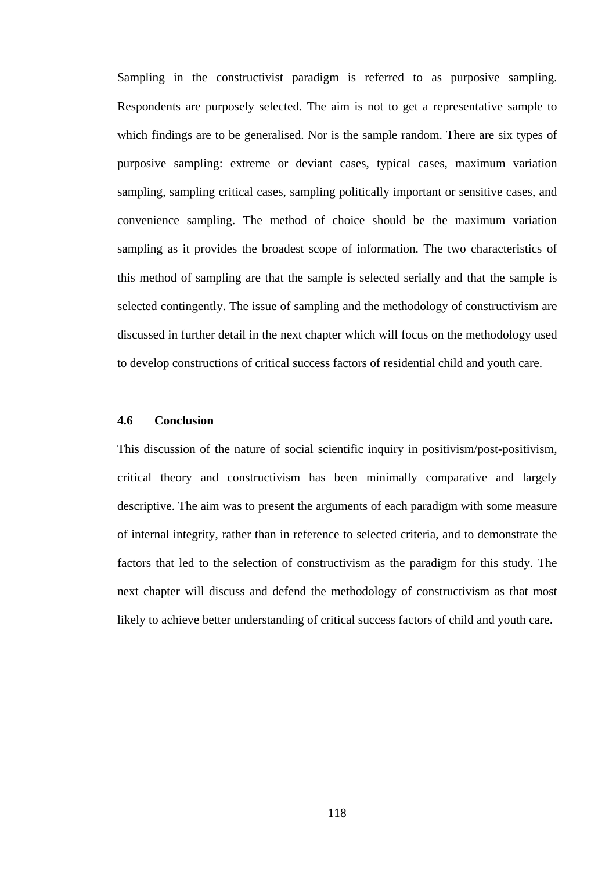Sampling in the constructivist paradigm is referred to as purposive sampling. Respondents are purposely selected. The aim is not to get a representative sample to which findings are to be generalised. Nor is the sample random. There are six types of purposive sampling: extreme or deviant cases, typical cases, maximum variation sampling, sampling critical cases, sampling politically important or sensitive cases, and convenience sampling. The method of choice should be the maximum variation sampling as it provides the broadest scope of information. The two characteristics of this method of sampling are that the sample is selected serially and that the sample is selected contingently. The issue of sampling and the methodology of constructivism are discussed in further detail in the next chapter which will focus on the methodology used to develop constructions of critical success factors of residential child and youth care.

## **4.6 Conclusion**

This discussion of the nature of social scientific inquiry in positivism/post-positivism, critical theory and constructivism has been minimally comparative and largely descriptive. The aim was to present the arguments of each paradigm with some measure of internal integrity, rather than in reference to selected criteria, and to demonstrate the factors that led to the selection of constructivism as the paradigm for this study. The next chapter will discuss and defend the methodology of constructivism as that most likely to achieve better understanding of critical success factors of child and youth care.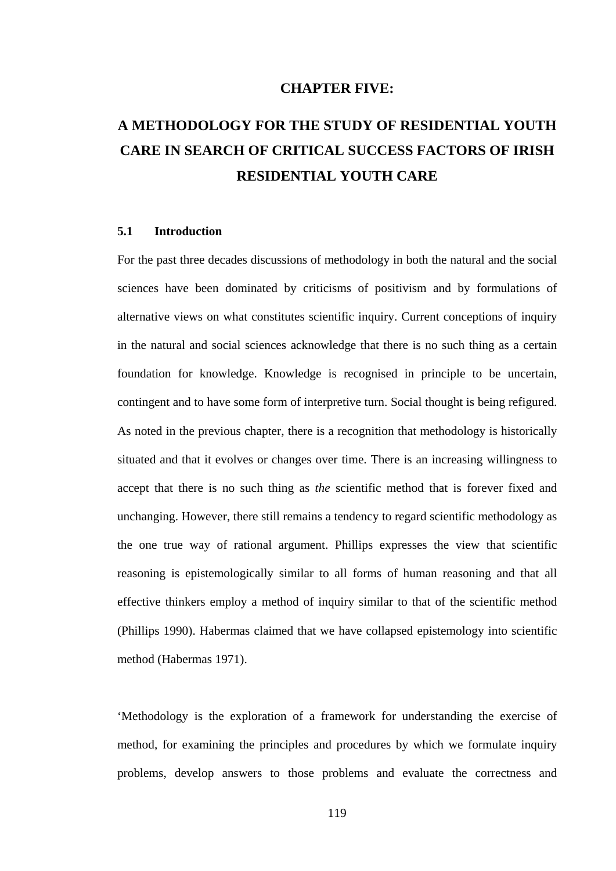## **CHAPTER FIVE:**

# **A METHODOLOGY FOR THE STUDY OF RESIDENTIAL YOUTH CARE IN SEARCH OF CRITICAL SUCCESS FACTORS OF IRISH RESIDENTIAL YOUTH CARE**

#### **5.1 Introduction**

For the past three decades discussions of methodology in both the natural and the social sciences have been dominated by criticisms of positivism and by formulations of alternative views on what constitutes scientific inquiry. Current conceptions of inquiry in the natural and social sciences acknowledge that there is no such thing as a certain foundation for knowledge. Knowledge is recognised in principle to be uncertain, contingent and to have some form of interpretive turn. Social thought is being refigured. As noted in the previous chapter, there is a recognition that methodology is historically situated and that it evolves or changes over time. There is an increasing willingness to accept that there is no such thing as *the* scientific method that is forever fixed and unchanging. However, there still remains a tendency to regard scientific methodology as the one true way of rational argument. Phillips expresses the view that scientific reasoning is epistemologically similar to all forms of human reasoning and that all effective thinkers employ a method of inquiry similar to that of the scientific method (Phillips 1990). Habermas claimed that we have collapsed epistemology into scientific method (Habermas 1971).

'Methodology is the exploration of a framework for understanding the exercise of method, for examining the principles and procedures by which we formulate inquiry problems, develop answers to those problems and evaluate the correctness and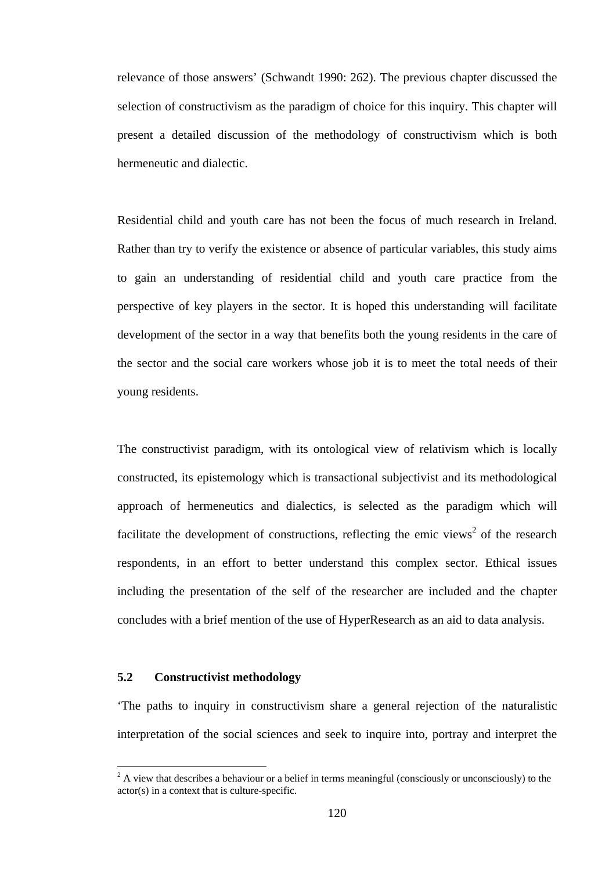relevance of those answers' (Schwandt 1990: 262). The previous chapter discussed the selection of constructivism as the paradigm of choice for this inquiry. This chapter will present a detailed discussion of the methodology of constructivism which is both hermeneutic and dialectic.

Residential child and youth care has not been the focus of much research in Ireland. Rather than try to verify the existence or absence of particular variables, this study aims to gain an understanding of residential child and youth care practice from the perspective of key players in the sector. It is hoped this understanding will facilitate development of the sector in a way that benefits both the young residents in the care of the sector and the social care workers whose job it is to meet the total needs of their young residents.

The constructivist paradigm, with its ontological view of relativism which is locally constructed, its epistemology which is transactional subjectivist and its methodological approach of hermeneutics and dialectics, is selected as the paradigm which will facilitate the development of constructions, reflecting the emic views<sup>2</sup> of the research respondents, in an effort to better understand this complex sector. Ethical issues including the presentation of the self of the researcher are included and the chapter concludes with a brief mention of the use of HyperResearch as an aid to data analysis.

## **5.2 Constructivist methodology**

 $\overline{a}$ 

'The paths to inquiry in constructivism share a general rejection of the naturalistic interpretation of the social sciences and seek to inquire into, portray and interpret the

 $2^2$  A view that describes a behaviour or a belief in terms meaningful (consciously or unconsciously) to the actor(s) in a context that is culture-specific.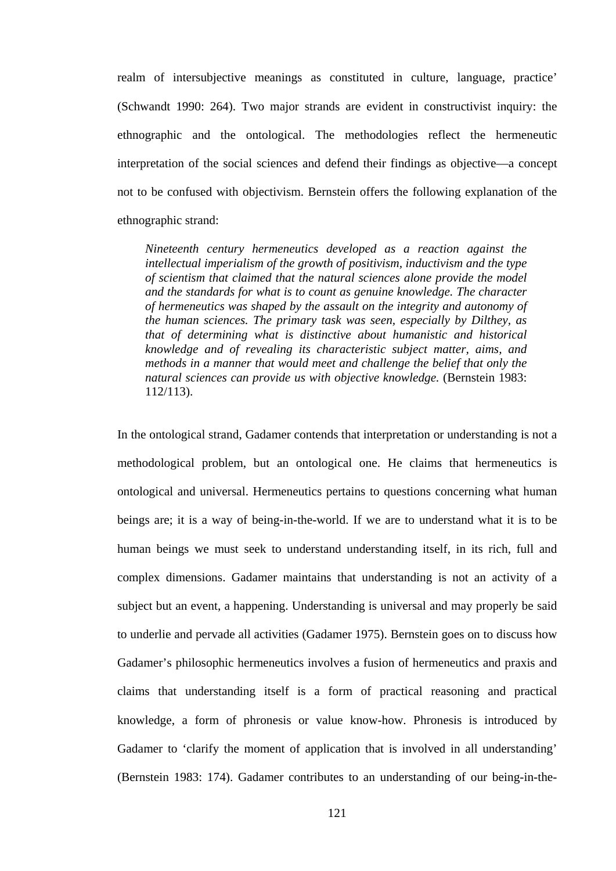realm of intersubjective meanings as constituted in culture, language, practice' (Schwandt 1990: 264). Two major strands are evident in constructivist inquiry: the ethnographic and the ontological. The methodologies reflect the hermeneutic interpretation of the social sciences and defend their findings as objective—a concept not to be confused with objectivism. Bernstein offers the following explanation of the ethnographic strand:

*Nineteenth century hermeneutics developed as a reaction against the intellectual imperialism of the growth of positivism, inductivism and the type of scientism that claimed that the natural sciences alone provide the model and the standards for what is to count as genuine knowledge. The character of hermeneutics was shaped by the assault on the integrity and autonomy of the human sciences. The primary task was seen, especially by Dilthey, as that of determining what is distinctive about humanistic and historical knowledge and of revealing its characteristic subject matter, aims, and methods in a manner that would meet and challenge the belief that only the natural sciences can provide us with objective knowledge.* (Bernstein 1983: 112/113).

In the ontological strand, Gadamer contends that interpretation or understanding is not a methodological problem, but an ontological one. He claims that hermeneutics is ontological and universal. Hermeneutics pertains to questions concerning what human beings are; it is a way of being-in-the-world. If we are to understand what it is to be human beings we must seek to understand understanding itself, in its rich, full and complex dimensions. Gadamer maintains that understanding is not an activity of a subject but an event, a happening. Understanding is universal and may properly be said to underlie and pervade all activities (Gadamer 1975). Bernstein goes on to discuss how Gadamer's philosophic hermeneutics involves a fusion of hermeneutics and praxis and claims that understanding itself is a form of practical reasoning and practical knowledge, a form of phronesis or value know-how. Phronesis is introduced by Gadamer to 'clarify the moment of application that is involved in all understanding' (Bernstein 1983: 174). Gadamer contributes to an understanding of our being-in-the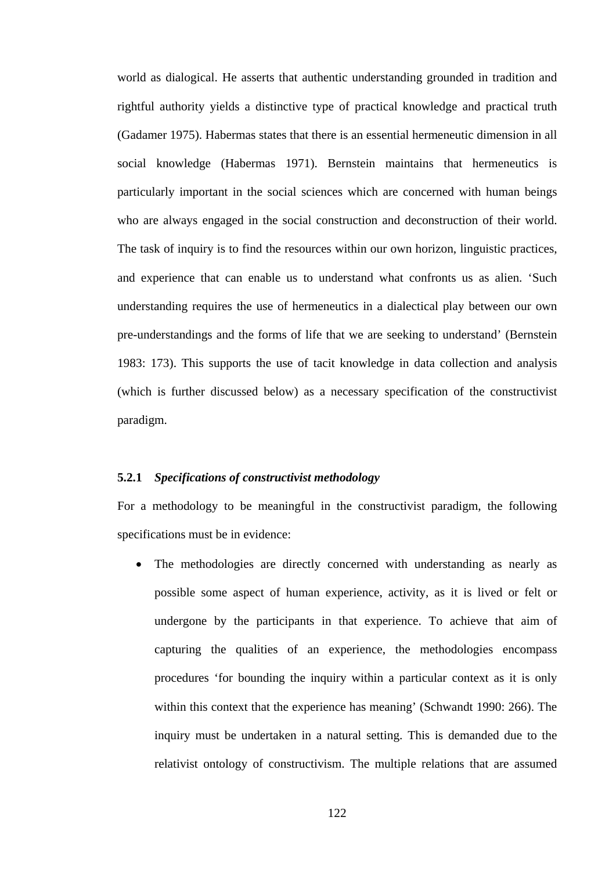world as dialogical. He asserts that authentic understanding grounded in tradition and rightful authority yields a distinctive type of practical knowledge and practical truth (Gadamer 1975). Habermas states that there is an essential hermeneutic dimension in all social knowledge (Habermas 1971). Bernstein maintains that hermeneutics is particularly important in the social sciences which are concerned with human beings who are always engaged in the social construction and deconstruction of their world. The task of inquiry is to find the resources within our own horizon, linguistic practices, and experience that can enable us to understand what confronts us as alien. 'Such understanding requires the use of hermeneutics in a dialectical play between our own pre-understandings and the forms of life that we are seeking to understand' (Bernstein 1983: 173). This supports the use of tacit knowledge in data collection and analysis (which is further discussed below) as a necessary specification of the constructivist paradigm.

### **5.2.1** *Specifications of constructivist methodology*

For a methodology to be meaningful in the constructivist paradigm, the following specifications must be in evidence:

 The methodologies are directly concerned with understanding as nearly as possible some aspect of human experience, activity, as it is lived or felt or undergone by the participants in that experience. To achieve that aim of capturing the qualities of an experience, the methodologies encompass procedures 'for bounding the inquiry within a particular context as it is only within this context that the experience has meaning' (Schwandt 1990: 266). The inquiry must be undertaken in a natural setting. This is demanded due to the relativist ontology of constructivism. The multiple relations that are assumed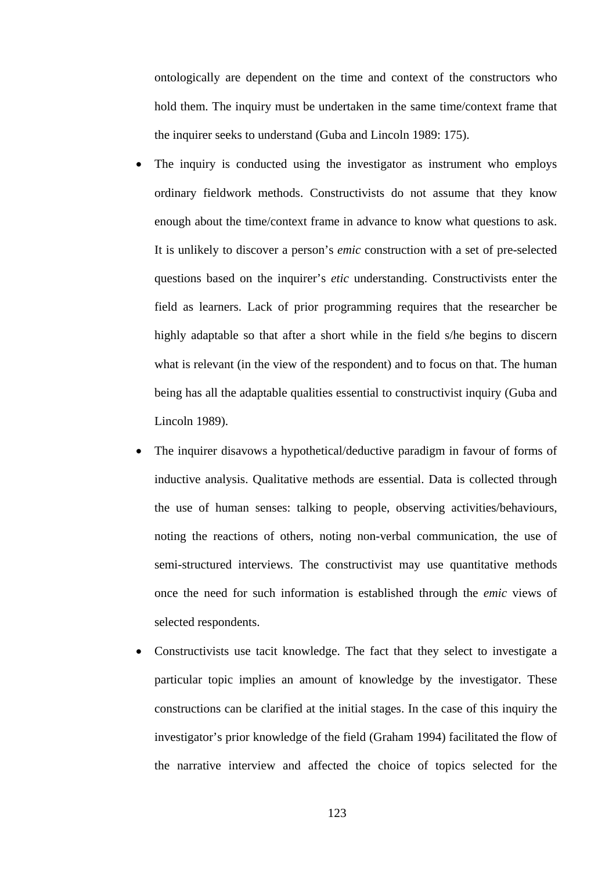ontologically are dependent on the time and context of the constructors who hold them. The inquiry must be undertaken in the same time/context frame that the inquirer seeks to understand (Guba and Lincoln 1989: 175).

- The inquiry is conducted using the investigator as instrument who employs ordinary fieldwork methods. Constructivists do not assume that they know enough about the time/context frame in advance to know what questions to ask. It is unlikely to discover a person's *emic* construction with a set of pre-selected questions based on the inquirer's *etic* understanding. Constructivists enter the field as learners. Lack of prior programming requires that the researcher be highly adaptable so that after a short while in the field s/he begins to discern what is relevant (in the view of the respondent) and to focus on that. The human being has all the adaptable qualities essential to constructivist inquiry (Guba and Lincoln 1989).
- The inquirer disavows a hypothetical/deductive paradigm in favour of forms of inductive analysis. Qualitative methods are essential. Data is collected through the use of human senses: talking to people, observing activities/behaviours, noting the reactions of others, noting non-verbal communication, the use of semi-structured interviews. The constructivist may use quantitative methods once the need for such information is established through the *emic* views of selected respondents.
- Constructivists use tacit knowledge. The fact that they select to investigate a particular topic implies an amount of knowledge by the investigator. These constructions can be clarified at the initial stages. In the case of this inquiry the investigator's prior knowledge of the field (Graham 1994) facilitated the flow of the narrative interview and affected the choice of topics selected for the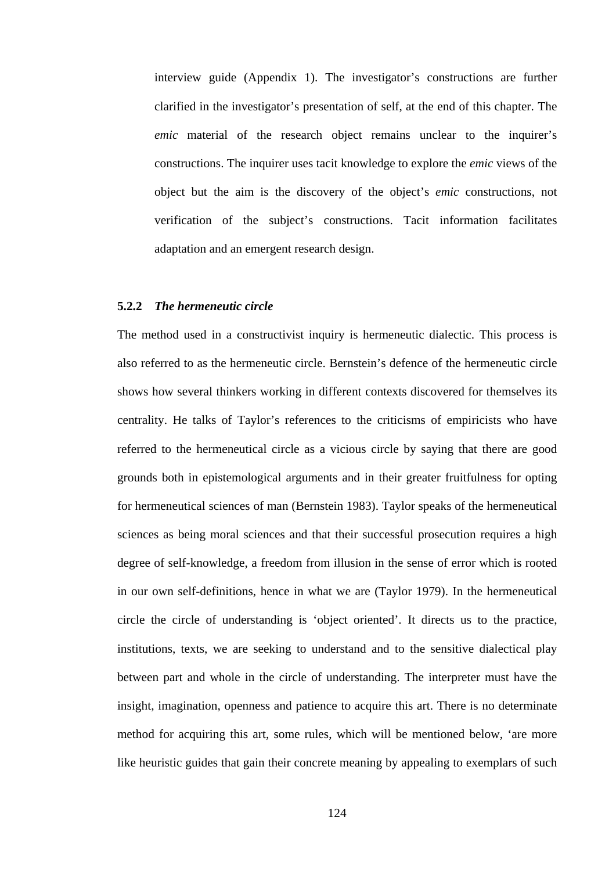interview guide (Appendix 1). The investigator's constructions are further clarified in the investigator's presentation of self, at the end of this chapter. The *emic* material of the research object remains unclear to the inquirer's constructions. The inquirer uses tacit knowledge to explore the *emic* views of the object but the aim is the discovery of the object's *emic* constructions, not verification of the subject's constructions. Tacit information facilitates adaptation and an emergent research design.

#### **5.2.2** *The hermeneutic circle*

The method used in a constructivist inquiry is hermeneutic dialectic. This process is also referred to as the hermeneutic circle. Bernstein's defence of the hermeneutic circle shows how several thinkers working in different contexts discovered for themselves its centrality. He talks of Taylor's references to the criticisms of empiricists who have referred to the hermeneutical circle as a vicious circle by saying that there are good grounds both in epistemological arguments and in their greater fruitfulness for opting for hermeneutical sciences of man (Bernstein 1983). Taylor speaks of the hermeneutical sciences as being moral sciences and that their successful prosecution requires a high degree of self-knowledge, a freedom from illusion in the sense of error which is rooted in our own self-definitions, hence in what we are (Taylor 1979). In the hermeneutical circle the circle of understanding is 'object oriented'. It directs us to the practice, institutions, texts, we are seeking to understand and to the sensitive dialectical play between part and whole in the circle of understanding. The interpreter must have the insight, imagination, openness and patience to acquire this art. There is no determinate method for acquiring this art, some rules, which will be mentioned below, 'are more like heuristic guides that gain their concrete meaning by appealing to exemplars of such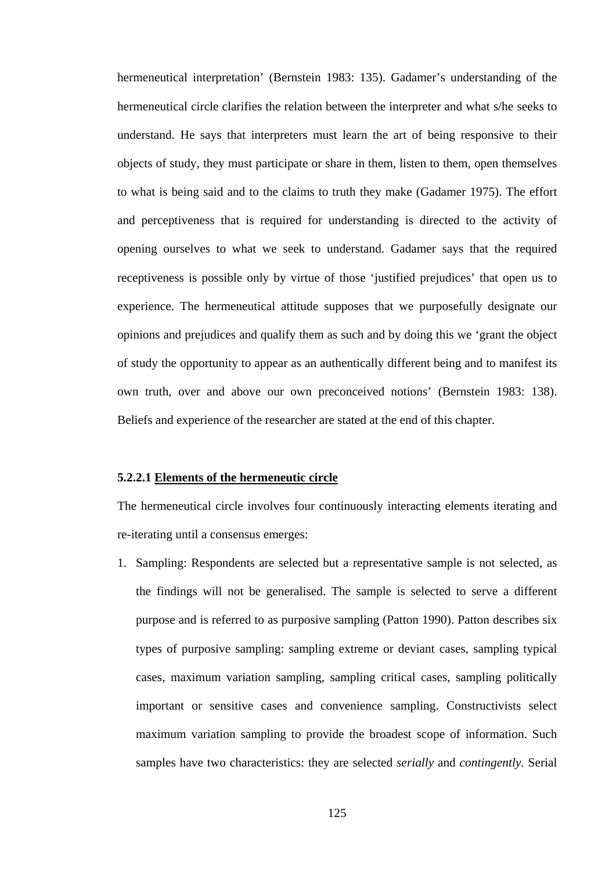hermeneutical interpretation' (Bernstein 1983: 135). Gadamer's understanding of the hermeneutical circle clarifies the relation between the interpreter and what s/he seeks to understand. He says that interpreters must learn the art of being responsive to their objects of study, they must participate or share in them, listen to them, open themselves to what is being said and to the claims to truth they make (Gadamer 1975). The effort and perceptiveness that is required for understanding is directed to the activity of opening ourselves to what we seek to understand. Gadamer says that the required receptiveness is possible only by virtue of those 'justified prejudices' that open us to experience. The hermeneutical attitude supposes that we purposefully designate our opinions and prejudices and qualify them as such and by doing this we 'grant the object of study the opportunity to appear as an authentically different being and to manifest its own truth, over and above our own preconceived notions' (Bernstein 1983: 138). Beliefs and experience of the researcher are stated at the end of this chapter.

### **5.2.2.1 Elements of the hermeneutic circle**

The hermeneutical circle involves four continuously interacting elements iterating and re-iterating until a consensus emerges:

1. Sampling: Respondents are selected but a representative sample is not selected, as the findings will not be generalised. The sample is selected to serve a different purpose and is referred to as purposive sampling (Patton 1990). Patton describes six types of purposive sampling: sampling extreme or deviant cases, sampling typical cases, maximum variation sampling, sampling critical cases, sampling politically important or sensitive cases and convenience sampling. Constructivists select maximum variation sampling to provide the broadest scope of information. Such samples have two characteristics: they are selected *serially* and *contingently.* Serial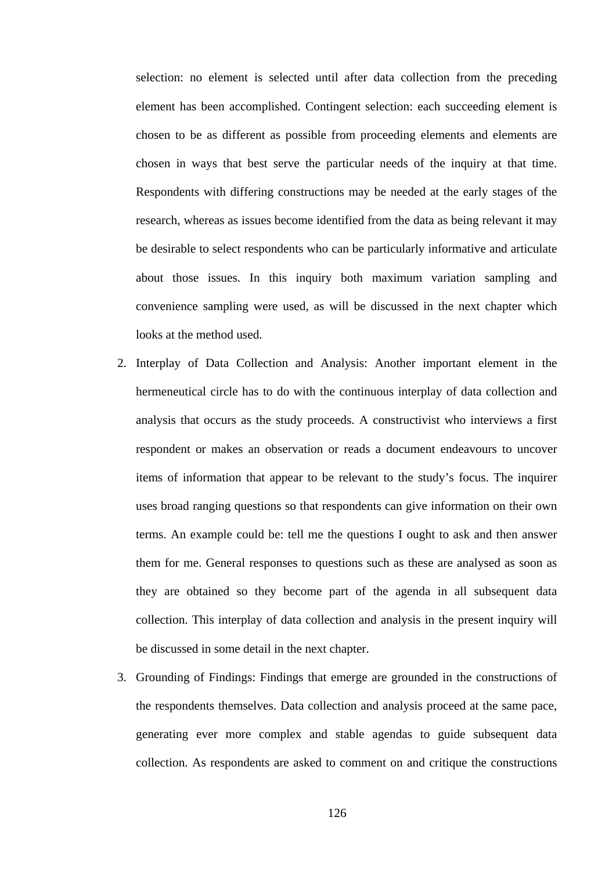selection: no element is selected until after data collection from the preceding element has been accomplished. Contingent selection: each succeeding element is chosen to be as different as possible from proceeding elements and elements are chosen in ways that best serve the particular needs of the inquiry at that time. Respondents with differing constructions may be needed at the early stages of the research, whereas as issues become identified from the data as being relevant it may be desirable to select respondents who can be particularly informative and articulate about those issues. In this inquiry both maximum variation sampling and convenience sampling were used, as will be discussed in the next chapter which looks at the method used.

- 2. Interplay of Data Collection and Analysis: Another important element in the hermeneutical circle has to do with the continuous interplay of data collection and analysis that occurs as the study proceeds. A constructivist who interviews a first respondent or makes an observation or reads a document endeavours to uncover items of information that appear to be relevant to the study's focus. The inquirer uses broad ranging questions so that respondents can give information on their own terms. An example could be: tell me the questions I ought to ask and then answer them for me. General responses to questions such as these are analysed as soon as they are obtained so they become part of the agenda in all subsequent data collection. This interplay of data collection and analysis in the present inquiry will be discussed in some detail in the next chapter.
- 3. Grounding of Findings: Findings that emerge are grounded in the constructions of the respondents themselves. Data collection and analysis proceed at the same pace, generating ever more complex and stable agendas to guide subsequent data collection. As respondents are asked to comment on and critique the constructions

126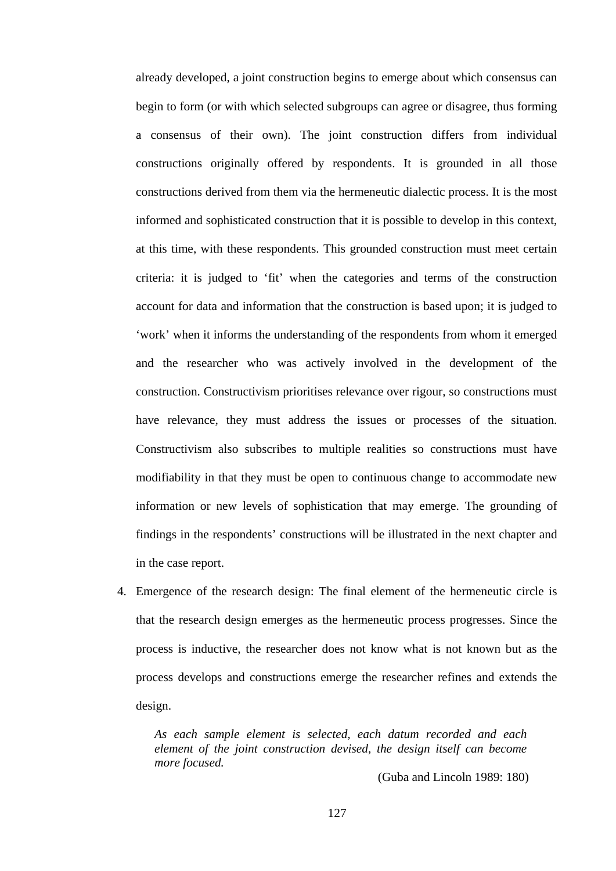already developed, a joint construction begins to emerge about which consensus can begin to form (or with which selected subgroups can agree or disagree, thus forming a consensus of their own). The joint construction differs from individual constructions originally offered by respondents. It is grounded in all those constructions derived from them via the hermeneutic dialectic process. It is the most informed and sophisticated construction that it is possible to develop in this context, at this time, with these respondents. This grounded construction must meet certain criteria: it is judged to 'fit' when the categories and terms of the construction account for data and information that the construction is based upon; it is judged to 'work' when it informs the understanding of the respondents from whom it emerged and the researcher who was actively involved in the development of the construction. Constructivism prioritises relevance over rigour, so constructions must have relevance, they must address the issues or processes of the situation. Constructivism also subscribes to multiple realities so constructions must have modifiability in that they must be open to continuous change to accommodate new information or new levels of sophistication that may emerge. The grounding of findings in the respondents' constructions will be illustrated in the next chapter and in the case report.

4. Emergence of the research design: The final element of the hermeneutic circle is that the research design emerges as the hermeneutic process progresses. Since the process is inductive, the researcher does not know what is not known but as the process develops and constructions emerge the researcher refines and extends the design.

*As each sample element is selected, each datum recorded and each element of the joint construction devised, the design itself can become more focused.* 

(Guba and Lincoln 1989: 180)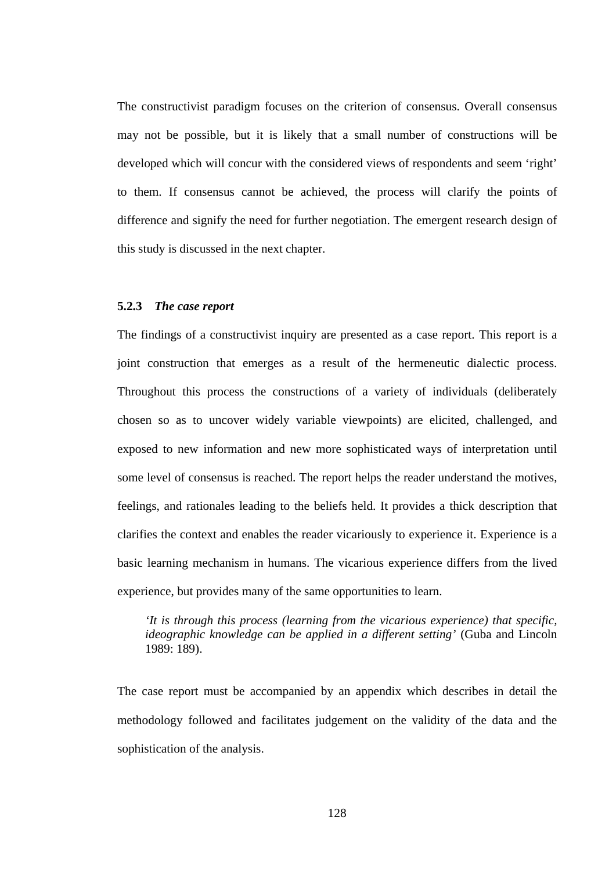The constructivist paradigm focuses on the criterion of consensus. Overall consensus may not be possible, but it is likely that a small number of constructions will be developed which will concur with the considered views of respondents and seem 'right' to them. If consensus cannot be achieved, the process will clarify the points of difference and signify the need for further negotiation. The emergent research design of this study is discussed in the next chapter.

### **5.2.3** *The case report*

The findings of a constructivist inquiry are presented as a case report. This report is a joint construction that emerges as a result of the hermeneutic dialectic process. Throughout this process the constructions of a variety of individuals (deliberately chosen so as to uncover widely variable viewpoints) are elicited, challenged, and exposed to new information and new more sophisticated ways of interpretation until some level of consensus is reached. The report helps the reader understand the motives, feelings, and rationales leading to the beliefs held. It provides a thick description that clarifies the context and enables the reader vicariously to experience it. Experience is a basic learning mechanism in humans. The vicarious experience differs from the lived experience, but provides many of the same opportunities to learn.

*'It is through this process (learning from the vicarious experience) that specific, ideographic knowledge can be applied in a different setting'* (Guba and Lincoln 1989: 189).

The case report must be accompanied by an appendix which describes in detail the methodology followed and facilitates judgement on the validity of the data and the sophistication of the analysis.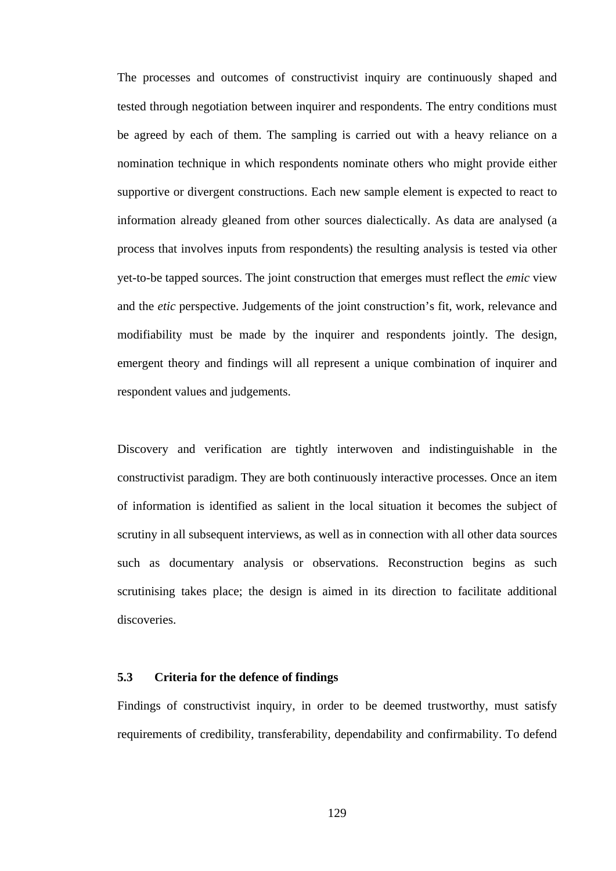The processes and outcomes of constructivist inquiry are continuously shaped and tested through negotiation between inquirer and respondents. The entry conditions must be agreed by each of them. The sampling is carried out with a heavy reliance on a nomination technique in which respondents nominate others who might provide either supportive or divergent constructions. Each new sample element is expected to react to information already gleaned from other sources dialectically. As data are analysed (a process that involves inputs from respondents) the resulting analysis is tested via other yet-to-be tapped sources. The joint construction that emerges must reflect the *emic* view and the *etic* perspective. Judgements of the joint construction's fit, work, relevance and modifiability must be made by the inquirer and respondents jointly. The design, emergent theory and findings will all represent a unique combination of inquirer and respondent values and judgements.

Discovery and verification are tightly interwoven and indistinguishable in the constructivist paradigm. They are both continuously interactive processes. Once an item of information is identified as salient in the local situation it becomes the subject of scrutiny in all subsequent interviews, as well as in connection with all other data sources such as documentary analysis or observations. Reconstruction begins as such scrutinising takes place; the design is aimed in its direction to facilitate additional discoveries.

## **5.3 Criteria for the defence of findings**

Findings of constructivist inquiry, in order to be deemed trustworthy, must satisfy requirements of credibility, transferability, dependability and confirmability. To defend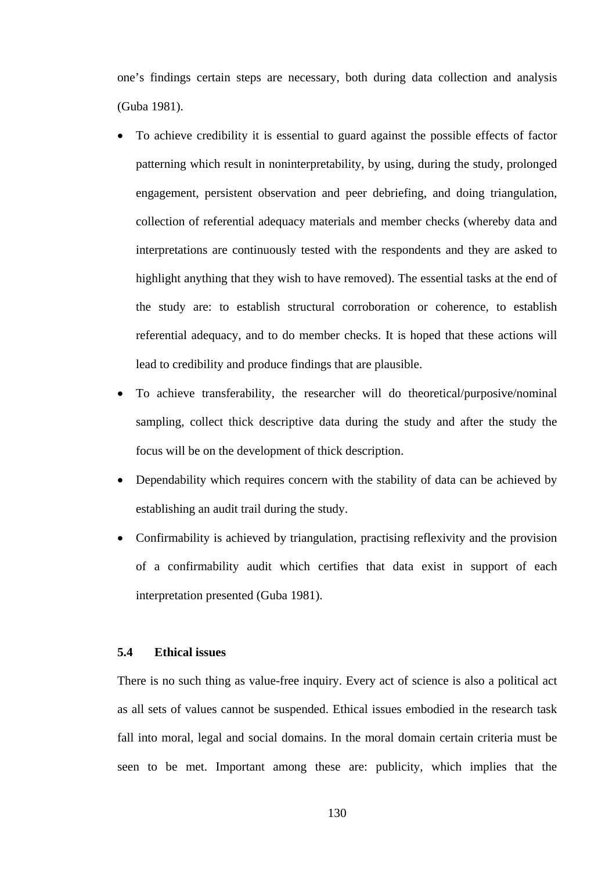one's findings certain steps are necessary, both during data collection and analysis (Guba 1981).

- To achieve credibility it is essential to guard against the possible effects of factor patterning which result in noninterpretability, by using, during the study, prolonged engagement, persistent observation and peer debriefing, and doing triangulation, collection of referential adequacy materials and member checks (whereby data and interpretations are continuously tested with the respondents and they are asked to highlight anything that they wish to have removed). The essential tasks at the end of the study are: to establish structural corroboration or coherence, to establish referential adequacy, and to do member checks. It is hoped that these actions will lead to credibility and produce findings that are plausible.
- To achieve transferability, the researcher will do theoretical/purposive/nominal sampling, collect thick descriptive data during the study and after the study the focus will be on the development of thick description.
- Dependability which requires concern with the stability of data can be achieved by establishing an audit trail during the study.
- Confirmability is achieved by triangulation, practising reflexivity and the provision of a confirmability audit which certifies that data exist in support of each interpretation presented (Guba 1981).

# **5.4 Ethical issues**

There is no such thing as value-free inquiry. Every act of science is also a political act as all sets of values cannot be suspended. Ethical issues embodied in the research task fall into moral, legal and social domains. In the moral domain certain criteria must be seen to be met. Important among these are: publicity, which implies that the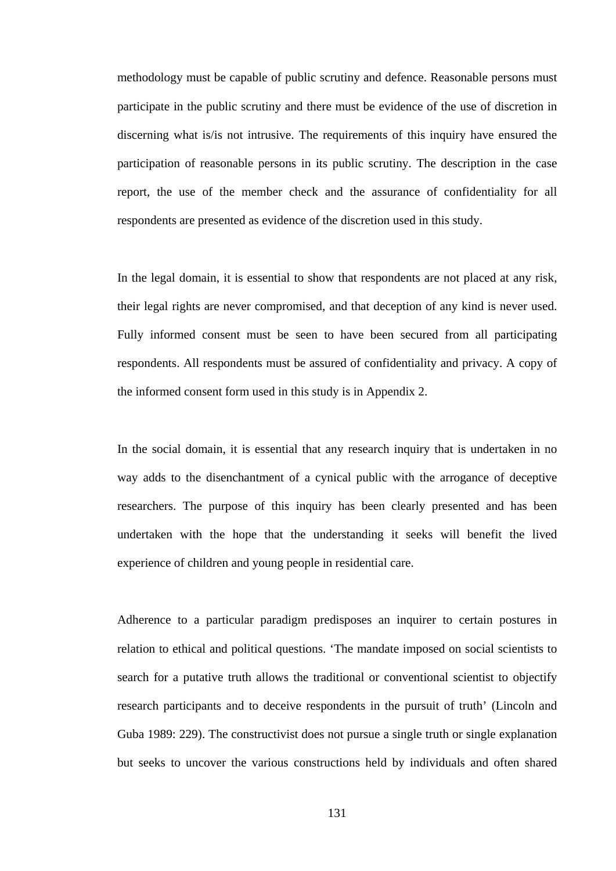methodology must be capable of public scrutiny and defence. Reasonable persons must participate in the public scrutiny and there must be evidence of the use of discretion in discerning what is/is not intrusive. The requirements of this inquiry have ensured the participation of reasonable persons in its public scrutiny. The description in the case report, the use of the member check and the assurance of confidentiality for all respondents are presented as evidence of the discretion used in this study.

In the legal domain, it is essential to show that respondents are not placed at any risk, their legal rights are never compromised, and that deception of any kind is never used. Fully informed consent must be seen to have been secured from all participating respondents. All respondents must be assured of confidentiality and privacy. A copy of the informed consent form used in this study is in Appendix 2.

In the social domain, it is essential that any research inquiry that is undertaken in no way adds to the disenchantment of a cynical public with the arrogance of deceptive researchers. The purpose of this inquiry has been clearly presented and has been undertaken with the hope that the understanding it seeks will benefit the lived experience of children and young people in residential care.

Adherence to a particular paradigm predisposes an inquirer to certain postures in relation to ethical and political questions. 'The mandate imposed on social scientists to search for a putative truth allows the traditional or conventional scientist to objectify research participants and to deceive respondents in the pursuit of truth' (Lincoln and Guba 1989: 229). The constructivist does not pursue a single truth or single explanation but seeks to uncover the various constructions held by individuals and often shared

131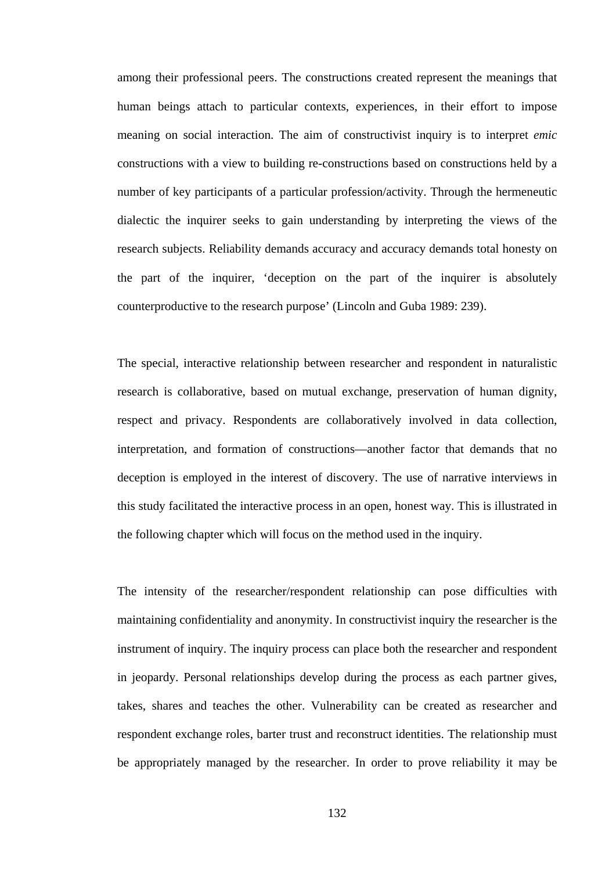among their professional peers. The constructions created represent the meanings that human beings attach to particular contexts, experiences, in their effort to impose meaning on social interaction. The aim of constructivist inquiry is to interpret *emic* constructions with a view to building re-constructions based on constructions held by a number of key participants of a particular profession/activity. Through the hermeneutic dialectic the inquirer seeks to gain understanding by interpreting the views of the research subjects. Reliability demands accuracy and accuracy demands total honesty on the part of the inquirer, 'deception on the part of the inquirer is absolutely counterproductive to the research purpose' (Lincoln and Guba 1989: 239).

The special, interactive relationship between researcher and respondent in naturalistic research is collaborative, based on mutual exchange, preservation of human dignity, respect and privacy. Respondents are collaboratively involved in data collection, interpretation, and formation of constructions—another factor that demands that no deception is employed in the interest of discovery. The use of narrative interviews in this study facilitated the interactive process in an open, honest way. This is illustrated in the following chapter which will focus on the method used in the inquiry.

The intensity of the researcher/respondent relationship can pose difficulties with maintaining confidentiality and anonymity. In constructivist inquiry the researcher is the instrument of inquiry. The inquiry process can place both the researcher and respondent in jeopardy. Personal relationships develop during the process as each partner gives, takes, shares and teaches the other. Vulnerability can be created as researcher and respondent exchange roles, barter trust and reconstruct identities. The relationship must be appropriately managed by the researcher. In order to prove reliability it may be

132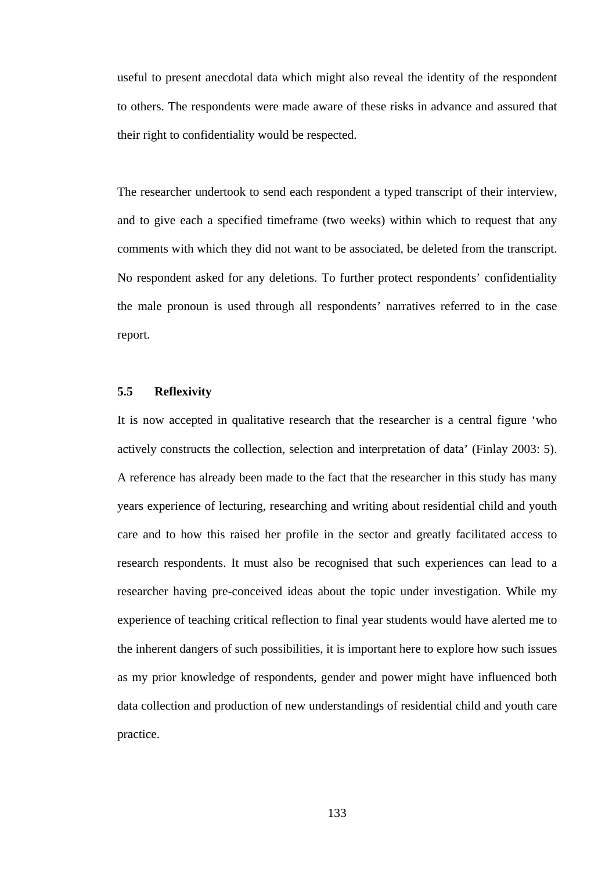useful to present anecdotal data which might also reveal the identity of the respondent to others. The respondents were made aware of these risks in advance and assured that their right to confidentiality would be respected.

The researcher undertook to send each respondent a typed transcript of their interview, and to give each a specified timeframe (two weeks) within which to request that any comments with which they did not want to be associated, be deleted from the transcript. No respondent asked for any deletions. To further protect respondents' confidentiality the male pronoun is used through all respondents' narratives referred to in the case report.

## **5.5 Reflexivity**

It is now accepted in qualitative research that the researcher is a central figure 'who actively constructs the collection, selection and interpretation of data' (Finlay 2003: 5). A reference has already been made to the fact that the researcher in this study has many years experience of lecturing, researching and writing about residential child and youth care and to how this raised her profile in the sector and greatly facilitated access to research respondents. It must also be recognised that such experiences can lead to a researcher having pre-conceived ideas about the topic under investigation. While my experience of teaching critical reflection to final year students would have alerted me to the inherent dangers of such possibilities, it is important here to explore how such issues as my prior knowledge of respondents, gender and power might have influenced both data collection and production of new understandings of residential child and youth care practice.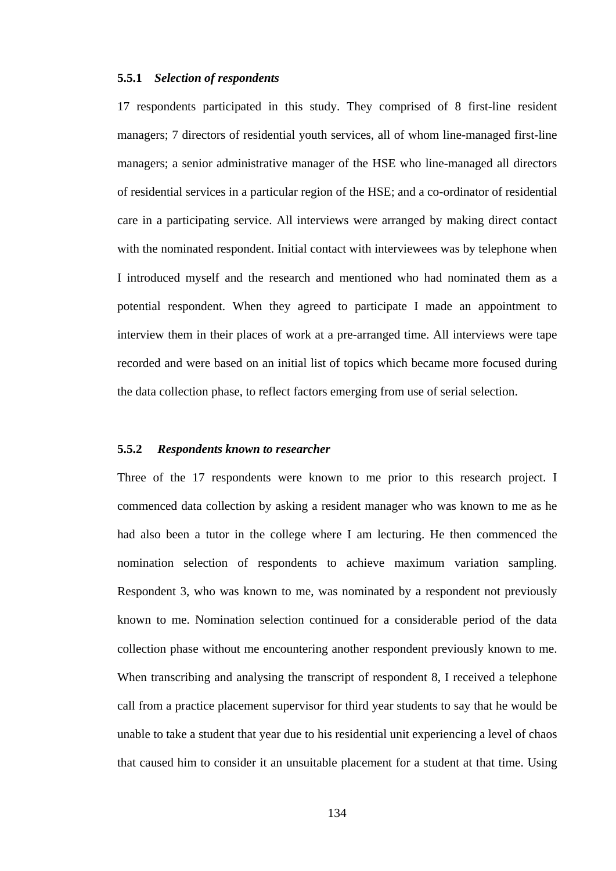# **5.5.1** *Selection of respondents*

17 respondents participated in this study. They comprised of 8 first-line resident managers; 7 directors of residential youth services, all of whom line-managed first-line managers; a senior administrative manager of the HSE who line-managed all directors of residential services in a particular region of the HSE; and a co-ordinator of residential care in a participating service. All interviews were arranged by making direct contact with the nominated respondent. Initial contact with interviewees was by telephone when I introduced myself and the research and mentioned who had nominated them as a potential respondent. When they agreed to participate I made an appointment to interview them in their places of work at a pre-arranged time. All interviews were tape recorded and were based on an initial list of topics which became more focused during the data collection phase, to reflect factors emerging from use of serial selection.

## **5.5.2** *Respondents known to researcher*

Three of the 17 respondents were known to me prior to this research project. I commenced data collection by asking a resident manager who was known to me as he had also been a tutor in the college where I am lecturing. He then commenced the nomination selection of respondents to achieve maximum variation sampling. Respondent 3, who was known to me, was nominated by a respondent not previously known to me. Nomination selection continued for a considerable period of the data collection phase without me encountering another respondent previously known to me. When transcribing and analysing the transcript of respondent 8, I received a telephone call from a practice placement supervisor for third year students to say that he would be unable to take a student that year due to his residential unit experiencing a level of chaos that caused him to consider it an unsuitable placement for a student at that time. Using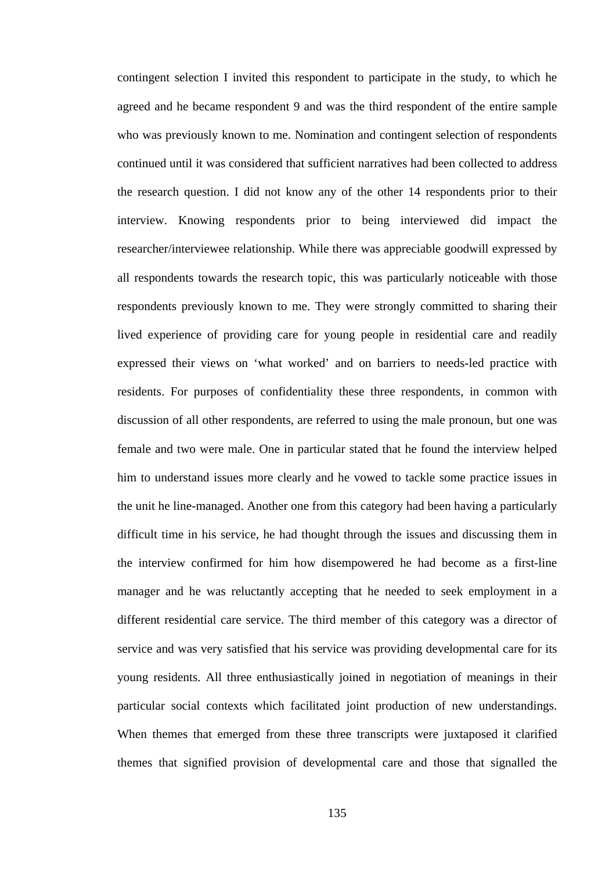contingent selection I invited this respondent to participate in the study, to which he agreed and he became respondent 9 and was the third respondent of the entire sample who was previously known to me. Nomination and contingent selection of respondents continued until it was considered that sufficient narratives had been collected to address the research question. I did not know any of the other 14 respondents prior to their interview. Knowing respondents prior to being interviewed did impact the researcher/interviewee relationship. While there was appreciable goodwill expressed by all respondents towards the research topic, this was particularly noticeable with those respondents previously known to me. They were strongly committed to sharing their lived experience of providing care for young people in residential care and readily expressed their views on 'what worked' and on barriers to needs-led practice with residents. For purposes of confidentiality these three respondents, in common with discussion of all other respondents, are referred to using the male pronoun, but one was female and two were male. One in particular stated that he found the interview helped him to understand issues more clearly and he vowed to tackle some practice issues in the unit he line-managed. Another one from this category had been having a particularly difficult time in his service, he had thought through the issues and discussing them in the interview confirmed for him how disempowered he had become as a first-line manager and he was reluctantly accepting that he needed to seek employment in a different residential care service. The third member of this category was a director of service and was very satisfied that his service was providing developmental care for its young residents. All three enthusiastically joined in negotiation of meanings in their particular social contexts which facilitated joint production of new understandings. When themes that emerged from these three transcripts were juxtaposed it clarified themes that signified provision of developmental care and those that signalled the

135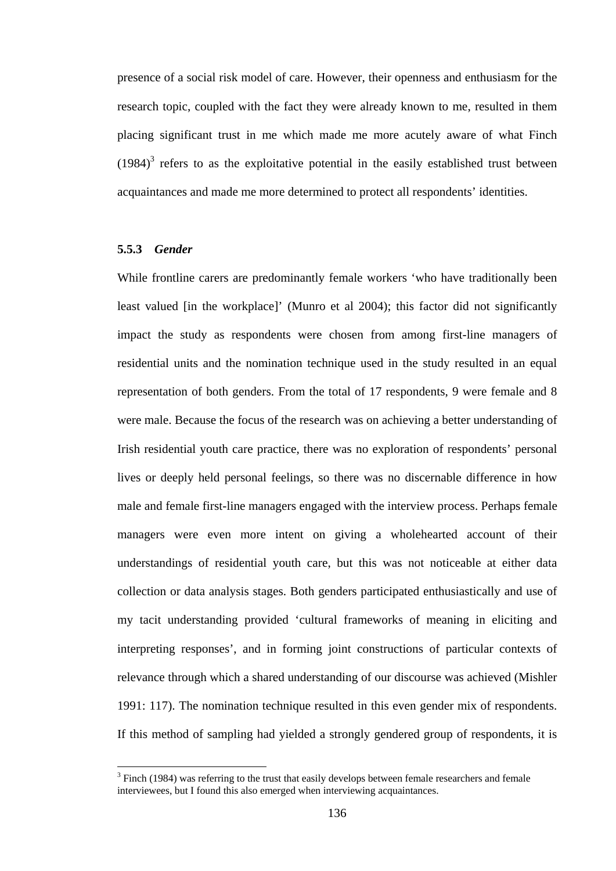presence of a social risk model of care. However, their openness and enthusiasm for the research topic, coupled with the fact they were already known to me, resulted in them placing significant trust in me which made me more acutely aware of what Finch  $(1984)^3$  refers to as the exploitative potential in the easily established trust between acquaintances and made me more determined to protect all respondents' identities.

# **5.5.3** *Gender*

 $\overline{a}$ 

While frontline carers are predominantly female workers 'who have traditionally been least valued [in the workplace]' (Munro et al 2004); this factor did not significantly impact the study as respondents were chosen from among first-line managers of residential units and the nomination technique used in the study resulted in an equal representation of both genders. From the total of 17 respondents, 9 were female and 8 were male. Because the focus of the research was on achieving a better understanding of Irish residential youth care practice, there was no exploration of respondents' personal lives or deeply held personal feelings, so there was no discernable difference in how male and female first-line managers engaged with the interview process. Perhaps female managers were even more intent on giving a wholehearted account of their understandings of residential youth care, but this was not noticeable at either data collection or data analysis stages. Both genders participated enthusiastically and use of my tacit understanding provided 'cultural frameworks of meaning in eliciting and interpreting responses', and in forming joint constructions of particular contexts of relevance through which a shared understanding of our discourse was achieved (Mishler 1991: 117). The nomination technique resulted in this even gender mix of respondents. If this method of sampling had yielded a strongly gendered group of respondents, it is

 $3$  Finch (1984) was referring to the trust that easily develops between female researchers and female interviewees, but I found this also emerged when interviewing acquaintances.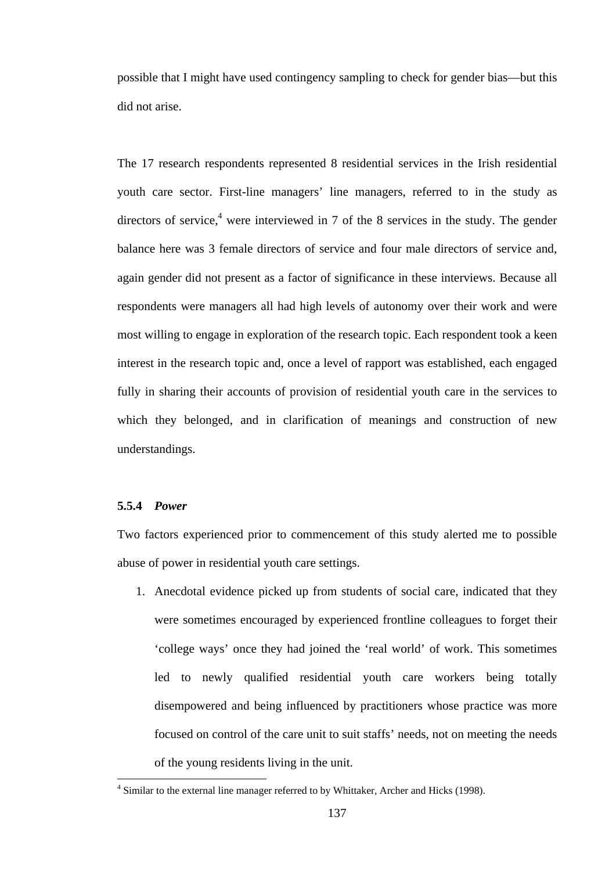possible that I might have used contingency sampling to check for gender bias—but this did not arise.

The 17 research respondents represented 8 residential services in the Irish residential youth care sector. First-line managers' line managers, referred to in the study as directors of service,<sup>4</sup> were interviewed in 7 of the 8 services in the study. The gender balance here was 3 female directors of service and four male directors of service and, again gender did not present as a factor of significance in these interviews. Because all respondents were managers all had high levels of autonomy over their work and were most willing to engage in exploration of the research topic. Each respondent took a keen interest in the research topic and, once a level of rapport was established, each engaged fully in sharing their accounts of provision of residential youth care in the services to which they belonged, and in clarification of meanings and construction of new understandings.

# **5.5.4** *Power*

 $\overline{a}$ 

Two factors experienced prior to commencement of this study alerted me to possible abuse of power in residential youth care settings.

1. Anecdotal evidence picked up from students of social care, indicated that they were sometimes encouraged by experienced frontline colleagues to forget their 'college ways' once they had joined the 'real world' of work. This sometimes led to newly qualified residential youth care workers being totally disempowered and being influenced by practitioners whose practice was more focused on control of the care unit to suit staffs' needs, not on meeting the needs of the young residents living in the unit.

<sup>&</sup>lt;sup>4</sup> Similar to the external line manager referred to by Whittaker, Archer and Hicks (1998).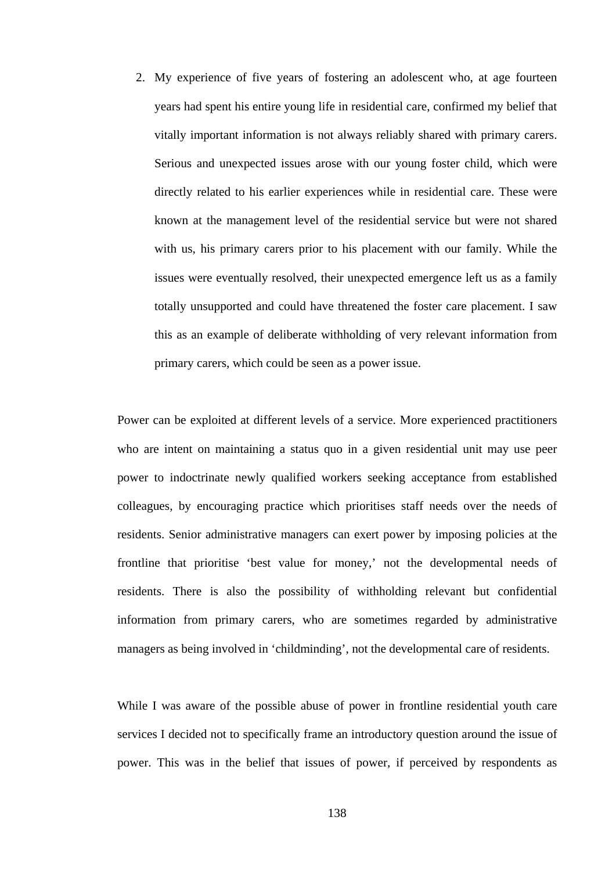2. My experience of five years of fostering an adolescent who, at age fourteen years had spent his entire young life in residential care, confirmed my belief that vitally important information is not always reliably shared with primary carers. Serious and unexpected issues arose with our young foster child, which were directly related to his earlier experiences while in residential care. These were known at the management level of the residential service but were not shared with us, his primary carers prior to his placement with our family. While the issues were eventually resolved, their unexpected emergence left us as a family totally unsupported and could have threatened the foster care placement. I saw this as an example of deliberate withholding of very relevant information from primary carers, which could be seen as a power issue.

Power can be exploited at different levels of a service. More experienced practitioners who are intent on maintaining a status quo in a given residential unit may use peer power to indoctrinate newly qualified workers seeking acceptance from established colleagues, by encouraging practice which prioritises staff needs over the needs of residents. Senior administrative managers can exert power by imposing policies at the frontline that prioritise 'best value for money,' not the developmental needs of residents. There is also the possibility of withholding relevant but confidential information from primary carers, who are sometimes regarded by administrative managers as being involved in 'childminding', not the developmental care of residents.

While I was aware of the possible abuse of power in frontline residential youth care services I decided not to specifically frame an introductory question around the issue of power. This was in the belief that issues of power, if perceived by respondents as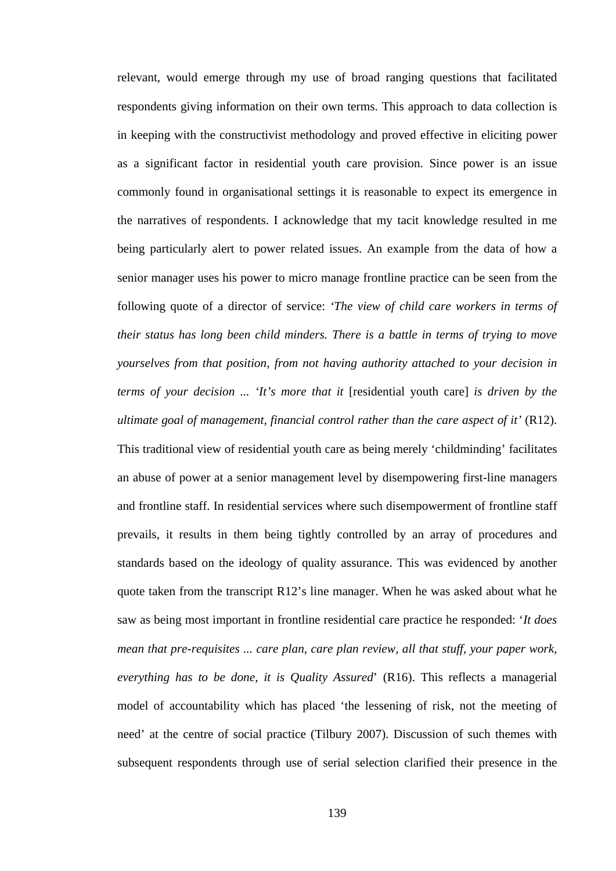relevant, would emerge through my use of broad ranging questions that facilitated respondents giving information on their own terms. This approach to data collection is in keeping with the constructivist methodology and proved effective in eliciting power as a significant factor in residential youth care provision. Since power is an issue commonly found in organisational settings it is reasonable to expect its emergence in the narratives of respondents. I acknowledge that my tacit knowledge resulted in me being particularly alert to power related issues. An example from the data of how a senior manager uses his power to micro manage frontline practice can be seen from the following quote of a director of service: *'The view of child care workers in terms of their status has long been child minders. There is a battle in terms of trying to move yourselves from that position, from not having authority attached to your decision in terms of your decision ... 'It's more that it* [residential youth care] *is driven by the ultimate goal of management, financial control rather than the care aspect of it'* (R12). This traditional view of residential youth care as being merely 'childminding' facilitates an abuse of power at a senior management level by disempowering first-line managers and frontline staff. In residential services where such disempowerment of frontline staff prevails, it results in them being tightly controlled by an array of procedures and standards based on the ideology of quality assurance. This was evidenced by another quote taken from the transcript R12's line manager. When he was asked about what he saw as being most important in frontline residential care practice he responded: '*It does mean that pre-requisites ... care plan, care plan review, all that stuff, your paper work, everything has to be done, it is Quality Assured*' (R16). This reflects a managerial model of accountability which has placed 'the lessening of risk, not the meeting of need' at the centre of social practice (Tilbury 2007). Discussion of such themes with subsequent respondents through use of serial selection clarified their presence in the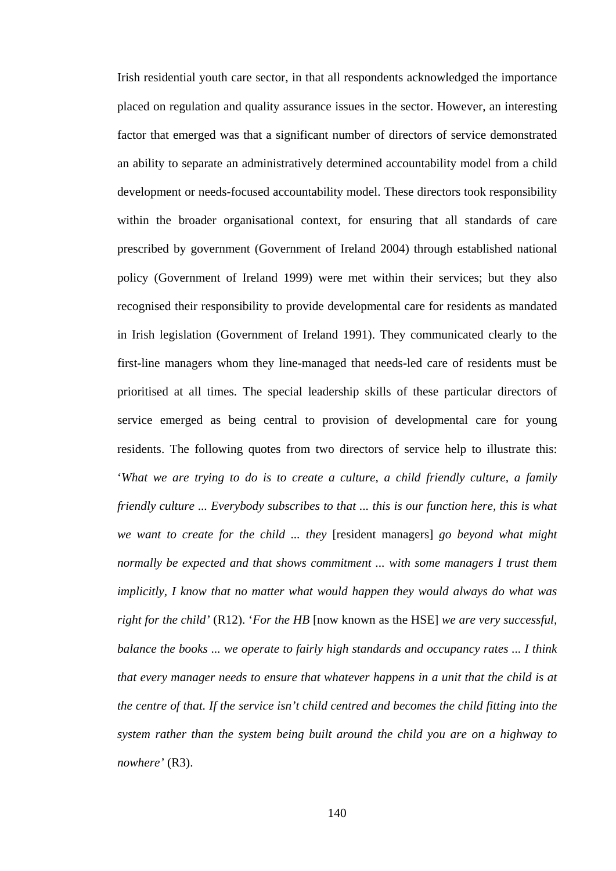Irish residential youth care sector, in that all respondents acknowledged the importance placed on regulation and quality assurance issues in the sector. However, an interesting factor that emerged was that a significant number of directors of service demonstrated an ability to separate an administratively determined accountability model from a child development or needs-focused accountability model. These directors took responsibility within the broader organisational context, for ensuring that all standards of care prescribed by government (Government of Ireland 2004) through established national policy (Government of Ireland 1999) were met within their services; but they also recognised their responsibility to provide developmental care for residents as mandated in Irish legislation (Government of Ireland 1991). They communicated clearly to the first-line managers whom they line-managed that needs-led care of residents must be prioritised at all times. The special leadership skills of these particular directors of service emerged as being central to provision of developmental care for young residents. The following quotes from two directors of service help to illustrate this: '*What we are trying to do is to create a culture, a child friendly culture, a family friendly culture ... Everybody subscribes to that ... this is our function here, this is what we want to create for the child ... they* [resident managers] *go beyond what might normally be expected and that shows commitment ... with some managers I trust them implicitly, I know that no matter what would happen they would always do what was right for the child'* (R12). '*For the HB* [now known as the HSE] *we are very successful, balance the books ... we operate to fairly high standards and occupancy rates ... I think that every manager needs to ensure that whatever happens in a unit that the child is at the centre of that. If the service isn't child centred and becomes the child fitting into the system rather than the system being built around the child you are on a highway to nowhere'* (R3).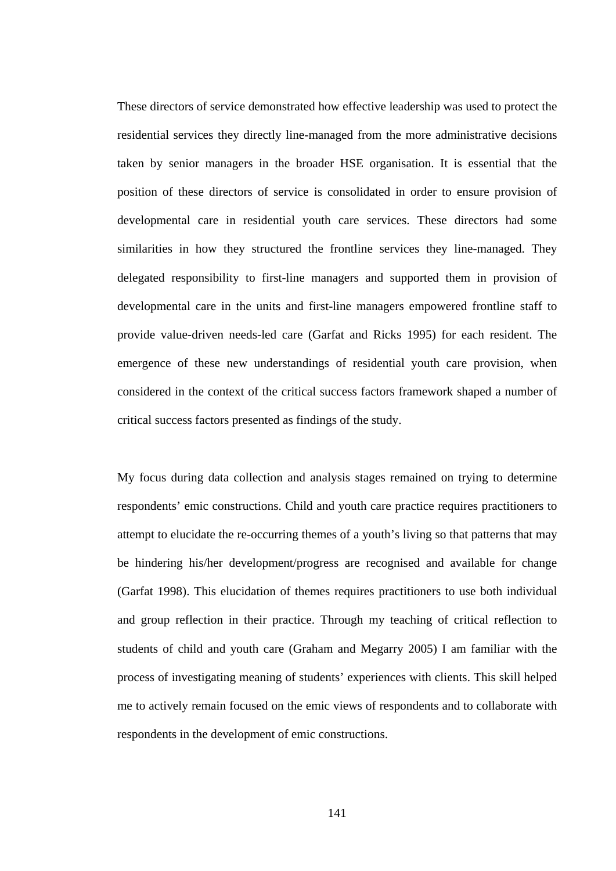These directors of service demonstrated how effective leadership was used to protect the residential services they directly line-managed from the more administrative decisions taken by senior managers in the broader HSE organisation. It is essential that the position of these directors of service is consolidated in order to ensure provision of developmental care in residential youth care services. These directors had some similarities in how they structured the frontline services they line-managed. They delegated responsibility to first-line managers and supported them in provision of developmental care in the units and first-line managers empowered frontline staff to provide value-driven needs-led care (Garfat and Ricks 1995) for each resident. The emergence of these new understandings of residential youth care provision, when considered in the context of the critical success factors framework shaped a number of critical success factors presented as findings of the study.

My focus during data collection and analysis stages remained on trying to determine respondents' emic constructions. Child and youth care practice requires practitioners to attempt to elucidate the re-occurring themes of a youth's living so that patterns that may be hindering his/her development/progress are recognised and available for change (Garfat 1998). This elucidation of themes requires practitioners to use both individual and group reflection in their practice. Through my teaching of critical reflection to students of child and youth care (Graham and Megarry 2005) I am familiar with the process of investigating meaning of students' experiences with clients. This skill helped me to actively remain focused on the emic views of respondents and to collaborate with respondents in the development of emic constructions.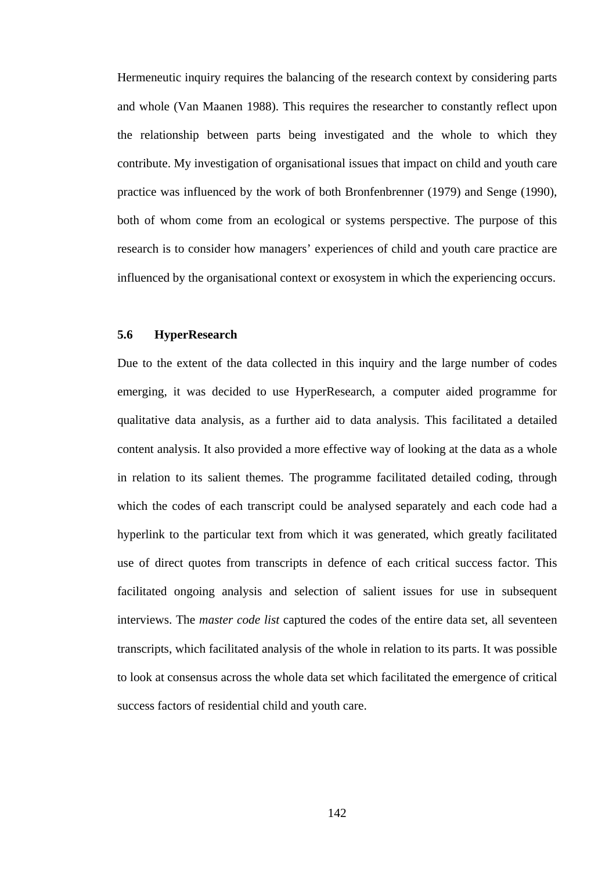Hermeneutic inquiry requires the balancing of the research context by considering parts and whole (Van Maanen 1988). This requires the researcher to constantly reflect upon the relationship between parts being investigated and the whole to which they contribute. My investigation of organisational issues that impact on child and youth care practice was influenced by the work of both Bronfenbrenner (1979) and Senge (1990), both of whom come from an ecological or systems perspective. The purpose of this research is to consider how managers' experiences of child and youth care practice are influenced by the organisational context or exosystem in which the experiencing occurs.

# **5.6 HyperResearch**

Due to the extent of the data collected in this inquiry and the large number of codes emerging, it was decided to use HyperResearch, a computer aided programme for qualitative data analysis, as a further aid to data analysis. This facilitated a detailed content analysis. It also provided a more effective way of looking at the data as a whole in relation to its salient themes. The programme facilitated detailed coding, through which the codes of each transcript could be analysed separately and each code had a hyperlink to the particular text from which it was generated, which greatly facilitated use of direct quotes from transcripts in defence of each critical success factor. This facilitated ongoing analysis and selection of salient issues for use in subsequent interviews. The *master code list* captured the codes of the entire data set, all seventeen transcripts, which facilitated analysis of the whole in relation to its parts. It was possible to look at consensus across the whole data set which facilitated the emergence of critical success factors of residential child and youth care.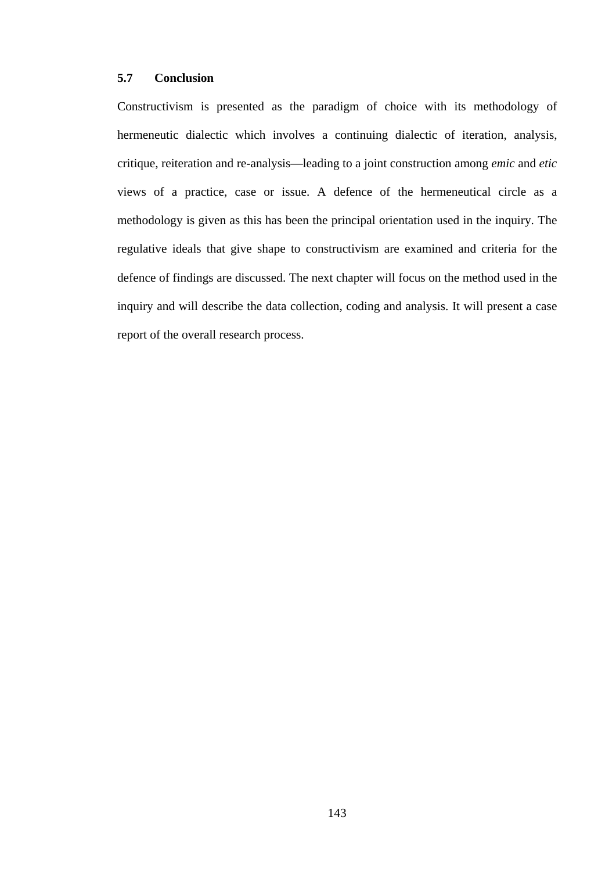# **5.7 Conclusion**

Constructivism is presented as the paradigm of choice with its methodology of hermeneutic dialectic which involves a continuing dialectic of iteration, analysis, critique, reiteration and re-analysis—leading to a joint construction among *emic* and *etic* views of a practice, case or issue. A defence of the hermeneutical circle as a methodology is given as this has been the principal orientation used in the inquiry. The regulative ideals that give shape to constructivism are examined and criteria for the defence of findings are discussed. The next chapter will focus on the method used in the inquiry and will describe the data collection, coding and analysis. It will present a case report of the overall research process.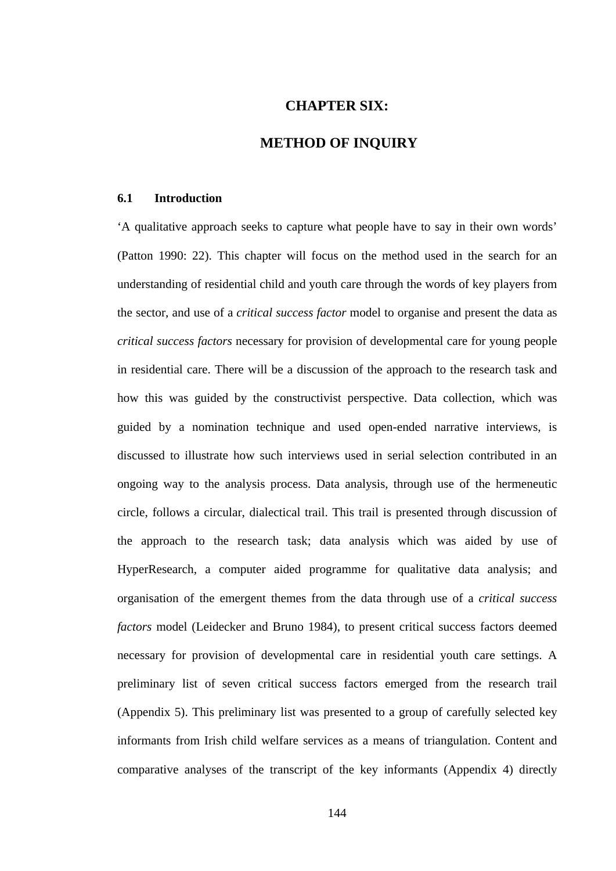# **CHAPTER SIX:**

# **METHOD OF INQUIRY**

### **6.1 Introduction**

'A qualitative approach seeks to capture what people have to say in their own words' (Patton 1990: 22). This chapter will focus on the method used in the search for an understanding of residential child and youth care through the words of key players from the sector, and use of a *critical success factor* model to organise and present the data as *critical success factors* necessary for provision of developmental care for young people in residential care. There will be a discussion of the approach to the research task and how this was guided by the constructivist perspective. Data collection, which was guided by a nomination technique and used open-ended narrative interviews, is discussed to illustrate how such interviews used in serial selection contributed in an ongoing way to the analysis process. Data analysis, through use of the hermeneutic circle, follows a circular, dialectical trail. This trail is presented through discussion of the approach to the research task; data analysis which was aided by use of HyperResearch, a computer aided programme for qualitative data analysis; and organisation of the emergent themes from the data through use of a *critical success factors* model (Leidecker and Bruno 1984), to present critical success factors deemed necessary for provision of developmental care in residential youth care settings. A preliminary list of seven critical success factors emerged from the research trail (Appendix 5). This preliminary list was presented to a group of carefully selected key informants from Irish child welfare services as a means of triangulation. Content and comparative analyses of the transcript of the key informants (Appendix 4) directly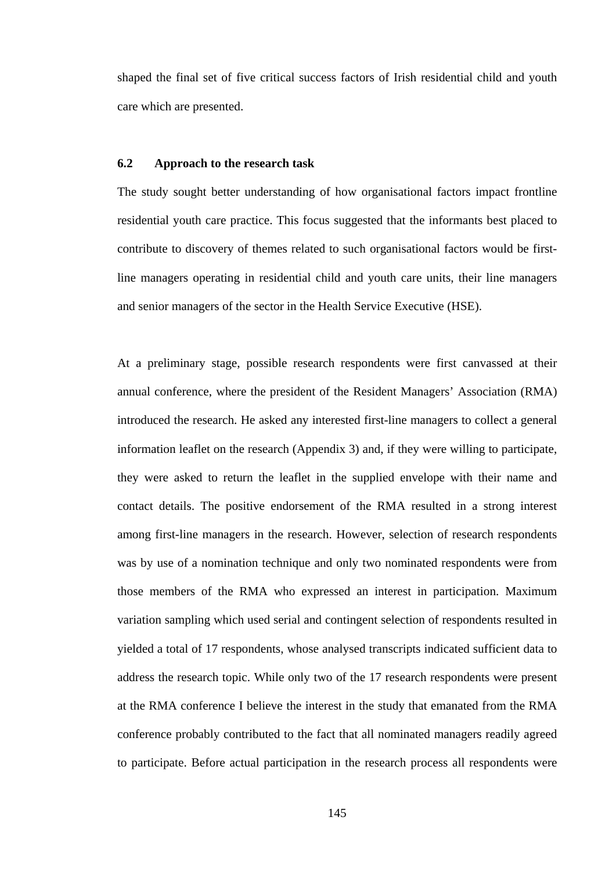shaped the final set of five critical success factors of Irish residential child and youth care which are presented.

### **6.2 Approach to the research task**

The study sought better understanding of how organisational factors impact frontline residential youth care practice. This focus suggested that the informants best placed to contribute to discovery of themes related to such organisational factors would be firstline managers operating in residential child and youth care units, their line managers and senior managers of the sector in the Health Service Executive (HSE).

At a preliminary stage, possible research respondents were first canvassed at their annual conference, where the president of the Resident Managers' Association (RMA) introduced the research. He asked any interested first-line managers to collect a general information leaflet on the research (Appendix 3) and, if they were willing to participate, they were asked to return the leaflet in the supplied envelope with their name and contact details. The positive endorsement of the RMA resulted in a strong interest among first-line managers in the research. However, selection of research respondents was by use of a nomination technique and only two nominated respondents were from those members of the RMA who expressed an interest in participation. Maximum variation sampling which used serial and contingent selection of respondents resulted in yielded a total of 17 respondents, whose analysed transcripts indicated sufficient data to address the research topic. While only two of the 17 research respondents were present at the RMA conference I believe the interest in the study that emanated from the RMA conference probably contributed to the fact that all nominated managers readily agreed to participate. Before actual participation in the research process all respondents were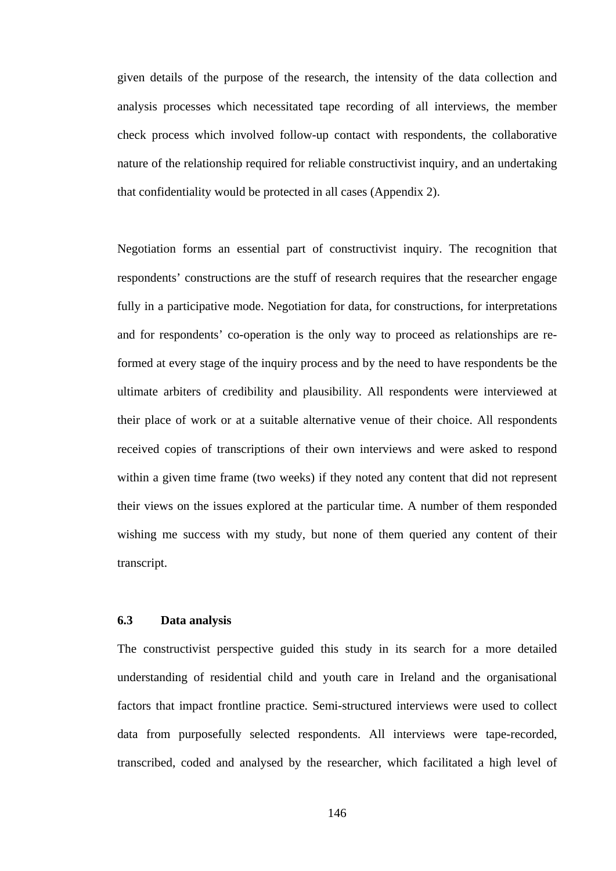given details of the purpose of the research, the intensity of the data collection and analysis processes which necessitated tape recording of all interviews, the member check process which involved follow-up contact with respondents, the collaborative nature of the relationship required for reliable constructivist inquiry, and an undertaking that confidentiality would be protected in all cases (Appendix 2).

Negotiation forms an essential part of constructivist inquiry. The recognition that respondents' constructions are the stuff of research requires that the researcher engage fully in a participative mode. Negotiation for data, for constructions, for interpretations and for respondents' co-operation is the only way to proceed as relationships are reformed at every stage of the inquiry process and by the need to have respondents be the ultimate arbiters of credibility and plausibility. All respondents were interviewed at their place of work or at a suitable alternative venue of their choice. All respondents received copies of transcriptions of their own interviews and were asked to respond within a given time frame (two weeks) if they noted any content that did not represent their views on the issues explored at the particular time. A number of them responded wishing me success with my study, but none of them queried any content of their transcript.

# **6.3 Data analysis**

The constructivist perspective guided this study in its search for a more detailed understanding of residential child and youth care in Ireland and the organisational factors that impact frontline practice. Semi-structured interviews were used to collect data from purposefully selected respondents. All interviews were tape-recorded, transcribed, coded and analysed by the researcher, which facilitated a high level of

146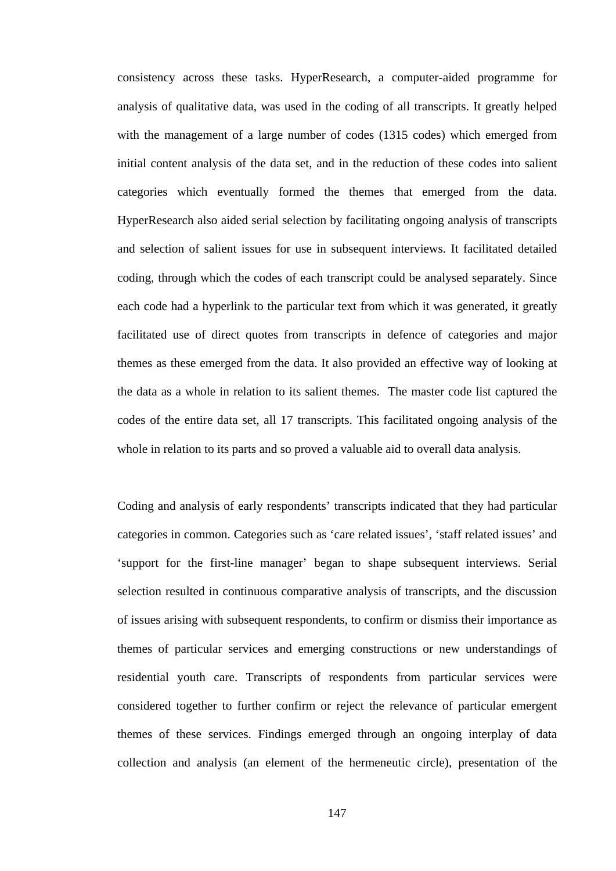consistency across these tasks. HyperResearch, a computer-aided programme for analysis of qualitative data, was used in the coding of all transcripts. It greatly helped with the management of a large number of codes (1315 codes) which emerged from initial content analysis of the data set, and in the reduction of these codes into salient categories which eventually formed the themes that emerged from the data. HyperResearch also aided serial selection by facilitating ongoing analysis of transcripts and selection of salient issues for use in subsequent interviews. It facilitated detailed coding, through which the codes of each transcript could be analysed separately. Since each code had a hyperlink to the particular text from which it was generated, it greatly facilitated use of direct quotes from transcripts in defence of categories and major themes as these emerged from the data. It also provided an effective way of looking at the data as a whole in relation to its salient themes. The master code list captured the codes of the entire data set, all 17 transcripts. This facilitated ongoing analysis of the whole in relation to its parts and so proved a valuable aid to overall data analysis.

Coding and analysis of early respondents' transcripts indicated that they had particular categories in common. Categories such as 'care related issues', 'staff related issues' and 'support for the first-line manager' began to shape subsequent interviews. Serial selection resulted in continuous comparative analysis of transcripts, and the discussion of issues arising with subsequent respondents, to confirm or dismiss their importance as themes of particular services and emerging constructions or new understandings of residential youth care. Transcripts of respondents from particular services were considered together to further confirm or reject the relevance of particular emergent themes of these services. Findings emerged through an ongoing interplay of data collection and analysis (an element of the hermeneutic circle), presentation of the

147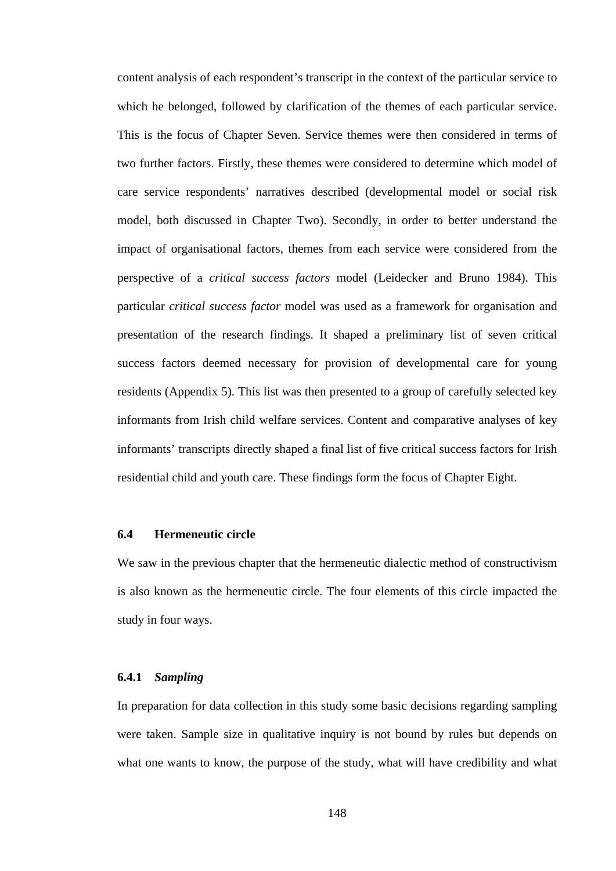content analysis of each respondent's transcript in the context of the particular service to which he belonged, followed by clarification of the themes of each particular service. This is the focus of Chapter Seven. Service themes were then considered in terms of two further factors. Firstly, these themes were considered to determine which model of care service respondents' narratives described (developmental model or social risk model, both discussed in Chapter Two). Secondly, in order to better understand the impact of organisational factors, themes from each service were considered from the perspective of a *critical success factors* model (Leidecker and Bruno 1984). This particular *critical success factor* model was used as a framework for organisation and presentation of the research findings. It shaped a preliminary list of seven critical success factors deemed necessary for provision of developmental care for young residents (Appendix 5). This list was then presented to a group of carefully selected key informants from Irish child welfare services. Content and comparative analyses of key informants' transcripts directly shaped a final list of five critical success factors for Irish residential child and youth care. These findings form the focus of Chapter Eight.

#### **6.4 Hermeneutic circle**

We saw in the previous chapter that the hermeneutic dialectic method of constructivism is also known as the hermeneutic circle. The four elements of this circle impacted the study in four ways.

### **6.4.1** *Sampling*

In preparation for data collection in this study some basic decisions regarding sampling were taken. Sample size in qualitative inquiry is not bound by rules but depends on what one wants to know, the purpose of the study, what will have credibility and what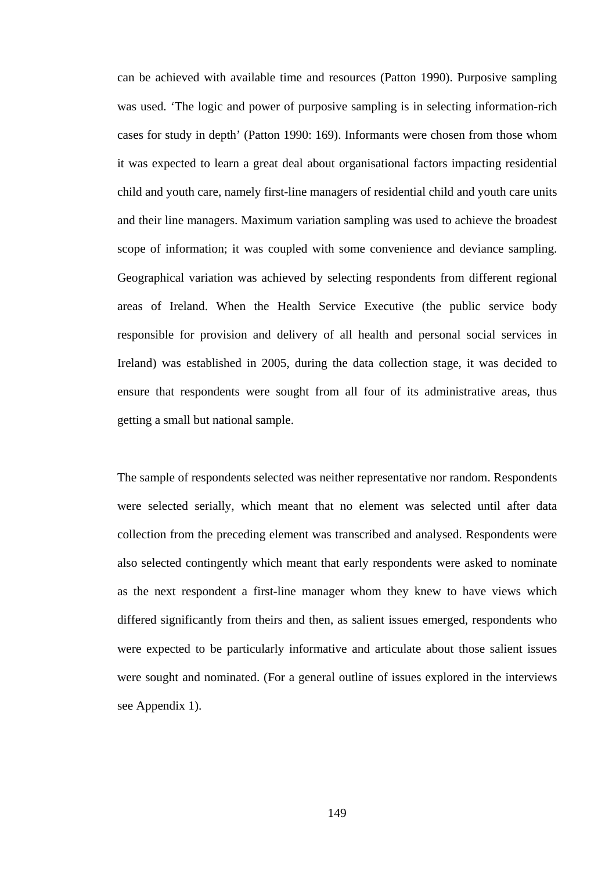can be achieved with available time and resources (Patton 1990). Purposive sampling was used. 'The logic and power of purposive sampling is in selecting information-rich cases for study in depth' (Patton 1990: 169). Informants were chosen from those whom it was expected to learn a great deal about organisational factors impacting residential child and youth care, namely first-line managers of residential child and youth care units and their line managers. Maximum variation sampling was used to achieve the broadest scope of information; it was coupled with some convenience and deviance sampling. Geographical variation was achieved by selecting respondents from different regional areas of Ireland. When the Health Service Executive (the public service body responsible for provision and delivery of all health and personal social services in Ireland) was established in 2005, during the data collection stage, it was decided to ensure that respondents were sought from all four of its administrative areas, thus getting a small but national sample.

The sample of respondents selected was neither representative nor random. Respondents were selected serially, which meant that no element was selected until after data collection from the preceding element was transcribed and analysed. Respondents were also selected contingently which meant that early respondents were asked to nominate as the next respondent a first-line manager whom they knew to have views which differed significantly from theirs and then, as salient issues emerged, respondents who were expected to be particularly informative and articulate about those salient issues were sought and nominated. (For a general outline of issues explored in the interviews see Appendix 1).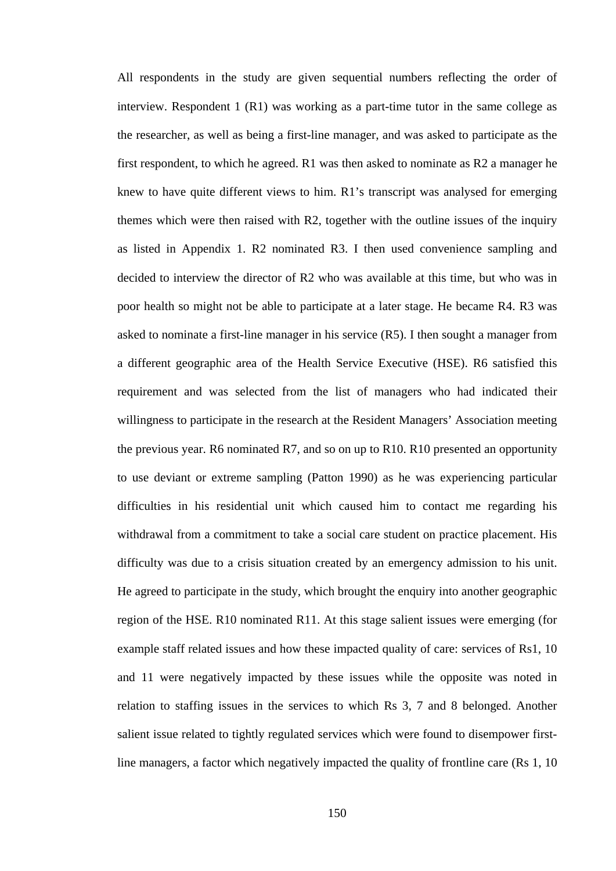All respondents in the study are given sequential numbers reflecting the order of interview. Respondent 1 (R1) was working as a part-time tutor in the same college as the researcher, as well as being a first-line manager, and was asked to participate as the first respondent, to which he agreed. R1 was then asked to nominate as R2 a manager he knew to have quite different views to him. R1's transcript was analysed for emerging themes which were then raised with R2, together with the outline issues of the inquiry as listed in Appendix 1. R2 nominated R3. I then used convenience sampling and decided to interview the director of R2 who was available at this time, but who was in poor health so might not be able to participate at a later stage. He became R4. R3 was asked to nominate a first-line manager in his service (R5). I then sought a manager from a different geographic area of the Health Service Executive (HSE). R6 satisfied this requirement and was selected from the list of managers who had indicated their willingness to participate in the research at the Resident Managers' Association meeting the previous year. R6 nominated R7, and so on up to R10. R10 presented an opportunity to use deviant or extreme sampling (Patton 1990) as he was experiencing particular difficulties in his residential unit which caused him to contact me regarding his withdrawal from a commitment to take a social care student on practice placement. His difficulty was due to a crisis situation created by an emergency admission to his unit. He agreed to participate in the study, which brought the enquiry into another geographic region of the HSE. R10 nominated R11. At this stage salient issues were emerging (for example staff related issues and how these impacted quality of care: services of Rs1, 10 and 11 were negatively impacted by these issues while the opposite was noted in relation to staffing issues in the services to which Rs 3, 7 and 8 belonged. Another salient issue related to tightly regulated services which were found to disempower firstline managers, a factor which negatively impacted the quality of frontline care (Rs 1, 10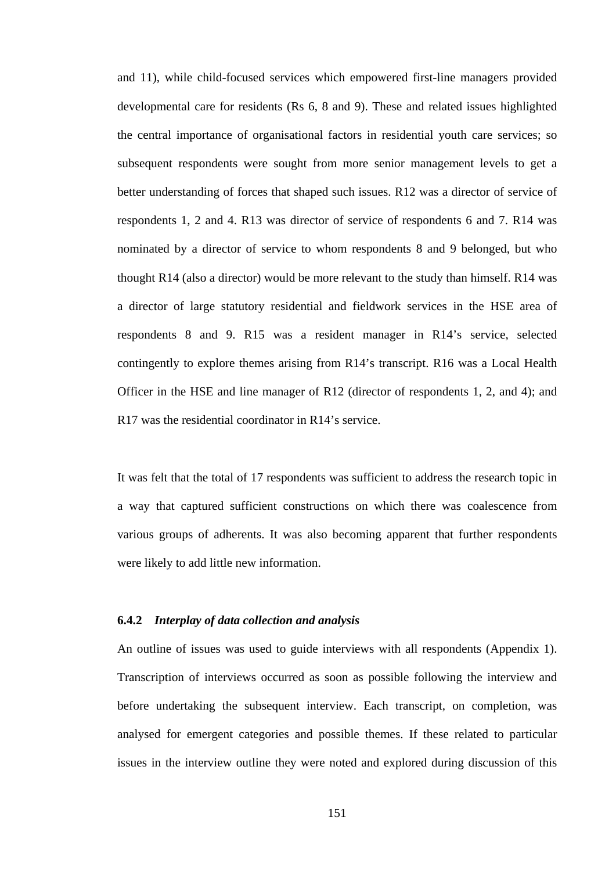and 11), while child-focused services which empowered first-line managers provided developmental care for residents (Rs 6, 8 and 9). These and related issues highlighted the central importance of organisational factors in residential youth care services; so subsequent respondents were sought from more senior management levels to get a better understanding of forces that shaped such issues. R12 was a director of service of respondents 1, 2 and 4. R13 was director of service of respondents 6 and 7. R14 was nominated by a director of service to whom respondents 8 and 9 belonged, but who thought R14 (also a director) would be more relevant to the study than himself. R14 was a director of large statutory residential and fieldwork services in the HSE area of respondents 8 and 9. R15 was a resident manager in R14's service, selected contingently to explore themes arising from R14's transcript. R16 was a Local Health Officer in the HSE and line manager of R12 (director of respondents 1, 2, and 4); and R17 was the residential coordinator in R14's service.

It was felt that the total of 17 respondents was sufficient to address the research topic in a way that captured sufficient constructions on which there was coalescence from various groups of adherents. It was also becoming apparent that further respondents were likely to add little new information.

#### **6.4.2** *Interplay of data collection and analysis*

An outline of issues was used to guide interviews with all respondents (Appendix 1). Transcription of interviews occurred as soon as possible following the interview and before undertaking the subsequent interview. Each transcript, on completion, was analysed for emergent categories and possible themes. If these related to particular issues in the interview outline they were noted and explored during discussion of this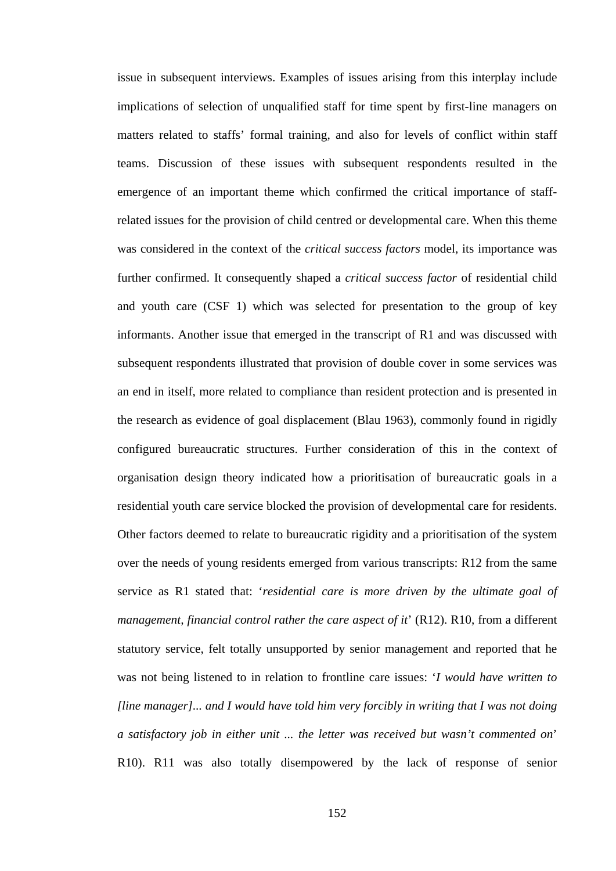issue in subsequent interviews. Examples of issues arising from this interplay include implications of selection of unqualified staff for time spent by first-line managers on matters related to staffs' formal training, and also for levels of conflict within staff teams. Discussion of these issues with subsequent respondents resulted in the emergence of an important theme which confirmed the critical importance of staffrelated issues for the provision of child centred or developmental care. When this theme was considered in the context of the *critical success factors* model, its importance was further confirmed. It consequently shaped a *critical success factor* of residential child and youth care (CSF 1) which was selected for presentation to the group of key informants. Another issue that emerged in the transcript of R1 and was discussed with subsequent respondents illustrated that provision of double cover in some services was an end in itself, more related to compliance than resident protection and is presented in the research as evidence of goal displacement (Blau 1963), commonly found in rigidly configured bureaucratic structures. Further consideration of this in the context of organisation design theory indicated how a prioritisation of bureaucratic goals in a residential youth care service blocked the provision of developmental care for residents. Other factors deemed to relate to bureaucratic rigidity and a prioritisation of the system over the needs of young residents emerged from various transcripts: R12 from the same service as R1 stated that: '*residential care is more driven by the ultimate goal of management, financial control rather the care aspect of it*' (R12). R10, from a different statutory service, felt totally unsupported by senior management and reported that he was not being listened to in relation to frontline care issues: '*I would have written to [line manager]... and I would have told him very forcibly in writing that I was not doing a satisfactory job in either unit ... the letter was received but wasn't commented on*' R10). R11 was also totally disempowered by the lack of response of senior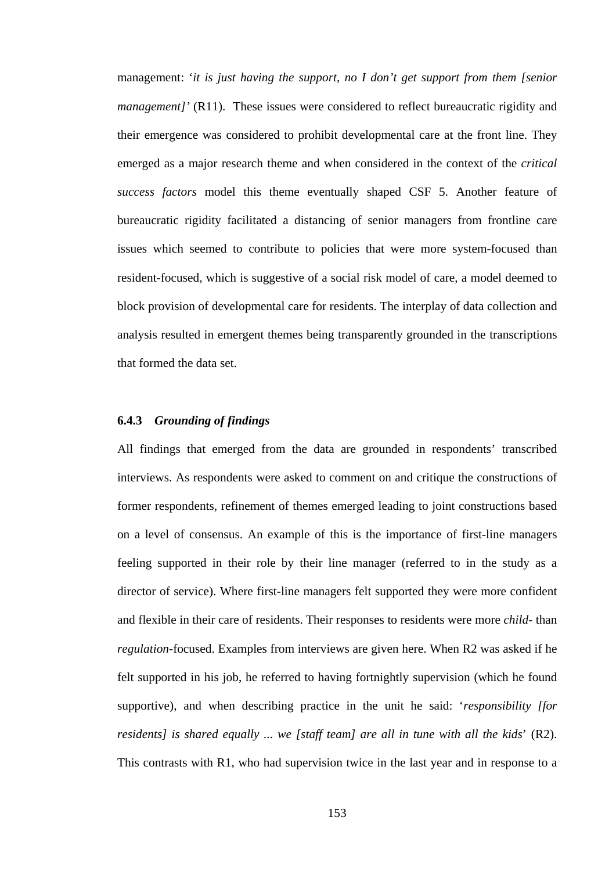management: '*it is just having the support, no I don't get support from them [senior management]'* (R11). These issues were considered to reflect bureaucratic rigidity and their emergence was considered to prohibit developmental care at the front line. They emerged as a major research theme and when considered in the context of the *critical success factors* model this theme eventually shaped CSF 5. Another feature of bureaucratic rigidity facilitated a distancing of senior managers from frontline care issues which seemed to contribute to policies that were more system-focused than resident-focused, which is suggestive of a social risk model of care, a model deemed to block provision of developmental care for residents. The interplay of data collection and analysis resulted in emergent themes being transparently grounded in the transcriptions that formed the data set.

## **6.4.3** *Grounding of findings*

All findings that emerged from the data are grounded in respondents' transcribed interviews. As respondents were asked to comment on and critique the constructions of former respondents, refinement of themes emerged leading to joint constructions based on a level of consensus. An example of this is the importance of first-line managers feeling supported in their role by their line manager (referred to in the study as a director of service). Where first-line managers felt supported they were more confident and flexible in their care of residents. Their responses to residents were more *child-* than *regulation-*focused. Examples from interviews are given here. When R2 was asked if he felt supported in his job, he referred to having fortnightly supervision (which he found supportive), and when describing practice in the unit he said: '*responsibility [for residents] is shared equally ... we [staff team] are all in tune with all the kids*' (R2). This contrasts with R1, who had supervision twice in the last year and in response to a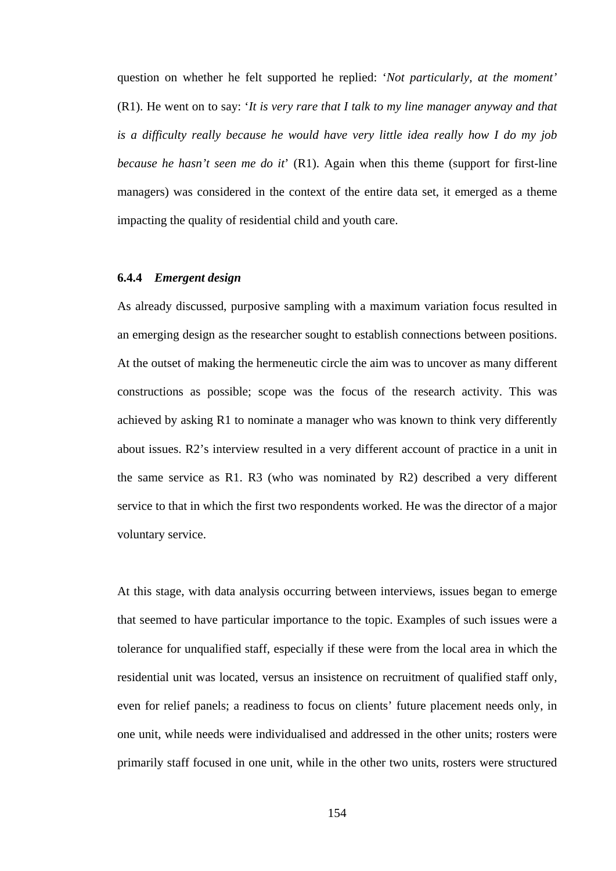question on whether he felt supported he replied: '*Not particularly, at the moment'*  (R1). He went on to say: '*It is very rare that I talk to my line manager anyway and that is a difficulty really because he would have very little idea really how I do my job because he hasn't seen me do it*' (R1). Again when this theme (support for first-line managers) was considered in the context of the entire data set, it emerged as a theme impacting the quality of residential child and youth care.

# **6.4.4** *Emergent design*

As already discussed, purposive sampling with a maximum variation focus resulted in an emerging design as the researcher sought to establish connections between positions. At the outset of making the hermeneutic circle the aim was to uncover as many different constructions as possible; scope was the focus of the research activity. This was achieved by asking R1 to nominate a manager who was known to think very differently about issues. R2's interview resulted in a very different account of practice in a unit in the same service as R1. R3 (who was nominated by R2) described a very different service to that in which the first two respondents worked. He was the director of a major voluntary service.

At this stage, with data analysis occurring between interviews, issues began to emerge that seemed to have particular importance to the topic. Examples of such issues were a tolerance for unqualified staff, especially if these were from the local area in which the residential unit was located, versus an insistence on recruitment of qualified staff only, even for relief panels; a readiness to focus on clients' future placement needs only, in one unit, while needs were individualised and addressed in the other units; rosters were primarily staff focused in one unit, while in the other two units, rosters were structured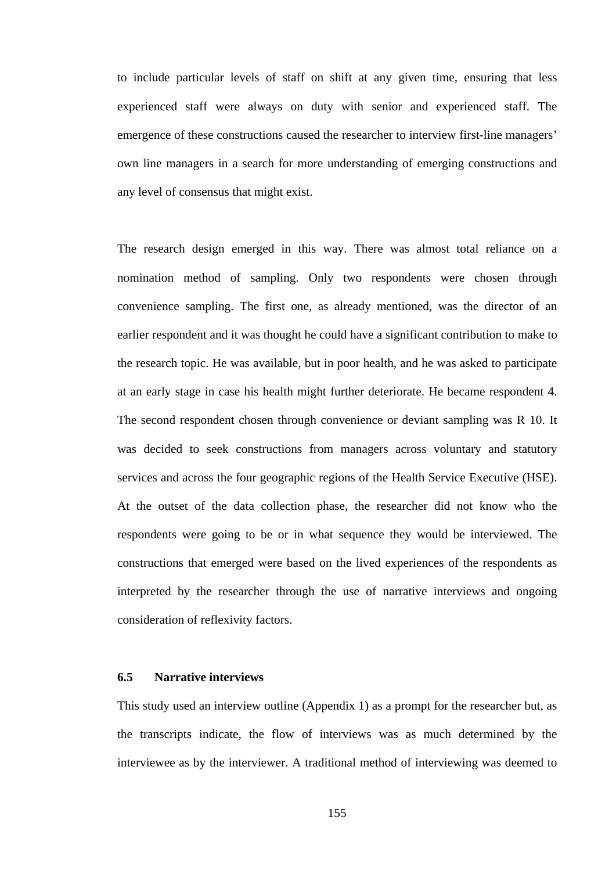to include particular levels of staff on shift at any given time, ensuring that less experienced staff were always on duty with senior and experienced staff. The emergence of these constructions caused the researcher to interview first-line managers' own line managers in a search for more understanding of emerging constructions and any level of consensus that might exist.

The research design emerged in this way. There was almost total reliance on a nomination method of sampling. Only two respondents were chosen through convenience sampling. The first one, as already mentioned, was the director of an earlier respondent and it was thought he could have a significant contribution to make to the research topic. He was available, but in poor health, and he was asked to participate at an early stage in case his health might further deteriorate. He became respondent 4. The second respondent chosen through convenience or deviant sampling was R 10. It was decided to seek constructions from managers across voluntary and statutory services and across the four geographic regions of the Health Service Executive (HSE). At the outset of the data collection phase, the researcher did not know who the respondents were going to be or in what sequence they would be interviewed. The constructions that emerged were based on the lived experiences of the respondents as interpreted by the researcher through the use of narrative interviews and ongoing consideration of reflexivity factors.

## **6.5 Narrative interviews**

This study used an interview outline (Appendix 1) as a prompt for the researcher but, as the transcripts indicate, the flow of interviews was as much determined by the interviewee as by the interviewer. A traditional method of interviewing was deemed to

155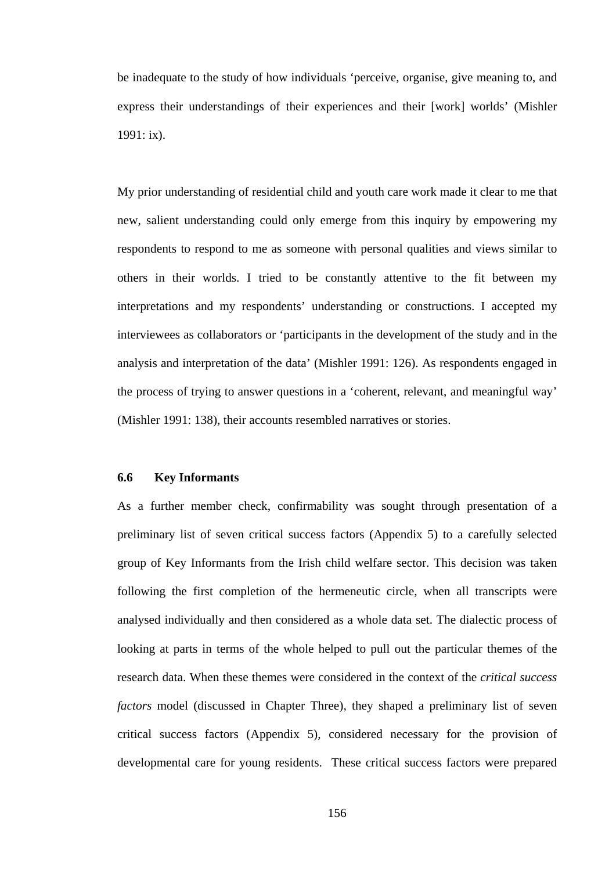be inadequate to the study of how individuals 'perceive, organise, give meaning to, and express their understandings of their experiences and their [work] worlds' (Mishler 1991: ix).

My prior understanding of residential child and youth care work made it clear to me that new, salient understanding could only emerge from this inquiry by empowering my respondents to respond to me as someone with personal qualities and views similar to others in their worlds. I tried to be constantly attentive to the fit between my interpretations and my respondents' understanding or constructions. I accepted my interviewees as collaborators or 'participants in the development of the study and in the analysis and interpretation of the data' (Mishler 1991: 126). As respondents engaged in the process of trying to answer questions in a 'coherent, relevant, and meaningful way' (Mishler 1991: 138), their accounts resembled narratives or stories.

#### **6.6 Key Informants**

As a further member check, confirmability was sought through presentation of a preliminary list of seven critical success factors (Appendix 5) to a carefully selected group of Key Informants from the Irish child welfare sector. This decision was taken following the first completion of the hermeneutic circle, when all transcripts were analysed individually and then considered as a whole data set. The dialectic process of looking at parts in terms of the whole helped to pull out the particular themes of the research data. When these themes were considered in the context of the *critical success factors* model (discussed in Chapter Three), they shaped a preliminary list of seven critical success factors (Appendix 5), considered necessary for the provision of developmental care for young residents. These critical success factors were prepared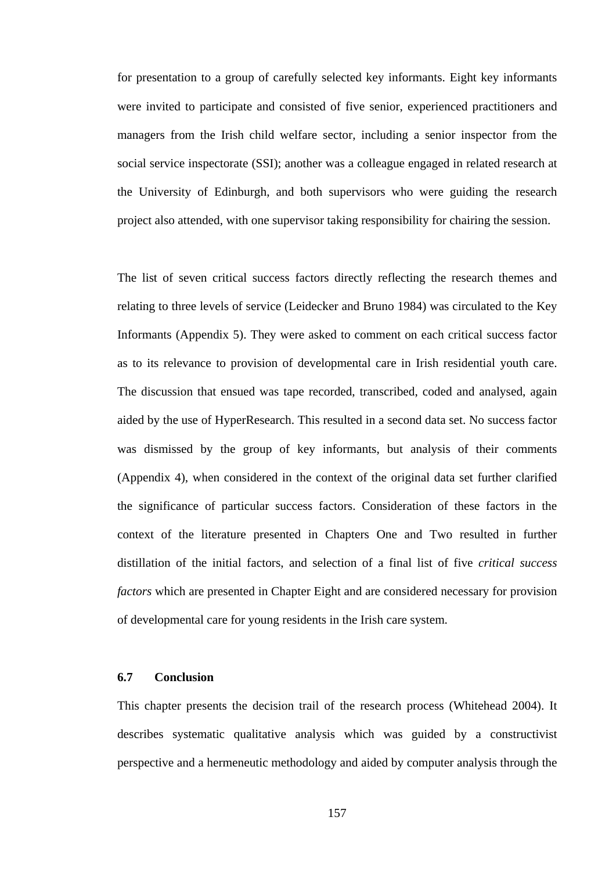for presentation to a group of carefully selected key informants. Eight key informants were invited to participate and consisted of five senior, experienced practitioners and managers from the Irish child welfare sector, including a senior inspector from the social service inspectorate (SSI); another was a colleague engaged in related research at the University of Edinburgh, and both supervisors who were guiding the research project also attended, with one supervisor taking responsibility for chairing the session.

The list of seven critical success factors directly reflecting the research themes and relating to three levels of service (Leidecker and Bruno 1984) was circulated to the Key Informants (Appendix 5). They were asked to comment on each critical success factor as to its relevance to provision of developmental care in Irish residential youth care. The discussion that ensued was tape recorded, transcribed, coded and analysed, again aided by the use of HyperResearch. This resulted in a second data set. No success factor was dismissed by the group of key informants, but analysis of their comments (Appendix 4), when considered in the context of the original data set further clarified the significance of particular success factors. Consideration of these factors in the context of the literature presented in Chapters One and Two resulted in further distillation of the initial factors, and selection of a final list of five *critical success factors* which are presented in Chapter Eight and are considered necessary for provision of developmental care for young residents in the Irish care system.

## **6.7 Conclusion**

This chapter presents the decision trail of the research process (Whitehead 2004). It describes systematic qualitative analysis which was guided by a constructivist perspective and a hermeneutic methodology and aided by computer analysis through the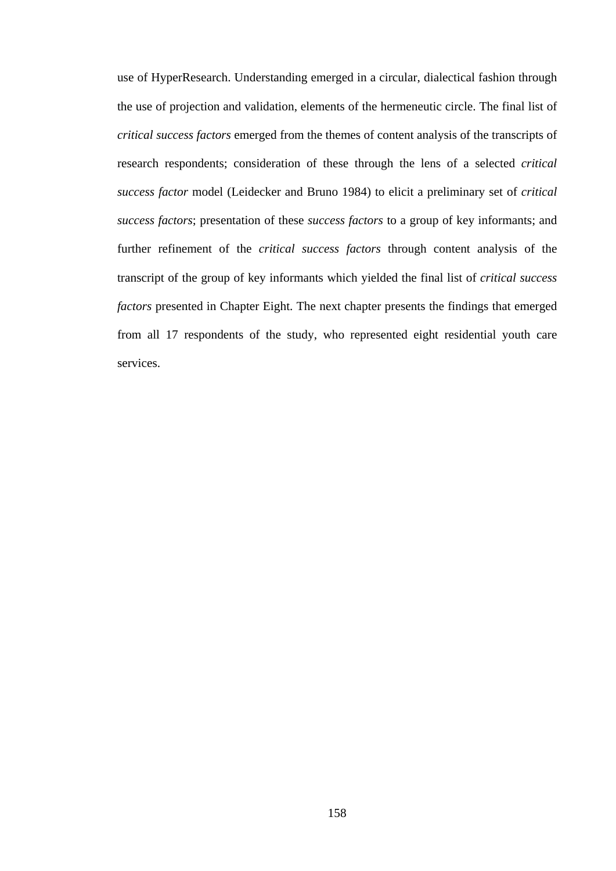use of HyperResearch. Understanding emerged in a circular, dialectical fashion through the use of projection and validation, elements of the hermeneutic circle. The final list of *critical success factors* emerged from the themes of content analysis of the transcripts of research respondents; consideration of these through the lens of a selected *critical success factor* model (Leidecker and Bruno 1984) to elicit a preliminary set of *critical success factors*; presentation of these *success factors* to a group of key informants; and further refinement of the *critical success factors* through content analysis of the transcript of the group of key informants which yielded the final list of *critical success factors* presented in Chapter Eight. The next chapter presents the findings that emerged from all 17 respondents of the study, who represented eight residential youth care services.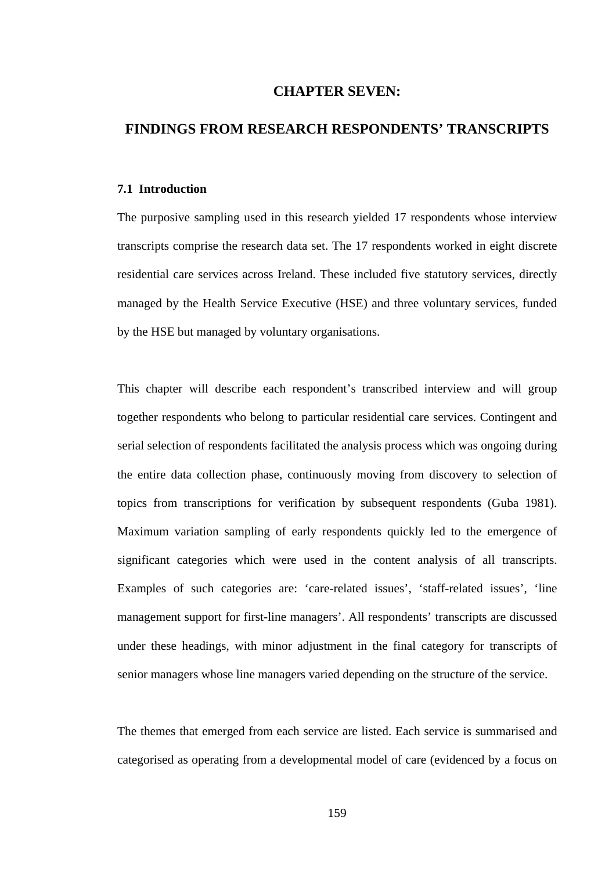# **CHAPTER SEVEN:**

# **FINDINGS FROM RESEARCH RESPONDENTS' TRANSCRIPTS**

#### **7.1 Introduction**

The purposive sampling used in this research yielded 17 respondents whose interview transcripts comprise the research data set. The 17 respondents worked in eight discrete residential care services across Ireland. These included five statutory services, directly managed by the Health Service Executive (HSE) and three voluntary services, funded by the HSE but managed by voluntary organisations.

This chapter will describe each respondent's transcribed interview and will group together respondents who belong to particular residential care services. Contingent and serial selection of respondents facilitated the analysis process which was ongoing during the entire data collection phase, continuously moving from discovery to selection of topics from transcriptions for verification by subsequent respondents (Guba 1981). Maximum variation sampling of early respondents quickly led to the emergence of significant categories which were used in the content analysis of all transcripts. Examples of such categories are: 'care-related issues', 'staff-related issues', 'line management support for first-line managers'. All respondents' transcripts are discussed under these headings, with minor adjustment in the final category for transcripts of senior managers whose line managers varied depending on the structure of the service.

The themes that emerged from each service are listed. Each service is summarised and categorised as operating from a developmental model of care (evidenced by a focus on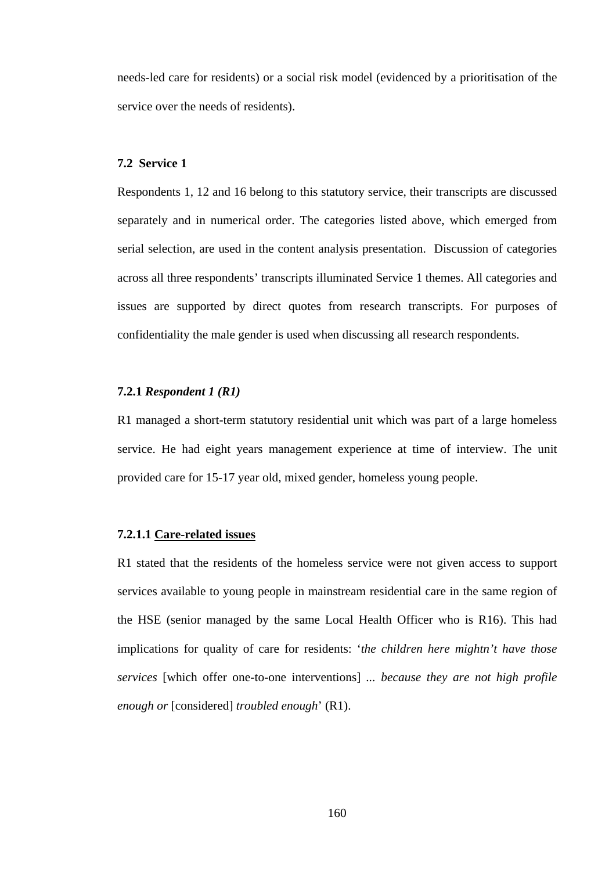needs-led care for residents) or a social risk model (evidenced by a prioritisation of the service over the needs of residents).

#### **7.2 Service 1**

Respondents 1, 12 and 16 belong to this statutory service, their transcripts are discussed separately and in numerical order. The categories listed above, which emerged from serial selection, are used in the content analysis presentation. Discussion of categories across all three respondents' transcripts illuminated Service 1 themes. All categories and issues are supported by direct quotes from research transcripts. For purposes of confidentiality the male gender is used when discussing all research respondents.

## **7.2.1** *Respondent 1 (R1)*

R1 managed a short-term statutory residential unit which was part of a large homeless service. He had eight years management experience at time of interview. The unit provided care for 15-17 year old, mixed gender, homeless young people.

### **7.2.1.1 Care-related issues**

R1 stated that the residents of the homeless service were not given access to support services available to young people in mainstream residential care in the same region of the HSE (senior managed by the same Local Health Officer who is R16). This had implications for quality of care for residents: '*the children here mightn't have those services* [which offer one-to-one interventions] *... because they are not high profile enough or* [considered] *troubled enough*' (R1).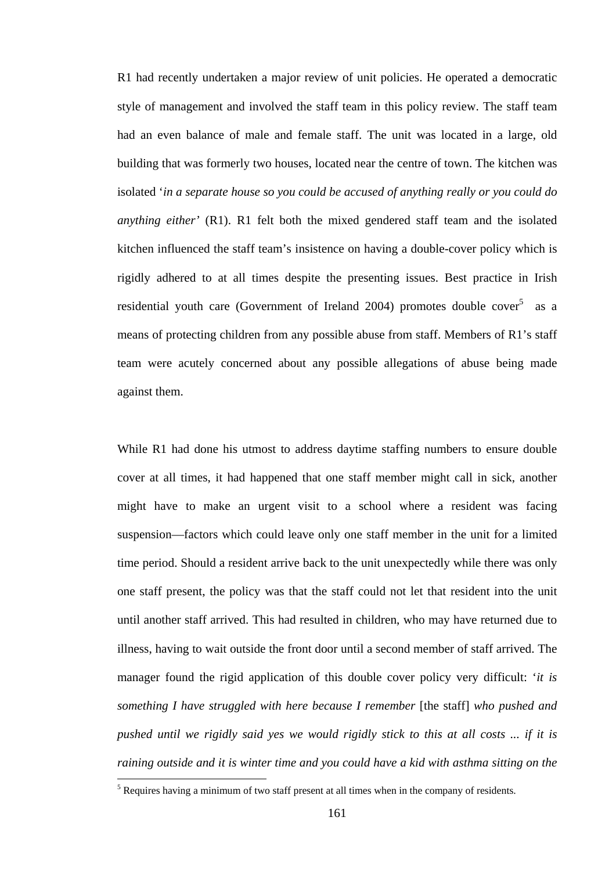R1 had recently undertaken a major review of unit policies. He operated a democratic style of management and involved the staff team in this policy review. The staff team had an even balance of male and female staff. The unit was located in a large, old building that was formerly two houses, located near the centre of town. The kitchen was isolated '*in a separate house so you could be accused of anything really or you could do anything either'* (R1). R1 felt both the mixed gendered staff team and the isolated kitchen influenced the staff team's insistence on having a double-cover policy which is rigidly adhered to at all times despite the presenting issues. Best practice in Irish residential youth care (Government of Ireland 2004) promotes double cover<sup>5</sup> as a means of protecting children from any possible abuse from staff. Members of R1's staff team were acutely concerned about any possible allegations of abuse being made against them.

While R1 had done his utmost to address daytime staffing numbers to ensure double cover at all times, it had happened that one staff member might call in sick, another might have to make an urgent visit to a school where a resident was facing suspension—factors which could leave only one staff member in the unit for a limited time period. Should a resident arrive back to the unit unexpectedly while there was only one staff present, the policy was that the staff could not let that resident into the unit until another staff arrived. This had resulted in children, who may have returned due to illness, having to wait outside the front door until a second member of staff arrived. The manager found the rigid application of this double cover policy very difficult: '*it is something I have struggled with here because I remember* [the staff] *who pushed and pushed until we rigidly said yes we would rigidly stick to this at all costs ... if it is raining outside and it is winter time and you could have a kid with asthma sitting on the*   $\overline{a}$ 

 $<sup>5</sup>$  Requires having a minimum of two staff present at all times when in the company of residents.</sup>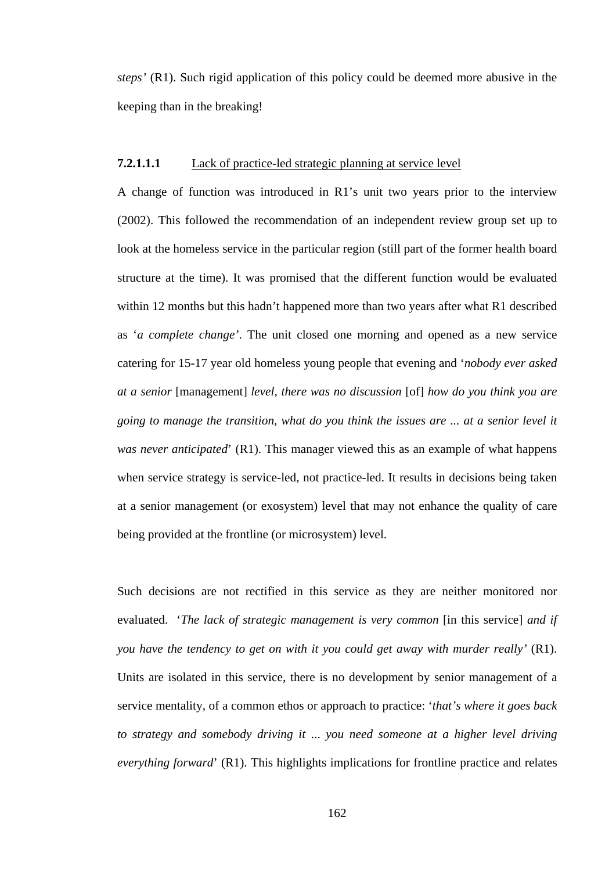*steps'* (R1). Such rigid application of this policy could be deemed more abusive in the keeping than in the breaking!

### **7.2.1.1.1** Lack of practice-led strategic planning at service level

A change of function was introduced in R1's unit two years prior to the interview (2002). This followed the recommendation of an independent review group set up to look at the homeless service in the particular region (still part of the former health board structure at the time). It was promised that the different function would be evaluated within 12 months but this hadn't happened more than two years after what R1 described as '*a complete change'*. The unit closed one morning and opened as a new service catering for 15-17 year old homeless young people that evening and '*nobody ever asked at a senior* [management] *level, there was no discussion* [of] *how do you think you are going to manage the transition, what do you think the issues are ... at a senior level it was never anticipated*' (R1). This manager viewed this as an example of what happens when service strategy is service-led, not practice-led. It results in decisions being taken at a senior management (or exosystem) level that may not enhance the quality of care being provided at the frontline (or microsystem) level.

Such decisions are not rectified in this service as they are neither monitored nor evaluated. '*The lack of strategic management is very common* [in this service] *and if you have the tendency to get on with it you could get away with murder really'* (R1). Units are isolated in this service, there is no development by senior management of a service mentality, of a common ethos or approach to practice: '*that's where it goes back to strategy and somebody driving it* ... *you need someone at a higher level driving everything forward*' (R1). This highlights implications for frontline practice and relates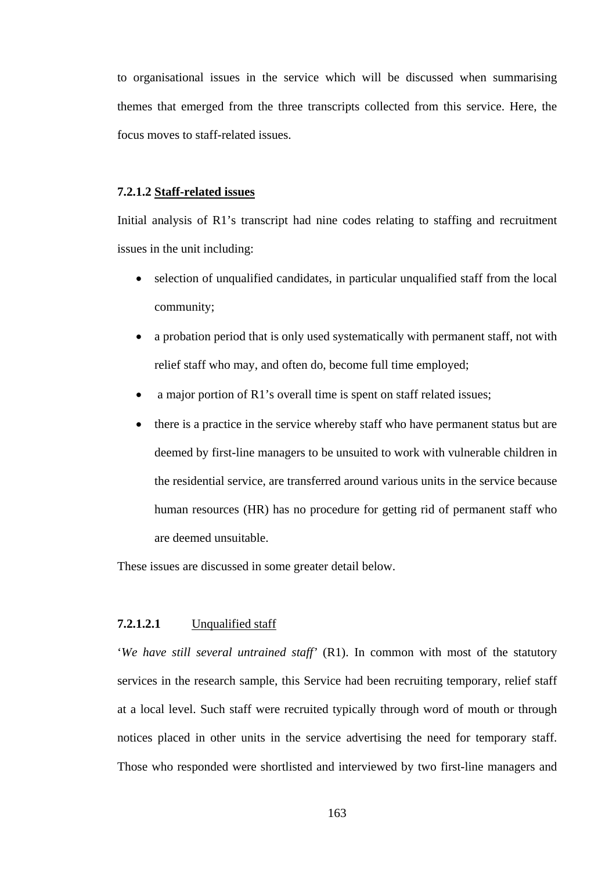to organisational issues in the service which will be discussed when summarising themes that emerged from the three transcripts collected from this service. Here, the focus moves to staff-related issues.

# **7.2.1.2 Staff-related issues**

Initial analysis of R1's transcript had nine codes relating to staffing and recruitment issues in the unit including:

- selection of unqualified candidates, in particular unqualified staff from the local community;
- a probation period that is only used systematically with permanent staff, not with relief staff who may, and often do, become full time employed;
- a major portion of R1's overall time is spent on staff related issues;
- there is a practice in the service whereby staff who have permanent status but are deemed by first-line managers to be unsuited to work with vulnerable children in the residential service, are transferred around various units in the service because human resources (HR) has no procedure for getting rid of permanent staff who are deemed unsuitable.

These issues are discussed in some greater detail below.

# **7.2.1.2.1** Unqualified staff

'*We have still several untrained staff'* (R1). In common with most of the statutory services in the research sample, this Service had been recruiting temporary, relief staff at a local level. Such staff were recruited typically through word of mouth or through notices placed in other units in the service advertising the need for temporary staff. Those who responded were shortlisted and interviewed by two first-line managers and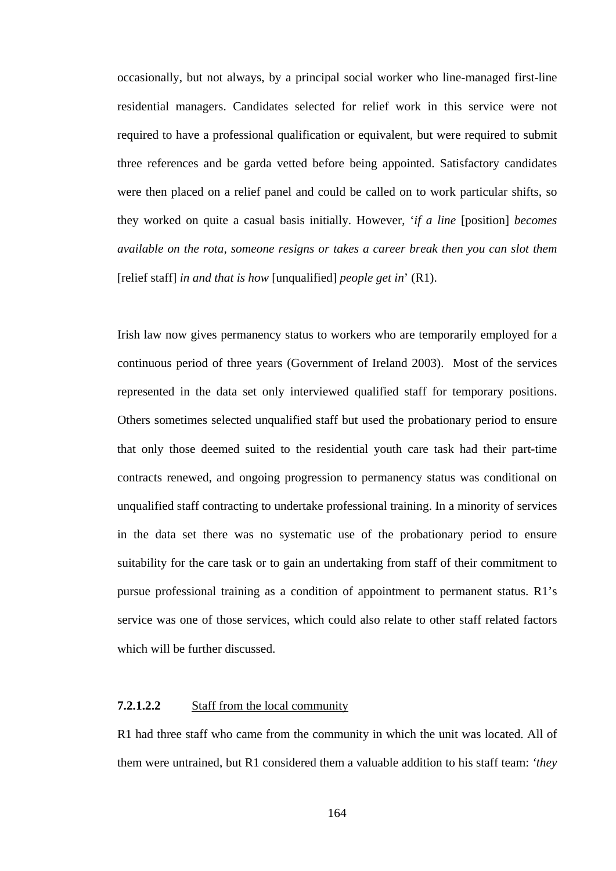occasionally, but not always, by a principal social worker who line-managed first-line residential managers. Candidates selected for relief work in this service were not required to have a professional qualification or equivalent, but were required to submit three references and be garda vetted before being appointed. Satisfactory candidates were then placed on a relief panel and could be called on to work particular shifts, so they worked on quite a casual basis initially. However, '*if a line* [position] *becomes available on the rota, someone resigns or takes a career break then you can slot them*  [relief staff] *in and that is how* [unqualified] *people get in*' (R1).

Irish law now gives permanency status to workers who are temporarily employed for a continuous period of three years (Government of Ireland 2003). Most of the services represented in the data set only interviewed qualified staff for temporary positions. Others sometimes selected unqualified staff but used the probationary period to ensure that only those deemed suited to the residential youth care task had their part-time contracts renewed, and ongoing progression to permanency status was conditional on unqualified staff contracting to undertake professional training. In a minority of services in the data set there was no systematic use of the probationary period to ensure suitability for the care task or to gain an undertaking from staff of their commitment to pursue professional training as a condition of appointment to permanent status. R1's service was one of those services, which could also relate to other staff related factors which will be further discussed.

# **7.2.1.2.2** Staff from the local community

R1 had three staff who came from the community in which the unit was located. All of them were untrained, but R1 considered them a valuable addition to his staff team: *'they*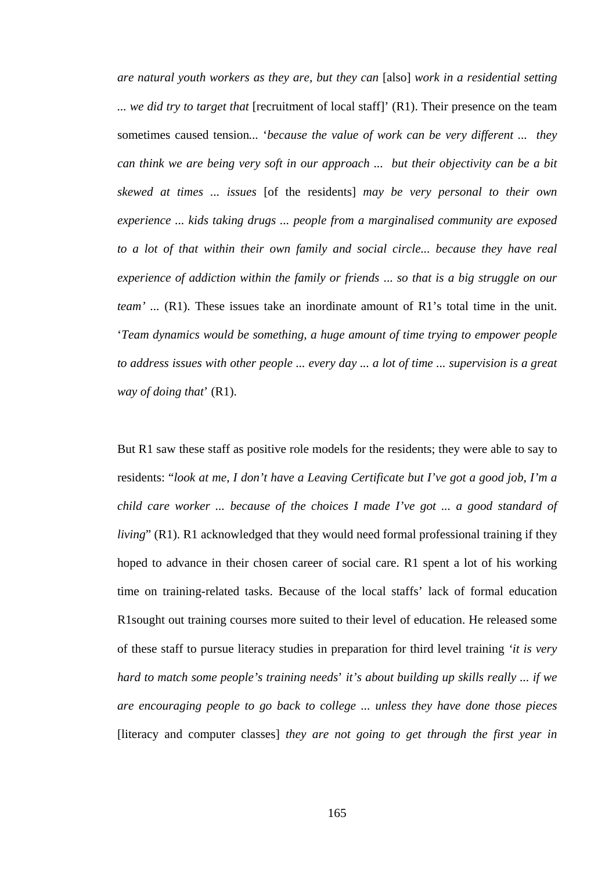*are natural youth workers as they are, but they can* [also] *work in a residential setting ... we did try to target that* [recruitment of local staff]' (R1). Their presence on the team sometimes caused tension*...* '*because the value of work can be very different ... they can think we are being very soft in our approach ... but their objectivity can be a bit skewed at times ... issues* [of the residents] *may be very personal to their own experience ... kids taking drugs ... people from a marginalised community are exposed to a lot of that within their own family and social circle... because they have real experience of addiction within the family or friends* ... *so that is a big struggle on our team'* ... (R1). These issues take an inordinate amount of R1's total time in the unit. '*Team dynamics would be something, a huge amount of time trying to empower people to address issues with other people ... every day ... a lot of time ... supervision is a great way of doing that*' (R1).

But R1 saw these staff as positive role models for the residents; they were able to say to residents: "*look at me, I don't have a Leaving Certificate but I've got a good job, I'm a child care worker ... because of the choices I made I've got ... a good standard of living*" (R1). R1 acknowledged that they would need formal professional training if they hoped to advance in their chosen career of social care. R1 spent a lot of his working time on training-related tasks. Because of the local staffs' lack of formal education R1sought out training courses more suited to their level of education. He released some of these staff to pursue literacy studies in preparation for third level training *'it is very hard to match some people's training needs*' *it's about building up skills really ... if we are encouraging people to go back to college ... unless they have done those pieces*  [literacy and computer classes] *they are not going to get through the first year in*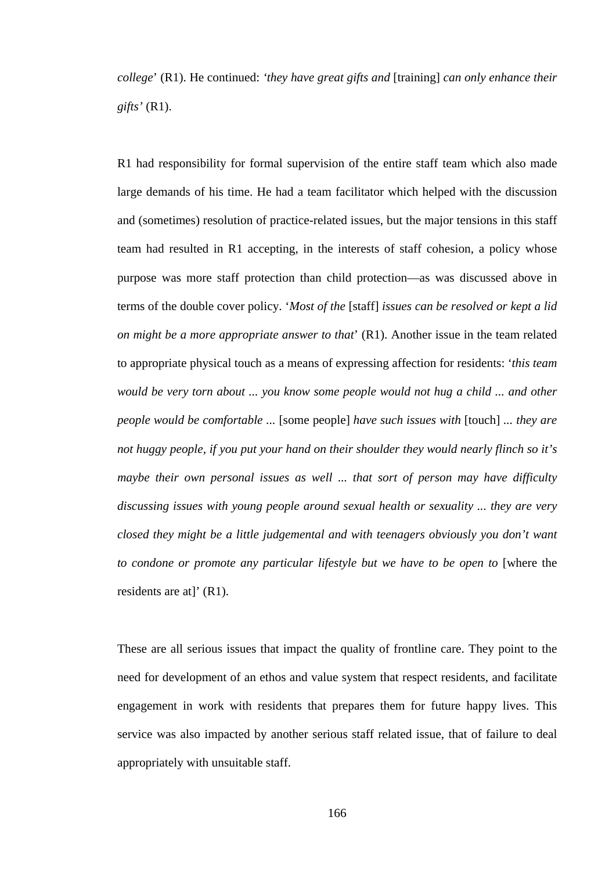*college*' (R1). He continued: *'they have great gifts and* [training] *can only enhance their gifts'* (R1).

R1 had responsibility for formal supervision of the entire staff team which also made large demands of his time. He had a team facilitator which helped with the discussion and (sometimes) resolution of practice-related issues, but the major tensions in this staff team had resulted in R1 accepting, in the interests of staff cohesion, a policy whose purpose was more staff protection than child protection—as was discussed above in terms of the double cover policy. '*Most of the* [staff] *issues can be resolved or kept a lid on might be a more appropriate answer to that*' (R1). Another issue in the team related to appropriate physical touch as a means of expressing affection for residents: '*this team would be very torn about ... you know some people would not hug a child ... and other people would be comfortable ...* [some people] *have such issues with* [touch] *... they are not huggy people, if you put your hand on their shoulder they would nearly flinch so it's maybe their own personal issues as well ... that sort of person may have difficulty discussing issues with young people around sexual health or sexuality ... they are very closed they might be a little judgemental and with teenagers obviously you don't want to condone or promote any particular lifestyle but we have to be open to* [where the residents are at]' (R1).

These are all serious issues that impact the quality of frontline care. They point to the need for development of an ethos and value system that respect residents, and facilitate engagement in work with residents that prepares them for future happy lives. This service was also impacted by another serious staff related issue, that of failure to deal appropriately with unsuitable staff.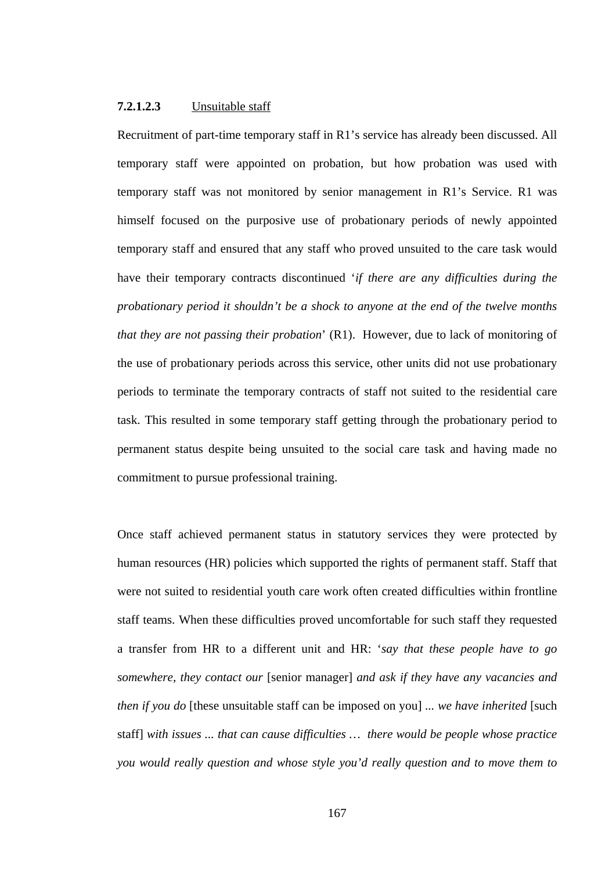### **7.2.1.2.3** Unsuitable staff

Recruitment of part-time temporary staff in R1's service has already been discussed. All temporary staff were appointed on probation, but how probation was used with temporary staff was not monitored by senior management in R1's Service. R1 was himself focused on the purposive use of probationary periods of newly appointed temporary staff and ensured that any staff who proved unsuited to the care task would have their temporary contracts discontinued '*if there are any difficulties during the probationary period it shouldn't be a shock to anyone at the end of the twelve months that they are not passing their probation*' (R1). However, due to lack of monitoring of the use of probationary periods across this service, other units did not use probationary periods to terminate the temporary contracts of staff not suited to the residential care task. This resulted in some temporary staff getting through the probationary period to permanent status despite being unsuited to the social care task and having made no commitment to pursue professional training.

Once staff achieved permanent status in statutory services they were protected by human resources (HR) policies which supported the rights of permanent staff. Staff that were not suited to residential youth care work often created difficulties within frontline staff teams. When these difficulties proved uncomfortable for such staff they requested a transfer from HR to a different unit and HR: '*say that these people have to go somewhere, they contact our* [senior manager] *and ask if they have any vacancies and then if you do* [these unsuitable staff can be imposed on you] *... we have inherited* [such staff] *with issues ... that can cause difficulties … there would be people whose practice you would really question and whose style you'd really question and to move them to*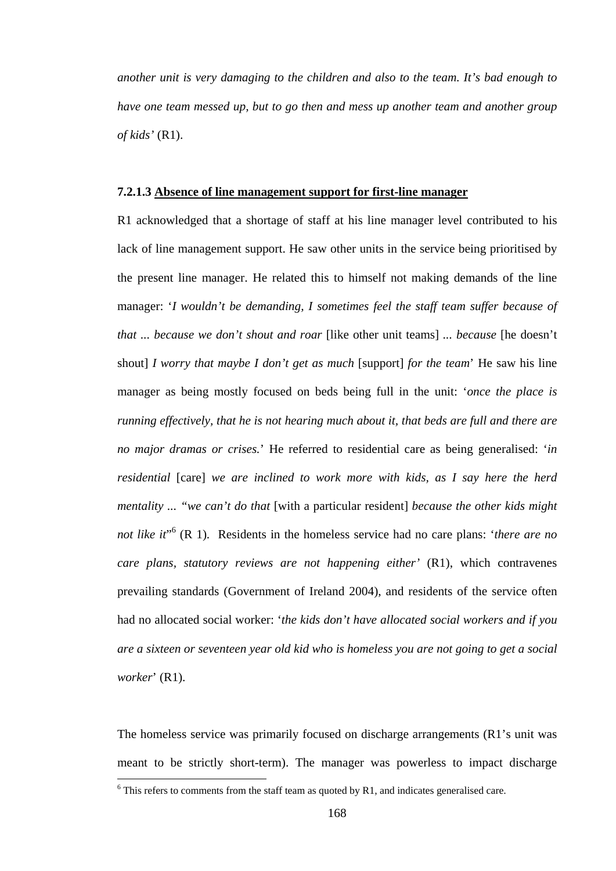*another unit is very damaging to the children and also to the team. It's bad enough to have one team messed up, but to go then and mess up another team and another group of kids'* (R1).

#### **7.2.1.3 Absence of line management support for first-line manager**

R1 acknowledged that a shortage of staff at his line manager level contributed to his lack of line management support. He saw other units in the service being prioritised by the present line manager. He related this to himself not making demands of the line manager: '*I wouldn't be demanding, I sometimes feel the staff team suffer because of that ... because we don't shout and roar* [like other unit teams] *... because* [he doesn't shout] *I worry that maybe I don't get as much* [support] *for the team*' He saw his line manager as being mostly focused on beds being full in the unit: '*once the place is running effectively, that he is not hearing much about it, that beds are full and there are no major dramas or crises.*' He referred to residential care as being generalised: '*in residential* [care] *we are inclined to work more with kids, as I say here the herd mentality ... "we can't do that* [with a particular resident] *because the other kids might*  not like it<sup>"</sup><sup>6</sup> (R 1). Residents in the homeless service had no care plans: '*there are no care plans, statutory reviews are not happening either'* (R1), which contravenes prevailing standards (Government of Ireland 2004), and residents of the service often had no allocated social worker: '*the kids don't have allocated social workers and if you are a sixteen or seventeen year old kid who is homeless you are not going to get a social worker*' (R1).

The homeless service was primarily focused on discharge arrangements (R1's unit was meant to be strictly short-term). The manager was powerless to impact discharge

<sup>&</sup>lt;sup>6</sup> This refers to comments from the staff team as quoted by R1, and indicates generalised care.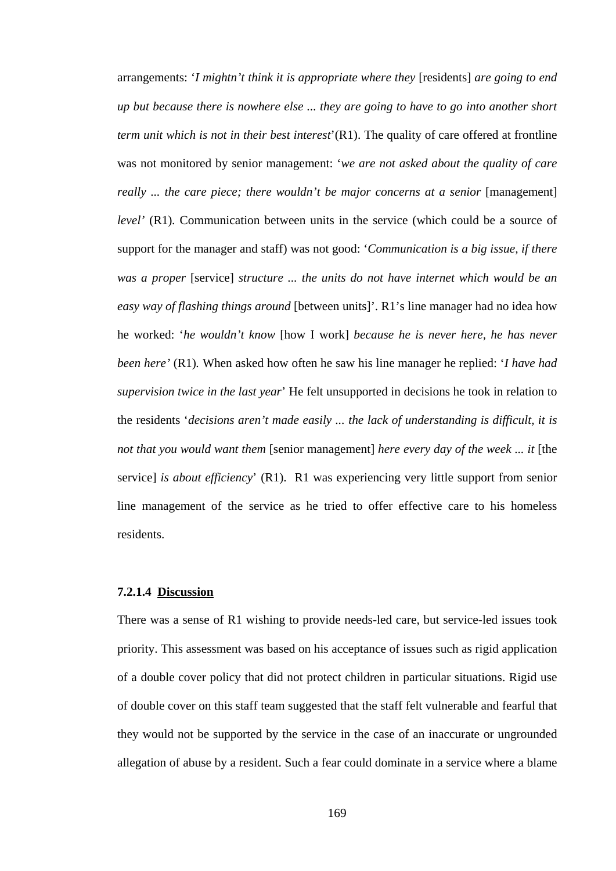arrangements: '*I mightn't think it is appropriate where they* [residents] *are going to end up but because there is nowhere else ... they are going to have to go into another short term unit which is not in their best interest*'(R1). The quality of care offered at frontline was not monitored by senior management: '*we are not asked about the quality of care really ... the care piece; there wouldn't be major concerns at a senior* [management] *level'* (R1). Communication between units in the service (which could be a source of support for the manager and staff) was not good: '*Communication is a big issue, if there was a proper* [service] *structure ... the units do not have internet which would be an easy way of flashing things around* [between units]'. R1's line manager had no idea how he worked: '*he wouldn't know* [how I work] *because he is never here, he has never been here'* (R1)*.* When asked how often he saw his line manager he replied: '*I have had supervision twice in the last year*' He felt unsupported in decisions he took in relation to the residents '*decisions aren't made easily ... the lack of understanding is difficult, it is not that you would want them* [senior management] *here every day of the week ... it* [the service] *is about efficiency*' (R1). R1 was experiencing very little support from senior line management of the service as he tried to offer effective care to his homeless residents.

#### **7.2.1.4 Discussion**

There was a sense of R1 wishing to provide needs-led care, but service-led issues took priority. This assessment was based on his acceptance of issues such as rigid application of a double cover policy that did not protect children in particular situations. Rigid use of double cover on this staff team suggested that the staff felt vulnerable and fearful that they would not be supported by the service in the case of an inaccurate or ungrounded allegation of abuse by a resident. Such a fear could dominate in a service where a blame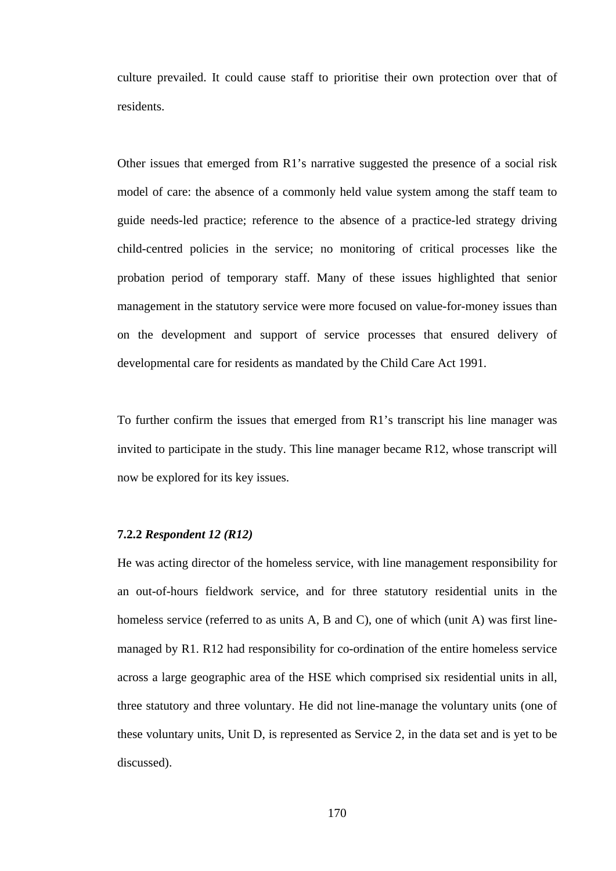culture prevailed. It could cause staff to prioritise their own protection over that of residents.

Other issues that emerged from R1's narrative suggested the presence of a social risk model of care: the absence of a commonly held value system among the staff team to guide needs-led practice; reference to the absence of a practice-led strategy driving child-centred policies in the service; no monitoring of critical processes like the probation period of temporary staff. Many of these issues highlighted that senior management in the statutory service were more focused on value-for-money issues than on the development and support of service processes that ensured delivery of developmental care for residents as mandated by the Child Care Act 1991.

To further confirm the issues that emerged from R1's transcript his line manager was invited to participate in the study. This line manager became R12, whose transcript will now be explored for its key issues.

# **7.2.2** *Respondent 12 (R12)*

He was acting director of the homeless service, with line management responsibility for an out-of-hours fieldwork service, and for three statutory residential units in the homeless service (referred to as units A, B and C), one of which (unit A) was first linemanaged by R1. R12 had responsibility for co-ordination of the entire homeless service across a large geographic area of the HSE which comprised six residential units in all, three statutory and three voluntary. He did not line-manage the voluntary units (one of these voluntary units, Unit D, is represented as Service 2, in the data set and is yet to be discussed).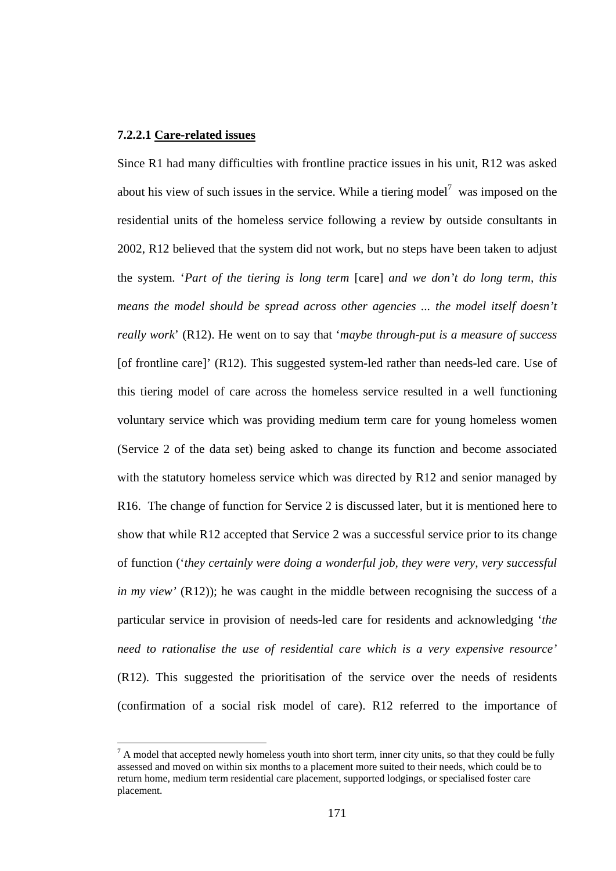# **7.2.2.1 Care-related issues**

 $\overline{a}$ 

Since R1 had many difficulties with frontline practice issues in his unit, R12 was asked about his view of such issues in the service. While a tiering model<sup>7</sup> was imposed on the residential units of the homeless service following a review by outside consultants in 2002, R12 believed that the system did not work, but no steps have been taken to adjust the system. '*Part of the tiering is long term* [care] *and we don't do long term, this means the model should be spread across other agencies ... the model itself doesn't really work*' (R12). He went on to say that '*maybe through-put is a measure of success*  [of frontline care]' (R12). This suggested system-led rather than needs-led care. Use of this tiering model of care across the homeless service resulted in a well functioning voluntary service which was providing medium term care for young homeless women (Service 2 of the data set) being asked to change its function and become associated with the statutory homeless service which was directed by R12 and senior managed by R16. The change of function for Service 2 is discussed later, but it is mentioned here to show that while R12 accepted that Service 2 was a successful service prior to its change of function ('*they certainly were doing a wonderful job, they were very, very successful in my view'* (R12)); he was caught in the middle between recognising the success of a particular service in provision of needs-led care for residents and acknowledging '*the need to rationalise the use of residential care which is a very expensive resource'* (R12). This suggested the prioritisation of the service over the needs of residents (confirmation of a social risk model of care). R12 referred to the importance of

 $<sup>7</sup>$  A model that accepted newly homeless youth into short term, inner city units, so that they could be fully</sup> assessed and moved on within six months to a placement more suited to their needs, which could be to return home, medium term residential care placement, supported lodgings, or specialised foster care placement.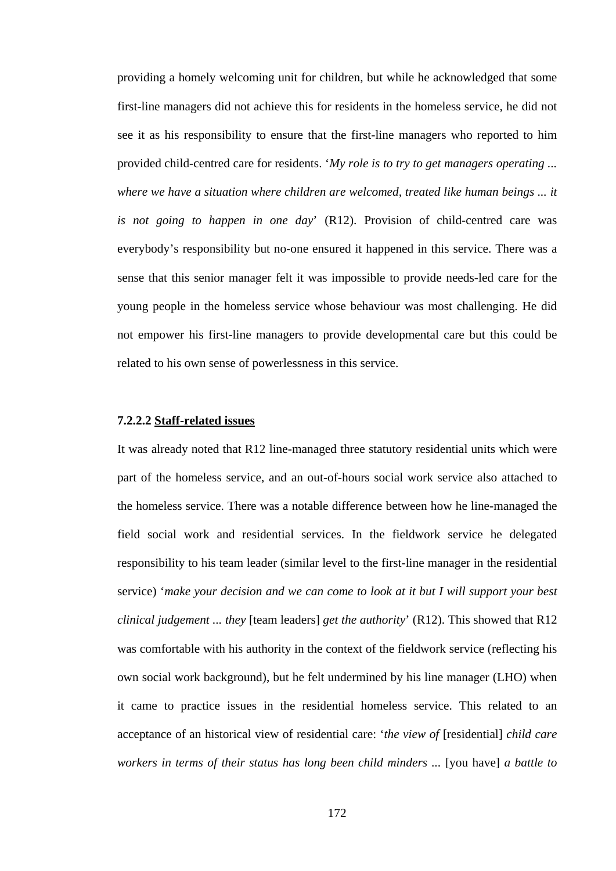providing a homely welcoming unit for children, but while he acknowledged that some first-line managers did not achieve this for residents in the homeless service, he did not see it as his responsibility to ensure that the first-line managers who reported to him provided child-centred care for residents. '*My role is to try to get managers operating ... where we have a situation where children are welcomed, treated like human beings ... it is not going to happen in one day*' (R12). Provision of child-centred care was everybody's responsibility but no-one ensured it happened in this service. There was a sense that this senior manager felt it was impossible to provide needs-led care for the young people in the homeless service whose behaviour was most challenging. He did not empower his first-line managers to provide developmental care but this could be related to his own sense of powerlessness in this service.

# **7.2.2.2 Staff-related issues**

It was already noted that R12 line-managed three statutory residential units which were part of the homeless service, and an out-of-hours social work service also attached to the homeless service. There was a notable difference between how he line-managed the field social work and residential services. In the fieldwork service he delegated responsibility to his team leader (similar level to the first-line manager in the residential service) '*make your decision and we can come to look at it but I will support your best clinical judgement ... they* [team leaders] *get the authority*' (R12). This showed that R12 was comfortable with his authority in the context of the fieldwork service (reflecting his own social work background), but he felt undermined by his line manager (LHO) when it came to practice issues in the residential homeless service. This related to an acceptance of an historical view of residential care: '*the view of* [residential] *child care workers in terms of their status has long been child minders ...* [you have] *a battle to*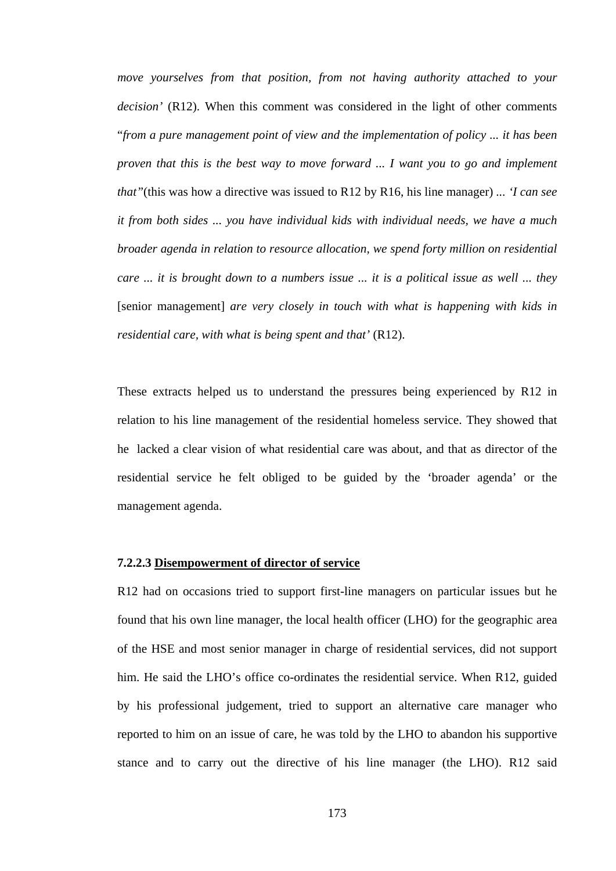*move yourselves from that position, from not having authority attached to your decision'* (R12). When this comment was considered in the light of other comments "*from a pure management point of view and the implementation of policy ... it has been proven that this is the best way to move forward ... I want you to go and implement that"*(this was how a directive was issued to R12 by R16, his line manager) *... 'I can see it from both sides ... you have individual kids with individual needs, we have a much broader agenda in relation to resource allocation, we spend forty million on residential care ... it is brought down to a numbers issue ... it is a political issue as well ... they*  [senior management] *are very closely in touch with what is happening with kids in residential care, with what is being spent and that'* (R12).

These extracts helped us to understand the pressures being experienced by R12 in relation to his line management of the residential homeless service. They showed that he lacked a clear vision of what residential care was about, and that as director of the residential service he felt obliged to be guided by the 'broader agenda' or the management agenda.

### **7.2.2.3 Disempowerment of director of service**

R12 had on occasions tried to support first-line managers on particular issues but he found that his own line manager, the local health officer (LHO) for the geographic area of the HSE and most senior manager in charge of residential services, did not support him. He said the LHO's office co-ordinates the residential service. When R12, guided by his professional judgement, tried to support an alternative care manager who reported to him on an issue of care, he was told by the LHO to abandon his supportive stance and to carry out the directive of his line manager (the LHO). R12 said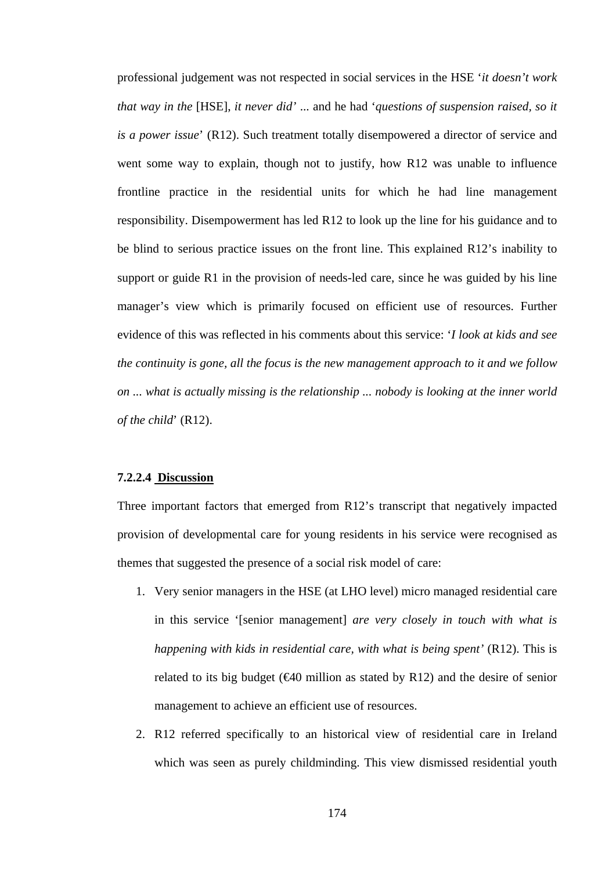professional judgement was not respected in social services in the HSE '*it doesn't work that way in the* [HSE], *it never did'* ... and he had '*questions of suspension raised, so it is a power issue*' (R12). Such treatment totally disempowered a director of service and went some way to explain, though not to justify, how R12 was unable to influence frontline practice in the residential units for which he had line management responsibility. Disempowerment has led R12 to look up the line for his guidance and to be blind to serious practice issues on the front line. This explained R12's inability to support or guide R1 in the provision of needs-led care, since he was guided by his line manager's view which is primarily focused on efficient use of resources. Further evidence of this was reflected in his comments about this service: '*I look at kids and see the continuity is gone, all the focus is the new management approach to it and we follow on ... what is actually missing is the relationship ... nobody is looking at the inner world of the child*' (R12).

# **7.2.2.4 Discussion**

Three important factors that emerged from R12's transcript that negatively impacted provision of developmental care for young residents in his service were recognised as themes that suggested the presence of a social risk model of care:

- 1. Very senior managers in the HSE (at LHO level) micro managed residential care in this service '[senior management] *are very closely in touch with what is happening with kids in residential care, with what is being spent'* (R12). This is related to its big budget ( $\epsilon 40$  million as stated by R12) and the desire of senior management to achieve an efficient use of resources.
- 2. R12 referred specifically to an historical view of residential care in Ireland which was seen as purely childminding. This view dismissed residential youth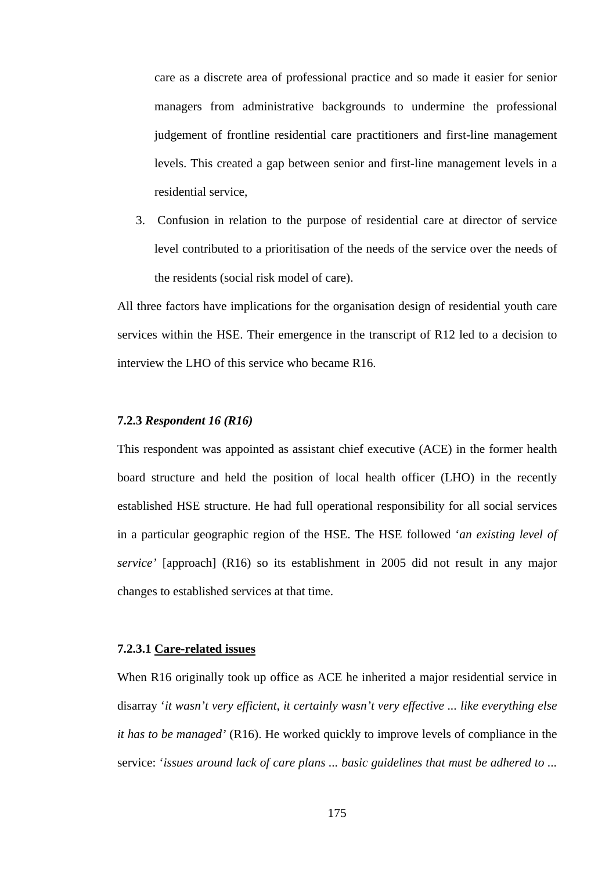care as a discrete area of professional practice and so made it easier for senior managers from administrative backgrounds to undermine the professional judgement of frontline residential care practitioners and first-line management levels. This created a gap between senior and first-line management levels in a residential service,

3. Confusion in relation to the purpose of residential care at director of service level contributed to a prioritisation of the needs of the service over the needs of the residents (social risk model of care).

All three factors have implications for the organisation design of residential youth care services within the HSE. Their emergence in the transcript of R12 led to a decision to interview the LHO of this service who became R16.

# **7.2.3** *Respondent 16 (R16)*

This respondent was appointed as assistant chief executive (ACE) in the former health board structure and held the position of local health officer (LHO) in the recently established HSE structure. He had full operational responsibility for all social services in a particular geographic region of the HSE. The HSE followed '*an existing level of service'* [approach] (R16) so its establishment in 2005 did not result in any major changes to established services at that time.

# **7.2.3.1 Care-related issues**

When R16 originally took up office as ACE he inherited a major residential service in disarray '*it wasn't very efficient, it certainly wasn't very effective ... like everything else it has to be managed'* (R16). He worked quickly to improve levels of compliance in the service: '*issues around lack of care plans ... basic guidelines that must be adhered to ...*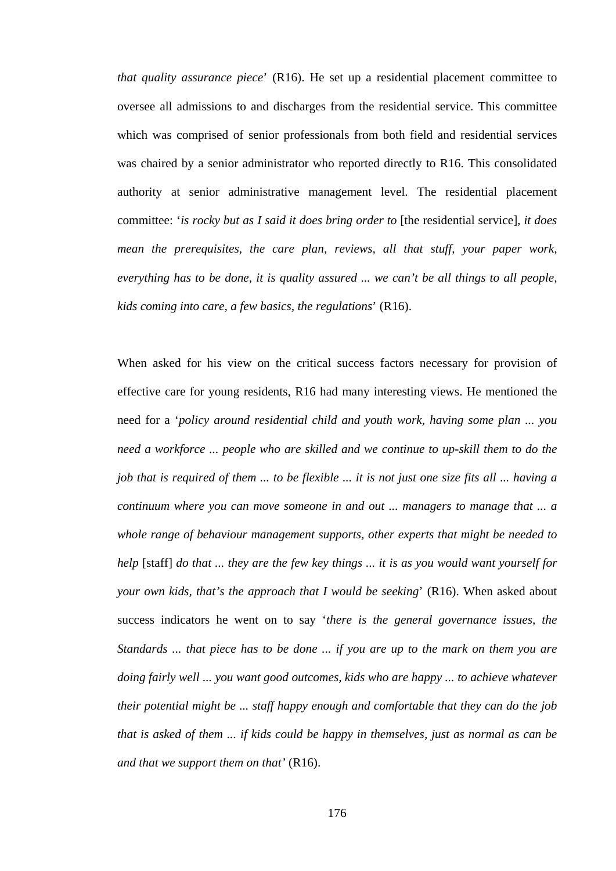*that quality assurance piece*' (R16). He set up a residential placement committee to oversee all admissions to and discharges from the residential service. This committee which was comprised of senior professionals from both field and residential services was chaired by a senior administrator who reported directly to R16. This consolidated authority at senior administrative management level. The residential placement committee: '*is rocky but as I said it does bring order to* [the residential service]*, it does mean the prerequisites, the care plan, reviews, all that stuff, your paper work, everything has to be done, it is quality assured ... we can't be all things to all people, kids coming into care, a few basics, the regulations*' (R16).

When asked for his view on the critical success factors necessary for provision of effective care for young residents, R16 had many interesting views. He mentioned the need for a '*policy around residential child and youth work, having some plan ... you need a workforce ... people who are skilled and we continue to up-skill them to do the job that is required of them ... to be flexible ... it is not just one size fits all ... having a continuum where you can move someone in and out ... managers to manage that ... a whole range of behaviour management supports, other experts that might be needed to help* [staff] *do that ... they are the few key things ... it is as you would want yourself for your own kids, that's the approach that I would be seeking*' (R16). When asked about success indicators he went on to say '*there is the general governance issues, the Standards ... that piece has to be done ... if you are up to the mark on them you are doing fairly well ... you want good outcomes, kids who are happy ... to achieve whatever their potential might be ... staff happy enough and comfortable that they can do the job that is asked of them ... if kids could be happy in themselves, just as normal as can be and that we support them on that'* (R16).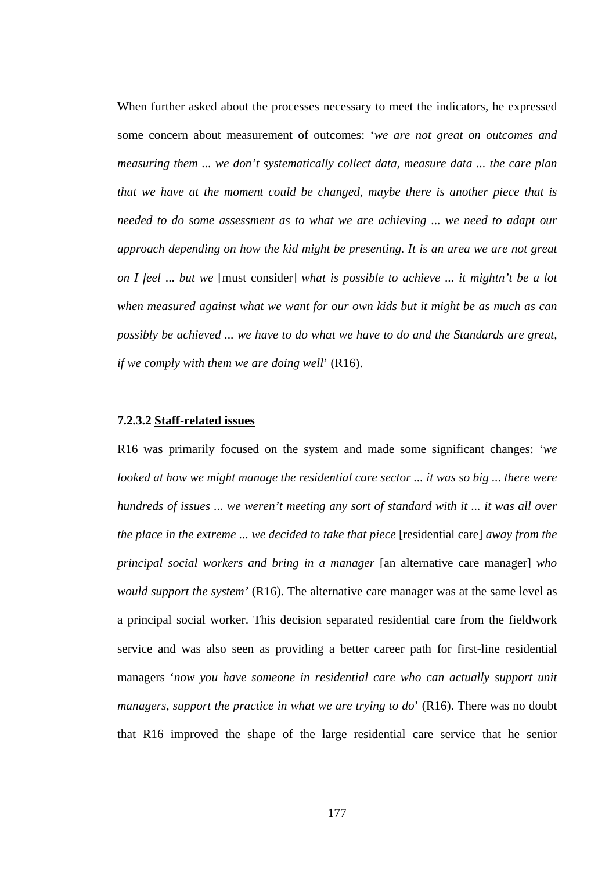When further asked about the processes necessary to meet the indicators, he expressed some concern about measurement of outcomes: '*we are not great on outcomes and measuring them ... we don't systematically collect data, measure data ... the care plan that we have at the moment could be changed, maybe there is another piece that is needed to do some assessment as to what we are achieving ... we need to adapt our approach depending on how the kid might be presenting. It is an area we are not great on I feel* ... *but we* [must consider] *what is possible to achieve ... it mightn't be a lot when measured against what we want for our own kids but it might be as much as can possibly be achieved ... we have to do what we have to do and the Standards are great, if we comply with them we are doing well*' (R16).

#### **7.2.3.2 Staff-related issues**

R16 was primarily focused on the system and made some significant changes: '*we looked at how we might manage the residential care sector ... it was so big ... there were hundreds of issues ... we weren't meeting any sort of standard with it ... it was all over the place in the extreme ... we decided to take that piece* [residential care] *away from the principal social workers and bring in a manager* [an alternative care manager] *who would support the system'* (R16). The alternative care manager was at the same level as a principal social worker. This decision separated residential care from the fieldwork service and was also seen as providing a better career path for first-line residential managers '*now you have someone in residential care who can actually support unit managers, support the practice in what we are trying to do*' (R16). There was no doubt that R16 improved the shape of the large residential care service that he senior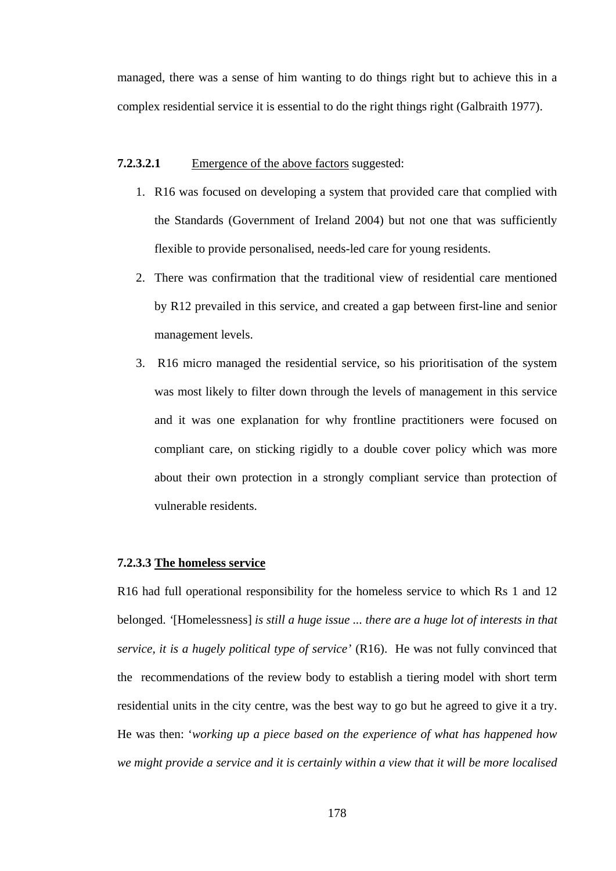managed, there was a sense of him wanting to do things right but to achieve this in a complex residential service it is essential to do the right things right (Galbraith 1977).

# **7.2.3.2.1** Emergence of the above factors suggested:

- 1. R16 was focused on developing a system that provided care that complied with the Standards (Government of Ireland 2004) but not one that was sufficiently flexible to provide personalised, needs-led care for young residents.
- 2. There was confirmation that the traditional view of residential care mentioned by R12 prevailed in this service, and created a gap between first-line and senior management levels.
- 3. R16 micro managed the residential service, so his prioritisation of the system was most likely to filter down through the levels of management in this service and it was one explanation for why frontline practitioners were focused on compliant care, on sticking rigidly to a double cover policy which was more about their own protection in a strongly compliant service than protection of vulnerable residents.

# **7.2.3.3 The homeless service**

R16 had full operational responsibility for the homeless service to which Rs 1 and 12 belonged. *'*[Homelessness] *is still a huge issue ... there are a huge lot of interests in that service, it is a hugely political type of service'* (R16). He was not fully convinced that the recommendations of the review body to establish a tiering model with short term residential units in the city centre, was the best way to go but he agreed to give it a try. He was then: '*working up a piece based on the experience of what has happened how we might provide a service and it is certainly within a view that it will be more localised*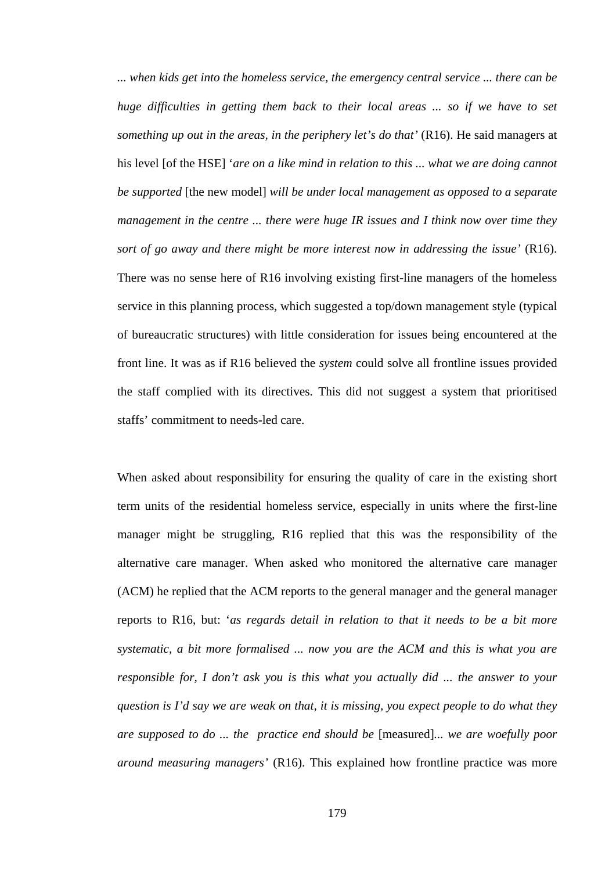*... when kids get into the homeless service, the emergency central service ... there can be huge difficulties in getting them back to their local areas ... so if we have to set something up out in the areas, in the periphery let's do that'* (R16). He said managers at his level [of the HSE] '*are on a like mind in relation to this ... what we are doing cannot be supported* [the new model] *will be under local management as opposed to a separate management in the centre ... there were huge IR issues and I think now over time they sort of go away and there might be more interest now in addressing the issue'* (R16). There was no sense here of R16 involving existing first-line managers of the homeless service in this planning process, which suggested a top/down management style (typical of bureaucratic structures) with little consideration for issues being encountered at the front line. It was as if R16 believed the *system* could solve all frontline issues provided the staff complied with its directives. This did not suggest a system that prioritised staffs' commitment to needs-led care.

When asked about responsibility for ensuring the quality of care in the existing short term units of the residential homeless service, especially in units where the first-line manager might be struggling, R16 replied that this was the responsibility of the alternative care manager. When asked who monitored the alternative care manager (ACM) he replied that the ACM reports to the general manager and the general manager reports to R16, but: '*as regards detail in relation to that it needs to be a bit more systematic, a bit more formalised ... now you are the ACM and this is what you are responsible for, I don't ask you is this what you actually did ... the answer to your question is I'd say we are weak on that, it is missing, you expect people to do what they are supposed to do ... the practice end should be* [measured]*... we are woefully poor around measuring managers'* (R16). This explained how frontline practice was more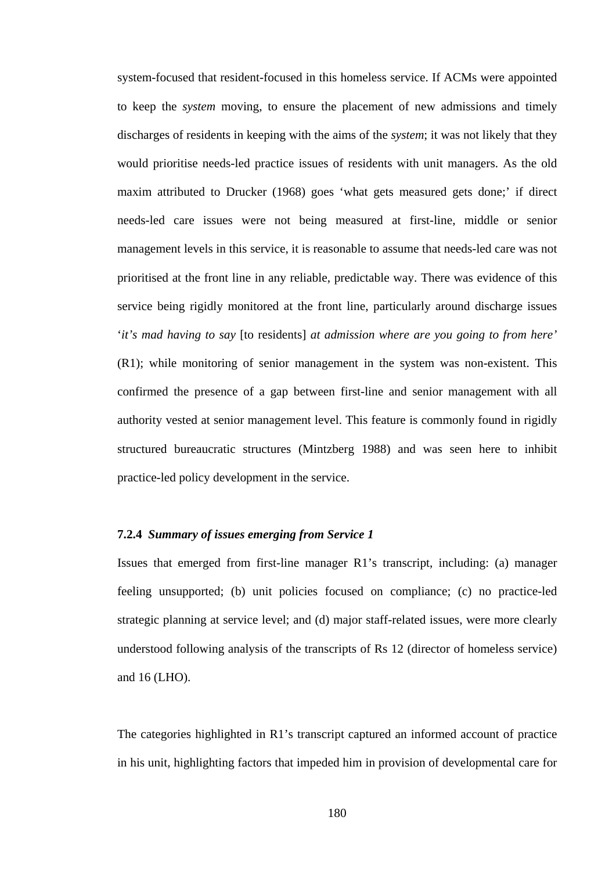system-focused that resident-focused in this homeless service. If ACMs were appointed to keep the *system* moving, to ensure the placement of new admissions and timely discharges of residents in keeping with the aims of the *system*; it was not likely that they would prioritise needs-led practice issues of residents with unit managers. As the old maxim attributed to Drucker (1968) goes 'what gets measured gets done;' if direct needs-led care issues were not being measured at first-line, middle or senior management levels in this service, it is reasonable to assume that needs-led care was not prioritised at the front line in any reliable, predictable way. There was evidence of this service being rigidly monitored at the front line, particularly around discharge issues '*it's mad having to say* [to residents] *at admission where are you going to from here'* (R1); while monitoring of senior management in the system was non-existent. This confirmed the presence of a gap between first-line and senior management with all authority vested at senior management level. This feature is commonly found in rigidly structured bureaucratic structures (Mintzberg 1988) and was seen here to inhibit practice-led policy development in the service.

#### **7.2.4** *Summary of issues emerging from Service 1*

Issues that emerged from first-line manager R1's transcript, including: (a) manager feeling unsupported; (b) unit policies focused on compliance; (c) no practice-led strategic planning at service level; and (d) major staff-related issues, were more clearly understood following analysis of the transcripts of Rs 12 (director of homeless service) and 16 (LHO).

The categories highlighted in R1's transcript captured an informed account of practice in his unit, highlighting factors that impeded him in provision of developmental care for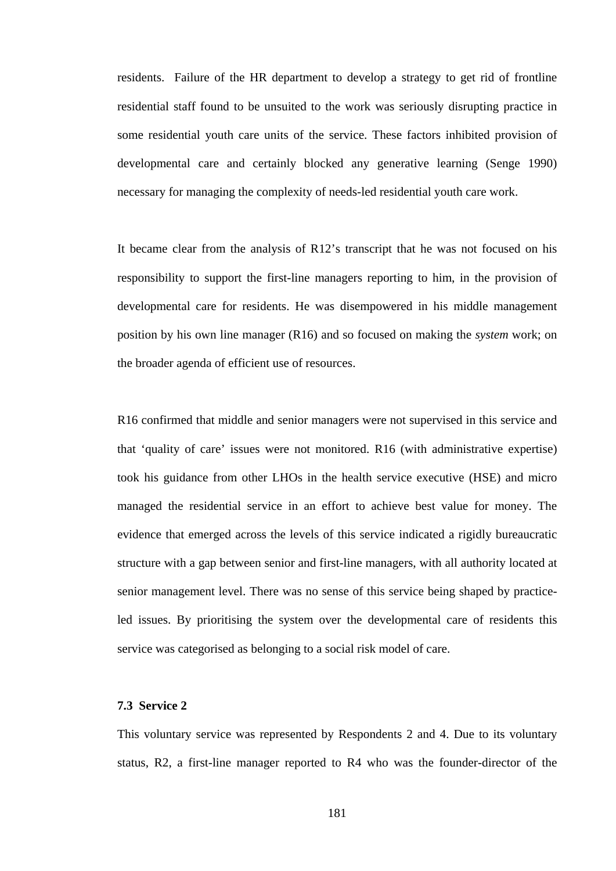residents. Failure of the HR department to develop a strategy to get rid of frontline residential staff found to be unsuited to the work was seriously disrupting practice in some residential youth care units of the service. These factors inhibited provision of developmental care and certainly blocked any generative learning (Senge 1990) necessary for managing the complexity of needs-led residential youth care work.

It became clear from the analysis of R12's transcript that he was not focused on his responsibility to support the first-line managers reporting to him, in the provision of developmental care for residents. He was disempowered in his middle management position by his own line manager (R16) and so focused on making the *system* work; on the broader agenda of efficient use of resources.

R16 confirmed that middle and senior managers were not supervised in this service and that 'quality of care' issues were not monitored. R16 (with administrative expertise) took his guidance from other LHOs in the health service executive (HSE) and micro managed the residential service in an effort to achieve best value for money. The evidence that emerged across the levels of this service indicated a rigidly bureaucratic structure with a gap between senior and first-line managers, with all authority located at senior management level. There was no sense of this service being shaped by practiceled issues. By prioritising the system over the developmental care of residents this service was categorised as belonging to a social risk model of care.

#### **7.3 Service 2**

This voluntary service was represented by Respondents 2 and 4. Due to its voluntary status, R2, a first-line manager reported to R4 who was the founder-director of the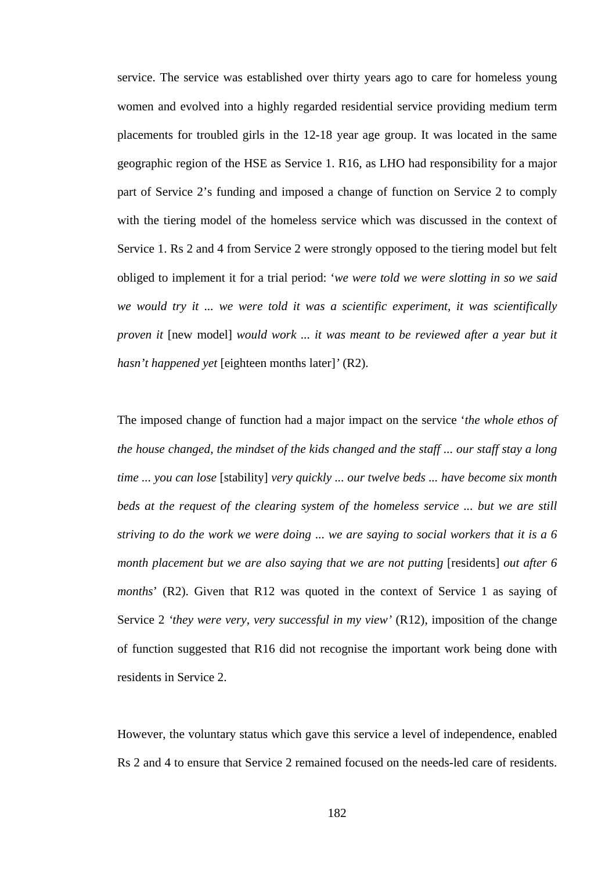service. The service was established over thirty years ago to care for homeless young women and evolved into a highly regarded residential service providing medium term placements for troubled girls in the 12-18 year age group. It was located in the same geographic region of the HSE as Service 1. R16, as LHO had responsibility for a major part of Service 2's funding and imposed a change of function on Service 2 to comply with the tiering model of the homeless service which was discussed in the context of Service 1. Rs 2 and 4 from Service 2 were strongly opposed to the tiering model but felt obliged to implement it for a trial period: '*we were told we were slotting in so we said we would try it ... we were told it was a scientific experiment, it was scientifically proven it* [new model] *would work ... it was meant to be reviewed after a year but it hasn't happened yet* [eighteen months later]*'* (R2).

The imposed change of function had a major impact on the service '*the whole ethos of the house changed, the mindset of the kids changed and the staff ... our staff stay a long time ... you can lose* [stability] *very quickly ... our twelve beds ... have become six month beds at the request of the clearing system of the homeless service ... but we are still striving to do the work we were doing* ... *we are saying to social workers that it is a 6 month placement but we are also saying that we are not putting* [residents] *out after 6 months*' (R2). Given that R12 was quoted in the context of Service 1 as saying of Service 2 *'they were very, very successful in my view'* (R12), imposition of the change of function suggested that R16 did not recognise the important work being done with residents in Service 2.

However, the voluntary status which gave this service a level of independence, enabled Rs 2 and 4 to ensure that Service 2 remained focused on the needs-led care of residents.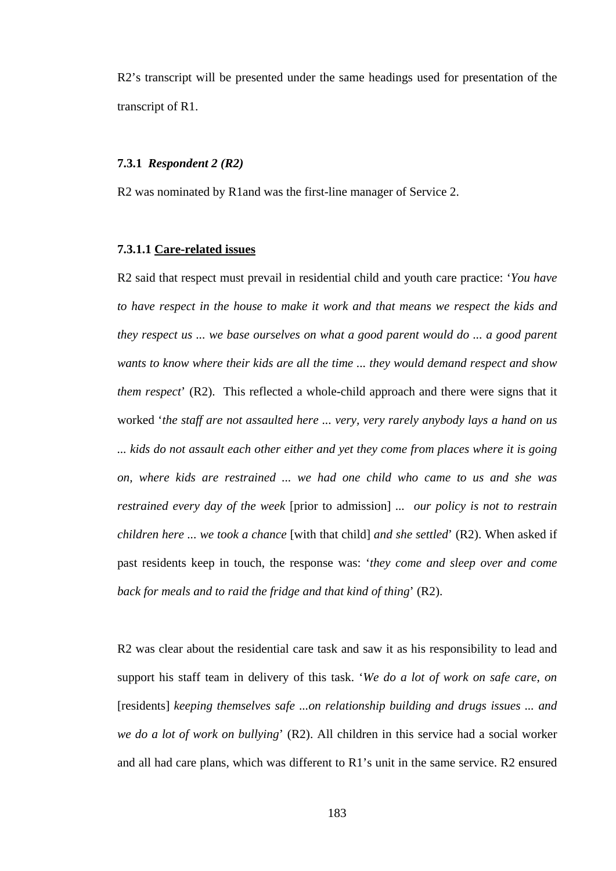R2's transcript will be presented under the same headings used for presentation of the transcript of R1.

### **7.3.1** *Respondent 2 (R2)*

R2 was nominated by R1and was the first-line manager of Service 2.

### **7.3.1.1 Care-related issues**

R2 said that respect must prevail in residential child and youth care practice: '*You have to have respect in the house to make it work and that means we respect the kids and they respect us ... we base ourselves on what a good parent would do ... a good parent wants to know where their kids are all the time ... they would demand respect and show them respect*' (R2). This reflected a whole-child approach and there were signs that it worked '*the staff are not assaulted here ... very, very rarely anybody lays a hand on us ... kids do not assault each other either and yet they come from places where it is going on, where kids are restrained ... we had one child who came to us and she was restrained every day of the week* [prior to admission] *... our policy is not to restrain children here ... we took a chance* [with that child] *and she settled*' (R2). When asked if past residents keep in touch, the response was: '*they come and sleep over and come back for meals and to raid the fridge and that kind of thing*' (R2).

R2 was clear about the residential care task and saw it as his responsibility to lead and support his staff team in delivery of this task. '*We do a lot of work on safe care, on*  [residents] *keeping themselves safe ...on relationship building and drugs issues ... and we do a lot of work on bullying*' (R2). All children in this service had a social worker and all had care plans, which was different to R1's unit in the same service. R2 ensured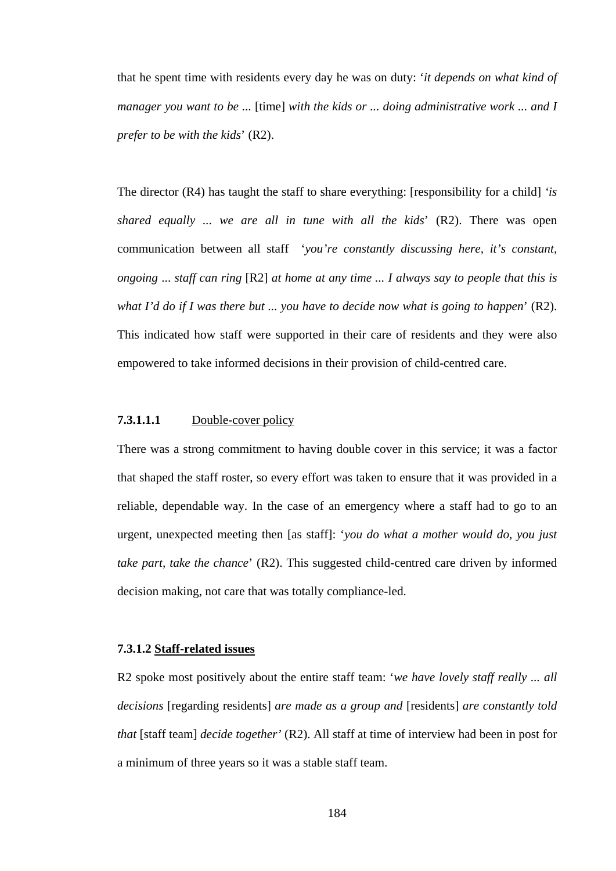that he spent time with residents every day he was on duty: '*it depends on what kind of manager you want to be ...* [time] *with the kids or ... doing administrative work ... and I prefer to be with the kids*' (R2).

The director (R4) has taught the staff to share everything: [responsibility for a child] *'is shared equally ... we are all in tune with all the kids*' (R2). There was open communication between all staff '*you're constantly discussing here, it's constant, ongoing* ... *staff can ring* [R2] *at home at any time ... I always say to people that this is what I'd do if I was there but ... you have to decide now what is going to happen*' (R2). This indicated how staff were supported in their care of residents and they were also empowered to take informed decisions in their provision of child-centred care.

# **7.3.1.1.1** Double-cover policy

There was a strong commitment to having double cover in this service; it was a factor that shaped the staff roster, so every effort was taken to ensure that it was provided in a reliable, dependable way. In the case of an emergency where a staff had to go to an urgent, unexpected meeting then [as staff]: '*you do what a mother would do, you just take part, take the chance*' (R2). This suggested child-centred care driven by informed decision making, not care that was totally compliance-led.

# **7.3.1.2 Staff-related issues**

R2 spoke most positively about the entire staff team: '*we have lovely staff really ... all decisions* [regarding residents] *are made as a group and* [residents] *are constantly told that* [staff team] *decide together'* (R2). All staff at time of interview had been in post for a minimum of three years so it was a stable staff team.

184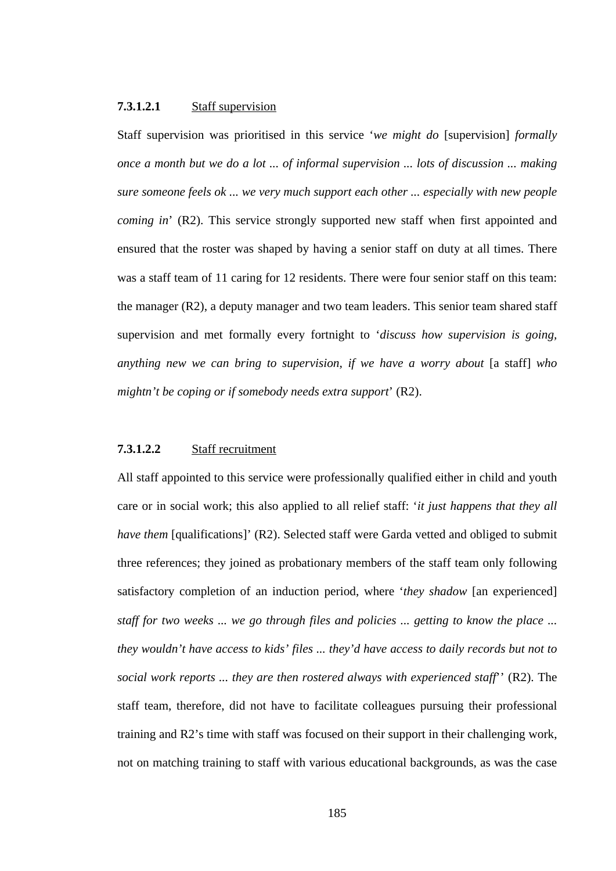### **7.3.1.2.1** Staff supervision

Staff supervision was prioritised in this service '*we might do* [supervision] *formally once a month but we do a lot ... of informal supervision ... lots of discussion ... making sure someone feels ok ... we very much support each other ... especially with new people coming in*' (R2). This service strongly supported new staff when first appointed and ensured that the roster was shaped by having a senior staff on duty at all times. There was a staff team of 11 caring for 12 residents. There were four senior staff on this team: the manager (R2), a deputy manager and two team leaders. This senior team shared staff supervision and met formally every fortnight to '*discuss how supervision is going, anything new we can bring to supervision, if we have a worry about* [a staff] *who mightn't be coping or if somebody needs extra support*' (R2).

# **7.3.1.2.2** Staff recruitment

All staff appointed to this service were professionally qualified either in child and youth care or in social work; this also applied to all relief staff: '*it just happens that they all have them* [qualifications]' (R2). Selected staff were Garda vetted and obliged to submit three references; they joined as probationary members of the staff team only following satisfactory completion of an induction period, where '*they shadow* [an experienced] *staff for two weeks ... we go through files and policies ... getting to know the place ... they wouldn't have access to kids' files ... they'd have access to daily records but not to social work reports ... they are then rostered always with experienced staff*'' (R2). The staff team, therefore, did not have to facilitate colleagues pursuing their professional training and R2's time with staff was focused on their support in their challenging work, not on matching training to staff with various educational backgrounds, as was the case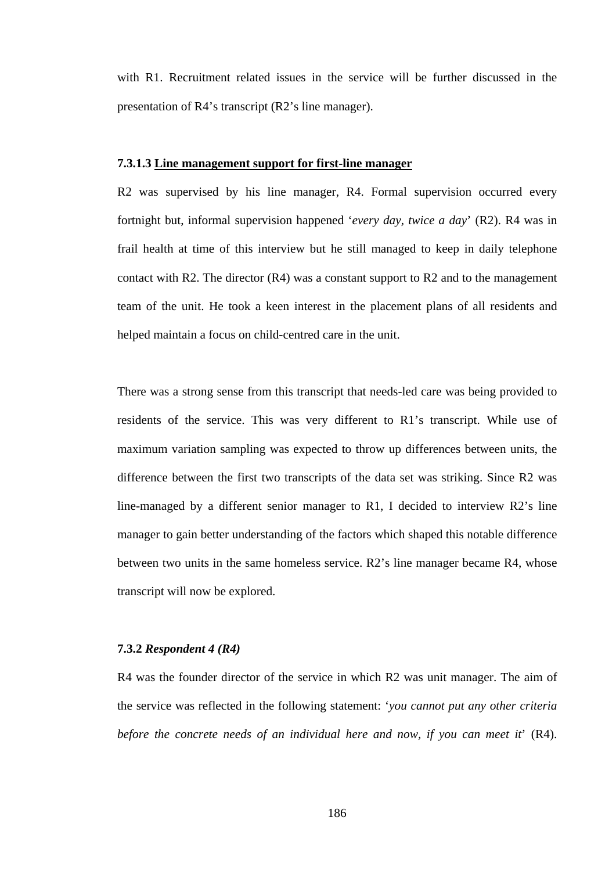with R1. Recruitment related issues in the service will be further discussed in the presentation of R4's transcript (R2's line manager).

### **7.3.1.3 Line management support for first-line manager**

R2 was supervised by his line manager, R4. Formal supervision occurred every fortnight but, informal supervision happened '*every day, twice a day*' (R2). R4 was in frail health at time of this interview but he still managed to keep in daily telephone contact with R2. The director (R4) was a constant support to R2 and to the management team of the unit. He took a keen interest in the placement plans of all residents and helped maintain a focus on child-centred care in the unit.

There was a strong sense from this transcript that needs-led care was being provided to residents of the service. This was very different to R1's transcript. While use of maximum variation sampling was expected to throw up differences between units, the difference between the first two transcripts of the data set was striking. Since R2 was line-managed by a different senior manager to R1, I decided to interview R2's line manager to gain better understanding of the factors which shaped this notable difference between two units in the same homeless service. R2's line manager became R4, whose transcript will now be explored.

#### **7.3.2** *Respondent 4 (R4)*

R4 was the founder director of the service in which R2 was unit manager. The aim of the service was reflected in the following statement: '*you cannot put any other criteria before the concrete needs of an individual here and now, if you can meet it*' (R4).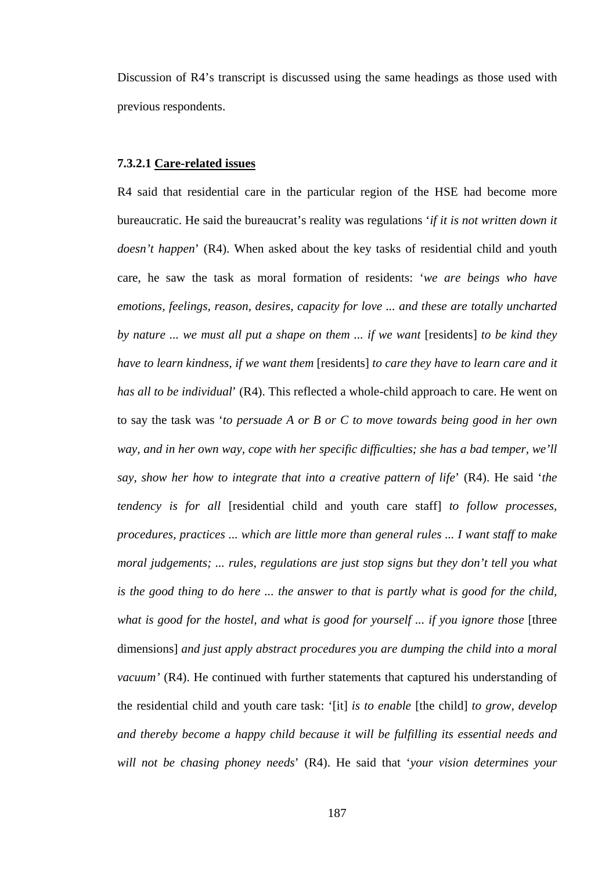Discussion of R4's transcript is discussed using the same headings as those used with previous respondents.

### **7.3.2.1 Care-related issues**

R4 said that residential care in the particular region of the HSE had become more bureaucratic. He said the bureaucrat's reality was regulations '*if it is not written down it doesn't happen*' (R4). When asked about the key tasks of residential child and youth care, he saw the task as moral formation of residents: '*we are beings who have emotions, feelings, reason, desires, capacity for love ... and these are totally uncharted by nature ... we must all put a shape on them ... if we want* [residents] *to be kind they have to learn kindness, if we want them* [residents] *to care they have to learn care and it has all to be individual*' (R4). This reflected a whole-child approach to care. He went on to say the task was '*to persuade A or B or C to move towards being good in her own way, and in her own way, cope with her specific difficulties; she has a bad temper, we'll say, show her how to integrate that into a creative pattern of life*' (R4). He said '*the tendency is for all* [residential child and youth care staff] *to follow processes, procedures, practices ... which are little more than general rules ... I want staff to make moral judgements; ... rules, regulations are just stop signs but they don't tell you what is the good thing to do here ... the answer to that is partly what is good for the child,*  what is good for the hostel, and what is good for yourself ... if you ignore those [three dimensions] *and just apply abstract procedures you are dumping the child into a moral vacuum'* (R4). He continued with further statements that captured his understanding of the residential child and youth care task: '[it] *is to enable* [the child] *to grow, develop and thereby become a happy child because it will be fulfilling its essential needs and will not be chasing phoney needs*' (R4). He said that '*your vision determines your* 

187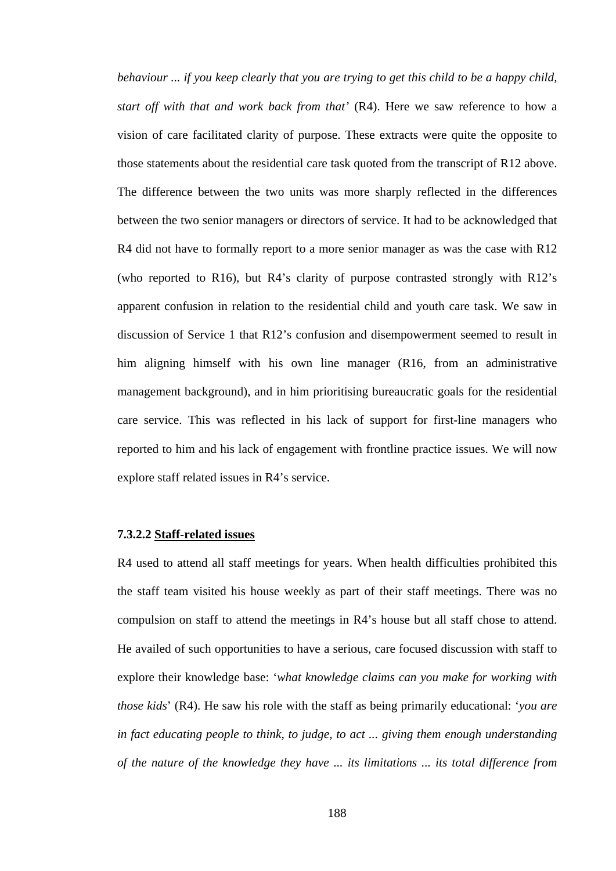*behaviour ... if you keep clearly that you are trying to get this child to be a happy child, start off with that and work back from that'* (R4). Here we saw reference to how a vision of care facilitated clarity of purpose. These extracts were quite the opposite to those statements about the residential care task quoted from the transcript of R12 above. The difference between the two units was more sharply reflected in the differences between the two senior managers or directors of service. It had to be acknowledged that R4 did not have to formally report to a more senior manager as was the case with R12 (who reported to R16), but R4's clarity of purpose contrasted strongly with R12's apparent confusion in relation to the residential child and youth care task. We saw in discussion of Service 1 that R12's confusion and disempowerment seemed to result in him aligning himself with his own line manager (R16, from an administrative management background), and in him prioritising bureaucratic goals for the residential care service. This was reflected in his lack of support for first-line managers who reported to him and his lack of engagement with frontline practice issues. We will now explore staff related issues in R4's service.

#### **7.3.2.2 Staff-related issues**

R4 used to attend all staff meetings for years. When health difficulties prohibited this the staff team visited his house weekly as part of their staff meetings. There was no compulsion on staff to attend the meetings in R4's house but all staff chose to attend. He availed of such opportunities to have a serious, care focused discussion with staff to explore their knowledge base: '*what knowledge claims can you make for working with those kids*' (R4). He saw his role with the staff as being primarily educational: '*you are in fact educating people to think, to judge, to act ... giving them enough understanding of the nature of the knowledge they have ... its limitations ... its total difference from*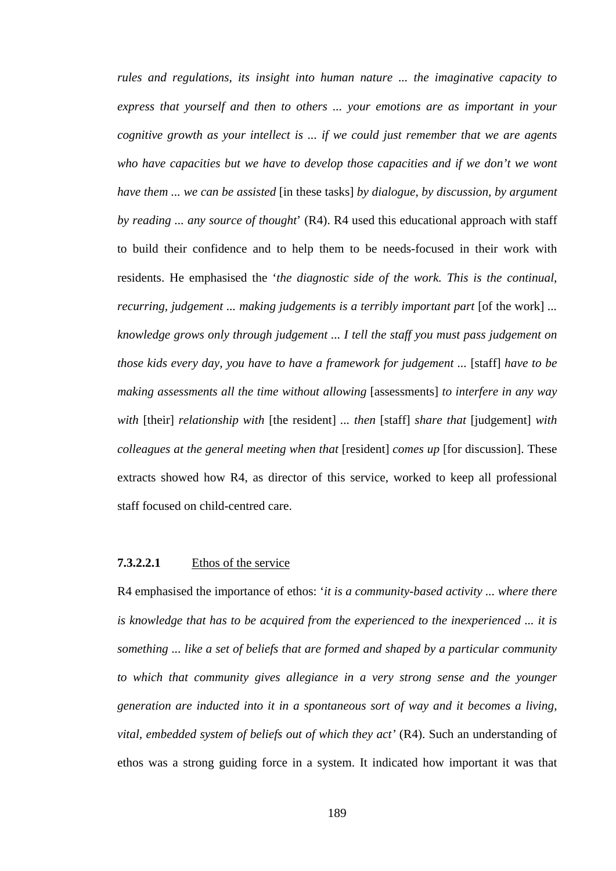*rules and regulations, its insight into human nature ... the imaginative capacity to express that yourself and then to others ... your emotions are as important in your cognitive growth as your intellect is ... if we could just remember that we are agents who have capacities but we have to develop those capacities and if we don't we wont have them ... we can be assisted* [in these tasks] *by dialogue, by discussion, by argument by reading ... any source of thought*' (R4). R4 used this educational approach with staff to build their confidence and to help them to be needs-focused in their work with residents. He emphasised the '*the diagnostic side of the work. This is the continual, recurring, judgement ... making judgements is a terribly important part* [of the work] ... *knowledge grows only through judgement ... I tell the staff you must pass judgement on those kids every day, you have to have a framework for judgement ...* [staff] *have to be making assessments all the time without allowing* [assessments] *to interfere in any way with* [their] *relationship with* [the resident] *... then* [staff] *share that* [judgement] *with colleagues at the general meeting when that* [resident] *comes up* [for discussion]. These extracts showed how R4, as director of this service, worked to keep all professional staff focused on child-centred care.

# **7.3.2.2.1** Ethos of the service

R4 emphasised the importance of ethos: '*it is a community-based activity ... where there is knowledge that has to be acquired from the experienced to the inexperienced ... it is something ... like a set of beliefs that are formed and shaped by a particular community*  to which that community gives allegiance in a very strong sense and the younger *generation are inducted into it in a spontaneous sort of way and it becomes a living, vital, embedded system of beliefs out of which they act'* (R4). Such an understanding of ethos was a strong guiding force in a system. It indicated how important it was that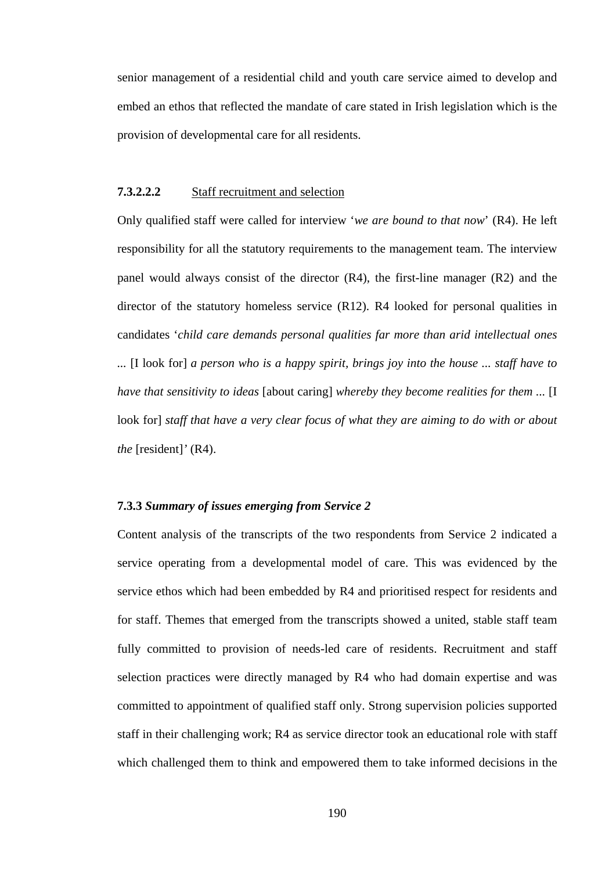senior management of a residential child and youth care service aimed to develop and embed an ethos that reflected the mandate of care stated in Irish legislation which is the provision of developmental care for all residents.

# **7.3.2.2.2** Staff recruitment and selection

Only qualified staff were called for interview '*we are bound to that now*' (R4). He left responsibility for all the statutory requirements to the management team. The interview panel would always consist of the director (R4), the first-line manager (R2) and the director of the statutory homeless service (R12). R4 looked for personal qualities in candidates '*child care demands personal qualities far more than arid intellectual ones ...* [I look for] *a person who is a happy spirit, brings joy into the house ... staff have to have that sensitivity to ideas* [about caring] *whereby they become realities for them ...* [I look for] staff that have a very clear focus of what they are aiming to do with or about *the* [resident]*'* (R4).

# **7.3.3** *Summary of issues emerging from Service 2*

Content analysis of the transcripts of the two respondents from Service 2 indicated a service operating from a developmental model of care. This was evidenced by the service ethos which had been embedded by R4 and prioritised respect for residents and for staff. Themes that emerged from the transcripts showed a united, stable staff team fully committed to provision of needs-led care of residents. Recruitment and staff selection practices were directly managed by R4 who had domain expertise and was committed to appointment of qualified staff only. Strong supervision policies supported staff in their challenging work; R4 as service director took an educational role with staff which challenged them to think and empowered them to take informed decisions in the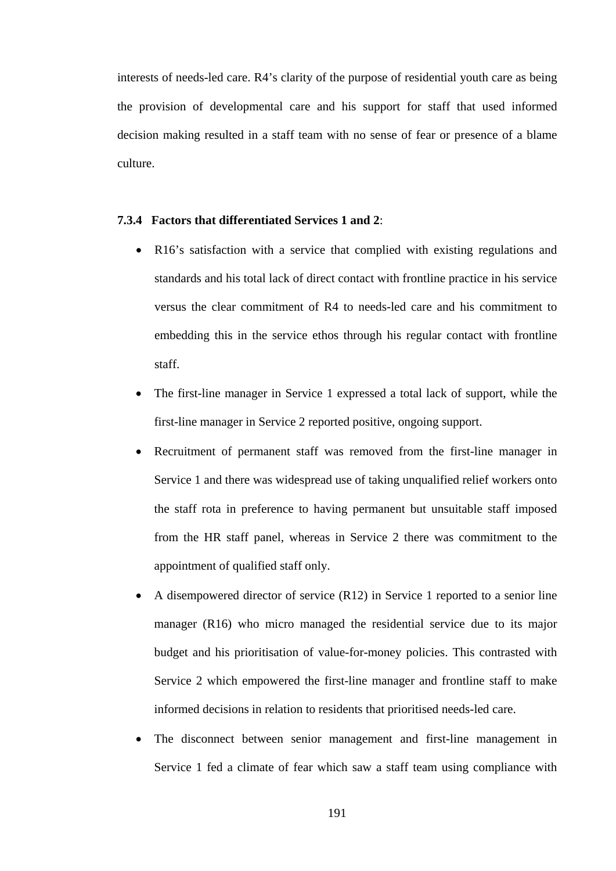interests of needs-led care. R4's clarity of the purpose of residential youth care as being the provision of developmental care and his support for staff that used informed decision making resulted in a staff team with no sense of fear or presence of a blame culture.

# **7.3.4 Factors that differentiated Services 1 and 2**:

- R16's satisfaction with a service that complied with existing regulations and standards and his total lack of direct contact with frontline practice in his service versus the clear commitment of R4 to needs-led care and his commitment to embedding this in the service ethos through his regular contact with frontline staff.
- The first-line manager in Service 1 expressed a total lack of support, while the first-line manager in Service 2 reported positive, ongoing support.
- Recruitment of permanent staff was removed from the first-line manager in Service 1 and there was widespread use of taking unqualified relief workers onto the staff rota in preference to having permanent but unsuitable staff imposed from the HR staff panel, whereas in Service 2 there was commitment to the appointment of qualified staff only.
- A disempowered director of service (R12) in Service 1 reported to a senior line manager (R16) who micro managed the residential service due to its major budget and his prioritisation of value-for-money policies. This contrasted with Service 2 which empowered the first-line manager and frontline staff to make informed decisions in relation to residents that prioritised needs-led care.
- The disconnect between senior management and first-line management in Service 1 fed a climate of fear which saw a staff team using compliance with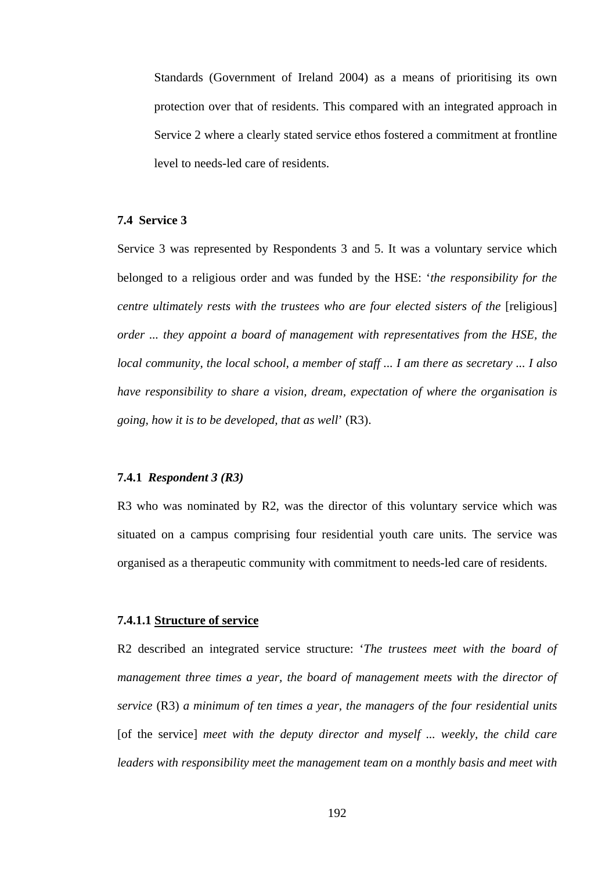Standards (Government of Ireland 2004) as a means of prioritising its own protection over that of residents. This compared with an integrated approach in Service 2 where a clearly stated service ethos fostered a commitment at frontline level to needs-led care of residents.

# **7.4 Service 3**

Service 3 was represented by Respondents 3 and 5. It was a voluntary service which belonged to a religious order and was funded by the HSE: '*the responsibility for the centre ultimately rests with the trustees who are four elected sisters of the [religious] order ... they appoint a board of management with representatives from the HSE, the local community, the local school, a member of staff ... I am there as secretary ... I also have responsibility to share a vision, dream, expectation of where the organisation is going, how it is to be developed, that as well*' (R3).

#### **7.4.1** *Respondent 3 (R3)*

R3 who was nominated by R2, was the director of this voluntary service which was situated on a campus comprising four residential youth care units. The service was organised as a therapeutic community with commitment to needs-led care of residents.

#### **7.4.1.1 Structure of service**

R2 described an integrated service structure: '*The trustees meet with the board of management three times a year, the board of management meets with the director of service* (R3) *a minimum of ten times a year, the managers of the four residential units*  [of the service] meet with the deputy director and myself ... weekly, the child care *leaders with responsibility meet the management team on a monthly basis and meet with*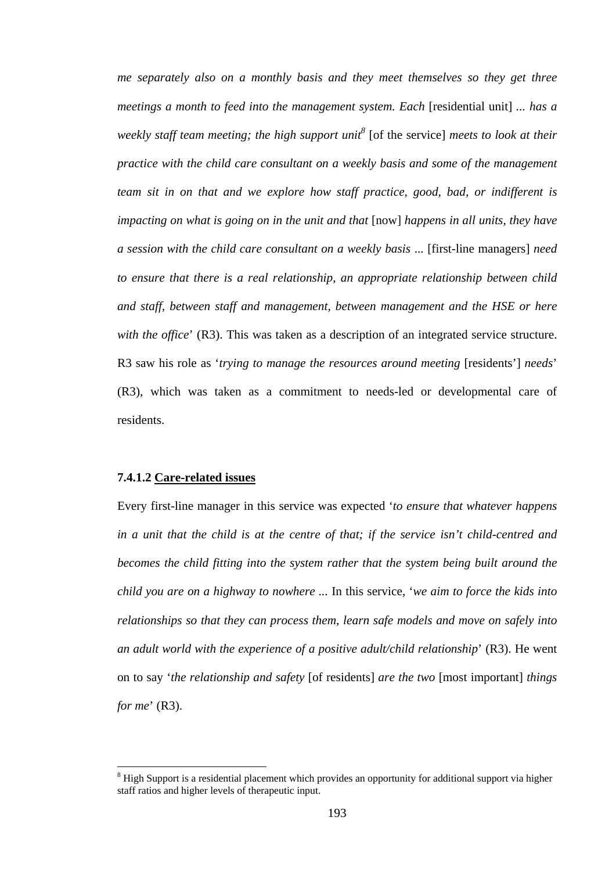*me separately also on a monthly basis and they meet themselves so they get three meetings a month to feed into the management system. Each [residential unit] ... has a weekly staff team meeting; the high support unit*<sup>8</sup> [of the service] *meets to look at their practice with the child care consultant on a weekly basis and some of the management team sit in on that and we explore how staff practice, good, bad, or indifferent is impacting on what is going on in the unit and that* [now] *happens in all units, they have a session with the child care consultant on a weekly basis* ... [first-line managers] *need to ensure that there is a real relationship, an appropriate relationship between child and staff, between staff and management, between management and the HSE or here with the office*' (R3). This was taken as a description of an integrated service structure. R3 saw his role as '*trying to manage the resources around meeting* [residents'] *needs*' (R3), which was taken as a commitment to needs-led or developmental care of residents.

# **7.4.1.2 Care-related issues**

 $\overline{a}$ 

Every first-line manager in this service was expected '*to ensure that whatever happens in a unit that the child is at the centre of that; if the service isn't child-centred and becomes the child fitting into the system rather that the system being built around the child you are on a highway to nowhere ...* In this service, '*we aim to force the kids into relationships so that they can process them, learn safe models and move on safely into an adult world with the experience of a positive adult/child relationship*' (R3). He went on to say '*the relationship and safety* [of residents] *are the two* [most important] *things for me*' (R3).

 $8$  High Support is a residential placement which provides an opportunity for additional support via higher staff ratios and higher levels of therapeutic input.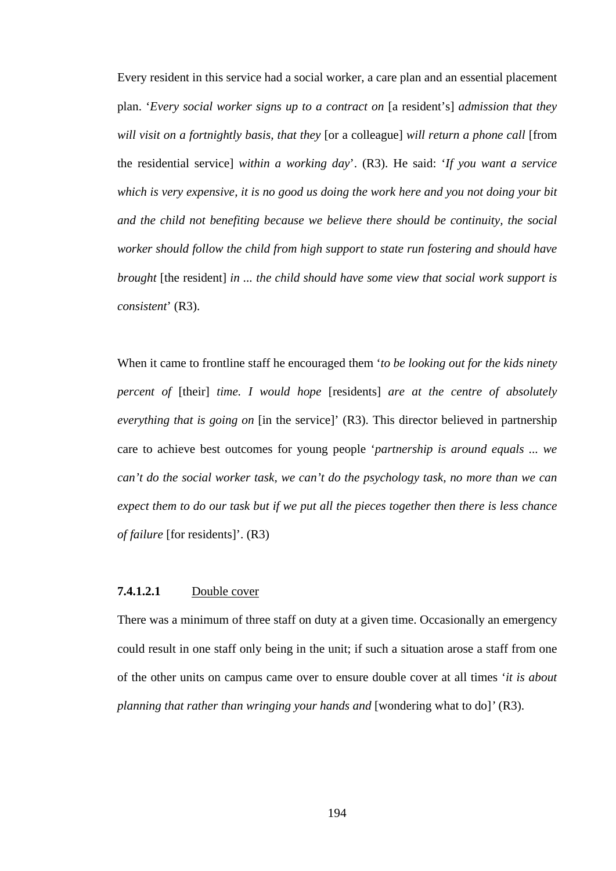Every resident in this service had a social worker, a care plan and an essential placement plan. '*Every social worker signs up to a contract on* [a resident's] *admission that they will visit on a fortnightly basis, that they* [or a colleague] *will return a phone call* [from the residential service] *within a working day*'. (R3). He said: '*If you want a service which is very expensive, it is no good us doing the work here and you not doing your bit and the child not benefiting because we believe there should be continuity, the social worker should follow the child from high support to state run fostering and should have brought* [the resident] *in ... the child should have some view that social work support is consistent*' (R3).

When it came to frontline staff he encouraged them '*to be looking out for the kids ninety percent of* [their] *time. I would hope* [residents] *are at the centre of absolutely everything that is going on* [in the service]' (R3). This director believed in partnership care to achieve best outcomes for young people '*partnership is around equals ... we can't do the social worker task, we can't do the psychology task, no more than we can expect them to do our task but if we put all the pieces together then there is less chance of failure* [for residents]'. (R3)

#### **7.4.1.2.1** Double cover

There was a minimum of three staff on duty at a given time. Occasionally an emergency could result in one staff only being in the unit; if such a situation arose a staff from one of the other units on campus came over to ensure double cover at all times '*it is about planning that rather than wringing your hands and* [wondering what to do]*'* (R3).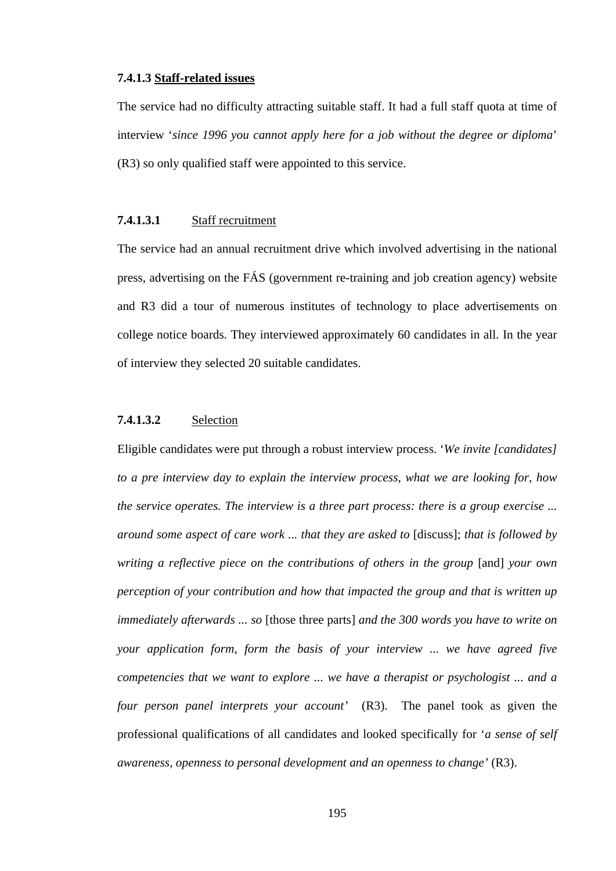# **7.4.1.3 Staff-related issues**

The service had no difficulty attracting suitable staff. It had a full staff quota at time of interview '*since 1996 you cannot apply here for a job without the degree or diploma*' (R3) so only qualified staff were appointed to this service.

# **7.4.1.3.1** Staff recruitment

The service had an annual recruitment drive which involved advertising in the national press, advertising on the FÁS (government re-training and job creation agency) website and R3 did a tour of numerous institutes of technology to place advertisements on college notice boards. They interviewed approximately 60 candidates in all. In the year of interview they selected 20 suitable candidates.

# **7.4.1.3.2** Selection

Eligible candidates were put through a robust interview process. '*We invite [candidates] to a pre interview day to explain the interview process, what we are looking for, how the service operates. The interview is a three part process: there is a group exercise ... around some aspect of care work ... that they are asked to* [discuss]; *that is followed by writing a reflective piece on the contributions of others in the group* [and] *your own perception of your contribution and how that impacted the group and that is written up immediately afterwards ... so* [those three parts] *and the 300 words you have to write on your application form, form the basis of your interview* ... *we have agreed five competencies that we want to explore ... we have a therapist or psychologist ... and a four person panel interprets your account'* (R3). The panel took as given the professional qualifications of all candidates and looked specifically for '*a sense of self awareness, openness to personal development and an openness to change'* (R3).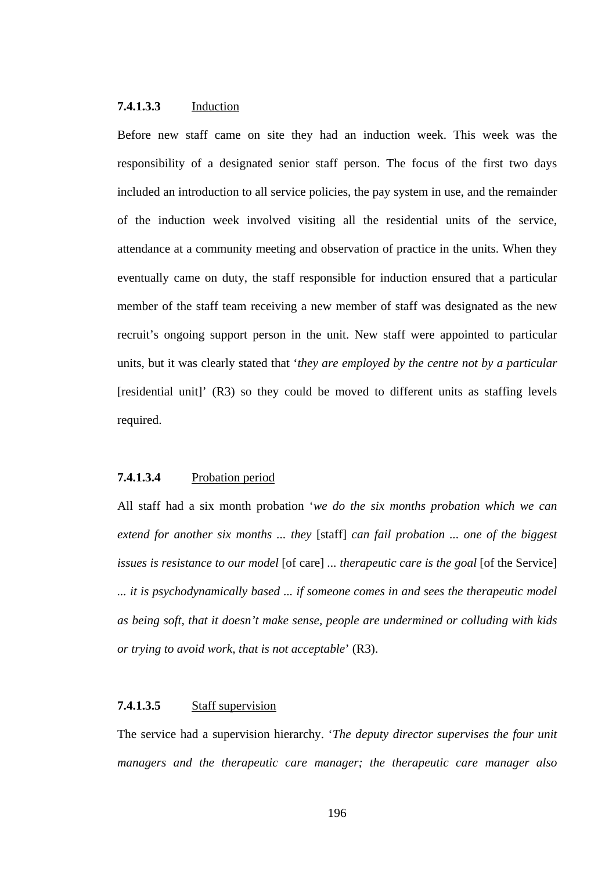# **7.4.1.3.3** Induction

Before new staff came on site they had an induction week. This week was the responsibility of a designated senior staff person. The focus of the first two days included an introduction to all service policies, the pay system in use, and the remainder of the induction week involved visiting all the residential units of the service, attendance at a community meeting and observation of practice in the units. When they eventually came on duty, the staff responsible for induction ensured that a particular member of the staff team receiving a new member of staff was designated as the new recruit's ongoing support person in the unit. New staff were appointed to particular units, but it was clearly stated that '*they are employed by the centre not by a particular*  [residential unit]' (R3) so they could be moved to different units as staffing levels required.

# **7.4.1.3.4** Probation period

All staff had a six month probation '*we do the six months probation which we can extend for another six months ... they* [staff] *can fail probation ... one of the biggest issues is resistance to our model* [of care] *... therapeutic care is the goal* [of the Service] *... it is psychodynamically based ... if someone comes in and sees the therapeutic model as being soft, that it doesn't make sense, people are undermined or colluding with kids or trying to avoid work, that is not acceptable*' (R3).

# **7.4.1.3.5** Staff supervision

The service had a supervision hierarchy. '*The deputy director supervises the four unit managers and the therapeutic care manager; the therapeutic care manager also*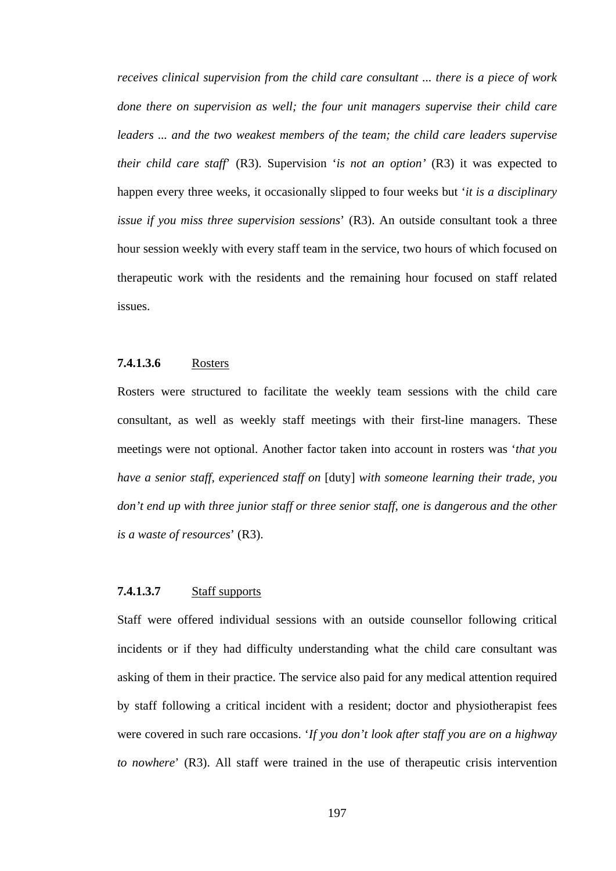*receives clinical supervision from the child care consultant ... there is a piece of work done there on supervision as well; the four unit managers supervise their child care leaders ... and the two weakest members of the team; the child care leaders supervise their child care staff*' (R3). Supervision '*is not an option'* (R3) it was expected to happen every three weeks, it occasionally slipped to four weeks but '*it is a disciplinary issue if you miss three supervision sessions*' (R3). An outside consultant took a three hour session weekly with every staff team in the service, two hours of which focused on therapeutic work with the residents and the remaining hour focused on staff related issues.

# **7.4.1.3.6** Rosters

Rosters were structured to facilitate the weekly team sessions with the child care consultant, as well as weekly staff meetings with their first-line managers. These meetings were not optional. Another factor taken into account in rosters was '*that you have a senior staff, experienced staff on* [duty] *with someone learning their trade, you don't end up with three junior staff or three senior staff, one is dangerous and the other is a waste of resources*' (R3).

#### **7.4.1.3.7** Staff supports

Staff were offered individual sessions with an outside counsellor following critical incidents or if they had difficulty understanding what the child care consultant was asking of them in their practice. The service also paid for any medical attention required by staff following a critical incident with a resident; doctor and physiotherapist fees were covered in such rare occasions. '*If you don't look after staff you are on a highway to nowhere*' (R3). All staff were trained in the use of therapeutic crisis intervention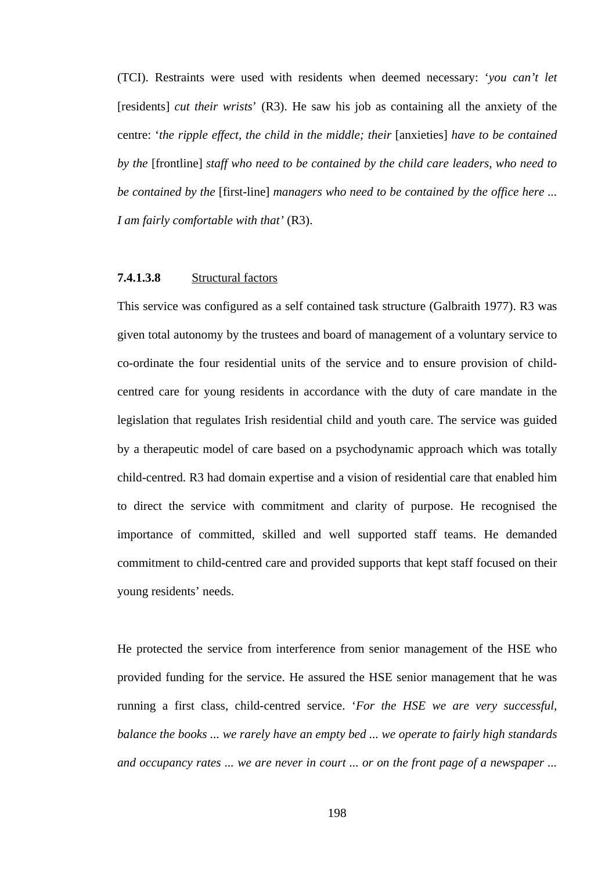(TCI). Restraints were used with residents when deemed necessary: '*you can't let*  [residents] *cut their wrists*' (R3). He saw his job as containing all the anxiety of the centre: '*the ripple effect, the child in the middle; their* [anxieties] *have to be contained by the* [frontline] *staff who need to be contained by the child care leaders, who need to be contained by the* [first-line] *managers who need to be contained by the office here ... I am fairly comfortable with that'* (R3).

## **7.4.1.3.8** Structural factors

This service was configured as a self contained task structure (Galbraith 1977). R3 was given total autonomy by the trustees and board of management of a voluntary service to co-ordinate the four residential units of the service and to ensure provision of childcentred care for young residents in accordance with the duty of care mandate in the legislation that regulates Irish residential child and youth care. The service was guided by a therapeutic model of care based on a psychodynamic approach which was totally child-centred. R3 had domain expertise and a vision of residential care that enabled him to direct the service with commitment and clarity of purpose. He recognised the importance of committed, skilled and well supported staff teams. He demanded commitment to child-centred care and provided supports that kept staff focused on their young residents' needs.

He protected the service from interference from senior management of the HSE who provided funding for the service. He assured the HSE senior management that he was running a first class, child-centred service. '*For the HSE we are very successful, balance the books ... we rarely have an empty bed ... we operate to fairly high standards and occupancy rates ... we are never in court ... or on the front page of a newspaper ...*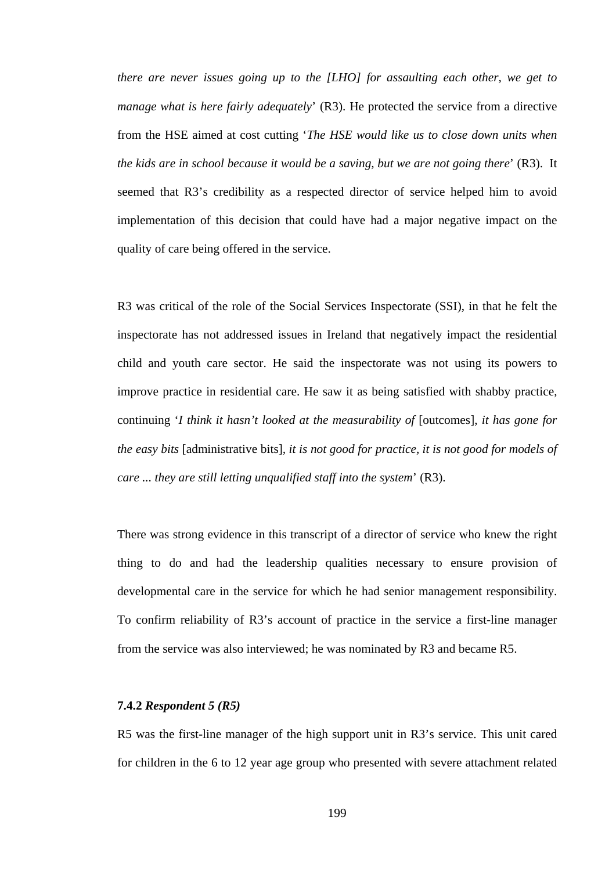*there are never issues going up to the [LHO] for assaulting each other, we get to manage what is here fairly adequately*' (R3). He protected the service from a directive from the HSE aimed at cost cutting '*The HSE would like us to close down units when the kids are in school because it would be a saving, but we are not going there*' (R3). It seemed that R3's credibility as a respected director of service helped him to avoid implementation of this decision that could have had a major negative impact on the quality of care being offered in the service.

R3 was critical of the role of the Social Services Inspectorate (SSI), in that he felt the inspectorate has not addressed issues in Ireland that negatively impact the residential child and youth care sector. He said the inspectorate was not using its powers to improve practice in residential care. He saw it as being satisfied with shabby practice, continuing '*I think it hasn't looked at the measurability of* [outcomes], *it has gone for the easy bits* [administrative bits]*, it is not good for practice, it is not good for models of care ... they are still letting unqualified staff into the system*' (R3).

There was strong evidence in this transcript of a director of service who knew the right thing to do and had the leadership qualities necessary to ensure provision of developmental care in the service for which he had senior management responsibility. To confirm reliability of R3's account of practice in the service a first-line manager from the service was also interviewed; he was nominated by R3 and became R5.

#### **7.4.2** *Respondent 5 (R5)*

R5 was the first-line manager of the high support unit in R3's service. This unit cared for children in the 6 to 12 year age group who presented with severe attachment related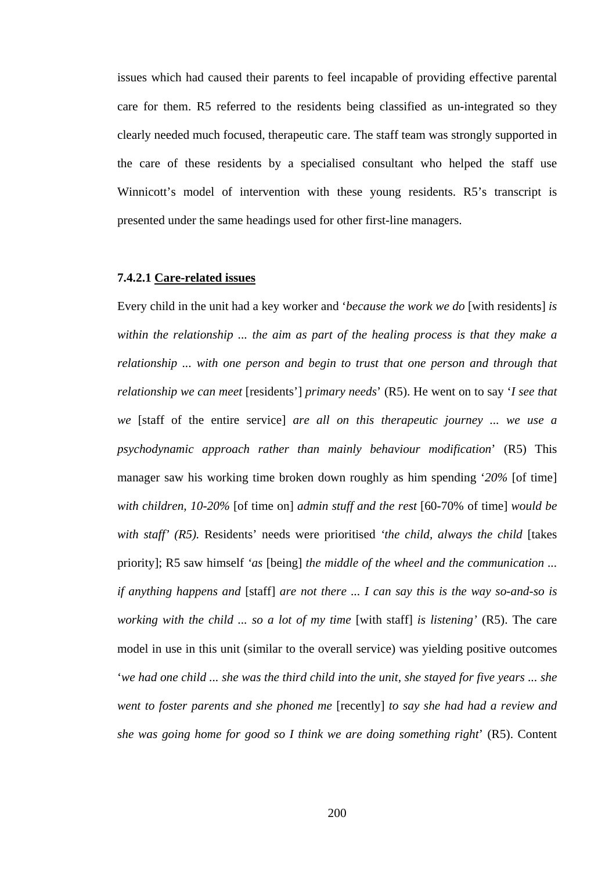issues which had caused their parents to feel incapable of providing effective parental care for them. R5 referred to the residents being classified as un-integrated so they clearly needed much focused, therapeutic care. The staff team was strongly supported in the care of these residents by a specialised consultant who helped the staff use Winnicott's model of intervention with these young residents. R5's transcript is presented under the same headings used for other first-line managers.

#### **7.4.2.1 Care-related issues**

Every child in the unit had a key worker and '*because the work we do* [with residents] *is within the relationship ... the aim as part of the healing process is that they make a relationship ... with one person and begin to trust that one person and through that relationship we can meet* [residents'] *primary needs*' (R5). He went on to say '*I see that we* [staff of the entire service] *are all on this therapeutic journey ... we use a psychodynamic approach rather than mainly behaviour modification*' (R5) This manager saw his working time broken down roughly as him spending '*20%* [of time] *with children, 10-20%* [of time on] *admin stuff and the rest* [60-70% of time] *would be with staff' (R5).* Residents' needs were prioritised *'the child, always the child* [takes priority]; R5 saw himself *'as* [being] *the middle of the wheel and the communication ... if anything happens and* [staff] *are not there ... I can say this is the way so-and-so is working with the child ... so a lot of my time* [with staff] *is listening'* (R5). The care model in use in this unit (similar to the overall service) was yielding positive outcomes '*we had one child ... she was the third child into the unit, she stayed for five years ... she went to foster parents and she phoned me* [recently] *to say she had had a review and she was going home for good so I think we are doing something right*' (R5). Content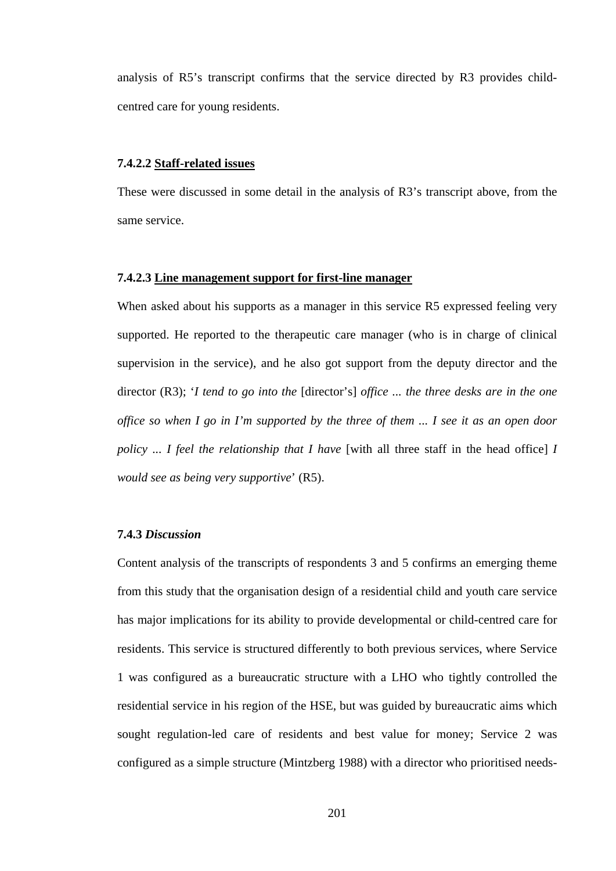analysis of R5's transcript confirms that the service directed by R3 provides childcentred care for young residents.

## **7.4.2.2 Staff-related issues**

These were discussed in some detail in the analysis of R3's transcript above, from the same service.

#### **7.4.2.3 Line management support for first-line manager**

When asked about his supports as a manager in this service R5 expressed feeling very supported. He reported to the therapeutic care manager (who is in charge of clinical supervision in the service), and he also got support from the deputy director and the director (R3); '*I tend to go into the* [director's] *office ... the three desks are in the one office so when I go in I'm supported by the three of them ... I see it as an open door policy ... I feel the relationship that I have* [with all three staff in the head office] I *would see as being very supportive*' (R5).

#### **7.4.3** *Discussion*

Content analysis of the transcripts of respondents 3 and 5 confirms an emerging theme from this study that the organisation design of a residential child and youth care service has major implications for its ability to provide developmental or child-centred care for residents. This service is structured differently to both previous services, where Service 1 was configured as a bureaucratic structure with a LHO who tightly controlled the residential service in his region of the HSE, but was guided by bureaucratic aims which sought regulation-led care of residents and best value for money; Service 2 was configured as a simple structure (Mintzberg 1988) with a director who prioritised needs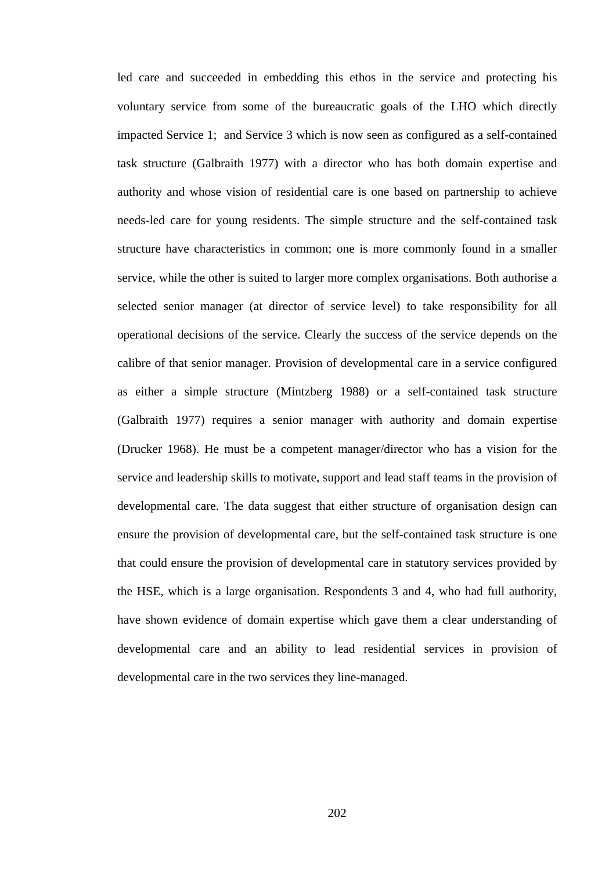led care and succeeded in embedding this ethos in the service and protecting his voluntary service from some of the bureaucratic goals of the LHO which directly impacted Service 1; and Service 3 which is now seen as configured as a self-contained task structure (Galbraith 1977) with a director who has both domain expertise and authority and whose vision of residential care is one based on partnership to achieve needs-led care for young residents. The simple structure and the self-contained task structure have characteristics in common; one is more commonly found in a smaller service, while the other is suited to larger more complex organisations. Both authorise a selected senior manager (at director of service level) to take responsibility for all operational decisions of the service. Clearly the success of the service depends on the calibre of that senior manager. Provision of developmental care in a service configured as either a simple structure (Mintzberg 1988) or a self-contained task structure (Galbraith 1977) requires a senior manager with authority and domain expertise (Drucker 1968). He must be a competent manager/director who has a vision for the service and leadership skills to motivate, support and lead staff teams in the provision of developmental care. The data suggest that either structure of organisation design can ensure the provision of developmental care, but the self-contained task structure is one that could ensure the provision of developmental care in statutory services provided by the HSE, which is a large organisation. Respondents 3 and 4, who had full authority, have shown evidence of domain expertise which gave them a clear understanding of developmental care and an ability to lead residential services in provision of developmental care in the two services they line-managed.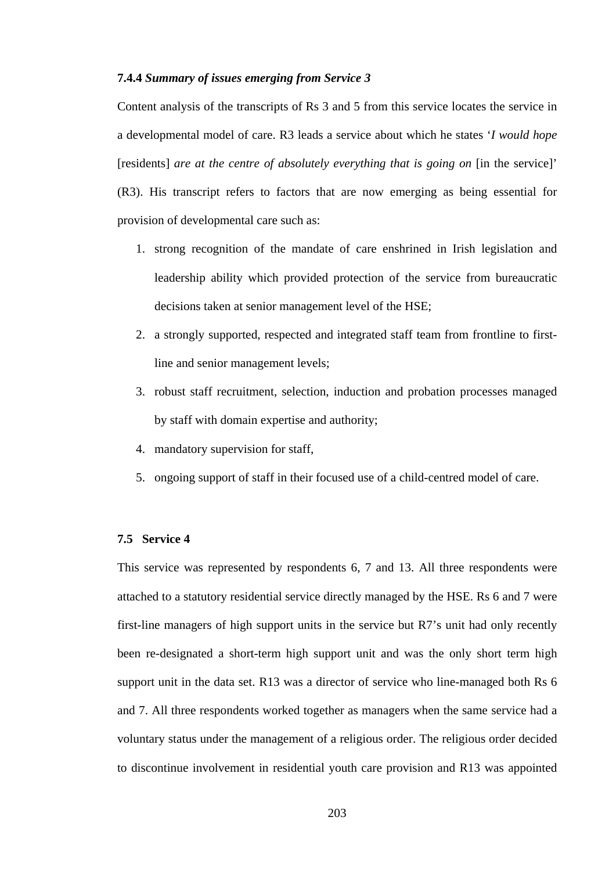# **7.4.4** *Summary of issues emerging from Service 3*

Content analysis of the transcripts of Rs 3 and 5 from this service locates the service in a developmental model of care. R3 leads a service about which he states '*I would hope*  [residents] are at the centre of absolutely everything that is going on [in the service]' (R3). His transcript refers to factors that are now emerging as being essential for provision of developmental care such as:

- 1. strong recognition of the mandate of care enshrined in Irish legislation and leadership ability which provided protection of the service from bureaucratic decisions taken at senior management level of the HSE;
- 2. a strongly supported, respected and integrated staff team from frontline to firstline and senior management levels;
- 3. robust staff recruitment, selection, induction and probation processes managed by staff with domain expertise and authority;
- 4. mandatory supervision for staff,
- 5. ongoing support of staff in their focused use of a child-centred model of care.

# **7.5 Service 4**

This service was represented by respondents 6, 7 and 13. All three respondents were attached to a statutory residential service directly managed by the HSE. Rs 6 and 7 were first-line managers of high support units in the service but R7's unit had only recently been re-designated a short-term high support unit and was the only short term high support unit in the data set. R13 was a director of service who line-managed both Rs 6 and 7. All three respondents worked together as managers when the same service had a voluntary status under the management of a religious order. The religious order decided to discontinue involvement in residential youth care provision and R13 was appointed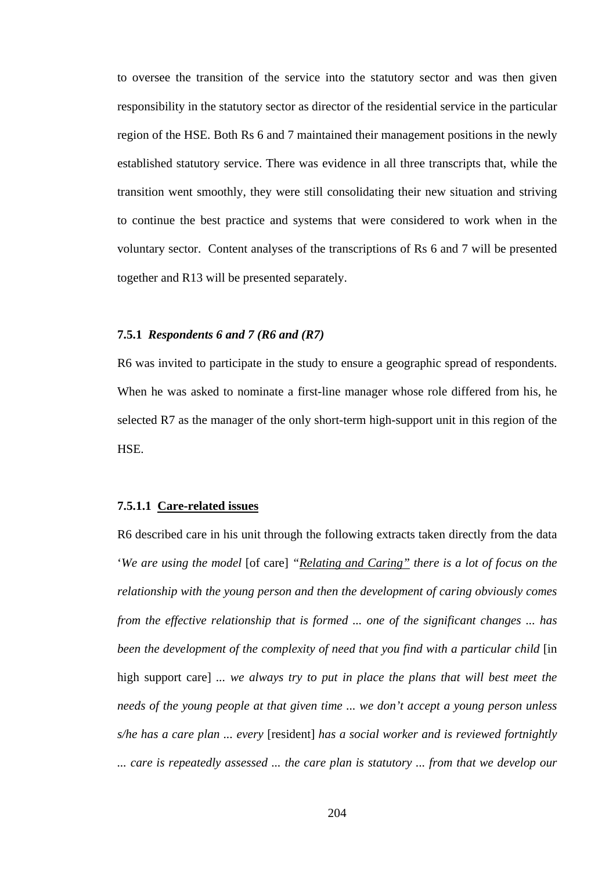to oversee the transition of the service into the statutory sector and was then given responsibility in the statutory sector as director of the residential service in the particular region of the HSE. Both Rs 6 and 7 maintained their management positions in the newly established statutory service. There was evidence in all three transcripts that, while the transition went smoothly, they were still consolidating their new situation and striving to continue the best practice and systems that were considered to work when in the voluntary sector. Content analyses of the transcriptions of Rs 6 and 7 will be presented together and R13 will be presented separately.

# **7.5.1** *Respondents 6 and 7 (R6 and (R7)*

R6 was invited to participate in the study to ensure a geographic spread of respondents. When he was asked to nominate a first-line manager whose role differed from his, he selected R7 as the manager of the only short-term high-support unit in this region of the HSE.

# **7.5.1.1 Care-related issues**

R6 described care in his unit through the following extracts taken directly from the data '*We are using the model* [of care] *"Relating and Caring" there is a lot of focus on the relationship with the young person and then the development of caring obviously comes from the effective relationship that is formed ... one of the significant changes ... has*  been the development of the complexity of need that you find with a particular child [in high support care] *... we always try to put in place the plans that will best meet the needs of the young people at that given time ... we don't accept a young person unless s/he has a care plan ... every* [resident] *has a social worker and is reviewed fortnightly ... care is repeatedly assessed ... the care plan is statutory ... from that we develop our*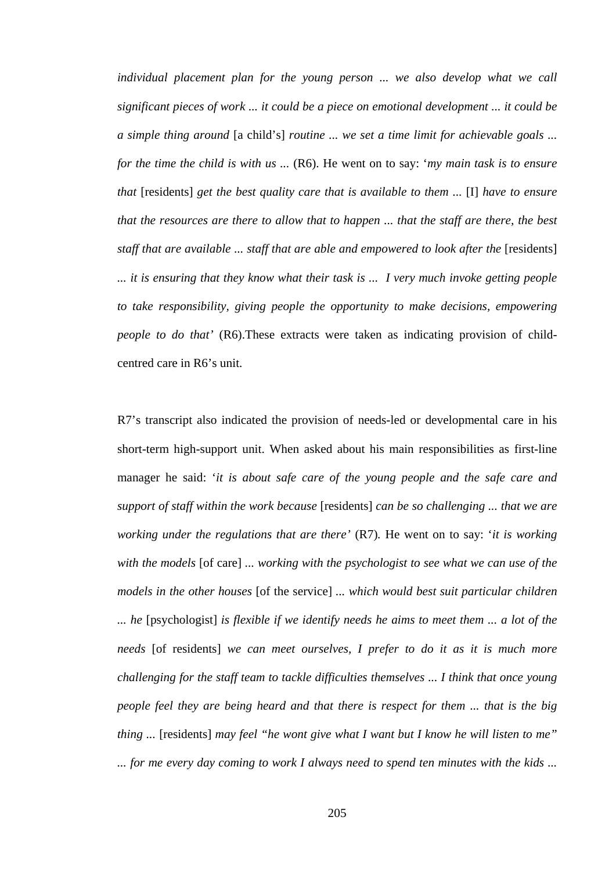*individual placement plan for the young person ... we also develop what we call significant pieces of work ... it could be a piece on emotional development ... it could be a simple thing around* [a child's] *routine ... we set a time limit for achievable goals ... for the time the child is with us ...* (R6). He went on to say: '*my main task is to ensure that* [residents] *get the best quality care that is available to them ...* [I] *have to ensure that the resources are there to allow that to happen ... that the staff are there, the best staff that are available ... staff that are able and empowered to look after the* [residents] *... it is ensuring that they know what their task is ... I very much invoke getting people to take responsibility, giving people the opportunity to make decisions, empowering people to do that'* (R6). These extracts were taken as indicating provision of childcentred care in R6's unit.

R7's transcript also indicated the provision of needs-led or developmental care in his short-term high-support unit. When asked about his main responsibilities as first-line manager he said: '*it is about safe care of the young people and the safe care and support of staff within the work because* [residents] *can be so challenging ... that we are working under the regulations that are there'* (R7)*.* He went on to say: '*it is working with the models* [of care] *... working with the psychologist to see what we can use of the models in the other houses* [of the service] *... which would best suit particular children ... he* [psychologist] *is flexible if we identify needs he aims to meet them ... a lot of the needs* [of residents] *we can meet ourselves, I prefer to do it as it is much more challenging for the staff team to tackle difficulties themselves ... I think that once young people feel they are being heard and that there is respect for them ... that is the big thing ...* [residents] *may feel "he wont give what I want but I know he will listen to me" ... for me every day coming to work I always need to spend ten minutes with the kids ...*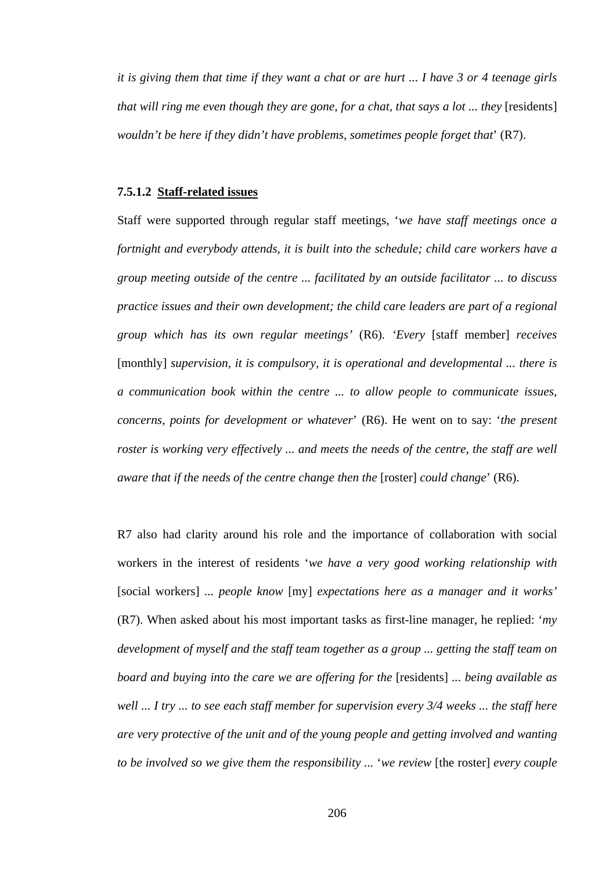*it is giving them that time if they want a chat or are hurt ... I have 3 or 4 teenage girls that will ring me even though they are gone, for a chat, that says a lot ... they* [residents] *wouldn't be here if they didn't have problems, sometimes people forget that*' (R7).

## **7.5.1.2 Staff-related issues**

Staff were supported through regular staff meetings, '*we have staff meetings once a fortnight and everybody attends, it is built into the schedule; child care workers have a group meeting outside of the centre ... facilitated by an outside facilitator ... to discuss practice issues and their own development; the child care leaders are part of a regional group which has its own regular meetings'* (R6)*. 'Every* [staff member] *receives*  [monthly] *supervision, it is compulsory, it is operational and developmental ... there is a communication book within the centre ... to allow people to communicate issues, concerns, points for development or whatever*' (R6). He went on to say: '*the present roster is working very effectively ... and meets the needs of the centre, the staff are well aware that if the needs of the centre change then the* [roster] *could change*' (R6).

R7 also had clarity around his role and the importance of collaboration with social workers in the interest of residents '*we have a very good working relationship with*  [social workers] *... people know* [my] *expectations here as a manager and it works'*  (R7). When asked about his most important tasks as first-line manager, he replied: '*my development of myself and the staff team together as a group ... getting the staff team on board and buying into the care we are offering for the* [residents] *... being available as well ... I try ... to see each staff member for supervision every 3/4 weeks ... the staff here are very protective of the unit and of the young people and getting involved and wanting to be involved so we give them the responsibility ...* '*we review* [the roster] *every couple*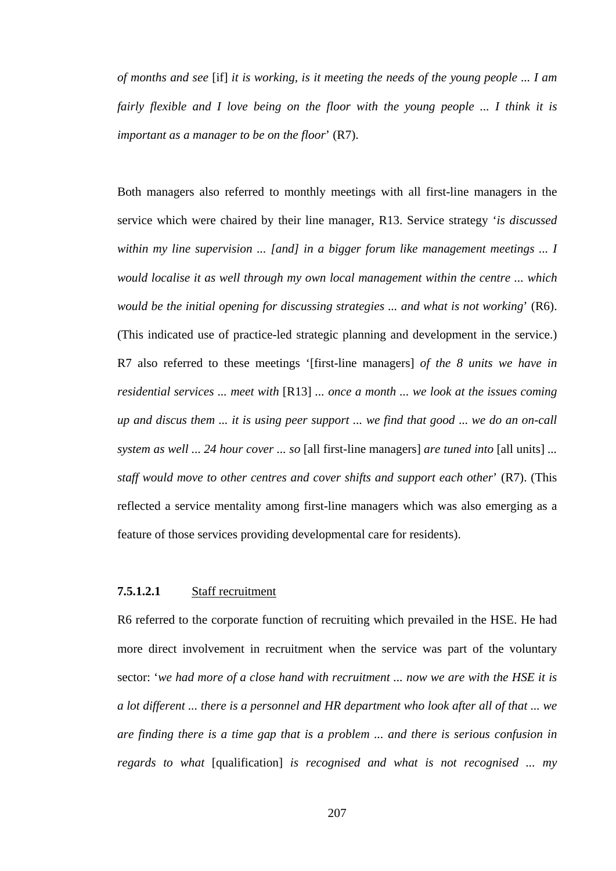*of months and see* [if] *it is working, is it meeting the needs of the young people ... I am fairly flexible and I love being on the floor with the young people ... I think it is important as a manager to be on the floor*' (R7).

Both managers also referred to monthly meetings with all first-line managers in the service which were chaired by their line manager, R13. Service strategy '*is discussed within my line supervision ... [and] in a bigger forum like management meetings ... I would localise it as well through my own local management within the centre ... which would be the initial opening for discussing strategies ... and what is not working*' (R6). (This indicated use of practice-led strategic planning and development in the service.) R7 also referred to these meetings '[first-line managers] *of the 8 units we have in residential services ... meet with* [R13] *... once a month ... we look at the issues coming up and discus them ... it is using peer support ... we find that good* ... *we do an on-call system as well ... 24 hour cover ... so* [all first-line managers] *are tuned into* [all units] *... staff would move to other centres and cover shifts and support each other*' (R7). (This reflected a service mentality among first-line managers which was also emerging as a feature of those services providing developmental care for residents).

#### **7.5.1.2.1** Staff recruitment

R6 referred to the corporate function of recruiting which prevailed in the HSE. He had more direct involvement in recruitment when the service was part of the voluntary sector: '*we had more of a close hand with recruitment ... now we are with the HSE it is a lot different ... there is a personnel and HR department who look after all of that ... we are finding there is a time gap that is a problem ... and there is serious confusion in regards to what* [qualification] *is recognised and what is not recognised ... my* 

207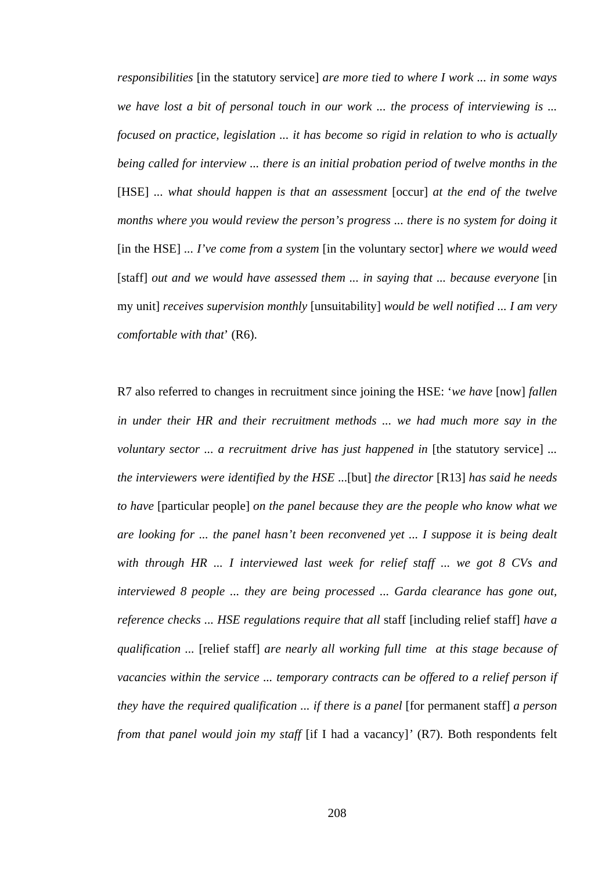*responsibilities* [in the statutory service] *are more tied to where I work ... in some ways we have lost a bit of personal touch in our work ... the process of interviewing is ... focused on practice, legislation ... it has become so rigid in relation to who is actually being called for interview ... there is an initial probation period of twelve months in the*  [HSE] ... what should happen is that an assessment [occur] at the end of the twelve *months where you would review the person's progress ... there is no system for doing it*  [in the HSE] *... I've come from a system* [in the voluntary sector] *where we would weed*  [staff] out and we would have assessed them ... in saying that ... because everyone [in my unit] *receives supervision monthly* [unsuitability] *would be well notified ... I am very comfortable with that*' (R6).

R7 also referred to changes in recruitment since joining the HSE: '*we have* [now] *fallen in under their HR and their recruitment methods ... we had much more say in the voluntary sector ... a recruitment drive has just happened in* [the statutory service] ... *the interviewers were identified by the HSE* ...[but] *the director* [R13] *has said he needs to have* [particular people] *on the panel because they are the people who know what we are looking for ... the panel hasn't been reconvened yet ... I suppose it is being dealt with through HR ... I interviewed last week for relief staff ... we got 8 CVs and interviewed 8 people ... they are being processed ... Garda clearance has gone out, reference checks ... HSE regulations require that all* staff [including relief staff] *have a qualification ...* [relief staff] *are nearly all working full time at this stage because of vacancies within the service ... temporary contracts can be offered to a relief person if they have the required qualification ... if there is a panel* [for permanent staff] *a person from that panel would join my staff* [if I had a vacancy]' (R7). Both respondents felt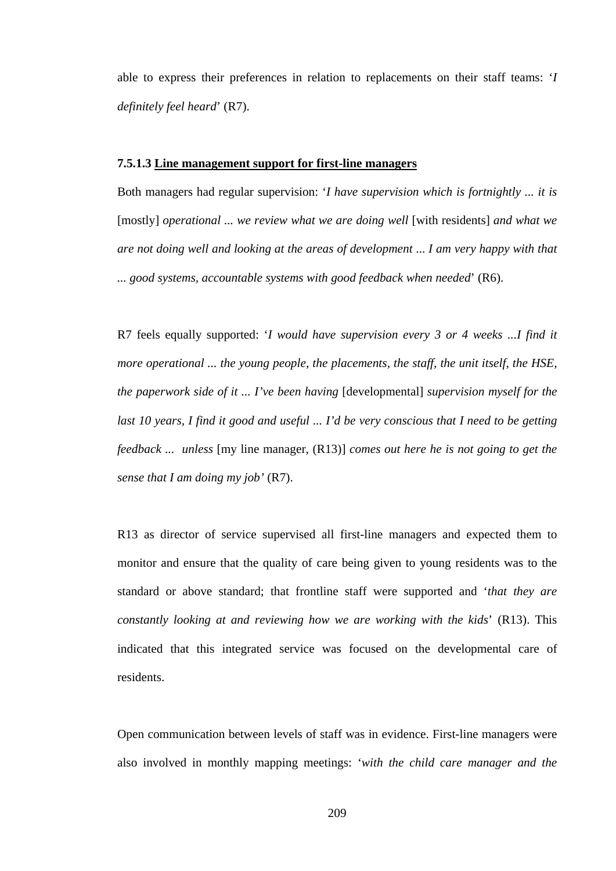able to express their preferences in relation to replacements on their staff teams: '*I definitely feel heard*' (R7).

### **7.5.1.3 Line management support for first-line managers**

Both managers had regular supervision: '*I have supervision which is fortnightly ... it is*  [mostly] *operational ... we review what we are doing well* [with residents] *and what we are not doing well and looking at the areas of development* ... *I am very happy with that ... good systems, accountable systems with good feedback when needed*' (R6).

R7 feels equally supported: '*I would have supervision every 3 or 4 weeks ...I find it more operational ... the young people, the placements, the staff, the unit itself, the HSE, the paperwork side of it ... I've been having* [developmental] *supervision myself for the*  last 10 years, I find it good and useful ... I'd be very conscious that I need to be getting *feedback ... unless* [my line manager, (R13)] *comes out here he is not going to get the sense that I am doing my job'* (R7).

R13 as director of service supervised all first-line managers and expected them to monitor and ensure that the quality of care being given to young residents was to the standard or above standard; that frontline staff were supported and '*that they are constantly looking at and reviewing how we are working with the kids*' (R13). This indicated that this integrated service was focused on the developmental care of residents.

Open communication between levels of staff was in evidence. First-line managers were also involved in monthly mapping meetings: '*with the child care manager and the*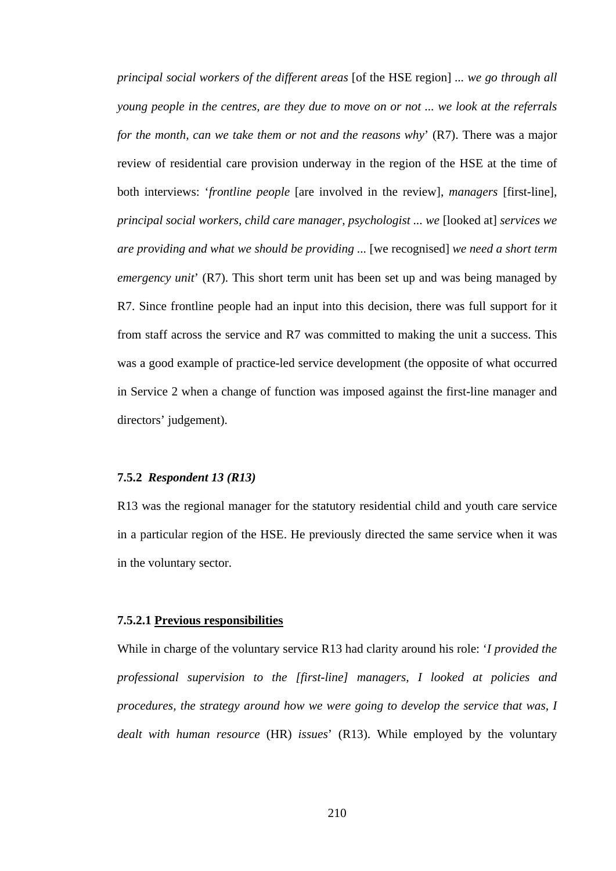*principal social workers of the different areas* [of the HSE region] *... we go through all young people in the centres, are they due to move on or not ... we look at the referrals for the month, can we take them or not and the reasons why*' (R7). There was a major review of residential care provision underway in the region of the HSE at the time of both interviews: '*frontline people* [are involved in the review], *managers* [first-line], *principal social workers, child care manager, psychologist ... we* [looked at] *services we are providing and what we should be providing ...* [we recognised] *we need a short term emergency unit*' (R7). This short term unit has been set up and was being managed by R7. Since frontline people had an input into this decision, there was full support for it from staff across the service and R7 was committed to making the unit a success. This was a good example of practice-led service development (the opposite of what occurred in Service 2 when a change of function was imposed against the first-line manager and directors' judgement).

## **7.5.2** *Respondent 13 (R13)*

R13 was the regional manager for the statutory residential child and youth care service in a particular region of the HSE. He previously directed the same service when it was in the voluntary sector.

#### **7.5.2.1 Previous responsibilities**

While in charge of the voluntary service R13 had clarity around his role: '*I provided the professional supervision to the [first-line] managers, I looked at policies and procedures, the strategy around how we were going to develop the service that was, I dealt with human resource* (HR) *issues*' (R13). While employed by the voluntary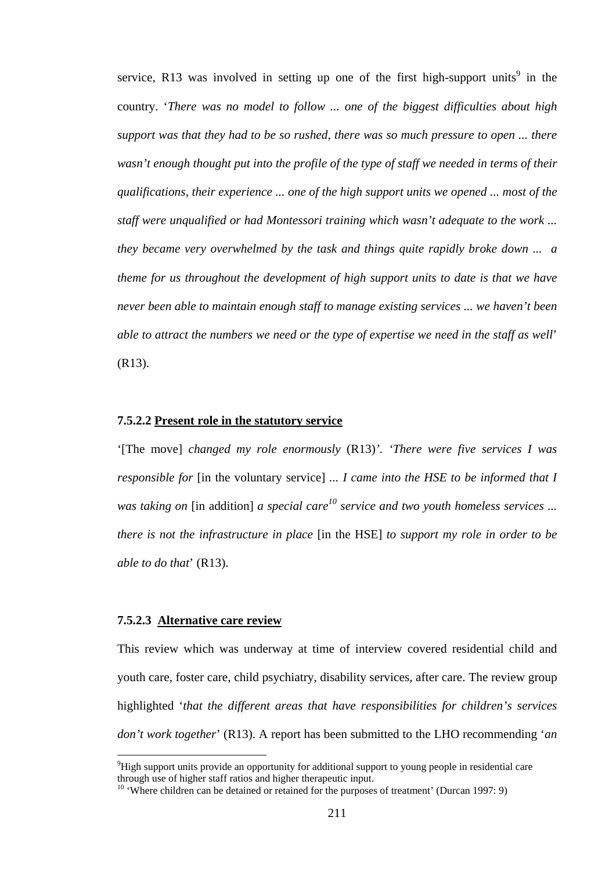service, R13 was involved in setting up one of the first high-support units<sup>9</sup> in the country. '*There was no model to follow ... one of the biggest difficulties about high support was that they had to be so rushed, there was so much pressure to open ... there wasn't enough thought put into the profile of the type of staff we needed in terms of their qualifications, their experience ... one of the high support units we opened ... most of the staff were unqualified or had Montessori training which wasn't adequate to the work ... they became very overwhelmed by the task and things quite rapidly broke down ... a theme for us throughout the development of high support units to date is that we have never been able to maintain enough staff to manage existing services ... we haven't been able to attract the numbers we need or the type of expertise we need in the staff as well*' (R13).

#### **7.5.2.2 Present role in the statutory service**

'[The move] *changed my role enormously* (R13)*'. 'There were five services I was responsible for* [in the voluntary service] *... I came into the HSE to be informed that I was taking on* [in addition] *a special care<sup>10</sup> service and two youth homeless services ... there is not the infrastructure in place* [in the HSE] *to support my role in order to be able to do that*' (R13).

## **7.5.2.3 Alternative care review**

 $\overline{a}$ 

This review which was underway at time of interview covered residential child and youth care, foster care, child psychiatry, disability services, after care. The review group highlighted '*that the different areas that have responsibilities for children's services don't work together*' (R13). A report has been submitted to the LHO recommending '*an* 

 $9$ High support units provide an opportunity for additional support to young people in residential care through use of higher staff ratios and higher therapeutic input.

<sup>&</sup>lt;sup>10</sup> 'Where children can be detained or retained for the purposes of treatment' (Durcan 1997: 9)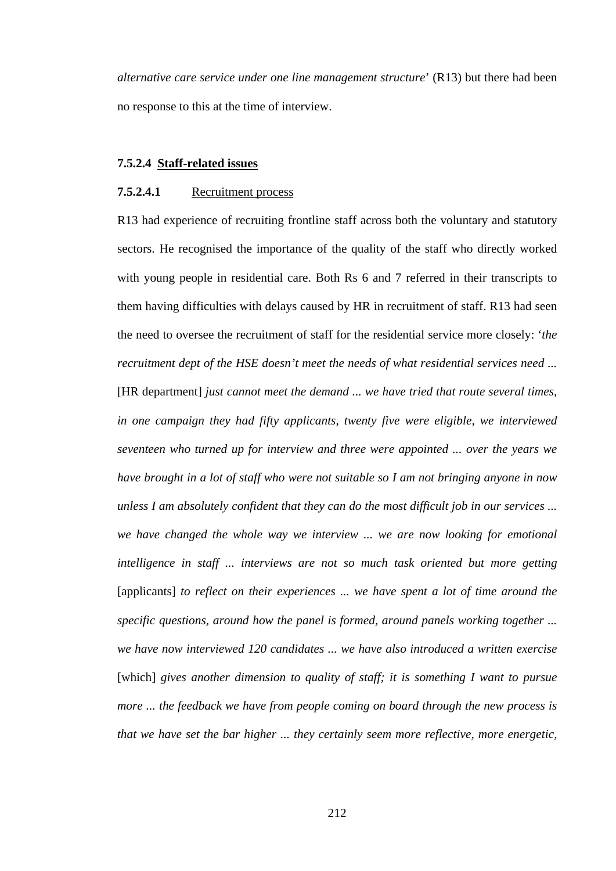*alternative care service under one line management structure*' (R13) but there had been no response to this at the time of interview.

## **7.5.2.4 Staff-related issues**

## **7.5.2.4.1** Recruitment process

R13 had experience of recruiting frontline staff across both the voluntary and statutory sectors. He recognised the importance of the quality of the staff who directly worked with young people in residential care. Both Rs 6 and 7 referred in their transcripts to them having difficulties with delays caused by HR in recruitment of staff. R13 had seen the need to oversee the recruitment of staff for the residential service more closely: '*the recruitment dept of the HSE doesn't meet the needs of what residential services need ...*  [HR department] *just cannot meet the demand ... we have tried that route several times, in one campaign they had fifty applicants, twenty five were eligible, we interviewed seventeen who turned up for interview and three were appointed ... over the years we have brought in a lot of staff who were not suitable so I am not bringing anyone in now unless I am absolutely confident that they can do the most difficult job in our services ... we have changed the whole way we interview ... we are now looking for emotional intelligence in staff ... interviews are not so much task oriented but more getting*  [applicants] *to reflect on their experiences ... we have spent a lot of time around the specific questions, around how the panel is formed, around panels working together ... we have now interviewed 120 candidates ... we have also introduced a written exercise*  [which] gives another dimension to quality of staff; it is something I want to pursue *more ... the feedback we have from people coming on board through the new process is that we have set the bar higher ... they certainly seem more reflective, more energetic,*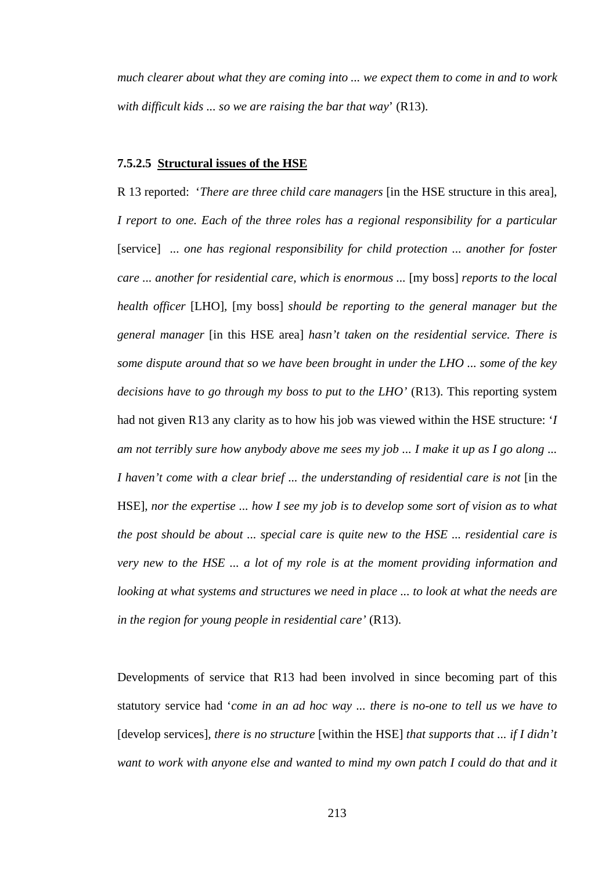*much clearer about what they are coming into ... we expect them to come in and to work with difficult kids ... so we are raising the bar that way*' (R13).

#### **7.5.2.5 Structural issues of the HSE**

R 13 reported: '*There are three child care managers* [in the HSE structure in this area], *I report to one. Each of the three roles has a regional responsibility for a particular*  [service] *... one has regional responsibility for child protection ... another for foster care ... another for residential care, which is enormous ...* [my boss] *reports to the local health officer* [LHO]*,* [my boss] *should be reporting to the general manager but the general manager* [in this HSE area] *hasn't taken on the residential service. There is some dispute around that so we have been brought in under the LHO ... some of the key decisions have to go through my boss to put to the LHO'* (R13). This reporting system had not given R13 any clarity as to how his job was viewed within the HSE structure: '*I am not terribly sure how anybody above me sees my job ... I make it up as I go along ... I haven't come with a clear brief ... the understanding of residential care is not* [in the HSE], *nor the expertise ... how I see my job is to develop some sort of vision as to what the post should be about ... special care is quite new to the HSE ... residential care is very new to the HSE ... a lot of my role is at the moment providing information and looking at what systems and structures we need in place ... to look at what the needs are in the region for young people in residential care'* (R13).

Developments of service that R13 had been involved in since becoming part of this statutory service had '*come in an ad hoc way ... there is no-one to tell us we have to*  [develop services]*, there is no structure* [within the HSE] *that supports that ... if I didn't want to work with anyone else and wanted to mind my own patch I could do that and it*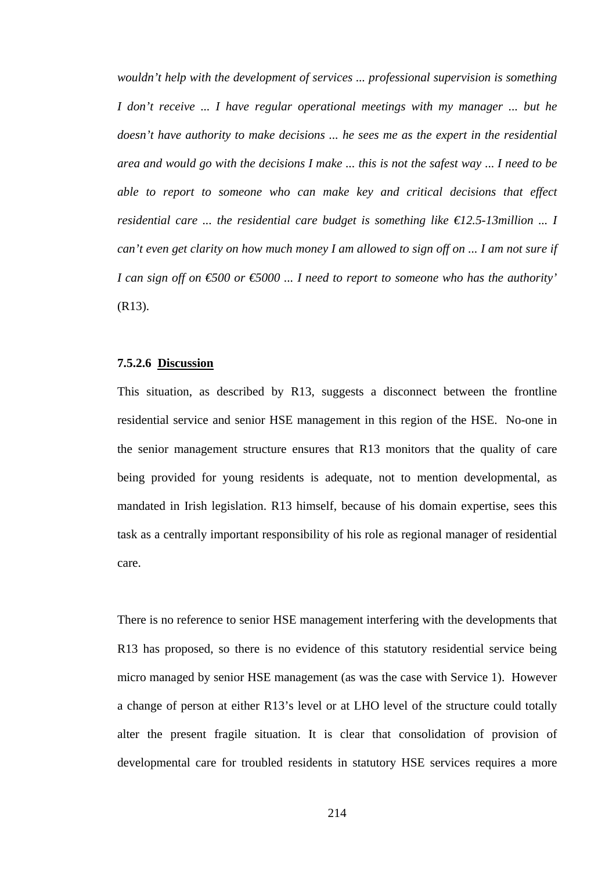*wouldn't help with the development of services ... professional supervision is something I don't receive ... I have regular operational meetings with my manager ... but he doesn't have authority to make decisions ... he sees me as the expert in the residential area and would go with the decisions I make ... this is not the safest way* ... *I need to be able to report to someone who can make key and critical decisions that effect residential care ... the residential care budget is something like €12.5-13million ... I can't even get clarity on how much money I am allowed to sign off on ... I am not sure if I can sign off on €500 or €5000 ... I need to report to someone who has the authority'* (R13).

### **7.5.2.6 Discussion**

This situation, as described by R13, suggests a disconnect between the frontline residential service and senior HSE management in this region of the HSE. No-one in the senior management structure ensures that R13 monitors that the quality of care being provided for young residents is adequate, not to mention developmental, as mandated in Irish legislation. R13 himself, because of his domain expertise, sees this task as a centrally important responsibility of his role as regional manager of residential care.

There is no reference to senior HSE management interfering with the developments that R13 has proposed, so there is no evidence of this statutory residential service being micro managed by senior HSE management (as was the case with Service 1). However a change of person at either R13's level or at LHO level of the structure could totally alter the present fragile situation. It is clear that consolidation of provision of developmental care for troubled residents in statutory HSE services requires a more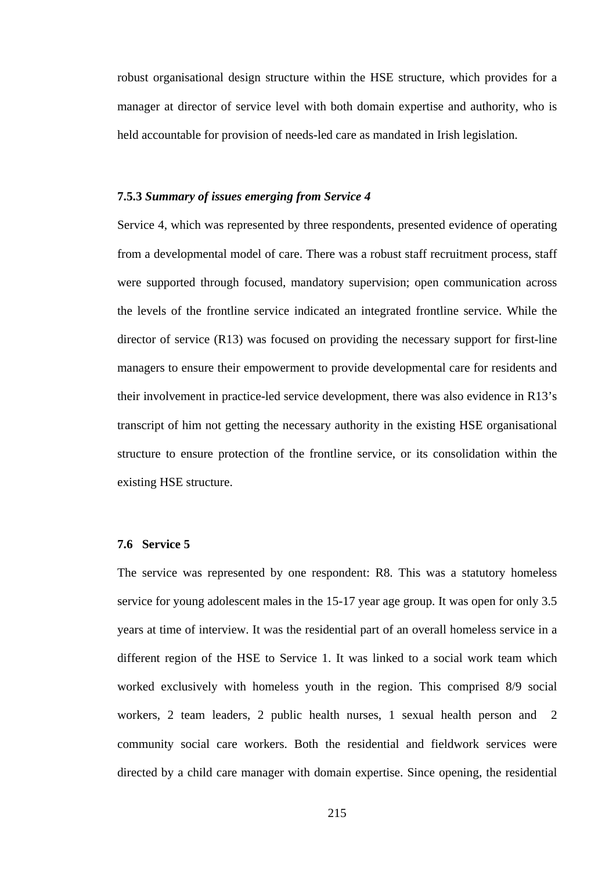robust organisational design structure within the HSE structure, which provides for a manager at director of service level with both domain expertise and authority, who is held accountable for provision of needs-led care as mandated in Irish legislation.

#### **7.5.3** *Summary of issues emerging from Service 4*

Service 4, which was represented by three respondents, presented evidence of operating from a developmental model of care. There was a robust staff recruitment process, staff were supported through focused, mandatory supervision; open communication across the levels of the frontline service indicated an integrated frontline service. While the director of service (R13) was focused on providing the necessary support for first-line managers to ensure their empowerment to provide developmental care for residents and their involvement in practice-led service development, there was also evidence in R13's transcript of him not getting the necessary authority in the existing HSE organisational structure to ensure protection of the frontline service, or its consolidation within the existing HSE structure.

## **7.6 Service 5**

The service was represented by one respondent: R8. This was a statutory homeless service for young adolescent males in the 15-17 year age group. It was open for only 3.5 years at time of interview. It was the residential part of an overall homeless service in a different region of the HSE to Service 1. It was linked to a social work team which worked exclusively with homeless youth in the region. This comprised 8/9 social workers, 2 team leaders, 2 public health nurses, 1 sexual health person and 2 community social care workers. Both the residential and fieldwork services were directed by a child care manager with domain expertise. Since opening, the residential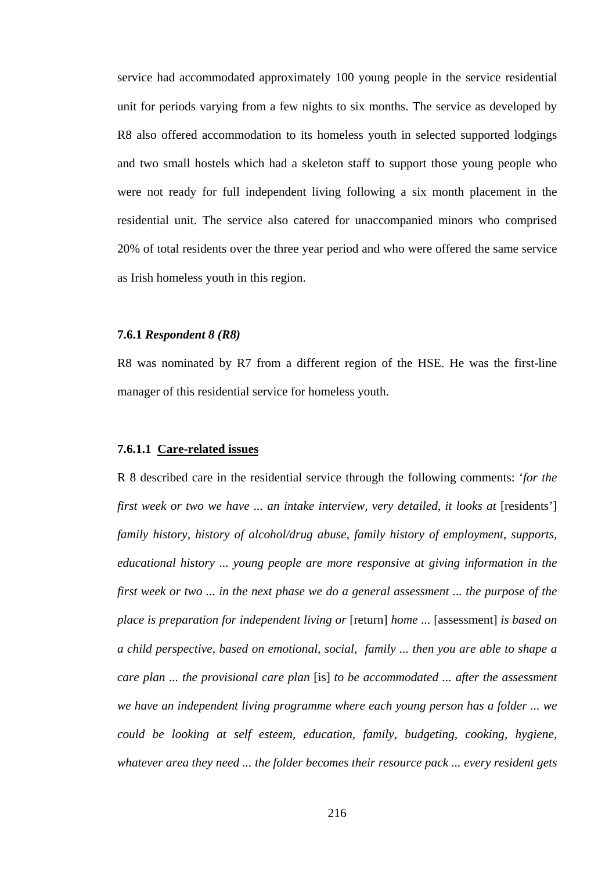service had accommodated approximately 100 young people in the service residential unit for periods varying from a few nights to six months. The service as developed by R8 also offered accommodation to its homeless youth in selected supported lodgings and two small hostels which had a skeleton staff to support those young people who were not ready for full independent living following a six month placement in the residential unit. The service also catered for unaccompanied minors who comprised 20% of total residents over the three year period and who were offered the same service as Irish homeless youth in this region.

### **7.6.1** *Respondent 8 (R8)*

R8 was nominated by R7 from a different region of the HSE. He was the first-line manager of this residential service for homeless youth.

#### **7.6.1.1 Care-related issues**

R 8 described care in the residential service through the following comments: '*for the first week or two we have ... an intake interview, very detailed, it looks at [residents'] family history, history of alcohol/drug abuse, family history of employment, supports, educational history ... young people are more responsive at giving information in the first week or two ... in the next phase we do a general assessment ... the purpose of the place is preparation for independent living or* [return] *home ...* [assessment] *is based on a child perspective, based on emotional, social, family ... then you are able to shape a care plan ... the provisional care plan* [is] *to be accommodated ... after the assessment we have an independent living programme where each young person has a folder ... we could be looking at self esteem, education, family, budgeting, cooking, hygiene, whatever area they need ... the folder becomes their resource pack ... every resident gets*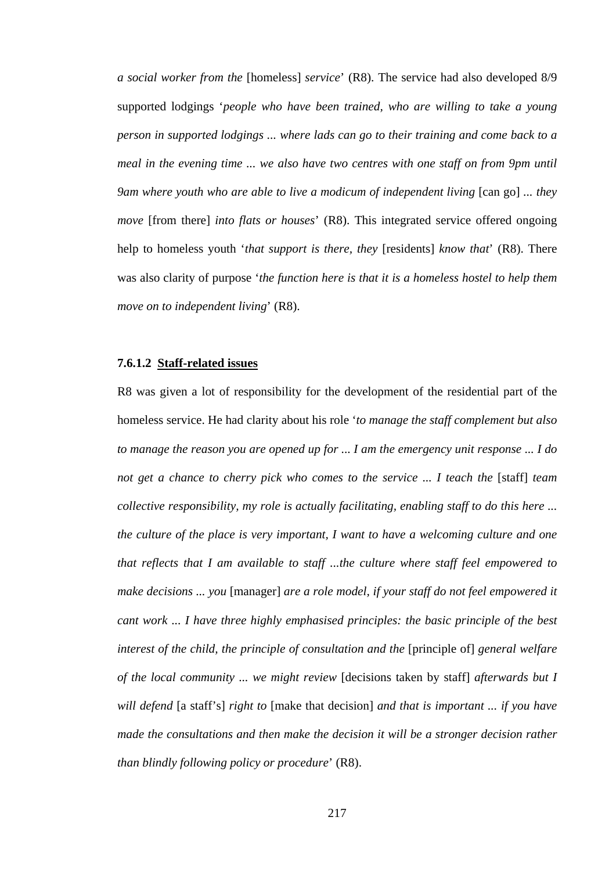*a social worker from the* [homeless] *service*' (R8). The service had also developed 8/9 supported lodgings '*people who have been trained, who are willing to take a young person in supported lodgings ... where lads can go to their training and come back to a meal in the evening time ... we also have two centres with one staff on from 9pm until 9am where youth who are able to live a modicum of independent living* [can go] ... they *move* [from there] *into flats or houses*' (R8). This integrated service offered ongoing help to homeless youth '*that support is there, they* [residents] *know that*' (R8). There was also clarity of purpose '*the function here is that it is a homeless hostel to help them move on to independent living*' (R8).

### **7.6.1.2 Staff-related issues**

R8 was given a lot of responsibility for the development of the residential part of the homeless service. He had clarity about his role '*to manage the staff complement but also to manage the reason you are opened up for ... I am the emergency unit response ... I do not get a chance to cherry pick who comes to the service ... I teach the* [staff] *team collective responsibility, my role is actually facilitating, enabling staff to do this here ... the culture of the place is very important, I want to have a welcoming culture and one that reflects that I am available to staff ...the culture where staff feel empowered to make decisions ... you* [manager] *are a role model, if your staff do not feel empowered it cant work ... I have three highly emphasised principles: the basic principle of the best interest of the child, the principle of consultation and the [principle of] general welfare of the local community ... we might review* [decisions taken by staff] *afterwards but I will defend* [a staff's] *right to* [make that decision] *and that is important ... if you have made the consultations and then make the decision it will be a stronger decision rather than blindly following policy or procedure*' (R8).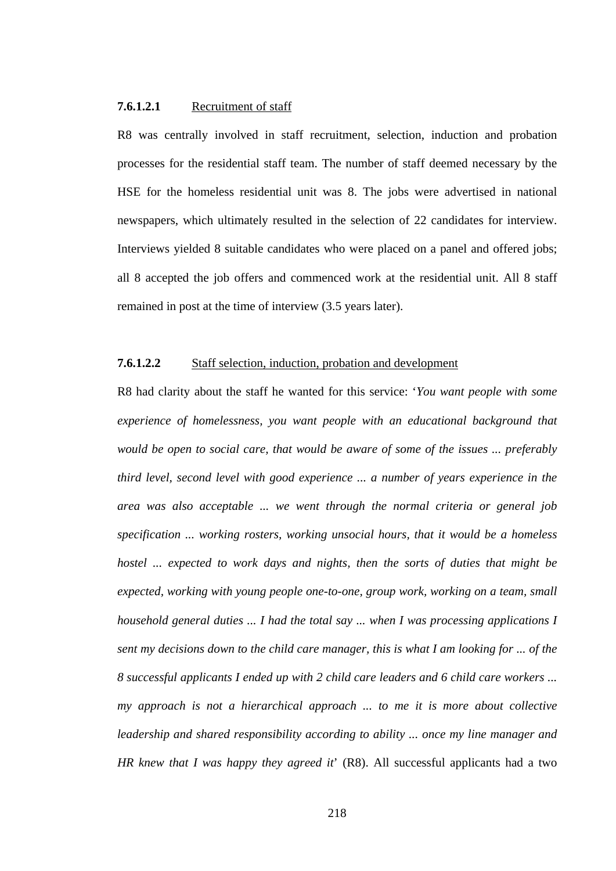### **7.6.1.2.1** Recruitment of staff

R8 was centrally involved in staff recruitment, selection, induction and probation processes for the residential staff team. The number of staff deemed necessary by the HSE for the homeless residential unit was 8. The jobs were advertised in national newspapers, which ultimately resulted in the selection of 22 candidates for interview. Interviews yielded 8 suitable candidates who were placed on a panel and offered jobs; all 8 accepted the job offers and commenced work at the residential unit. All 8 staff remained in post at the time of interview (3.5 years later).

#### **7.6.1.2.2** Staff selection, induction, probation and development

R8 had clarity about the staff he wanted for this service: '*You want people with some experience of homelessness, you want people with an educational background that would be open to social care, that would be aware of some of the issues ... preferably third level, second level with good experience ... a number of years experience in the area was also acceptable ... we went through the normal criteria or general job specification ... working rosters, working unsocial hours, that it would be a homeless hostel ... expected to work days and nights, then the sorts of duties that might be expected, working with young people one-to-one, group work, working on a team, small household general duties ... I had the total say ... when I was processing applications I sent my decisions down to the child care manager, this is what I am looking for ... of the 8 successful applicants I ended up with 2 child care leaders and 6 child care workers ... my approach is not a hierarchical approach ... to me it is more about collective leadership and shared responsibility according to ability ... once my line manager and HR knew that I was happy they agreed it*' (R8). All successful applicants had a two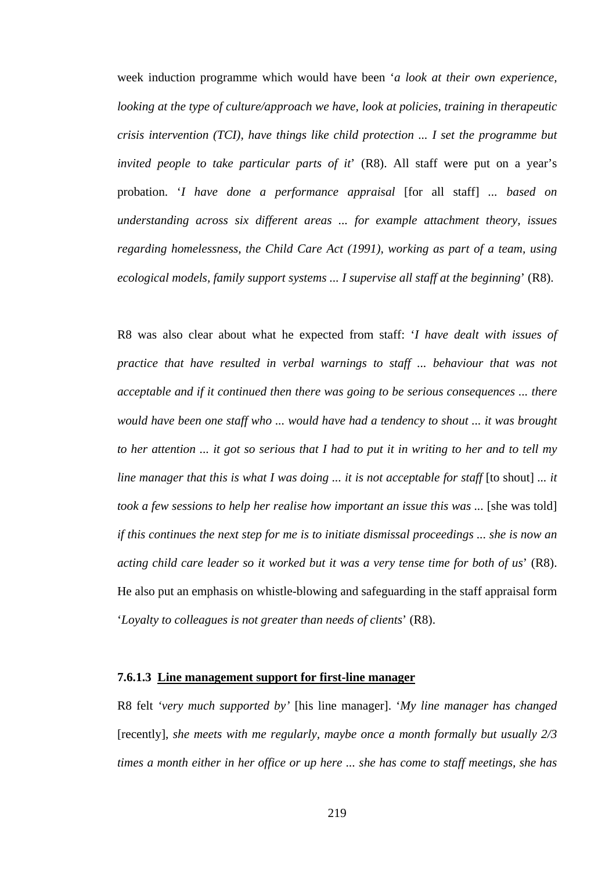week induction programme which would have been '*a look at their own experience, looking at the type of culture/approach we have, look at policies, training in therapeutic crisis intervention (TCI), have things like child protection ... I set the programme but invited people to take particular parts of it*' (R8). All staff were put on a year's probation. '*I have done a performance appraisal* [for all staff] *... based on understanding across six different areas ... for example attachment theory, issues regarding homelessness, the Child Care Act (1991), working as part of a team, using ecological models, family support systems ... I supervise all staff at the beginning*' (R8).

R8 was also clear about what he expected from staff: '*I have dealt with issues of practice that have resulted in verbal warnings to staff ... behaviour that was not acceptable and if it continued then there was going to be serious consequences ... there would have been one staff who ... would have had a tendency to shout ... it was brought to her attention ... it got so serious that I had to put it in writing to her and to tell my line manager that this is what I was doing ... it is not acceptable for staff* [to shout] ... *it took a few sessions to help her realise how important an issue this was* ... [she was told] *if this continues the next step for me is to initiate dismissal proceedings ... she is now an acting child care leader so it worked but it was a very tense time for both of us*' (R8). He also put an emphasis on whistle-blowing and safeguarding in the staff appraisal form '*Loyalty to colleagues is not greater than needs of clients*' (R8).

# **7.6.1.3 Line management support for first-line manager**

R8 felt *'very much supported by'* [his line manager]. '*My line manager has changed*  [recently], *she meets with me regularly, maybe once a month formally but usually 2/3 times a month either in her office or up here ... she has come to staff meetings, she has*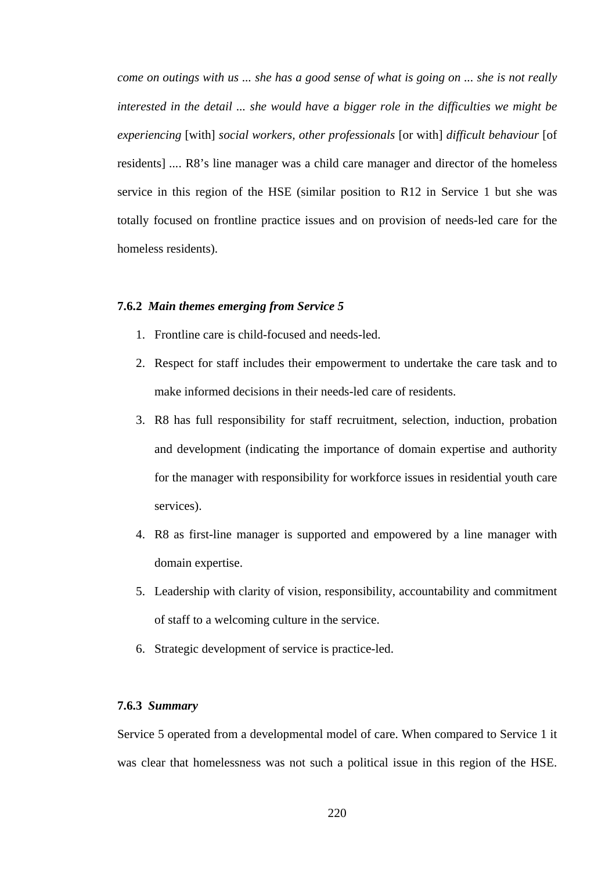*come on outings with us ... she has a good sense of what is going on ... she is not really interested in the detail ... she would have a bigger role in the difficulties we might be experiencing* [with] *social workers, other professionals* [or with] *difficult behaviour* [of residents] *...*. R8's line manager was a child care manager and director of the homeless service in this region of the HSE (similar position to R12 in Service 1 but she was totally focused on frontline practice issues and on provision of needs-led care for the homeless residents).

#### **7.6.2** *Main themes emerging from Service 5*

- 1. Frontline care is child-focused and needs-led.
- 2. Respect for staff includes their empowerment to undertake the care task and to make informed decisions in their needs-led care of residents.
- 3. R8 has full responsibility for staff recruitment, selection, induction, probation and development (indicating the importance of domain expertise and authority for the manager with responsibility for workforce issues in residential youth care services).
- 4. R8 as first-line manager is supported and empowered by a line manager with domain expertise.
- 5. Leadership with clarity of vision, responsibility, accountability and commitment of staff to a welcoming culture in the service.
- 6. Strategic development of service is practice-led.

#### **7.6.3** *Summary*

Service 5 operated from a developmental model of care. When compared to Service 1 it was clear that homelessness was not such a political issue in this region of the HSE.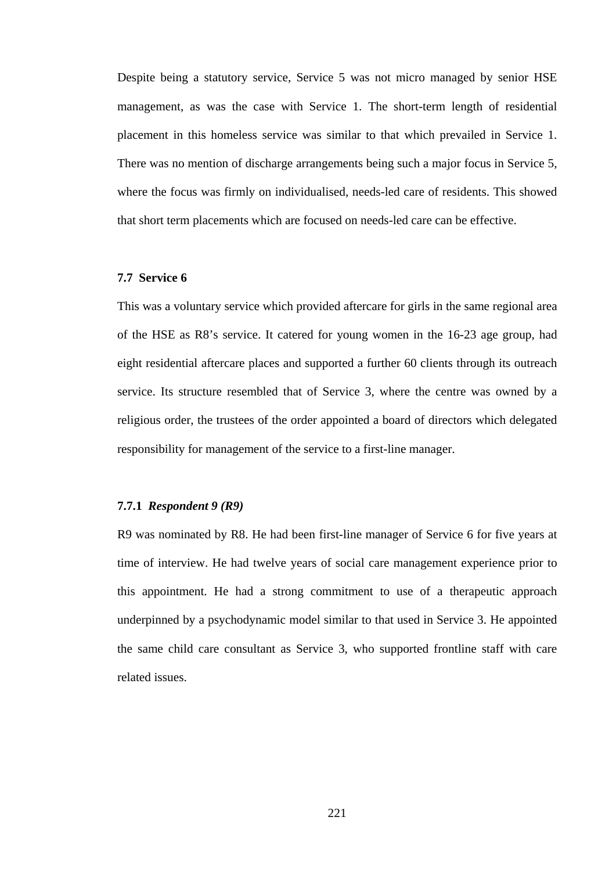Despite being a statutory service, Service 5 was not micro managed by senior HSE management, as was the case with Service 1. The short-term length of residential placement in this homeless service was similar to that which prevailed in Service 1. There was no mention of discharge arrangements being such a major focus in Service 5, where the focus was firmly on individualised, needs-led care of residents. This showed that short term placements which are focused on needs-led care can be effective.

## **7.7 Service 6**

This was a voluntary service which provided aftercare for girls in the same regional area of the HSE as R8's service. It catered for young women in the 16-23 age group, had eight residential aftercare places and supported a further 60 clients through its outreach service. Its structure resembled that of Service 3, where the centre was owned by a religious order, the trustees of the order appointed a board of directors which delegated responsibility for management of the service to a first-line manager.

## **7.7.1** *Respondent 9 (R9)*

R9 was nominated by R8. He had been first-line manager of Service 6 for five years at time of interview. He had twelve years of social care management experience prior to this appointment. He had a strong commitment to use of a therapeutic approach underpinned by a psychodynamic model similar to that used in Service 3. He appointed the same child care consultant as Service 3, who supported frontline staff with care related issues.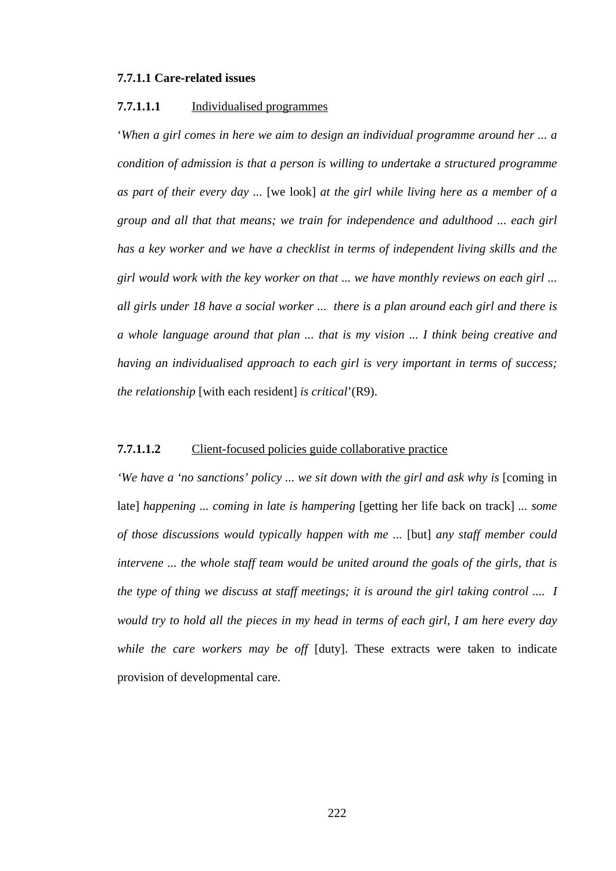#### **7.7.1.1 Care-related issues**

#### **7.7.1.1.1** Individualised programmes

'*When a girl comes in here we aim to design an individual programme around her ... a condition of admission is that a person is willing to undertake a structured programme as part of their every day ...* [we look] *at the girl while living here as a member of a group and all that that means; we train for independence and adulthood ... each girl has a key worker and we have a checklist in terms of independent living skills and the girl would work with the key worker on that ... we have monthly reviews on each girl ... all girls under 18 have a social worker ... there is a plan around each girl and there is a whole language around that plan ... that is my vision ... I think being creative and having an individualised approach to each girl is very important in terms of success; the relationship* [with each resident] *is critical*'(R9).

## **7.7.1.1.2** Client-focused policies guide collaborative practice

*'We have a 'no sanctions' policy ... we sit down with the girl and ask why is [coming in* late] *happening ... coming in late is hampering* [getting her life back on track] *... some of those discussions would typically happen with me ...* [but] *any staff member could intervene ... the whole staff team would be united around the goals of the girls, that is the type of thing we discuss at staff meetings; it is around the girl taking control .... I would try to hold all the pieces in my head in terms of each girl, I am here every day while the care workers may be off* [duty]. These extracts were taken to indicate provision of developmental care.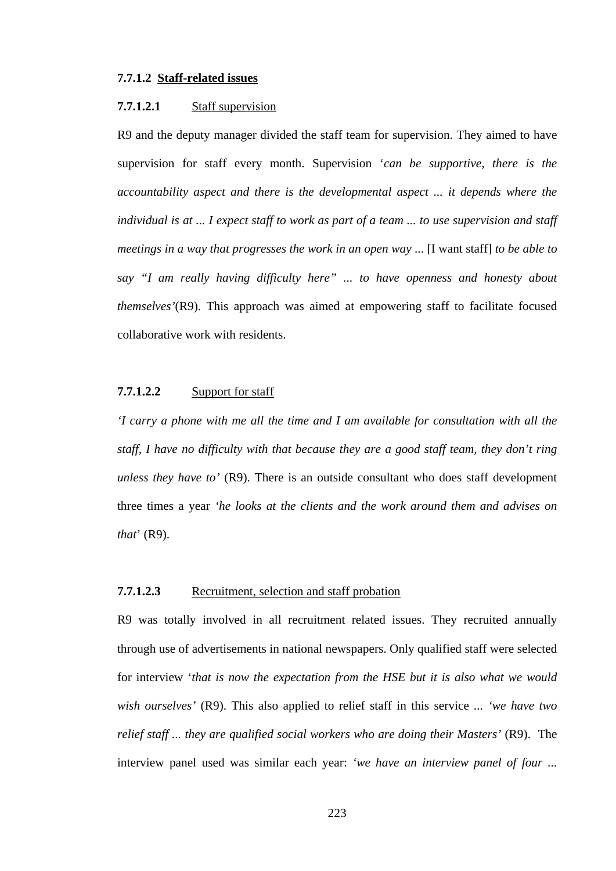# **7.7.1.2 Staff-related issues**

#### **7.7.1.2.1** Staff supervision

R9 and the deputy manager divided the staff team for supervision. They aimed to have supervision for staff every month. Supervision '*can be supportive, there is the accountability aspect and there is the developmental aspect ... it depends where the individual is at ... I expect staff to work as part of a team ... to use supervision and staff meetings in a way that progresses the work in an open way* ... [I want staff] *to be able to say "I am really having difficulty here" ... to have openness and honesty about themselves'*(R9). This approach was aimed at empowering staff to facilitate focused collaborative work with residents.

# **7.7.1.2.2** Support for staff

*'I carry a phone with me all the time and I am available for consultation with all the staff, I have no difficulty with that because they are a good staff team, they don't ring unless they have to'* (R9). There is an outside consultant who does staff development three times a year *'he looks at the clients and the work around them and advises on that*' (R9).

## **7.7.1.2.3** Recruitment, selection and staff probation

R9 was totally involved in all recruitment related issues. They recruited annually through use of advertisements in national newspapers. Only qualified staff were selected for interview '*that is now the expectation from the HSE but it is also what we would wish ourselves'* (R9). This also applied to relief staff in this service *... 'we have two relief staff ... they are qualified social workers who are doing their Masters'* (R9).The interview panel used was similar each year: *'we have an interview panel of four ...* 

223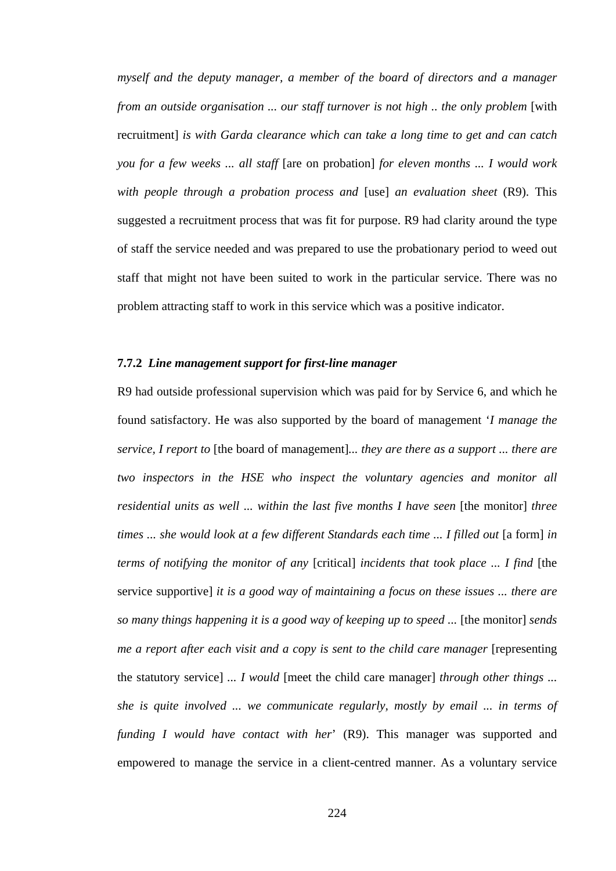*myself and the deputy manager, a member of the board of directors and a manager from an outside organisation ... our staff turnover is not high .. the only problem* [with recruitment] *is with Garda clearance which can take a long time to get and can catch you for a few weeks ... all staff* [are on probation] *for eleven months ... I would work with people through a probation process and* [use] *an evaluation sheet* (R9). This suggested a recruitment process that was fit for purpose. R9 had clarity around the type of staff the service needed and was prepared to use the probationary period to weed out staff that might not have been suited to work in the particular service. There was no problem attracting staff to work in this service which was a positive indicator.

### **7.7.2** *Line management support for first-line manager*

R9 had outside professional supervision which was paid for by Service 6, and which he found satisfactory. He was also supported by the board of management '*I manage the service, I report to* [the board of management]*... they are there as a support ... there are two inspectors in the HSE who inspect the voluntary agencies and monitor all residential units as well ... within the last five months I have seen* [the monitor] *three times ... she would look at a few different Standards each time ... I filled out* [a form] *in terms of notifying the monitor of any* [critical] *incidents that took place ... I find* [the service supportive] *it is a good way of maintaining a focus on these issues ... there are so many things happening it is a good way of keeping up to speed ...* [the monitor] *sends me a report after each visit and a copy is sent to the child care manager* [representing the statutory service] *... I would* [meet the child care manager] *through other things ... she is quite involved ... we communicate regularly, mostly by email ... in terms of funding I would have contact with her*' (R9). This manager was supported and empowered to manage the service in a client-centred manner. As a voluntary service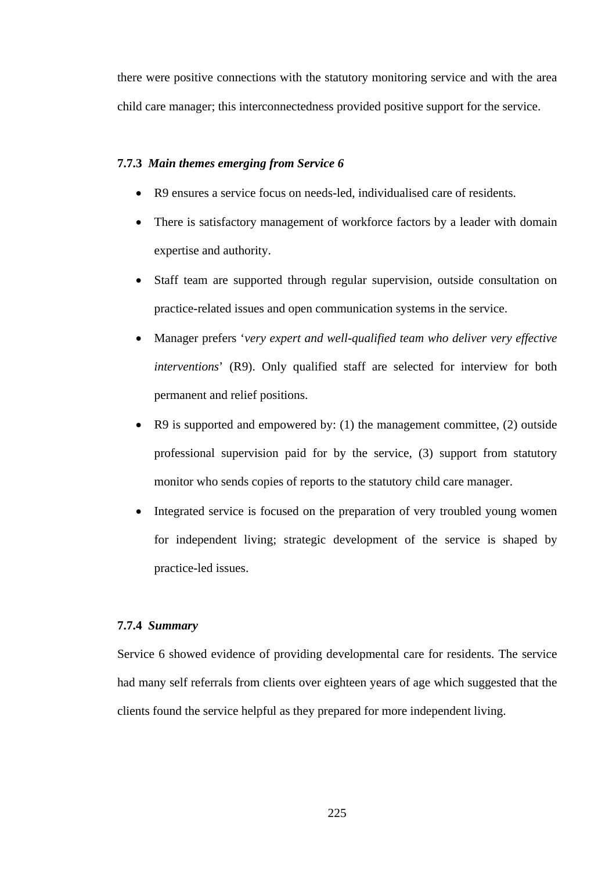there were positive connections with the statutory monitoring service and with the area child care manager; this interconnectedness provided positive support for the service.

## **7.7.3** *Main themes emerging from Service 6*

- R9 ensures a service focus on needs-led, individualised care of residents.
- There is satisfactory management of workforce factors by a leader with domain expertise and authority.
- Staff team are supported through regular supervision, outside consultation on practice-related issues and open communication systems in the service.
- Manager prefers '*very expert and well-qualified team who deliver very effective interventions*' (R9). Only qualified staff are selected for interview for both permanent and relief positions.
- R9 is supported and empowered by: (1) the management committee, (2) outside professional supervision paid for by the service, (3) support from statutory monitor who sends copies of reports to the statutory child care manager.
- Integrated service is focused on the preparation of very troubled young women for independent living; strategic development of the service is shaped by practice-led issues.

## **7.7.4** *Summary*

Service 6 showed evidence of providing developmental care for residents. The service had many self referrals from clients over eighteen years of age which suggested that the clients found the service helpful as they prepared for more independent living.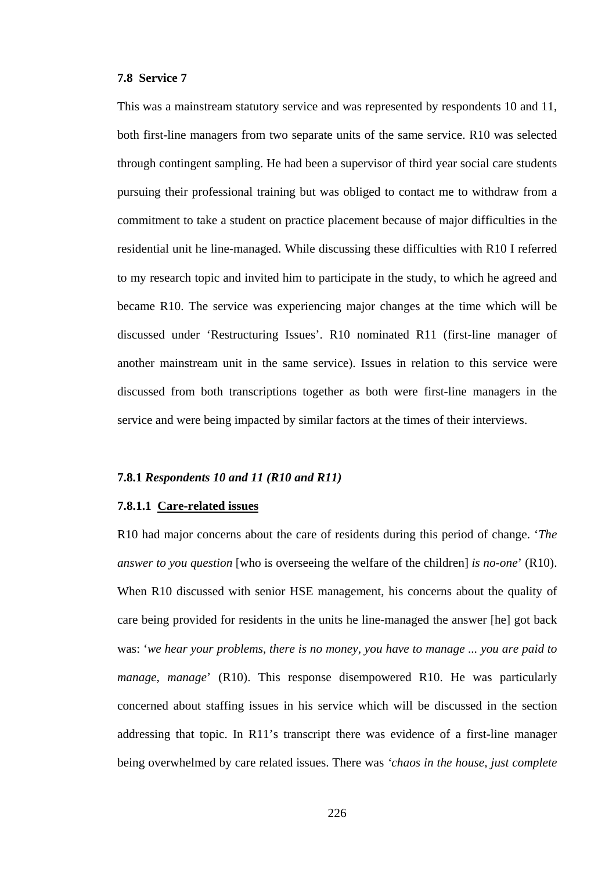#### **7.8 Service 7**

This was a mainstream statutory service and was represented by respondents 10 and 11, both first-line managers from two separate units of the same service. R10 was selected through contingent sampling. He had been a supervisor of third year social care students pursuing their professional training but was obliged to contact me to withdraw from a commitment to take a student on practice placement because of major difficulties in the residential unit he line-managed. While discussing these difficulties with R10 I referred to my research topic and invited him to participate in the study, to which he agreed and became R10. The service was experiencing major changes at the time which will be discussed under 'Restructuring Issues'. R10 nominated R11 (first-line manager of another mainstream unit in the same service). Issues in relation to this service were discussed from both transcriptions together as both were first-line managers in the service and were being impacted by similar factors at the times of their interviews.

## **7.8.1** *Respondents 10 and 11 (R10 and R11)*

## **7.8.1.1 Care-related issues**

R10 had major concerns about the care of residents during this period of change. '*The answer to you question* [who is overseeing the welfare of the children] *is no-one*' (R10). When R10 discussed with senior HSE management, his concerns about the quality of care being provided for residents in the units he line-managed the answer [he] got back was: '*we hear your problems, there is no money, you have to manage ... you are paid to manage, manage*' (R10). This response disempowered R10. He was particularly concerned about staffing issues in his service which will be discussed in the section addressing that topic. In R11's transcript there was evidence of a first-line manager being overwhelmed by care related issues. There was *'chaos in the house, just complete*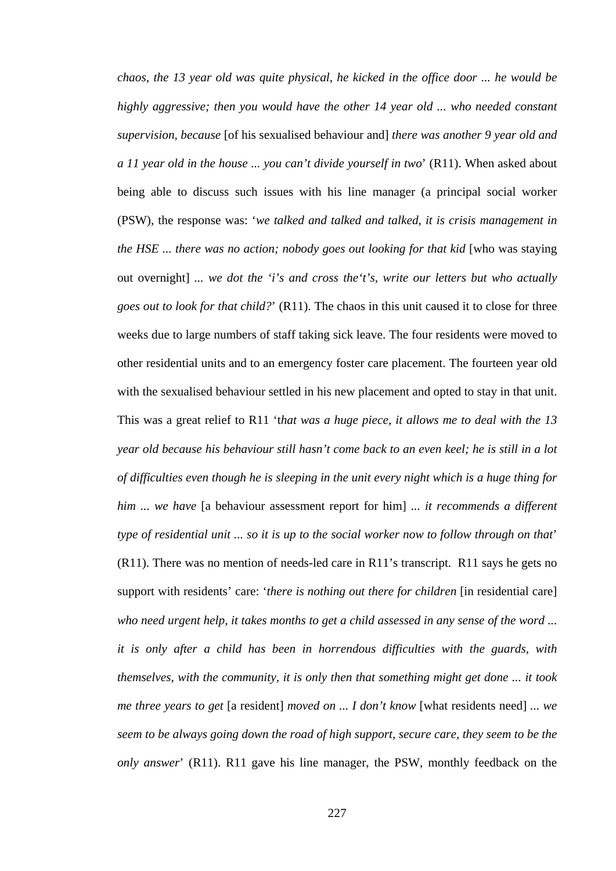*chaos, the 13 year old was quite physical, he kicked in the office door ... he would be highly aggressive; then you would have the other 14 year old ... who needed constant supervision, because* [of his sexualised behaviour and] *there was another 9 year old and a 11 year old in the house ... you can't divide yourself in two*' (R11). When asked about being able to discuss such issues with his line manager (a principal social worker (PSW), the response was: '*we talked and talked and talked, it is crisis management in the HSE ... there was no action; nobody goes out looking for that kid* [who was staying] out overnight] *... we dot the 'i's and cross the't's, write our letters but who actually goes out to look for that child?*' (R11). The chaos in this unit caused it to close for three weeks due to large numbers of staff taking sick leave. The four residents were moved to other residential units and to an emergency foster care placement. The fourteen year old with the sexualised behaviour settled in his new placement and opted to stay in that unit. This was a great relief to R11 't*hat was a huge piece, it allows me to deal with the 13 year old because his behaviour still hasn't come back to an even keel; he is still in a lot of difficulties even though he is sleeping in the unit every night which is a huge thing for him ... we have* [a behaviour assessment report for him] *... it recommends a different type of residential unit ... so it is up to the social worker now to follow through on that*' (R11). There was no mention of needs-led care in R11's transcript. R11 says he gets no support with residents' care: '*there is nothing out there for children* [in residential care] *who need urgent help, it takes months to get a child assessed in any sense of the word ... it is only after a child has been in horrendous difficulties with the guards, with themselves, with the community, it is only then that something might get done ... it took me three years to get* [a resident] *moved on ... I don't know* [what residents need] *... we seem to be always going down the road of high support, secure care, they seem to be the only answer*' (R11). R11 gave his line manager, the PSW, monthly feedback on the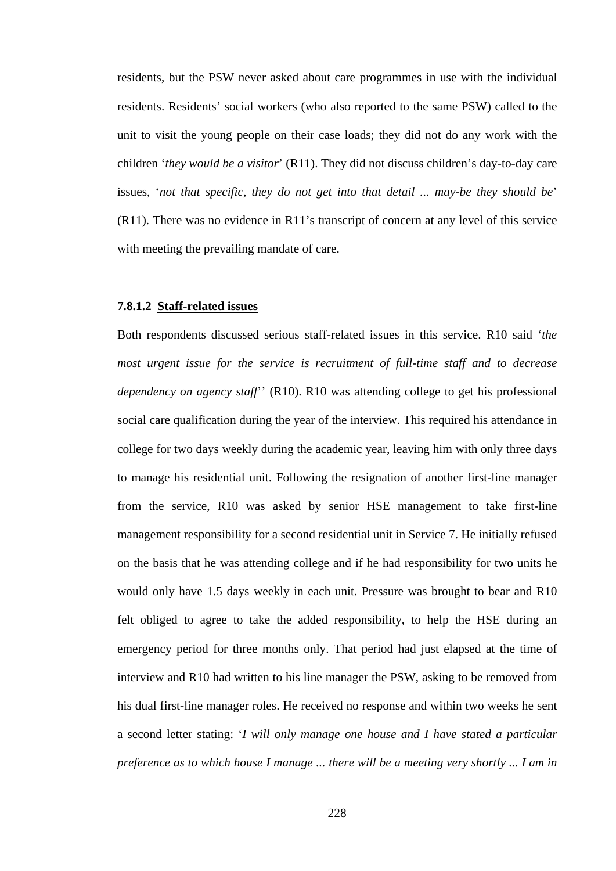residents, but the PSW never asked about care programmes in use with the individual residents. Residents' social workers (who also reported to the same PSW) called to the unit to visit the young people on their case loads; they did not do any work with the children '*they would be a visitor*' (R11). They did not discuss children's day-to-day care issues, '*not that specific, they do not get into that detail ... may-be they should be*' (R11). There was no evidence in R11's transcript of concern at any level of this service with meeting the prevailing mandate of care.

## **7.8.1.2 Staff-related issues**

Both respondents discussed serious staff-related issues in this service. R10 said '*the most urgent issue for the service is recruitment of full-time staff and to decrease dependency on agency staff*'' (R10). R10 was attending college to get his professional social care qualification during the year of the interview. This required his attendance in college for two days weekly during the academic year, leaving him with only three days to manage his residential unit. Following the resignation of another first-line manager from the service, R10 was asked by senior HSE management to take first-line management responsibility for a second residential unit in Service 7. He initially refused on the basis that he was attending college and if he had responsibility for two units he would only have 1.5 days weekly in each unit. Pressure was brought to bear and R10 felt obliged to agree to take the added responsibility, to help the HSE during an emergency period for three months only. That period had just elapsed at the time of interview and R10 had written to his line manager the PSW, asking to be removed from his dual first-line manager roles. He received no response and within two weeks he sent a second letter stating: '*I will only manage one house and I have stated a particular preference as to which house I manage ... there will be a meeting very shortly ... I am in*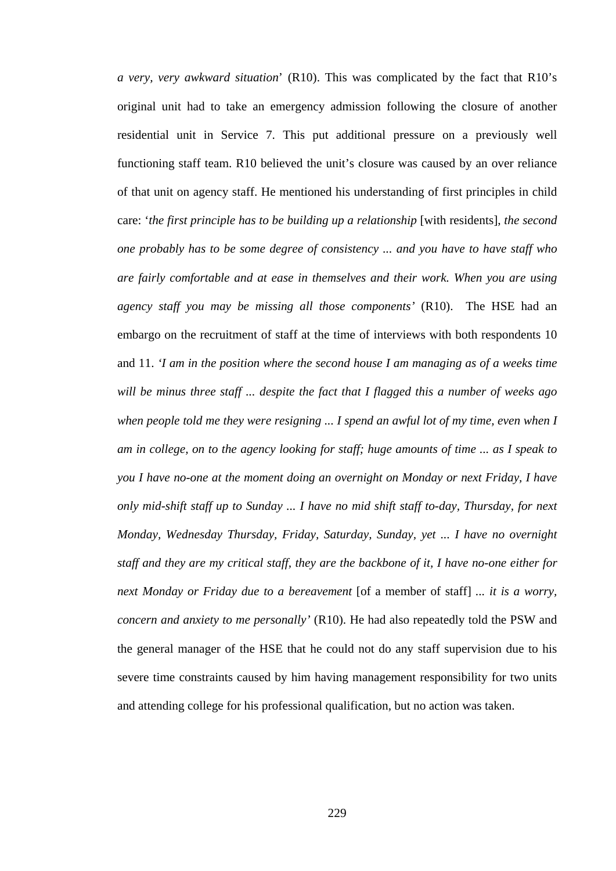*a very, very awkward situation*' (R10). This was complicated by the fact that R10's original unit had to take an emergency admission following the closure of another residential unit in Service 7. This put additional pressure on a previously well functioning staff team. R10 believed the unit's closure was caused by an over reliance of that unit on agency staff. He mentioned his understanding of first principles in child care: *'the first principle has to be building up a relationship* [with residents], *the second one probably has to be some degree of consistency ... and you have to have staff who are fairly comfortable and at ease in themselves and their work. When you are using agency staff you may be missing all those components'* (R10). The HSE had an embargo on the recruitment of staff at the time of interviews with both respondents 10 and 11. *'I am in the position where the second house I am managing as of a weeks time will be minus three staff ... despite the fact that I flagged this a number of weeks ago when people told me they were resigning ... I spend an awful lot of my time, even when I am in college, on to the agency looking for staff; huge amounts of time ... as I speak to you I have no-one at the moment doing an overnight on Monday or next Friday, I have only mid-shift staff up to Sunday ... I have no mid shift staff to-day, Thursday, for next Monday, Wednesday Thursday, Friday, Saturday, Sunday, yet ... I have no overnight staff and they are my critical staff, they are the backbone of it, I have no-one either for next Monday or Friday due to a bereavement* [of a member of staff] *... it is a worry, concern and anxiety to me personally'* (R10). He had also repeatedly told the PSW and the general manager of the HSE that he could not do any staff supervision due to his severe time constraints caused by him having management responsibility for two units and attending college for his professional qualification, but no action was taken.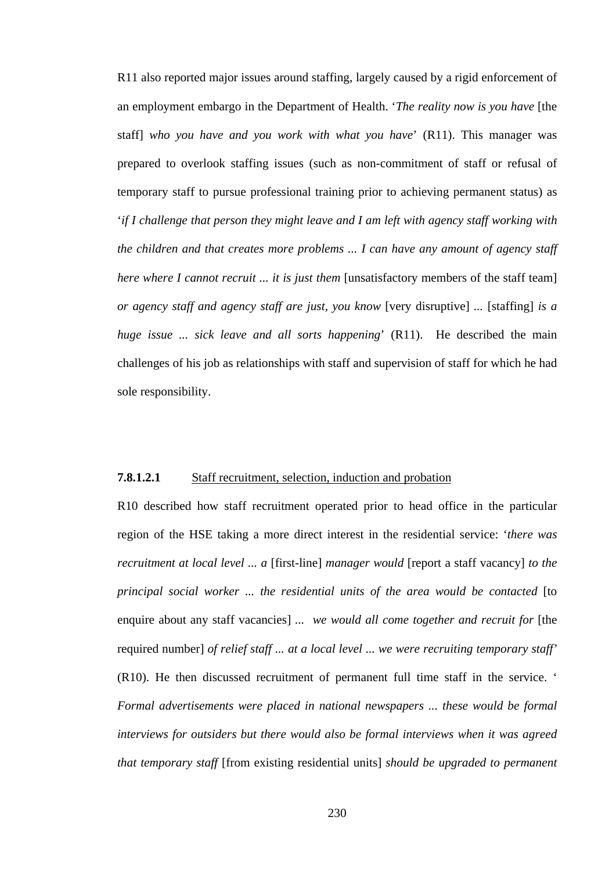R11 also reported major issues around staffing, largely caused by a rigid enforcement of an employment embargo in the Department of Health. '*The reality now is you have* [the staff] *who you have and you work with what you have*' (R11). This manager was prepared to overlook staffing issues (such as non-commitment of staff or refusal of temporary staff to pursue professional training prior to achieving permanent status) as '*if I challenge that person they might leave and I am left with agency staff working with the children and that creates more problems ... I can have any amount of agency staff here where I cannot recruit ... it is just them* [unsatisfactory members of the staff team] *or agency staff and agency staff are just, you know* [very disruptive] *...* [staffing] *is a huge issue ... sick leave and all sorts happening*' (R11). He described the main challenges of his job as relationships with staff and supervision of staff for which he had sole responsibility.

## **7.8.1.2.1** Staff recruitment, selection, induction and probation

R10 described how staff recruitment operated prior to head office in the particular region of the HSE taking a more direct interest in the residential service: '*there was recruitment at local level ... a* [first-line] *manager would* [report a staff vacancy] *to the principal social worker ... the residential units of the area would be contacted* [to enquire about any staff vacancies] *... we would all come together and recruit for* [the required number] *of relief staff ... at a local level ... we were recruiting temporary staff'*  (R10). He then discussed recruitment of permanent full time staff in the service. ' *Formal advertisements were placed in national newspapers ... these would be formal interviews for outsiders but there would also be formal interviews when it was agreed that temporary staff* [from existing residential units] *should be upgraded to permanent*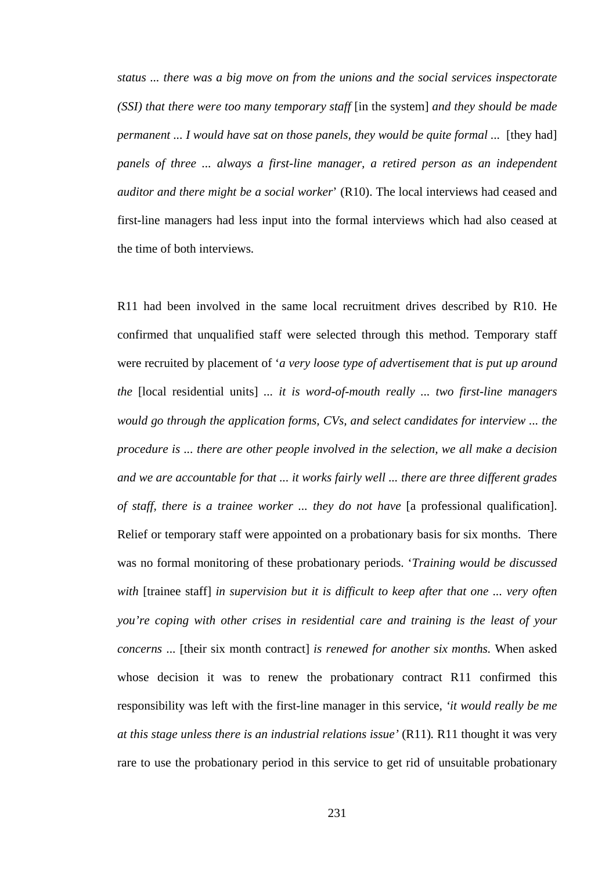*status ... there was a big move on from the unions and the social services inspectorate (SSI) that there were too many temporary staff* [in the system] *and they should be made permanent ... I would have sat on those panels, they would be quite formal ...* [they had] *panels of three ... always a first-line manager, a retired person as an independent auditor and there might be a social worker*' (R10). The local interviews had ceased and first-line managers had less input into the formal interviews which had also ceased at the time of both interviews*.*

R11 had been involved in the same local recruitment drives described by R10. He confirmed that unqualified staff were selected through this method. Temporary staff were recruited by placement of '*a very loose type of advertisement that is put up around the* [local residential units] *... it is word-of-mouth really ... two first-line managers would go through the application forms, CVs, and select candidates for interview ... the procedure is ... there are other people involved in the selection, we all make a decision and we are accountable for that ... it works fairly well ... there are three different grades of staff, there is a trainee worker ... they do not have* [a professional qualification]. Relief or temporary staff were appointed on a probationary basis for six months. There was no formal monitoring of these probationary periods. '*Training would be discussed with* [trainee staff] *in supervision but it is difficult to keep after that one ... very often you're coping with other crises in residential care and training is the least of your concerns* ... [their six month contract] *is renewed for another six months.* When asked whose decision it was to renew the probationary contract R11 confirmed this responsibility was left with the first-line manager in this service, *'it would really be me at this stage unless there is an industrial relations issue'* (R11). R11 thought it was very rare to use the probationary period in this service to get rid of unsuitable probationary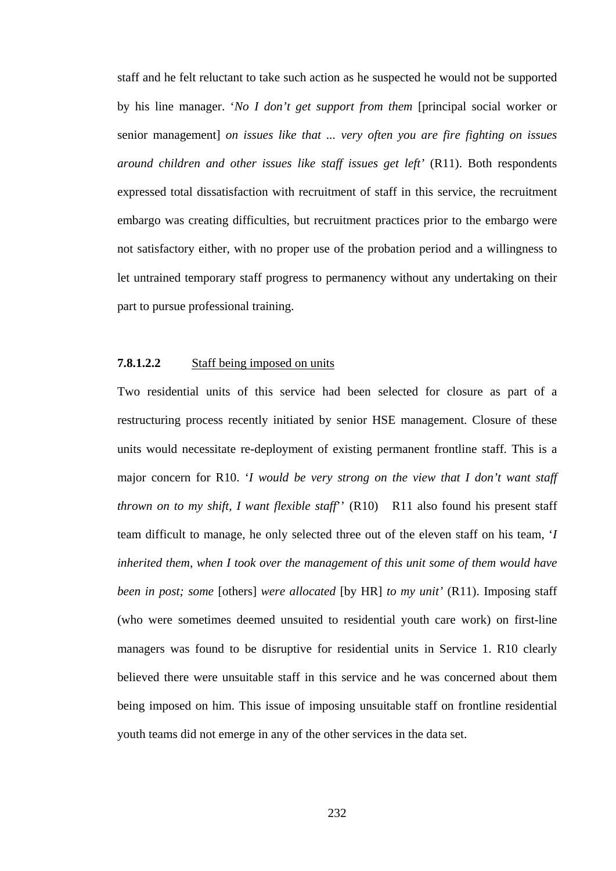staff and he felt reluctant to take such action as he suspected he would not be supported by his line manager. '*No I don't get support from them* [principal social worker or senior management] *on issues like that ... very often you are fire fighting on issues around children and other issues like staff issues get left'* (R11). Both respondents expressed total dissatisfaction with recruitment of staff in this service, the recruitment embargo was creating difficulties, but recruitment practices prior to the embargo were not satisfactory either, with no proper use of the probation period and a willingness to let untrained temporary staff progress to permanency without any undertaking on their part to pursue professional training.

## **7.8.1.2.2** Staff being imposed on units

Two residential units of this service had been selected for closure as part of a restructuring process recently initiated by senior HSE management. Closure of these units would necessitate re-deployment of existing permanent frontline staff. This is a major concern for R10. '*I would be very strong on the view that I don't want staff thrown on to my shift, I want flexible staff*'' (R10) R11 also found his present staff team difficult to manage, he only selected three out of the eleven staff on his team, '*I inherited them, when I took over the management of this unit some of them would have been in post; some* [others] *were allocated* [by HR] *to my unit'* (R11). Imposing staff (who were sometimes deemed unsuited to residential youth care work) on first-line managers was found to be disruptive for residential units in Service 1. R10 clearly believed there were unsuitable staff in this service and he was concerned about them being imposed on him. This issue of imposing unsuitable staff on frontline residential youth teams did not emerge in any of the other services in the data set.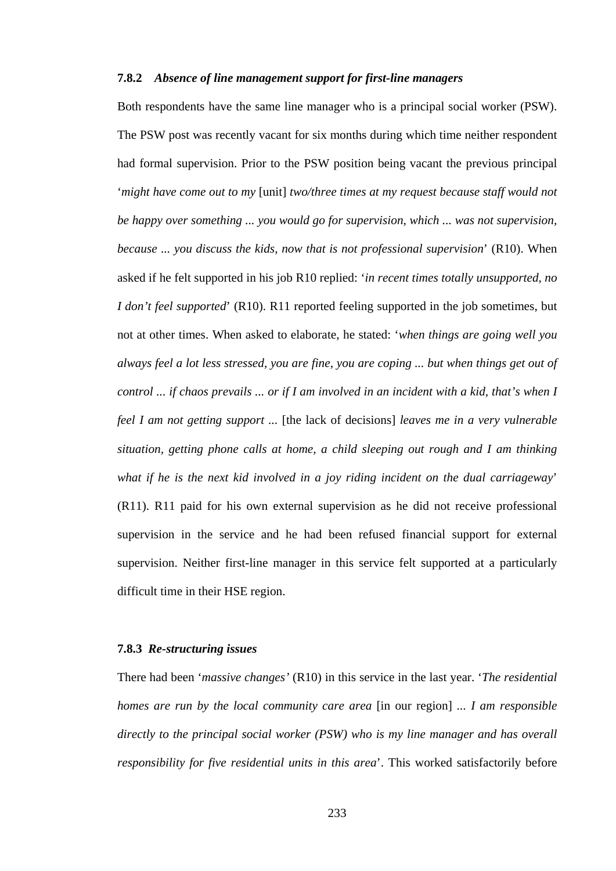# **7.8.2** *Absence of line management support for first-line managers*

Both respondents have the same line manager who is a principal social worker (PSW). The PSW post was recently vacant for six months during which time neither respondent had formal supervision. Prior to the PSW position being vacant the previous principal '*might have come out to my* [unit] *two/three times at my request because staff would not be happy over something ... you would go for supervision, which ... was not supervision, because ... you discuss the kids, now that is not professional supervision*' (R10). When asked if he felt supported in his job R10 replied: '*in recent times totally unsupported, no I don't feel supported*' (R10). R11 reported feeling supported in the job sometimes, but not at other times. When asked to elaborate, he stated: '*when things are going well you always feel a lot less stressed, you are fine, you are coping ... but when things get out of control ... if chaos prevails ... or if I am involved in an incident with a kid, that's when I feel I am not getting support ...* [the lack of decisions] *leaves me in a very vulnerable situation, getting phone calls at home, a child sleeping out rough and I am thinking what if he is the next kid involved in a joy riding incident on the dual carriageway*' (R11). R11 paid for his own external supervision as he did not receive professional supervision in the service and he had been refused financial support for external supervision. Neither first-line manager in this service felt supported at a particularly difficult time in their HSE region.

## **7.8.3** *Re-structuring issues*

There had been '*massive changes'* (R10) in this service in the last year. '*The residential homes are run by the local community care area* [in our region] *... I am responsible directly to the principal social worker (PSW) who is my line manager and has overall responsibility for five residential units in this area*'. This worked satisfactorily before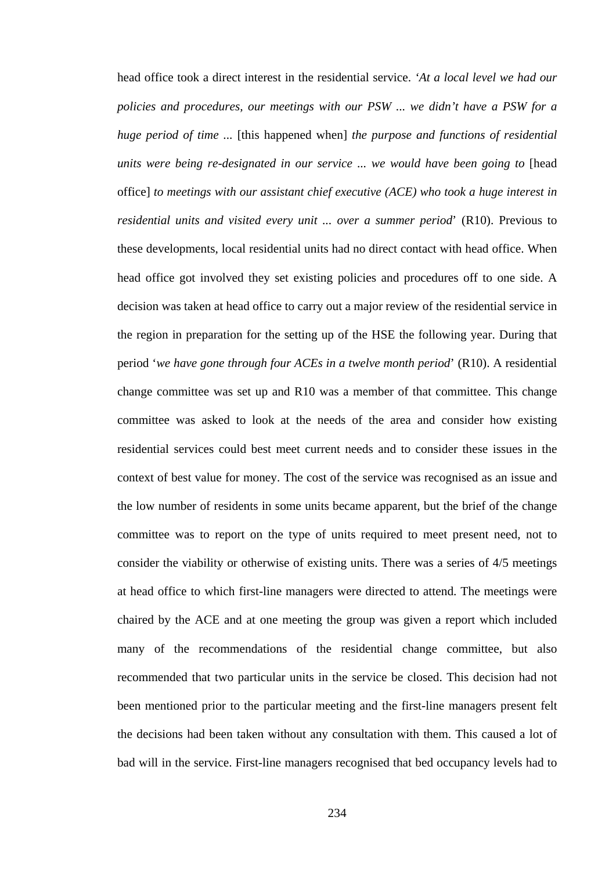head office took a direct interest in the residential service. *'At a local level we had our policies and procedures, our meetings with our PSW ... we didn't have a PSW for a huge period of time ...* [this happened when] *the purpose and functions of residential units were being re-designated in our service ... we would have been going to* [head office] *to meetings with our assistant chief executive (ACE) who took a huge interest in residential units and visited every unit ... over a summer period*' (R10). Previous to these developments, local residential units had no direct contact with head office. When head office got involved they set existing policies and procedures off to one side. A decision was taken at head office to carry out a major review of the residential service in the region in preparation for the setting up of the HSE the following year. During that period '*we have gone through four ACEs in a twelve month period*' (R10). A residential change committee was set up and R10 was a member of that committee. This change committee was asked to look at the needs of the area and consider how existing residential services could best meet current needs and to consider these issues in the context of best value for money. The cost of the service was recognised as an issue and the low number of residents in some units became apparent, but the brief of the change committee was to report on the type of units required to meet present need, not to consider the viability or otherwise of existing units. There was a series of 4/5 meetings at head office to which first-line managers were directed to attend. The meetings were chaired by the ACE and at one meeting the group was given a report which included many of the recommendations of the residential change committee, but also recommended that two particular units in the service be closed. This decision had not been mentioned prior to the particular meeting and the first-line managers present felt the decisions had been taken without any consultation with them. This caused a lot of bad will in the service. First-line managers recognised that bed occupancy levels had to

234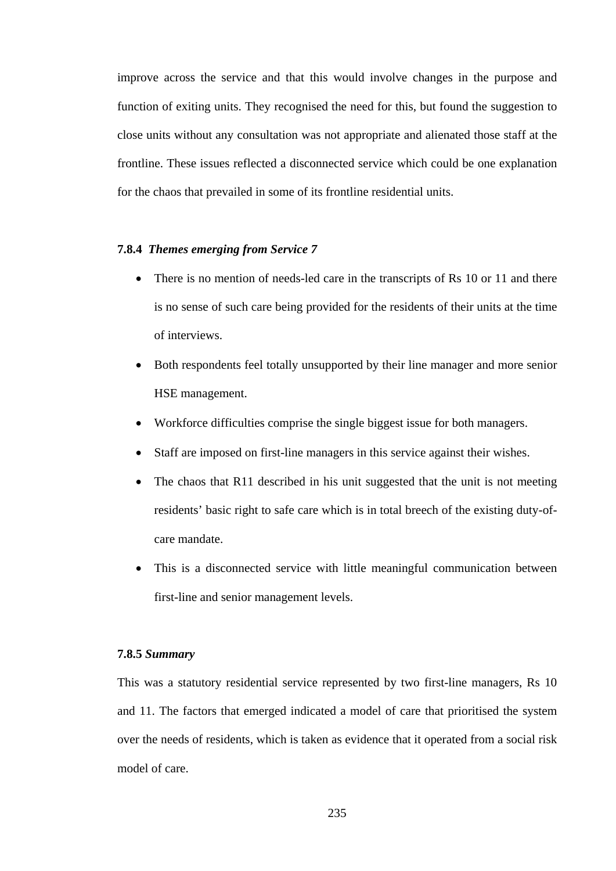improve across the service and that this would involve changes in the purpose and function of exiting units. They recognised the need for this, but found the suggestion to close units without any consultation was not appropriate and alienated those staff at the frontline. These issues reflected a disconnected service which could be one explanation for the chaos that prevailed in some of its frontline residential units.

# **7.8.4** *Themes emerging from Service 7*

- There is no mention of needs-led care in the transcripts of Rs 10 or 11 and there is no sense of such care being provided for the residents of their units at the time of interviews.
- Both respondents feel totally unsupported by their line manager and more senior HSE management.
- Workforce difficulties comprise the single biggest issue for both managers.
- Staff are imposed on first-line managers in this service against their wishes.
- The chaos that R11 described in his unit suggested that the unit is not meeting residents' basic right to safe care which is in total breech of the existing duty-ofcare mandate.
- This is a disconnected service with little meaningful communication between first-line and senior management levels.

## **7.8.5** *Summary*

This was a statutory residential service represented by two first-line managers, Rs 10 and 11. The factors that emerged indicated a model of care that prioritised the system over the needs of residents, which is taken as evidence that it operated from a social risk model of care.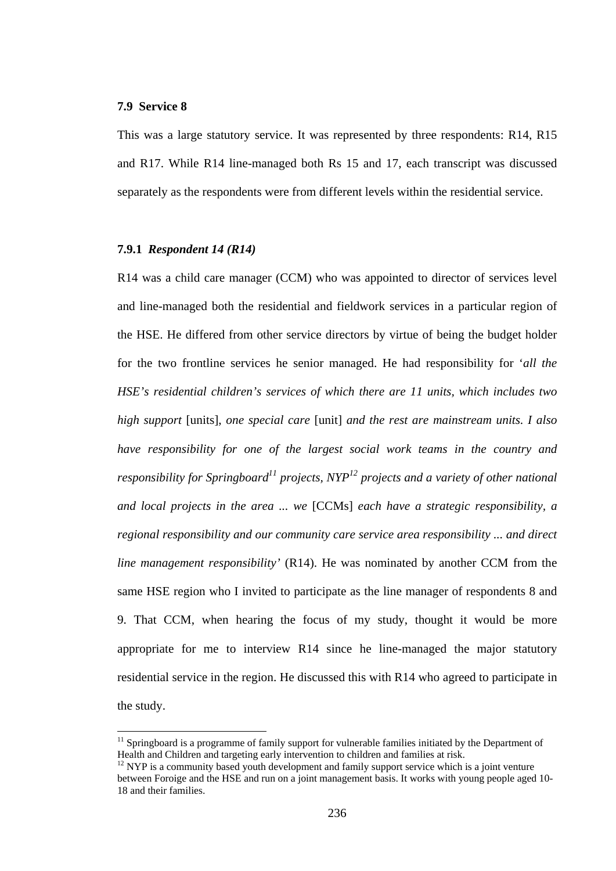#### **7.9 Service 8**

 $\overline{a}$ 

This was a large statutory service. It was represented by three respondents: R14, R15 and R17. While R14 line-managed both Rs 15 and 17, each transcript was discussed separately as the respondents were from different levels within the residential service.

# **7.9.1** *Respondent 14 (R14)*

R14 was a child care manager (CCM) who was appointed to director of services level and line-managed both the residential and fieldwork services in a particular region of the HSE. He differed from other service directors by virtue of being the budget holder for the two frontline services he senior managed. He had responsibility for '*all the HSE's residential children's services of which there are 11 units, which includes two high support* [units], *one special care* [unit] *and the rest are mainstream units. I also have responsibility for one of the largest social work teams in the country and responsibility for Springboard*<sup>11</sup> projects,  $NYP<sup>12</sup>$  projects and a variety of other national *and local projects in the area ... we* [CCMs] *each have a strategic responsibility, a regional responsibility and our community care service area responsibility ... and direct line management responsibility'* (R14). He was nominated by another CCM from the same HSE region who I invited to participate as the line manager of respondents 8 and 9. That CCM, when hearing the focus of my study, thought it would be more appropriate for me to interview R14 since he line-managed the major statutory residential service in the region. He discussed this with R14 who agreed to participate in the study.

 $11$  Springboard is a programme of family support for vulnerable families initiated by the Department of Health and Children and targeting early intervention to children and families at risk.

<sup>&</sup>lt;sup>12</sup> NYP is a community based youth development and family support service which is a joint venture between Foroige and the HSE and run on a joint management basis. It works with young people aged 10- 18 and their families.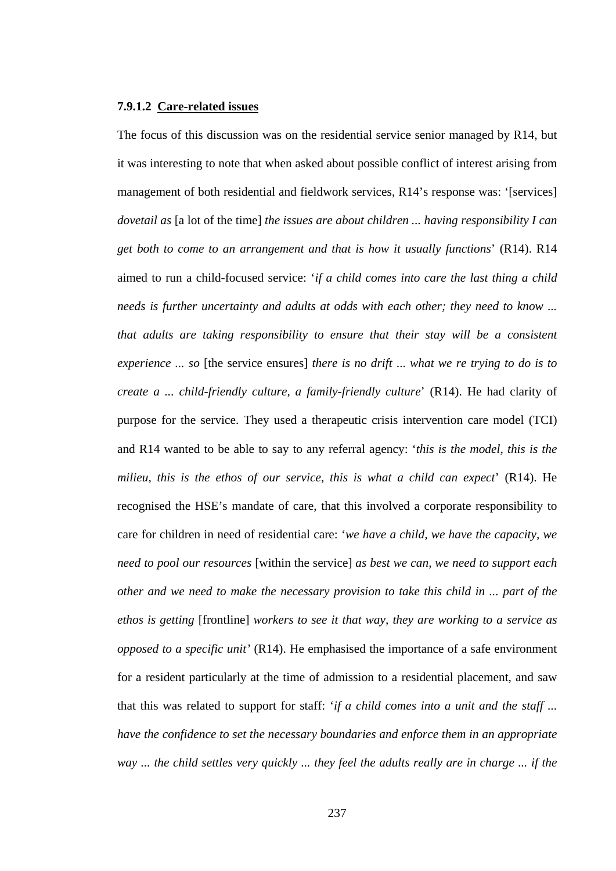#### **7.9.1.2 Care-related issues**

The focus of this discussion was on the residential service senior managed by R14, but it was interesting to note that when asked about possible conflict of interest arising from management of both residential and fieldwork services, R14's response was: '[services] *dovetail as* [a lot of the time] *the issues are about children ... having responsibility I can get both to come to an arrangement and that is how it usually functions*' (R14). R14 aimed to run a child-focused service: '*if a child comes into care the last thing a child needs is further uncertainty and adults at odds with each other; they need to know ... that adults are taking responsibility to ensure that their stay will be a consistent experience ... so* [the service ensures] *there is no drift* ... *what we re trying to do is to create a ... child-friendly culture, a family-friendly culture*' (R14). He had clarity of purpose for the service. They used a therapeutic crisis intervention care model (TCI) and R14 wanted to be able to say to any referral agency: '*this is the model, this is the milieu, this is the ethos of our service, this is what a child can expect*' (R14). He recognised the HSE's mandate of care, that this involved a corporate responsibility to care for children in need of residential care: '*we have a child, we have the capacity, we need to pool our resources* [within the service] *as best we can, we need to support each other and we need to make the necessary provision to take this child in ... part of the ethos is getting* [frontline] *workers to see it that way, they are working to a service as opposed to a specific unit'* (R14). He emphasised the importance of a safe environment for a resident particularly at the time of admission to a residential placement, and saw that this was related to support for staff: '*if a child comes into a unit and the staff ... have the confidence to set the necessary boundaries and enforce them in an appropriate way ... the child settles very quickly ... they feel the adults really are in charge ... if the*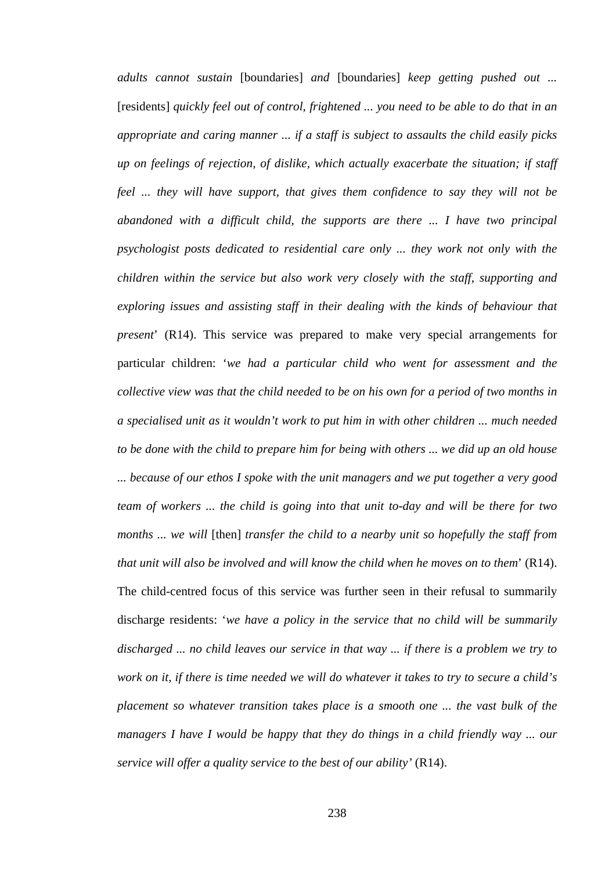*adults cannot sustain* [boundaries] *and* [boundaries] *keep getting pushed out ...*  [residents] *quickly feel out of control, frightened ... you need to be able to do that in an appropriate and caring manner ... if a staff is subject to assaults the child easily picks up on feelings of rejection, of dislike, which actually exacerbate the situation; if staff feel ... they will have support, that gives them confidence to say they will not be abandoned with a difficult child, the supports are there ... I have two principal psychologist posts dedicated to residential care only ... they work not only with the children within the service but also work very closely with the staff, supporting and exploring issues and assisting staff in their dealing with the kinds of behaviour that present*' (R14). This service was prepared to make very special arrangements for particular children: '*we had a particular child who went for assessment and the collective view was that the child needed to be on his own for a period of two months in a specialised unit as it wouldn't work to put him in with other children ... much needed to be done with the child to prepare him for being with others ... we did up an old house ... because of our ethos I spoke with the unit managers and we put together a very good team of workers ... the child is going into that unit to-day and will be there for two months ... we will* [then] *transfer the child to a nearby unit so hopefully the staff from that unit will also be involved and will know the child when he moves on to them*' (R14). The child-centred focus of this service was further seen in their refusal to summarily discharge residents: '*we have a policy in the service that no child will be summarily discharged ... no child leaves our service in that way ... if there is a problem we try to work on it, if there is time needed we will do whatever it takes to try to secure a child's placement so whatever transition takes place is a smooth one ... the vast bulk of the managers I have I would be happy that they do things in a child friendly way ... our service will offer a quality service to the best of our ability'* (R14).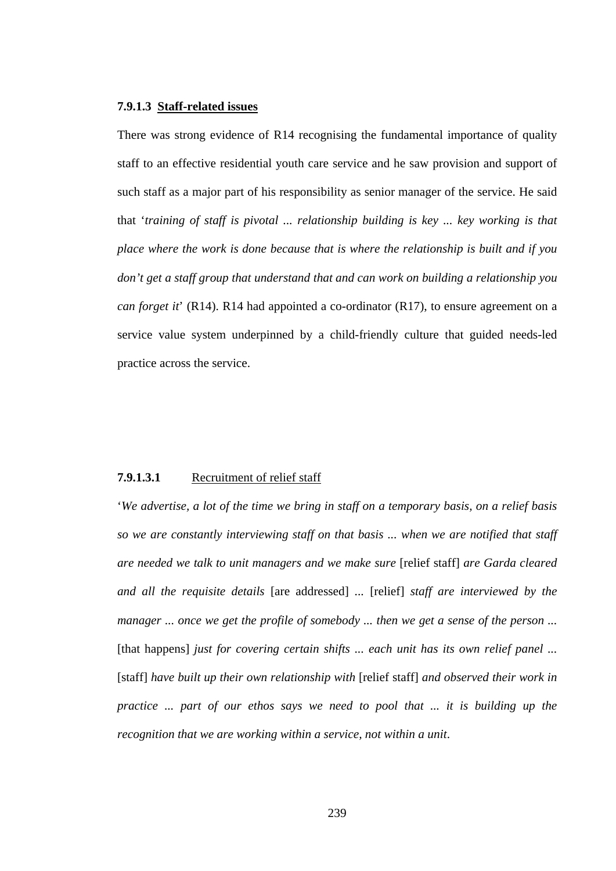#### **7.9.1.3 Staff-related issues**

There was strong evidence of R14 recognising the fundamental importance of quality staff to an effective residential youth care service and he saw provision and support of such staff as a major part of his responsibility as senior manager of the service. He said that '*training of staff is pivotal ... relationship building is key ... key working is that place where the work is done because that is where the relationship is built and if you don't get a staff group that understand that and can work on building a relationship you can forget it*' (R14). R14 had appointed a co-ordinator (R17), to ensure agreement on a service value system underpinned by a child-friendly culture that guided needs-led practice across the service.

#### **7.9.1.3.1** Recruitment of relief staff

'*We advertise, a lot of the time we bring in staff on a temporary basis, on a relief basis so we are constantly interviewing staff on that basis ... when we are notified that staff are needed we talk to unit managers and we make sure* [relief staff] *are Garda cleared and all the requisite details* [are addressed] *...* [relief] *staff are interviewed by the manager ... once we get the profile of somebody ... then we get a sense of the person ...*  [that happens] *just for covering certain shifts ... each unit has its own relief panel ...* [staff] *have built up their own relationship with* [relief staff] *and observed their work in practice ... part of our ethos says we need to pool that ... it is building up the recognition that we are working within a service, not within a unit*.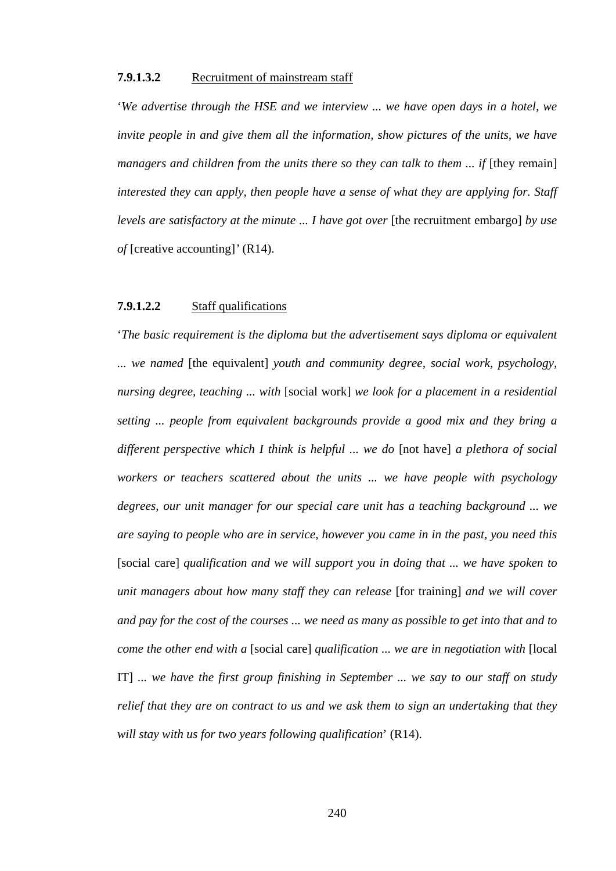# **7.9.1.3.2** Recruitment of mainstream staff

'*We advertise through the HSE and we interview ... we have open days in a hotel, we invite people in and give them all the information, show pictures of the units, we have managers and children from the units there so they can talk to them ... if* [they remain] *interested they can apply, then people have a sense of what they are applying for. Staff levels are satisfactory at the minute ... I have got over* [the recruitment embargo] *by use of* [creative accounting]*'* (R14).

# **7.9.1.2.2** Staff qualifications

'*The basic requirement is the diploma but the advertisement says diploma or equivalent ... we named* [the equivalent] *youth and community degree, social work, psychology, nursing degree, teaching ... with* [social work] *we look for a placement in a residential setting ... people from equivalent backgrounds provide a good mix and they bring a different perspective which I think is helpful ... we do* [not have] *a plethora of social workers or teachers scattered about the units ... we have people with psychology degrees, our unit manager for our special care unit has a teaching background ... we are saying to people who are in service, however you came in in the past, you need this*  [social care] *qualification and we will support you in doing that ... we have spoken to unit managers about how many staff they can release* [for training] *and we will cover and pay for the cost of the courses ... we need as many as possible to get into that and to come the other end with a* [social care] *qualification ... we are in negotiation with* [local IT] *... we have the first group finishing in September ... we say to our staff on study relief that they are on contract to us and we ask them to sign an undertaking that they will stay with us for two years following qualification*' (R14).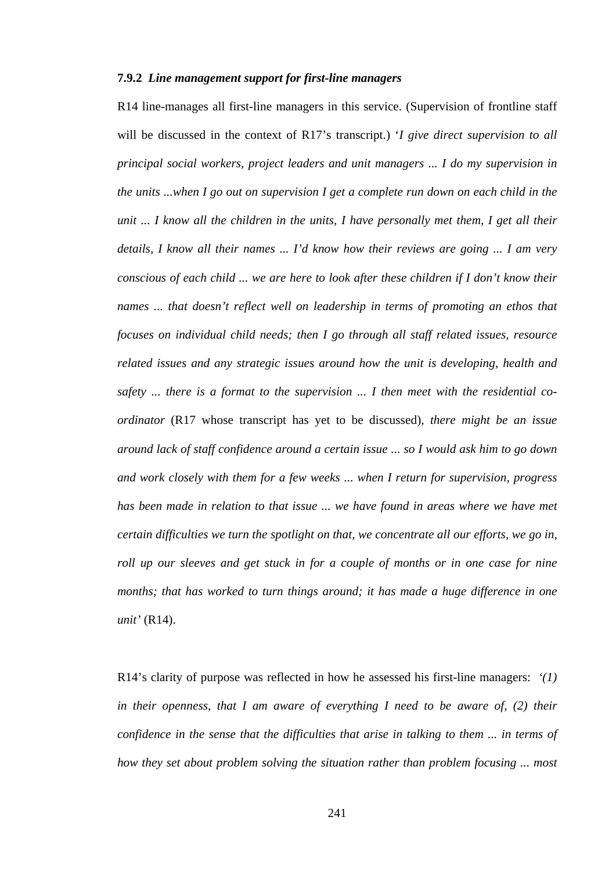# **7.9.2** *Line management support for first-line managers*

R14 line-manages all first-line managers in this service. (Supervision of frontline staff will be discussed in the context of R17's transcript.) '*I give direct supervision to all principal social workers, project leaders and unit managers ... I do my supervision in the units ...when I go out on supervision I get a complete run down on each child in the unit* ... I know all the children in the units, I have personally met them, I get all their *details, I know all their names ... I'd know how their reviews are going ... I am very conscious of each child ... we are here to look after these children if I don't know their names ... that doesn't reflect well on leadership in terms of promoting an ethos that focuses on individual child needs; then I go through all staff related issues, resource related issues and any strategic issues around how the unit is developing, health and safety ... there is a format to the supervision ... I then meet with the residential coordinator* (R17 whose transcript has yet to be discussed), *there might be an issue around lack of staff confidence around a certain issue ... so I would ask him to go down and work closely with them for a few weeks ... when I return for supervision, progress has been made in relation to that issue ... we have found in areas where we have met certain difficulties we turn the spotlight on that, we concentrate all our efforts, we go in, roll up our sleeves and get stuck in for a couple of months or in one case for nine months; that has worked to turn things around; it has made a huge difference in one unit'* (R14).

R14's clarity of purpose was reflected in how he assessed his first-line managers: *'(1) in their openness, that I am aware of everything I need to be aware of, (2) their confidence in the sense that the difficulties that arise in talking to them ... in terms of how they set about problem solving the situation rather than problem focusing ... most*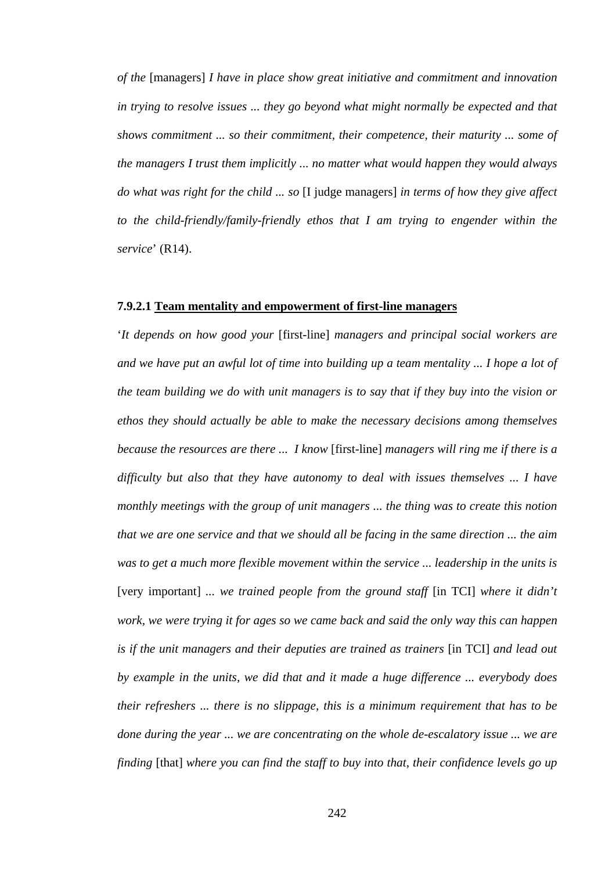*of the* [managers] *I have in place show great initiative and commitment and innovation in trying to resolve issues ... they go beyond what might normally be expected and that shows commitment ... so their commitment, their competence, their maturity ... some of the managers I trust them implicitly ... no matter what would happen they would always do what was right for the child ... so* [I judge managers] *in terms of how they give affect to the child-friendly/family-friendly ethos that I am trying to engender within the service*' (R14).

#### **7.9.2.1 Team mentality and empowerment of first-line managers**

'*It depends on how good your* [first-line] *managers and principal social workers are and we have put an awful lot of time into building up a team mentality ... I hope a lot of the team building we do with unit managers is to say that if they buy into the vision or ethos they should actually be able to make the necessary decisions among themselves because the resources are there ... I know* [first-line] *managers will ring me if there is a difficulty but also that they have autonomy to deal with issues themselves ... I have monthly meetings with the group of unit managers ... the thing was to create this notion that we are one service and that we should all be facing in the same direction ... the aim was to get a much more flexible movement within the service ... leadership in the units is*  [very important] *... we trained people from the ground staff* [in TCI] *where it didn't work, we were trying it for ages so we came back and said the only way this can happen is if the unit managers and their deputies are trained as trainers* [in TCI] *and lead out by example in the units, we did that and it made a huge difference ... everybody does their refreshers ... there is no slippage, this is a minimum requirement that has to be done during the year ... we are concentrating on the whole de-escalatory issue ... we are finding* [that] *where you can find the staff to buy into that, their confidence levels go up*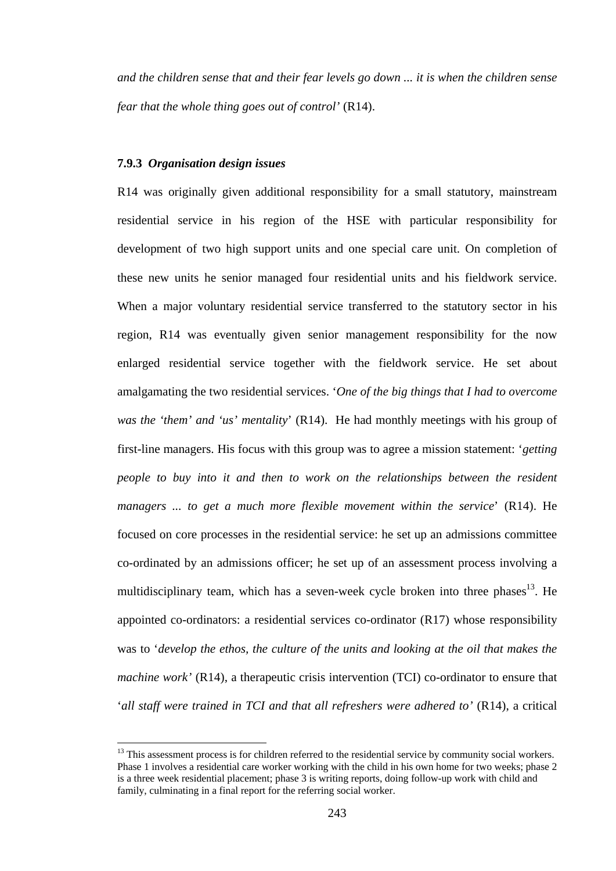*and the children sense that and their fear levels go down ... it is when the children sense fear that the whole thing goes out of control'* (R14).

#### **7.9.3** *Organisation design issues*

 $\overline{a}$ 

R14 was originally given additional responsibility for a small statutory, mainstream residential service in his region of the HSE with particular responsibility for development of two high support units and one special care unit. On completion of these new units he senior managed four residential units and his fieldwork service. When a major voluntary residential service transferred to the statutory sector in his region, R14 was eventually given senior management responsibility for the now enlarged residential service together with the fieldwork service. He set about amalgamating the two residential services. '*One of the big things that I had to overcome was the 'them' and 'us' mentality*' (R14). He had monthly meetings with his group of first-line managers. His focus with this group was to agree a mission statement: '*getting people to buy into it and then to work on the relationships between the resident managers ... to get a much more flexible movement within the service*' (R14). He focused on core processes in the residential service: he set up an admissions committee co-ordinated by an admissions officer; he set up of an assessment process involving a multidisciplinary team, which has a seven-week cycle broken into three phases<sup>13</sup>. He appointed co-ordinators: a residential services co-ordinator (R17) whose responsibility was to '*develop the ethos, the culture of the units and looking at the oil that makes the machine work'* (R14), a therapeutic crisis intervention (TCI) co-ordinator to ensure that '*all staff were trained in TCI and that all refreshers were adhered to'* (R14), a critical

<sup>&</sup>lt;sup>13</sup> This assessment process is for children referred to the residential service by community social workers. Phase 1 involves a residential care worker working with the child in his own home for two weeks; phase 2 is a three week residential placement; phase 3 is writing reports, doing follow-up work with child and family, culminating in a final report for the referring social worker.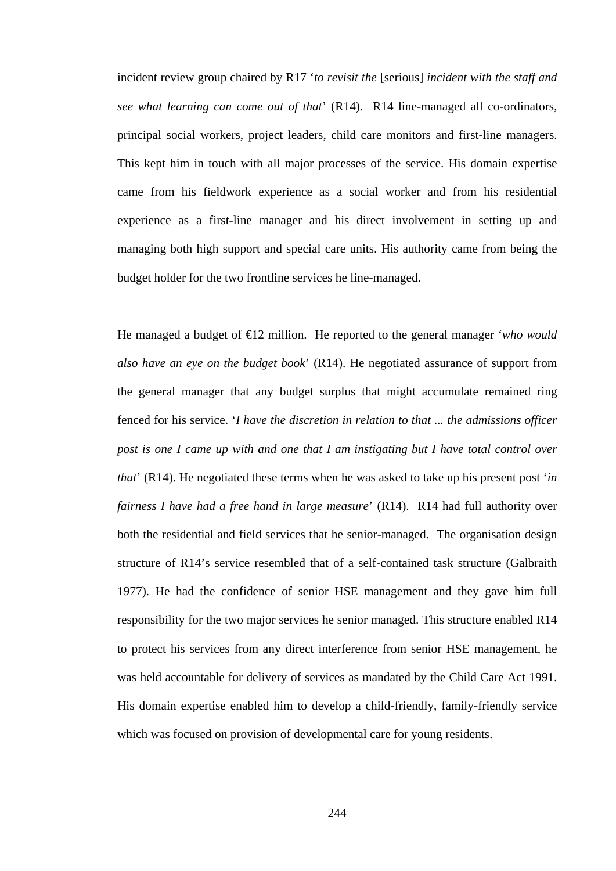incident review group chaired by R17 '*to revisit the* [serious] *incident with the staff and see what learning can come out of that*' (R14). R14 line-managed all co-ordinators, principal social workers, project leaders, child care monitors and first-line managers. This kept him in touch with all major processes of the service. His domain expertise came from his fieldwork experience as a social worker and from his residential experience as a first-line manager and his direct involvement in setting up and managing both high support and special care units. His authority came from being the budget holder for the two frontline services he line-managed.

He managed a budget of €12 million. He reported to the general manager '*who would also have an eye on the budget book*' (R14). He negotiated assurance of support from the general manager that any budget surplus that might accumulate remained ring fenced for his service. '*I have the discretion in relation to that ... the admissions officer post is one I came up with and one that I am instigating but I have total control over that*' (R14). He negotiated these terms when he was asked to take up his present post '*in fairness I have had a free hand in large measure*' (R14). R14 had full authority over both the residential and field services that he senior-managed. The organisation design structure of R14's service resembled that of a self-contained task structure (Galbraith 1977). He had the confidence of senior HSE management and they gave him full responsibility for the two major services he senior managed. This structure enabled R14 to protect his services from any direct interference from senior HSE management, he was held accountable for delivery of services as mandated by the Child Care Act 1991. His domain expertise enabled him to develop a child-friendly, family-friendly service which was focused on provision of developmental care for young residents.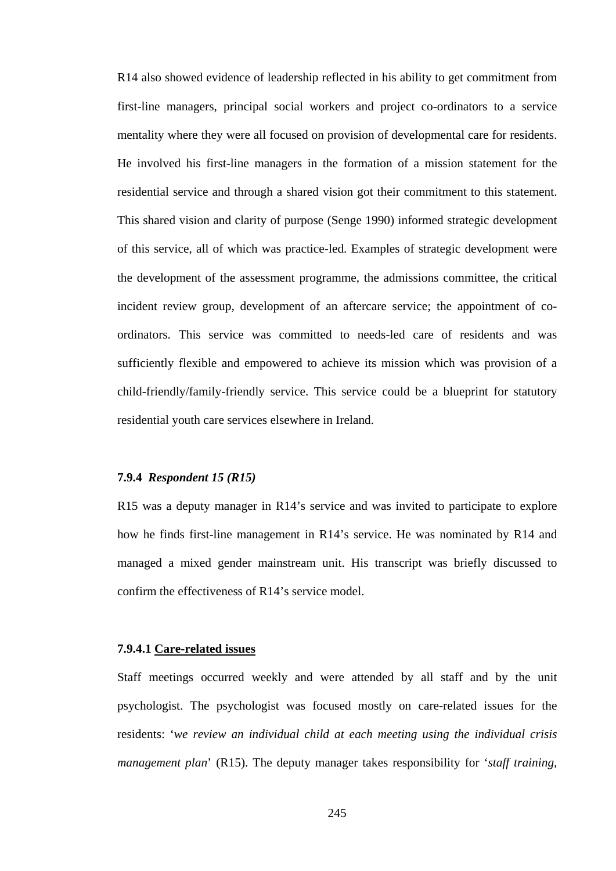R14 also showed evidence of leadership reflected in his ability to get commitment from first-line managers, principal social workers and project co-ordinators to a service mentality where they were all focused on provision of developmental care for residents. He involved his first-line managers in the formation of a mission statement for the residential service and through a shared vision got their commitment to this statement. This shared vision and clarity of purpose (Senge 1990) informed strategic development of this service, all of which was practice-led. Examples of strategic development were the development of the assessment programme, the admissions committee, the critical incident review group, development of an aftercare service; the appointment of coordinators. This service was committed to needs-led care of residents and was sufficiently flexible and empowered to achieve its mission which was provision of a child-friendly/family-friendly service. This service could be a blueprint for statutory residential youth care services elsewhere in Ireland.

### **7.9.4** *Respondent 15 (R15)*

R15 was a deputy manager in R14's service and was invited to participate to explore how he finds first-line management in R14's service. He was nominated by R14 and managed a mixed gender mainstream unit. His transcript was briefly discussed to confirm the effectiveness of R14's service model.

# **7.9.4.1 Care-related issues**

Staff meetings occurred weekly and were attended by all staff and by the unit psychologist. The psychologist was focused mostly on care-related issues for the residents: '*we review an individual child at each meeting using the individual crisis management plan*' (R15). The deputy manager takes responsibility for '*staff training,*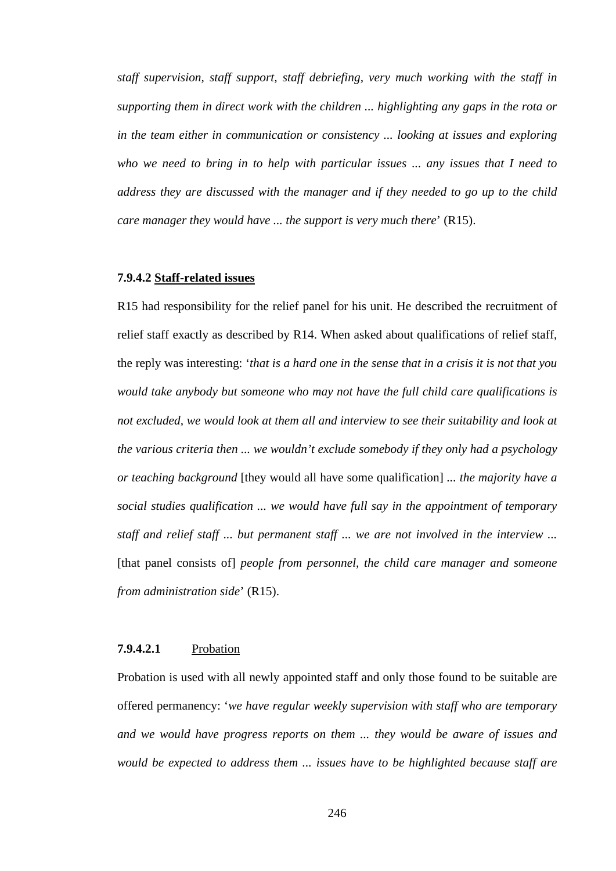*staff supervision, staff support, staff debriefing, very much working with the staff in supporting them in direct work with the children ... highlighting any gaps in the rota or in the team either in communication or consistency ... looking at issues and exploring who we need to bring in to help with particular issues ... any issues that I need to address they are discussed with the manager and if they needed to go up to the child care manager they would have ... the support is very much there*' (R15).

#### **7.9.4.2 Staff-related issues**

R15 had responsibility for the relief panel for his unit. He described the recruitment of relief staff exactly as described by R14. When asked about qualifications of relief staff, the reply was interesting: '*that is a hard one in the sense that in a crisis it is not that you would take anybody but someone who may not have the full child care qualifications is not excluded, we would look at them all and interview to see their suitability and look at the various criteria then ... we wouldn't exclude somebody if they only had a psychology or teaching background* [they would all have some qualification] *... the majority have a social studies qualification ... we would have full say in the appointment of temporary staff and relief staff ... but permanent staff ... we are not involved in the interview ...*  [that panel consists of] *people from personnel, the child care manager and someone from administration side*' (R15).

### **7.9.4.2.1** Probation

Probation is used with all newly appointed staff and only those found to be suitable are offered permanency: '*we have regular weekly supervision with staff who are temporary and we would have progress reports on them ... they would be aware of issues and would be expected to address them ... issues have to be highlighted because staff are*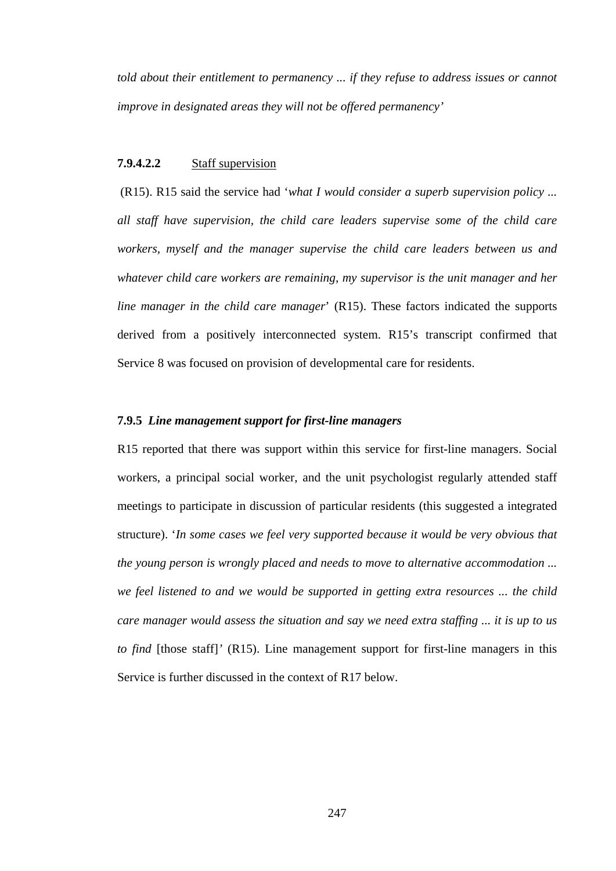*told about their entitlement to permanency ... if they refuse to address issues or cannot improve in designated areas they will not be offered permanency'* 

### **7.9.4.2.2** Staff supervision

(R15). R15 said the service had '*what I would consider a superb supervision policy ... all staff have supervision, the child care leaders supervise some of the child care workers, myself and the manager supervise the child care leaders between us and whatever child care workers are remaining, my supervisor is the unit manager and her line manager in the child care manager*' (R15). These factors indicated the supports derived from a positively interconnected system. R15's transcript confirmed that Service 8 was focused on provision of developmental care for residents.

# **7.9.5** *Line management support for first-line managers*

R15 reported that there was support within this service for first-line managers. Social workers, a principal social worker, and the unit psychologist regularly attended staff meetings to participate in discussion of particular residents (this suggested a integrated structure). '*In some cases we feel very supported because it would be very obvious that the young person is wrongly placed and needs to move to alternative accommodation ... we feel listened to and we would be supported in getting extra resources ... the child care manager would assess the situation and say we need extra staffing ... it is up to us to find* [those staff]' (R15). Line management support for first-line managers in this Service is further discussed in the context of R17 below.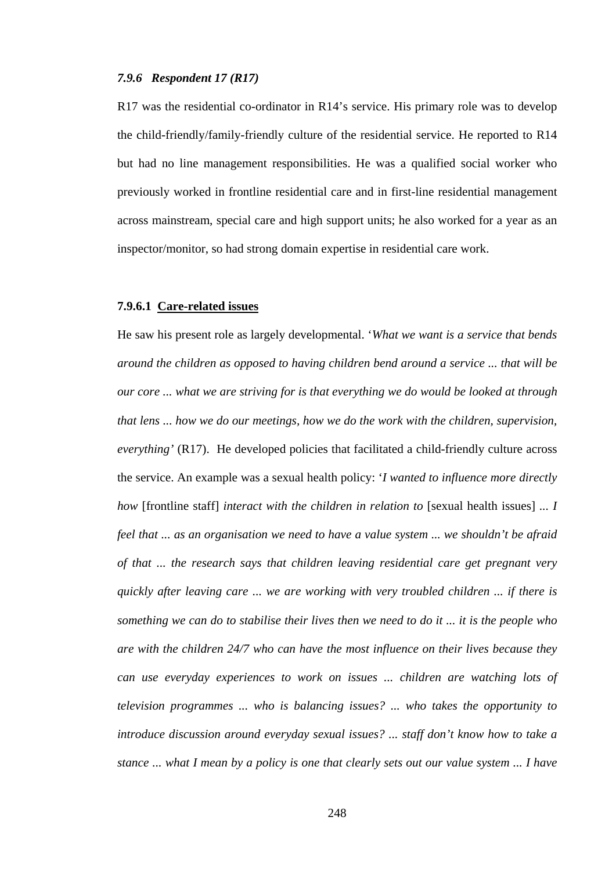# *7.9.6 Respondent 17 (R17)*

R17 was the residential co-ordinator in R14's service. His primary role was to develop the child-friendly/family-friendly culture of the residential service. He reported to R14 but had no line management responsibilities. He was a qualified social worker who previously worked in frontline residential care and in first-line residential management across mainstream, special care and high support units; he also worked for a year as an inspector/monitor, so had strong domain expertise in residential care work.

#### **7.9.6.1 Care-related issues**

He saw his present role as largely developmental. '*What we want is a service that bends around the children as opposed to having children bend around a service ... that will be our core ... what we are striving for is that everything we do would be looked at through that lens ... how we do our meetings, how we do the work with the children, supervision, everything'* (R17).He developed policies that facilitated a child-friendly culture across the service. An example was a sexual health policy: '*I wanted to influence more directly how* [frontline staff] *interact with the children in relation to* [sexual health issues] ... *I feel that ... as an organisation we need to have a value system ... we shouldn't be afraid of that ... the research says that children leaving residential care get pregnant very quickly after leaving care ... we are working with very troubled children ... if there is something we can do to stabilise their lives then we need to do it ... it is the people who are with the children 24/7 who can have the most influence on their lives because they can use everyday experiences to work on issues ... children are watching lots of television programmes ... who is balancing issues? ... who takes the opportunity to introduce discussion around everyday sexual issues? ... staff don't know how to take a stance ... what I mean by a policy is one that clearly sets out our value system ... I have*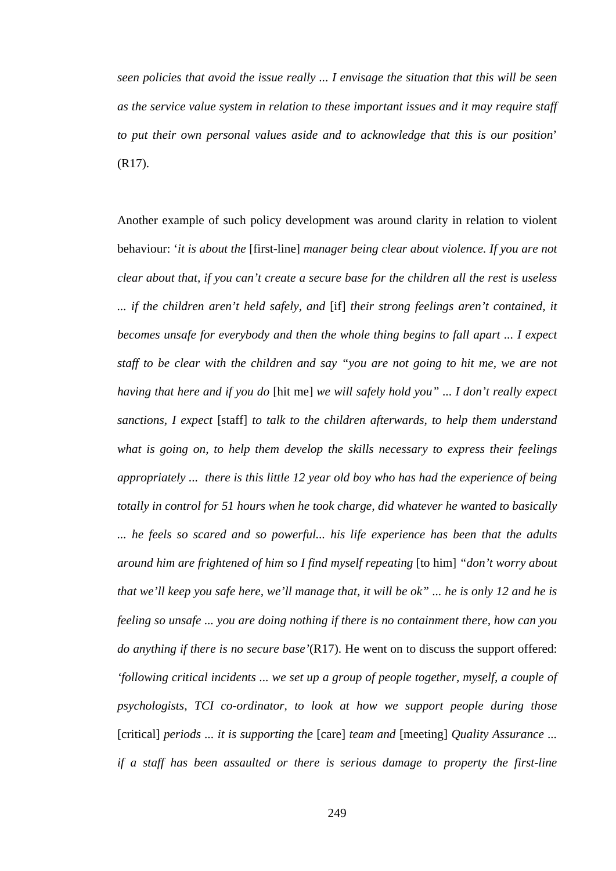*seen policies that avoid the issue really ... I envisage the situation that this will be seen as the service value system in relation to these important issues and it may require staff to put their own personal values aside and to acknowledge that this is our position*' (R17).

Another example of such policy development was around clarity in relation to violent behaviour: '*it is about the* [first-line] *manager being clear about violence. If you are not clear about that, if you can't create a secure base for the children all the rest is useless ... if the children aren't held safely, and* [if] *their strong feelings aren't contained, it becomes unsafe for everybody and then the whole thing begins to fall apart ... I expect staff to be clear with the children and say "you are not going to hit me, we are not having that here and if you do* [hit me] *we will safely hold you" ... I don't really expect sanctions, I expect* [staff] *to talk to the children afterwards, to help them understand what is going on, to help them develop the skills necessary to express their feelings appropriately ... there is this little 12 year old boy who has had the experience of being totally in control for 51 hours when he took charge, did whatever he wanted to basically ... he feels so scared and so powerful... his life experience has been that the adults around him are frightened of him so I find myself repeating* [to him] *"don't worry about that we'll keep you safe here, we'll manage that, it will be ok" ... he is only 12 and he is feeling so unsafe ... you are doing nothing if there is no containment there, how can you do anything if there is no secure base'*(R17). He went on to discuss the support offered: *'following critical incidents ... we set up a group of people together, myself, a couple of psychologists, TCI co-ordinator, to look at how we support people during those*  [critical] *periods ... it is supporting the* [care] *team and* [meeting] *Quality Assurance ... if a staff has been assaulted or there is serious damage to property the first-line*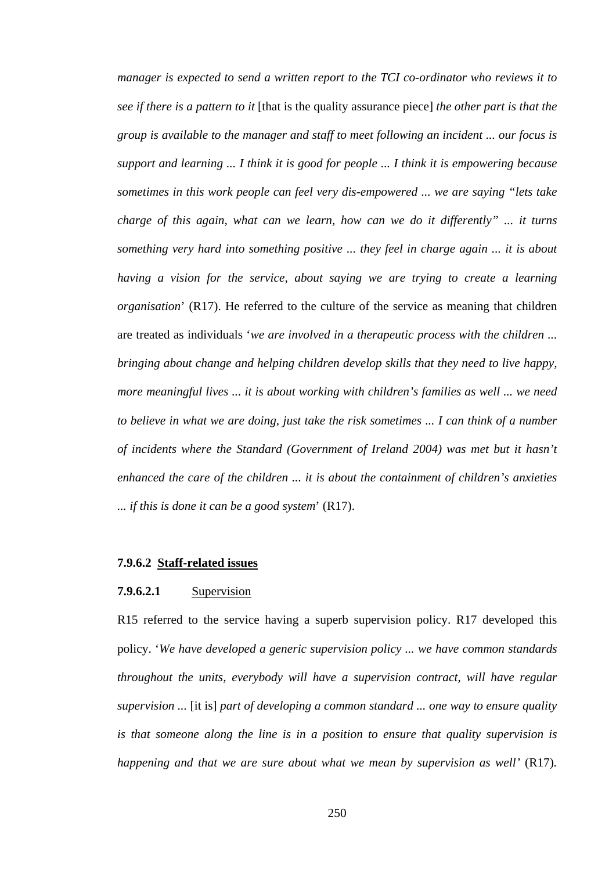*manager is expected to send a written report to the TCI co-ordinator who reviews it to see if there is a pattern to it* [that is the quality assurance piece] *the other part is that the group is available to the manager and staff to meet following an incident ... our focus is support and learning ... I think it is good for people ... I think it is empowering because sometimes in this work people can feel very dis-empowered ... we are saying "lets take charge of this again, what can we learn, how can we do it differently" ... it turns something very hard into something positive ... they feel in charge again ... it is about having a vision for the service, about saying we are trying to create a learning organisation*' (R17). He referred to the culture of the service as meaning that children are treated as individuals '*we are involved in a therapeutic process with the children ... bringing about change and helping children develop skills that they need to live happy, more meaningful lives ... it is about working with children's families as well ... we need to believe in what we are doing, just take the risk sometimes ... I can think of a number of incidents where the Standard (Government of Ireland 2004) was met but it hasn't enhanced the care of the children ... it is about the containment of children's anxieties ... if this is done it can be a good system*' (R17).

#### **7.9.6.2 Staff-related issues**

# **7.9.6.2.1** Supervision

R15 referred to the service having a superb supervision policy. R17 developed this policy. '*We have developed a generic supervision policy ... we have common standards throughout the units, everybody will have a supervision contract, will have regular supervision ...* [it is] *part of developing a common standard ... one way to ensure quality is that someone along the line is in a position to ensure that quality supervision is happening and that we are sure about what we mean by supervision as well'* (R17)*.*

250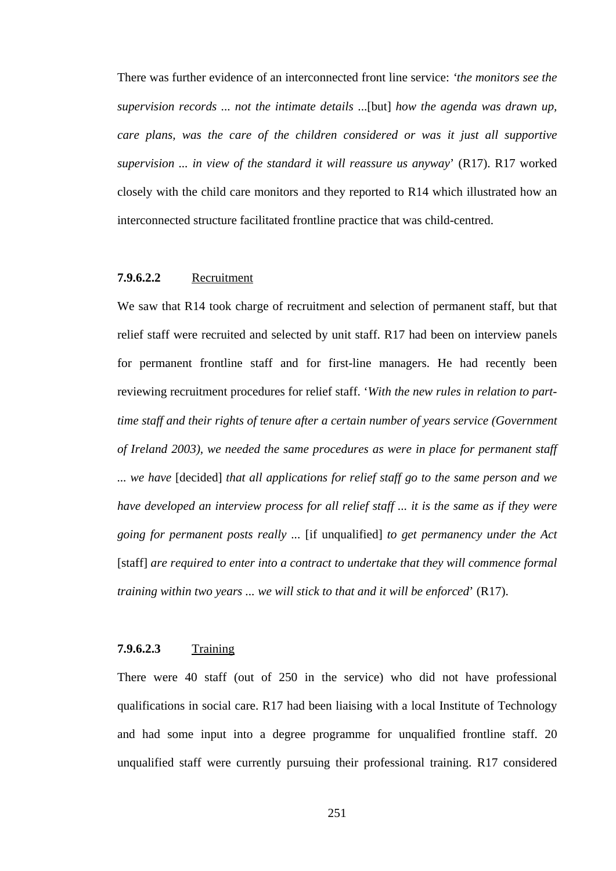There was further evidence of an interconnected front line service: *'the monitors see the supervision records ... not the intimate details* ...[but] *how the agenda was drawn up, care plans, was the care of the children considered or was it just all supportive supervision ... in view of the standard it will reassure us anyway*' (R17). R17 worked closely with the child care monitors and they reported to R14 which illustrated how an interconnected structure facilitated frontline practice that was child-centred.

# **7.9.6.2.2** Recruitment

We saw that R14 took charge of recruitment and selection of permanent staff, but that relief staff were recruited and selected by unit staff. R17 had been on interview panels for permanent frontline staff and for first-line managers. He had recently been reviewing recruitment procedures for relief staff. '*With the new rules in relation to parttime staff and their rights of tenure after a certain number of years service (Government of Ireland 2003), we needed the same procedures as were in place for permanent staff ... we have* [decided] *that all applications for relief staff go to the same person and we have developed an interview process for all relief staff ... it is the same as if they were going for permanent posts really ...* [if unqualified] *to get permanency under the Act*  [staff] *are required to enter into a contract to undertake that they will commence formal training within two years ... we will stick to that and it will be enforced*' (R17).

# **7.9.6.2.3** Training

There were 40 staff (out of 250 in the service) who did not have professional qualifications in social care. R17 had been liaising with a local Institute of Technology and had some input into a degree programme for unqualified frontline staff. 20 unqualified staff were currently pursuing their professional training. R17 considered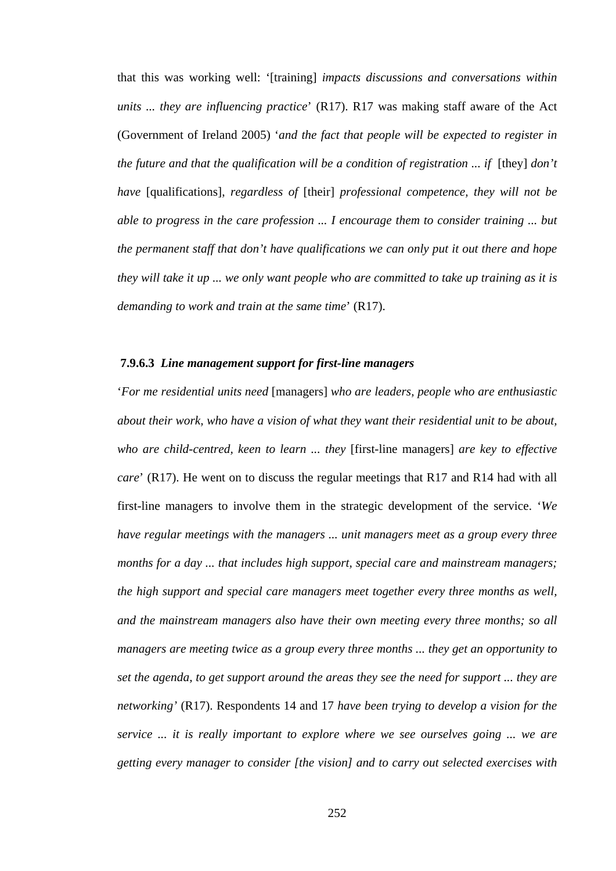that this was working well: '[training] *impacts discussions and conversations within units ... they are influencing practice*' (R17). R17 was making staff aware of the Act (Government of Ireland 2005) '*and the fact that people will be expected to register in the future and that the qualification will be a condition of registration ... if* [they] *don't have* [qualifications], *regardless of* [their] *professional competence, they will not be able to progress in the care profession ... I encourage them to consider training ... but the permanent staff that don't have qualifications we can only put it out there and hope they will take it up ... we only want people who are committed to take up training as it is demanding to work and train at the same time*' (R17).

#### **7.9.6.3** *Line management support for first-line managers*

'*For me residential units need* [managers] *who are leaders, people who are enthusiastic about their work, who have a vision of what they want their residential unit to be about, who are child-centred, keen to learn ... they* [first-line managers] *are key to effective care*' (R17). He went on to discuss the regular meetings that R17 and R14 had with all first-line managers to involve them in the strategic development of the service. '*We have regular meetings with the managers ... unit managers meet as a group every three months for a day ... that includes high support, special care and mainstream managers; the high support and special care managers meet together every three months as well, and the mainstream managers also have their own meeting every three months; so all managers are meeting twice as a group every three months ... they get an opportunity to set the agenda, to get support around the areas they see the need for support ... they are networking'* (R17). Respondents 14 and 17 *have been trying to develop a vision for the service ... it is really important to explore where we see ourselves going ... we are getting every manager to consider [the vision] and to carry out selected exercises with*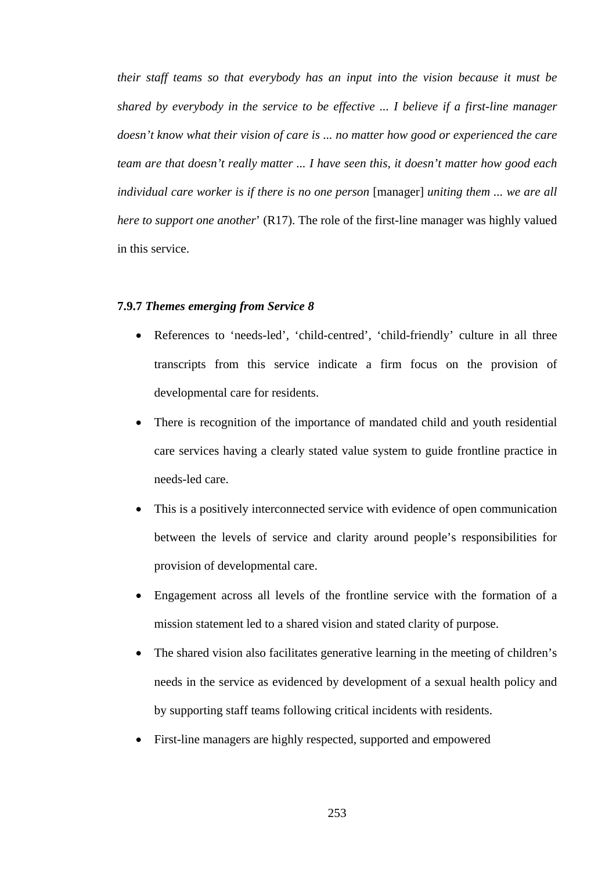*their staff teams so that everybody has an input into the vision because it must be shared by everybody in the service to be effective ... I believe if a first-line manager doesn't know what their vision of care is ... no matter how good or experienced the care team are that doesn't really matter ... I have seen this, it doesn't matter how good each individual care worker is if there is no one person* [manager] *uniting them ... we are all here to support one another*' (R17). The role of the first-line manager was highly valued in this service.

# **7.9.7** *Themes emerging from Service 8*

- References to 'needs-led', 'child-centred', 'child-friendly' culture in all three transcripts from this service indicate a firm focus on the provision of developmental care for residents.
- There is recognition of the importance of mandated child and youth residential care services having a clearly stated value system to guide frontline practice in needs-led care.
- This is a positively interconnected service with evidence of open communication between the levels of service and clarity around people's responsibilities for provision of developmental care.
- Engagement across all levels of the frontline service with the formation of a mission statement led to a shared vision and stated clarity of purpose.
- The shared vision also facilitates generative learning in the meeting of children's needs in the service as evidenced by development of a sexual health policy and by supporting staff teams following critical incidents with residents.
- First-line managers are highly respected, supported and empowered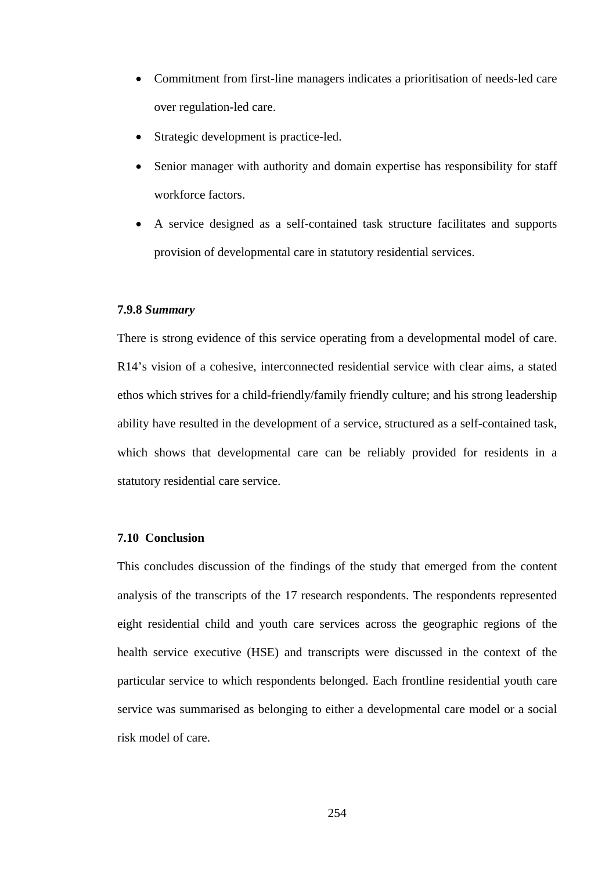- Commitment from first-line managers indicates a prioritisation of needs-led care over regulation-led care.
- Strategic development is practice-led.
- Senior manager with authority and domain expertise has responsibility for staff workforce factors.
- A service designed as a self-contained task structure facilitates and supports provision of developmental care in statutory residential services.

## **7.9.8** *Summary*

There is strong evidence of this service operating from a developmental model of care. R14's vision of a cohesive, interconnected residential service with clear aims, a stated ethos which strives for a child-friendly/family friendly culture; and his strong leadership ability have resulted in the development of a service, structured as a self-contained task, which shows that developmental care can be reliably provided for residents in a statutory residential care service.

# **7.10 Conclusion**

This concludes discussion of the findings of the study that emerged from the content analysis of the transcripts of the 17 research respondents. The respondents represented eight residential child and youth care services across the geographic regions of the health service executive (HSE) and transcripts were discussed in the context of the particular service to which respondents belonged. Each frontline residential youth care service was summarised as belonging to either a developmental care model or a social risk model of care.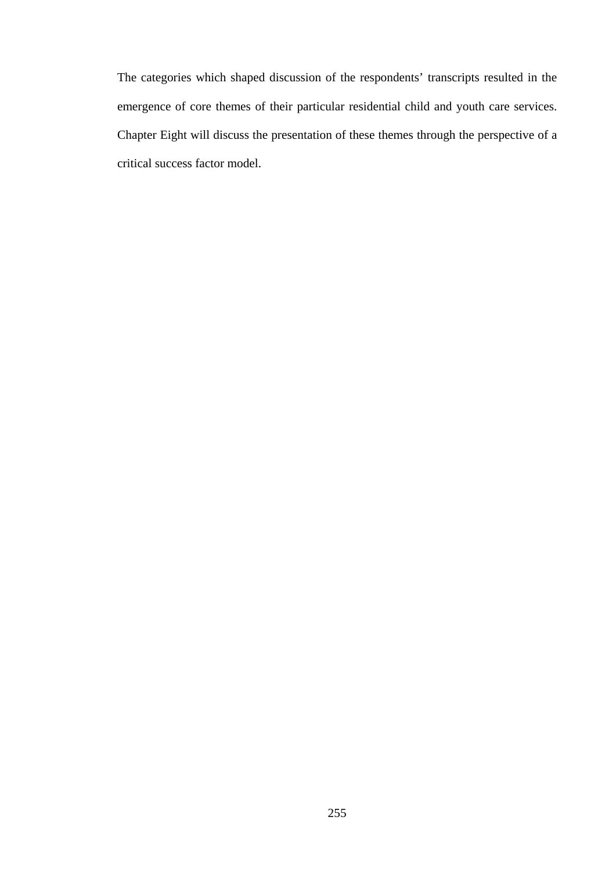The categories which shaped discussion of the respondents' transcripts resulted in the emergence of core themes of their particular residential child and youth care services. Chapter Eight will discuss the presentation of these themes through the perspective of a critical success factor model.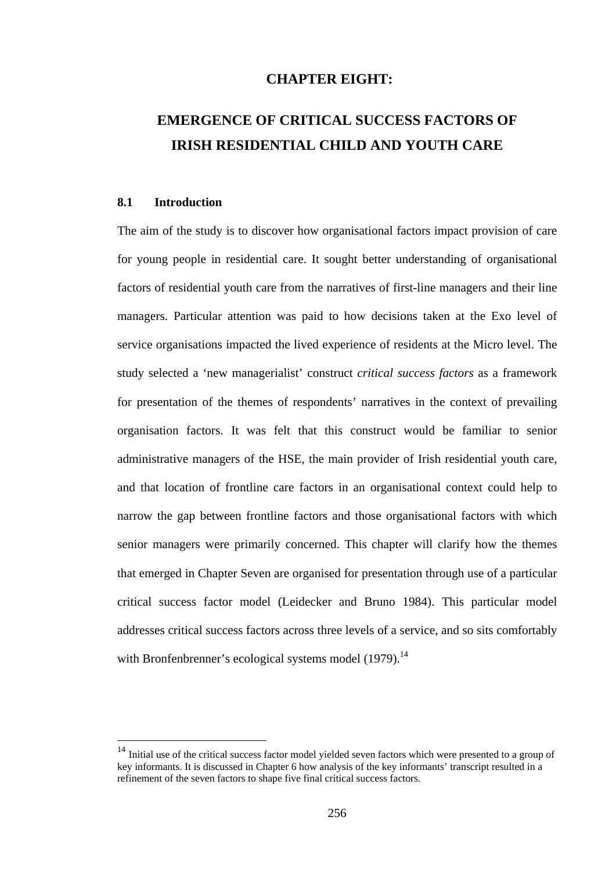# **CHAPTER EIGHT:**

# **EMERGENCE OF CRITICAL SUCCESS FACTORS OF IRISH RESIDENTIAL CHILD AND YOUTH CARE**

# **8.1 Introduction**

 $\overline{a}$ 

The aim of the study is to discover how organisational factors impact provision of care for young people in residential care. It sought better understanding of organisational factors of residential youth care from the narratives of first-line managers and their line managers. Particular attention was paid to how decisions taken at the Exo level of service organisations impacted the lived experience of residents at the Micro level. The study selected a 'new managerialist' construct *critical success factors* as a framework for presentation of the themes of respondents' narratives in the context of prevailing organisation factors. It was felt that this construct would be familiar to senior administrative managers of the HSE, the main provider of Irish residential youth care, and that location of frontline care factors in an organisational context could help to narrow the gap between frontline factors and those organisational factors with which senior managers were primarily concerned. This chapter will clarify how the themes that emerged in Chapter Seven are organised for presentation through use of a particular critical success factor model (Leidecker and Bruno 1984). This particular model addresses critical success factors across three levels of a service, and so sits comfortably with Bronfenbrenner's ecological systems model  $(1979)$ .<sup>14</sup>

<sup>&</sup>lt;sup>14</sup> Initial use of the critical success factor model yielded seven factors which were presented to a group of key informants. It is discussed in Chapter 6 how analysis of the key informants' transcript resulted in a refinement of the seven factors to shape five final critical success factors.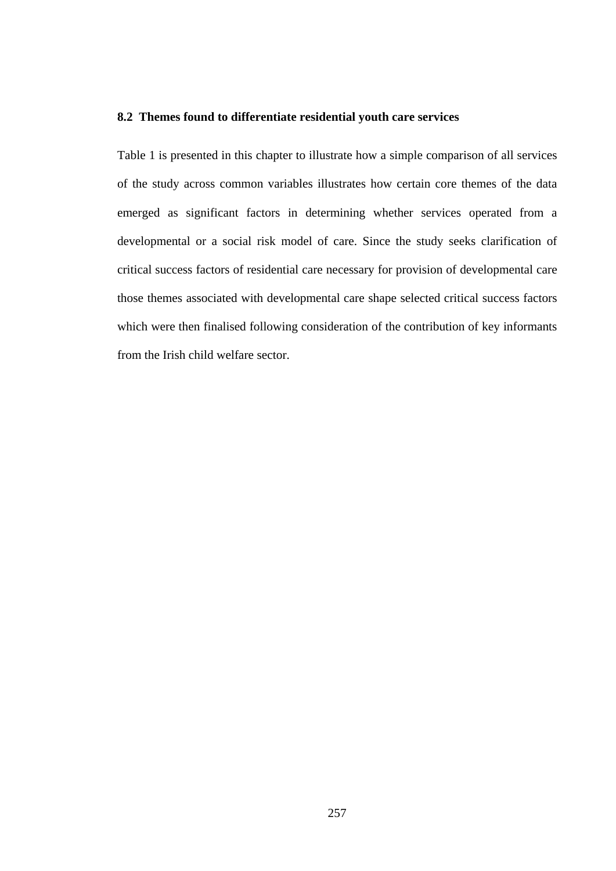# **8.2 Themes found to differentiate residential youth care services**

Table 1 is presented in this chapter to illustrate how a simple comparison of all services of the study across common variables illustrates how certain core themes of the data emerged as significant factors in determining whether services operated from a developmental or a social risk model of care. Since the study seeks clarification of critical success factors of residential care necessary for provision of developmental care those themes associated with developmental care shape selected critical success factors which were then finalised following consideration of the contribution of key informants from the Irish child welfare sector.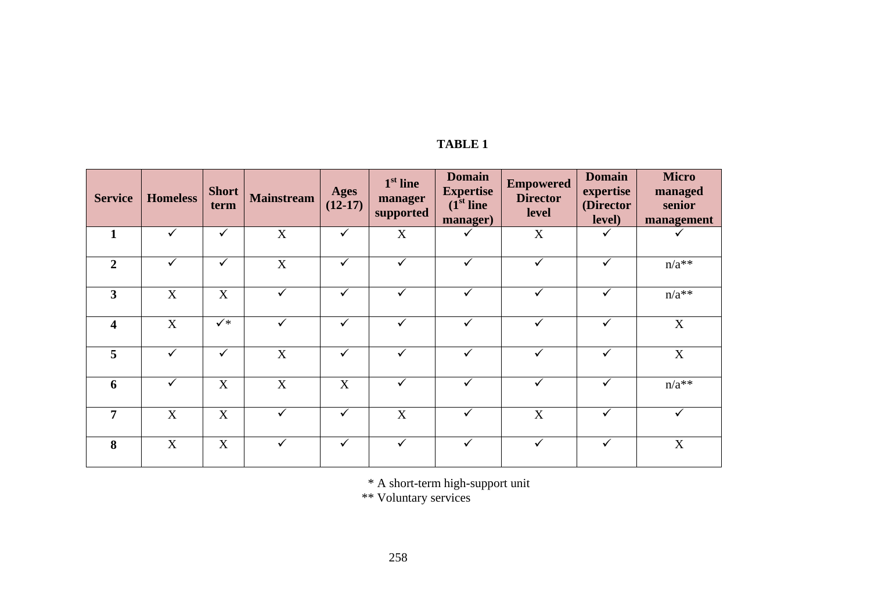| TABLE |  |
|-------|--|
|-------|--|

| <b>Service</b>          | <b>Homeless</b> | <b>Short</b><br>term | <b>Mainstream</b> | <b>Ages</b><br>$(12-17)$ | $1st$ line<br>manager<br>supported | <b>Domain</b><br><b>Expertise</b><br>$(1st$ line<br>manager) | <b>Empowered</b><br><b>Director</b><br>level | <b>Domain</b><br>expertise<br>(Director<br>level) | <b>Micro</b><br>managed<br>senior<br>management |
|-------------------------|-----------------|----------------------|-------------------|--------------------------|------------------------------------|--------------------------------------------------------------|----------------------------------------------|---------------------------------------------------|-------------------------------------------------|
| 1                       | $\checkmark$    | $\checkmark$         | X                 | $\checkmark$             | X                                  |                                                              | X                                            | ✓                                                 | ✓                                               |
| $\overline{2}$          | $\checkmark$    | $\checkmark$         | X                 | $\checkmark$             |                                    |                                                              | $\checkmark$                                 | $\checkmark$                                      | $n/a**$                                         |
| $\overline{\mathbf{3}}$ | X               | X                    |                   | $\checkmark$             | $\checkmark$                       |                                                              |                                              |                                                   | $n/a**$                                         |
| $\overline{\mathbf{4}}$ | X               | $\checkmark$         | $\checkmark$      | $\checkmark$             | $\checkmark$                       | $\checkmark$                                                 | ✓                                            | ✓                                                 | X                                               |
| 5                       | $\checkmark$    | $\checkmark$         | X                 | $\checkmark$             | $\checkmark$                       | $\checkmark$                                                 | $\checkmark$                                 | $\checkmark$                                      | X                                               |
| 6                       | $\checkmark$    | X                    | X                 | X                        | $\checkmark$                       | $\checkmark$                                                 | $\checkmark$                                 | $\checkmark$                                      | $n/a**$                                         |
| 7                       | X               | X                    |                   | $\checkmark$             | X                                  | ✓                                                            | X                                            | ✓                                                 | ✓                                               |
| 8                       | X               | X                    |                   | $\checkmark$             |                                    |                                                              |                                              | ✓                                                 | $\mathbf X$                                     |

\* A short-term high-support unit

\*\* Voluntary services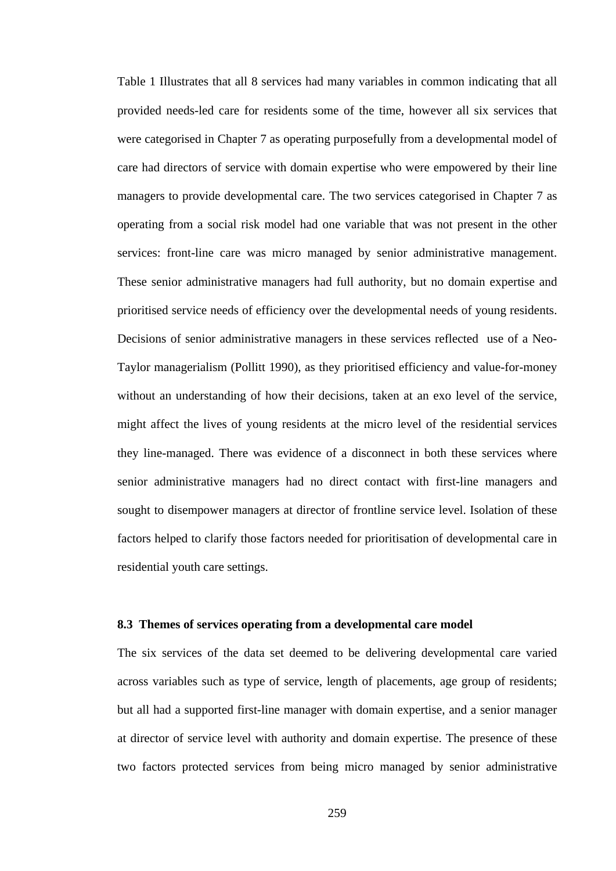Table 1 Illustrates that all 8 services had many variables in common indicating that all provided needs-led care for residents some of the time, however all six services that were categorised in Chapter 7 as operating purposefully from a developmental model of care had directors of service with domain expertise who were empowered by their line managers to provide developmental care. The two services categorised in Chapter 7 as operating from a social risk model had one variable that was not present in the other services: front-line care was micro managed by senior administrative management. These senior administrative managers had full authority, but no domain expertise and prioritised service needs of efficiency over the developmental needs of young residents. Decisions of senior administrative managers in these services reflected use of a Neo-Taylor managerialism (Pollitt 1990), as they prioritised efficiency and value-for-money without an understanding of how their decisions, taken at an exo level of the service, might affect the lives of young residents at the micro level of the residential services they line-managed. There was evidence of a disconnect in both these services where senior administrative managers had no direct contact with first-line managers and sought to disempower managers at director of frontline service level. Isolation of these factors helped to clarify those factors needed for prioritisation of developmental care in residential youth care settings.

#### **8.3 Themes of services operating from a developmental care model**

The six services of the data set deemed to be delivering developmental care varied across variables such as type of service, length of placements, age group of residents; but all had a supported first-line manager with domain expertise, and a senior manager at director of service level with authority and domain expertise. The presence of these two factors protected services from being micro managed by senior administrative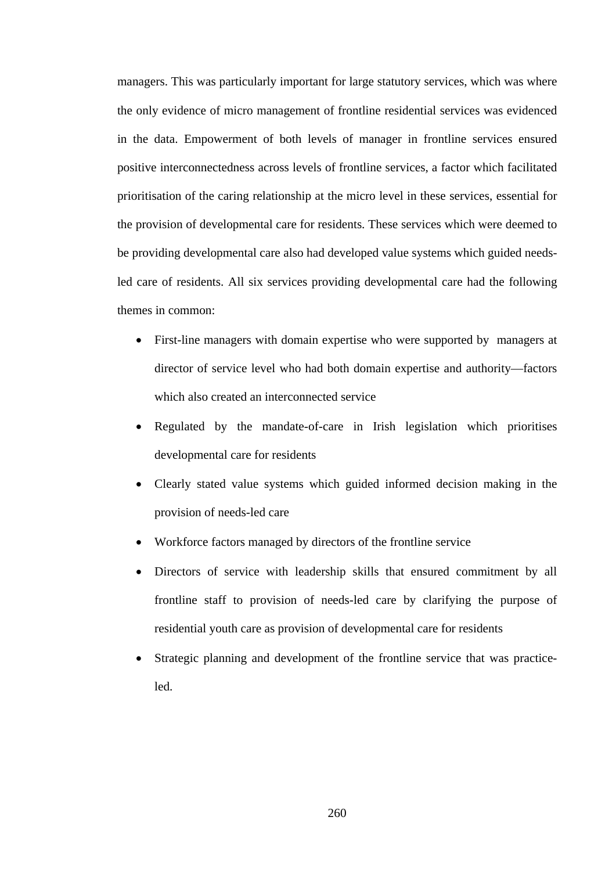managers. This was particularly important for large statutory services, which was where the only evidence of micro management of frontline residential services was evidenced in the data. Empowerment of both levels of manager in frontline services ensured positive interconnectedness across levels of frontline services, a factor which facilitated prioritisation of the caring relationship at the micro level in these services, essential for the provision of developmental care for residents. These services which were deemed to be providing developmental care also had developed value systems which guided needsled care of residents. All six services providing developmental care had the following themes in common:

- First-line managers with domain expertise who were supported by managers at director of service level who had both domain expertise and authority—factors which also created an interconnected service
- Regulated by the mandate-of-care in Irish legislation which prioritises developmental care for residents
- Clearly stated value systems which guided informed decision making in the provision of needs-led care
- Workforce factors managed by directors of the frontline service
- Directors of service with leadership skills that ensured commitment by all frontline staff to provision of needs-led care by clarifying the purpose of residential youth care as provision of developmental care for residents
- Strategic planning and development of the frontline service that was practiceled.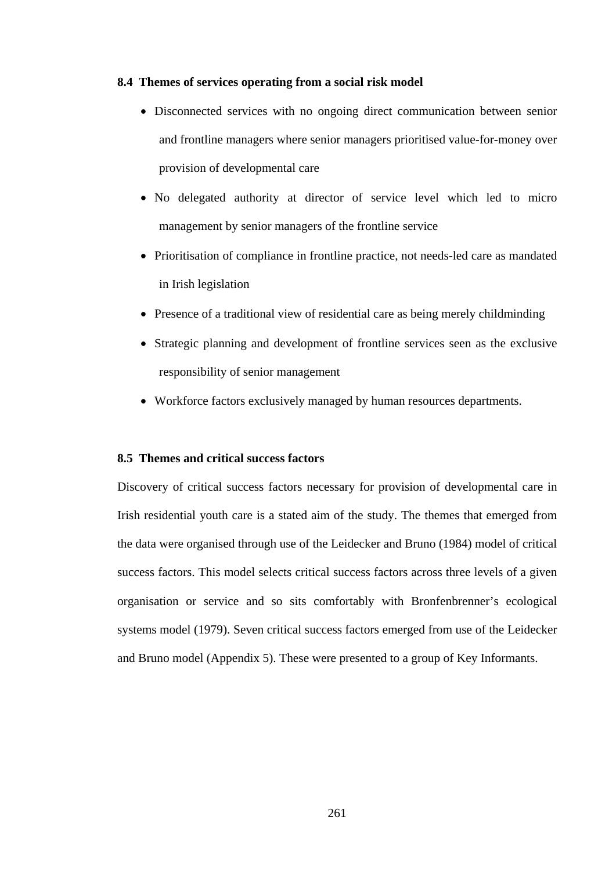#### **8.4 Themes of services operating from a social risk model**

- Disconnected services with no ongoing direct communication between senior and frontline managers where senior managers prioritised value-for-money over provision of developmental care
- No delegated authority at director of service level which led to micro management by senior managers of the frontline service
- Prioritisation of compliance in frontline practice, not needs-led care as mandated in Irish legislation
- Presence of a traditional view of residential care as being merely childminding
- Strategic planning and development of frontline services seen as the exclusive responsibility of senior management
- Workforce factors exclusively managed by human resources departments.

# **8.5 Themes and critical success factors**

Discovery of critical success factors necessary for provision of developmental care in Irish residential youth care is a stated aim of the study. The themes that emerged from the data were organised through use of the Leidecker and Bruno (1984) model of critical success factors. This model selects critical success factors across three levels of a given organisation or service and so sits comfortably with Bronfenbrenner's ecological systems model (1979). Seven critical success factors emerged from use of the Leidecker and Bruno model (Appendix 5). These were presented to a group of Key Informants.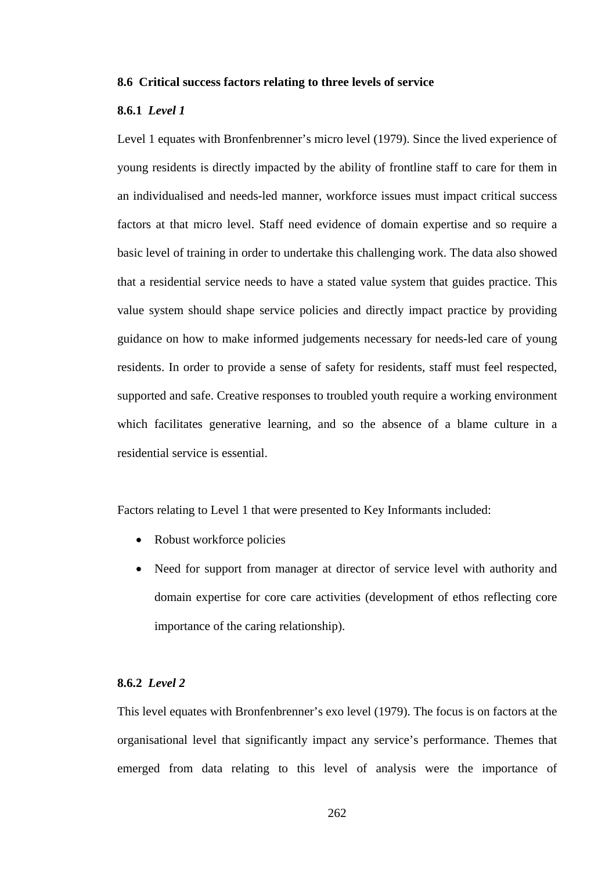#### **8.6 Critical success factors relating to three levels of service**

# **8.6.1** *Level 1*

Level 1 equates with Bronfenbrenner's micro level (1979). Since the lived experience of young residents is directly impacted by the ability of frontline staff to care for them in an individualised and needs-led manner, workforce issues must impact critical success factors at that micro level. Staff need evidence of domain expertise and so require a basic level of training in order to undertake this challenging work. The data also showed that a residential service needs to have a stated value system that guides practice. This value system should shape service policies and directly impact practice by providing guidance on how to make informed judgements necessary for needs-led care of young residents. In order to provide a sense of safety for residents, staff must feel respected, supported and safe. Creative responses to troubled youth require a working environment which facilitates generative learning, and so the absence of a blame culture in a residential service is essential.

Factors relating to Level 1 that were presented to Key Informants included:

- Robust workforce policies
- Need for support from manager at director of service level with authority and domain expertise for core care activities (development of ethos reflecting core importance of the caring relationship).

#### **8.6.2** *Level 2*

This level equates with Bronfenbrenner's exo level (1979). The focus is on factors at the organisational level that significantly impact any service's performance. Themes that emerged from data relating to this level of analysis were the importance of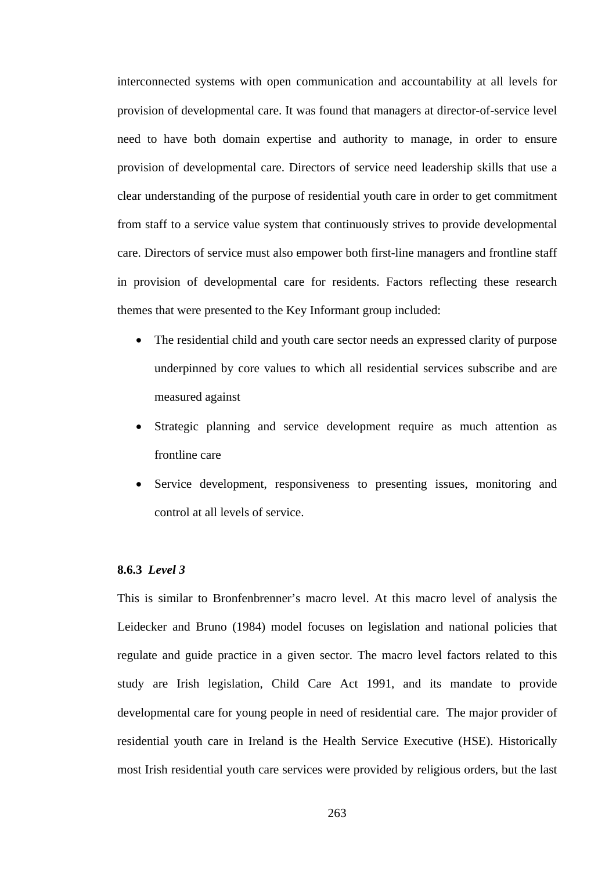interconnected systems with open communication and accountability at all levels for provision of developmental care. It was found that managers at director-of-service level need to have both domain expertise and authority to manage, in order to ensure provision of developmental care. Directors of service need leadership skills that use a clear understanding of the purpose of residential youth care in order to get commitment from staff to a service value system that continuously strives to provide developmental care. Directors of service must also empower both first-line managers and frontline staff in provision of developmental care for residents. Factors reflecting these research themes that were presented to the Key Informant group included:

- The residential child and youth care sector needs an expressed clarity of purpose underpinned by core values to which all residential services subscribe and are measured against
- Strategic planning and service development require as much attention as frontline care
- Service development, responsiveness to presenting issues, monitoring and control at all levels of service.

### **8.6.3** *Level 3*

This is similar to Bronfenbrenner's macro level. At this macro level of analysis the Leidecker and Bruno (1984) model focuses on legislation and national policies that regulate and guide practice in a given sector. The macro level factors related to this study are Irish legislation, Child Care Act 1991, and its mandate to provide developmental care for young people in need of residential care. The major provider of residential youth care in Ireland is the Health Service Executive (HSE). Historically most Irish residential youth care services were provided by religious orders, but the last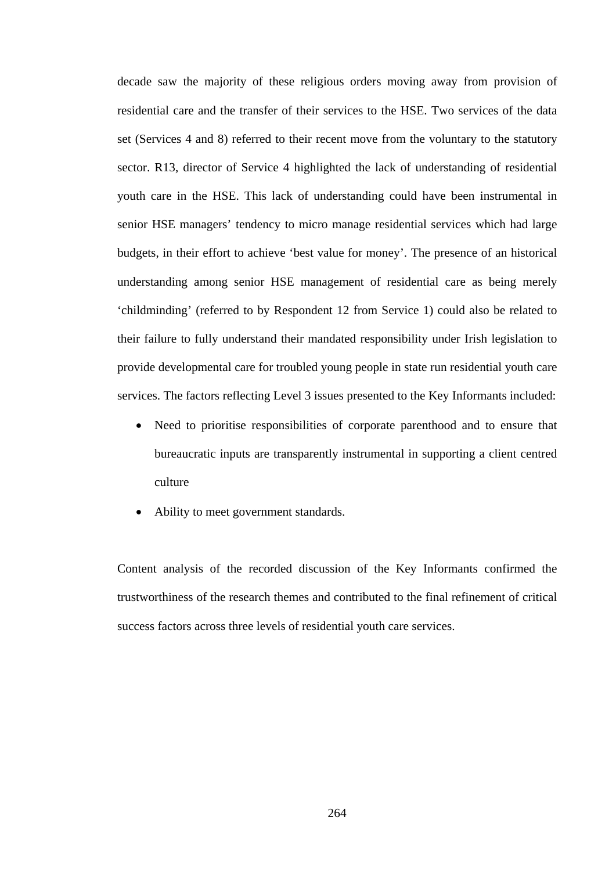decade saw the majority of these religious orders moving away from provision of residential care and the transfer of their services to the HSE. Two services of the data set (Services 4 and 8) referred to their recent move from the voluntary to the statutory sector. R13, director of Service 4 highlighted the lack of understanding of residential youth care in the HSE. This lack of understanding could have been instrumental in senior HSE managers' tendency to micro manage residential services which had large budgets, in their effort to achieve 'best value for money'. The presence of an historical understanding among senior HSE management of residential care as being merely 'childminding' (referred to by Respondent 12 from Service 1) could also be related to their failure to fully understand their mandated responsibility under Irish legislation to provide developmental care for troubled young people in state run residential youth care services. The factors reflecting Level 3 issues presented to the Key Informants included:

- Need to prioritise responsibilities of corporate parenthood and to ensure that bureaucratic inputs are transparently instrumental in supporting a client centred culture
- Ability to meet government standards.

Content analysis of the recorded discussion of the Key Informants confirmed the trustworthiness of the research themes and contributed to the final refinement of critical success factors across three levels of residential youth care services.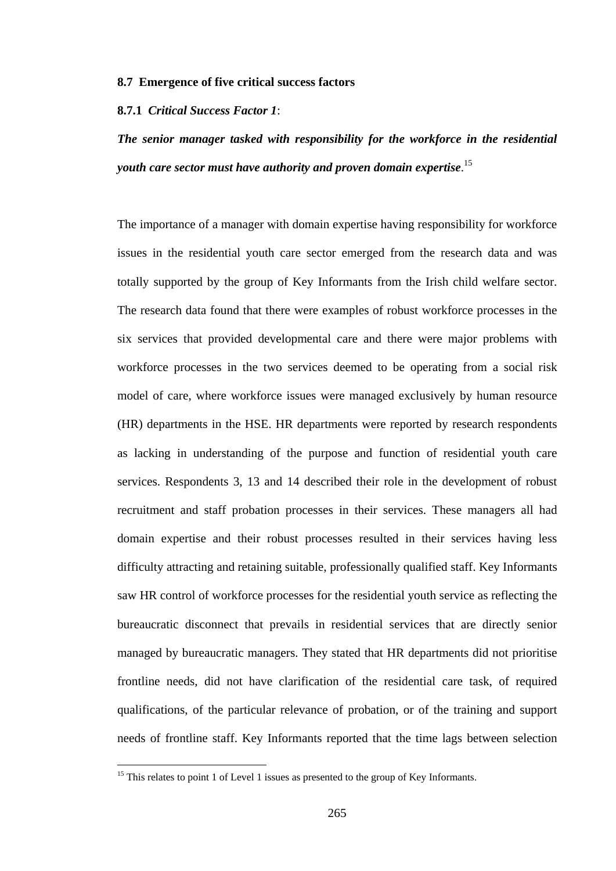#### **8.7 Emergence of five critical success factors**

#### **8.7.1** *Critical Success Factor 1*:

*The senior manager tasked with responsibility for the workforce in the residential youth care sector must have authority and proven domain expertise*. 15

The importance of a manager with domain expertise having responsibility for workforce issues in the residential youth care sector emerged from the research data and was totally supported by the group of Key Informants from the Irish child welfare sector. The research data found that there were examples of robust workforce processes in the six services that provided developmental care and there were major problems with workforce processes in the two services deemed to be operating from a social risk model of care, where workforce issues were managed exclusively by human resource (HR) departments in the HSE. HR departments were reported by research respondents as lacking in understanding of the purpose and function of residential youth care services. Respondents 3, 13 and 14 described their role in the development of robust recruitment and staff probation processes in their services. These managers all had domain expertise and their robust processes resulted in their services having less difficulty attracting and retaining suitable, professionally qualified staff. Key Informants saw HR control of workforce processes for the residential youth service as reflecting the bureaucratic disconnect that prevails in residential services that are directly senior managed by bureaucratic managers. They stated that HR departments did not prioritise frontline needs, did not have clarification of the residential care task, of required qualifications, of the particular relevance of probation, or of the training and support needs of frontline staff. Key Informants reported that the time lags between selection

 $\overline{a}$ 

<sup>&</sup>lt;sup>15</sup> This relates to point 1 of Level 1 issues as presented to the group of Key Informants.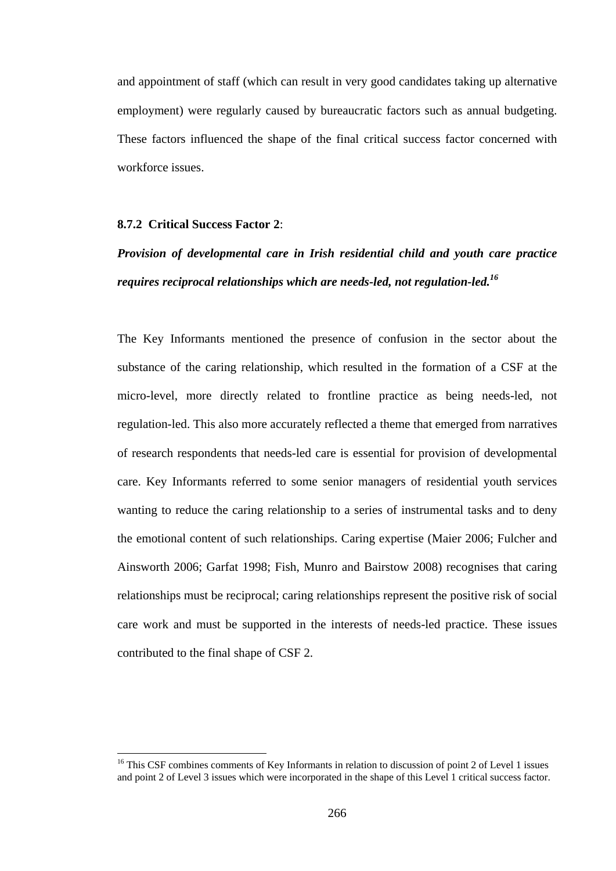and appointment of staff (which can result in very good candidates taking up alternative employment) were regularly caused by bureaucratic factors such as annual budgeting. These factors influenced the shape of the final critical success factor concerned with workforce issues.

## **8.7.2 Critical Success Factor 2**:

 $\overline{a}$ 

# *Provision of developmental care in Irish residential child and youth care practice requires reciprocal relationships which are needs-led, not regulation-led.<sup>16</sup>*

The Key Informants mentioned the presence of confusion in the sector about the substance of the caring relationship, which resulted in the formation of a CSF at the micro-level, more directly related to frontline practice as being needs-led, not regulation-led. This also more accurately reflected a theme that emerged from narratives of research respondents that needs-led care is essential for provision of developmental care. Key Informants referred to some senior managers of residential youth services wanting to reduce the caring relationship to a series of instrumental tasks and to deny the emotional content of such relationships. Caring expertise (Maier 2006; Fulcher and Ainsworth 2006; Garfat 1998; Fish, Munro and Bairstow 2008) recognises that caring relationships must be reciprocal; caring relationships represent the positive risk of social care work and must be supported in the interests of needs-led practice. These issues contributed to the final shape of CSF 2.

<sup>&</sup>lt;sup>16</sup> This CSF combines comments of Key Informants in relation to discussion of point 2 of Level 1 issues and point 2 of Level 3 issues which were incorporated in the shape of this Level 1 critical success factor.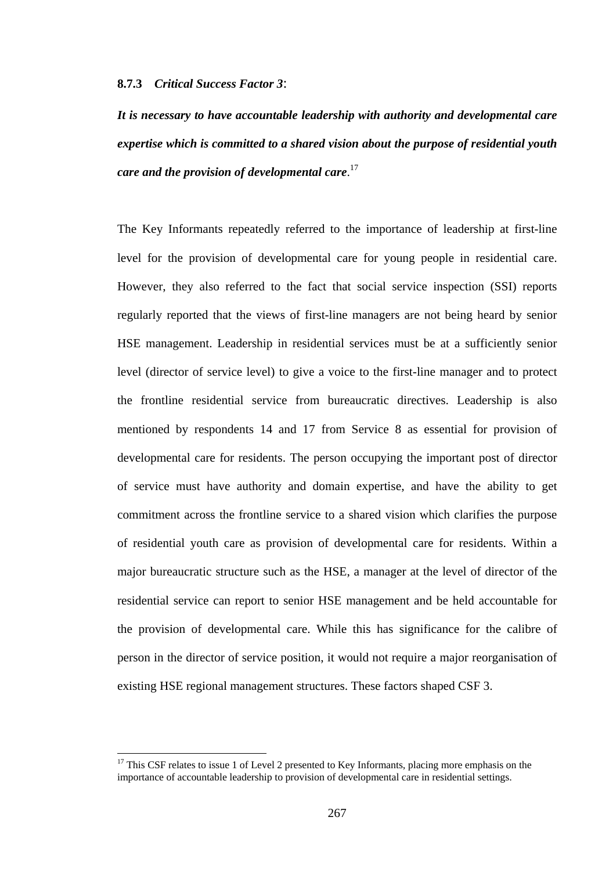#### **8.7.3** *Critical Success Factor 3*:

*It is necessary to have accountable leadership with authority and developmental care expertise which is committed to a shared vision about the purpose of residential youth care and the provision of developmental care*. 17

The Key Informants repeatedly referred to the importance of leadership at first-line level for the provision of developmental care for young people in residential care. However, they also referred to the fact that social service inspection (SSI) reports regularly reported that the views of first-line managers are not being heard by senior HSE management. Leadership in residential services must be at a sufficiently senior level (director of service level) to give a voice to the first-line manager and to protect the frontline residential service from bureaucratic directives. Leadership is also mentioned by respondents 14 and 17 from Service 8 as essential for provision of developmental care for residents. The person occupying the important post of director of service must have authority and domain expertise, and have the ability to get commitment across the frontline service to a shared vision which clarifies the purpose of residential youth care as provision of developmental care for residents. Within a major bureaucratic structure such as the HSE, a manager at the level of director of the residential service can report to senior HSE management and be held accountable for the provision of developmental care. While this has significance for the calibre of person in the director of service position, it would not require a major reorganisation of existing HSE regional management structures. These factors shaped CSF 3.

 $\overline{a}$ 

 $17$  This CSF relates to issue 1 of Level 2 presented to Key Informants, placing more emphasis on the importance of accountable leadership to provision of developmental care in residential settings.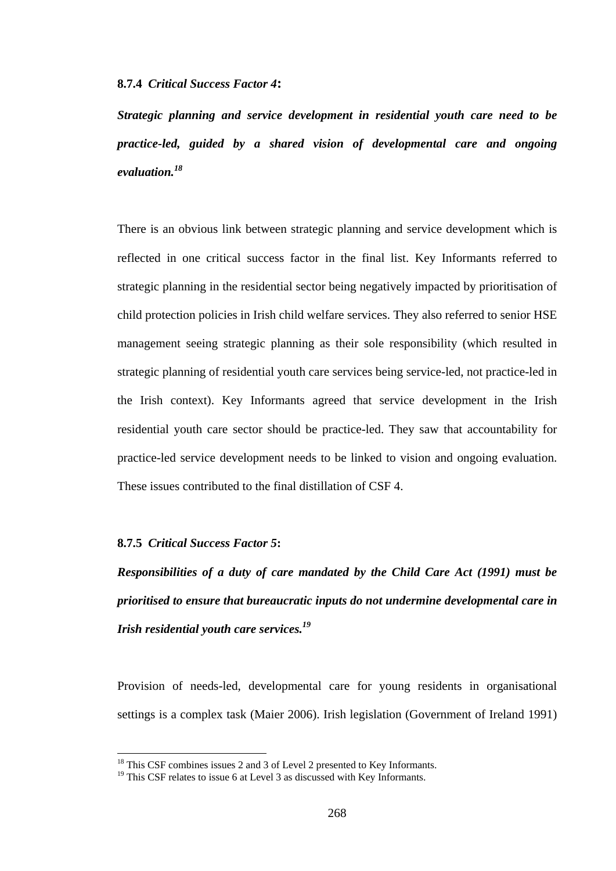#### **8.7.4** *Critical Success Factor 4***:**

*Strategic planning and service development in residential youth care need to be practice-led, guided by a shared vision of developmental care and ongoing evaluation.18* 

There is an obvious link between strategic planning and service development which is reflected in one critical success factor in the final list. Key Informants referred to strategic planning in the residential sector being negatively impacted by prioritisation of child protection policies in Irish child welfare services. They also referred to senior HSE management seeing strategic planning as their sole responsibility (which resulted in strategic planning of residential youth care services being service-led, not practice-led in the Irish context). Key Informants agreed that service development in the Irish residential youth care sector should be practice-led. They saw that accountability for practice-led service development needs to be linked to vision and ongoing evaluation. These issues contributed to the final distillation of CSF 4.

# **8.7.5** *Critical Success Factor 5***:**

 $\overline{a}$ 

*Responsibilities of a duty of care mandated by the Child Care Act (1991) must be prioritised to ensure that bureaucratic inputs do not undermine developmental care in Irish residential youth care services.<sup>19</sup>*

Provision of needs-led, developmental care for young residents in organisational settings is a complex task (Maier 2006). Irish legislation (Government of Ireland 1991)

<sup>&</sup>lt;sup>18</sup> This CSF combines issues 2 and 3 of Level 2 presented to Key Informants.

<sup>&</sup>lt;sup>19</sup> This CSF relates to issue 6 at Level 3 as discussed with Key Informants.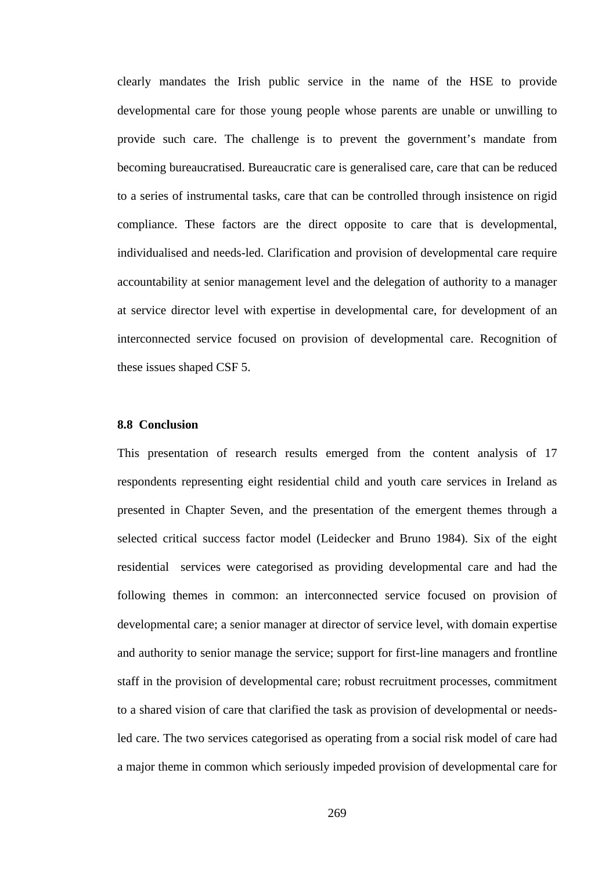clearly mandates the Irish public service in the name of the HSE to provide developmental care for those young people whose parents are unable or unwilling to provide such care. The challenge is to prevent the government's mandate from becoming bureaucratised. Bureaucratic care is generalised care, care that can be reduced to a series of instrumental tasks, care that can be controlled through insistence on rigid compliance. These factors are the direct opposite to care that is developmental, individualised and needs-led. Clarification and provision of developmental care require accountability at senior management level and the delegation of authority to a manager at service director level with expertise in developmental care, for development of an interconnected service focused on provision of developmental care. Recognition of these issues shaped CSF 5.

# **8.8 Conclusion**

This presentation of research results emerged from the content analysis of 17 respondents representing eight residential child and youth care services in Ireland as presented in Chapter Seven, and the presentation of the emergent themes through a selected critical success factor model (Leidecker and Bruno 1984). Six of the eight residential services were categorised as providing developmental care and had the following themes in common: an interconnected service focused on provision of developmental care; a senior manager at director of service level, with domain expertise and authority to senior manage the service; support for first-line managers and frontline staff in the provision of developmental care; robust recruitment processes, commitment to a shared vision of care that clarified the task as provision of developmental or needsled care. The two services categorised as operating from a social risk model of care had a major theme in common which seriously impeded provision of developmental care for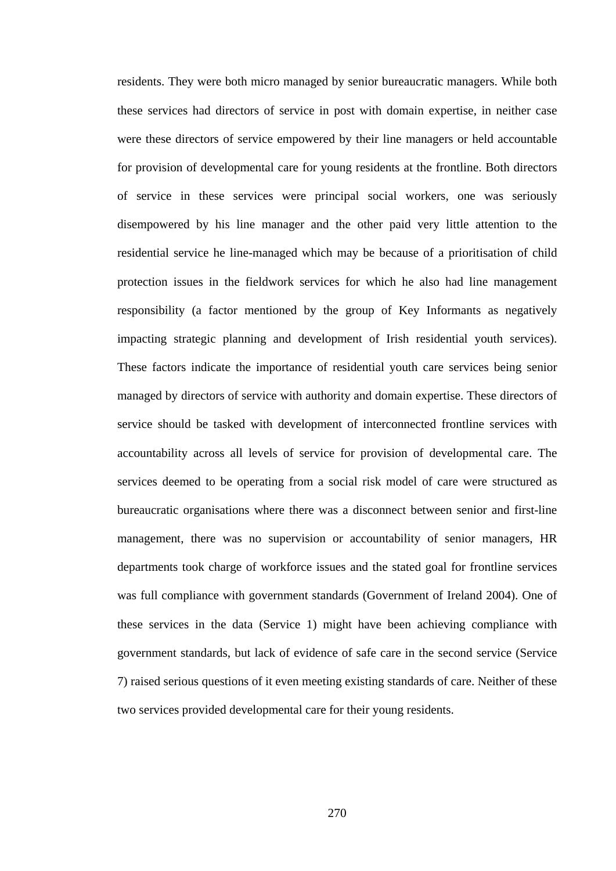residents. They were both micro managed by senior bureaucratic managers. While both these services had directors of service in post with domain expertise, in neither case were these directors of service empowered by their line managers or held accountable for provision of developmental care for young residents at the frontline. Both directors of service in these services were principal social workers, one was seriously disempowered by his line manager and the other paid very little attention to the residential service he line-managed which may be because of a prioritisation of child protection issues in the fieldwork services for which he also had line management responsibility (a factor mentioned by the group of Key Informants as negatively impacting strategic planning and development of Irish residential youth services). These factors indicate the importance of residential youth care services being senior managed by directors of service with authority and domain expertise. These directors of service should be tasked with development of interconnected frontline services with accountability across all levels of service for provision of developmental care. The services deemed to be operating from a social risk model of care were structured as bureaucratic organisations where there was a disconnect between senior and first-line management, there was no supervision or accountability of senior managers, HR departments took charge of workforce issues and the stated goal for frontline services was full compliance with government standards (Government of Ireland 2004). One of these services in the data (Service 1) might have been achieving compliance with government standards, but lack of evidence of safe care in the second service (Service 7) raised serious questions of it even meeting existing standards of care. Neither of these two services provided developmental care for their young residents.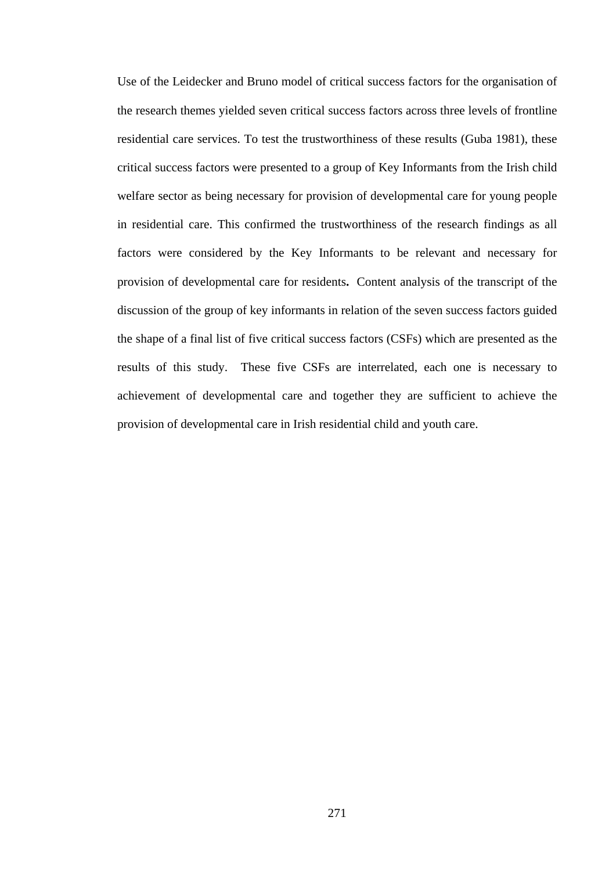Use of the Leidecker and Bruno model of critical success factors for the organisation of the research themes yielded seven critical success factors across three levels of frontline residential care services. To test the trustworthiness of these results (Guba 1981), these critical success factors were presented to a group of Key Informants from the Irish child welfare sector as being necessary for provision of developmental care for young people in residential care. This confirmed the trustworthiness of the research findings as all factors were considered by the Key Informants to be relevant and necessary for provision of developmental care for residents**.** Content analysis of the transcript of the discussion of the group of key informants in relation of the seven success factors guided the shape of a final list of five critical success factors (CSFs) which are presented as the results of this study. These five CSFs are interrelated, each one is necessary to achievement of developmental care and together they are sufficient to achieve the provision of developmental care in Irish residential child and youth care.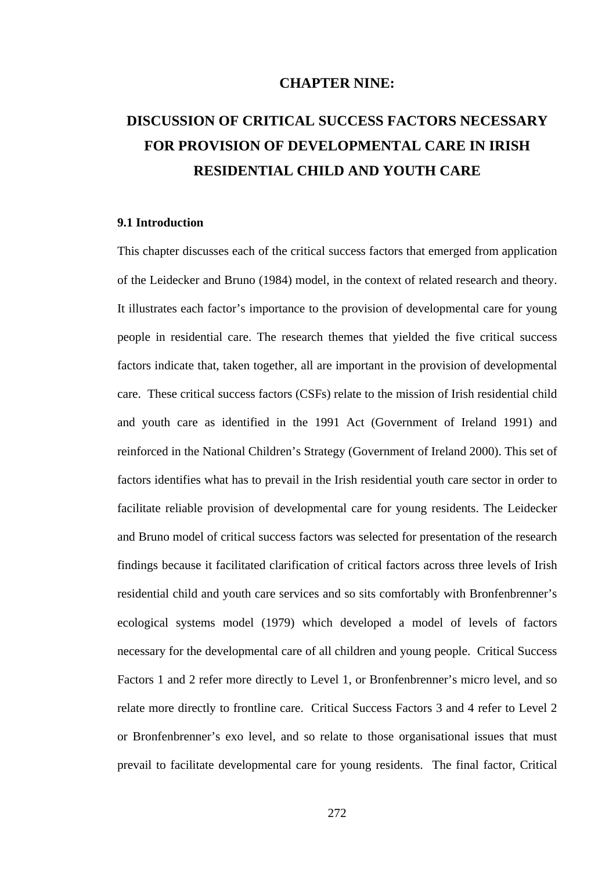## **CHAPTER NINE:**

# **DISCUSSION OF CRITICAL SUCCESS FACTORS NECESSARY FOR PROVISION OF DEVELOPMENTAL CARE IN IRISH RESIDENTIAL CHILD AND YOUTH CARE**

## **9.1 Introduction**

This chapter discusses each of the critical success factors that emerged from application of the Leidecker and Bruno (1984) model, in the context of related research and theory. It illustrates each factor's importance to the provision of developmental care for young people in residential care. The research themes that yielded the five critical success factors indicate that, taken together, all are important in the provision of developmental care. These critical success factors (CSFs) relate to the mission of Irish residential child and youth care as identified in the 1991 Act (Government of Ireland 1991) and reinforced in the National Children's Strategy (Government of Ireland 2000). This set of factors identifies what has to prevail in the Irish residential youth care sector in order to facilitate reliable provision of developmental care for young residents. The Leidecker and Bruno model of critical success factors was selected for presentation of the research findings because it facilitated clarification of critical factors across three levels of Irish residential child and youth care services and so sits comfortably with Bronfenbrenner's ecological systems model (1979) which developed a model of levels of factors necessary for the developmental care of all children and young people. Critical Success Factors 1 and 2 refer more directly to Level 1, or Bronfenbrenner's micro level, and so relate more directly to frontline care. Critical Success Factors 3 and 4 refer to Level 2 or Bronfenbrenner's exo level, and so relate to those organisational issues that must prevail to facilitate developmental care for young residents. The final factor, Critical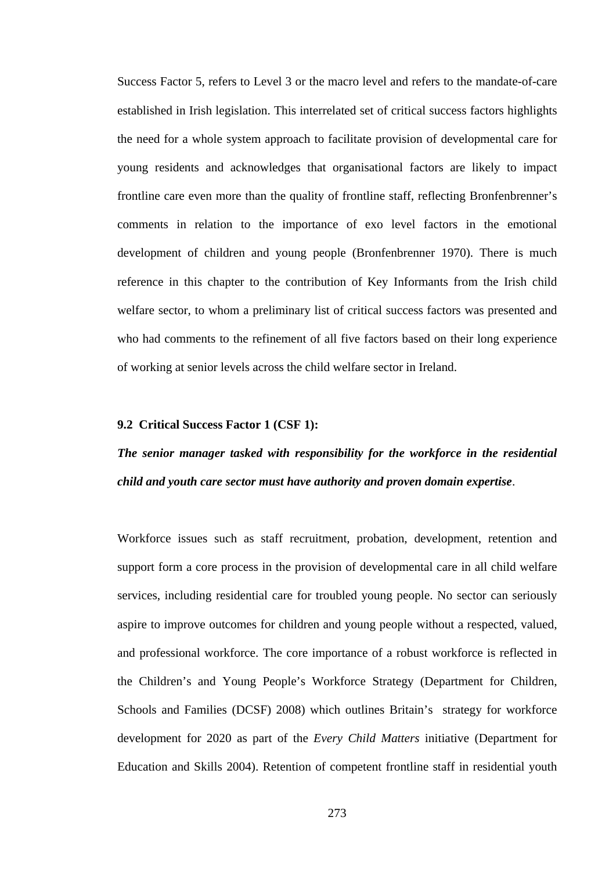Success Factor 5, refers to Level 3 or the macro level and refers to the mandate-of-care established in Irish legislation. This interrelated set of critical success factors highlights the need for a whole system approach to facilitate provision of developmental care for young residents and acknowledges that organisational factors are likely to impact frontline care even more than the quality of frontline staff, reflecting Bronfenbrenner's comments in relation to the importance of exo level factors in the emotional development of children and young people (Bronfenbrenner 1970). There is much reference in this chapter to the contribution of Key Informants from the Irish child welfare sector, to whom a preliminary list of critical success factors was presented and who had comments to the refinement of all five factors based on their long experience of working at senior levels across the child welfare sector in Ireland.

## **9.2 Critical Success Factor 1 (CSF 1):**

# *The senior manager tasked with responsibility for the workforce in the residential child and youth care sector must have authority and proven domain expertise*.

Workforce issues such as staff recruitment, probation, development, retention and support form a core process in the provision of developmental care in all child welfare services, including residential care for troubled young people. No sector can seriously aspire to improve outcomes for children and young people without a respected, valued, and professional workforce. The core importance of a robust workforce is reflected in the Children's and Young People's Workforce Strategy (Department for Children, Schools and Families (DCSF) 2008) which outlines Britain's strategy for workforce development for 2020 as part of the *Every Child Matters* initiative (Department for Education and Skills 2004). Retention of competent frontline staff in residential youth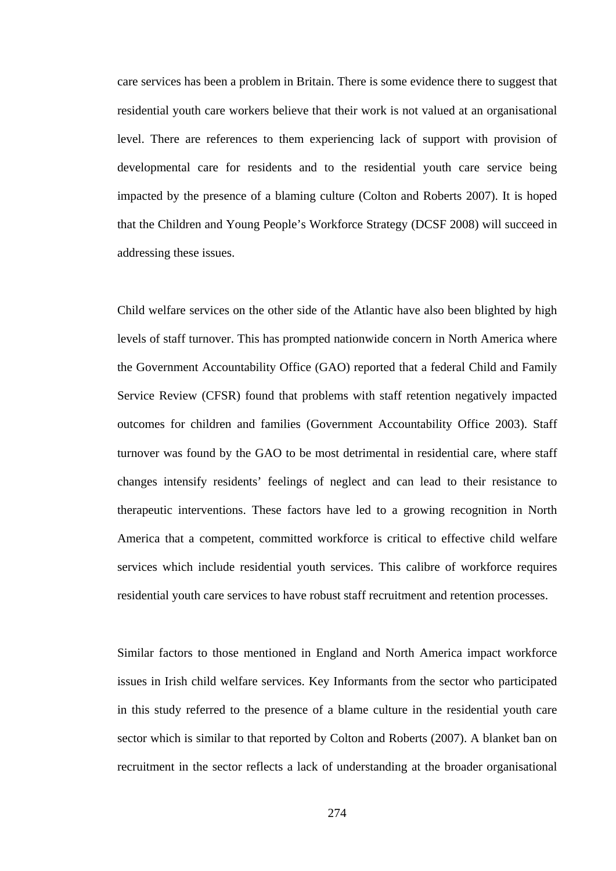care services has been a problem in Britain. There is some evidence there to suggest that residential youth care workers believe that their work is not valued at an organisational level. There are references to them experiencing lack of support with provision of developmental care for residents and to the residential youth care service being impacted by the presence of a blaming culture (Colton and Roberts 2007). It is hoped that the Children and Young People's Workforce Strategy (DCSF 2008) will succeed in addressing these issues.

Child welfare services on the other side of the Atlantic have also been blighted by high levels of staff turnover. This has prompted nationwide concern in North America where the Government Accountability Office (GAO) reported that a federal Child and Family Service Review (CFSR) found that problems with staff retention negatively impacted outcomes for children and families (Government Accountability Office 2003). Staff turnover was found by the GAO to be most detrimental in residential care, where staff changes intensify residents' feelings of neglect and can lead to their resistance to therapeutic interventions. These factors have led to a growing recognition in North America that a competent, committed workforce is critical to effective child welfare services which include residential youth services. This calibre of workforce requires residential youth care services to have robust staff recruitment and retention processes.

Similar factors to those mentioned in England and North America impact workforce issues in Irish child welfare services. Key Informants from the sector who participated in this study referred to the presence of a blame culture in the residential youth care sector which is similar to that reported by Colton and Roberts (2007). A blanket ban on recruitment in the sector reflects a lack of understanding at the broader organisational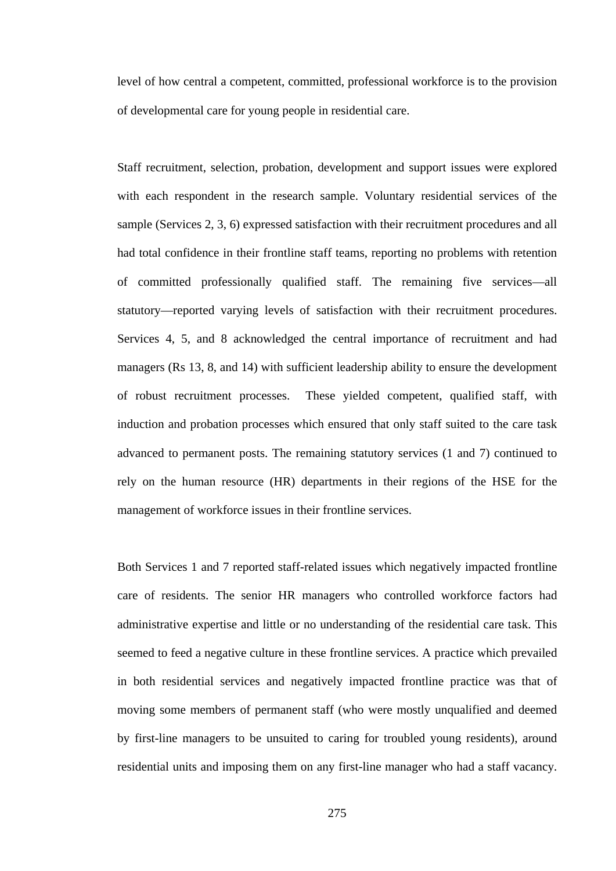level of how central a competent, committed, professional workforce is to the provision of developmental care for young people in residential care.

Staff recruitment, selection, probation, development and support issues were explored with each respondent in the research sample. Voluntary residential services of the sample (Services 2, 3, 6) expressed satisfaction with their recruitment procedures and all had total confidence in their frontline staff teams, reporting no problems with retention of committed professionally qualified staff. The remaining five services—all statutory—reported varying levels of satisfaction with their recruitment procedures. Services 4, 5, and 8 acknowledged the central importance of recruitment and had managers (Rs 13, 8, and 14) with sufficient leadership ability to ensure the development of robust recruitment processes. These yielded competent, qualified staff, with induction and probation processes which ensured that only staff suited to the care task advanced to permanent posts. The remaining statutory services (1 and 7) continued to rely on the human resource (HR) departments in their regions of the HSE for the management of workforce issues in their frontline services.

Both Services 1 and 7 reported staff-related issues which negatively impacted frontline care of residents. The senior HR managers who controlled workforce factors had administrative expertise and little or no understanding of the residential care task. This seemed to feed a negative culture in these frontline services. A practice which prevailed in both residential services and negatively impacted frontline practice was that of moving some members of permanent staff (who were mostly unqualified and deemed by first-line managers to be unsuited to caring for troubled young residents), around residential units and imposing them on any first-line manager who had a staff vacancy.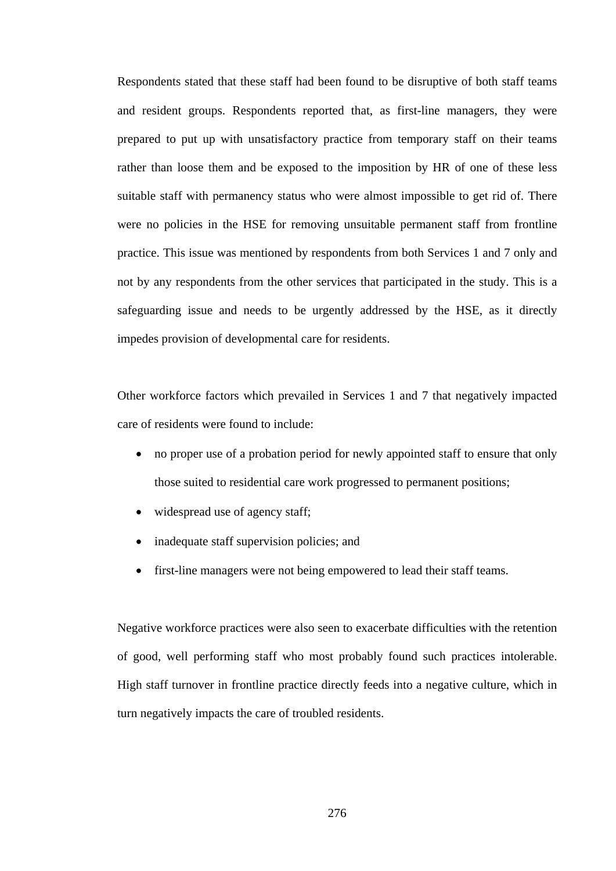Respondents stated that these staff had been found to be disruptive of both staff teams and resident groups. Respondents reported that, as first-line managers, they were prepared to put up with unsatisfactory practice from temporary staff on their teams rather than loose them and be exposed to the imposition by HR of one of these less suitable staff with permanency status who were almost impossible to get rid of. There were no policies in the HSE for removing unsuitable permanent staff from frontline practice. This issue was mentioned by respondents from both Services 1 and 7 only and not by any respondents from the other services that participated in the study. This is a safeguarding issue and needs to be urgently addressed by the HSE, as it directly impedes provision of developmental care for residents.

Other workforce factors which prevailed in Services 1 and 7 that negatively impacted care of residents were found to include:

- no proper use of a probation period for newly appointed staff to ensure that only those suited to residential care work progressed to permanent positions;
- widespread use of agency staff;
- inadequate staff supervision policies; and
- first-line managers were not being empowered to lead their staff teams.

Negative workforce practices were also seen to exacerbate difficulties with the retention of good, well performing staff who most probably found such practices intolerable. High staff turnover in frontline practice directly feeds into a negative culture, which in turn negatively impacts the care of troubled residents.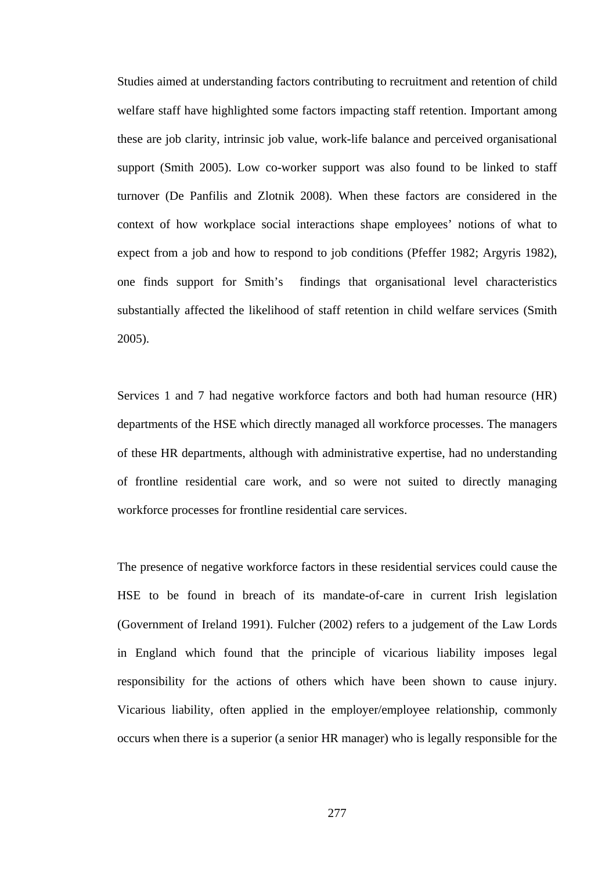Studies aimed at understanding factors contributing to recruitment and retention of child welfare staff have highlighted some factors impacting staff retention. Important among these are job clarity, intrinsic job value, work-life balance and perceived organisational support (Smith 2005). Low co-worker support was also found to be linked to staff turnover (De Panfilis and Zlotnik 2008). When these factors are considered in the context of how workplace social interactions shape employees' notions of what to expect from a job and how to respond to job conditions (Pfeffer 1982; Argyris 1982), one finds support for Smith's findings that organisational level characteristics substantially affected the likelihood of staff retention in child welfare services (Smith 2005).

Services 1 and 7 had negative workforce factors and both had human resource (HR) departments of the HSE which directly managed all workforce processes. The managers of these HR departments, although with administrative expertise, had no understanding of frontline residential care work, and so were not suited to directly managing workforce processes for frontline residential care services.

The presence of negative workforce factors in these residential services could cause the HSE to be found in breach of its mandate-of-care in current Irish legislation (Government of Ireland 1991). Fulcher (2002) refers to a judgement of the Law Lords in England which found that the principle of vicarious liability imposes legal responsibility for the actions of others which have been shown to cause injury. Vicarious liability, often applied in the employer/employee relationship, commonly occurs when there is a superior (a senior HR manager) who is legally responsible for the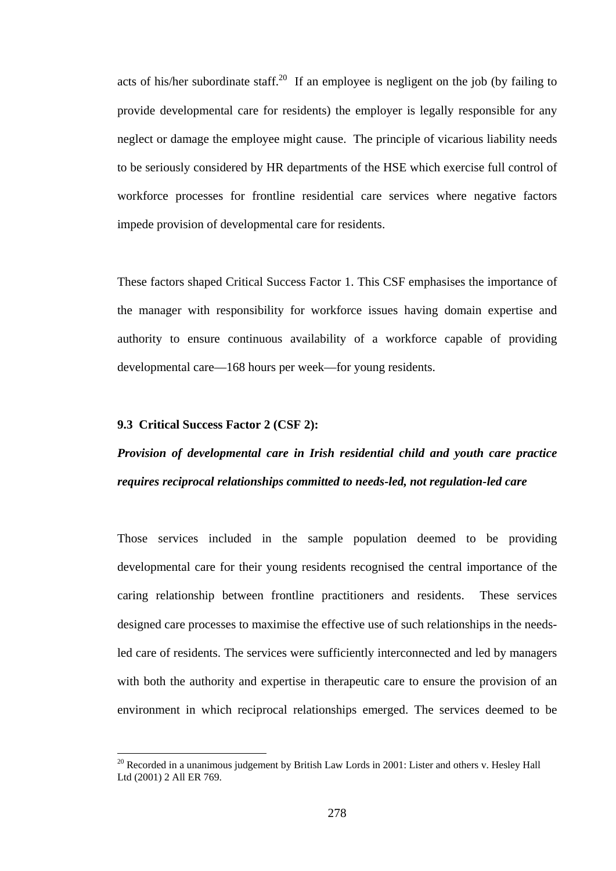acts of his/her subordinate staff.<sup>20</sup> If an employee is negligent on the job (by failing to provide developmental care for residents) the employer is legally responsible for any neglect or damage the employee might cause. The principle of vicarious liability needs to be seriously considered by HR departments of the HSE which exercise full control of workforce processes for frontline residential care services where negative factors impede provision of developmental care for residents.

These factors shaped Critical Success Factor 1. This CSF emphasises the importance of the manager with responsibility for workforce issues having domain expertise and authority to ensure continuous availability of a workforce capable of providing developmental care—168 hours per week—for young residents.

## **9.3 Critical Success Factor 2 (CSF 2):**

 $\overline{a}$ 

# *Provision of developmental care in Irish residential child and youth care practice requires reciprocal relationships committed to needs-led, not regulation-led care*

Those services included in the sample population deemed to be providing developmental care for their young residents recognised the central importance of the caring relationship between frontline practitioners and residents. These services designed care processes to maximise the effective use of such relationships in the needsled care of residents. The services were sufficiently interconnected and led by managers with both the authority and expertise in therapeutic care to ensure the provision of an environment in which reciprocal relationships emerged. The services deemed to be

<sup>&</sup>lt;sup>20</sup> Recorded in a unanimous judgement by British Law Lords in 2001: Lister and others v. Hesley Hall Ltd (2001) 2 All ER 769.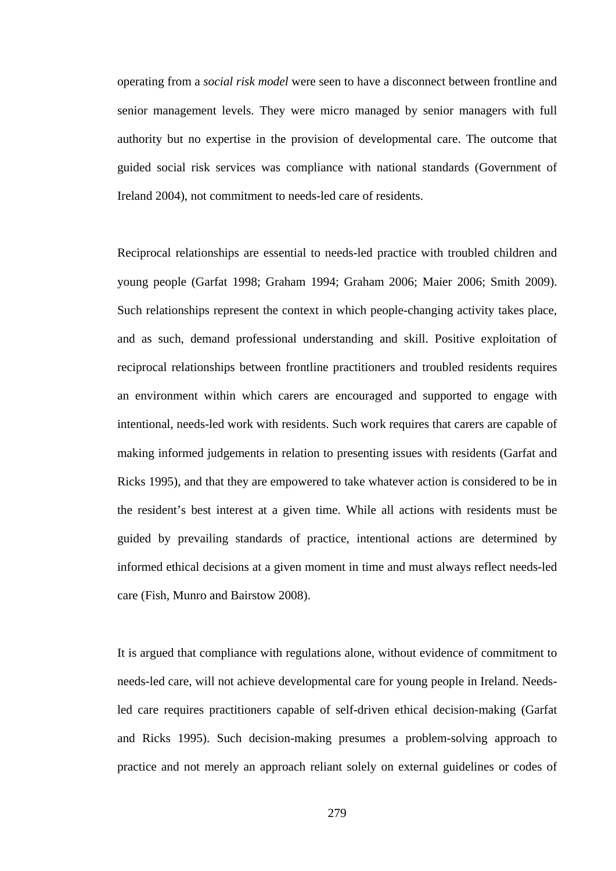operating from a *social risk model* were seen to have a disconnect between frontline and senior management levels. They were micro managed by senior managers with full authority but no expertise in the provision of developmental care. The outcome that guided social risk services was compliance with national standards (Government of Ireland 2004), not commitment to needs-led care of residents.

Reciprocal relationships are essential to needs-led practice with troubled children and young people (Garfat 1998; Graham 1994; Graham 2006; Maier 2006; Smith 2009). Such relationships represent the context in which people-changing activity takes place, and as such, demand professional understanding and skill. Positive exploitation of reciprocal relationships between frontline practitioners and troubled residents requires an environment within which carers are encouraged and supported to engage with intentional, needs-led work with residents. Such work requires that carers are capable of making informed judgements in relation to presenting issues with residents (Garfat and Ricks 1995), and that they are empowered to take whatever action is considered to be in the resident's best interest at a given time. While all actions with residents must be guided by prevailing standards of practice, intentional actions are determined by informed ethical decisions at a given moment in time and must always reflect needs-led care (Fish, Munro and Bairstow 2008).

It is argued that compliance with regulations alone, without evidence of commitment to needs-led care, will not achieve developmental care for young people in Ireland. Needsled care requires practitioners capable of self-driven ethical decision-making (Garfat and Ricks 1995). Such decision-making presumes a problem-solving approach to practice and not merely an approach reliant solely on external guidelines or codes of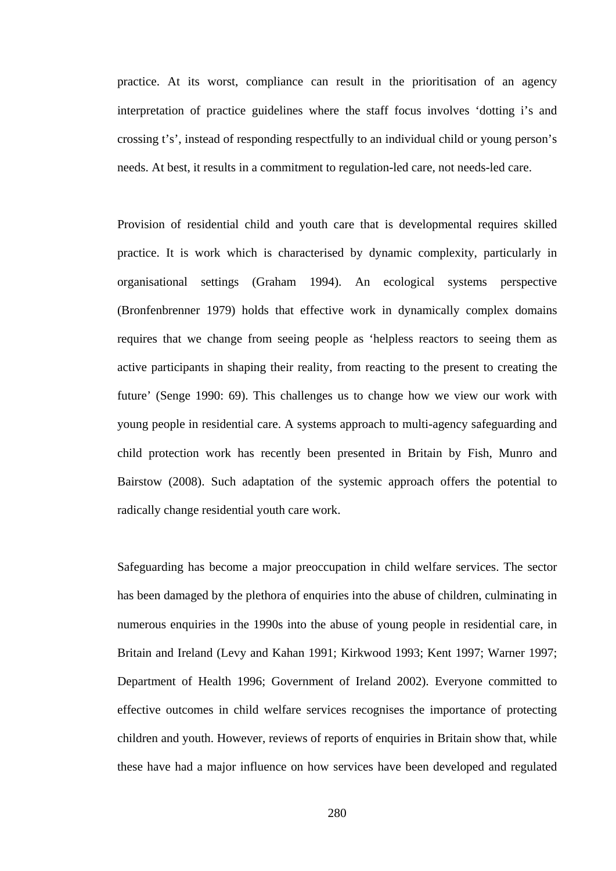practice. At its worst, compliance can result in the prioritisation of an agency interpretation of practice guidelines where the staff focus involves 'dotting i's and crossing t's', instead of responding respectfully to an individual child or young person's needs. At best, it results in a commitment to regulation-led care, not needs-led care.

Provision of residential child and youth care that is developmental requires skilled practice. It is work which is characterised by dynamic complexity, particularly in organisational settings (Graham 1994). An ecological systems perspective (Bronfenbrenner 1979) holds that effective work in dynamically complex domains requires that we change from seeing people as 'helpless reactors to seeing them as active participants in shaping their reality, from reacting to the present to creating the future' (Senge 1990: 69). This challenges us to change how we view our work with young people in residential care. A systems approach to multi-agency safeguarding and child protection work has recently been presented in Britain by Fish, Munro and Bairstow (2008). Such adaptation of the systemic approach offers the potential to radically change residential youth care work.

Safeguarding has become a major preoccupation in child welfare services. The sector has been damaged by the plethora of enquiries into the abuse of children, culminating in numerous enquiries in the 1990s into the abuse of young people in residential care, in Britain and Ireland (Levy and Kahan 1991; Kirkwood 1993; Kent 1997; Warner 1997; Department of Health 1996; Government of Ireland 2002). Everyone committed to effective outcomes in child welfare services recognises the importance of protecting children and youth. However, reviews of reports of enquiries in Britain show that, while these have had a major influence on how services have been developed and regulated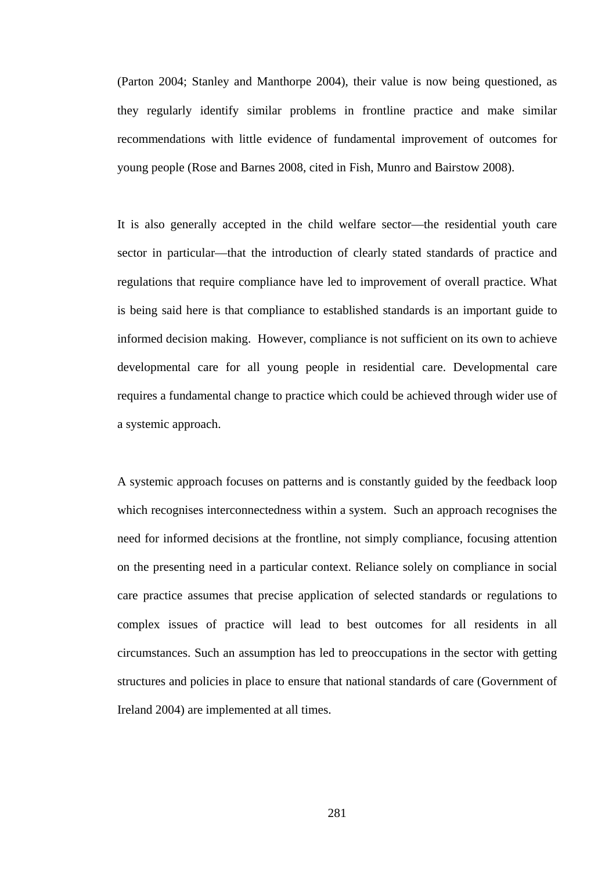(Parton 2004; Stanley and Manthorpe 2004), their value is now being questioned, as they regularly identify similar problems in frontline practice and make similar recommendations with little evidence of fundamental improvement of outcomes for young people (Rose and Barnes 2008, cited in Fish, Munro and Bairstow 2008).

It is also generally accepted in the child welfare sector—the residential youth care sector in particular—that the introduction of clearly stated standards of practice and regulations that require compliance have led to improvement of overall practice. What is being said here is that compliance to established standards is an important guide to informed decision making. However, compliance is not sufficient on its own to achieve developmental care for all young people in residential care. Developmental care requires a fundamental change to practice which could be achieved through wider use of a systemic approach.

A systemic approach focuses on patterns and is constantly guided by the feedback loop which recognises interconnectedness within a system. Such an approach recognises the need for informed decisions at the frontline, not simply compliance, focusing attention on the presenting need in a particular context. Reliance solely on compliance in social care practice assumes that precise application of selected standards or regulations to complex issues of practice will lead to best outcomes for all residents in all circumstances. Such an assumption has led to preoccupations in the sector with getting structures and policies in place to ensure that national standards of care (Government of Ireland 2004) are implemented at all times.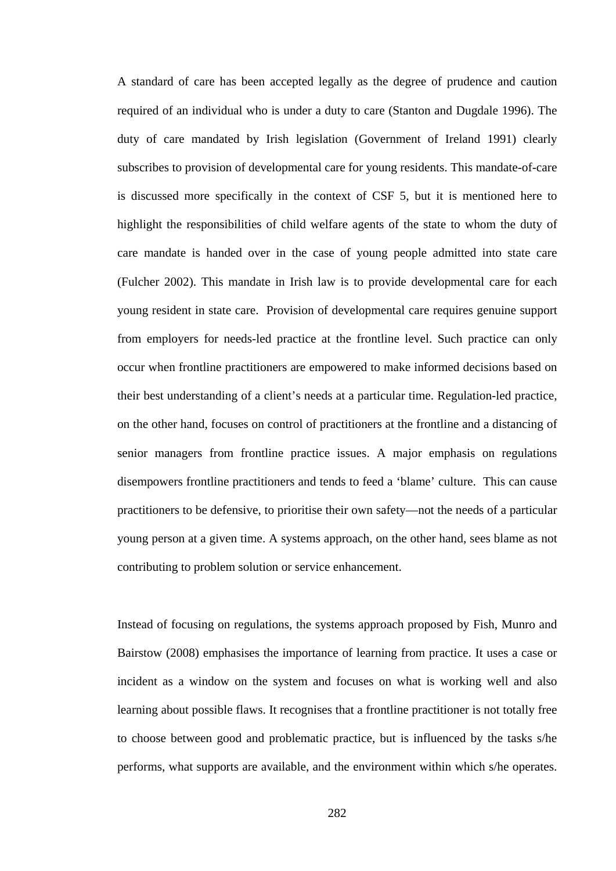A standard of care has been accepted legally as the degree of prudence and caution required of an individual who is under a duty to care (Stanton and Dugdale 1996). The duty of care mandated by Irish legislation (Government of Ireland 1991) clearly subscribes to provision of developmental care for young residents. This mandate-of-care is discussed more specifically in the context of CSF 5, but it is mentioned here to highlight the responsibilities of child welfare agents of the state to whom the duty of care mandate is handed over in the case of young people admitted into state care (Fulcher 2002). This mandate in Irish law is to provide developmental care for each young resident in state care. Provision of developmental care requires genuine support from employers for needs-led practice at the frontline level. Such practice can only occur when frontline practitioners are empowered to make informed decisions based on their best understanding of a client's needs at a particular time. Regulation-led practice, on the other hand, focuses on control of practitioners at the frontline and a distancing of senior managers from frontline practice issues. A major emphasis on regulations disempowers frontline practitioners and tends to feed a 'blame' culture. This can cause practitioners to be defensive, to prioritise their own safety—not the needs of a particular young person at a given time. A systems approach, on the other hand, sees blame as not contributing to problem solution or service enhancement.

Instead of focusing on regulations, the systems approach proposed by Fish, Munro and Bairstow (2008) emphasises the importance of learning from practice. It uses a case or incident as a window on the system and focuses on what is working well and also learning about possible flaws. It recognises that a frontline practitioner is not totally free to choose between good and problematic practice, but is influenced by the tasks s/he performs, what supports are available, and the environment within which s/he operates.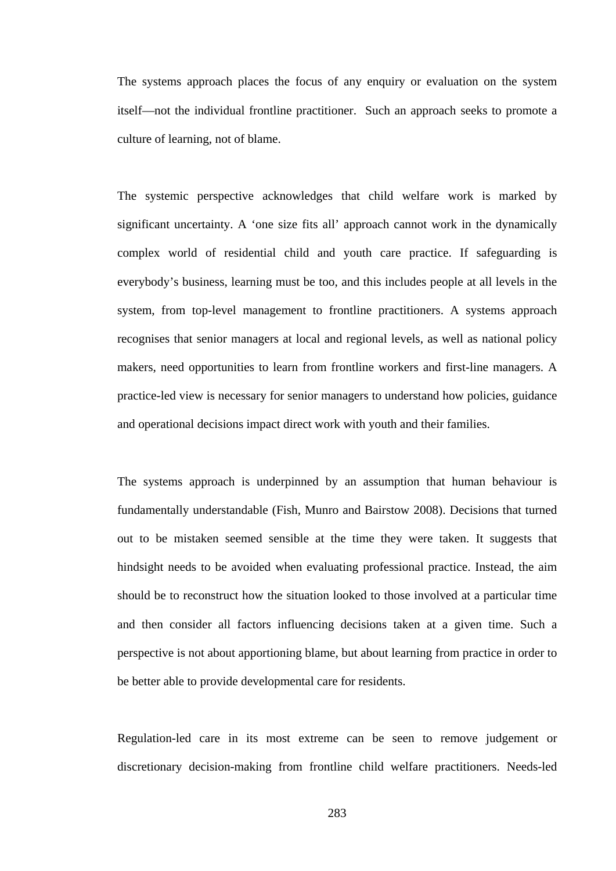The systems approach places the focus of any enquiry or evaluation on the system itself—not the individual frontline practitioner. Such an approach seeks to promote a culture of learning, not of blame.

The systemic perspective acknowledges that child welfare work is marked by significant uncertainty. A 'one size fits all' approach cannot work in the dynamically complex world of residential child and youth care practice. If safeguarding is everybody's business, learning must be too, and this includes people at all levels in the system, from top-level management to frontline practitioners. A systems approach recognises that senior managers at local and regional levels, as well as national policy makers, need opportunities to learn from frontline workers and first-line managers. A practice-led view is necessary for senior managers to understand how policies, guidance and operational decisions impact direct work with youth and their families.

The systems approach is underpinned by an assumption that human behaviour is fundamentally understandable (Fish, Munro and Bairstow 2008). Decisions that turned out to be mistaken seemed sensible at the time they were taken. It suggests that hindsight needs to be avoided when evaluating professional practice. Instead, the aim should be to reconstruct how the situation looked to those involved at a particular time and then consider all factors influencing decisions taken at a given time. Such a perspective is not about apportioning blame, but about learning from practice in order to be better able to provide developmental care for residents.

Regulation-led care in its most extreme can be seen to remove judgement or discretionary decision-making from frontline child welfare practitioners. Needs-led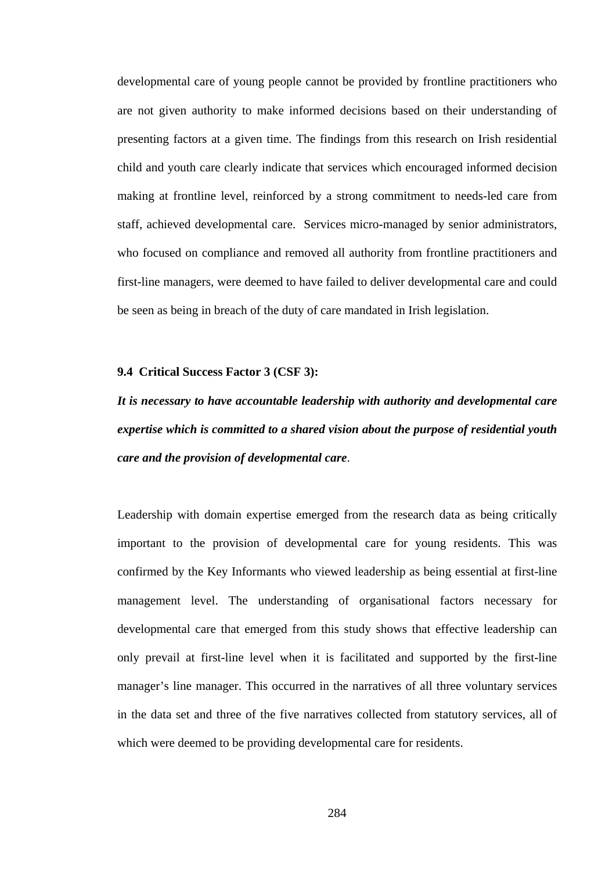developmental care of young people cannot be provided by frontline practitioners who are not given authority to make informed decisions based on their understanding of presenting factors at a given time. The findings from this research on Irish residential child and youth care clearly indicate that services which encouraged informed decision making at frontline level, reinforced by a strong commitment to needs-led care from staff, achieved developmental care. Services micro-managed by senior administrators, who focused on compliance and removed all authority from frontline practitioners and first-line managers, were deemed to have failed to deliver developmental care and could be seen as being in breach of the duty of care mandated in Irish legislation.

#### **9.4 Critical Success Factor 3 (CSF 3):**

*It is necessary to have accountable leadership with authority and developmental care expertise which is committed to a shared vision about the purpose of residential youth care and the provision of developmental care*.

Leadership with domain expertise emerged from the research data as being critically important to the provision of developmental care for young residents. This was confirmed by the Key Informants who viewed leadership as being essential at first-line management level. The understanding of organisational factors necessary for developmental care that emerged from this study shows that effective leadership can only prevail at first-line level when it is facilitated and supported by the first-line manager's line manager. This occurred in the narratives of all three voluntary services in the data set and three of the five narratives collected from statutory services, all of which were deemed to be providing developmental care for residents.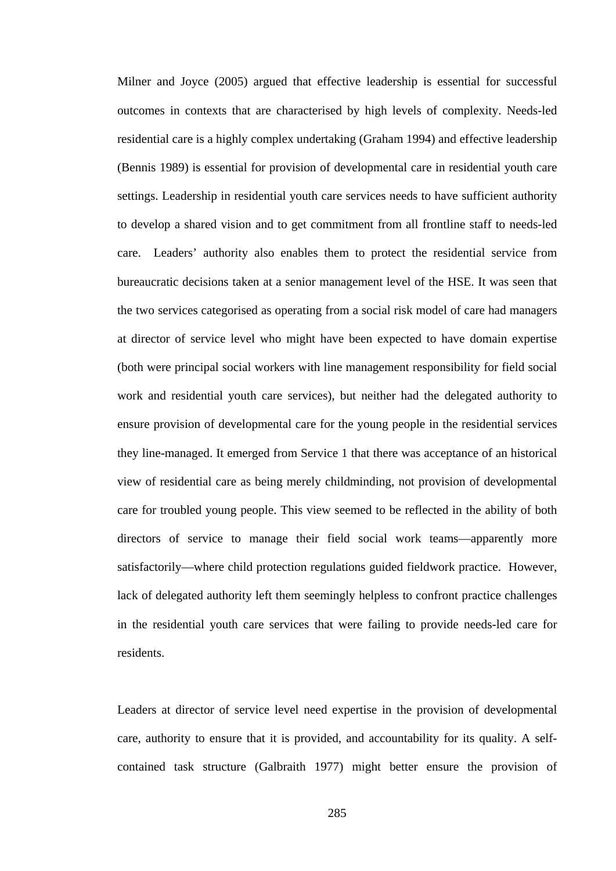Milner and Joyce (2005) argued that effective leadership is essential for successful outcomes in contexts that are characterised by high levels of complexity. Needs-led residential care is a highly complex undertaking (Graham 1994) and effective leadership (Bennis 1989) is essential for provision of developmental care in residential youth care settings. Leadership in residential youth care services needs to have sufficient authority to develop a shared vision and to get commitment from all frontline staff to needs-led care. Leaders' authority also enables them to protect the residential service from bureaucratic decisions taken at a senior management level of the HSE. It was seen that the two services categorised as operating from a social risk model of care had managers at director of service level who might have been expected to have domain expertise (both were principal social workers with line management responsibility for field social work and residential youth care services), but neither had the delegated authority to ensure provision of developmental care for the young people in the residential services they line-managed. It emerged from Service 1 that there was acceptance of an historical view of residential care as being merely childminding, not provision of developmental care for troubled young people. This view seemed to be reflected in the ability of both directors of service to manage their field social work teams—apparently more satisfactorily—where child protection regulations guided fieldwork practice. However, lack of delegated authority left them seemingly helpless to confront practice challenges in the residential youth care services that were failing to provide needs-led care for residents.

Leaders at director of service level need expertise in the provision of developmental care, authority to ensure that it is provided, and accountability for its quality. A selfcontained task structure (Galbraith 1977) might better ensure the provision of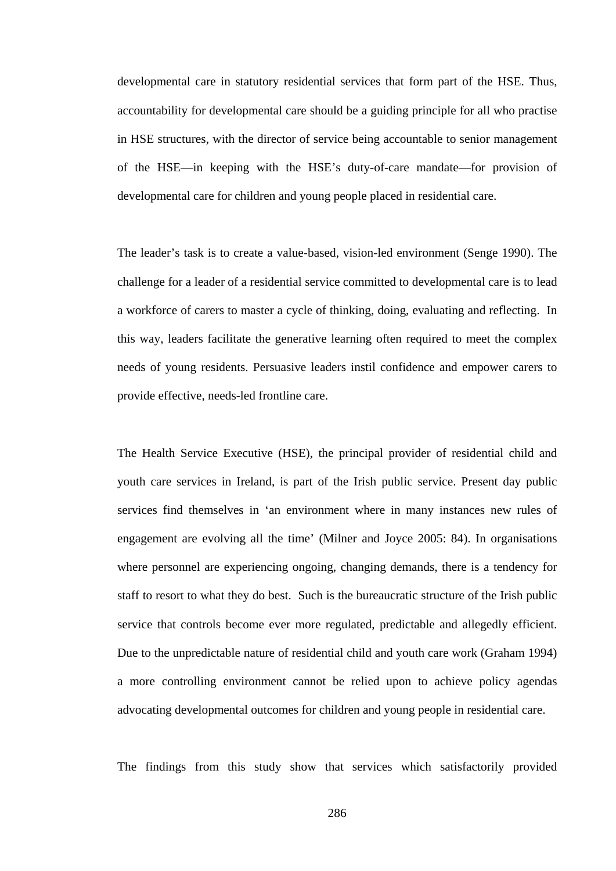developmental care in statutory residential services that form part of the HSE. Thus, accountability for developmental care should be a guiding principle for all who practise in HSE structures, with the director of service being accountable to senior management of the HSE—in keeping with the HSE's duty-of-care mandate—for provision of developmental care for children and young people placed in residential care.

The leader's task is to create a value-based, vision-led environment (Senge 1990). The challenge for a leader of a residential service committed to developmental care is to lead a workforce of carers to master a cycle of thinking, doing, evaluating and reflecting. In this way, leaders facilitate the generative learning often required to meet the complex needs of young residents. Persuasive leaders instil confidence and empower carers to provide effective, needs-led frontline care.

The Health Service Executive (HSE), the principal provider of residential child and youth care services in Ireland, is part of the Irish public service. Present day public services find themselves in 'an environment where in many instances new rules of engagement are evolving all the time' (Milner and Joyce 2005: 84). In organisations where personnel are experiencing ongoing, changing demands, there is a tendency for staff to resort to what they do best. Such is the bureaucratic structure of the Irish public service that controls become ever more regulated, predictable and allegedly efficient. Due to the unpredictable nature of residential child and youth care work (Graham 1994) a more controlling environment cannot be relied upon to achieve policy agendas advocating developmental outcomes for children and young people in residential care.

The findings from this study show that services which satisfactorily provided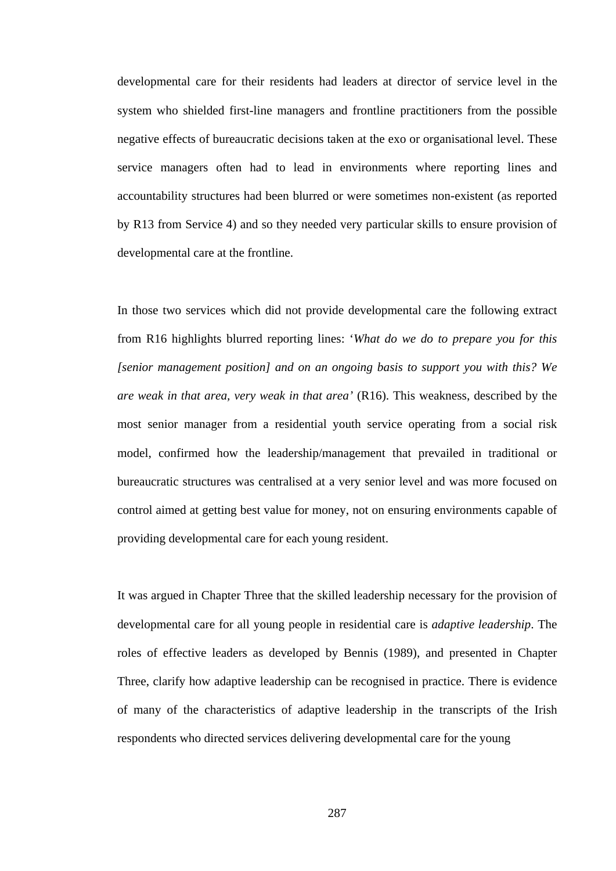developmental care for their residents had leaders at director of service level in the system who shielded first-line managers and frontline practitioners from the possible negative effects of bureaucratic decisions taken at the exo or organisational level. These service managers often had to lead in environments where reporting lines and accountability structures had been blurred or were sometimes non-existent (as reported by R13 from Service 4) and so they needed very particular skills to ensure provision of developmental care at the frontline.

In those two services which did not provide developmental care the following extract from R16 highlights blurred reporting lines: '*What do we do to prepare you for this [senior management position] and on an ongoing basis to support you with this? We are weak in that area, very weak in that area'* (R16). This weakness, described by the most senior manager from a residential youth service operating from a social risk model, confirmed how the leadership/management that prevailed in traditional or bureaucratic structures was centralised at a very senior level and was more focused on control aimed at getting best value for money, not on ensuring environments capable of providing developmental care for each young resident.

It was argued in Chapter Three that the skilled leadership necessary for the provision of developmental care for all young people in residential care is *adaptive leadership*. The roles of effective leaders as developed by Bennis (1989), and presented in Chapter Three, clarify how adaptive leadership can be recognised in practice. There is evidence of many of the characteristics of adaptive leadership in the transcripts of the Irish respondents who directed services delivering developmental care for the young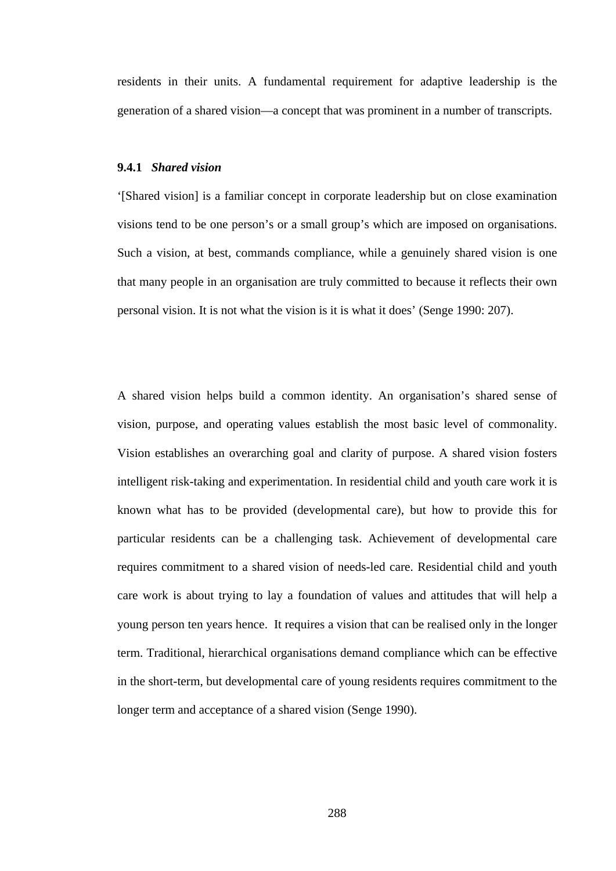residents in their units. A fundamental requirement for adaptive leadership is the generation of a shared vision—a concept that was prominent in a number of transcripts.

## **9.4.1** *Shared vision*

'[Shared vision] is a familiar concept in corporate leadership but on close examination visions tend to be one person's or a small group's which are imposed on organisations. Such a vision, at best, commands compliance, while a genuinely shared vision is one that many people in an organisation are truly committed to because it reflects their own personal vision. It is not what the vision is it is what it does' (Senge 1990: 207).

A shared vision helps build a common identity. An organisation's shared sense of vision, purpose, and operating values establish the most basic level of commonality. Vision establishes an overarching goal and clarity of purpose. A shared vision fosters intelligent risk-taking and experimentation. In residential child and youth care work it is known what has to be provided (developmental care), but how to provide this for particular residents can be a challenging task. Achievement of developmental care requires commitment to a shared vision of needs-led care. Residential child and youth care work is about trying to lay a foundation of values and attitudes that will help a young person ten years hence. It requires a vision that can be realised only in the longer term. Traditional, hierarchical organisations demand compliance which can be effective in the short-term, but developmental care of young residents requires commitment to the longer term and acceptance of a shared vision (Senge 1990).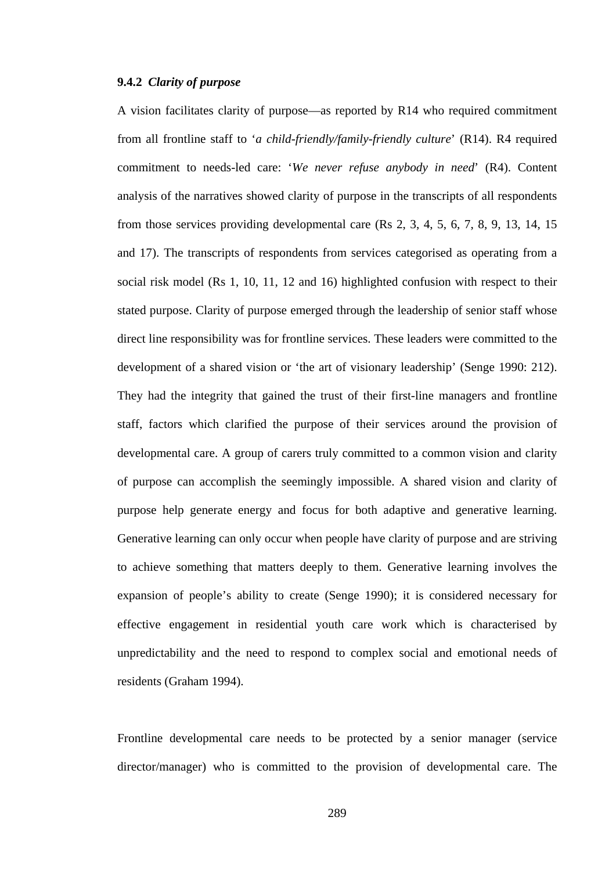## **9.4.2** *Clarity of purpose*

A vision facilitates clarity of purpose—as reported by R14 who required commitment from all frontline staff to '*a child-friendly/family-friendly culture*' (R14). R4 required commitment to needs-led care: '*We never refuse anybody in need*' (R4). Content analysis of the narratives showed clarity of purpose in the transcripts of all respondents from those services providing developmental care (Rs 2, 3, 4, 5, 6, 7, 8, 9, 13, 14, 15 and 17). The transcripts of respondents from services categorised as operating from a social risk model (Rs 1, 10, 11, 12 and 16) highlighted confusion with respect to their stated purpose. Clarity of purpose emerged through the leadership of senior staff whose direct line responsibility was for frontline services. These leaders were committed to the development of a shared vision or 'the art of visionary leadership' (Senge 1990: 212). They had the integrity that gained the trust of their first-line managers and frontline staff, factors which clarified the purpose of their services around the provision of developmental care. A group of carers truly committed to a common vision and clarity of purpose can accomplish the seemingly impossible. A shared vision and clarity of purpose help generate energy and focus for both adaptive and generative learning. Generative learning can only occur when people have clarity of purpose and are striving to achieve something that matters deeply to them. Generative learning involves the expansion of people's ability to create (Senge 1990); it is considered necessary for effective engagement in residential youth care work which is characterised by unpredictability and the need to respond to complex social and emotional needs of residents (Graham 1994).

Frontline developmental care needs to be protected by a senior manager (service director/manager) who is committed to the provision of developmental care. The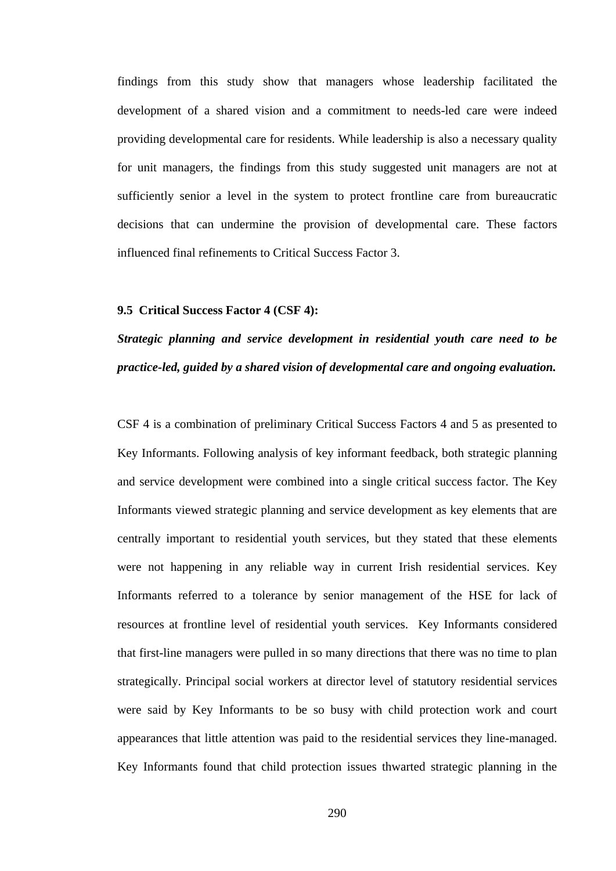findings from this study show that managers whose leadership facilitated the development of a shared vision and a commitment to needs-led care were indeed providing developmental care for residents. While leadership is also a necessary quality for unit managers, the findings from this study suggested unit managers are not at sufficiently senior a level in the system to protect frontline care from bureaucratic decisions that can undermine the provision of developmental care. These factors influenced final refinements to Critical Success Factor 3.

## **9.5 Critical Success Factor 4 (CSF 4):**

## *Strategic planning and service development in residential youth care need to be practice-led, guided by a shared vision of developmental care and ongoing evaluation.*

CSF 4 is a combination of preliminary Critical Success Factors 4 and 5 as presented to Key Informants. Following analysis of key informant feedback, both strategic planning and service development were combined into a single critical success factor. The Key Informants viewed strategic planning and service development as key elements that are centrally important to residential youth services, but they stated that these elements were not happening in any reliable way in current Irish residential services. Key Informants referred to a tolerance by senior management of the HSE for lack of resources at frontline level of residential youth services. Key Informants considered that first-line managers were pulled in so many directions that there was no time to plan strategically. Principal social workers at director level of statutory residential services were said by Key Informants to be so busy with child protection work and court appearances that little attention was paid to the residential services they line-managed. Key Informants found that child protection issues thwarted strategic planning in the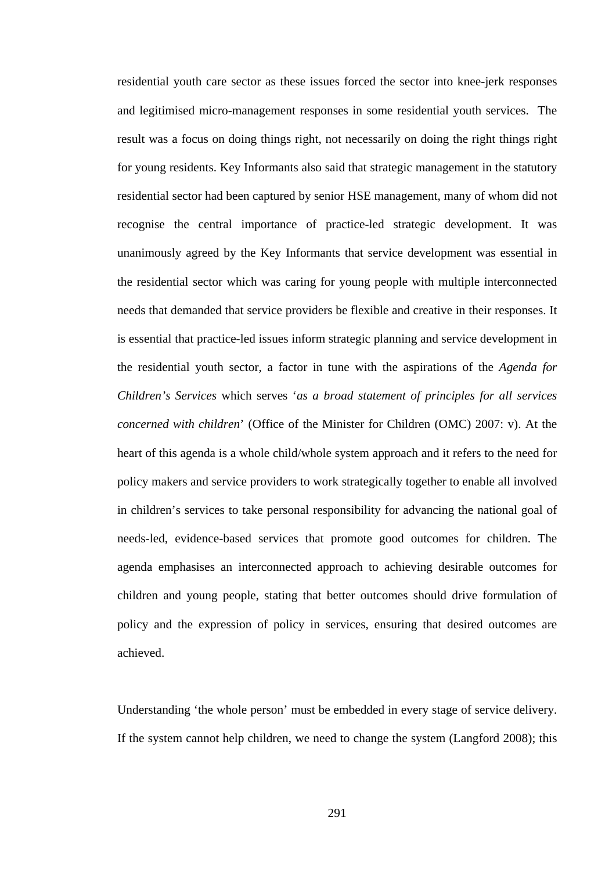residential youth care sector as these issues forced the sector into knee-jerk responses and legitimised micro-management responses in some residential youth services. The result was a focus on doing things right, not necessarily on doing the right things right for young residents. Key Informants also said that strategic management in the statutory residential sector had been captured by senior HSE management, many of whom did not recognise the central importance of practice-led strategic development. It was unanimously agreed by the Key Informants that service development was essential in the residential sector which was caring for young people with multiple interconnected needs that demanded that service providers be flexible and creative in their responses. It is essential that practice-led issues inform strategic planning and service development in the residential youth sector, a factor in tune with the aspirations of the *Agenda for Children's Services* which serves '*as a broad statement of principles for all services concerned with children*' (Office of the Minister for Children (OMC) 2007: v). At the heart of this agenda is a whole child/whole system approach and it refers to the need for policy makers and service providers to work strategically together to enable all involved in children's services to take personal responsibility for advancing the national goal of needs-led, evidence-based services that promote good outcomes for children. The agenda emphasises an interconnected approach to achieving desirable outcomes for children and young people, stating that better outcomes should drive formulation of policy and the expression of policy in services, ensuring that desired outcomes are achieved.

Understanding 'the whole person' must be embedded in every stage of service delivery. If the system cannot help children, we need to change the system (Langford 2008); this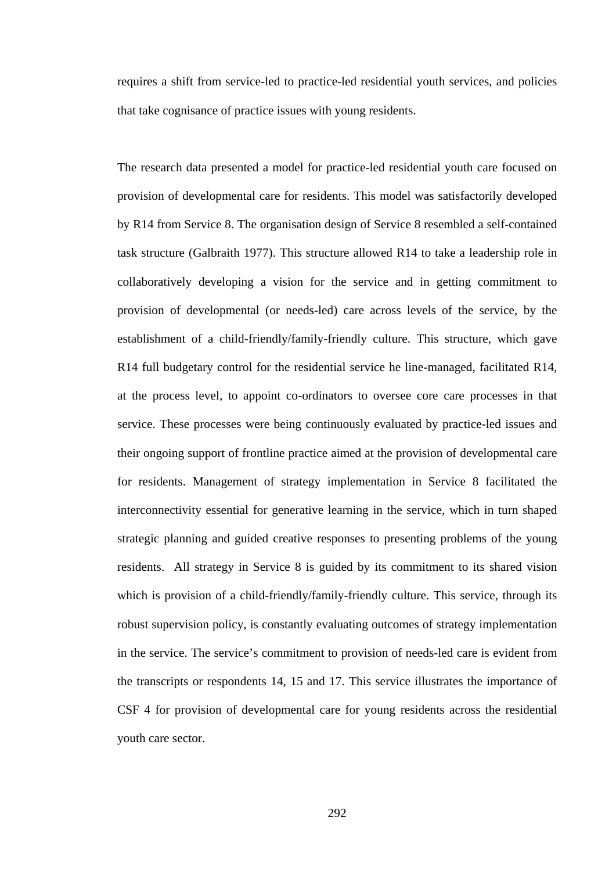requires a shift from service-led to practice-led residential youth services, and policies that take cognisance of practice issues with young residents.

The research data presented a model for practice-led residential youth care focused on provision of developmental care for residents. This model was satisfactorily developed by R14 from Service 8. The organisation design of Service 8 resembled a self-contained task structure (Galbraith 1977). This structure allowed R14 to take a leadership role in collaboratively developing a vision for the service and in getting commitment to provision of developmental (or needs-led) care across levels of the service, by the establishment of a child-friendly/family-friendly culture. This structure, which gave R14 full budgetary control for the residential service he line-managed, facilitated R14, at the process level, to appoint co-ordinators to oversee core care processes in that service. These processes were being continuously evaluated by practice-led issues and their ongoing support of frontline practice aimed at the provision of developmental care for residents. Management of strategy implementation in Service 8 facilitated the interconnectivity essential for generative learning in the service, which in turn shaped strategic planning and guided creative responses to presenting problems of the young residents. All strategy in Service 8 is guided by its commitment to its shared vision which is provision of a child-friendly/family-friendly culture. This service, through its robust supervision policy, is constantly evaluating outcomes of strategy implementation in the service. The service's commitment to provision of needs-led care is evident from the transcripts or respondents 14, 15 and 17. This service illustrates the importance of CSF 4 for provision of developmental care for young residents across the residential youth care sector.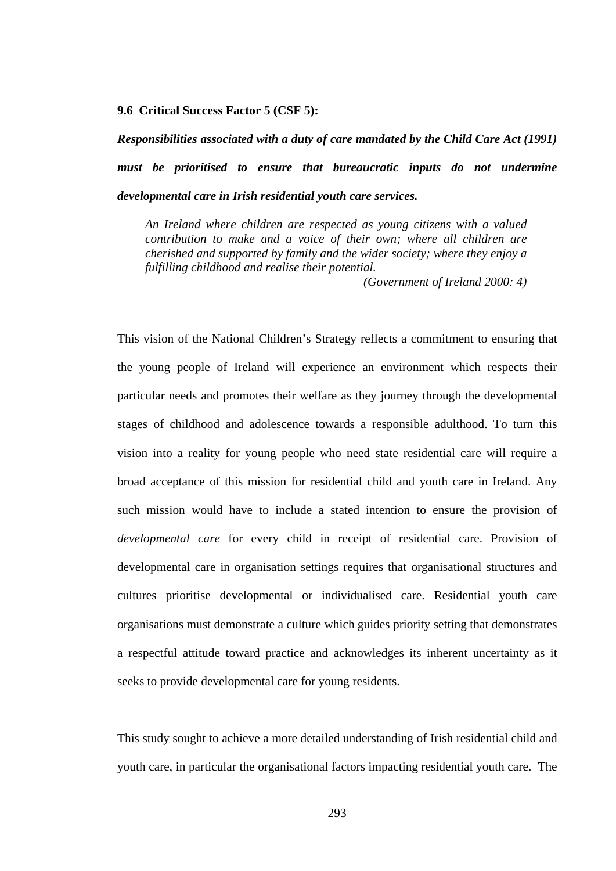#### **9.6 Critical Success Factor 5 (CSF 5):**

*Responsibilities associated with a duty of care mandated by the Child Care Act (1991) must be prioritised to ensure that bureaucratic inputs do not undermine developmental care in Irish residential youth care services.* 

*An Ireland where children are respected as young citizens with a valued contribution to make and a voice of their own; where all children are cherished and supported by family and the wider society; where they enjoy a fulfilling childhood and realise their potential.* 

 *(Government of Ireland 2000: 4)* 

This vision of the National Children's Strategy reflects a commitment to ensuring that the young people of Ireland will experience an environment which respects their particular needs and promotes their welfare as they journey through the developmental stages of childhood and adolescence towards a responsible adulthood. To turn this vision into a reality for young people who need state residential care will require a broad acceptance of this mission for residential child and youth care in Ireland. Any such mission would have to include a stated intention to ensure the provision of *developmental care* for every child in receipt of residential care. Provision of developmental care in organisation settings requires that organisational structures and cultures prioritise developmental or individualised care. Residential youth care organisations must demonstrate a culture which guides priority setting that demonstrates a respectful attitude toward practice and acknowledges its inherent uncertainty as it seeks to provide developmental care for young residents.

This study sought to achieve a more detailed understanding of Irish residential child and youth care, in particular the organisational factors impacting residential youth care. The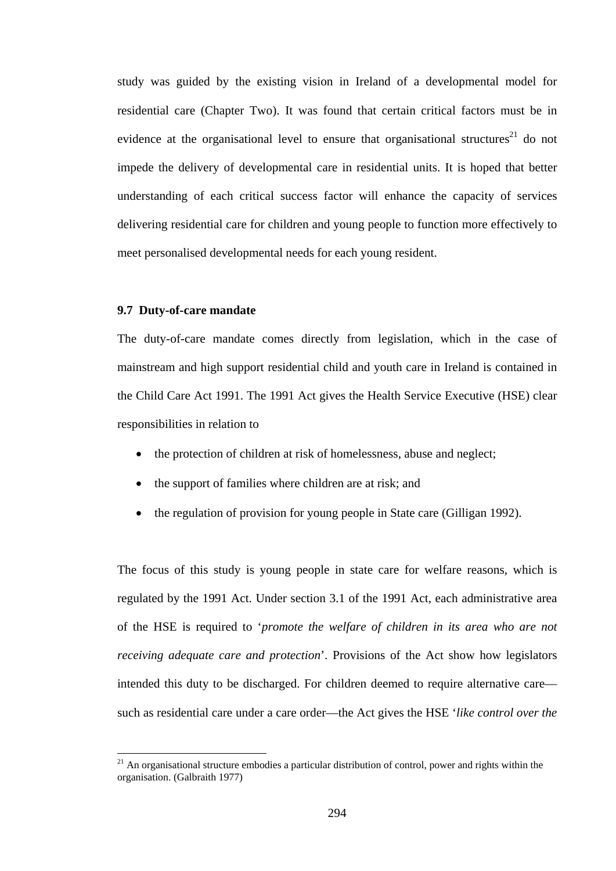study was guided by the existing vision in Ireland of a developmental model for residential care (Chapter Two). It was found that certain critical factors must be in evidence at the organisational level to ensure that organisational structures<sup>21</sup> do not impede the delivery of developmental care in residential units. It is hoped that better understanding of each critical success factor will enhance the capacity of services delivering residential care for children and young people to function more effectively to meet personalised developmental needs for each young resident.

### **9.7 Duty-of-care mandate**

 $\overline{a}$ 

The duty-of-care mandate comes directly from legislation, which in the case of mainstream and high support residential child and youth care in Ireland is contained in the Child Care Act 1991. The 1991 Act gives the Health Service Executive (HSE) clear responsibilities in relation to

- the protection of children at risk of homelessness, abuse and neglect;
- the support of families where children are at risk; and
- the regulation of provision for young people in State care (Gilligan 1992).

The focus of this study is young people in state care for welfare reasons, which is regulated by the 1991 Act. Under section 3.1 of the 1991 Act, each administrative area of the HSE is required to '*promote the welfare of children in its area who are not receiving adequate care and protection*'. Provisions of the Act show how legislators intended this duty to be discharged. For children deemed to require alternative care such as residential care under a care order—the Act gives the HSE '*like control over the* 

 $^{21}$  An organisational structure embodies a particular distribution of control, power and rights within the organisation. (Galbraith 1977)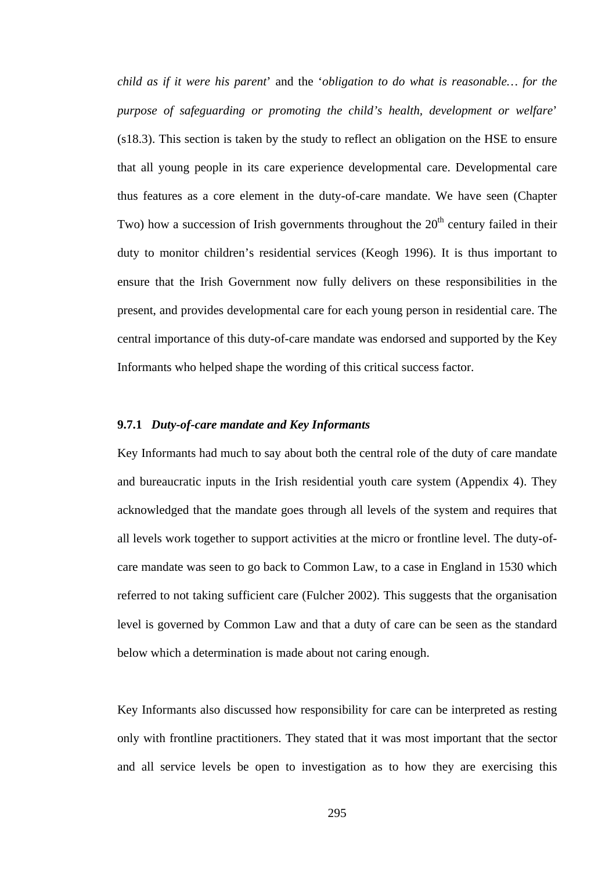*child as if it were his parent*' and the '*obligation to do what is reasonable… for the purpose of safeguarding or promoting the child's health, development or welfare*' (s18.3). This section is taken by the study to reflect an obligation on the HSE to ensure that all young people in its care experience developmental care. Developmental care thus features as a core element in the duty-of-care mandate. We have seen (Chapter Two) how a succession of Irish governments throughout the  $20<sup>th</sup>$  century failed in their duty to monitor children's residential services (Keogh 1996). It is thus important to ensure that the Irish Government now fully delivers on these responsibilities in the present, and provides developmental care for each young person in residential care. The central importance of this duty-of-care mandate was endorsed and supported by the Key Informants who helped shape the wording of this critical success factor.

## **9.7.1** *Duty-of-care mandate and Key Informants*

Key Informants had much to say about both the central role of the duty of care mandate and bureaucratic inputs in the Irish residential youth care system (Appendix 4). They acknowledged that the mandate goes through all levels of the system and requires that all levels work together to support activities at the micro or frontline level. The duty-ofcare mandate was seen to go back to Common Law, to a case in England in 1530 which referred to not taking sufficient care (Fulcher 2002). This suggests that the organisation level is governed by Common Law and that a duty of care can be seen as the standard below which a determination is made about not caring enough.

Key Informants also discussed how responsibility for care can be interpreted as resting only with frontline practitioners. They stated that it was most important that the sector and all service levels be open to investigation as to how they are exercising this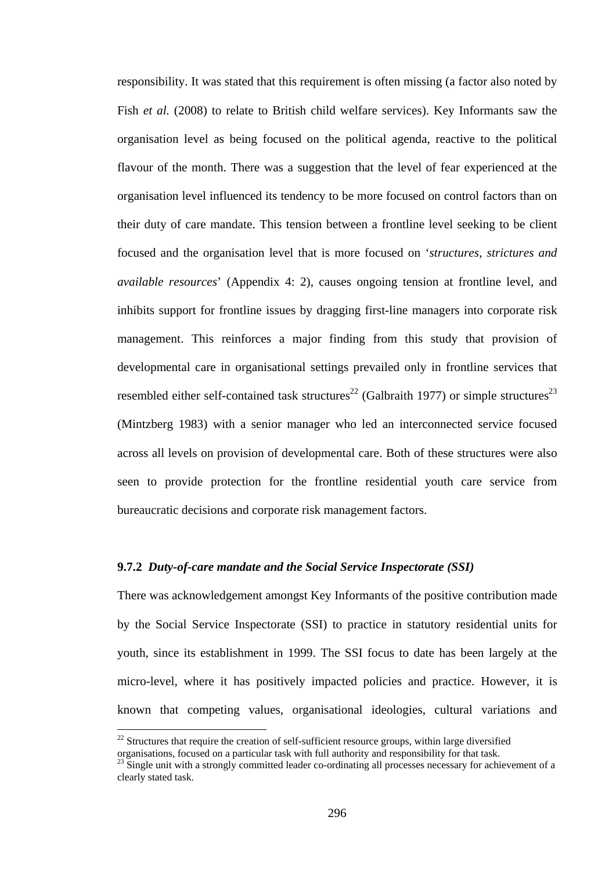responsibility. It was stated that this requirement is often missing (a factor also noted by Fish *et al.* (2008) to relate to British child welfare services). Key Informants saw the organisation level as being focused on the political agenda, reactive to the political flavour of the month. There was a suggestion that the level of fear experienced at the organisation level influenced its tendency to be more focused on control factors than on their duty of care mandate. This tension between a frontline level seeking to be client focused and the organisation level that is more focused on '*structures, strictures and available resources*' (Appendix 4: 2), causes ongoing tension at frontline level, and inhibits support for frontline issues by dragging first-line managers into corporate risk management. This reinforces a major finding from this study that provision of developmental care in organisational settings prevailed only in frontline services that resembled either self-contained task structures<sup>22</sup> (Galbraith 1977) or simple structures<sup>23</sup> (Mintzberg 1983) with a senior manager who led an interconnected service focused across all levels on provision of developmental care. Both of these structures were also seen to provide protection for the frontline residential youth care service from bureaucratic decisions and corporate risk management factors.

## **9.7.2** *Duty-of-care mandate and the Social Service Inspectorate (SSI)*

There was acknowledgement amongst Key Informants of the positive contribution made by the Social Service Inspectorate (SSI) to practice in statutory residential units for youth, since its establishment in 1999. The SSI focus to date has been largely at the micro-level, where it has positively impacted policies and practice. However, it is known that competing values, organisational ideologies, cultural variations and

 $\overline{a}$ 

 $22$  Structures that require the creation of self-sufficient resource groups, within large diversified organisations, focused on a particular task with full authority and responsibility for that task.

 $^{23}$  Single unit with a strongly committed leader co-ordinating all processes necessary for achievement of a clearly stated task.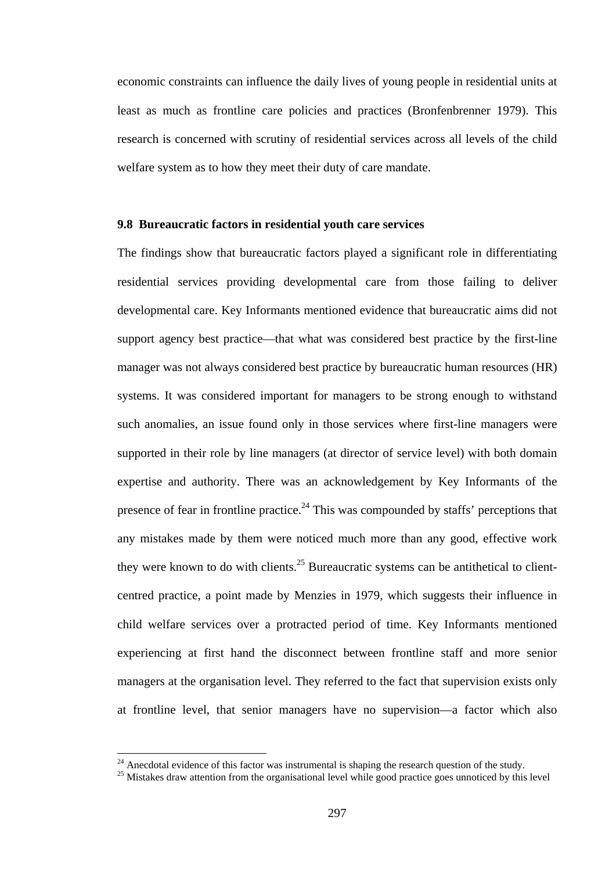economic constraints can influence the daily lives of young people in residential units at least as much as frontline care policies and practices (Bronfenbrenner 1979). This research is concerned with scrutiny of residential services across all levels of the child welfare system as to how they meet their duty of care mandate.

### **9.8 Bureaucratic factors in residential youth care services**

The findings show that bureaucratic factors played a significant role in differentiating residential services providing developmental care from those failing to deliver developmental care. Key Informants mentioned evidence that bureaucratic aims did not support agency best practice—that what was considered best practice by the first-line manager was not always considered best practice by bureaucratic human resources (HR) systems. It was considered important for managers to be strong enough to withstand such anomalies, an issue found only in those services where first-line managers were supported in their role by line managers (at director of service level) with both domain expertise and authority. There was an acknowledgement by Key Informants of the presence of fear in frontline practice.<sup>24</sup> This was compounded by staffs' perceptions that any mistakes made by them were noticed much more than any good, effective work they were known to do with clients.<sup>25</sup> Bureaucratic systems can be antithetical to clientcentred practice, a point made by Menzies in 1979, which suggests their influence in child welfare services over a protracted period of time. Key Informants mentioned experiencing at first hand the disconnect between frontline staff and more senior managers at the organisation level. They referred to the fact that supervision exists only at frontline level, that senior managers have no supervision—a factor which also

 $\overline{a}$ 

<sup>&</sup>lt;sup>24</sup> Anecdotal evidence of this factor was instrumental is shaping the research question of the study.<br><sup>25</sup> Mistakes draw attention from the organisational level while good practice goes unnoticed by this level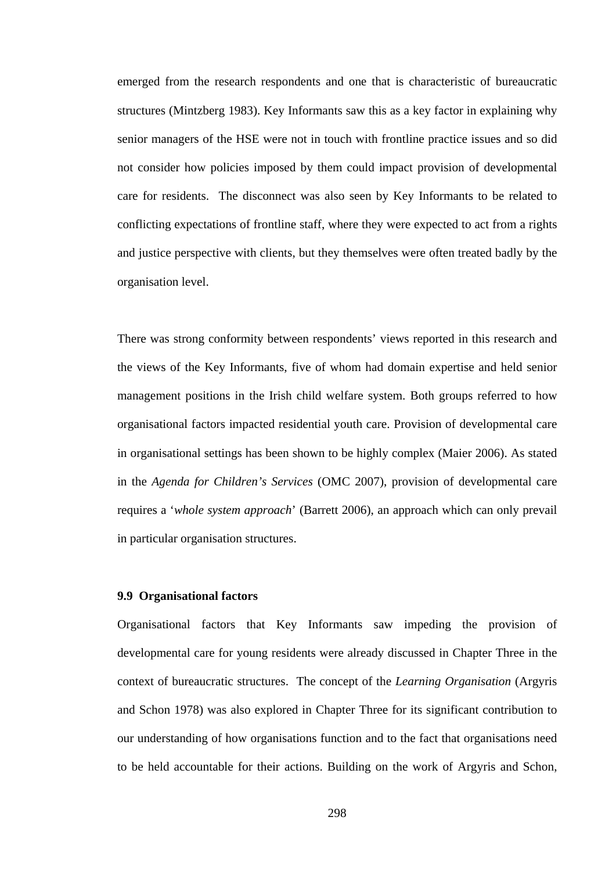emerged from the research respondents and one that is characteristic of bureaucratic structures (Mintzberg 1983). Key Informants saw this as a key factor in explaining why senior managers of the HSE were not in touch with frontline practice issues and so did not consider how policies imposed by them could impact provision of developmental care for residents. The disconnect was also seen by Key Informants to be related to conflicting expectations of frontline staff, where they were expected to act from a rights and justice perspective with clients, but they themselves were often treated badly by the organisation level.

There was strong conformity between respondents' views reported in this research and the views of the Key Informants, five of whom had domain expertise and held senior management positions in the Irish child welfare system. Both groups referred to how organisational factors impacted residential youth care. Provision of developmental care in organisational settings has been shown to be highly complex (Maier 2006). As stated in the *Agenda for Children's Services* (OMC 2007), provision of developmental care requires a '*whole system approach*' (Barrett 2006), an approach which can only prevail in particular organisation structures.

### **9.9 Organisational factors**

Organisational factors that Key Informants saw impeding the provision of developmental care for young residents were already discussed in Chapter Three in the context of bureaucratic structures. The concept of the *Learning Organisation* (Argyris and Schon 1978) was also explored in Chapter Three for its significant contribution to our understanding of how organisations function and to the fact that organisations need to be held accountable for their actions. Building on the work of Argyris and Schon,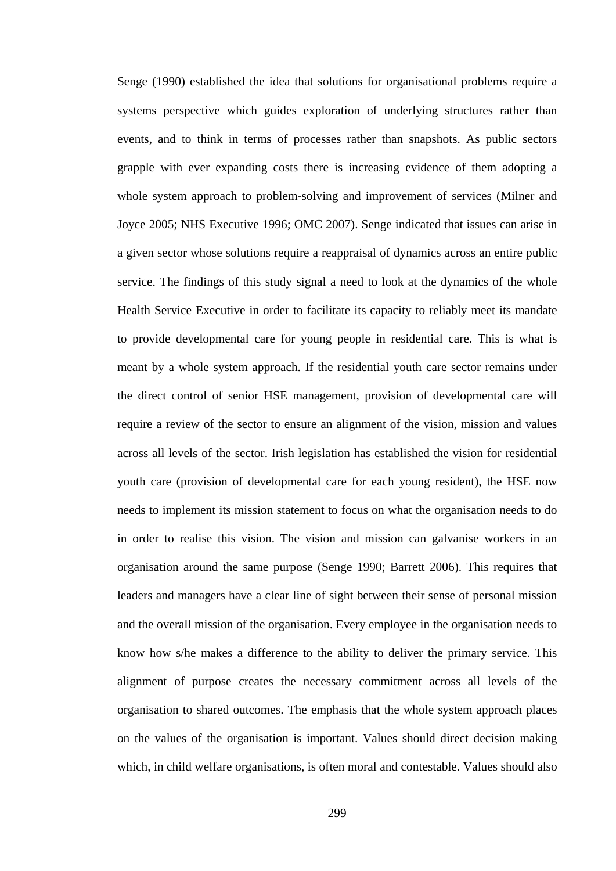Senge (1990) established the idea that solutions for organisational problems require a systems perspective which guides exploration of underlying structures rather than events, and to think in terms of processes rather than snapshots. As public sectors grapple with ever expanding costs there is increasing evidence of them adopting a whole system approach to problem-solving and improvement of services (Milner and Joyce 2005; NHS Executive 1996; OMC 2007). Senge indicated that issues can arise in a given sector whose solutions require a reappraisal of dynamics across an entire public service. The findings of this study signal a need to look at the dynamics of the whole Health Service Executive in order to facilitate its capacity to reliably meet its mandate to provide developmental care for young people in residential care. This is what is meant by a whole system approach. If the residential youth care sector remains under the direct control of senior HSE management, provision of developmental care will require a review of the sector to ensure an alignment of the vision, mission and values across all levels of the sector. Irish legislation has established the vision for residential youth care (provision of developmental care for each young resident), the HSE now needs to implement its mission statement to focus on what the organisation needs to do in order to realise this vision. The vision and mission can galvanise workers in an organisation around the same purpose (Senge 1990; Barrett 2006). This requires that leaders and managers have a clear line of sight between their sense of personal mission and the overall mission of the organisation. Every employee in the organisation needs to know how s/he makes a difference to the ability to deliver the primary service. This alignment of purpose creates the necessary commitment across all levels of the organisation to shared outcomes. The emphasis that the whole system approach places on the values of the organisation is important. Values should direct decision making which, in child welfare organisations, is often moral and contestable. Values should also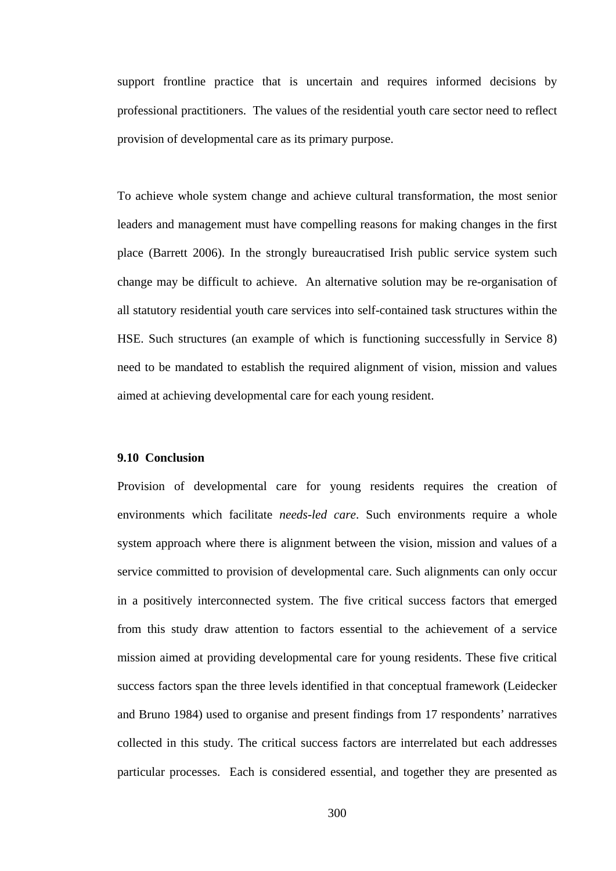support frontline practice that is uncertain and requires informed decisions by professional practitioners. The values of the residential youth care sector need to reflect provision of developmental care as its primary purpose.

To achieve whole system change and achieve cultural transformation, the most senior leaders and management must have compelling reasons for making changes in the first place (Barrett 2006). In the strongly bureaucratised Irish public service system such change may be difficult to achieve. An alternative solution may be re-organisation of all statutory residential youth care services into self-contained task structures within the HSE. Such structures (an example of which is functioning successfully in Service 8) need to be mandated to establish the required alignment of vision, mission and values aimed at achieving developmental care for each young resident.

## **9.10 Conclusion**

Provision of developmental care for young residents requires the creation of environments which facilitate *needs-led care*. Such environments require a whole system approach where there is alignment between the vision, mission and values of a service committed to provision of developmental care. Such alignments can only occur in a positively interconnected system. The five critical success factors that emerged from this study draw attention to factors essential to the achievement of a service mission aimed at providing developmental care for young residents. These five critical success factors span the three levels identified in that conceptual framework (Leidecker and Bruno 1984) used to organise and present findings from 17 respondents' narratives collected in this study. The critical success factors are interrelated but each addresses particular processes. Each is considered essential, and together they are presented as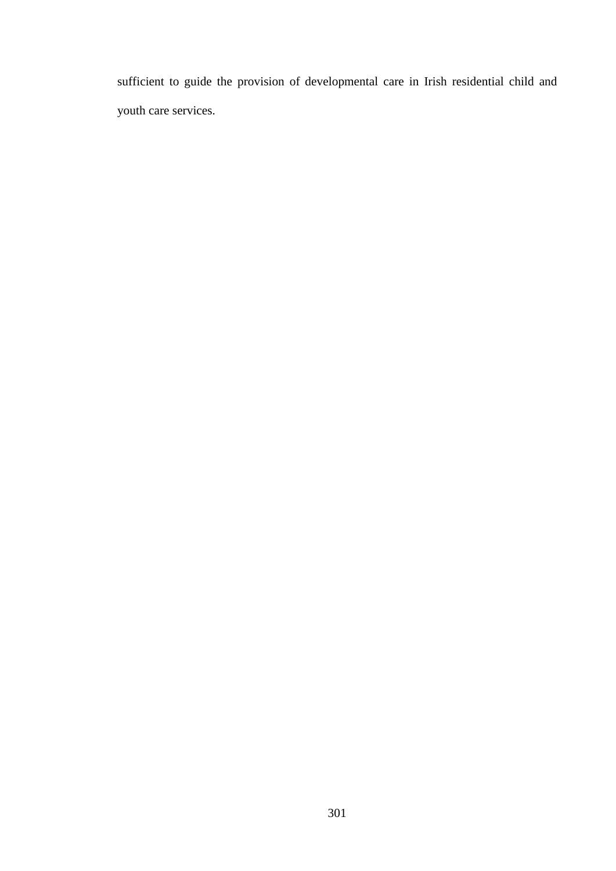sufficient to guide the provision of developmental care in Irish residential child and youth care services.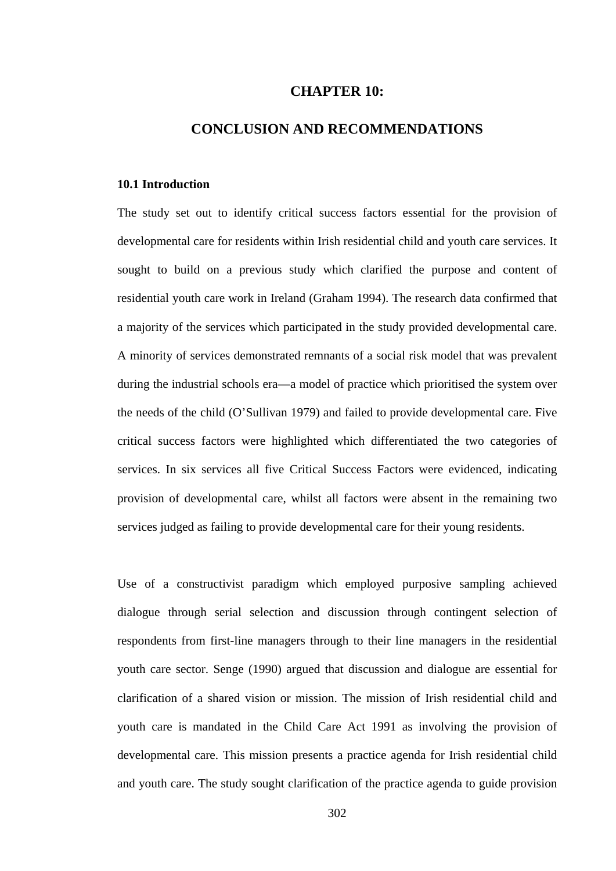## **CHAPTER 10:**

## **CONCLUSION AND RECOMMENDATIONS**

#### **10.1 Introduction**

The study set out to identify critical success factors essential for the provision of developmental care for residents within Irish residential child and youth care services. It sought to build on a previous study which clarified the purpose and content of residential youth care work in Ireland (Graham 1994). The research data confirmed that a majority of the services which participated in the study provided developmental care. A minority of services demonstrated remnants of a social risk model that was prevalent during the industrial schools era—a model of practice which prioritised the system over the needs of the child (O'Sullivan 1979) and failed to provide developmental care. Five critical success factors were highlighted which differentiated the two categories of services. In six services all five Critical Success Factors were evidenced, indicating provision of developmental care, whilst all factors were absent in the remaining two services judged as failing to provide developmental care for their young residents.

Use of a constructivist paradigm which employed purposive sampling achieved dialogue through serial selection and discussion through contingent selection of respondents from first-line managers through to their line managers in the residential youth care sector. Senge (1990) argued that discussion and dialogue are essential for clarification of a shared vision or mission. The mission of Irish residential child and youth care is mandated in the Child Care Act 1991 as involving the provision of developmental care. This mission presents a practice agenda for Irish residential child and youth care. The study sought clarification of the practice agenda to guide provision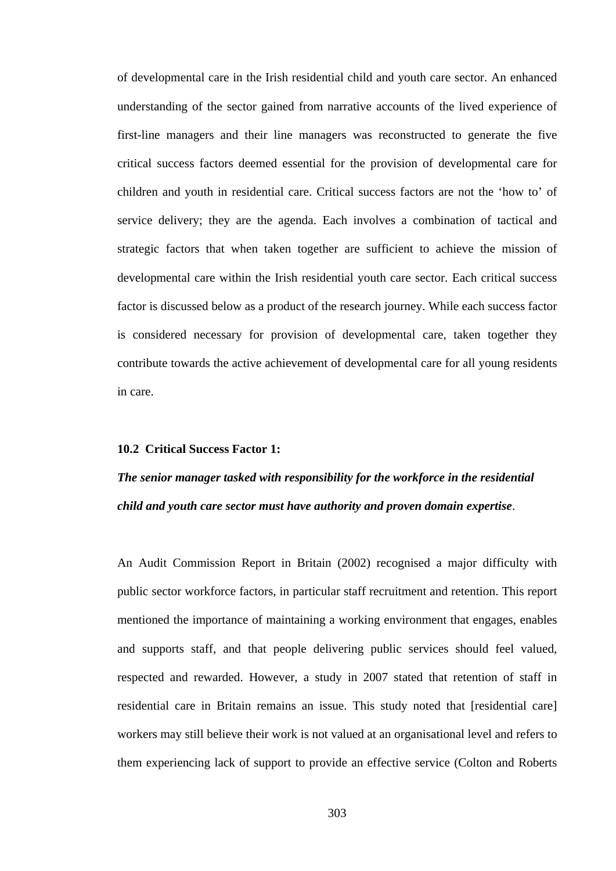of developmental care in the Irish residential child and youth care sector. An enhanced understanding of the sector gained from narrative accounts of the lived experience of first-line managers and their line managers was reconstructed to generate the five critical success factors deemed essential for the provision of developmental care for children and youth in residential care. Critical success factors are not the 'how to' of service delivery; they are the agenda. Each involves a combination of tactical and strategic factors that when taken together are sufficient to achieve the mission of developmental care within the Irish residential youth care sector. Each critical success factor is discussed below as a product of the research journey. While each success factor is considered necessary for provision of developmental care, taken together they contribute towards the active achievement of developmental care for all young residents in care.

## **10.2 Critical Success Factor 1:**

# *The senior manager tasked with responsibility for the workforce in the residential child and youth care sector must have authority and proven domain expertise*.

An Audit Commission Report in Britain (2002) recognised a major difficulty with public sector workforce factors, in particular staff recruitment and retention. This report mentioned the importance of maintaining a working environment that engages, enables and supports staff, and that people delivering public services should feel valued, respected and rewarded. However, a study in 2007 stated that retention of staff in residential care in Britain remains an issue. This study noted that [residential care] workers may still believe their work is not valued at an organisational level and refers to them experiencing lack of support to provide an effective service (Colton and Roberts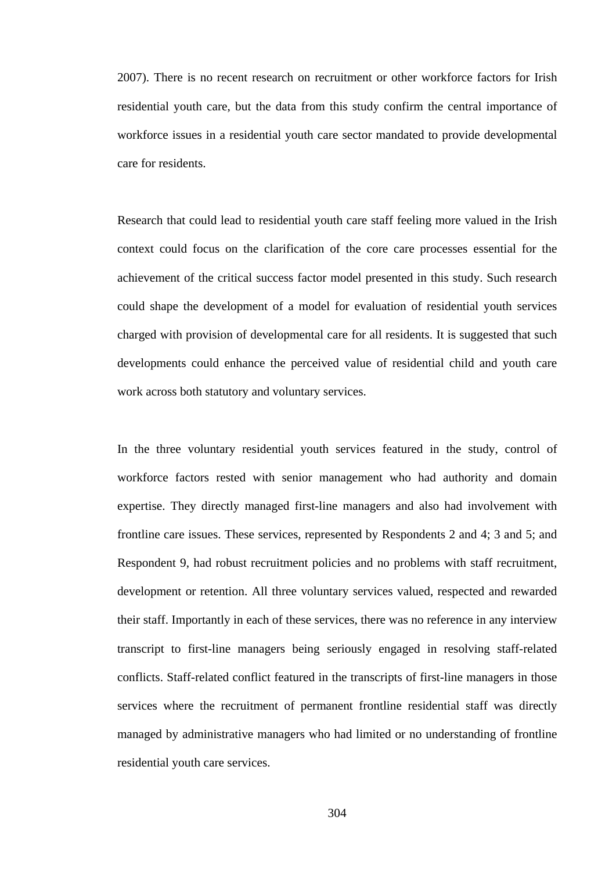2007). There is no recent research on recruitment or other workforce factors for Irish residential youth care, but the data from this study confirm the central importance of workforce issues in a residential youth care sector mandated to provide developmental care for residents.

Research that could lead to residential youth care staff feeling more valued in the Irish context could focus on the clarification of the core care processes essential for the achievement of the critical success factor model presented in this study. Such research could shape the development of a model for evaluation of residential youth services charged with provision of developmental care for all residents. It is suggested that such developments could enhance the perceived value of residential child and youth care work across both statutory and voluntary services.

In the three voluntary residential youth services featured in the study, control of workforce factors rested with senior management who had authority and domain expertise. They directly managed first-line managers and also had involvement with frontline care issues. These services, represented by Respondents 2 and 4; 3 and 5; and Respondent 9, had robust recruitment policies and no problems with staff recruitment, development or retention. All three voluntary services valued, respected and rewarded their staff. Importantly in each of these services, there was no reference in any interview transcript to first-line managers being seriously engaged in resolving staff-related conflicts. Staff-related conflict featured in the transcripts of first-line managers in those services where the recruitment of permanent frontline residential staff was directly managed by administrative managers who had limited or no understanding of frontline residential youth care services.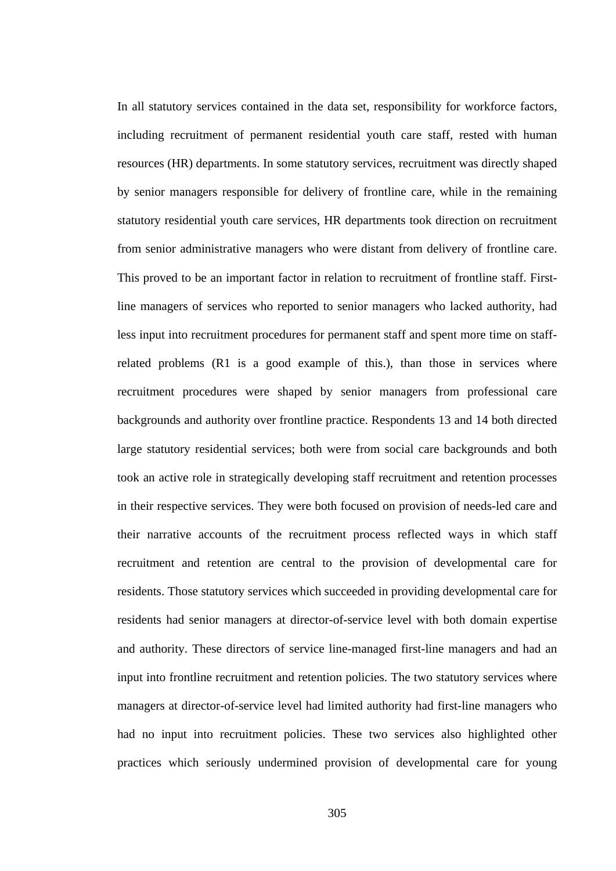In all statutory services contained in the data set, responsibility for workforce factors, including recruitment of permanent residential youth care staff, rested with human resources (HR) departments. In some statutory services, recruitment was directly shaped by senior managers responsible for delivery of frontline care, while in the remaining statutory residential youth care services, HR departments took direction on recruitment from senior administrative managers who were distant from delivery of frontline care. This proved to be an important factor in relation to recruitment of frontline staff. Firstline managers of services who reported to senior managers who lacked authority, had less input into recruitment procedures for permanent staff and spent more time on staffrelated problems (R1 is a good example of this.), than those in services where recruitment procedures were shaped by senior managers from professional care backgrounds and authority over frontline practice. Respondents 13 and 14 both directed large statutory residential services; both were from social care backgrounds and both took an active role in strategically developing staff recruitment and retention processes in their respective services. They were both focused on provision of needs-led care and their narrative accounts of the recruitment process reflected ways in which staff recruitment and retention are central to the provision of developmental care for residents. Those statutory services which succeeded in providing developmental care for residents had senior managers at director-of-service level with both domain expertise and authority. These directors of service line-managed first-line managers and had an input into frontline recruitment and retention policies. The two statutory services where managers at director-of-service level had limited authority had first-line managers who had no input into recruitment policies. These two services also highlighted other practices which seriously undermined provision of developmental care for young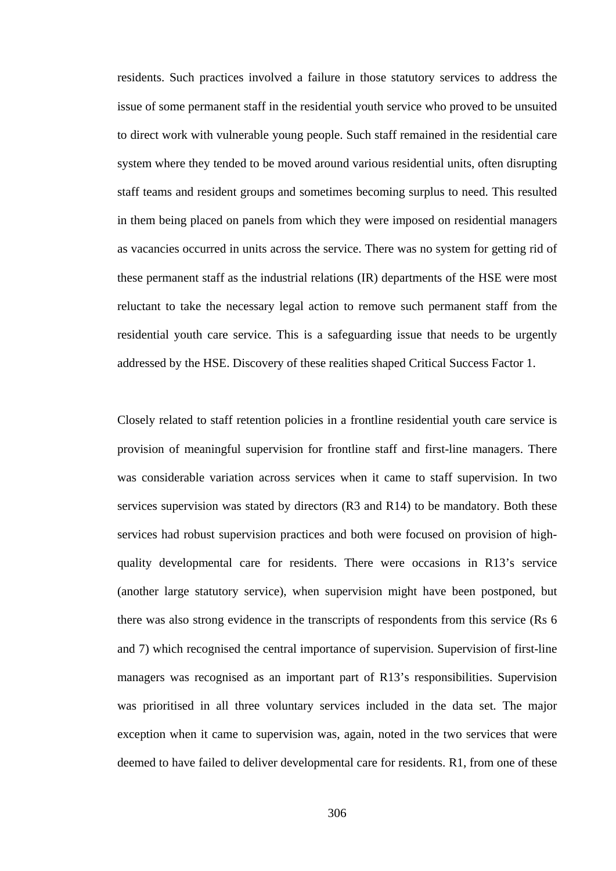residents. Such practices involved a failure in those statutory services to address the issue of some permanent staff in the residential youth service who proved to be unsuited to direct work with vulnerable young people. Such staff remained in the residential care system where they tended to be moved around various residential units, often disrupting staff teams and resident groups and sometimes becoming surplus to need. This resulted in them being placed on panels from which they were imposed on residential managers as vacancies occurred in units across the service. There was no system for getting rid of these permanent staff as the industrial relations (IR) departments of the HSE were most reluctant to take the necessary legal action to remove such permanent staff from the residential youth care service. This is a safeguarding issue that needs to be urgently addressed by the HSE. Discovery of these realities shaped Critical Success Factor 1.

Closely related to staff retention policies in a frontline residential youth care service is provision of meaningful supervision for frontline staff and first-line managers. There was considerable variation across services when it came to staff supervision. In two services supervision was stated by directors (R3 and R14) to be mandatory. Both these services had robust supervision practices and both were focused on provision of highquality developmental care for residents. There were occasions in R13's service (another large statutory service), when supervision might have been postponed, but there was also strong evidence in the transcripts of respondents from this service (Rs 6 and 7) which recognised the central importance of supervision. Supervision of first-line managers was recognised as an important part of R13's responsibilities. Supervision was prioritised in all three voluntary services included in the data set. The major exception when it came to supervision was, again, noted in the two services that were deemed to have failed to deliver developmental care for residents. R1, from one of these

306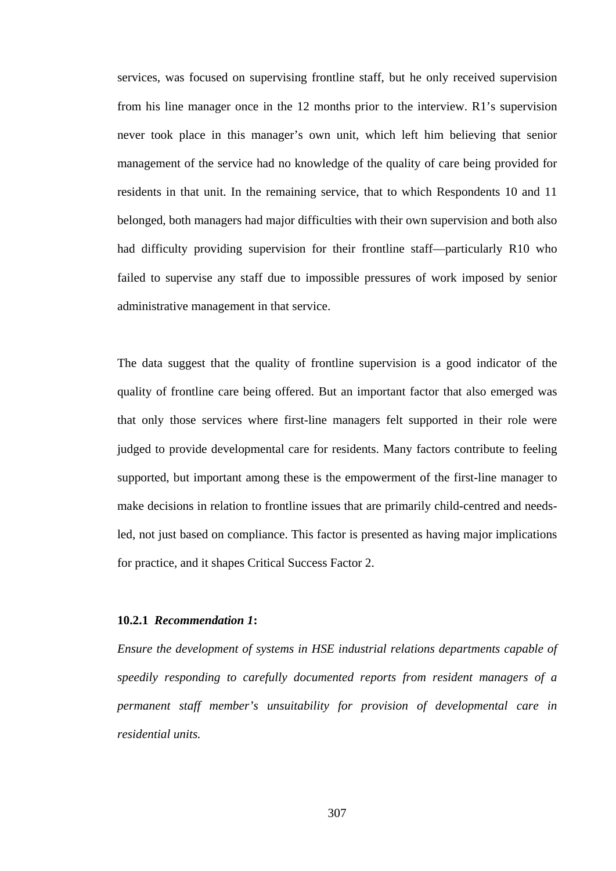services, was focused on supervising frontline staff, but he only received supervision from his line manager once in the 12 months prior to the interview. R1's supervision never took place in this manager's own unit, which left him believing that senior management of the service had no knowledge of the quality of care being provided for residents in that unit. In the remaining service, that to which Respondents 10 and 11 belonged, both managers had major difficulties with their own supervision and both also had difficulty providing supervision for their frontline staff—particularly R10 who failed to supervise any staff due to impossible pressures of work imposed by senior administrative management in that service.

The data suggest that the quality of frontline supervision is a good indicator of the quality of frontline care being offered. But an important factor that also emerged was that only those services where first-line managers felt supported in their role were judged to provide developmental care for residents. Many factors contribute to feeling supported, but important among these is the empowerment of the first-line manager to make decisions in relation to frontline issues that are primarily child-centred and needsled, not just based on compliance. This factor is presented as having major implications for practice, and it shapes Critical Success Factor 2.

#### **10.2.1** *Recommendation 1***:**

*Ensure the development of systems in HSE industrial relations departments capable of speedily responding to carefully documented reports from resident managers of a permanent staff member's unsuitability for provision of developmental care in residential units.*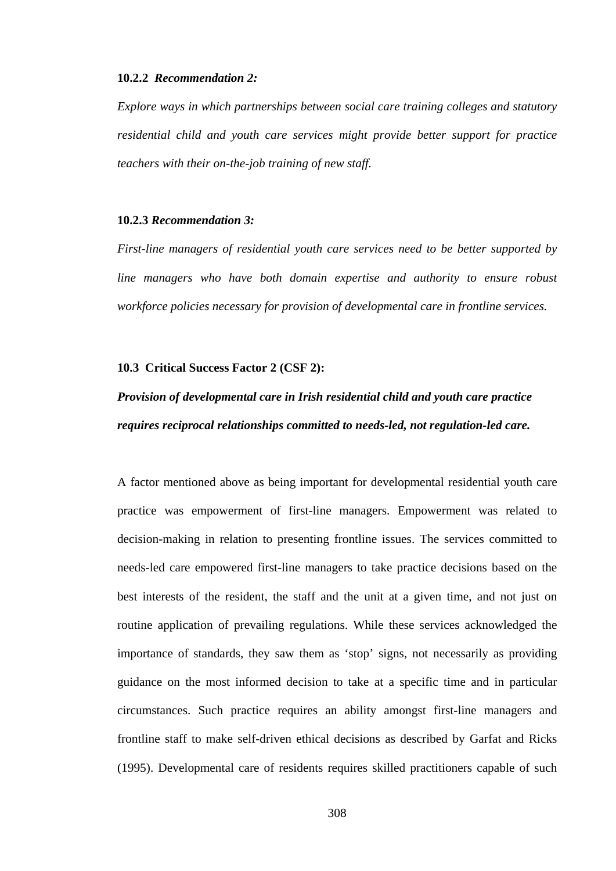#### **10.2.2** *Recommendation 2:*

*Explore ways in which partnerships between social care training colleges and statutory residential child and youth care services might provide better support for practice teachers with their on-the-job training of new staff.* 

#### **10.2.3** *Recommendation 3:*

*First-line managers of residential youth care services need to be better supported by line managers who have both domain expertise and authority to ensure robust workforce policies necessary for provision of developmental care in frontline services.* 

#### **10.3 Critical Success Factor 2 (CSF 2):**

# *Provision of developmental care in Irish residential child and youth care practice requires reciprocal relationships committed to needs-led, not regulation-led care.*

A factor mentioned above as being important for developmental residential youth care practice was empowerment of first-line managers. Empowerment was related to decision-making in relation to presenting frontline issues. The services committed to needs-led care empowered first-line managers to take practice decisions based on the best interests of the resident, the staff and the unit at a given time, and not just on routine application of prevailing regulations. While these services acknowledged the importance of standards, they saw them as 'stop' signs, not necessarily as providing guidance on the most informed decision to take at a specific time and in particular circumstances. Such practice requires an ability amongst first-line managers and frontline staff to make self-driven ethical decisions as described by Garfat and Ricks (1995). Developmental care of residents requires skilled practitioners capable of such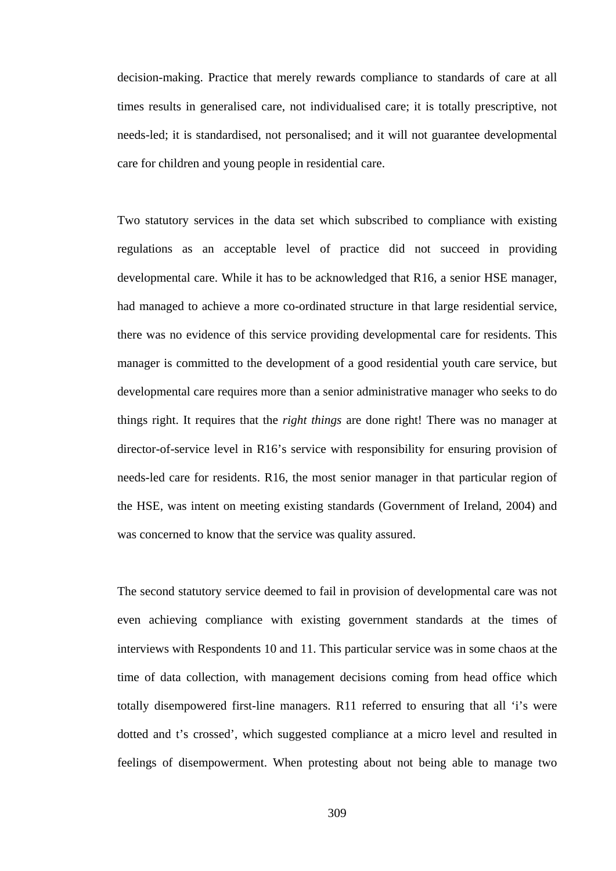decision-making. Practice that merely rewards compliance to standards of care at all times results in generalised care, not individualised care; it is totally prescriptive, not needs-led; it is standardised, not personalised; and it will not guarantee developmental care for children and young people in residential care.

Two statutory services in the data set which subscribed to compliance with existing regulations as an acceptable level of practice did not succeed in providing developmental care. While it has to be acknowledged that R16, a senior HSE manager, had managed to achieve a more co-ordinated structure in that large residential service, there was no evidence of this service providing developmental care for residents. This manager is committed to the development of a good residential youth care service, but developmental care requires more than a senior administrative manager who seeks to do things right. It requires that the *right things* are done right! There was no manager at director-of-service level in R16's service with responsibility for ensuring provision of needs-led care for residents. R16, the most senior manager in that particular region of the HSE, was intent on meeting existing standards (Government of Ireland, 2004) and was concerned to know that the service was quality assured.

The second statutory service deemed to fail in provision of developmental care was not even achieving compliance with existing government standards at the times of interviews with Respondents 10 and 11. This particular service was in some chaos at the time of data collection, with management decisions coming from head office which totally disempowered first-line managers. R11 referred to ensuring that all 'i's were dotted and t's crossed', which suggested compliance at a micro level and resulted in feelings of disempowerment. When protesting about not being able to manage two

309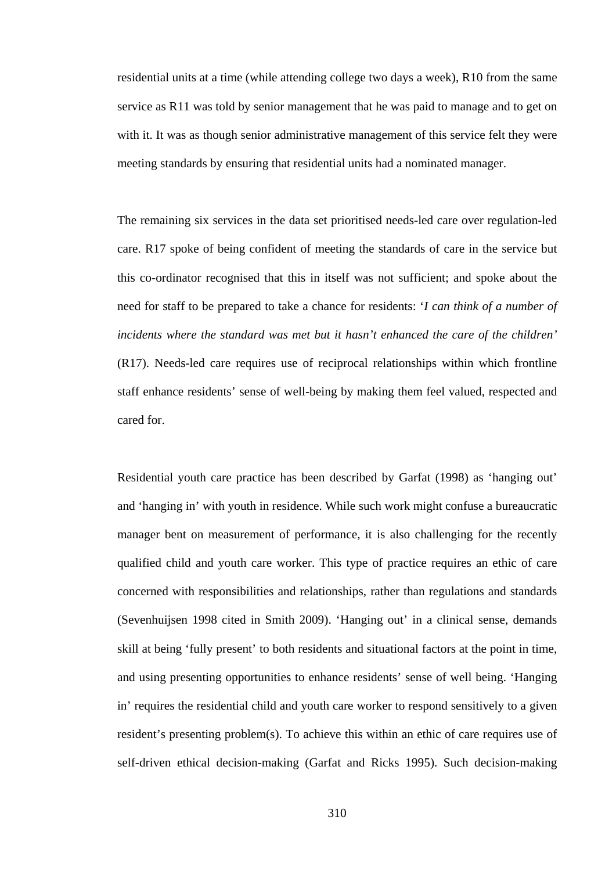residential units at a time (while attending college two days a week), R10 from the same service as R11 was told by senior management that he was paid to manage and to get on with it. It was as though senior administrative management of this service felt they were meeting standards by ensuring that residential units had a nominated manager.

The remaining six services in the data set prioritised needs-led care over regulation-led care. R17 spoke of being confident of meeting the standards of care in the service but this co-ordinator recognised that this in itself was not sufficient; and spoke about the need for staff to be prepared to take a chance for residents: '*I can think of a number of incidents where the standard was met but it hasn't enhanced the care of the children'* (R17). Needs-led care requires use of reciprocal relationships within which frontline staff enhance residents' sense of well-being by making them feel valued, respected and cared for.

Residential youth care practice has been described by Garfat (1998) as 'hanging out' and 'hanging in' with youth in residence. While such work might confuse a bureaucratic manager bent on measurement of performance, it is also challenging for the recently qualified child and youth care worker. This type of practice requires an ethic of care concerned with responsibilities and relationships, rather than regulations and standards (Sevenhuijsen 1998 cited in Smith 2009). 'Hanging out' in a clinical sense, demands skill at being 'fully present' to both residents and situational factors at the point in time, and using presenting opportunities to enhance residents' sense of well being. 'Hanging in' requires the residential child and youth care worker to respond sensitively to a given resident's presenting problem(s). To achieve this within an ethic of care requires use of self-driven ethical decision-making (Garfat and Ricks 1995). Such decision-making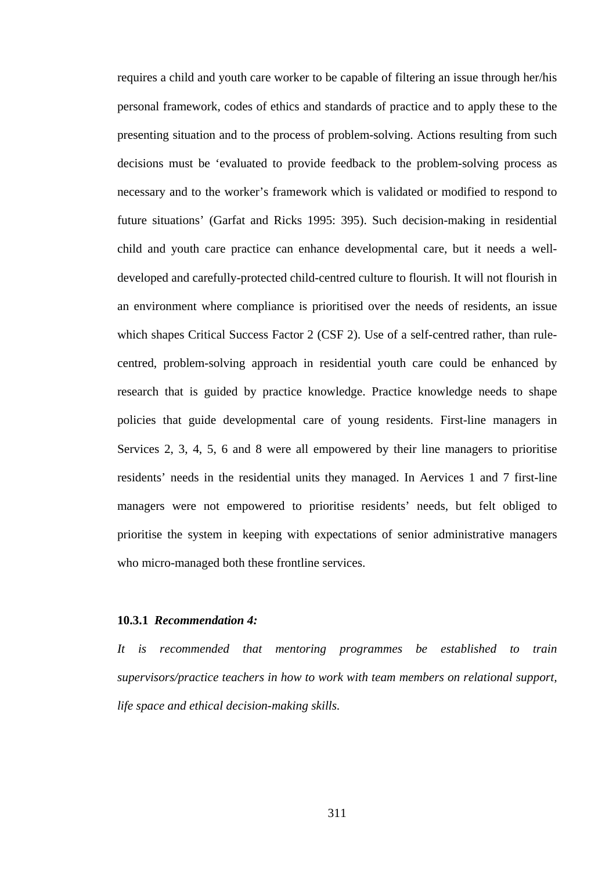requires a child and youth care worker to be capable of filtering an issue through her/his personal framework, codes of ethics and standards of practice and to apply these to the presenting situation and to the process of problem-solving. Actions resulting from such decisions must be 'evaluated to provide feedback to the problem-solving process as necessary and to the worker's framework which is validated or modified to respond to future situations' (Garfat and Ricks 1995: 395). Such decision-making in residential child and youth care practice can enhance developmental care, but it needs a welldeveloped and carefully-protected child-centred culture to flourish. It will not flourish in an environment where compliance is prioritised over the needs of residents, an issue which shapes Critical Success Factor 2 (CSF 2). Use of a self-centred rather, than rulecentred, problem-solving approach in residential youth care could be enhanced by research that is guided by practice knowledge. Practice knowledge needs to shape policies that guide developmental care of young residents. First-line managers in Services 2, 3, 4, 5, 6 and 8 were all empowered by their line managers to prioritise residents' needs in the residential units they managed. In Aervices 1 and 7 first-line managers were not empowered to prioritise residents' needs, but felt obliged to prioritise the system in keeping with expectations of senior administrative managers who micro-managed both these frontline services.

#### **10.3.1** *Recommendation 4:*

*It is recommended that mentoring programmes be established to train supervisors/practice teachers in how to work with team members on relational support, life space and ethical decision-making skills.*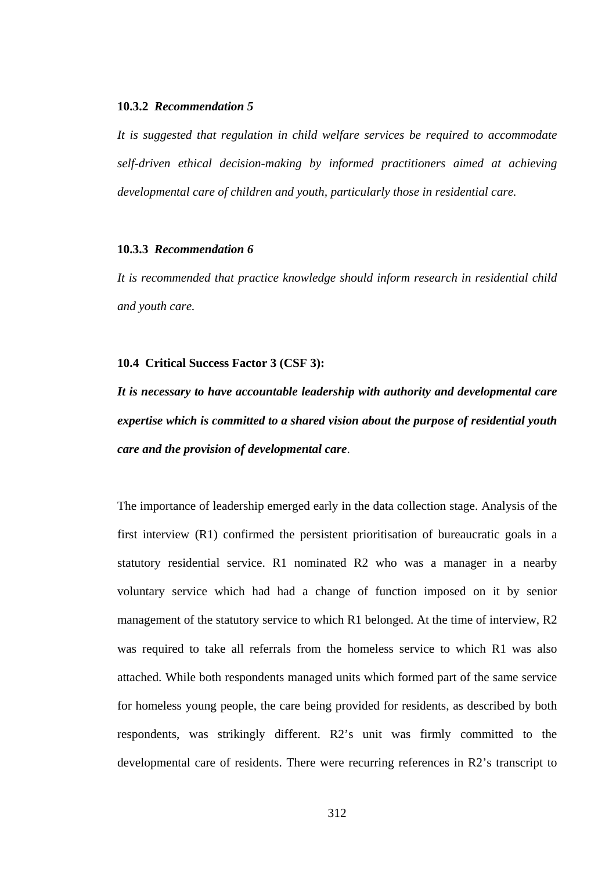#### **10.3.2** *Recommendation 5*

*It is suggested that regulation in child welfare services be required to accommodate self-driven ethical decision-making by informed practitioners aimed at achieving developmental care of children and youth, particularly those in residential care.* 

### **10.3.3** *Recommendation 6*

*It is recommended that practice knowledge should inform research in residential child and youth care.*

#### **10.4 Critical Success Factor 3 (CSF 3):**

*It is necessary to have accountable leadership with authority and developmental care expertise which is committed to a shared vision about the purpose of residential youth care and the provision of developmental care*.

The importance of leadership emerged early in the data collection stage. Analysis of the first interview (R1) confirmed the persistent prioritisation of bureaucratic goals in a statutory residential service. R1 nominated R2 who was a manager in a nearby voluntary service which had had a change of function imposed on it by senior management of the statutory service to which R1 belonged. At the time of interview, R2 was required to take all referrals from the homeless service to which R1 was also attached. While both respondents managed units which formed part of the same service for homeless young people, the care being provided for residents, as described by both respondents, was strikingly different. R2's unit was firmly committed to the developmental care of residents. There were recurring references in R2's transcript to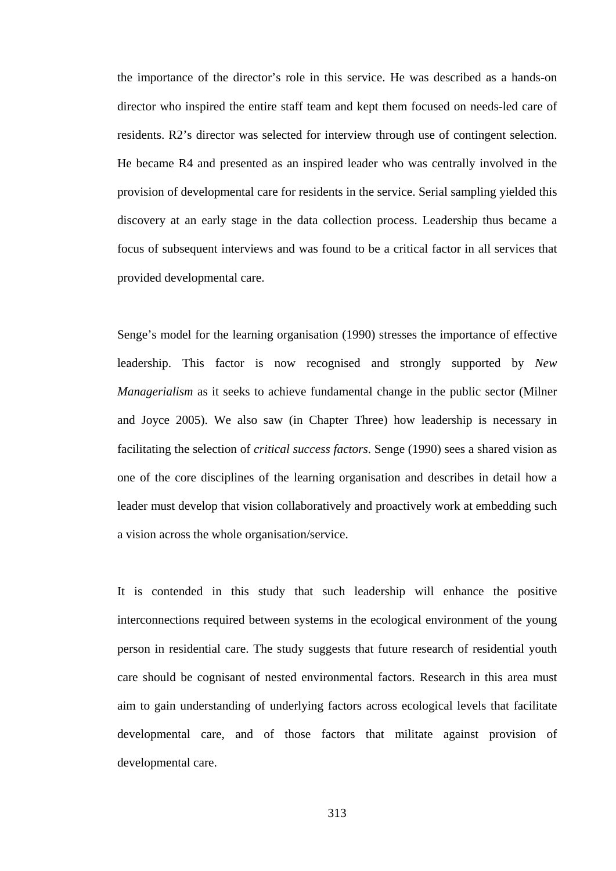the importance of the director's role in this service. He was described as a hands-on director who inspired the entire staff team and kept them focused on needs-led care of residents. R2's director was selected for interview through use of contingent selection. He became R4 and presented as an inspired leader who was centrally involved in the provision of developmental care for residents in the service. Serial sampling yielded this discovery at an early stage in the data collection process. Leadership thus became a focus of subsequent interviews and was found to be a critical factor in all services that provided developmental care.

Senge's model for the learning organisation (1990) stresses the importance of effective leadership. This factor is now recognised and strongly supported by *New Managerialism* as it seeks to achieve fundamental change in the public sector (Milner and Joyce 2005). We also saw (in Chapter Three) how leadership is necessary in facilitating the selection of *critical success factors*. Senge (1990) sees a shared vision as one of the core disciplines of the learning organisation and describes in detail how a leader must develop that vision collaboratively and proactively work at embedding such a vision across the whole organisation/service.

It is contended in this study that such leadership will enhance the positive interconnections required between systems in the ecological environment of the young person in residential care. The study suggests that future research of residential youth care should be cognisant of nested environmental factors. Research in this area must aim to gain understanding of underlying factors across ecological levels that facilitate developmental care, and of those factors that militate against provision of developmental care.

313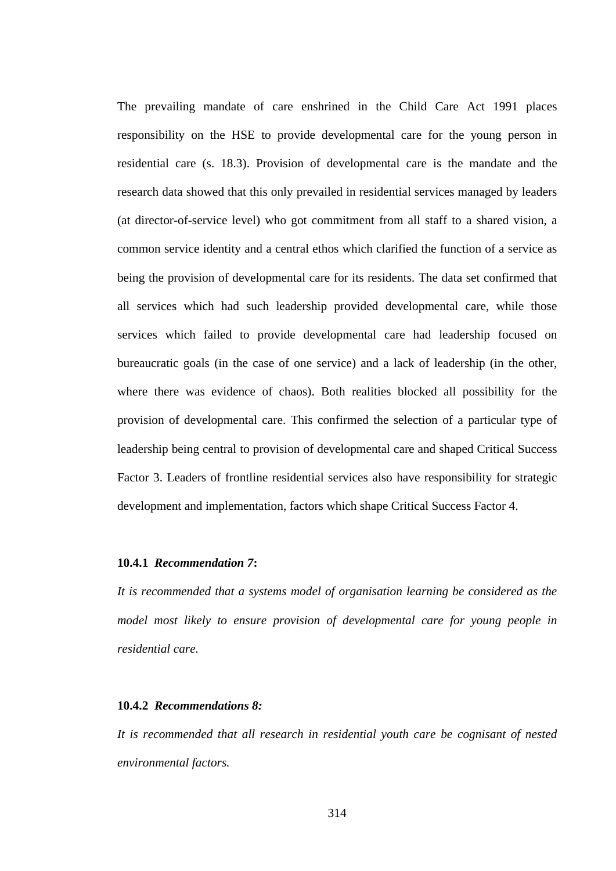The prevailing mandate of care enshrined in the Child Care Act 1991 places responsibility on the HSE to provide developmental care for the young person in residential care (s. 18.3). Provision of developmental care is the mandate and the research data showed that this only prevailed in residential services managed by leaders (at director-of-service level) who got commitment from all staff to a shared vision, a common service identity and a central ethos which clarified the function of a service as being the provision of developmental care for its residents. The data set confirmed that all services which had such leadership provided developmental care, while those services which failed to provide developmental care had leadership focused on bureaucratic goals (in the case of one service) and a lack of leadership (in the other, where there was evidence of chaos). Both realities blocked all possibility for the provision of developmental care. This confirmed the selection of a particular type of leadership being central to provision of developmental care and shaped Critical Success Factor 3. Leaders of frontline residential services also have responsibility for strategic development and implementation, factors which shape Critical Success Factor 4.

### **10.4.1** *Recommendation 7***:**

*It is recommended that a systems model of organisation learning be considered as the model most likely to ensure provision of developmental care for young people in residential care.* 

### **10.4.2** *Recommendations 8:*

*It is recommended that all research in residential youth care be cognisant of nested environmental factors.*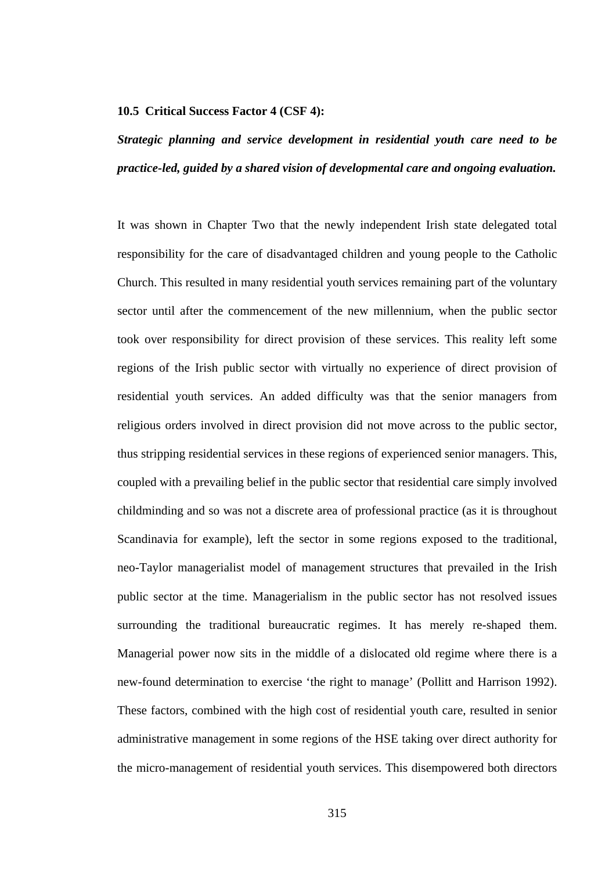#### **10.5 Critical Success Factor 4 (CSF 4):**

# *Strategic planning and service development in residential youth care need to be practice-led, guided by a shared vision of developmental care and ongoing evaluation.*

It was shown in Chapter Two that the newly independent Irish state delegated total responsibility for the care of disadvantaged children and young people to the Catholic Church. This resulted in many residential youth services remaining part of the voluntary sector until after the commencement of the new millennium, when the public sector took over responsibility for direct provision of these services. This reality left some regions of the Irish public sector with virtually no experience of direct provision of residential youth services. An added difficulty was that the senior managers from religious orders involved in direct provision did not move across to the public sector, thus stripping residential services in these regions of experienced senior managers. This, coupled with a prevailing belief in the public sector that residential care simply involved childminding and so was not a discrete area of professional practice (as it is throughout Scandinavia for example), left the sector in some regions exposed to the traditional, neo-Taylor managerialist model of management structures that prevailed in the Irish public sector at the time. Managerialism in the public sector has not resolved issues surrounding the traditional bureaucratic regimes. It has merely re-shaped them. Managerial power now sits in the middle of a dislocated old regime where there is a new-found determination to exercise 'the right to manage' (Pollitt and Harrison 1992). These factors, combined with the high cost of residential youth care, resulted in senior administrative management in some regions of the HSE taking over direct authority for the micro-management of residential youth services. This disempowered both directors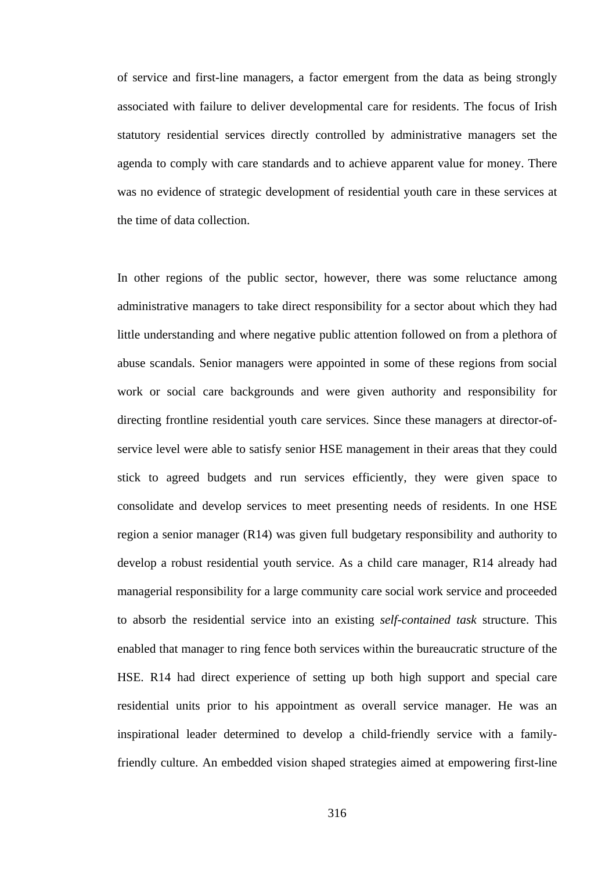of service and first-line managers, a factor emergent from the data as being strongly associated with failure to deliver developmental care for residents. The focus of Irish statutory residential services directly controlled by administrative managers set the agenda to comply with care standards and to achieve apparent value for money. There was no evidence of strategic development of residential youth care in these services at the time of data collection.

In other regions of the public sector, however, there was some reluctance among administrative managers to take direct responsibility for a sector about which they had little understanding and where negative public attention followed on from a plethora of abuse scandals. Senior managers were appointed in some of these regions from social work or social care backgrounds and were given authority and responsibility for directing frontline residential youth care services. Since these managers at director-ofservice level were able to satisfy senior HSE management in their areas that they could stick to agreed budgets and run services efficiently, they were given space to consolidate and develop services to meet presenting needs of residents. In one HSE region a senior manager (R14) was given full budgetary responsibility and authority to develop a robust residential youth service. As a child care manager, R14 already had managerial responsibility for a large community care social work service and proceeded to absorb the residential service into an existing *self-contained task* structure. This enabled that manager to ring fence both services within the bureaucratic structure of the HSE. R14 had direct experience of setting up both high support and special care residential units prior to his appointment as overall service manager. He was an inspirational leader determined to develop a child-friendly service with a familyfriendly culture. An embedded vision shaped strategies aimed at empowering first-line

316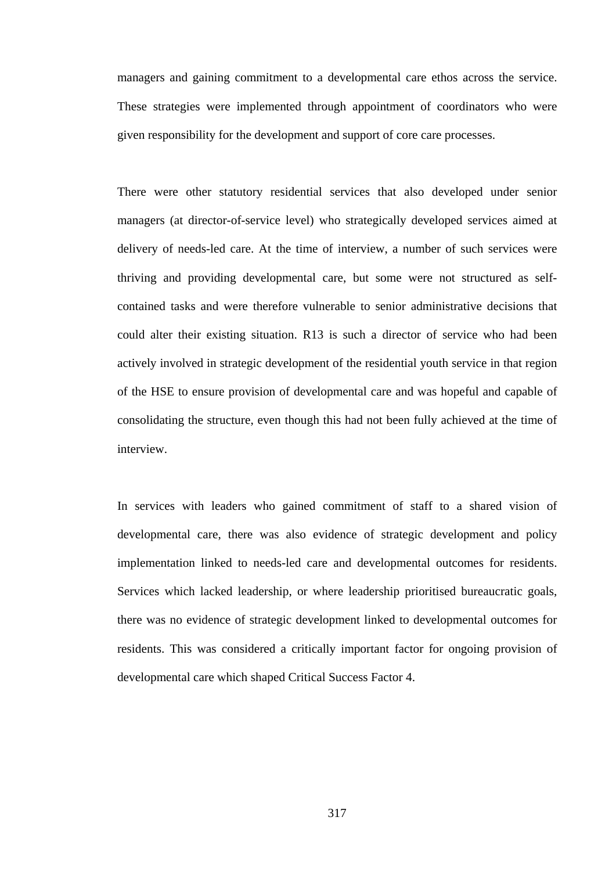managers and gaining commitment to a developmental care ethos across the service. These strategies were implemented through appointment of coordinators who were given responsibility for the development and support of core care processes.

There were other statutory residential services that also developed under senior managers (at director-of-service level) who strategically developed services aimed at delivery of needs-led care. At the time of interview, a number of such services were thriving and providing developmental care, but some were not structured as selfcontained tasks and were therefore vulnerable to senior administrative decisions that could alter their existing situation. R13 is such a director of service who had been actively involved in strategic development of the residential youth service in that region of the HSE to ensure provision of developmental care and was hopeful and capable of consolidating the structure, even though this had not been fully achieved at the time of interview.

In services with leaders who gained commitment of staff to a shared vision of developmental care, there was also evidence of strategic development and policy implementation linked to needs-led care and developmental outcomes for residents. Services which lacked leadership, or where leadership prioritised bureaucratic goals, there was no evidence of strategic development linked to developmental outcomes for residents. This was considered a critically important factor for ongoing provision of developmental care which shaped Critical Success Factor 4.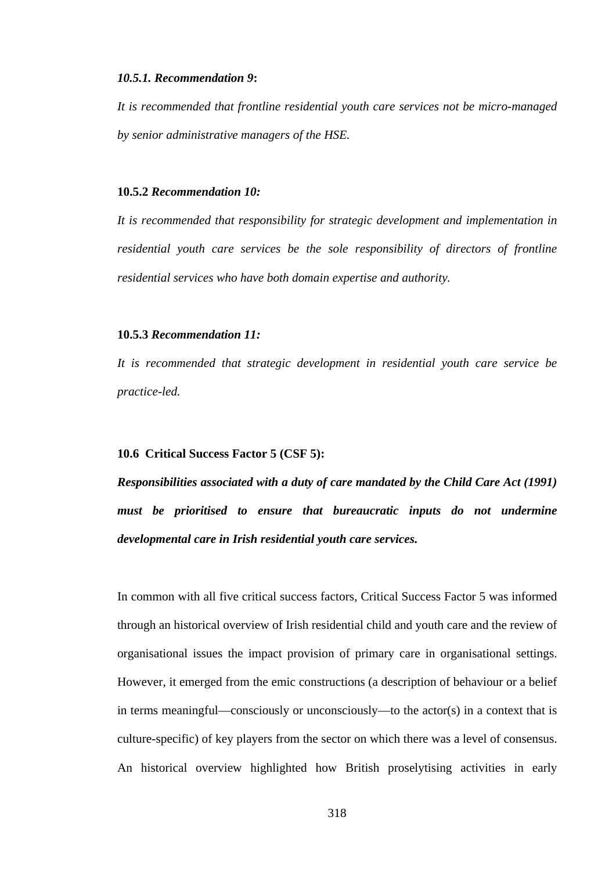#### *10.5.1. Recommendation 9***:**

*It is recommended that frontline residential youth care services not be micro-managed by senior administrative managers of the HSE.* 

#### **10.5.2** *Recommendation 10:*

*It is recommended that responsibility for strategic development and implementation in residential youth care services be the sole responsibility of directors of frontline residential services who have both domain expertise and authority.* 

### **10.5.3** *Recommendation 11:*

*It is recommended that strategic development in residential youth care service be practice-led.* 

#### **10.6 Critical Success Factor 5 (CSF 5):**

*Responsibilities associated with a duty of care mandated by the Child Care Act (1991) must be prioritised to ensure that bureaucratic inputs do not undermine developmental care in Irish residential youth care services.* 

In common with all five critical success factors, Critical Success Factor 5 was informed through an historical overview of Irish residential child and youth care and the review of organisational issues the impact provision of primary care in organisational settings. However, it emerged from the emic constructions (a description of behaviour or a belief in terms meaningful—consciously or unconsciously—to the actor(s) in a context that is culture-specific) of key players from the sector on which there was a level of consensus. An historical overview highlighted how British proselytising activities in early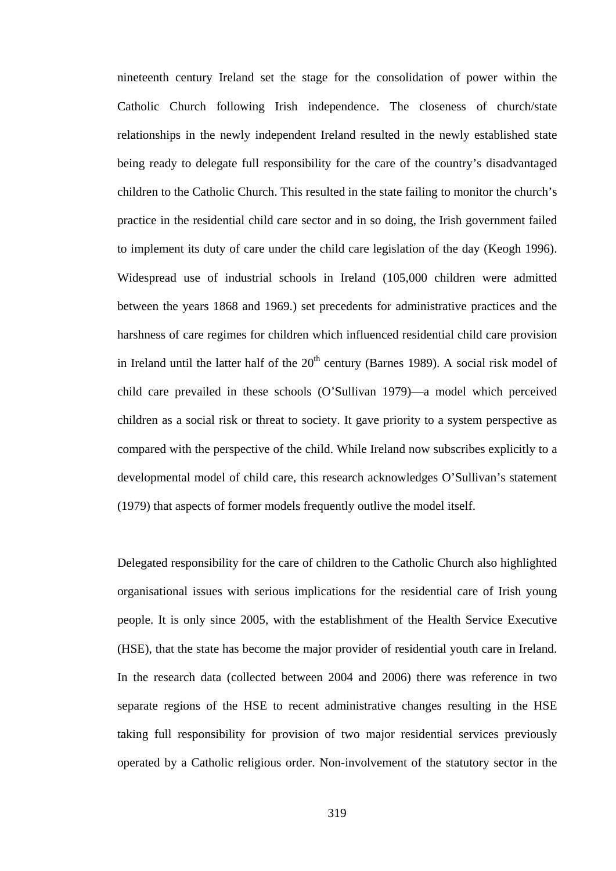nineteenth century Ireland set the stage for the consolidation of power within the Catholic Church following Irish independence. The closeness of church/state relationships in the newly independent Ireland resulted in the newly established state being ready to delegate full responsibility for the care of the country's disadvantaged children to the Catholic Church. This resulted in the state failing to monitor the church's practice in the residential child care sector and in so doing, the Irish government failed to implement its duty of care under the child care legislation of the day (Keogh 1996). Widespread use of industrial schools in Ireland (105,000 children were admitted between the years 1868 and 1969.) set precedents for administrative practices and the harshness of care regimes for children which influenced residential child care provision in Ireland until the latter half of the  $20<sup>th</sup>$  century (Barnes 1989). A social risk model of child care prevailed in these schools (O'Sullivan 1979)—a model which perceived children as a social risk or threat to society. It gave priority to a system perspective as compared with the perspective of the child. While Ireland now subscribes explicitly to a developmental model of child care, this research acknowledges O'Sullivan's statement (1979) that aspects of former models frequently outlive the model itself.

Delegated responsibility for the care of children to the Catholic Church also highlighted organisational issues with serious implications for the residential care of Irish young people. It is only since 2005, with the establishment of the Health Service Executive (HSE), that the state has become the major provider of residential youth care in Ireland. In the research data (collected between 2004 and 2006) there was reference in two separate regions of the HSE to recent administrative changes resulting in the HSE taking full responsibility for provision of two major residential services previously operated by a Catholic religious order. Non-involvement of the statutory sector in the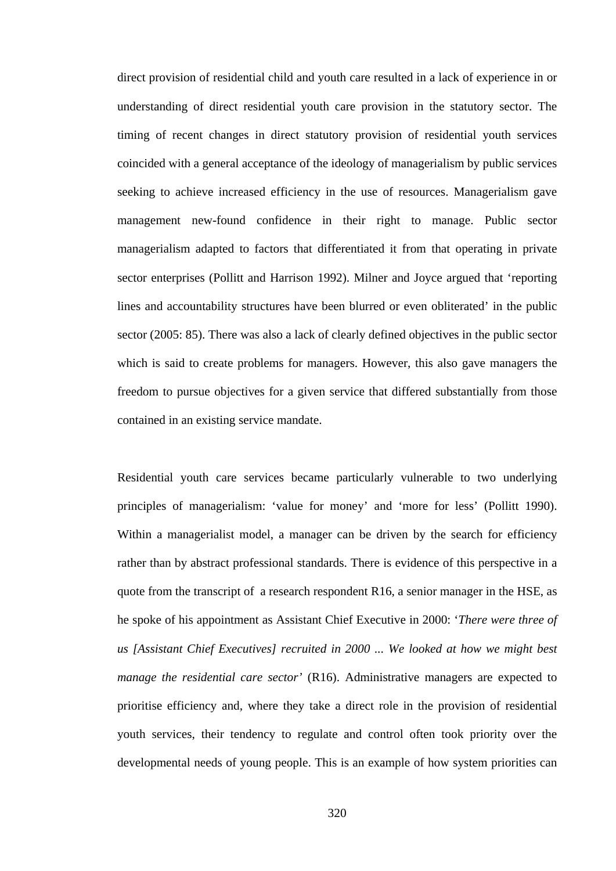direct provision of residential child and youth care resulted in a lack of experience in or understanding of direct residential youth care provision in the statutory sector. The timing of recent changes in direct statutory provision of residential youth services coincided with a general acceptance of the ideology of managerialism by public services seeking to achieve increased efficiency in the use of resources. Managerialism gave management new-found confidence in their right to manage. Public sector managerialism adapted to factors that differentiated it from that operating in private sector enterprises (Pollitt and Harrison 1992). Milner and Joyce argued that 'reporting lines and accountability structures have been blurred or even obliterated' in the public sector (2005: 85). There was also a lack of clearly defined objectives in the public sector which is said to create problems for managers. However, this also gave managers the freedom to pursue objectives for a given service that differed substantially from those contained in an existing service mandate.

Residential youth care services became particularly vulnerable to two underlying principles of managerialism: 'value for money' and 'more for less' (Pollitt 1990). Within a managerialist model, a manager can be driven by the search for efficiency rather than by abstract professional standards. There is evidence of this perspective in a quote from the transcript of a research respondent R16, a senior manager in the HSE, as he spoke of his appointment as Assistant Chief Executive in 2000: '*There were three of us [Assistant Chief Executives] recruited in 2000 ... We looked at how we might best manage the residential care sector'* (R16). Administrative managers are expected to prioritise efficiency and, where they take a direct role in the provision of residential youth services, their tendency to regulate and control often took priority over the developmental needs of young people. This is an example of how system priorities can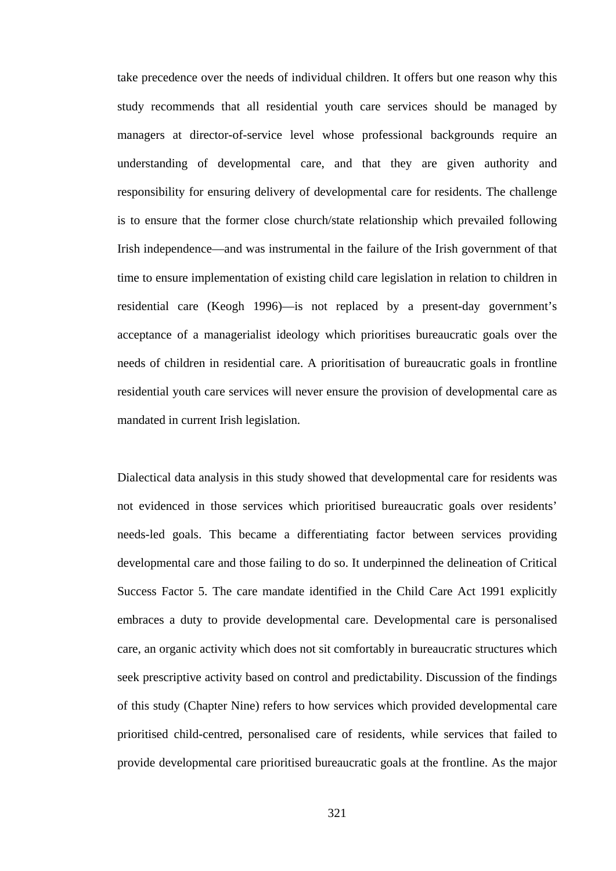take precedence over the needs of individual children. It offers but one reason why this study recommends that all residential youth care services should be managed by managers at director-of-service level whose professional backgrounds require an understanding of developmental care, and that they are given authority and responsibility for ensuring delivery of developmental care for residents. The challenge is to ensure that the former close church/state relationship which prevailed following Irish independence—and was instrumental in the failure of the Irish government of that time to ensure implementation of existing child care legislation in relation to children in residential care (Keogh 1996)—is not replaced by a present-day government's acceptance of a managerialist ideology which prioritises bureaucratic goals over the needs of children in residential care. A prioritisation of bureaucratic goals in frontline residential youth care services will never ensure the provision of developmental care as mandated in current Irish legislation.

Dialectical data analysis in this study showed that developmental care for residents was not evidenced in those services which prioritised bureaucratic goals over residents' needs-led goals. This became a differentiating factor between services providing developmental care and those failing to do so. It underpinned the delineation of Critical Success Factor 5. The care mandate identified in the Child Care Act 1991 explicitly embraces a duty to provide developmental care. Developmental care is personalised care, an organic activity which does not sit comfortably in bureaucratic structures which seek prescriptive activity based on control and predictability. Discussion of the findings of this study (Chapter Nine) refers to how services which provided developmental care prioritised child-centred, personalised care of residents, while services that failed to provide developmental care prioritised bureaucratic goals at the frontline. As the major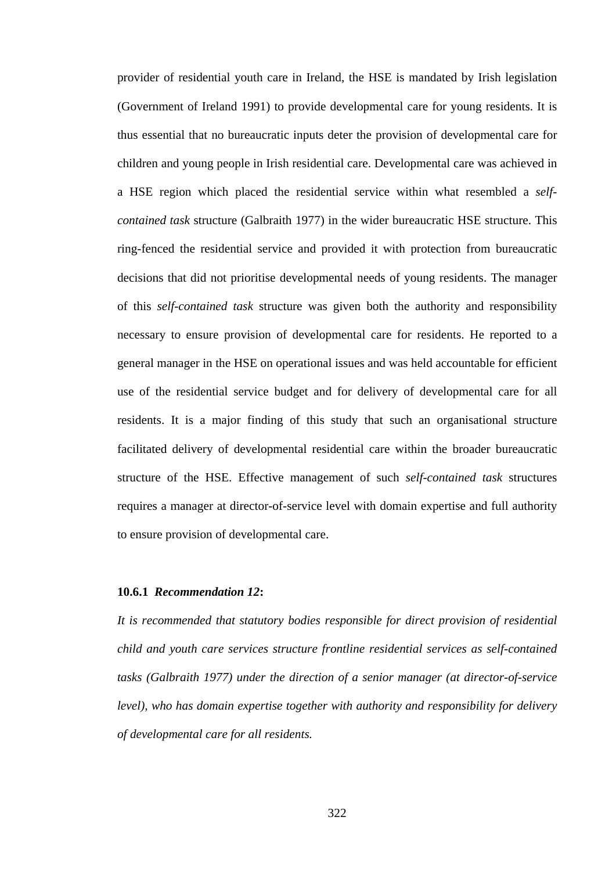provider of residential youth care in Ireland, the HSE is mandated by Irish legislation (Government of Ireland 1991) to provide developmental care for young residents. It is thus essential that no bureaucratic inputs deter the provision of developmental care for children and young people in Irish residential care. Developmental care was achieved in a HSE region which placed the residential service within what resembled a *selfcontained task* structure (Galbraith 1977) in the wider bureaucratic HSE structure. This ring-fenced the residential service and provided it with protection from bureaucratic decisions that did not prioritise developmental needs of young residents. The manager of this *self-contained task* structure was given both the authority and responsibility necessary to ensure provision of developmental care for residents. He reported to a general manager in the HSE on operational issues and was held accountable for efficient use of the residential service budget and for delivery of developmental care for all residents. It is a major finding of this study that such an organisational structure facilitated delivery of developmental residential care within the broader bureaucratic structure of the HSE. Effective management of such *self-contained task* structures requires a manager at director-of-service level with domain expertise and full authority to ensure provision of developmental care.

#### **10.6.1** *Recommendation 12***:**

*It is recommended that statutory bodies responsible for direct provision of residential child and youth care services structure frontline residential services as self-contained tasks (Galbraith 1977) under the direction of a senior manager (at director-of-service level), who has domain expertise together with authority and responsibility for delivery of developmental care for all residents.*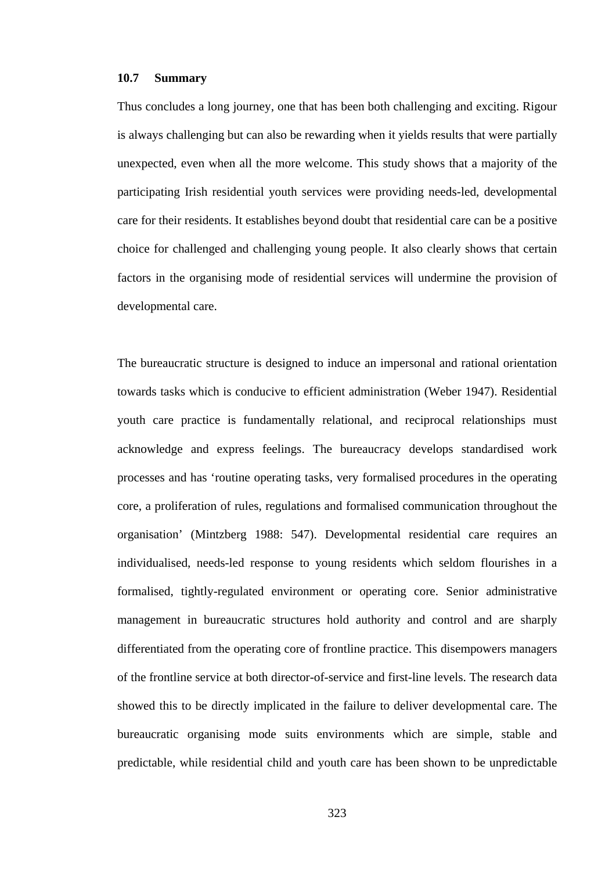### **10.7 Summary**

Thus concludes a long journey, one that has been both challenging and exciting. Rigour is always challenging but can also be rewarding when it yields results that were partially unexpected, even when all the more welcome. This study shows that a majority of the participating Irish residential youth services were providing needs-led, developmental care for their residents. It establishes beyond doubt that residential care can be a positive choice for challenged and challenging young people. It also clearly shows that certain factors in the organising mode of residential services will undermine the provision of developmental care.

The bureaucratic structure is designed to induce an impersonal and rational orientation towards tasks which is conducive to efficient administration (Weber 1947). Residential youth care practice is fundamentally relational, and reciprocal relationships must acknowledge and express feelings. The bureaucracy develops standardised work processes and has 'routine operating tasks, very formalised procedures in the operating core, a proliferation of rules, regulations and formalised communication throughout the organisation' (Mintzberg 1988: 547). Developmental residential care requires an individualised, needs-led response to young residents which seldom flourishes in a formalised, tightly-regulated environment or operating core. Senior administrative management in bureaucratic structures hold authority and control and are sharply differentiated from the operating core of frontline practice. This disempowers managers of the frontline service at both director-of-service and first-line levels. The research data showed this to be directly implicated in the failure to deliver developmental care. The bureaucratic organising mode suits environments which are simple, stable and predictable, while residential child and youth care has been shown to be unpredictable

323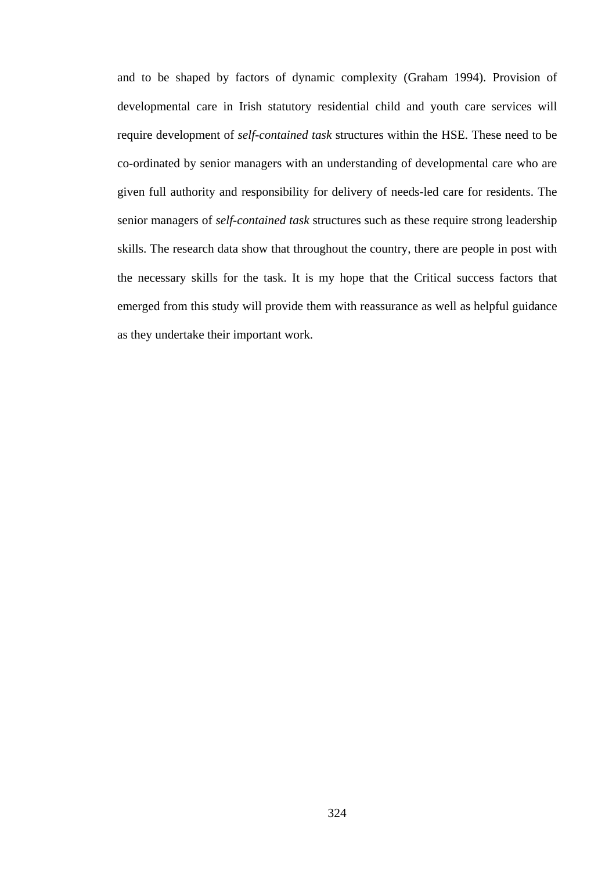and to be shaped by factors of dynamic complexity (Graham 1994). Provision of developmental care in Irish statutory residential child and youth care services will require development of *self-contained task* structures within the HSE. These need to be co-ordinated by senior managers with an understanding of developmental care who are given full authority and responsibility for delivery of needs-led care for residents. The senior managers of *self-contained task* structures such as these require strong leadership skills. The research data show that throughout the country, there are people in post with the necessary skills for the task. It is my hope that the Critical success factors that emerged from this study will provide them with reassurance as well as helpful guidance as they undertake their important work.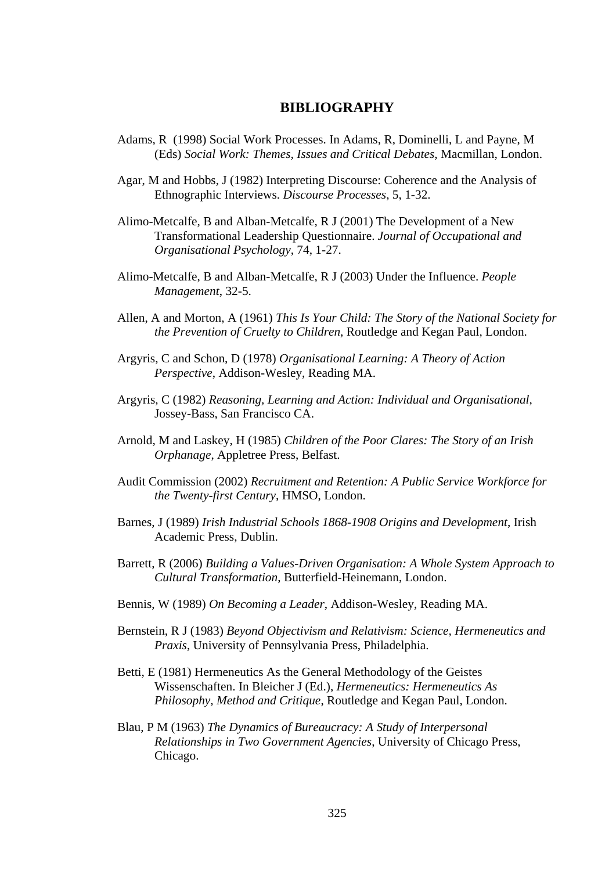## **BIBLIOGRAPHY**

- Adams, R (1998) Social Work Processes. In Adams, R, Dominelli, L and Payne, M (Eds) *Social Work: Themes, Issues and Critical Debates*, Macmillan, London.
- Agar, M and Hobbs, J (1982) Interpreting Discourse: Coherence and the Analysis of Ethnographic Interviews. *Discourse Processes*, 5, 1-32.
- Alimo-Metcalfe, B and Alban-Metcalfe, R J (2001) The Development of a New Transformational Leadership Questionnaire. *Journal of Occupational and Organisational Psychology*, 74, 1-27.
- Alimo-Metcalfe, B and Alban-Metcalfe, R J (2003) Under the Influence. *People Management*, 32-5.
- Allen, A and Morton, A (1961) *This Is Your Child: The Story of the National Society for the Prevention of Cruelty to Children*, Routledge and Kegan Paul, London.
- Argyris, C and Schon, D (1978) *Organisational Learning: A Theory of Action Perspective*, Addison-Wesley, Reading MA.
- Argyris, C (1982) *Reasoning, Learning and Action: Individual and Organisational*, Jossey-Bass, San Francisco CA.
- Arnold, M and Laskey, H (1985) *Children of the Poor Clares: The Story of an Irish Orphanage*, Appletree Press, Belfast.
- Audit Commission (2002) *Recruitment and Retention: A Public Service Workforce for the Twenty-first Century*, HMSO, London.
- Barnes, J (1989) *Irish Industrial Schools 1868-1908 Origins and Development*, Irish Academic Press, Dublin.
- Barrett, R (2006) *Building a Values-Driven Organisation: A Whole System Approach to Cultural Transformation*, Butterfield-Heinemann, London.
- Bennis, W (1989) *On Becoming a Leader*, Addison-Wesley, Reading MA.
- Bernstein, R J (1983) *Beyond Objectivism and Relativism: Science, Hermeneutics and Praxis*, University of Pennsylvania Press, Philadelphia.
- Betti, E (1981) Hermeneutics As the General Methodology of the Geistes Wissenschaften. In Bleicher J (Ed.), *Hermeneutics: Hermeneutics As Philosophy, Method and Critique*, Routledge and Kegan Paul, London.
- Blau, P M (1963) *The Dynamics of Bureaucracy: A Study of Interpersonal Relationships in Two Government Agencies*, University of Chicago Press, Chicago.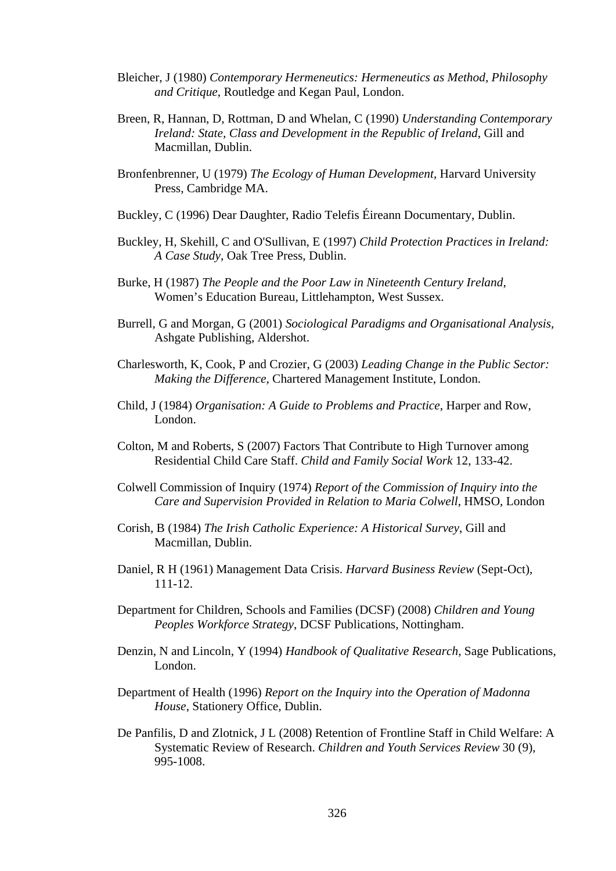- Bleicher, J (1980) *Contemporary Hermeneutics: Hermeneutics as Method, Philosophy and Critique*, Routledge and Kegan Paul, London.
- Breen, R, Hannan, D, Rottman, D and Whelan, C (1990) *Understanding Contemporary Ireland: State, Class and Development in the Republic of Ireland*, Gill and Macmillan, Dublin.
- Bronfenbrenner, U (1979) *The Ecology of Human Development*, Harvard University Press, Cambridge MA.
- Buckley, C (1996) Dear Daughter, Radio Telefis Éireann Documentary, Dublin.
- Buckley, H, Skehill, C and O'Sullivan, E (1997) *Child Protection Practices in Ireland: A Case Study*, Oak Tree Press, Dublin.
- Burke, H (1987) *The People and the Poor Law in Nineteenth Century Ireland*, Women's Education Bureau, Littlehampton, West Sussex.
- Burrell, G and Morgan, G (2001) *Sociological Paradigms and Organisational Analysis,*  Ashgate Publishing, Aldershot.
- Charlesworth, K, Cook, P and Crozier, G (2003) *Leading Change in the Public Sector: Making the Difference*, Chartered Management Institute, London.
- Child, J (1984) *Organisation: A Guide to Problems and Practice*, Harper and Row, London.
- Colton, M and Roberts, S (2007) Factors That Contribute to High Turnover among Residential Child Care Staff. *Child and Family Social Work* 12, 133-42.
- Colwell Commission of Inquiry (1974) *Report of the Commission of Inquiry into the Care and Supervision Provided in Relation to Maria Colwell*, HMSO, London
- Corish, B (1984) *The Irish Catholic Experience: A Historical Survey*, Gill and Macmillan, Dublin.
- Daniel, R H (1961) Management Data Crisis. *Harvard Business Review* (Sept-Oct), 111-12.
- Department for Children, Schools and Families (DCSF) (2008) *Children and Young Peoples Workforce Strategy*, DCSF Publications, Nottingham.
- Denzin, N and Lincoln, Y (1994) *Handbook of Qualitative Research*, Sage Publications, London.
- Department of Health (1996) *Report on the Inquiry into the Operation of Madonna House*, Stationery Office, Dublin.
- De Panfilis, D and Zlotnick, J L (2008) Retention of Frontline Staff in Child Welfare: A Systematic Review of Research. *Children and Youth Services Review* 30 (9), 995-1008.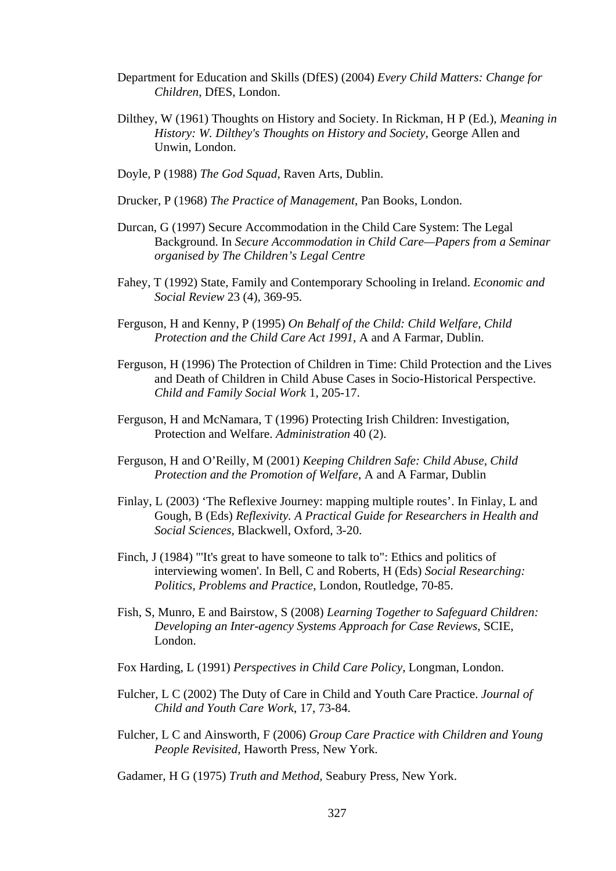- Department for Education and Skills (DfES) (2004) *Every Child Matters: Change for Children*, DfES, London.
- Dilthey, W (1961) Thoughts on History and Society. In Rickman, H P (Ed.), *Meaning in History: W. Dilthey's Thoughts on History and Society*, George Allen and Unwin, London.
- Doyle, P (1988) *The God Squad*, Raven Arts, Dublin.
- Drucker, P (1968) *The Practice of Management*, Pan Books, London.
- Durcan, G (1997) Secure Accommodation in the Child Care System: The Legal Background. In *Secure Accommodation in Child Care—Papers from a Seminar organised by The Children's Legal Centre*
- Fahey, T (1992) State, Family and Contemporary Schooling in Ireland. *Economic and Social Review* 23 (4), 369-95.
- Ferguson, H and Kenny, P (1995) *On Behalf of the Child: Child Welfare, Child Protection and the Child Care Act 1991*, A and A Farmar, Dublin.
- Ferguson, H (1996) The Protection of Children in Time: Child Protection and the Lives and Death of Children in Child Abuse Cases in Socio-Historical Perspective. *Child and Family Social Work* 1, 205-17.
- Ferguson, H and McNamara, T (1996) Protecting Irish Children: Investigation, Protection and Welfare. *Administration* 40 (2).
- Ferguson, H and O'Reilly, M (2001) *Keeping Children Safe: Child Abuse, Child Protection and the Promotion of Welfare*, A and A Farmar, Dublin
- Finlay, L (2003) 'The Reflexive Journey: mapping multiple routes'. In Finlay, L and Gough, B (Eds) *Reflexivity. A Practical Guide for Researchers in Health and Social Sciences,* Blackwell, Oxford, 3-20.
- Finch, J (1984) "'It's great to have someone to talk to": Ethics and politics of interviewing women'. In Bell, C and Roberts, H (Eds) *Social Researching: Politics, Problems and Practice,* London, Routledge, 70-85.
- Fish, S, Munro, E and Bairstow, S (2008) *Learning Together to Safeguard Children: Developing an Inter-agency Systems Approach for Case Reviews*, SCIE, London.
- Fox Harding, L (1991) *Perspectives in Child Care Policy*, Longman, London.
- Fulcher, L C (2002) The Duty of Care in Child and Youth Care Practice. *Journal of Child and Youth Care Work*, 17, 73-84.
- Fulcher, L C and Ainsworth, F (2006) *Group Care Practice with Children and Young People Revisited,* Haworth Press, New York.
- Gadamer, H G (1975) *Truth and Method,* Seabury Press, New York.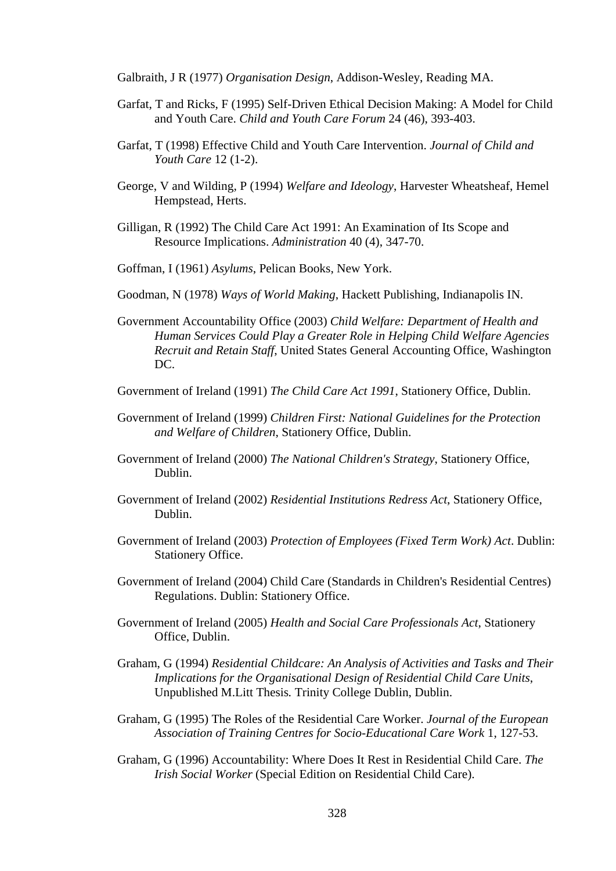Galbraith, J R (1977) *Organisation Design*, Addison-Wesley, Reading MA.

- Garfat, T and Ricks, F (1995) Self-Driven Ethical Decision Making: A Model for Child and Youth Care. *Child and Youth Care Forum* 24 (46), 393-403.
- Garfat, T (1998) Effective Child and Youth Care Intervention. *Journal of Child and Youth Care* 12 (1-2).
- George, V and Wilding, P (1994) *Welfare and Ideology*, Harvester Wheatsheaf, Hemel Hempstead, Herts.
- Gilligan, R (1992) The Child Care Act 1991: An Examination of Its Scope and Resource Implications. *Administration* 40 (4), 347-70.

Goffman, I (1961) *Asylums*, Pelican Books, New York.

- Goodman, N (1978) *Ways of World Making*, Hackett Publishing, Indianapolis IN.
- Government Accountability Office (2003) *Child Welfare: Department of Health and Human Services Could Play a Greater Role in Helping Child Welfare Agencies Recruit and Retain Staff*, United States General Accounting Office, Washington DC.
- Government of Ireland (1991) *The Child Care Act 1991*, Stationery Office, Dublin.
- Government of Ireland (1999) *Children First: National Guidelines for the Protection and Welfare of Children*, Stationery Office, Dublin.
- Government of Ireland (2000) *The National Children's Strategy*, Stationery Office, Dublin.
- Government of Ireland (2002) *Residential Institutions Redress Act*, Stationery Office, Dublin.
- Government of Ireland (2003) *Protection of Employees (Fixed Term Work) Act*. Dublin: Stationery Office.
- Government of Ireland (2004) Child Care (Standards in Children's Residential Centres) Regulations. Dublin: Stationery Office.
- Government of Ireland (2005) *Health and Social Care Professionals Act*, Stationery Office, Dublin.
- Graham, G (1994) *Residential Childcare: An Analysis of Activities and Tasks and Their Implications for the Organisational Design of Residential Child Care Units*, Unpublished M.Litt Thesis*.* Trinity College Dublin, Dublin.
- Graham, G (1995) The Roles of the Residential Care Worker. *Journal of the European Association of Training Centres for Socio-Educational Care Work* 1, 127-53.
- Graham, G (1996) Accountability: Where Does It Rest in Residential Child Care. *The Irish Social Worker* (Special Edition on Residential Child Care).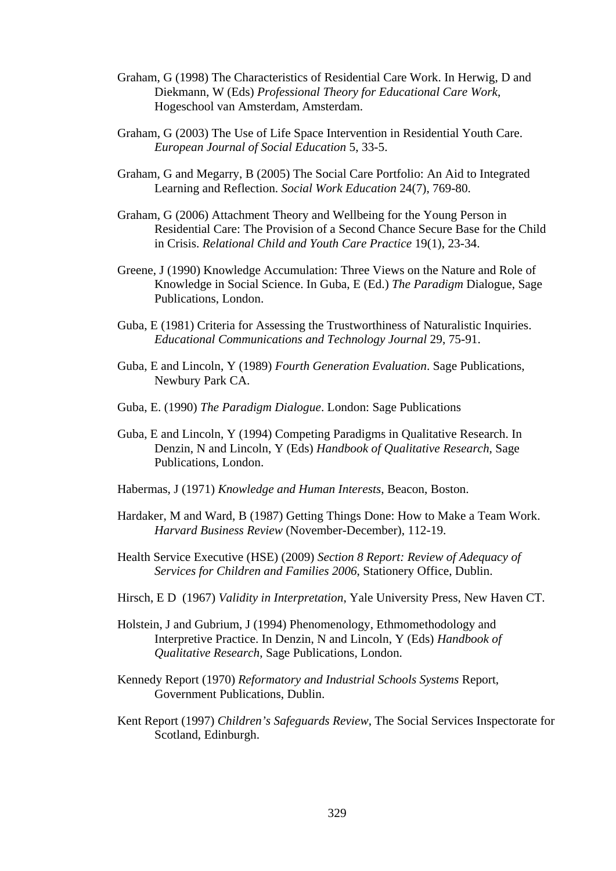- Graham, G (1998) The Characteristics of Residential Care Work. In Herwig, D and Diekmann, W (Eds) *Professional Theory for Educational Care Work*, Hogeschool van Amsterdam, Amsterdam.
- Graham, G (2003) The Use of Life Space Intervention in Residential Youth Care. *European Journal of Social Education* 5, 33-5.
- Graham, G and Megarry, B (2005) The Social Care Portfolio: An Aid to Integrated Learning and Reflection. *Social Work Education* 24(7), 769-80.
- Graham, G (2006) Attachment Theory and Wellbeing for the Young Person in Residential Care: The Provision of a Second Chance Secure Base for the Child in Crisis. *Relational Child and Youth Care Practice* 19(1), 23-34.
- Greene, J (1990) Knowledge Accumulation: Three Views on the Nature and Role of Knowledge in Social Science. In Guba, E (Ed.) *The Paradigm* Dialogue, Sage Publications, London.
- Guba, E (1981) Criteria for Assessing the Trustworthiness of Naturalistic Inquiries. *Educational Communications and Technology Journal* 29, 75-91.
- Guba, E and Lincoln, Y (1989) *Fourth Generation Evaluation*. Sage Publications, Newbury Park CA.
- Guba, E. (1990) *The Paradigm Dialogue*. London: Sage Publications
- Guba, E and Lincoln, Y (1994) Competing Paradigms in Qualitative Research. In Denzin, N and Lincoln, Y (Eds) *Handbook of Qualitative Research*, Sage Publications, London.
- Habermas, J (1971) *Knowledge and Human Interests*, Beacon, Boston.
- Hardaker, M and Ward, B (1987) Getting Things Done: How to Make a Team Work. *Harvard Business Review* (November-December), 112-19.
- Health Service Executive (HSE) (2009) *Section 8 Report: Review of Adequacy of Services for Children and Families 2006*, Stationery Office, Dublin.
- Hirsch, E D (1967) *Validity in Interpretation*, Yale University Press, New Haven CT.
- Holstein, J and Gubrium, J (1994) Phenomenology, Ethmomethodology and Interpretive Practice. In Denzin, N and Lincoln, Y (Eds) *Handbook of Qualitative Research*, Sage Publications, London.
- Kennedy Report (1970) *Reformatory and Industrial Schools Systems* Report, Government Publications, Dublin.
- Kent Report (1997) *Children's Safeguards Review*, The Social Services Inspectorate for Scotland, Edinburgh.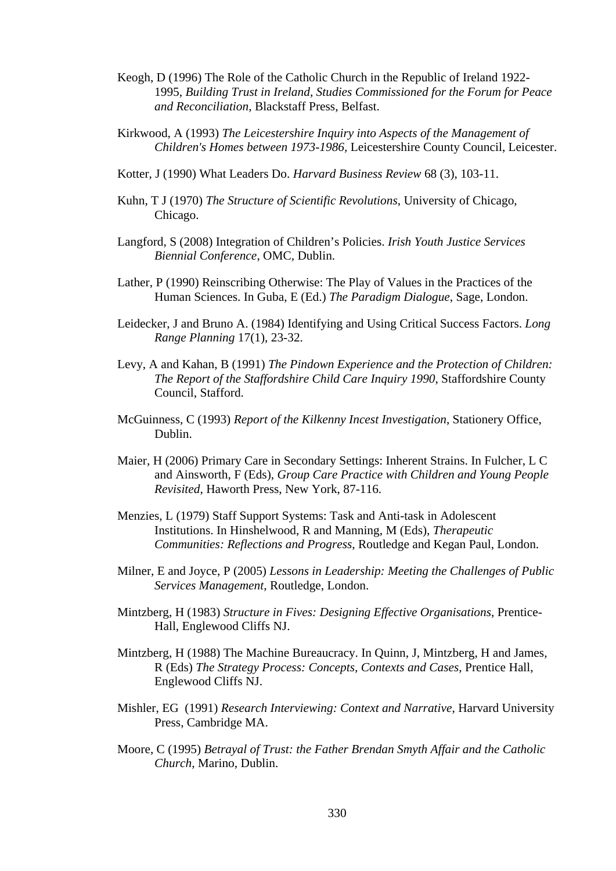- Keogh, D (1996) The Role of the Catholic Church in the Republic of Ireland 1922- 1995, *Building Trust in Ireland, Studies Commissioned for the Forum for Peace and Reconciliation*, Blackstaff Press, Belfast.
- Kirkwood, A (1993) *The Leicestershire Inquiry into Aspects of the Management of Children's Homes between 1973-1986,* Leicestershire County Council, Leicester.
- Kotter, J (1990) What Leaders Do. *Harvard Business Review* 68 (3), 103-11.
- Kuhn, T J (1970) *The Structure of Scientific Revolutions*, University of Chicago, Chicago.
- Langford, S (2008) Integration of Children's Policies. *Irish Youth Justice Services Biennial Conference*, OMC*,* Dublin.
- Lather, P (1990) Reinscribing Otherwise: The Play of Values in the Practices of the Human Sciences. In Guba, E (Ed.) *The Paradigm Dialogue*, Sage, London.
- Leidecker, J and Bruno A. (1984) Identifying and Using Critical Success Factors. *Long Range Planning* 17(1), 23-32.
- Levy, A and Kahan, B (1991) *The Pindown Experience and the Protection of Children: The Report of the Staffordshire Child Care Inquiry 1990*, Staffordshire County Council, Stafford.
- McGuinness, C (1993) *Report of the Kilkenny Incest Investigation*, Stationery Office, Dublin.
- Maier, H (2006) Primary Care in Secondary Settings: Inherent Strains. In Fulcher, L C and Ainsworth, F (Eds), *Group Care Practice with Children and Young People Revisited*, Haworth Press, New York, 87-116.
- Menzies, L (1979) Staff Support Systems: Task and Anti-task in Adolescent Institutions. In Hinshelwood, R and Manning, M (Eds), *Therapeutic Communities: Reflections and Progress*, Routledge and Kegan Paul, London.
- Milner, E and Joyce, P (2005) *Lessons in Leadership: Meeting the Challenges of Public Services Management*, Routledge, London.
- Mintzberg, H (1983) *Structure in Fives: Designing Effective Organisations*, Prentice-Hall, Englewood Cliffs NJ.
- Mintzberg, H (1988) The Machine Bureaucracy. In Quinn, J, Mintzberg, H and James, R (Eds) *The Strategy Process: Concepts, Contexts and Cases*, Prentice Hall, Englewood Cliffs NJ.
- Mishler, EG (1991) *Research Interviewing: Context and Narrative*, Harvard University Press, Cambridge MA.
- Moore, C (1995) *Betrayal of Trust: the Father Brendan Smyth Affair and the Catholic Church*, Marino, Dublin.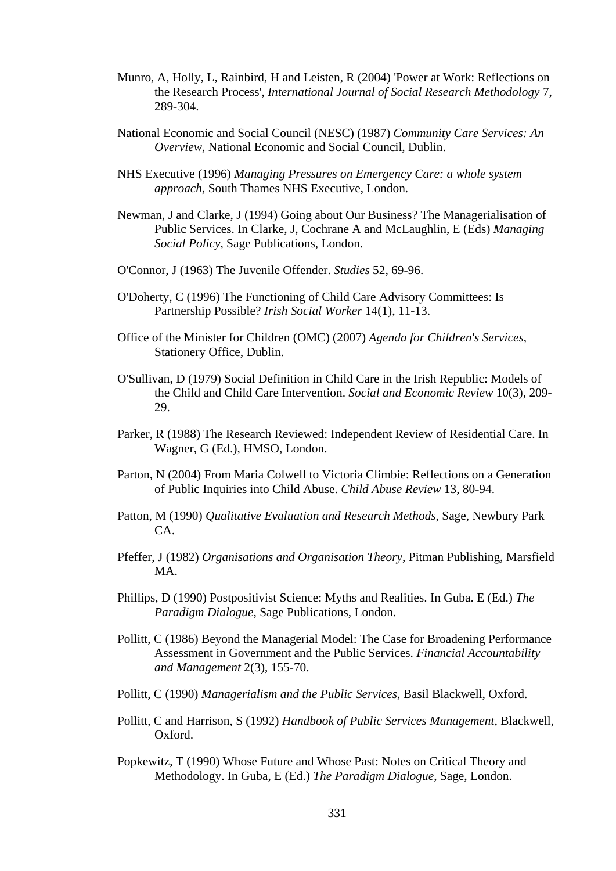- Munro, A, Holly, L, Rainbird, H and Leisten, R (2004) 'Power at Work: Reflections on the Research Process', *International Journal of Social Research Methodology* 7, 289-304.
- National Economic and Social Council (NESC) (1987) *Community Care Services: An Overview*, National Economic and Social Council, Dublin.
- NHS Executive (1996) *Managing Pressures on Emergency Care: a whole system approach*, South Thames NHS Executive, London.
- Newman, J and Clarke, J (1994) Going about Our Business? The Managerialisation of Public Services. In Clarke, J, Cochrane A and McLaughlin, E (Eds) *Managing Social Policy*, Sage Publications, London.
- O'Connor, J (1963) The Juvenile Offender. *Studies* 52, 69-96.
- O'Doherty, C (1996) The Functioning of Child Care Advisory Committees: Is Partnership Possible? *Irish Social Worker* 14(1), 11-13.
- Office of the Minister for Children (OMC) (2007) *Agenda for Children's Services*, Stationery Office, Dublin.
- O'Sullivan, D (1979) Social Definition in Child Care in the Irish Republic: Models of the Child and Child Care Intervention. *Social and Economic Review* 10(3), 209- 29.
- Parker, R (1988) The Research Reviewed: Independent Review of Residential Care. In Wagner, G (Ed.), HMSO, London.
- Parton, N (2004) From Maria Colwell to Victoria Climbie: Reflections on a Generation of Public Inquiries into Child Abuse. *Child Abuse Review* 13, 80-94.
- Patton, M (1990) *Qualitative Evaluation and Research Methods*, Sage, Newbury Park CA.
- Pfeffer, J (1982) *Organisations and Organisation Theory*, Pitman Publishing, Marsfield MA.
- Phillips, D (1990) Postpositivist Science: Myths and Realities. In Guba. E (Ed.) *The Paradigm Dialogue*, Sage Publications, London.
- Pollitt, C (1986) Beyond the Managerial Model: The Case for Broadening Performance Assessment in Government and the Public Services. *Financial Accountability and Management* 2(3), 155-70.
- Pollitt, C (1990) *Managerialism and the Public Services*, Basil Blackwell, Oxford.
- Pollitt, C and Harrison, S (1992) *Handbook of Public Services Management*, Blackwell, Oxford.
- Popkewitz, T (1990) Whose Future and Whose Past: Notes on Critical Theory and Methodology. In Guba, E (Ed.) *The Paradigm Dialogue*, Sage, London.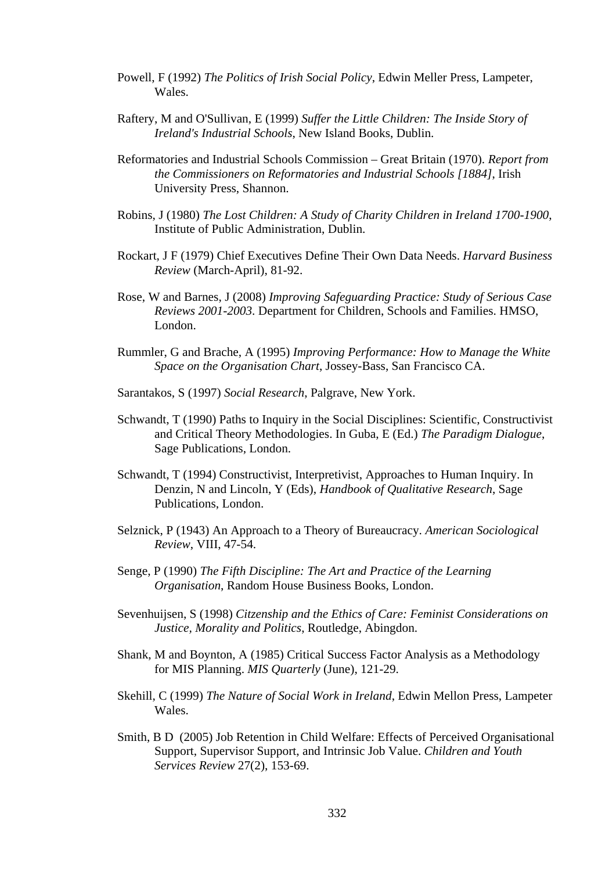- Powell, F (1992) *The Politics of Irish Social Policy*, Edwin Meller Press, Lampeter, Wales.
- Raftery, M and O'Sullivan, E (1999) *Suffer the Little Children: The Inside Story of Ireland's Industrial Schools*, New Island Books, Dublin.
- Reformatories and Industrial Schools Commission Great Britain (1970). *Report from the Commissioners on Reformatories and Industrial Schools [1884]*, Irish University Press, Shannon.
- Robins, J (1980) *The Lost Children: A Study of Charity Children in Ireland 1700-1900*, Institute of Public Administration, Dublin.
- Rockart, J F (1979) Chief Executives Define Their Own Data Needs. *Harvard Business Review* (March-April), 81-92.
- Rose, W and Barnes, J (2008) *Improving Safeguarding Practice: Study of Serious Case Reviews 2001-2003*. Department for Children, Schools and Families. HMSO, London.
- Rummler, G and Brache, A (1995) *Improving Performance: How to Manage the White Space on the Organisation Chart*, Jossey-Bass, San Francisco CA.
- Sarantakos, S (1997) *Social Research*, Palgrave, New York.
- Schwandt, T (1990) Paths to Inquiry in the Social Disciplines: Scientific, Constructivist and Critical Theory Methodologies. In Guba, E (Ed.) *The Paradigm Dialogue*, Sage Publications, London.
- Schwandt, T (1994) Constructivist, Interpretivist, Approaches to Human Inquiry. In Denzin, N and Lincoln, Y (Eds), *Handbook of Qualitative Research*, Sage Publications, London.
- Selznick, P (1943) An Approach to a Theory of Bureaucracy. *American Sociological Review*, VIII, 47-54.
- Senge, P (1990) *The Fifth Discipline: The Art and Practice of the Learning Organisation*, Random House Business Books, London.
- Sevenhuijsen, S (1998) *Citzenship and the Ethics of Care: Feminist Considerations on Justice, Morality and Politics*, Routledge, Abingdon.
- Shank, M and Boynton, A (1985) Critical Success Factor Analysis as a Methodology for MIS Planning. *MIS Quarterly* (June), 121-29.
- Skehill, C (1999) *The Nature of Social Work in Ireland*, Edwin Mellon Press, Lampeter Wales.
- Smith, B D (2005) Job Retention in Child Welfare: Effects of Perceived Organisational Support, Supervisor Support, and Intrinsic Job Value. *Children and Youth Services Review* 27(2), 153-69.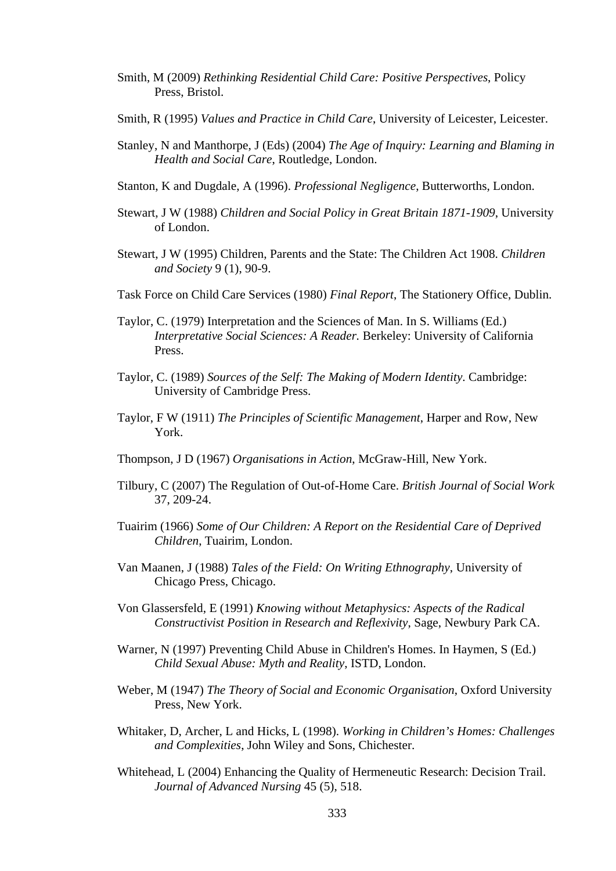- Smith, M (2009) *Rethinking Residential Child Care: Positive Perspectives*, Policy Press, Bristol.
- Smith, R (1995) *Values and Practice in Child Care*, University of Leicester, Leicester.
- Stanley, N and Manthorpe, J (Eds) (2004) *The Age of Inquiry: Learning and Blaming in Health and Social Care*, Routledge, London.
- Stanton, K and Dugdale, A (1996). *Professional Negligence*, Butterworths, London.
- Stewart, J W (1988) *Children and Social Policy in Great Britain 1871-1909*, University of London.
- Stewart, J W (1995) Children, Parents and the State: The Children Act 1908. *Children and Society* 9 (1), 90-9.
- Task Force on Child Care Services (1980) *Final Report*, The Stationery Office, Dublin.
- Taylor, C. (1979) Interpretation and the Sciences of Man. In S. Williams (Ed.) *Interpretative Social Sciences: A Reader.* Berkeley: University of California Press.
- Taylor, C. (1989) *Sources of the Self: The Making of Modern Identity*. Cambridge: University of Cambridge Press.
- Taylor, F W (1911) *The Principles of Scientific Management*, Harper and Row, New York.
- Thompson, J D (1967) *Organisations in Action*, McGraw-Hill, New York.
- Tilbury, C (2007) The Regulation of Out-of-Home Care. *British Journal of Social Work*  37, 209-24.
- Tuairim (1966) *Some of Our Children: A Report on the Residential Care of Deprived Children*, Tuairim, London.
- Van Maanen, J (1988) *Tales of the Field: On Writing Ethnography*, University of Chicago Press, Chicago.
- Von Glassersfeld, E (1991) *Knowing without Metaphysics: Aspects of the Radical Constructivist Position in Research and Reflexivity*, Sage, Newbury Park CA.
- Warner, N (1997) Preventing Child Abuse in Children's Homes. In Haymen, S (Ed.) *Child Sexual Abuse: Myth and Reality*, ISTD, London.
- Weber, M (1947) *The Theory of Social and Economic Organisation*, Oxford University Press, New York.
- Whitaker, D, Archer, L and Hicks, L (1998). *Working in Children's Homes: Challenges and Complexities*, John Wiley and Sons, Chichester.
- Whitehead, L (2004) Enhancing the Quality of Hermeneutic Research: Decision Trail. *Journal of Advanced Nursing* 45 (5), 518.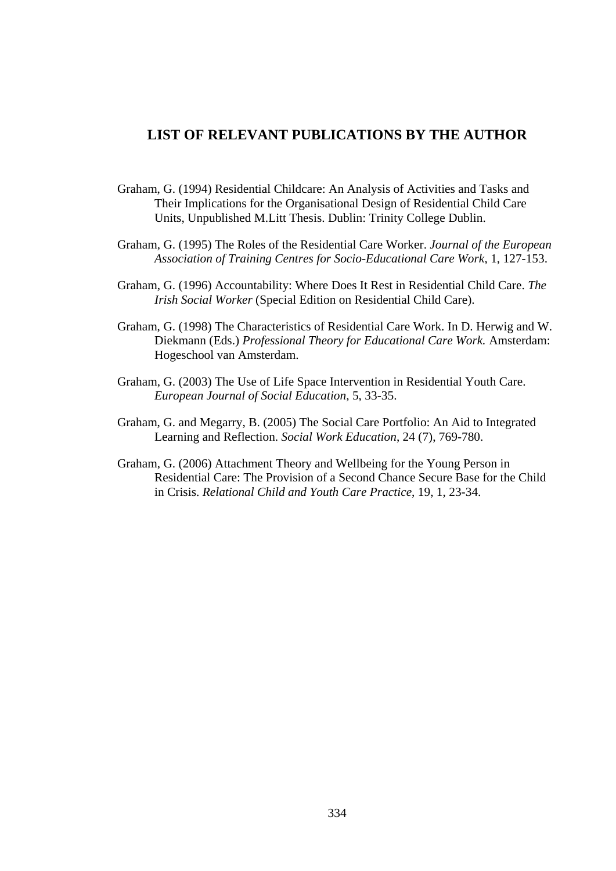## **LIST OF RELEVANT PUBLICATIONS BY THE AUTHOR**

- Graham, G. (1994) Residential Childcare: An Analysis of Activities and Tasks and Their Implications for the Organisational Design of Residential Child Care Units, Unpublished M.Litt Thesis. Dublin: Trinity College Dublin.
- Graham, G. (1995) The Roles of the Residential Care Worker. *Journal of the European Association of Training Centres for Socio-Educational Care Work*, 1, 127-153.
- Graham, G. (1996) Accountability: Where Does It Rest in Residential Child Care. *The Irish Social Worker* (Special Edition on Residential Child Care).
- Graham, G. (1998) The Characteristics of Residential Care Work. In D. Herwig and W. Diekmann (Eds.) *Professional Theory for Educational Care Work.* Amsterdam: Hogeschool van Amsterdam.
- Graham, G. (2003) The Use of Life Space Intervention in Residential Youth Care. *European Journal of Social Education*, 5, 33-35.
- Graham, G. and Megarry, B. (2005) The Social Care Portfolio: An Aid to Integrated Learning and Reflection. *Social Work Education*, 24 (7), 769-780.
- Graham, G. (2006) Attachment Theory and Wellbeing for the Young Person in Residential Care: The Provision of a Second Chance Secure Base for the Child in Crisis. *Relational Child and Youth Care Practice*, 19, 1, 23-34.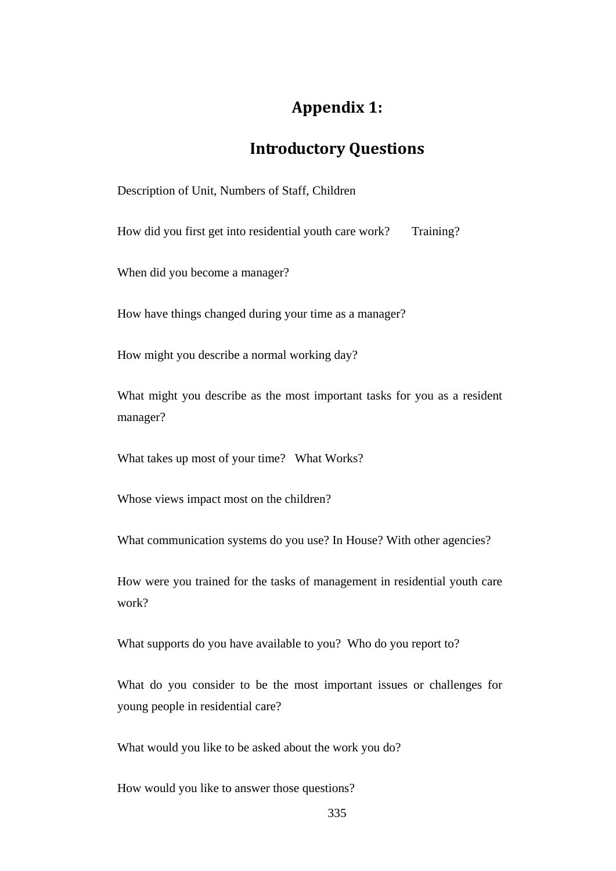# **Appendix 1:**

# **Introductory Questions**

Description of Unit, Numbers of Staff, Children

How did you first get into residential youth care work? Training?

When did you become a manager?

How have things changed during your time as a manager?

How might you describe a normal working day?

What might you describe as the most important tasks for you as a resident manager?

What takes up most of your time? What Works?

Whose views impact most on the children?

What communication systems do you use? In House? With other agencies?

How were you trained for the tasks of management in residential youth care work?

What supports do you have available to you? Who do you report to?

What do you consider to be the most important issues or challenges for young people in residential care?

What would you like to be asked about the work you do?

How would you like to answer those questions?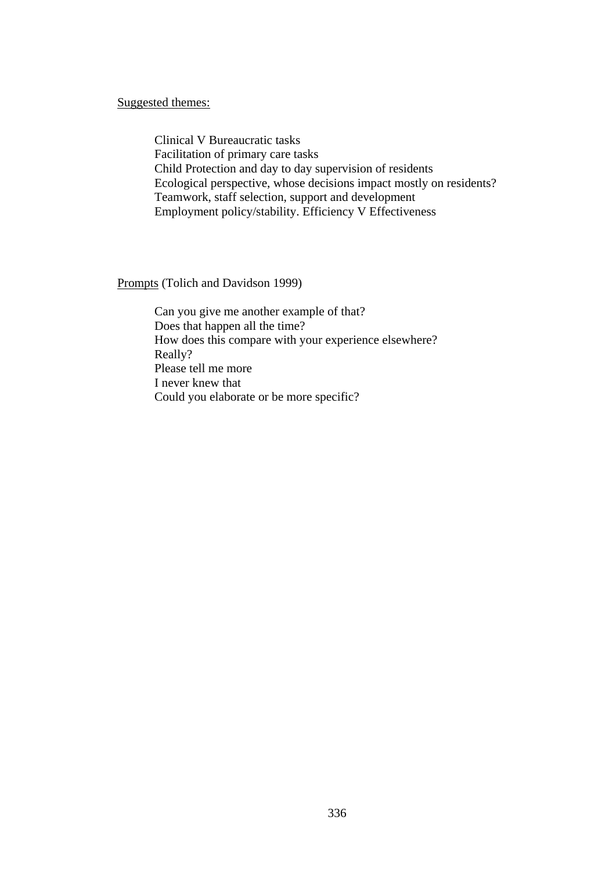Suggested themes:

Clinical V Bureaucratic tasks Facilitation of primary care tasks Child Protection and day to day supervision of residents Ecological perspective, whose decisions impact mostly on residents? Teamwork, staff selection, support and development Employment policy/stability. Efficiency V Effectiveness

Prompts (Tolich and Davidson 1999)

Can you give me another example of that? Does that happen all the time? How does this compare with your experience elsewhere? Really? Please tell me more I never knew that Could you elaborate or be more specific?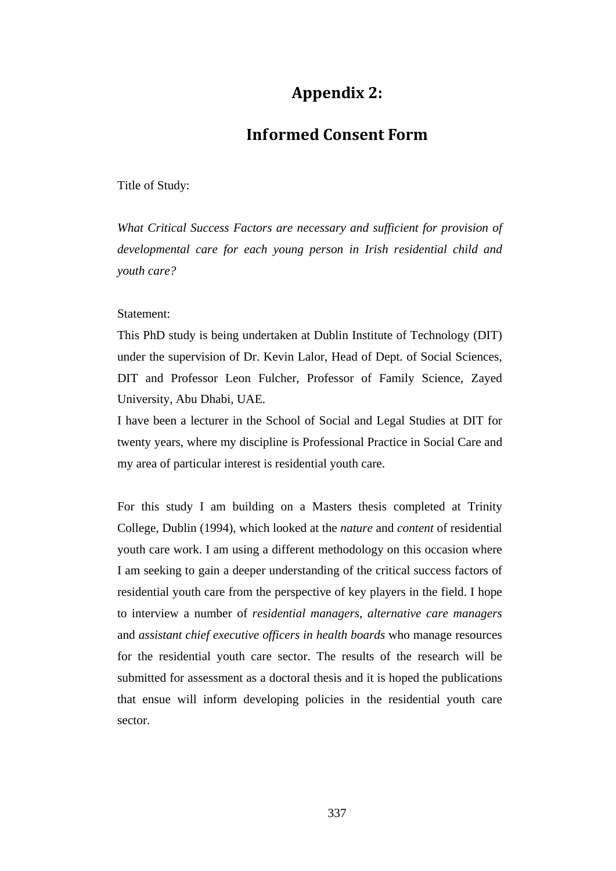# **Appendix 2:**

## **Informed Consent Form**

Title of Study:

*What Critical Success Factors are necessary and sufficient for provision of developmental care for each young person in Irish residential child and youth care?* 

### Statement:

This PhD study is being undertaken at Dublin Institute of Technology (DIT) under the supervision of Dr. Kevin Lalor, Head of Dept. of Social Sciences, DIT and Professor Leon Fulcher, Professor of Family Science, Zayed University, Abu Dhabi, UAE.

I have been a lecturer in the School of Social and Legal Studies at DIT for twenty years, where my discipline is Professional Practice in Social Care and my area of particular interest is residential youth care.

For this study I am building on a Masters thesis completed at Trinity College, Dublin (1994), which looked at the *nature* and *content* of residential youth care work. I am using a different methodology on this occasion where I am seeking to gain a deeper understanding of the critical success factors of residential youth care from the perspective of key players in the field. I hope to interview a number of *residential managers*, *alternative care managers* and *assistant chief executive officers in health boards* who manage resources for the residential youth care sector. The results of the research will be submitted for assessment as a doctoral thesis and it is hoped the publications that ensue will inform developing policies in the residential youth care sector.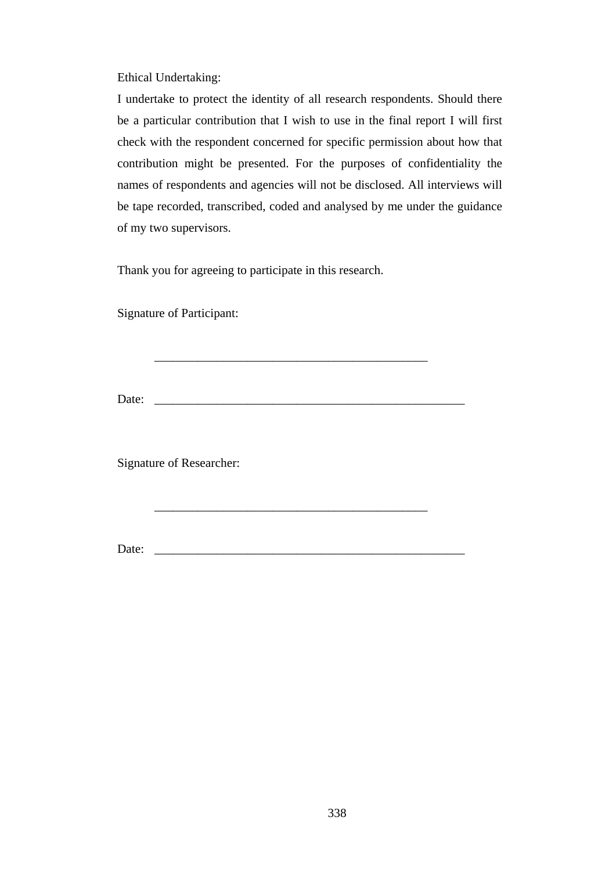Ethical Undertaking:

I undertake to protect the identity of all research respondents. Should there be a particular contribution that I wish to use in the final report I will first check with the respondent concerned for specific permission about how that contribution might be presented. For the purposes of confidentiality the names of respondents and agencies will not be disclosed. All interviews will be tape recorded, transcribed, coded and analysed by me under the guidance of my two supervisors.

Thank you for agreeing to participate in this research.

\_\_\_\_\_\_\_\_\_\_\_\_\_\_\_\_\_\_\_\_\_\_\_\_\_\_\_\_\_\_\_\_\_\_\_\_\_\_\_\_\_\_\_\_

\_\_\_\_\_\_\_\_\_\_\_\_\_\_\_\_\_\_\_\_\_\_\_\_\_\_\_\_\_\_\_\_\_\_\_\_\_\_\_\_\_\_\_\_

Signature of Participant:

Date: \_\_\_\_\_\_\_\_\_\_\_\_\_\_\_\_\_\_\_\_\_\_\_\_\_\_\_\_\_\_\_\_\_\_\_\_\_\_\_\_\_\_\_\_\_\_\_\_\_\_

Signature of Researcher:

Date: \_\_\_\_\_\_\_\_\_\_\_\_\_\_\_\_\_\_\_\_\_\_\_\_\_\_\_\_\_\_\_\_\_\_\_\_\_\_\_\_\_\_\_\_\_\_\_\_\_\_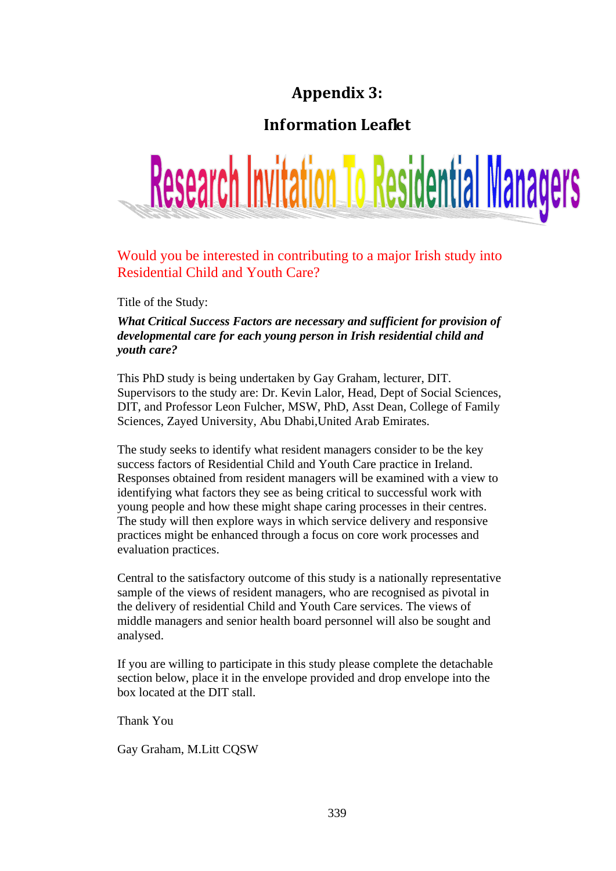# **Appendix 3:**

# **Information Leaflet**



# Would you be interested in contributing to a major Irish study into Residential Child and Youth Care?

Title of the Study:

## *What Critical Success Factors are necessary and sufficient for provision of developmental care for each young person in Irish residential child and youth care?*

This PhD study is being undertaken by Gay Graham, lecturer, DIT. Supervisors to the study are: Dr. Kevin Lalor, Head, Dept of Social Sciences, DIT, and Professor Leon Fulcher, MSW, PhD, Asst Dean, College of Family Sciences, Zayed University, Abu Dhabi,United Arab Emirates.

The study seeks to identify what resident managers consider to be the key success factors of Residential Child and Youth Care practice in Ireland. Responses obtained from resident managers will be examined with a view to identifying what factors they see as being critical to successful work with young people and how these might shape caring processes in their centres. The study will then explore ways in which service delivery and responsive practices might be enhanced through a focus on core work processes and evaluation practices.

Central to the satisfactory outcome of this study is a nationally representative sample of the views of resident managers, who are recognised as pivotal in the delivery of residential Child and Youth Care services. The views of middle managers and senior health board personnel will also be sought and analysed.

If you are willing to participate in this study please complete the detachable section below, place it in the envelope provided and drop envelope into the box located at the DIT stall.

Thank You

Gay Graham, M.Litt CQSW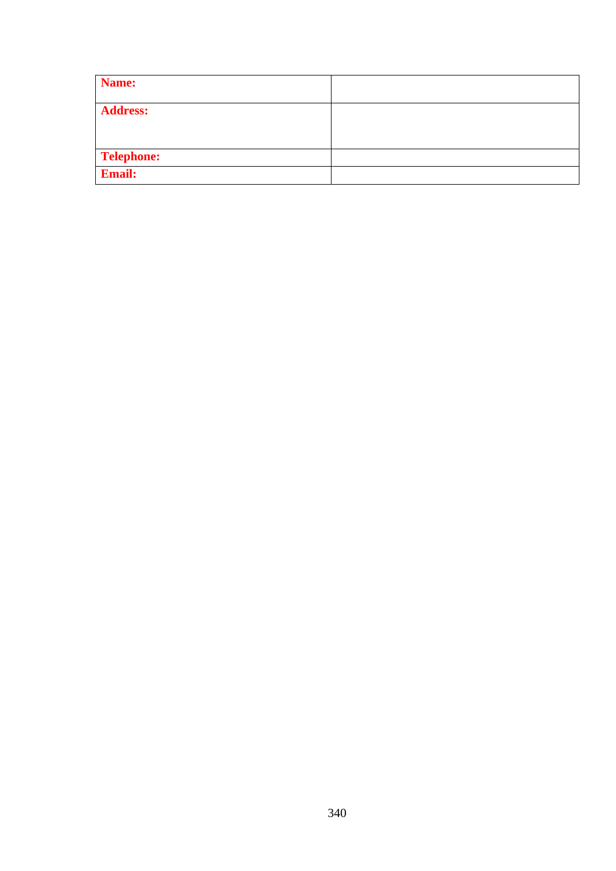| Name:             |  |
|-------------------|--|
| <b>Address:</b>   |  |
| <b>Telephone:</b> |  |
| <b>Email:</b>     |  |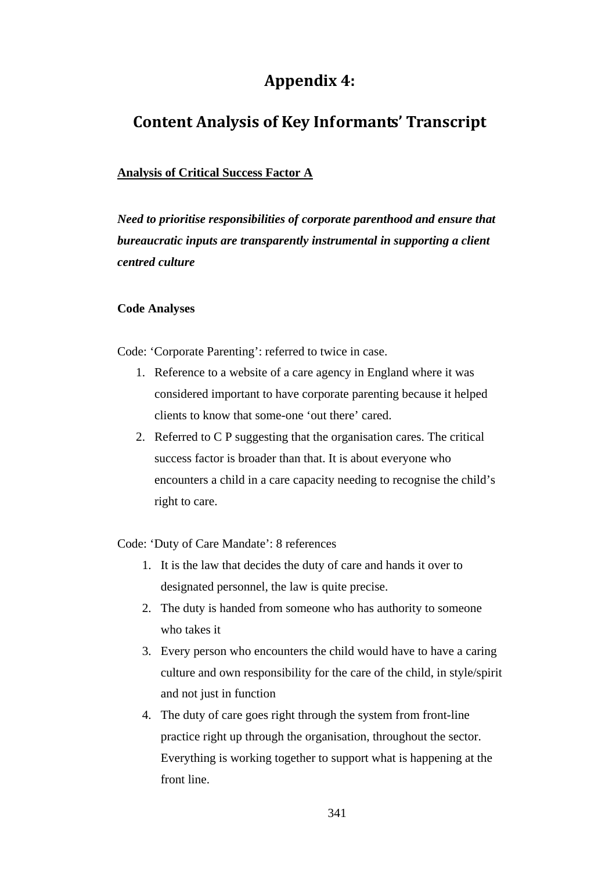# **Appendix 4:**

# **Content Analysis of Key Informants' Transcript**

## **Analysis of Critical Success Factor A**

*Need to prioritise responsibilities of corporate parenthood and ensure that bureaucratic inputs are transparently instrumental in supporting a client centred culture* 

## **Code Analyses**

Code: 'Corporate Parenting': referred to twice in case.

- 1. Reference to a website of a care agency in England where it was considered important to have corporate parenting because it helped clients to know that some-one 'out there' cared.
- 2. Referred to C P suggesting that the organisation cares. The critical success factor is broader than that. It is about everyone who encounters a child in a care capacity needing to recognise the child's right to care.

Code: 'Duty of Care Mandate': 8 references

- 1. It is the law that decides the duty of care and hands it over to designated personnel, the law is quite precise.
- 2. The duty is handed from someone who has authority to someone who takes it
- 3. Every person who encounters the child would have to have a caring culture and own responsibility for the care of the child, in style/spirit and not just in function
- 4. The duty of care goes right through the system from front-line practice right up through the organisation, throughout the sector. Everything is working together to support what is happening at the front line.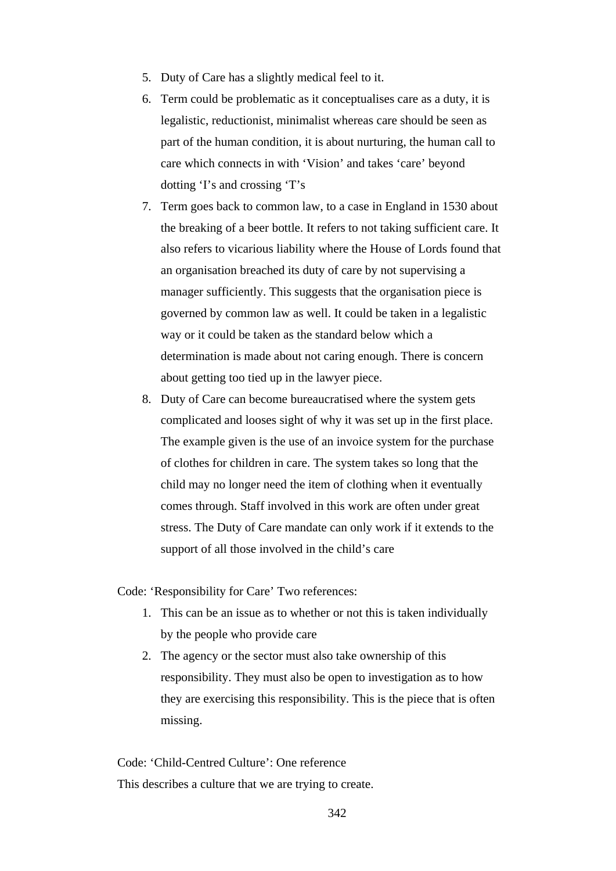- 5. Duty of Care has a slightly medical feel to it.
- 6. Term could be problematic as it conceptualises care as a duty, it is legalistic, reductionist, minimalist whereas care should be seen as part of the human condition, it is about nurturing, the human call to care which connects in with 'Vision' and takes 'care' beyond dotting 'I's and crossing 'T's
- 7. Term goes back to common law, to a case in England in 1530 about the breaking of a beer bottle. It refers to not taking sufficient care. It also refers to vicarious liability where the House of Lords found that an organisation breached its duty of care by not supervising a manager sufficiently. This suggests that the organisation piece is governed by common law as well. It could be taken in a legalistic way or it could be taken as the standard below which a determination is made about not caring enough. There is concern about getting too tied up in the lawyer piece.
- 8. Duty of Care can become bureaucratised where the system gets complicated and looses sight of why it was set up in the first place. The example given is the use of an invoice system for the purchase of clothes for children in care. The system takes so long that the child may no longer need the item of clothing when it eventually comes through. Staff involved in this work are often under great stress. The Duty of Care mandate can only work if it extends to the support of all those involved in the child's care

Code: 'Responsibility for Care' Two references:

- 1. This can be an issue as to whether or not this is taken individually by the people who provide care
- 2. The agency or the sector must also take ownership of this responsibility. They must also be open to investigation as to how they are exercising this responsibility. This is the piece that is often missing.

Code: 'Child-Centred Culture': One reference This describes a culture that we are trying to create.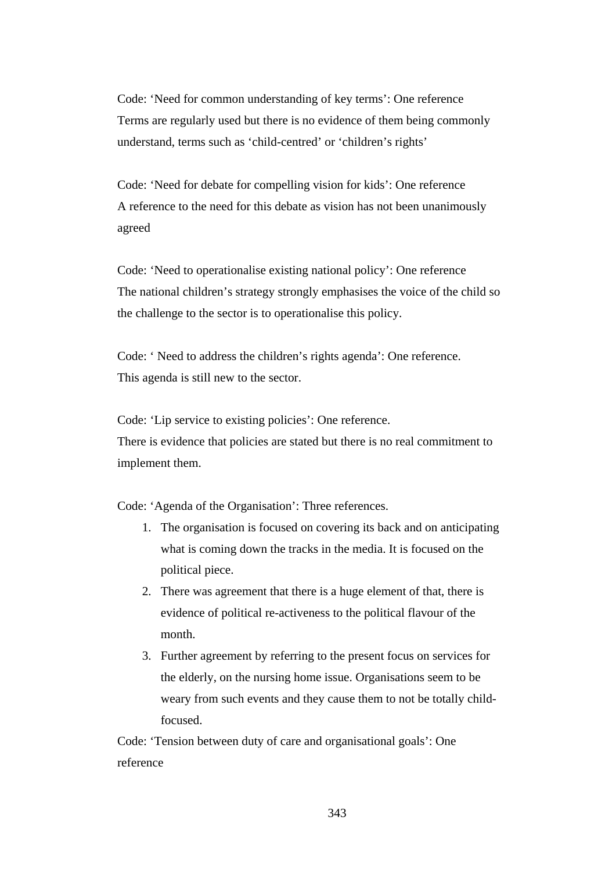Code: 'Need for common understanding of key terms': One reference Terms are regularly used but there is no evidence of them being commonly understand, terms such as 'child-centred' or 'children's rights'

Code: 'Need for debate for compelling vision for kids': One reference A reference to the need for this debate as vision has not been unanimously agreed

Code: 'Need to operationalise existing national policy': One reference The national children's strategy strongly emphasises the voice of the child so the challenge to the sector is to operationalise this policy.

Code: ' Need to address the children's rights agenda': One reference. This agenda is still new to the sector.

Code: 'Lip service to existing policies': One reference.

There is evidence that policies are stated but there is no real commitment to implement them.

Code: 'Agenda of the Organisation': Three references.

- 1. The organisation is focused on covering its back and on anticipating what is coming down the tracks in the media. It is focused on the political piece.
- 2. There was agreement that there is a huge element of that, there is evidence of political re-activeness to the political flavour of the month.
- 3. Further agreement by referring to the present focus on services for the elderly, on the nursing home issue. Organisations seem to be weary from such events and they cause them to not be totally childfocused.

Code: 'Tension between duty of care and organisational goals': One reference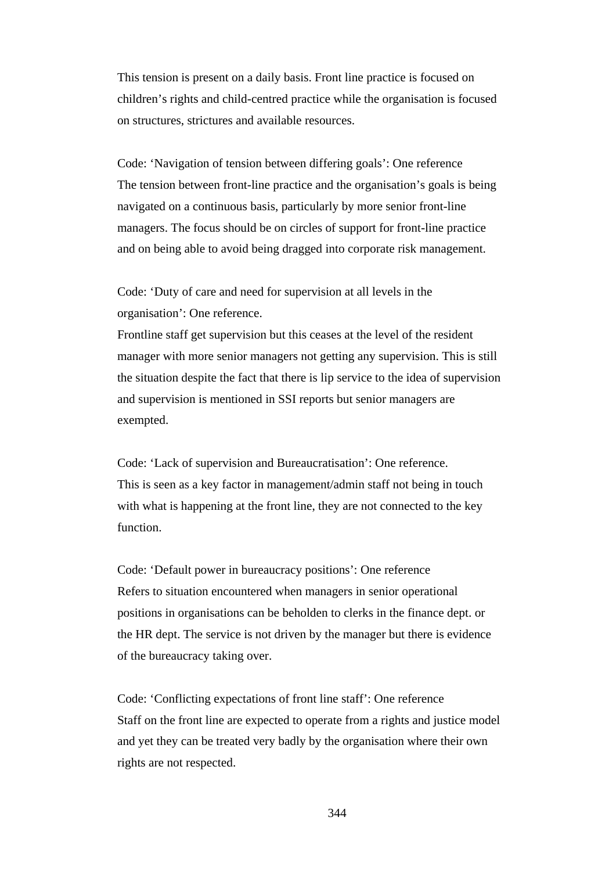This tension is present on a daily basis. Front line practice is focused on children's rights and child-centred practice while the organisation is focused on structures, strictures and available resources.

Code: 'Navigation of tension between differing goals': One reference The tension between front-line practice and the organisation's goals is being navigated on a continuous basis, particularly by more senior front-line managers. The focus should be on circles of support for front-line practice and on being able to avoid being dragged into corporate risk management.

Code: 'Duty of care and need for supervision at all levels in the organisation': One reference.

Frontline staff get supervision but this ceases at the level of the resident manager with more senior managers not getting any supervision. This is still the situation despite the fact that there is lip service to the idea of supervision and supervision is mentioned in SSI reports but senior managers are exempted.

Code: 'Lack of supervision and Bureaucratisation': One reference. This is seen as a key factor in management/admin staff not being in touch with what is happening at the front line, they are not connected to the key function.

Code: 'Default power in bureaucracy positions': One reference Refers to situation encountered when managers in senior operational positions in organisations can be beholden to clerks in the finance dept. or the HR dept. The service is not driven by the manager but there is evidence of the bureaucracy taking over.

Code: 'Conflicting expectations of front line staff': One reference Staff on the front line are expected to operate from a rights and justice model and yet they can be treated very badly by the organisation where their own rights are not respected.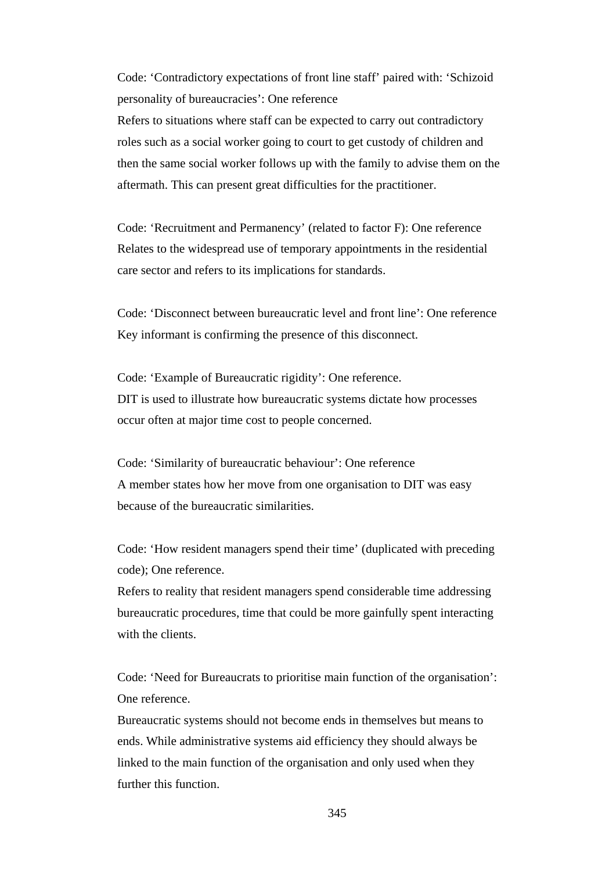Code: 'Contradictory expectations of front line staff' paired with: 'Schizoid personality of bureaucracies': One reference

Refers to situations where staff can be expected to carry out contradictory roles such as a social worker going to court to get custody of children and then the same social worker follows up with the family to advise them on the aftermath. This can present great difficulties for the practitioner.

Code: 'Recruitment and Permanency' (related to factor F): One reference Relates to the widespread use of temporary appointments in the residential care sector and refers to its implications for standards.

Code: 'Disconnect between bureaucratic level and front line': One reference Key informant is confirming the presence of this disconnect.

Code: 'Example of Bureaucratic rigidity': One reference. DIT is used to illustrate how bureaucratic systems dictate how processes occur often at major time cost to people concerned.

Code: 'Similarity of bureaucratic behaviour': One reference A member states how her move from one organisation to DIT was easy because of the bureaucratic similarities.

Code: 'How resident managers spend their time' (duplicated with preceding code); One reference.

Refers to reality that resident managers spend considerable time addressing bureaucratic procedures, time that could be more gainfully spent interacting with the clients.

Code: 'Need for Bureaucrats to prioritise main function of the organisation': One reference.

Bureaucratic systems should not become ends in themselves but means to ends. While administrative systems aid efficiency they should always be linked to the main function of the organisation and only used when they further this function.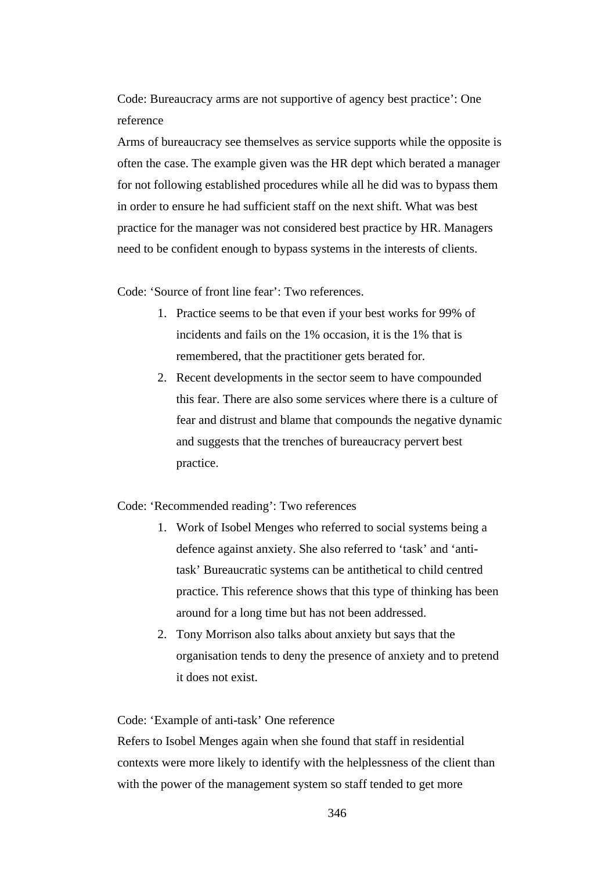Code: Bureaucracy arms are not supportive of agency best practice': One reference

Arms of bureaucracy see themselves as service supports while the opposite is often the case. The example given was the HR dept which berated a manager for not following established procedures while all he did was to bypass them in order to ensure he had sufficient staff on the next shift. What was best practice for the manager was not considered best practice by HR. Managers need to be confident enough to bypass systems in the interests of clients.

Code: 'Source of front line fear': Two references.

- 1. Practice seems to be that even if your best works for 99% of incidents and fails on the 1% occasion, it is the 1% that is remembered, that the practitioner gets berated for.
- 2. Recent developments in the sector seem to have compounded this fear. There are also some services where there is a culture of fear and distrust and blame that compounds the negative dynamic and suggests that the trenches of bureaucracy pervert best practice.

Code: 'Recommended reading': Two references

- 1. Work of Isobel Menges who referred to social systems being a defence against anxiety. She also referred to 'task' and 'antitask' Bureaucratic systems can be antithetical to child centred practice. This reference shows that this type of thinking has been around for a long time but has not been addressed.
- 2. Tony Morrison also talks about anxiety but says that the organisation tends to deny the presence of anxiety and to pretend it does not exist.

#### Code: 'Example of anti-task' One reference

Refers to Isobel Menges again when she found that staff in residential contexts were more likely to identify with the helplessness of the client than with the power of the management system so staff tended to get more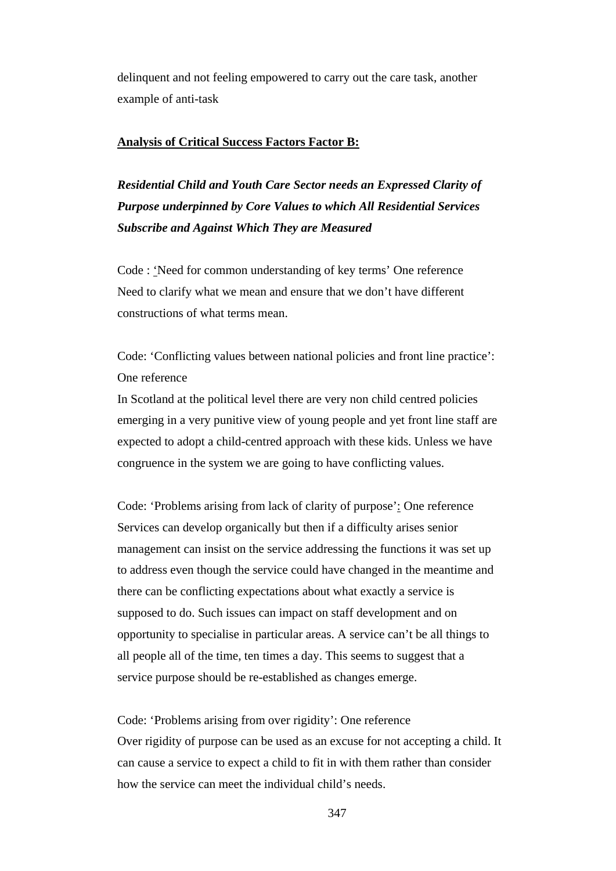delinquent and not feeling empowered to carry out the care task, another example of anti-task

#### **Analysis of Critical Success Factors Factor B:**

*Residential Child and Youth Care Sector needs an Expressed Clarity of Purpose underpinned by Core Values to which All Residential Services Subscribe and Against Which They are Measured* 

Code : 'Need for common understanding of key terms' One reference Need to clarify what we mean and ensure that we don't have different constructions of what terms mean.

Code: 'Conflicting values between national policies and front line practice': One reference

In Scotland at the political level there are very non child centred policies emerging in a very punitive view of young people and yet front line staff are expected to adopt a child-centred approach with these kids. Unless we have congruence in the system we are going to have conflicting values.

Code: 'Problems arising from lack of clarity of purpose': One reference Services can develop organically but then if a difficulty arises senior management can insist on the service addressing the functions it was set up to address even though the service could have changed in the meantime and there can be conflicting expectations about what exactly a service is supposed to do. Such issues can impact on staff development and on opportunity to specialise in particular areas. A service can't be all things to all people all of the time, ten times a day. This seems to suggest that a service purpose should be re-established as changes emerge.

Code: 'Problems arising from over rigidity': One reference Over rigidity of purpose can be used as an excuse for not accepting a child. It can cause a service to expect a child to fit in with them rather than consider how the service can meet the individual child's needs.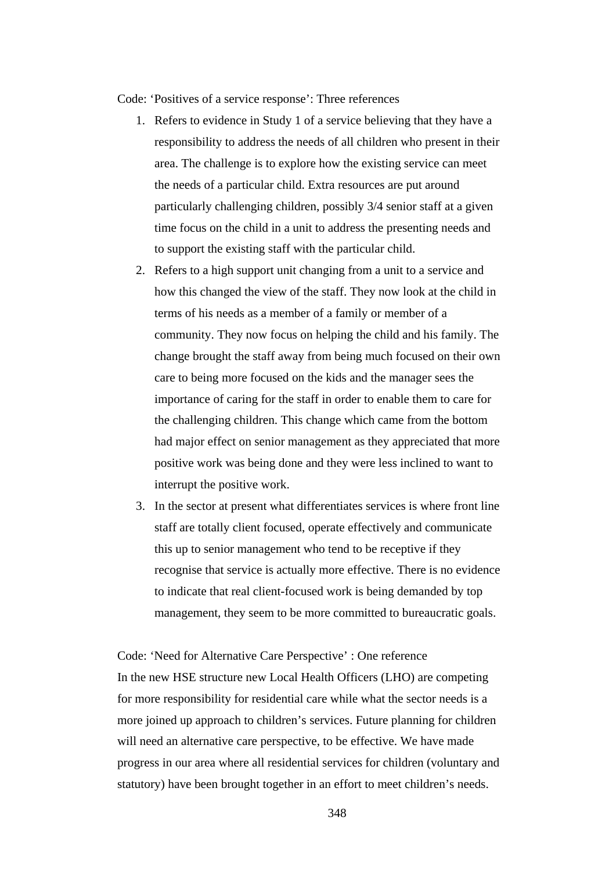Code: 'Positives of a service response': Three references

- 1. Refers to evidence in Study 1 of a service believing that they have a responsibility to address the needs of all children who present in their area. The challenge is to explore how the existing service can meet the needs of a particular child. Extra resources are put around particularly challenging children, possibly 3/4 senior staff at a given time focus on the child in a unit to address the presenting needs and to support the existing staff with the particular child.
- 2. Refers to a high support unit changing from a unit to a service and how this changed the view of the staff. They now look at the child in terms of his needs as a member of a family or member of a community. They now focus on helping the child and his family. The change brought the staff away from being much focused on their own care to being more focused on the kids and the manager sees the importance of caring for the staff in order to enable them to care for the challenging children. This change which came from the bottom had major effect on senior management as they appreciated that more positive work was being done and they were less inclined to want to interrupt the positive work.
- 3. In the sector at present what differentiates services is where front line staff are totally client focused, operate effectively and communicate this up to senior management who tend to be receptive if they recognise that service is actually more effective. There is no evidence to indicate that real client-focused work is being demanded by top management, they seem to be more committed to bureaucratic goals.

Code: 'Need for Alternative Care Perspective' : One reference In the new HSE structure new Local Health Officers (LHO) are competing for more responsibility for residential care while what the sector needs is a more joined up approach to children's services. Future planning for children will need an alternative care perspective, to be effective. We have made progress in our area where all residential services for children (voluntary and statutory) have been brought together in an effort to meet children's needs.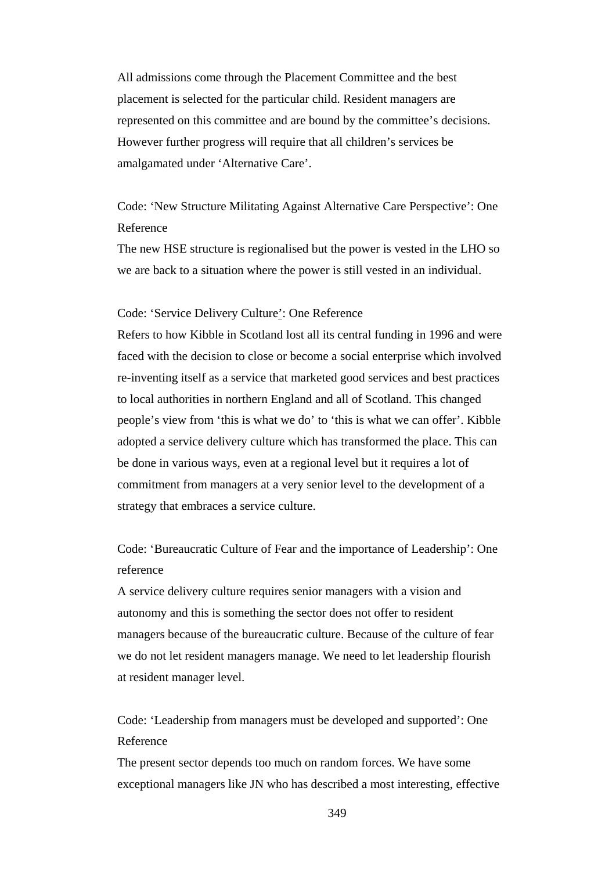All admissions come through the Placement Committee and the best placement is selected for the particular child. Resident managers are represented on this committee and are bound by the committee's decisions. However further progress will require that all children's services be amalgamated under 'Alternative Care'.

Code: 'New Structure Militating Against Alternative Care Perspective': One Reference

The new HSE structure is regionalised but the power is vested in the LHO so we are back to a situation where the power is still vested in an individual.

#### Code: 'Service Delivery Culture': One Reference

Refers to how Kibble in Scotland lost all its central funding in 1996 and were faced with the decision to close or become a social enterprise which involved re-inventing itself as a service that marketed good services and best practices to local authorities in northern England and all of Scotland. This changed people's view from 'this is what we do' to 'this is what we can offer'. Kibble adopted a service delivery culture which has transformed the place. This can be done in various ways, even at a regional level but it requires a lot of commitment from managers at a very senior level to the development of a strategy that embraces a service culture.

## Code: 'Bureaucratic Culture of Fear and the importance of Leadership': One reference

A service delivery culture requires senior managers with a vision and autonomy and this is something the sector does not offer to resident managers because of the bureaucratic culture. Because of the culture of fear we do not let resident managers manage. We need to let leadership flourish at resident manager level.

Code: 'Leadership from managers must be developed and supported': One Reference

The present sector depends too much on random forces. We have some exceptional managers like JN who has described a most interesting, effective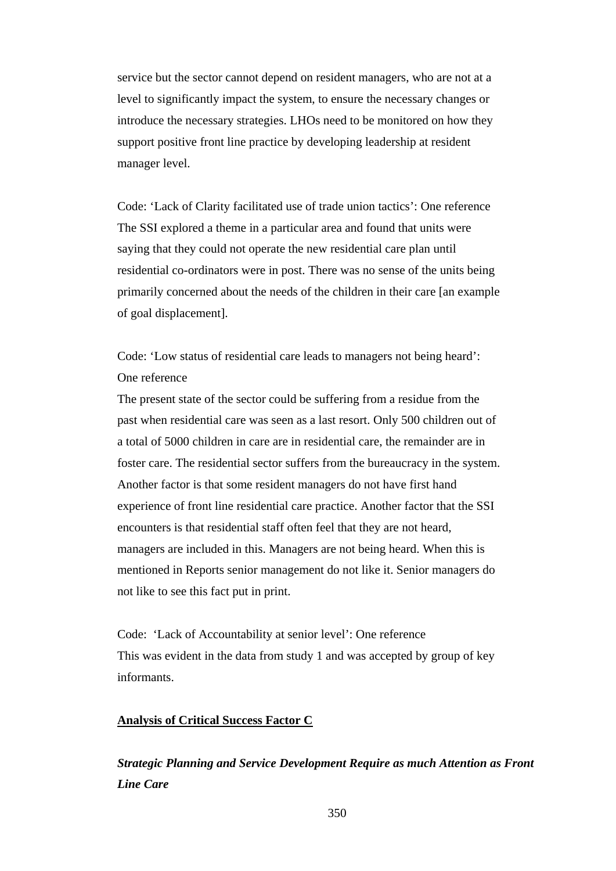service but the sector cannot depend on resident managers, who are not at a level to significantly impact the system, to ensure the necessary changes or introduce the necessary strategies. LHOs need to be monitored on how they support positive front line practice by developing leadership at resident manager level.

Code: 'Lack of Clarity facilitated use of trade union tactics': One reference The SSI explored a theme in a particular area and found that units were saying that they could not operate the new residential care plan until residential co-ordinators were in post. There was no sense of the units being primarily concerned about the needs of the children in their care [an example of goal displacement].

Code: 'Low status of residential care leads to managers not being heard': One reference

The present state of the sector could be suffering from a residue from the past when residential care was seen as a last resort. Only 500 children out of a total of 5000 children in care are in residential care, the remainder are in foster care. The residential sector suffers from the bureaucracy in the system. Another factor is that some resident managers do not have first hand experience of front line residential care practice. Another factor that the SSI encounters is that residential staff often feel that they are not heard, managers are included in this. Managers are not being heard. When this is mentioned in Reports senior management do not like it. Senior managers do not like to see this fact put in print.

Code: 'Lack of Accountability at senior level': One reference This was evident in the data from study 1 and was accepted by group of key informants.

#### **Analysis of Critical Success Factor C**

*Strategic Planning and Service Development Require as much Attention as Front Line Care*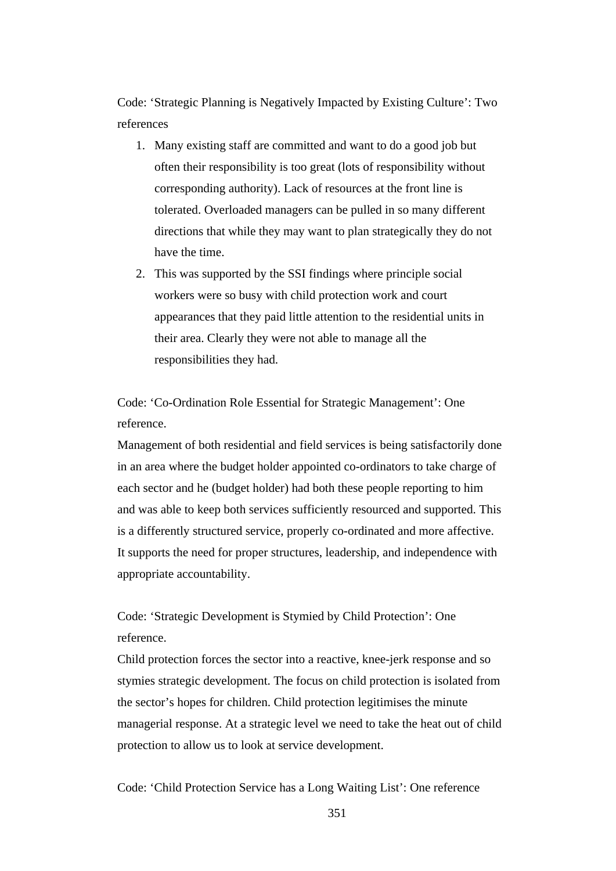Code: 'Strategic Planning is Negatively Impacted by Existing Culture': Two references

- 1. Many existing staff are committed and want to do a good job but often their responsibility is too great (lots of responsibility without corresponding authority). Lack of resources at the front line is tolerated. Overloaded managers can be pulled in so many different directions that while they may want to plan strategically they do not have the time.
- 2. This was supported by the SSI findings where principle social workers were so busy with child protection work and court appearances that they paid little attention to the residential units in their area. Clearly they were not able to manage all the responsibilities they had.

Code: 'Co-Ordination Role Essential for Strategic Management': One reference.

Management of both residential and field services is being satisfactorily done in an area where the budget holder appointed co-ordinators to take charge of each sector and he (budget holder) had both these people reporting to him and was able to keep both services sufficiently resourced and supported. This is a differently structured service, properly co-ordinated and more affective. It supports the need for proper structures, leadership, and independence with appropriate accountability.

Code: 'Strategic Development is Stymied by Child Protection': One reference.

Child protection forces the sector into a reactive, knee-jerk response and so stymies strategic development. The focus on child protection is isolated from the sector's hopes for children. Child protection legitimises the minute managerial response. At a strategic level we need to take the heat out of child protection to allow us to look at service development.

Code: 'Child Protection Service has a Long Waiting List': One reference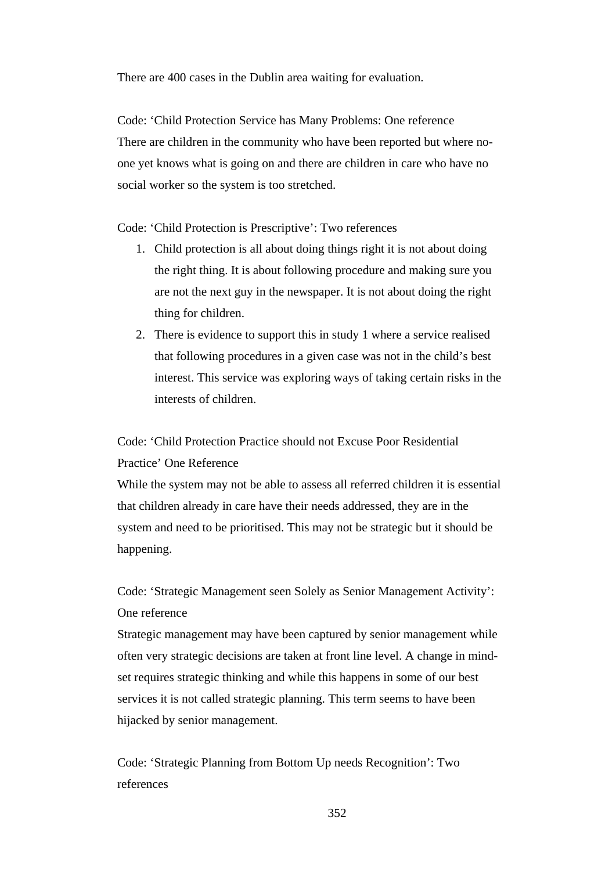There are 400 cases in the Dublin area waiting for evaluation.

Code: 'Child Protection Service has Many Problems: One reference There are children in the community who have been reported but where noone yet knows what is going on and there are children in care who have no social worker so the system is too stretched.

Code: 'Child Protection is Prescriptive': Two references

- 1. Child protection is all about doing things right it is not about doing the right thing. It is about following procedure and making sure you are not the next guy in the newspaper. It is not about doing the right thing for children.
- 2. There is evidence to support this in study 1 where a service realised that following procedures in a given case was not in the child's best interest. This service was exploring ways of taking certain risks in the interests of children.

Code: 'Child Protection Practice should not Excuse Poor Residential Practice' One Reference

While the system may not be able to assess all referred children it is essential that children already in care have their needs addressed, they are in the system and need to be prioritised. This may not be strategic but it should be happening.

Code: 'Strategic Management seen Solely as Senior Management Activity': One reference

Strategic management may have been captured by senior management while often very strategic decisions are taken at front line level. A change in mindset requires strategic thinking and while this happens in some of our best services it is not called strategic planning. This term seems to have been hijacked by senior management.

Code: 'Strategic Planning from Bottom Up needs Recognition': Two references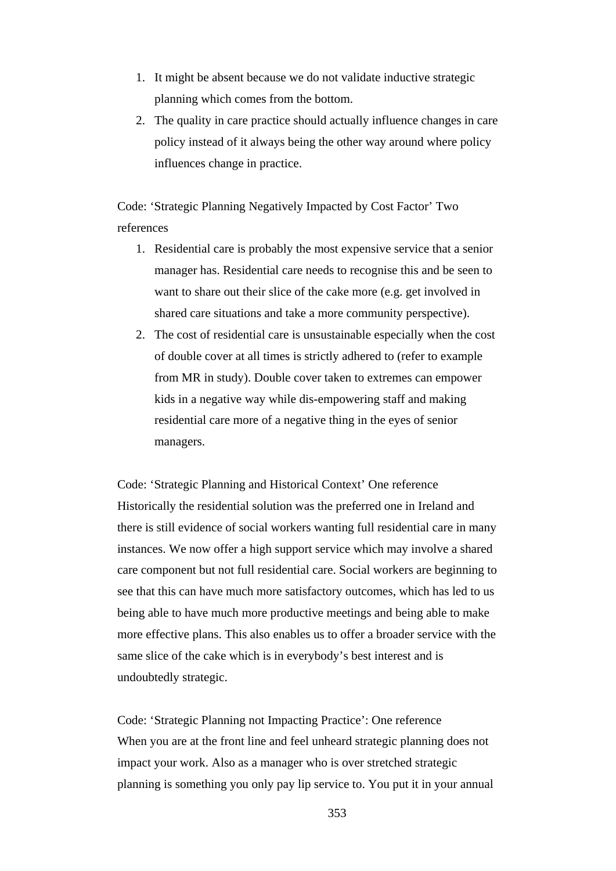- 1. It might be absent because we do not validate inductive strategic planning which comes from the bottom.
- 2. The quality in care practice should actually influence changes in care policy instead of it always being the other way around where policy influences change in practice.

Code: 'Strategic Planning Negatively Impacted by Cost Factor' Two references

- 1. Residential care is probably the most expensive service that a senior manager has. Residential care needs to recognise this and be seen to want to share out their slice of the cake more (e.g. get involved in shared care situations and take a more community perspective).
- 2. The cost of residential care is unsustainable especially when the cost of double cover at all times is strictly adhered to (refer to example from MR in study). Double cover taken to extremes can empower kids in a negative way while dis-empowering staff and making residential care more of a negative thing in the eyes of senior managers.

Code: 'Strategic Planning and Historical Context' One reference Historically the residential solution was the preferred one in Ireland and there is still evidence of social workers wanting full residential care in many instances. We now offer a high support service which may involve a shared care component but not full residential care. Social workers are beginning to see that this can have much more satisfactory outcomes, which has led to us being able to have much more productive meetings and being able to make more effective plans. This also enables us to offer a broader service with the same slice of the cake which is in everybody's best interest and is undoubtedly strategic.

Code: 'Strategic Planning not Impacting Practice': One reference When you are at the front line and feel unheard strategic planning does not impact your work. Also as a manager who is over stretched strategic planning is something you only pay lip service to. You put it in your annual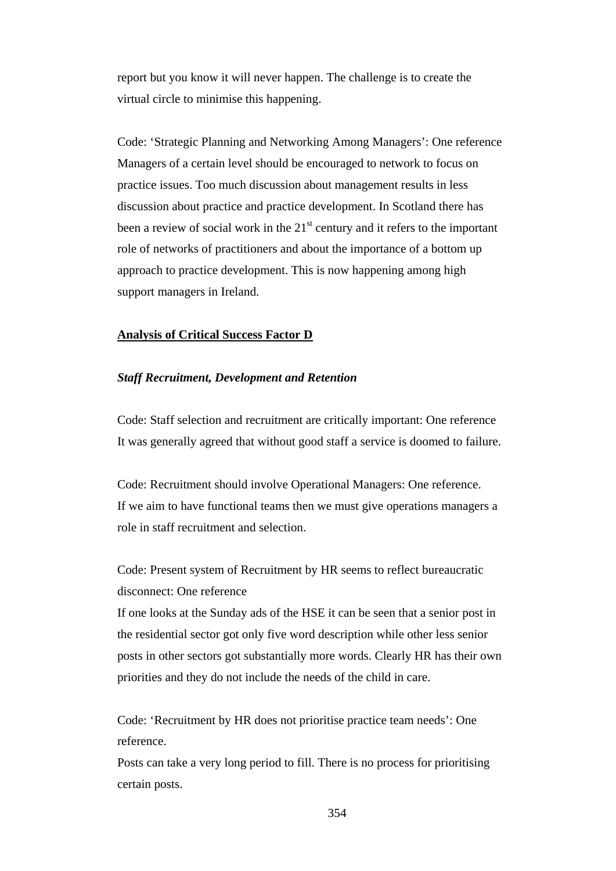report but you know it will never happen. The challenge is to create the virtual circle to minimise this happening.

Code: 'Strategic Planning and Networking Among Managers': One reference Managers of a certain level should be encouraged to network to focus on practice issues. Too much discussion about management results in less discussion about practice and practice development. In Scotland there has been a review of social work in the  $21<sup>st</sup>$  century and it refers to the important role of networks of practitioners and about the importance of a bottom up approach to practice development. This is now happening among high support managers in Ireland.

## **Analysis of Critical Success Factor D**

#### *Staff Recruitment, Development and Retention*

Code: Staff selection and recruitment are critically important: One reference It was generally agreed that without good staff a service is doomed to failure.

Code: Recruitment should involve Operational Managers: One reference. If we aim to have functional teams then we must give operations managers a role in staff recruitment and selection.

Code: Present system of Recruitment by HR seems to reflect bureaucratic disconnect: One reference

If one looks at the Sunday ads of the HSE it can be seen that a senior post in the residential sector got only five word description while other less senior posts in other sectors got substantially more words. Clearly HR has their own priorities and they do not include the needs of the child in care.

Code: 'Recruitment by HR does not prioritise practice team needs': One reference.

Posts can take a very long period to fill. There is no process for prioritising certain posts.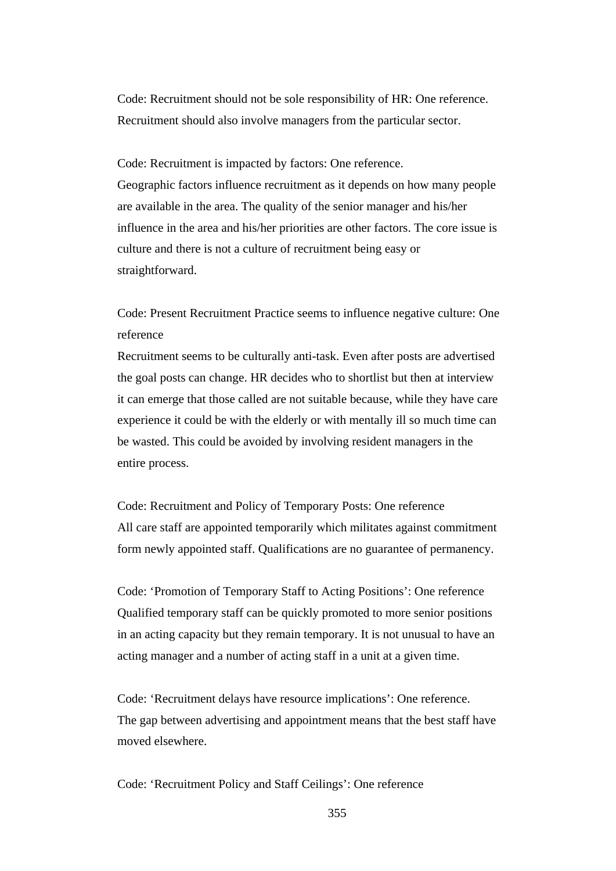Code: Recruitment should not be sole responsibility of HR: One reference. Recruitment should also involve managers from the particular sector.

Code: Recruitment is impacted by factors: One reference. Geographic factors influence recruitment as it depends on how many people are available in the area. The quality of the senior manager and his/her influence in the area and his/her priorities are other factors. The core issue is culture and there is not a culture of recruitment being easy or straightforward.

Code: Present Recruitment Practice seems to influence negative culture: One reference

Recruitment seems to be culturally anti-task. Even after posts are advertised the goal posts can change. HR decides who to shortlist but then at interview it can emerge that those called are not suitable because, while they have care experience it could be with the elderly or with mentally ill so much time can be wasted. This could be avoided by involving resident managers in the entire process.

Code: Recruitment and Policy of Temporary Posts: One reference All care staff are appointed temporarily which militates against commitment form newly appointed staff. Qualifications are no guarantee of permanency.

Code: 'Promotion of Temporary Staff to Acting Positions': One reference Qualified temporary staff can be quickly promoted to more senior positions in an acting capacity but they remain temporary. It is not unusual to have an acting manager and a number of acting staff in a unit at a given time.

Code: 'Recruitment delays have resource implications': One reference. The gap between advertising and appointment means that the best staff have moved elsewhere.

Code: 'Recruitment Policy and Staff Ceilings': One reference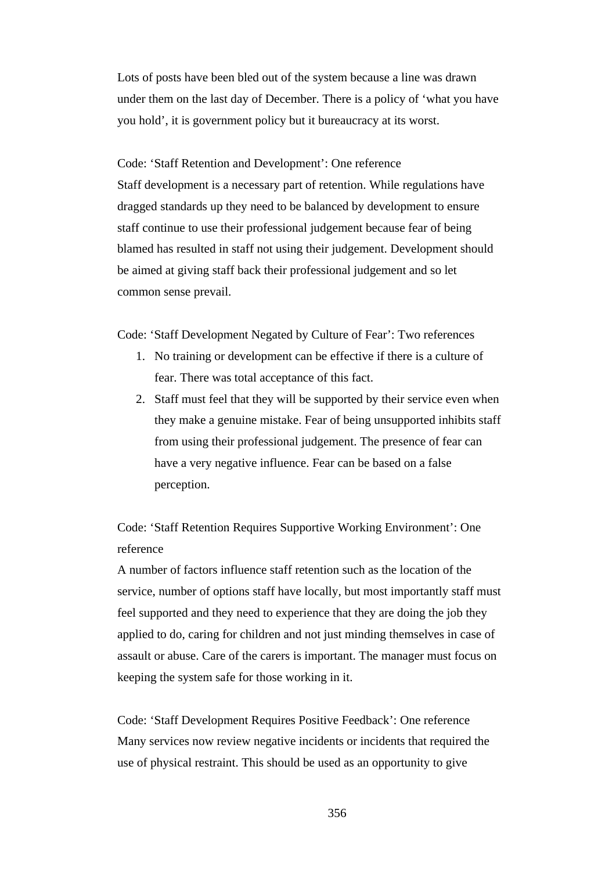Lots of posts have been bled out of the system because a line was drawn under them on the last day of December. There is a policy of 'what you have you hold', it is government policy but it bureaucracy at its worst.

Code: 'Staff Retention and Development': One reference Staff development is a necessary part of retention. While regulations have dragged standards up they need to be balanced by development to ensure staff continue to use their professional judgement because fear of being blamed has resulted in staff not using their judgement. Development should be aimed at giving staff back their professional judgement and so let common sense prevail.

Code: 'Staff Development Negated by Culture of Fear': Two references

- 1. No training or development can be effective if there is a culture of fear. There was total acceptance of this fact.
- 2. Staff must feel that they will be supported by their service even when they make a genuine mistake. Fear of being unsupported inhibits staff from using their professional judgement. The presence of fear can have a very negative influence. Fear can be based on a false perception.

Code: 'Staff Retention Requires Supportive Working Environment': One reference

A number of factors influence staff retention such as the location of the service, number of options staff have locally, but most importantly staff must feel supported and they need to experience that they are doing the job they applied to do, caring for children and not just minding themselves in case of assault or abuse. Care of the carers is important. The manager must focus on keeping the system safe for those working in it.

Code: 'Staff Development Requires Positive Feedback': One reference Many services now review negative incidents or incidents that required the use of physical restraint. This should be used as an opportunity to give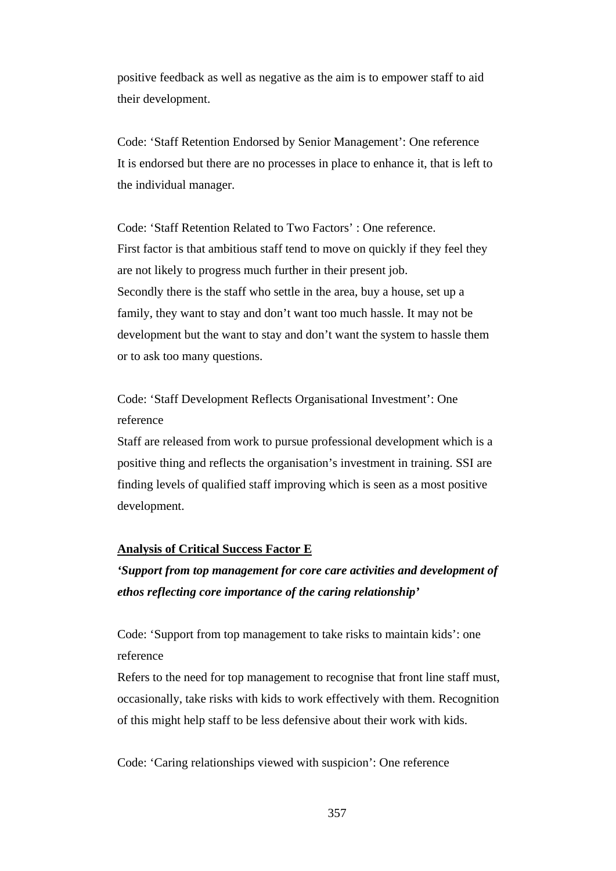positive feedback as well as negative as the aim is to empower staff to aid their development.

Code: 'Staff Retention Endorsed by Senior Management': One reference It is endorsed but there are no processes in place to enhance it, that is left to the individual manager.

Code: 'Staff Retention Related to Two Factors' : One reference. First factor is that ambitious staff tend to move on quickly if they feel they are not likely to progress much further in their present job. Secondly there is the staff who settle in the area, buy a house, set up a family, they want to stay and don't want too much hassle. It may not be development but the want to stay and don't want the system to hassle them or to ask too many questions.

Code: 'Staff Development Reflects Organisational Investment': One reference

Staff are released from work to pursue professional development which is a positive thing and reflects the organisation's investment in training. SSI are finding levels of qualified staff improving which is seen as a most positive development.

## **Analysis of Critical Success Factor E**

*'Support from top management for core care activities and development of ethos reflecting core importance of the caring relationship'* 

Code: 'Support from top management to take risks to maintain kids': one reference

Refers to the need for top management to recognise that front line staff must, occasionally, take risks with kids to work effectively with them. Recognition of this might help staff to be less defensive about their work with kids.

Code: 'Caring relationships viewed with suspicion': One reference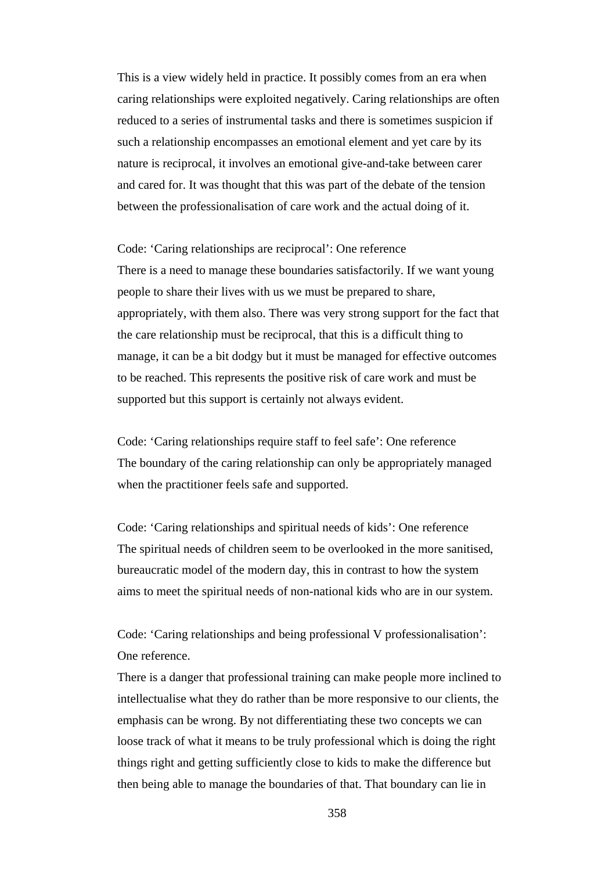This is a view widely held in practice. It possibly comes from an era when caring relationships were exploited negatively. Caring relationships are often reduced to a series of instrumental tasks and there is sometimes suspicion if such a relationship encompasses an emotional element and yet care by its nature is reciprocal, it involves an emotional give-and-take between carer and cared for. It was thought that this was part of the debate of the tension between the professionalisation of care work and the actual doing of it.

Code: 'Caring relationships are reciprocal': One reference There is a need to manage these boundaries satisfactorily. If we want young people to share their lives with us we must be prepared to share, appropriately, with them also. There was very strong support for the fact that the care relationship must be reciprocal, that this is a difficult thing to manage, it can be a bit dodgy but it must be managed for effective outcomes to be reached. This represents the positive risk of care work and must be supported but this support is certainly not always evident.

Code: 'Caring relationships require staff to feel safe': One reference The boundary of the caring relationship can only be appropriately managed when the practitioner feels safe and supported.

Code: 'Caring relationships and spiritual needs of kids': One reference The spiritual needs of children seem to be overlooked in the more sanitised, bureaucratic model of the modern day, this in contrast to how the system aims to meet the spiritual needs of non-national kids who are in our system.

Code: 'Caring relationships and being professional V professionalisation': One reference.

There is a danger that professional training can make people more inclined to intellectualise what they do rather than be more responsive to our clients, the emphasis can be wrong. By not differentiating these two concepts we can loose track of what it means to be truly professional which is doing the right things right and getting sufficiently close to kids to make the difference but then being able to manage the boundaries of that. That boundary can lie in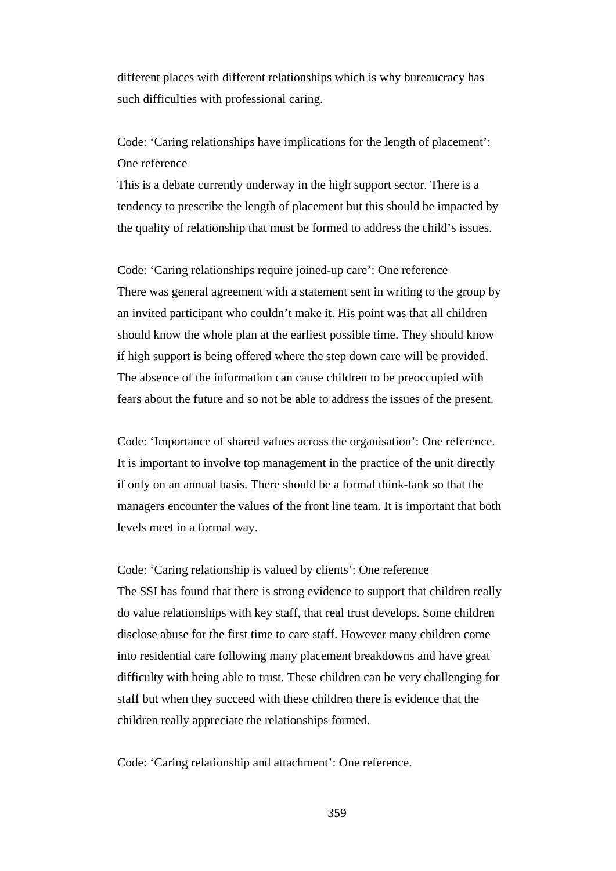different places with different relationships which is why bureaucracy has such difficulties with professional caring.

Code: 'Caring relationships have implications for the length of placement': One reference

This is a debate currently underway in the high support sector. There is a tendency to prescribe the length of placement but this should be impacted by the quality of relationship that must be formed to address the child's issues.

Code: 'Caring relationships require joined-up care': One reference There was general agreement with a statement sent in writing to the group by an invited participant who couldn't make it. His point was that all children should know the whole plan at the earliest possible time. They should know if high support is being offered where the step down care will be provided. The absence of the information can cause children to be preoccupied with fears about the future and so not be able to address the issues of the present.

Code: 'Importance of shared values across the organisation': One reference. It is important to involve top management in the practice of the unit directly if only on an annual basis. There should be a formal think-tank so that the managers encounter the values of the front line team. It is important that both levels meet in a formal way.

Code: 'Caring relationship is valued by clients': One reference The SSI has found that there is strong evidence to support that children really do value relationships with key staff, that real trust develops. Some children disclose abuse for the first time to care staff. However many children come into residential care following many placement breakdowns and have great difficulty with being able to trust. These children can be very challenging for staff but when they succeed with these children there is evidence that the children really appreciate the relationships formed.

Code: 'Caring relationship and attachment': One reference.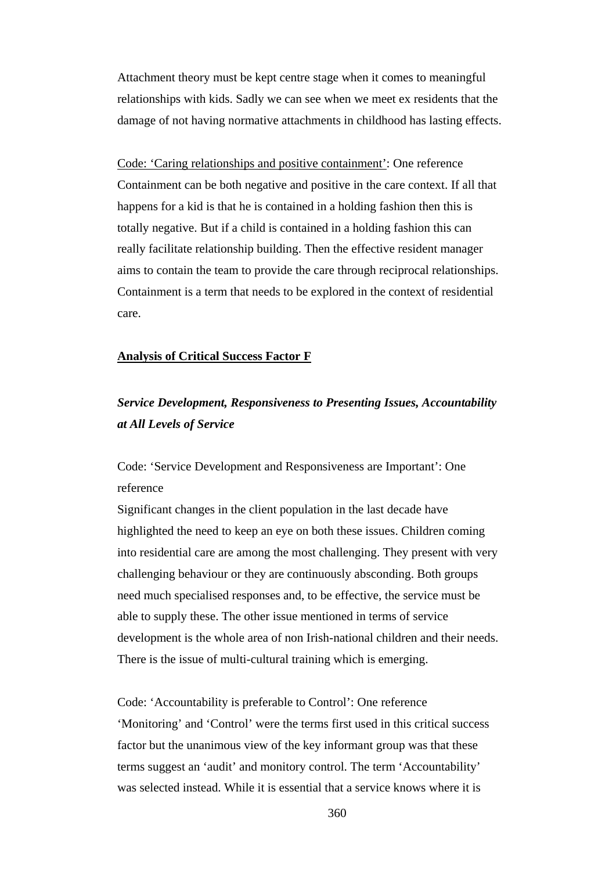Attachment theory must be kept centre stage when it comes to meaningful relationships with kids. Sadly we can see when we meet ex residents that the damage of not having normative attachments in childhood has lasting effects.

Code: 'Caring relationships and positive containment': One reference Containment can be both negative and positive in the care context. If all that happens for a kid is that he is contained in a holding fashion then this is totally negative. But if a child is contained in a holding fashion this can really facilitate relationship building. Then the effective resident manager aims to contain the team to provide the care through reciprocal relationships. Containment is a term that needs to be explored in the context of residential care.

#### **Analysis of Critical Success Factor F**

# *Service Development, Responsiveness to Presenting Issues, Accountability at All Levels of Service*

Code: 'Service Development and Responsiveness are Important': One reference

Significant changes in the client population in the last decade have highlighted the need to keep an eye on both these issues. Children coming into residential care are among the most challenging. They present with very challenging behaviour or they are continuously absconding. Both groups need much specialised responses and, to be effective, the service must be able to supply these. The other issue mentioned in terms of service development is the whole area of non Irish-national children and their needs. There is the issue of multi-cultural training which is emerging.

Code: 'Accountability is preferable to Control': One reference 'Monitoring' and 'Control' were the terms first used in this critical success factor but the unanimous view of the key informant group was that these terms suggest an 'audit' and monitory control. The term 'Accountability' was selected instead. While it is essential that a service knows where it is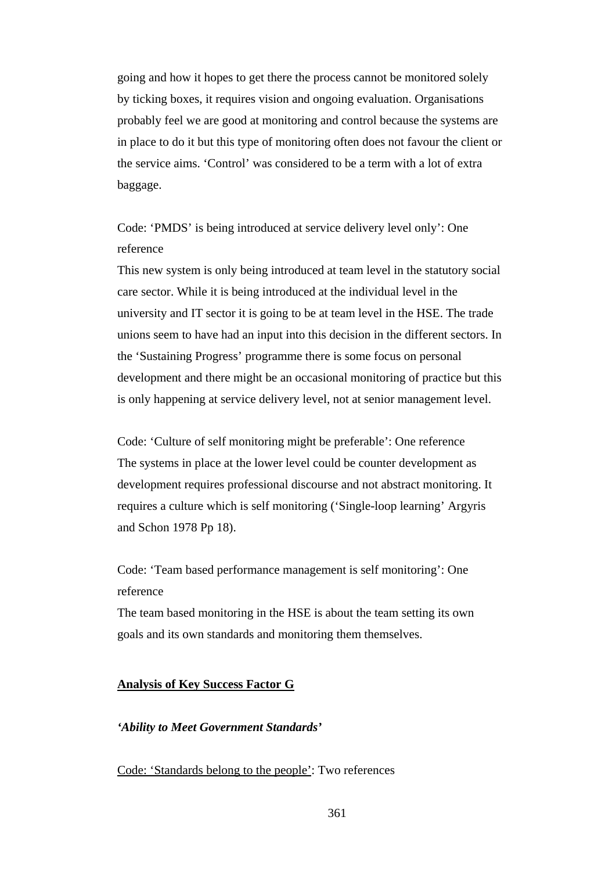going and how it hopes to get there the process cannot be monitored solely by ticking boxes, it requires vision and ongoing evaluation. Organisations probably feel we are good at monitoring and control because the systems are in place to do it but this type of monitoring often does not favour the client or the service aims. 'Control' was considered to be a term with a lot of extra baggage.

Code: 'PMDS' is being introduced at service delivery level only': One reference

This new system is only being introduced at team level in the statutory social care sector. While it is being introduced at the individual level in the university and IT sector it is going to be at team level in the HSE. The trade unions seem to have had an input into this decision in the different sectors. In the 'Sustaining Progress' programme there is some focus on personal development and there might be an occasional monitoring of practice but this is only happening at service delivery level, not at senior management level.

Code: 'Culture of self monitoring might be preferable': One reference The systems in place at the lower level could be counter development as development requires professional discourse and not abstract monitoring. It requires a culture which is self monitoring ('Single-loop learning' Argyris and Schon 1978 Pp 18).

Code: 'Team based performance management is self monitoring': One reference

The team based monitoring in the HSE is about the team setting its own goals and its own standards and monitoring them themselves.

## **Analysis of Key Success Factor G**

#### *'Ability to Meet Government Standards'*

Code: 'Standards belong to the people': Two references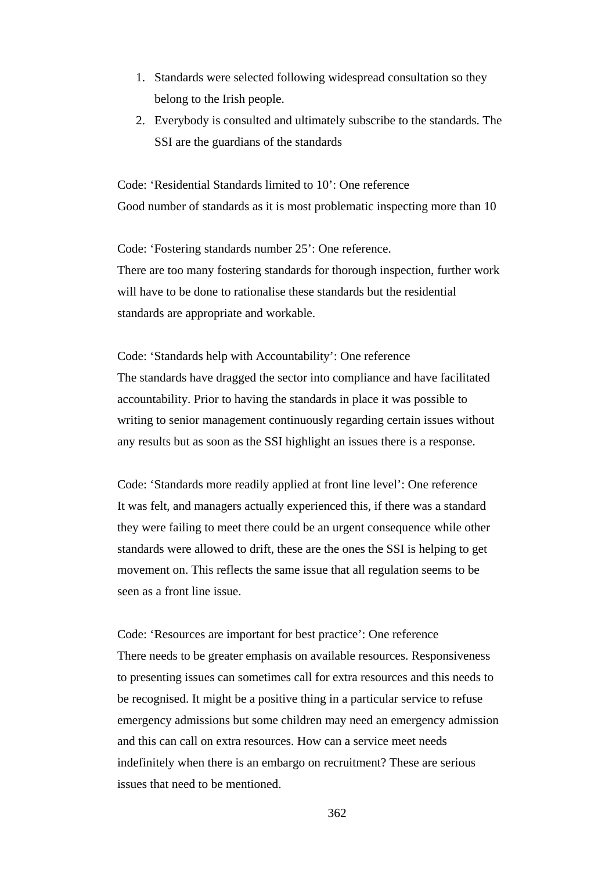- 1. Standards were selected following widespread consultation so they belong to the Irish people.
- 2. Everybody is consulted and ultimately subscribe to the standards. The SSI are the guardians of the standards

Code: 'Residential Standards limited to 10': One reference Good number of standards as it is most problematic inspecting more than 10

Code: 'Fostering standards number 25': One reference. There are too many fostering standards for thorough inspection, further work will have to be done to rationalise these standards but the residential standards are appropriate and workable.

Code: 'Standards help with Accountability': One reference The standards have dragged the sector into compliance and have facilitated accountability. Prior to having the standards in place it was possible to writing to senior management continuously regarding certain issues without any results but as soon as the SSI highlight an issues there is a response.

Code: 'Standards more readily applied at front line level': One reference It was felt, and managers actually experienced this, if there was a standard they were failing to meet there could be an urgent consequence while other standards were allowed to drift, these are the ones the SSI is helping to get movement on. This reflects the same issue that all regulation seems to be seen as a front line issue.

Code: 'Resources are important for best practice': One reference There needs to be greater emphasis on available resources. Responsiveness to presenting issues can sometimes call for extra resources and this needs to be recognised. It might be a positive thing in a particular service to refuse emergency admissions but some children may need an emergency admission and this can call on extra resources. How can a service meet needs indefinitely when there is an embargo on recruitment? These are serious issues that need to be mentioned.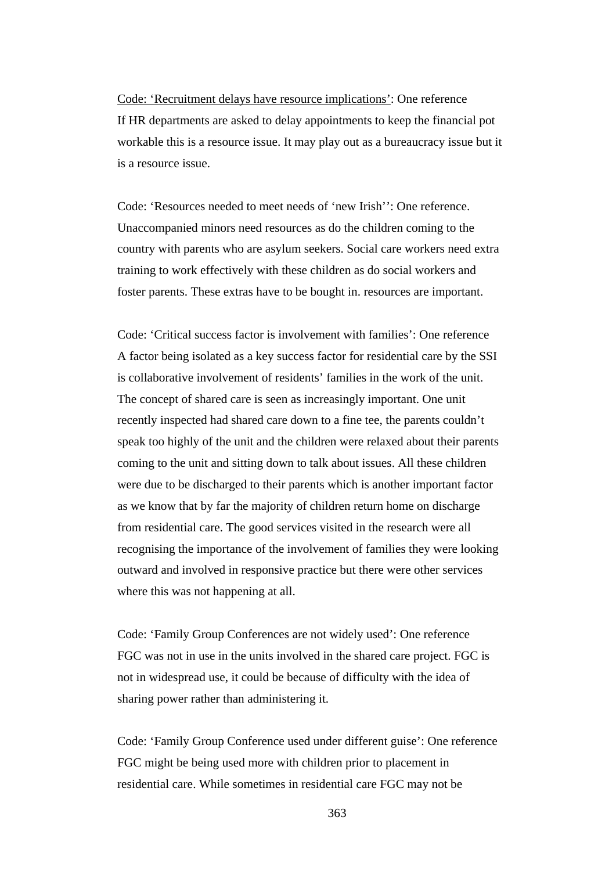Code: 'Recruitment delays have resource implications': One reference If HR departments are asked to delay appointments to keep the financial pot workable this is a resource issue. It may play out as a bureaucracy issue but it is a resource issue.

Code: 'Resources needed to meet needs of 'new Irish'': One reference. Unaccompanied minors need resources as do the children coming to the country with parents who are asylum seekers. Social care workers need extra training to work effectively with these children as do social workers and foster parents. These extras have to be bought in. resources are important.

Code: 'Critical success factor is involvement with families': One reference A factor being isolated as a key success factor for residential care by the SSI is collaborative involvement of residents' families in the work of the unit. The concept of shared care is seen as increasingly important. One unit recently inspected had shared care down to a fine tee, the parents couldn't speak too highly of the unit and the children were relaxed about their parents coming to the unit and sitting down to talk about issues. All these children were due to be discharged to their parents which is another important factor as we know that by far the majority of children return home on discharge from residential care. The good services visited in the research were all recognising the importance of the involvement of families they were looking outward and involved in responsive practice but there were other services where this was not happening at all.

Code: 'Family Group Conferences are not widely used': One reference FGC was not in use in the units involved in the shared care project. FGC is not in widespread use, it could be because of difficulty with the idea of sharing power rather than administering it.

Code: 'Family Group Conference used under different guise': One reference FGC might be being used more with children prior to placement in residential care. While sometimes in residential care FGC may not be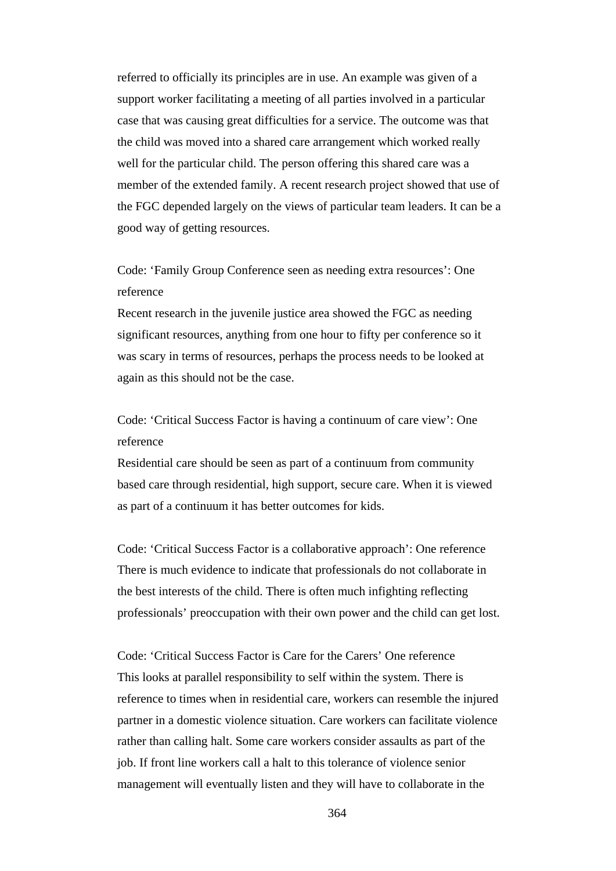referred to officially its principles are in use. An example was given of a support worker facilitating a meeting of all parties involved in a particular case that was causing great difficulties for a service. The outcome was that the child was moved into a shared care arrangement which worked really well for the particular child. The person offering this shared care was a member of the extended family. A recent research project showed that use of the FGC depended largely on the views of particular team leaders. It can be a good way of getting resources.

Code: 'Family Group Conference seen as needing extra resources': One reference

Recent research in the juvenile justice area showed the FGC as needing significant resources, anything from one hour to fifty per conference so it was scary in terms of resources, perhaps the process needs to be looked at again as this should not be the case.

Code: 'Critical Success Factor is having a continuum of care view': One reference

Residential care should be seen as part of a continuum from community based care through residential, high support, secure care. When it is viewed as part of a continuum it has better outcomes for kids.

Code: 'Critical Success Factor is a collaborative approach': One reference There is much evidence to indicate that professionals do not collaborate in the best interests of the child. There is often much infighting reflecting professionals' preoccupation with their own power and the child can get lost.

Code: 'Critical Success Factor is Care for the Carers' One reference This looks at parallel responsibility to self within the system. There is reference to times when in residential care, workers can resemble the injured partner in a domestic violence situation. Care workers can facilitate violence rather than calling halt. Some care workers consider assaults as part of the job. If front line workers call a halt to this tolerance of violence senior management will eventually listen and they will have to collaborate in the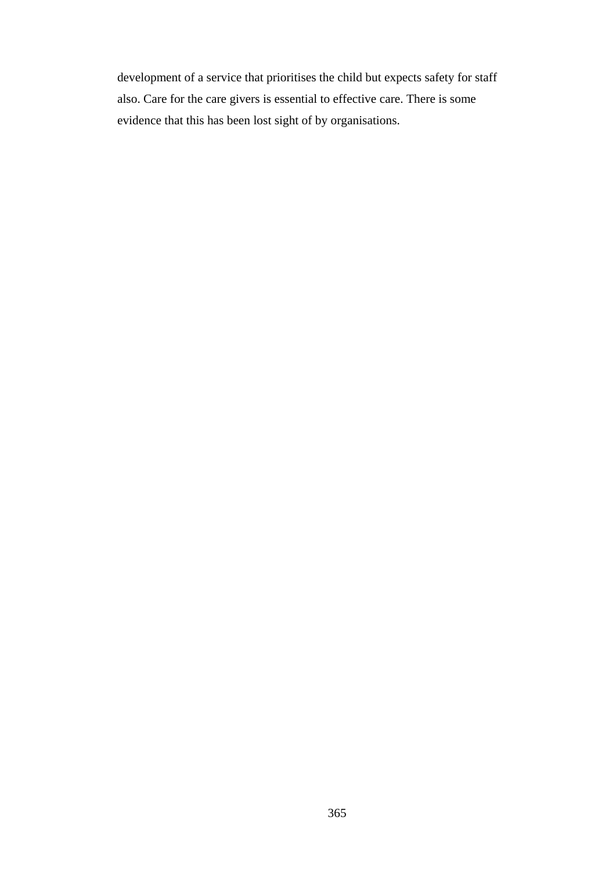development of a service that prioritises the child but expects safety for staff also. Care for the care givers is essential to effective care. There is some evidence that this has been lost sight of by organisations.